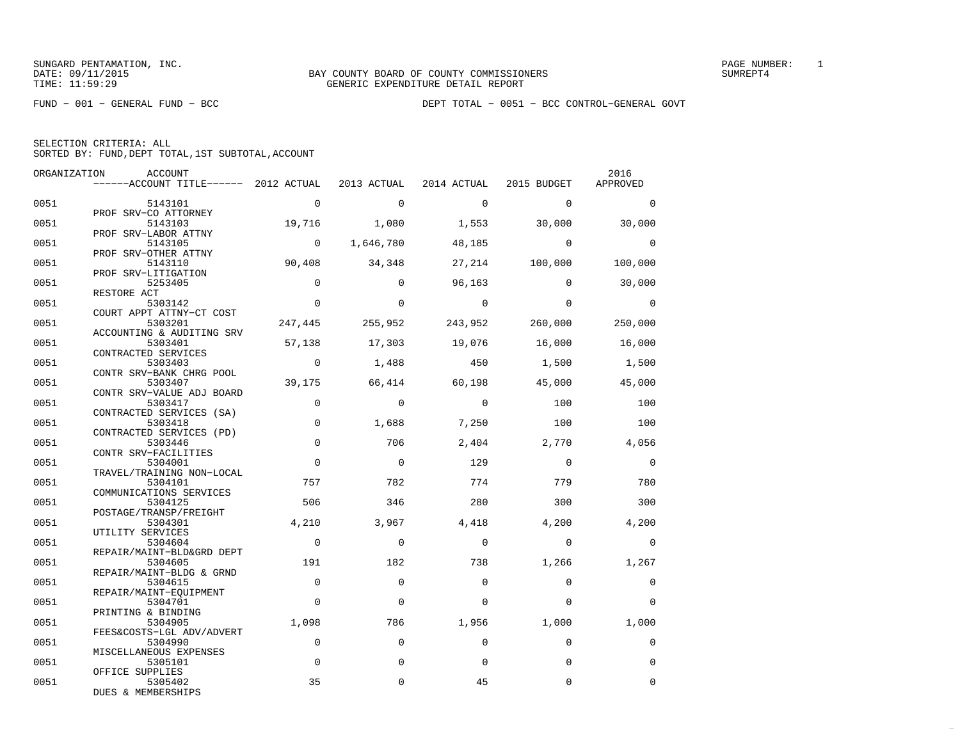FUND − 001 − GENERAL FUND − BCC DEPT TOTAL − 0051 − BCC CONTROL−GENERAL GOVT

| SELECTION CRITERIA: ALL |  |  |                                                    |  |
|-------------------------|--|--|----------------------------------------------------|--|
|                         |  |  | SORTED BY: FUND, DEPT TOTAL, 1ST SUBTOTAL, ACCOUNT |  |

| ORGANIZATION | ACCOUNT                                                                   |                |             |                |                | 2016           |
|--------------|---------------------------------------------------------------------------|----------------|-------------|----------------|----------------|----------------|
|              | ------ACCOUNT TITLE------ 2012 ACTUAL 2013 ACTUAL 2014 ACTUAL 2015 BUDGET |                |             |                |                | APPROVED       |
| 0051         | 5143101                                                                   | $\overline{0}$ | $\mathbf 0$ | $\overline{0}$ | $\Omega$       | $\Omega$       |
|              | PROF SRV-CO ATTORNEY                                                      |                |             |                |                |                |
| 0051         | 5143103<br>PROF SRV-LABOR ATTNY                                           | 19,716         | 1,080       | 1,553          | 30,000         | 30,000         |
| 0051         | 5143105                                                                   | $\overline{0}$ | 1,646,780   | 48,185         | $\Omega$       | $\Omega$       |
|              | PROF SRV-OTHER ATTNY                                                      |                |             |                |                |                |
| 0051         | 5143110                                                                   | 90,408         | 34,348      |                | 27,214 100,000 | 100,000        |
| 0051         | PROF SRV-LITIGATION<br>5253405                                            | $\Omega$       | $\Omega$    | 96,163         | $\Omega$       | 30,000         |
|              | RESTORE ACT                                                               |                |             |                |                |                |
| 0051         | 5303142                                                                   | $\mathbf{0}$   | $\mathbf 0$ | $\sim$ 0       | $\Omega$       | $\overline{0}$ |
|              | COURT APPT ATTNY-CT COST                                                  |                |             |                |                |                |
| 0051         | 5303201                                                                   | 247,445        | 255,952     | 243,952        | 260,000        | 250,000        |
|              | ACCOUNTING & AUDITING SRV                                                 |                |             |                |                |                |
| 0051         | 5303401                                                                   | 57,138         | 17,303      | 19,076         | 16,000         | 16,000         |
| 0051         | CONTRACTED SERVICES<br>5303403                                            | $\overline{0}$ | 1,488       | 450            | 1,500          | 1,500          |
|              | CONTR SRV-BANK CHRG POOL                                                  |                |             |                |                |                |
| 0051         | 5303407                                                                   | 39,175         | 66,414      | 60,198         | 45,000         | 45,000         |
|              | CONTR SRV-VALUE ADJ BOARD                                                 |                |             |                |                |                |
| 0051         | 5303417                                                                   | $\Omega$       | $\Omega$    | $\overline{0}$ | 100            | 100            |
|              | CONTRACTED SERVICES (SA)                                                  |                |             |                |                |                |
| 0051         | 5303418                                                                   | $\Omega$       | 1,688       | 7,250          | 100            | 100            |
| 0051         | CONTRACTED SERVICES (PD)<br>5303446                                       | $\mathbf 0$    | 706         | 2,404          | 2,770          | 4,056          |
|              | CONTR SRV-FACILITIES                                                      |                |             |                |                |                |
| 0051         | 5304001                                                                   | $\Omega$       | $\bigcirc$  | 129            | $\Omega$       | $\Omega$       |
|              | TRAVEL/TRAINING NON-LOCAL                                                 |                |             |                |                |                |
| 0051         | 5304101                                                                   | 757            | 782         | 774            | 779            | 780            |
|              | COMMUNICATIONS SERVICES                                                   |                |             |                |                |                |
| 0051         | 5304125                                                                   | 506            | 346         | 280            | 300            | 300            |
| 0051         | POSTAGE/TRANSP/FREIGHT<br>5304301                                         | 4,210          | 3,967       | 4,418          | 4,200          | 4,200          |
|              | UTILITY SERVICES                                                          |                |             |                |                |                |
| 0051         | 5304604                                                                   | $\bigcirc$     | $\Omega$    | $\Omega$       | $\Omega$       | $\Omega$       |
|              | REPAIR/MAINT-BLD&GRD DEPT                                                 |                |             |                |                |                |
| 0051         | 5304605                                                                   | 191            | 182         | 738            | 1,266          | 1,267          |
|              | REPAIR/MAINT-BLDG & GRND                                                  |                |             |                |                |                |
| 0051         | 5304615                                                                   | $\mathbf 0$    | $\mathbf 0$ | $\mathbf 0$    | $\Omega$       | $\mathbf 0$    |
| 0051         | REPAIR/MAINT-EQUIPMENT<br>5304701                                         | $\Omega$       | $\Omega$    | $\Omega$       | $\Omega$       | $\Omega$       |
|              | PRINTING & BINDING                                                        |                |             |                |                |                |
| 0051         | 5304905                                                                   | 1,098          | 786         | 1,956          | 1,000          | 1,000          |
|              | FEES&COSTS-LGL ADV/ADVERT                                                 |                |             |                |                |                |
| 0051         | 5304990                                                                   | $\Omega$       | $\Omega$    | $\Omega$       | $\Omega$       | $\Omega$       |
|              | MISCELLANEOUS EXPENSES                                                    |                |             |                |                |                |
| 0051         | 5305101                                                                   | $\Omega$       | $\mathbf 0$ | $\Omega$       | $\Omega$       | $\Omega$       |
|              | OFFICE SUPPLIES                                                           |                |             |                |                |                |
| 0051         | 5305402<br>DUES & MEMBERSHIPS                                             | 35             | $\Omega$    | 45             | $\Omega$       | $\Omega$       |
|              |                                                                           |                |             |                |                |                |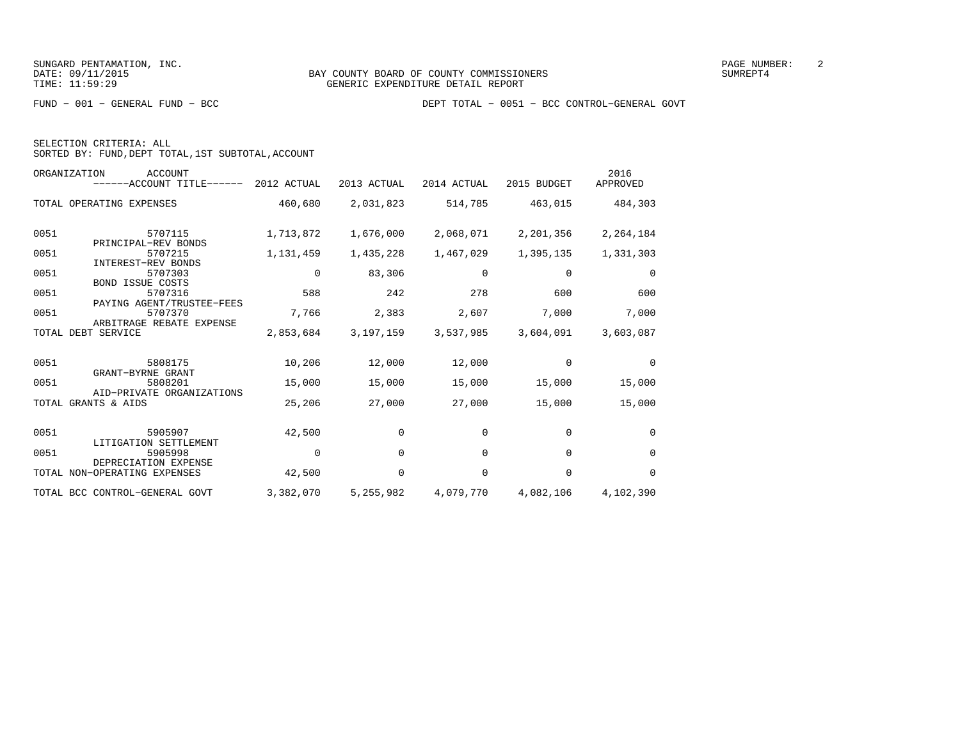| SELECTION CRITERIA: ALL |  |
|-------------------------|--|
|                         |  |

SORTED BY: FUND,DEPT TOTAL,1ST SUBTOTAL,ACCOUNT

| ORGANIZATION<br><b>ACCOUNT</b><br>------ACCOUNT TITLE------ 2012 ACTUAL |           | 2013 ACTUAL | 2014 ACTUAL | 2015 BUDGET | 2016<br>APPROVED |
|-------------------------------------------------------------------------|-----------|-------------|-------------|-------------|------------------|
| TOTAL OPERATING EXPENSES                                                | 460,680   | 2,031,823   | 514,785     | 463,015     | 484,303          |
| 0051<br>5707115<br>PRINCIPAL-REV BONDS                                  | 1,713,872 | 1,676,000   | 2,068,071   | 2,201,356   | 2,264,184        |
| 0051<br>5707215<br><b>INTEREST-REV BONDS</b>                            | 1,131,459 | 1,435,228   | 1,467,029   | 1,395,135   | 1,331,303        |
| 0051<br>5707303<br><b>BOND ISSUE COSTS</b>                              | 0         | 83,306      | 0           | 0           | $\mathbf 0$      |
| 0051<br>5707316<br>PAYING AGENT/TRUSTEE-FEES                            | 588       | 242         | 278         | 600         | 600              |
| 0051<br>5707370<br>ARBITRAGE REBATE EXPENSE                             | 7,766     | 2,383       | 2,607       | 7,000       | 7,000            |
| TOTAL DEBT SERVICE                                                      | 2,853,684 | 3,197,159   | 3,537,985   | 3,604,091   | 3,603,087        |
| 0051<br>5808175<br>GRANT-BYRNE GRANT                                    | 10,206    | 12,000      | 12,000      | $\Omega$    | $\Omega$         |
| 0051<br>5808201<br>AID-PRIVATE ORGANIZATIONS                            | 15,000    | 15,000      | 15,000      | 15,000      | 15,000           |
| TOTAL GRANTS & AIDS                                                     | 25,206    | 27,000      | 27,000      | 15,000      | 15,000           |
| 0051<br>5905907<br>LITIGATION SETTLEMENT                                | 42,500    | 0           | 0           | $\mathbf 0$ | 0                |
| 0051<br>5905998<br>DEPRECIATION EXPENSE                                 | $\Omega$  | $\Omega$    | $\Omega$    | $\Omega$    | $\Omega$         |
| TOTAL NON-OPERATING EXPENSES                                            | 42,500    | $\Omega$    | $\Omega$    | $\Omega$    | $\Omega$         |
| TOTAL BCC CONTROL-GENERAL GOVT                                          | 3,382,070 | 5,255,982   | 4,079,770   | 4,082,106   | 4,102,390        |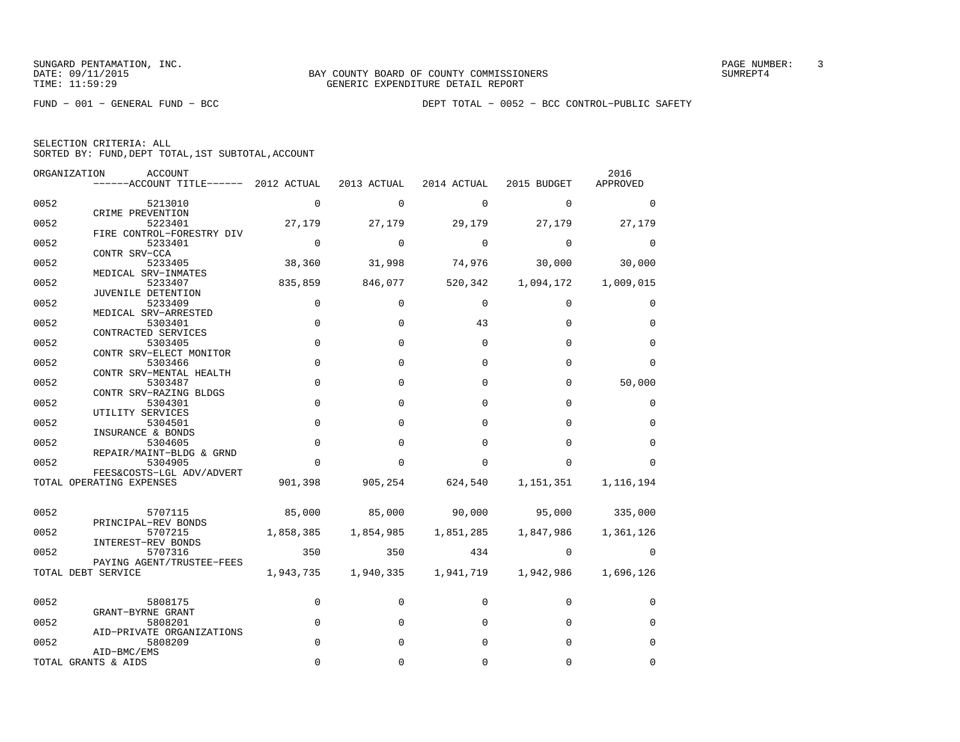FUND − 001 − GENERAL FUND − BCC DEPT TOTAL − 0052 − BCC CONTROL−PUBLIC SAFETY

| SELECTION CRITERIA: ALL |  |  |                                                    |  |
|-------------------------|--|--|----------------------------------------------------|--|
|                         |  |  | SORTED BY: FUND, DEPT TOTAL, 1ST SUBTOTAL, ACCOUNT |  |

|      | ORGANIZATION<br>ACCOUNT<br>------ACCOUNT TITLE------         | 2012 ACTUAL | 2013 ACTUAL | 2014 ACTUAL | 2015 BUDGET | 2016<br>APPROVED |
|------|--------------------------------------------------------------|-------------|-------------|-------------|-------------|------------------|
| 0052 | 5213010                                                      | 0           | $\mathbf 0$ | $\mathbf 0$ | $\mathbf 0$ | 0                |
| 0052 | CRIME PREVENTION<br>5223401                                  | 27,179      | 27,179      | 29,179      | 27,179      | 27,179           |
| 0052 | FIRE CONTROL-FORESTRY DIV<br>5233401                         | $\mathbf 0$ | $\mathbf 0$ | 0           | $\mathbf 0$ | 0                |
| 0052 | CONTR SRV-CCA<br>5233405                                     | 38,360      | 31,998      | 74,976      | 30,000      | 30,000           |
| 0052 | MEDICAL SRV-INMATES<br>5233407                               | 835,859     | 846,077     | 520,342     | 1,094,172   | 1,009,015        |
| 0052 | JUVENILE DETENTION<br>5233409                                | 0           | $\Omega$    | $\Omega$    | 0           | 0                |
| 0052 | MEDICAL SRV-ARRESTED<br>5303401                              | $\mathbf 0$ | $\Omega$    | 43          | $\Omega$    | $\mathbf 0$      |
| 0052 | CONTRACTED SERVICES<br>5303405                               | $\Omega$    | $\Omega$    | $\mathbf 0$ | $\Omega$    | $\mathbf 0$      |
| 0052 | CONTR SRV-ELECT MONITOR<br>5303466                           | $\mathbf 0$ | $\Omega$    | $\Omega$    | $\Omega$    | $\mathbf 0$      |
| 0052 | CONTR SRV-MENTAL HEALTH<br>5303487<br>CONTR SRV-RAZING BLDGS | $\mathbf 0$ | $\Omega$    | $\Omega$    | $\Omega$    | 50,000           |
| 0052 | 5304301<br>UTILITY SERVICES                                  | $\mathbf 0$ | $\Omega$    | $\Omega$    | $\Omega$    | 0                |
| 0052 | 5304501<br>INSURANCE & BONDS                                 | $\mathbf 0$ | $\Omega$    | $\Omega$    | $\Omega$    | $\mathbf 0$      |
| 0052 | 5304605<br>REPAIR/MAINT-BLDG & GRND                          | $\mathbf 0$ | $\Omega$    | $\Omega$    | $\Omega$    | $\mathbf 0$      |
| 0052 | 5304905<br>FEES&COSTS-LGL ADV/ADVERT                         | $\Omega$    | O           | U           | $\Omega$    | $\Omega$         |
|      | TOTAL OPERATING EXPENSES                                     | 901,398     | 905,254     | 624,540     | 1,151,351   | 1,116,194        |
| 0052 | 5707115                                                      | 85,000      | 85,000      | 90,000      | 95,000      | 335,000          |
| 0052 | PRINCIPAL-REV BONDS<br>5707215                               | 1,858,385   | 1,854,985   | 1,851,285   | 1,847,986   | 1,361,126        |
| 0052 | INTEREST-REV BONDS<br>5707316                                | 350         | 350         | 434         | $\Omega$    | 0                |
|      | PAYING AGENT/TRUSTEE-FEES<br>TOTAL DEBT SERVICE              | 1,943,735   | 1,940,335   | 1,941,719   | 1,942,986   | 1,696,126        |
| 0052 | 5808175                                                      | 0           | 0           | 0           | $\mathbf 0$ | 0                |
| 0052 | GRANT-BYRNE GRANT<br>5808201                                 | 0           | $\Omega$    | $\Omega$    | $\Omega$    | $\mathbf 0$      |
| 0052 | AID-PRIVATE ORGANIZATIONS<br>5808209                         | $\Omega$    | $\Omega$    | $\Omega$    | $\Omega$    | $\mathbf 0$      |
|      | AID-BMC/EMS<br>TOTAL GRANTS & AIDS                           | $\Omega$    | O           | O           | 0           | $\Omega$         |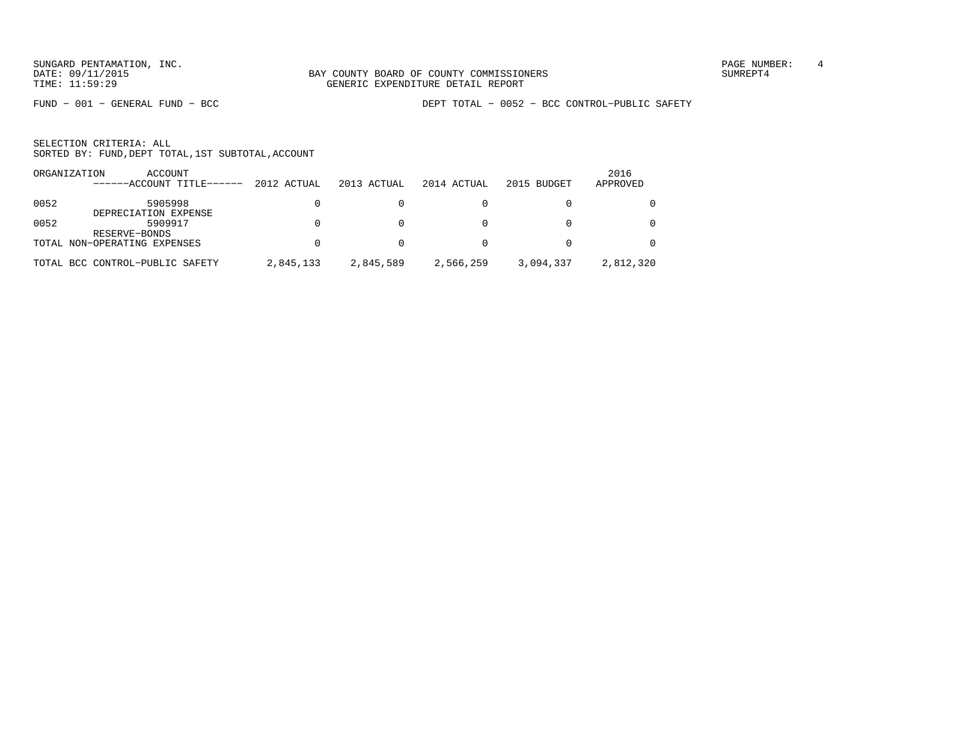SUNGARD PENTAMATION, INC.<br>
BAY COUNTY BOARD OF COUNTY COMMISSIONERS AND SUNREPT4 SUMREPT4

FUND − 001 − GENERAL FUND − BCC DEPT TOTAL − 0052 − BCC CONTROL−PUBLIC SAFETY

| ORGANIZATION | ACCOUNT<br>$---ACCOINT TITLE---$ | 2012 ACTUAL | 2013 ACTUAL | 2014 ACTUAL | 2015 BUDGET | 2016<br>APPROVED |
|--------------|----------------------------------|-------------|-------------|-------------|-------------|------------------|
|              |                                  |             |             |             |             |                  |
| 0052         | 5905998<br>DEPRECIATION EXPENSE  |             |             |             |             | $\Omega$         |
| 0052         | 5909917<br>RESERVE-BONDS         |             |             |             |             | $\Omega$         |
|              | TOTAL NON-OPERATING EXPENSES     |             |             |             |             | 0                |
|              | TOTAL BCC CONTROL-PUBLIC SAFETY  | 2,845,133   | 2,845,589   | 2,566,259   | 3,094,337   | 2,812,320        |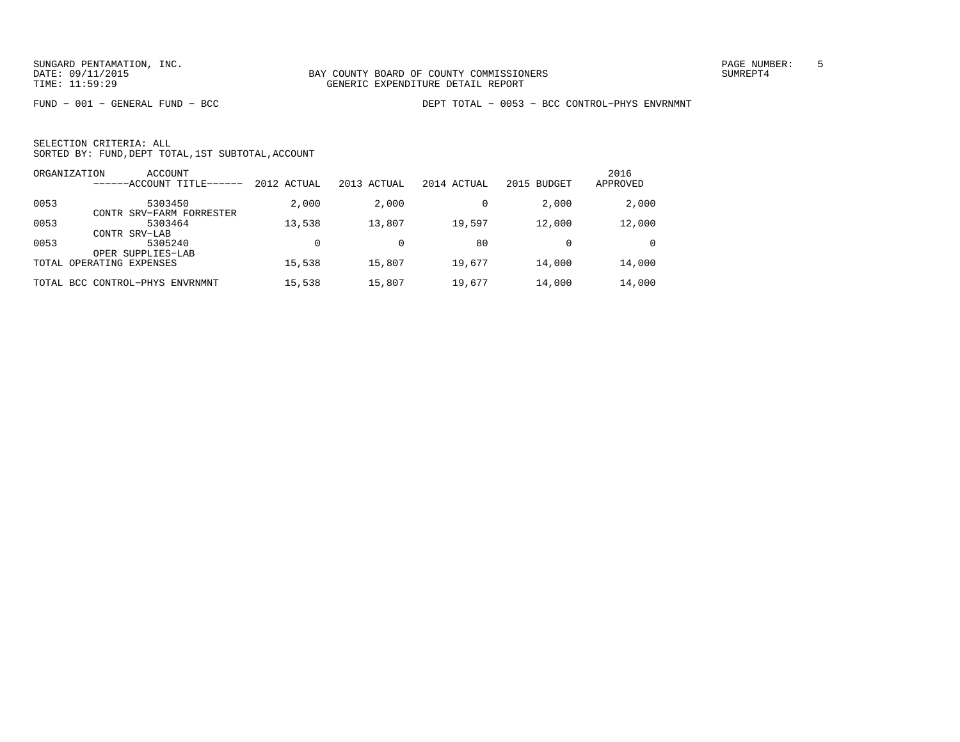FUND − 001 − GENERAL FUND − BCC DEPT TOTAL − 0053 − BCC CONTROL−PHYS ENVRNMNT

| ORGANIZATION | <b>ACCOUNT</b><br>-ACCOUNT TITLE- | 2012 ACTUAL | 2013 ACTUAL | 2014 ACTUAL | 2015 BUDGET | 2016<br>APPROVED |
|--------------|-----------------------------------|-------------|-------------|-------------|-------------|------------------|
| 0053         | 5303450                           | 2,000       | 2,000       |             | 2,000       | 2,000            |
|              | CONTR SRV-FARM FORRESTER          |             |             |             |             |                  |
| 0053         | 5303464                           | 13,538      | 13,807      | 19,597      | 12,000      | 12,000           |
|              | CONTR SRV-LAB                     |             |             |             |             |                  |
| 0053         | 5305240                           |             |             | 80          |             | $\Omega$         |
|              | OPER SUPPLIES-LAB                 |             |             |             |             |                  |
|              | TOTAL OPERATING EXPENSES          | 15,538      | 15,807      | 19,677      | 14,000      | 14,000           |
|              | TOTAL BCC CONTROL-PHYS ENVRNMNT   | 15,538      | 15,807      | 19,677      | 14,000      | 14,000           |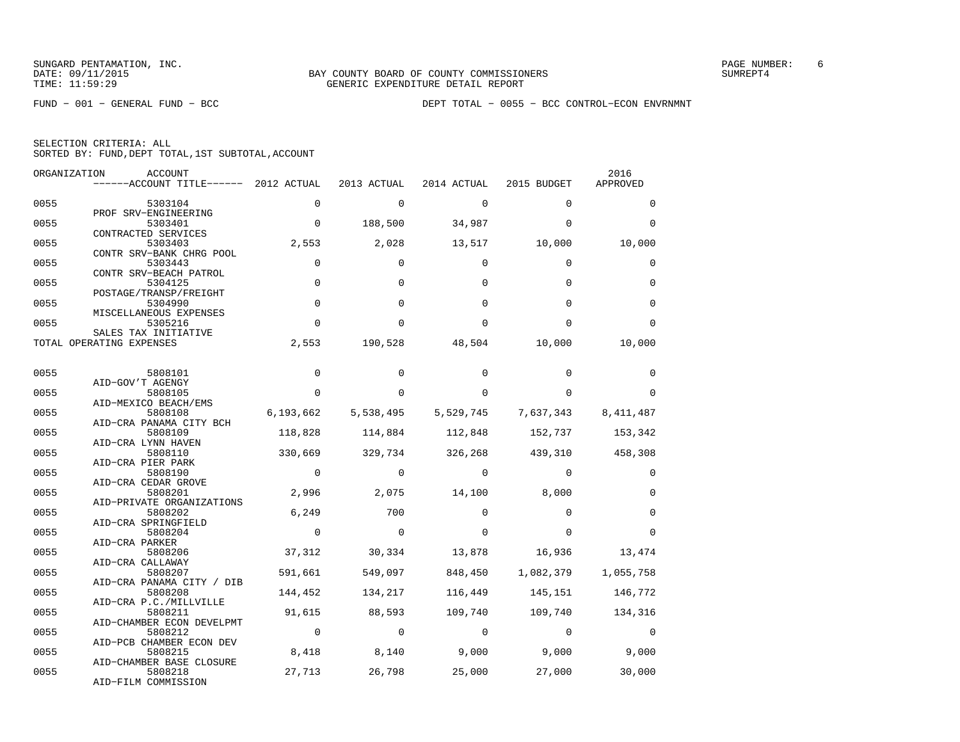FUND − 001 − GENERAL FUND − BCC DEPT TOTAL − 0055 − BCC CONTROL−ECON ENVRNMNT

| ORGANIZATION | <b>ACCOUNT</b>                                              |                |                |                    |                                 | 2016        |
|--------------|-------------------------------------------------------------|----------------|----------------|--------------------|---------------------------------|-------------|
|              | ------ACCOUNT TITLE------ 2012 ACTUAL                       |                | 2013 ACTUAL    | 2014 ACTUAL        | 2015 BUDGET                     | APPROVED    |
| 0055         | 5303104                                                     | $\Omega$       | $\Omega$       | $\mathbf 0$        | $\Omega$                        | $\Omega$    |
| 0055         | PROF SRV-ENGINEERING<br>5303401                             | $\overline{0}$ | 188,500        | 34,987             | $\Omega$                        | $\Omega$    |
| 0055         | CONTRACTED SERVICES<br>5303403                              | 2,553          | 2,028          | 13,517             | 10,000                          | 10,000      |
| 0055         | CONTR SRV-BANK CHRG POOL<br>5303443                         | $\mathbf 0$    | $\Omega$       | $\Omega$           | $\Omega$                        | 0           |
| 0055         | CONTR SRV-BEACH PATROL<br>5304125                           | $\Omega$       | $\Omega$       | $\Omega$           | $\Omega$                        | $\Omega$    |
| 0055         | POSTAGE/TRANSP/FREIGHT<br>5304990<br>MISCELLANEOUS EXPENSES | $\mathbf 0$    | $\Omega$       | $\Omega$           | $\Omega$                        | $\Omega$    |
| 0055         | 5305216<br>SALES TAX INITIATIVE                             | $\Omega$       | $\Omega$       | $\Omega$           | $\Omega$                        | $\Omega$    |
|              | TOTAL OPERATING EXPENSES                                    | 2,553          | 190,528        | 48,504             | 10,000                          | 10,000      |
| 0055         | 5808101                                                     | $\Omega$       | $\Omega$       | $\Omega$           | $\Omega$                        | $\Omega$    |
|              | AID-GOV'T AGENGY                                            | $\Omega$       | $\Omega$       | $\Omega$           | $\Omega$                        | $\Omega$    |
| 0055         | 5808105<br>AID-MEXICO BEACH/EMS                             |                |                |                    |                                 |             |
| 0055         | 5808108<br>AID-CRA PANAMA CITY BCH                          | 6,193,662      | 5,538,495      |                    | 5,529,745 7,637,343 8,411,487   |             |
| 0055         | 5808109                                                     | 118,828        |                |                    | 114,884 112,848 152,737         | 153,342     |
| 0055         | AID-CRA LYNN HAVEN<br>5808110                               | 330,669        |                |                    | 329,734 326,268 439,310 458,308 |             |
| 0055         | AID-CRA PIER PARK<br>5808190                                | $\overline{0}$ | $\Omega$       | $\overline{0}$     | $\Omega$                        | 0           |
| 0055         | AID-CRA CEDAR GROVE<br>5808201                              | 2,996          |                | 2,075 14,100 8,000 |                                 | $\mathbf 0$ |
| 0055         | AID-PRIVATE ORGANIZATIONS<br>5808202<br>AID-CRA SPRINGFIELD | 6,249          | 700            | $\Omega$           | $\Omega$                        | $\mathbf 0$ |
| 0055         | 5808204<br>AID-CRA PARKER                                   | $\mathbf 0$    | $\Omega$       | $\Omega$           | $\Omega$                        | $\Omega$    |
| 0055         | 5808206                                                     | 37,312         |                | 30,334 13,878      | 16,936                          | 13,474      |
| 0055         | AID-CRA CALLAWAY<br>5808207<br>AID-CRA PANAMA CITY / DIB    | 591,661        | 549,097        | 848,450            | 1,082,379                       | 1,055,758   |
| 0055         | 5808208                                                     | 144,452        | 134,217        |                    | 116,449 145,151                 | 146,772     |
| 0055         | AID-CRA P.C./MILLVILLE<br>5808211                           | 91,615         | 88,593         |                    | 109,740 109,740 134,316         |             |
| 0055         | AID-CHAMBER ECON DEVELPMT<br>5808212                        | $\overline{0}$ | $\overline{0}$ | $\mathbf{0}$       | $\overline{0}$                  | $\Omega$    |
| 0055         | AID-PCB CHAMBER ECON DEV<br>5808215                         | 8,418          | 8,140          |                    | $9,000$ 9,000                   | 9,000       |
| 0055         | AID-CHAMBER BASE CLOSURE<br>5808218<br>AID-FILM COMMISSION  | 27,713         | 26,798         | 25,000             | 27,000                          | 30,000      |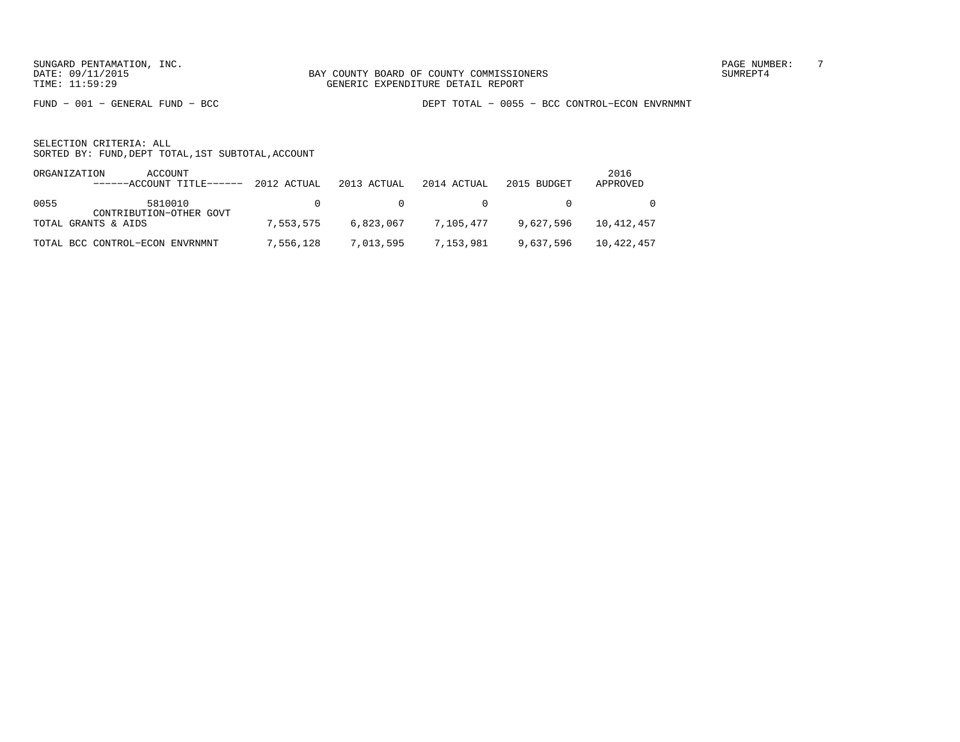FUND − 001 − GENERAL FUND − BCC DEPT TOTAL − 0055 − BCC CONTROL−ECON ENVRNMNT

| ORGANIZATION | ACCOUNT<br>------ACCOUNT TITLE------ 2012 ACTUAL |               | 2013 ACTUAL | 2014 ACTUAL                                    | 2015 BUDGET                                        | 2016<br>APPROVED |
|--------------|--------------------------------------------------|---------------|-------------|------------------------------------------------|----------------------------------------------------|------------------|
| 0055         | 5810010<br>CONTRIBUTION-OTHER GOVT               | $\cap$ $\cap$ |             | $\begin{array}{ccc}\n0 & & & & 0\n\end{array}$ | $\sim$ 0 $\sim$                                    | $\overline{0}$   |
|              | TOTAL GRANTS & AIDS                              | 7,553,575     |             | 6,823,067 7,105,477                            | 9,627,596                                          | 10,412,457       |
|              | TOTAL BCC CONTROL-ECON ENVRNMNT                  |               |             |                                                | 7,556,128 7,013,595 7,153,981 9,637,596 10,422,457 |                  |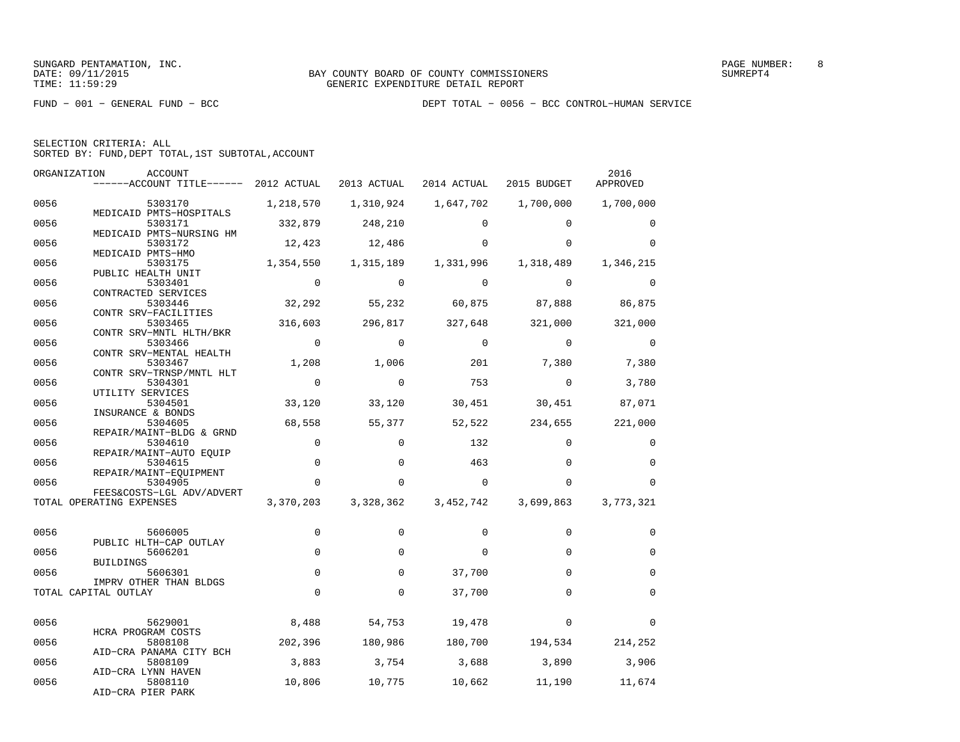| SELECTION CRITERIA: ALL |  |                                                    |  |
|-------------------------|--|----------------------------------------------------|--|
|                         |  | SORTED BY: FUND, DEPT TOTAL, 1ST SUBTOTAL, ACCOUNT |  |

| ORGANIZATION | <b>ACCOUNT</b><br>------ACCOUNT TITLE------ 2012 ACTUAL |                |             | 2013 ACTUAL 2014 ACTUAL 2015 BUDGET |                                   | 2016<br>APPROVED |
|--------------|---------------------------------------------------------|----------------|-------------|-------------------------------------|-----------------------------------|------------------|
| 0056         | 5303170<br>MEDICAID PMTS-HOSPITALS                      | 1,218,570      |             |                                     | 1,310,924   1,647,702   1,700,000 | 1,700,000        |
| 0056         | 5303171<br>MEDICAID PMTS-NURSING HM                     | 332,879        | 248,210     | $\Omega$                            | $\Omega$                          | 0                |
| 0056         | 5303172<br>MEDICAID PMTS-HMO                            | 12,423         | 12,486      | $\Omega$                            | $\Omega$                          | $\Omega$         |
| 0056         | 5303175<br>PUBLIC HEALTH UNIT                           | 1,354,550      | 1,315,189   | 1,331,996                           | 1,318,489                         | 1,346,215        |
| 0056         | 5303401<br>CONTRACTED SERVICES                          | $\Omega$       | $\mathbf 0$ | $\Omega$                            | $\mathbf 0$                       | 0                |
| 0056         | 5303446<br>CONTR SRV-FACILITIES                         | 32,292         | 55,232      | 60,875                              | 87,888 86,875                     |                  |
| 0056         | 5303465<br>CONTR SRV-MNTL HLTH/BKR                      | 316,603        | 296,817     | 327,648                             | 321,000                           | 321,000          |
| 0056         | 5303466<br>CONTR SRV-MENTAL HEALTH                      | $\overline{0}$ | $\mathbf 0$ | $\mathbf 0$                         | $\mathbf 0$                       | $\overline{0}$   |
| 0056         | 5303467<br>CONTR SRV-TRNSP/MNTL HLT                     | 1,208          | 1,006       | 201                                 | 7,380                             | 7,380            |
| 0056         | 5304301<br>UTILITY SERVICES                             | $\mathbf{0}$   | $\Omega$    | 753                                 | $\mathbf{0}$                      | 3,780            |
| 0056         | 5304501<br>INSURANCE & BONDS                            | 33,120         | 33,120      | 30,451                              | 30,451                            | 87,071           |
| 0056         | 5304605<br>REPAIR/MAINT-BLDG & GRND                     | 68,558         | 55,377      | 52,522                              | 234,655                           | 221,000          |
| 0056         | 5304610<br>REPAIR/MAINT-AUTO EQUIP                      | $\mathbf 0$    | $\Omega$    | 132                                 | $\Omega$                          | 0                |
| 0056         | 5304615<br>REPAIR/MAINT-EQUIPMENT                       | $\mathsf 0$    | $\mathbf 0$ | 463                                 | $\Omega$                          | $\mathbf 0$      |
| 0056         | 5304905<br>FEES&COSTS-LGL ADV/ADVERT                    | $\Omega$       | $\Omega$    | $\Omega$                            | $\Omega$                          | $\Omega$         |
|              | TOTAL OPERATING EXPENSES                                | 3,370,203      | 3,328,362   | 3,452,742                           | 3,699,863                         | 3,773,321        |
| 0056         | 5606005                                                 | 0              | 0           | $\Omega$                            | $\Omega$                          | 0                |
| 0056         | PUBLIC HLTH-CAP OUTLAY<br>5606201<br>BUILDINGS          | $\mathbf 0$    | $\Omega$    | $\Omega$                            | $\Omega$                          | $\Omega$         |
| 0056         | 5606301<br>IMPRV OTHER THAN BLDGS                       | 0              | $\mathbf 0$ | 37,700                              | $\Omega$                          | $\mathbf 0$      |
|              | TOTAL CAPITAL OUTLAY                                    | $\Omega$       | $\Omega$    | 37,700                              | $\Omega$                          | $\mathbf 0$      |
| 0056         | 5629001<br>HCRA PROGRAM COSTS                           | 8,488          | 54,753      | 19,478                              | $\Omega$                          | $\Omega$         |
| 0056         | 5808108<br>AID-CRA PANAMA CITY BCH                      | 202,396        | 180,986     |                                     | 180,700 194,534 214,252           |                  |
| 0056         | 5808109<br>AID-CRA LYNN HAVEN                           | 3,883          | 3,754       | 3,688                               | 3,890                             | 3,906            |
| 0056         | 5808110<br>AID-CRA PIER PARK                            | 10,806         | 10,775      | 10,662                              | 11,190                            | 11,674           |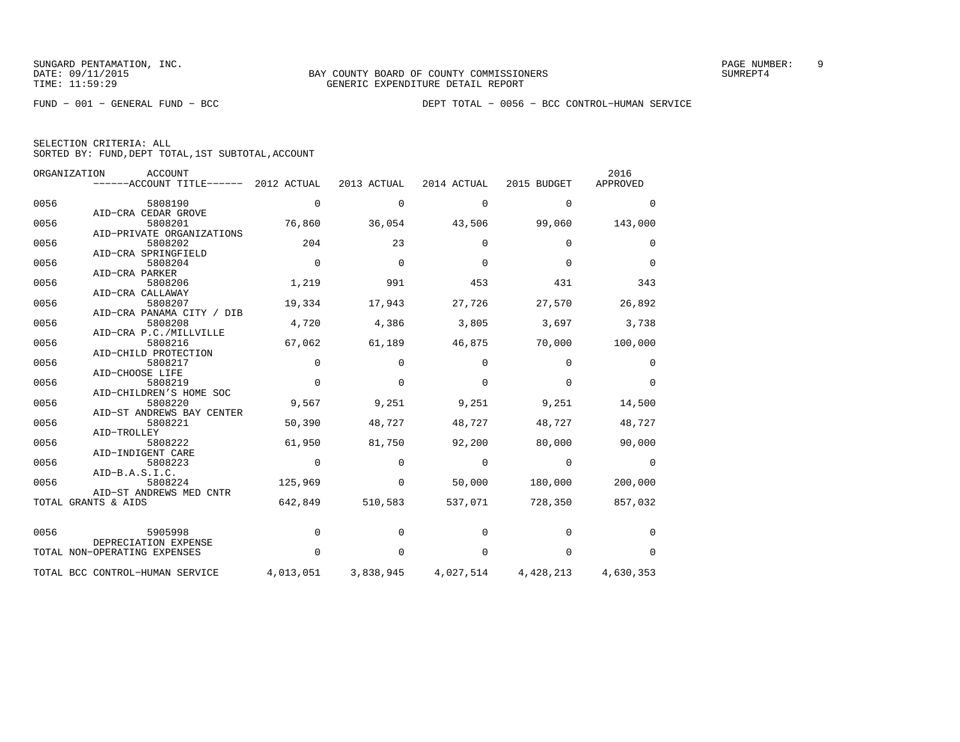FUND − 001 − GENERAL FUND − BCC DEPT TOTAL − 0056 − BCC CONTROL−HUMAN SERVICE

| SELECTION CRITERIA: ALL |                                                    |
|-------------------------|----------------------------------------------------|
|                         | SORTED BY: FUND, DEPT TOTAL, 1ST SUBTOTAL, ACCOUNT |

|      | ORGANIZATION<br>ACCOUNT         |             |             |             |             | 2016      |
|------|---------------------------------|-------------|-------------|-------------|-------------|-----------|
|      | ------ACCOUNT TITLE------       | 2012 ACTUAL | 2013 ACTUAL | 2014 ACTUAL | 2015 BUDGET | APPROVED  |
| 0056 | 5808190                         | $\mathbf 0$ | 0           | $\mathbf 0$ | 0           | $\Omega$  |
|      | AID-CRA CEDAR GROVE             |             |             |             |             |           |
| 0056 | 5808201                         | 76,860      | 36,054      | 43,506      | 99,060      | 143,000   |
|      | AID-PRIVATE ORGANIZATIONS       |             |             |             |             |           |
| 0056 | 5808202                         | 204         | 23          | $\Omega$    | $\Omega$    | $\Omega$  |
|      | AID-CRA SPRINGFIELD             |             |             |             |             |           |
| 0056 | 5808204                         | $\Omega$    | $\Omega$    | $\Omega$    | $\Omega$    | $\Omega$  |
|      | AID-CRA PARKER                  |             |             |             |             |           |
| 0056 | 5808206                         | 1,219       | 991         | 453         | 431         | 343       |
|      | AID-CRA CALLAWAY                |             |             |             |             |           |
| 0056 | 5808207                         | 19,334      | 17,943      | 27,726      | 27,570      | 26,892    |
|      | AID-CRA PANAMA CITY / DIB       |             |             |             |             |           |
| 0056 | 5808208                         | 4,720       | 4,386       | 3,805       | 3,697       | 3,738     |
|      | AID-CRA P.C./MILLVILLE          |             |             |             |             |           |
| 0056 | 5808216                         | 67,062      | 61,189      | 46,875      | 70,000      | 100,000   |
|      | AID-CHILD PROTECTION            |             |             |             |             |           |
| 0056 | 5808217                         | $\Omega$    | $\Omega$    | $\Omega$    | $\Omega$    | $\Omega$  |
|      | AID-CHOOSE LIFE                 |             |             |             |             |           |
| 0056 | 5808219                         | $\Omega$    | $\Omega$    | $\Omega$    | $\Omega$    | $\Omega$  |
|      | AID-CHILDREN'S HOME SOC         |             |             |             |             |           |
| 0056 | 5808220                         | 9,567       | 9,251       | 9,251       | 9,251       | 14,500    |
|      | AID-ST ANDREWS BAY CENTER       |             |             |             |             |           |
| 0056 | 5808221                         | 50,390      | 48,727      | 48,727      | 48,727      | 48,727    |
|      | AID-TROLLEY                     |             |             |             |             |           |
| 0056 | 5808222                         | 61,950      | 81,750      | 92,200      | 80,000      | 90,000    |
|      | AID-INDIGENT CARE               |             |             |             |             |           |
| 0056 | 5808223                         | $\mathbf 0$ | $\mathbf 0$ | $\mathbf 0$ | $\mathbf 0$ | 0         |
|      | AID-B.A.S.I.C.                  |             |             |             |             |           |
| 0056 | 5808224                         | 125,969     | $\mathbf 0$ | 50,000      | 180,000     | 200,000   |
|      | AID-ST ANDREWS MED CNTR         |             |             |             |             |           |
|      | TOTAL GRANTS & AIDS             | 642,849     | 510,583     | 537,071     | 728,350     | 857,032   |
| 0056 | 5905998                         | $\mathbf 0$ | $\Omega$    | $\Omega$    | $\Omega$    | $\Omega$  |
|      | DEPRECIATION EXPENSE            |             |             |             |             |           |
|      | TOTAL NON-OPERATING EXPENSES    | $\Omega$    | $\Omega$    | $\Omega$    | $\Omega$    | $\Omega$  |
|      | TOTAL BCC CONTROL-HUMAN SERVICE | 4,013,051   | 3,838,945   | 4,027,514   | 4,428,213   | 4,630,353 |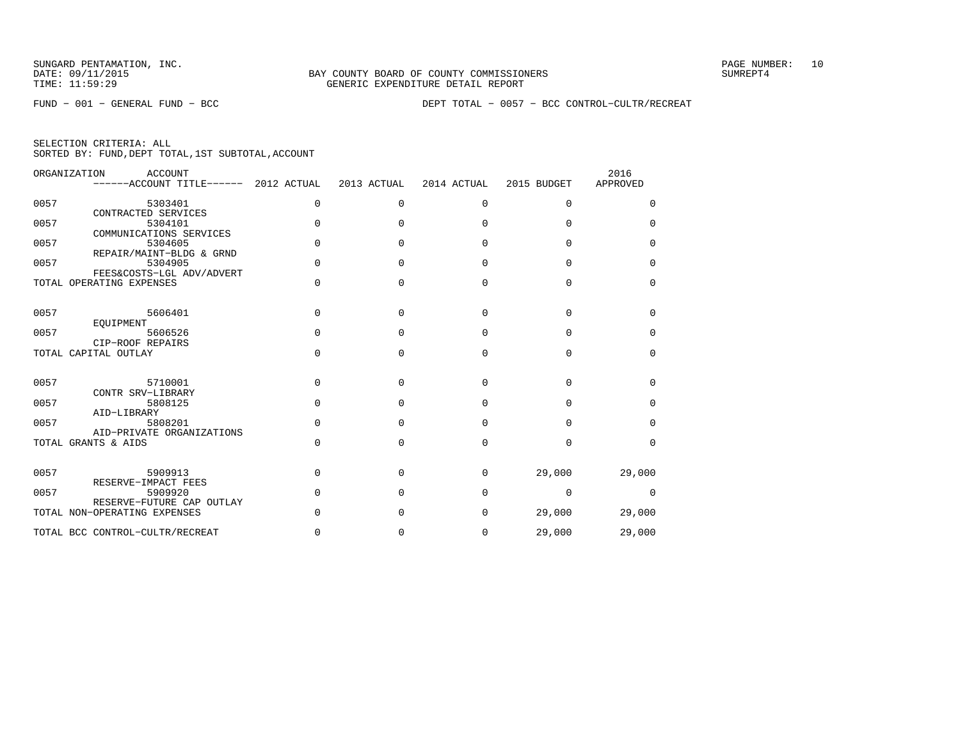FUND − 001 − GENERAL FUND − BCC DEPT TOTAL − 0057 − BCC CONTROL−CULTR/RECREAT

|  | SELECTION CRITERIA: ALL |  |                                                    |  |
|--|-------------------------|--|----------------------------------------------------|--|
|  |                         |  | SORTED BY: FUND, DEPT TOTAL, 1ST SUBTOTAL, ACCOUNT |  |

|      | ORGANIZATION<br>ACCOUNT<br>------ACCOUNT TITLE------      | 2012 ACTUAL | 2013 ACTUAL | 2014 ACTUAL | 2015 BUDGET | 2016<br>APPROVED |
|------|-----------------------------------------------------------|-------------|-------------|-------------|-------------|------------------|
| 0057 | 5303401<br>CONTRACTED SERVICES                            | 0           | 0           | 0           | 0           | $\Omega$         |
| 0057 | 5304101<br>COMMUNICATIONS SERVICES                        | $\Omega$    | U           | $\Omega$    | $\Omega$    | <sup>0</sup>     |
| 0057 | 5304605<br>REPAIR/MAINT-BLDG & GRND                       | $\Omega$    | $\cap$      | $\Omega$    | $\Omega$    | 0                |
| 0057 | 5304905<br>FEES&COSTS-LGL ADV/ADVERT                      | $\Omega$    | U           | $\Omega$    | $\Omega$    | $\Omega$         |
|      | TOTAL OPERATING EXPENSES                                  | $\Omega$    | $\Omega$    | $\Omega$    | $\Omega$    | 0                |
| 0057 | 5606401                                                   | $\Omega$    | $\Omega$    | $\Omega$    | $\Omega$    | $\Omega$         |
| 0057 | EOUIPMENT<br>5606526<br>CIP-ROOF REPAIRS                  | $\Omega$    | $\cap$      | $\Omega$    | $\Omega$    | $\Omega$         |
|      | TOTAL CAPITAL OUTLAY                                      | $\Omega$    | $\Omega$    | $\Omega$    | $\Omega$    | 0                |
| 0057 | 5710001<br>CONTR SRV-LIBRARY                              | $\Omega$    | $\Omega$    | $\Omega$    | $\Omega$    | $\Omega$         |
| 0057 | 5808125<br>AID-LIBRARY                                    | $\Omega$    | n           | $\Omega$    | $\Omega$    | $\Omega$         |
| 0057 | 5808201<br>AID-PRIVATE ORGANIZATIONS                      | $\Omega$    | $\Omega$    | $\Omega$    | $\Omega$    | $\Omega$         |
|      | TOTAL GRANTS & AIDS                                       | $\Omega$    | $\Omega$    | $\Omega$    | $\Omega$    | $\Omega$         |
| 0057 | 5909913<br>RESERVE-IMPACT FEES                            | $\Omega$    | U           | $\Omega$    | 29,000      | 29,000           |
| 0057 | 5909920                                                   | $\Omega$    | n           | $\Omega$    | $\Omega$    | $\Omega$         |
|      | RESERVE-FUTURE CAP OUTLAY<br>TOTAL NON-OPERATING EXPENSES | $\Omega$    | $\Omega$    | $\Omega$    | 29,000      | 29,000           |
|      | TOTAL BCC CONTROL-CULTR/RECREAT                           | $\Omega$    | 0           | 0           | 29,000      | 29,000           |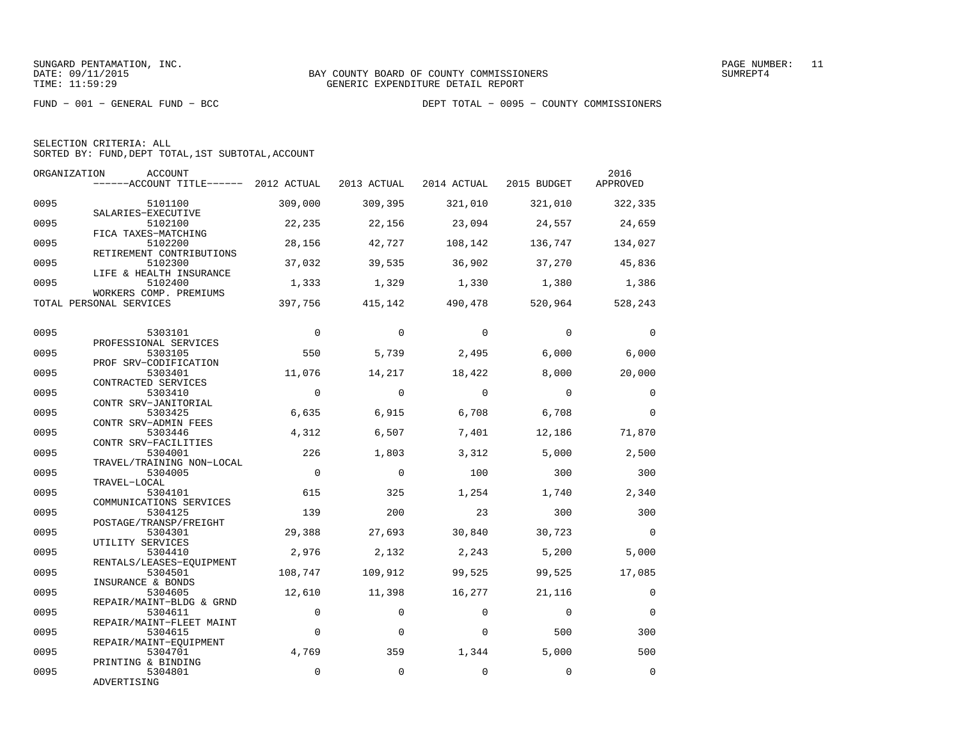| SELECTION CRITERIA: ALL |  |                                                    |  |
|-------------------------|--|----------------------------------------------------|--|
|                         |  | SORTED BY: FUND, DEPT TOTAL, 1ST SUBTOTAL, ACCOUNT |  |

|      | ORGANIZATION<br>ACCOUNT<br>------ACCOUNT TITLE------ 2012 ACTUAL |              | 2013 ACTUAL | 2014 ACTUAL | 2015 BUDGET | 2016<br>APPROVED |
|------|------------------------------------------------------------------|--------------|-------------|-------------|-------------|------------------|
| 0095 | 5101100<br>SALARIES-EXECUTIVE                                    | 309,000      | 309,395     | 321,010     | 321,010     | 322,335          |
| 0095 | 5102100<br>FICA TAXES-MATCHING                                   | 22,235       | 22,156      | 23,094      | 24,557      | 24,659           |
| 0095 | 5102200<br>RETIREMENT CONTRIBUTIONS                              | 28,156       | 42,727      | 108,142     | 136,747     | 134,027          |
| 0095 | 5102300<br>LIFE & HEALTH INSURANCE                               | 37,032       | 39,535      | 36,902      | 37,270      | 45,836           |
| 0095 | 5102400<br>WORKERS COMP. PREMIUMS                                | 1,333        | 1,329       | 1,330       | 1,380       | 1,386            |
|      | TOTAL PERSONAL SERVICES                                          | 397,756      | 415,142     | 490,478     | 520,964     | 528,243          |
| 0095 | 5303101<br>PROFESSIONAL SERVICES                                 | $\mathbf{0}$ | $\Omega$    | $\Omega$    | $\Omega$    | $\mathbf{0}$     |
| 0095 | 5303105<br>PROF SRV-CODIFICATION                                 | 550          | 5,739       | 2,495       | 6,000       | 6,000            |
| 0095 | 5303401<br>CONTRACTED SERVICES                                   | 11,076       | 14,217      | 18,422      | 8,000       | 20,000           |
| 0095 | 5303410<br>CONTR SRV-JANITORIAL                                  | $\Omega$     | $\Omega$    | $\Omega$    | $\Omega$    | $\Omega$         |
| 0095 | 5303425<br>CONTR SRV-ADMIN FEES                                  | 6,635        | 6,915       | 6,708       | 6,708       | $\Omega$         |
| 0095 | 5303446<br>CONTR SRV-FACILITIES                                  | 4,312        | 6,507       | 7,401       | 12,186      | 71,870           |
| 0095 | 5304001<br>TRAVEL/TRAINING NON-LOCAL                             | 226          | 1,803       | 3,312       | 5,000       | 2,500            |
| 0095 | 5304005<br>TRAVEL-LOCAL                                          | $\mathbf 0$  | $\Omega$    | 100         | 300         | 300              |
| 0095 | 5304101<br>COMMUNICATIONS SERVICES                               | 615          | 325         | 1,254       | 1,740       | 2,340            |
| 0095 | 5304125<br>POSTAGE/TRANSP/FREIGHT                                | 139          | 200         | 23          | 300         | 300              |
| 0095 | 5304301<br>UTILITY SERVICES                                      | 29,388       | 27,693      | 30,840      | 30,723      | $\Omega$         |
| 0095 | 5304410<br>RENTALS/LEASES-EOUIPMENT                              | 2,976        | 2,132       | 2,243       | 5,200       | 5,000            |
| 0095 | 5304501<br>INSURANCE & BONDS                                     | 108,747      | 109,912     | 99,525      | 99,525      | 17,085           |
| 0095 | 5304605<br>REPAIR/MAINT-BLDG & GRND                              | 12,610       | 11,398      | 16,277      | 21,116      | $\Omega$         |
| 0095 | 5304611<br>REPAIR/MAINT-FLEET MAINT                              | $\Omega$     | $\Omega$    | $\Omega$    | $\Omega$    | $\Omega$         |
| 0095 | 5304615<br>REPAIR/MAINT-EOUIPMENT                                | $\mathbf 0$  | $\Omega$    | $\Omega$    | 500         | 300              |
| 0095 | 5304701<br>PRINTING & BINDING                                    | 4,769        | 359         | 1,344       | 5,000       | 500              |
| 0095 | 5304801<br>ADVERTISING                                           | $\mathbf 0$  | $\Omega$    | $\Omega$    | $\Omega$    | $\Omega$         |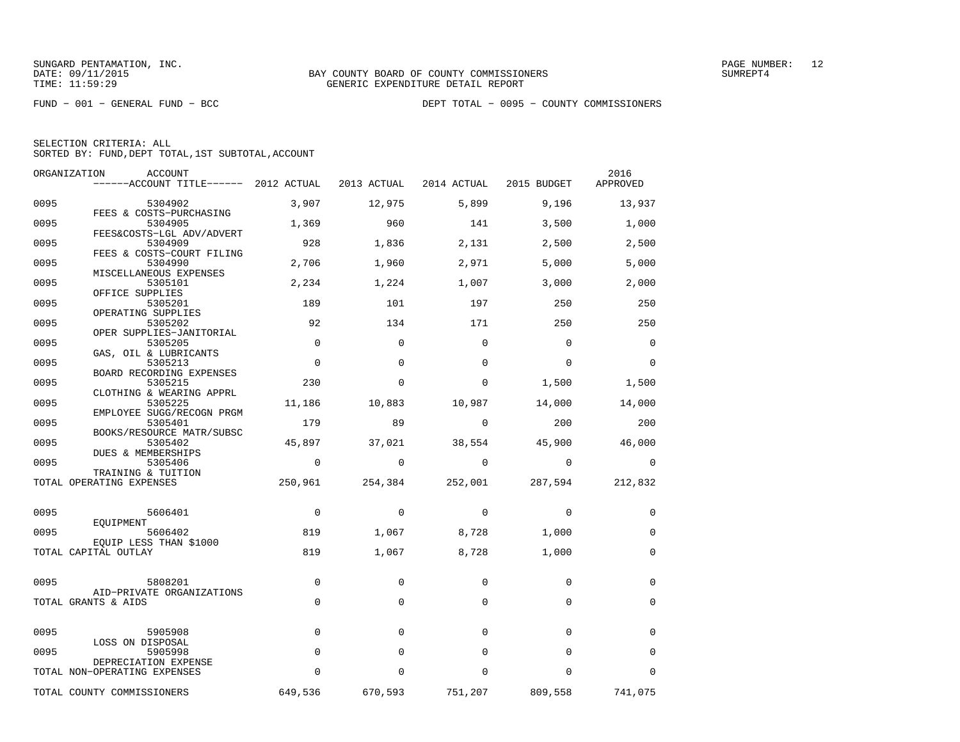|  | SELECTION CRITERIA: ALL |                                                    |  |
|--|-------------------------|----------------------------------------------------|--|
|  |                         | SORTED BY: FUND, DEPT TOTAL, 1ST SUBTOTAL, ACCOUNT |  |

|      | ORGANIZATION<br>ACCOUNT<br>------ACCOUNT TITLE------ 2012 ACTUAL |             | 2013 ACTUAL | 2014 ACTUAL | 2015 BUDGET | 2016<br>APPROVED |
|------|------------------------------------------------------------------|-------------|-------------|-------------|-------------|------------------|
| 0095 | 5304902                                                          | 3,907       | 12,975      | 5,899       | 9,196       | 13,937           |
| 0095 | FEES & COSTS-PURCHASING<br>5304905                               | 1,369       | 960         | 141         | 3,500       | 1,000            |
| 0095 | FEES&COSTS-LGL ADV/ADVERT<br>5304909                             | 928         | 1,836       | 2,131       | 2,500       | 2,500            |
| 0095 | FEES & COSTS-COURT FILING<br>5304990                             | 2,706       | 1,960       | 2,971       | 5,000       | 5,000            |
| 0095 | MISCELLANEOUS EXPENSES<br>5305101                                | 2,234       | 1,224       | 1,007       | 3,000       | 2,000            |
| 0095 | OFFICE SUPPLIES<br>5305201<br>OPERATING SUPPLIES                 | 189         | 101         | 197         | 250         | 250              |
| 0095 | 5305202<br>OPER SUPPLIES-JANITORIAL                              | 92          | 134         | 171         | 250         | 250              |
| 0095 | 5305205<br>GAS, OIL & LUBRICANTS                                 | $\Omega$    | $\Omega$    | $\mathbf 0$ | $\mathbf 0$ | $\mathbf 0$      |
| 0095 | 5305213<br>BOARD RECORDING EXPENSES                              | $\mathbf 0$ | $\Omega$    | $\mathbf 0$ | $\mathbf 0$ | 0                |
| 0095 | 5305215<br>CLOTHING & WEARING APPRL                              | 230         | 0           | 0           | 1,500       | 1,500            |
| 0095 | 5305225<br>EMPLOYEE SUGG/RECOGN PRGM                             | 11,186      | 10,883      | 10,987      | 14,000      | 14,000           |
| 0095 | 5305401<br>BOOKS/RESOURCE MATR/SUBSC                             | 179         | 89          | $\mathbf 0$ | 200         | 200              |
| 0095 | 5305402<br>DUES & MEMBERSHIPS                                    | 45,897      | 37,021      | 38,554      | 45,900      | 46,000           |
| 0095 | 5305406<br>TRAINING & TUITION                                    | $\mathbf 0$ | $\Omega$    | $\Omega$    | $\Omega$    | $\Omega$         |
|      | TOTAL OPERATING EXPENSES                                         | 250,961     | 254,384     | 252,001     | 287,594     | 212,832          |
| 0095 | 5606401                                                          | $\mathbf 0$ | 0           | 0           | 0           | 0                |
| 0095 | EQUIPMENT<br>5606402                                             | 819         | 1,067       | 8,728       | 1,000       | 0                |
|      | EQUIP LESS THAN \$1000<br>TOTAL CAPITAL OUTLAY                   | 819         | 1,067       | 8,728       | 1,000       | $\mathbf 0$      |
| 0095 | 5808201                                                          | $\mathbf 0$ | $\Omega$    | $\mathbf 0$ | $\mathbf 0$ | $\mathbf 0$      |
|      | AID-PRIVATE ORGANIZATIONS<br>TOTAL GRANTS & AIDS                 | $\mathbf 0$ | $\mathbf 0$ | $\mathbf 0$ | $\mathbf 0$ | 0                |
| 0095 | 5905908                                                          | $\Omega$    | $\Omega$    | $\Omega$    | $\Omega$    | 0                |
| 0095 | LOSS ON DISPOSAL<br>5905998                                      | $\Omega$    | $\Omega$    | $\Omega$    | $\Omega$    | $\Omega$         |
|      | DEPRECIATION EXPENSE<br>TOTAL NON-OPERATING EXPENSES             | $\Omega$    | $\Omega$    | $\Omega$    | $\Omega$    | $\Omega$         |
|      | TOTAL COUNTY COMMISSIONERS                                       | 649,536     | 670,593     | 751,207     | 809,558     | 741,075          |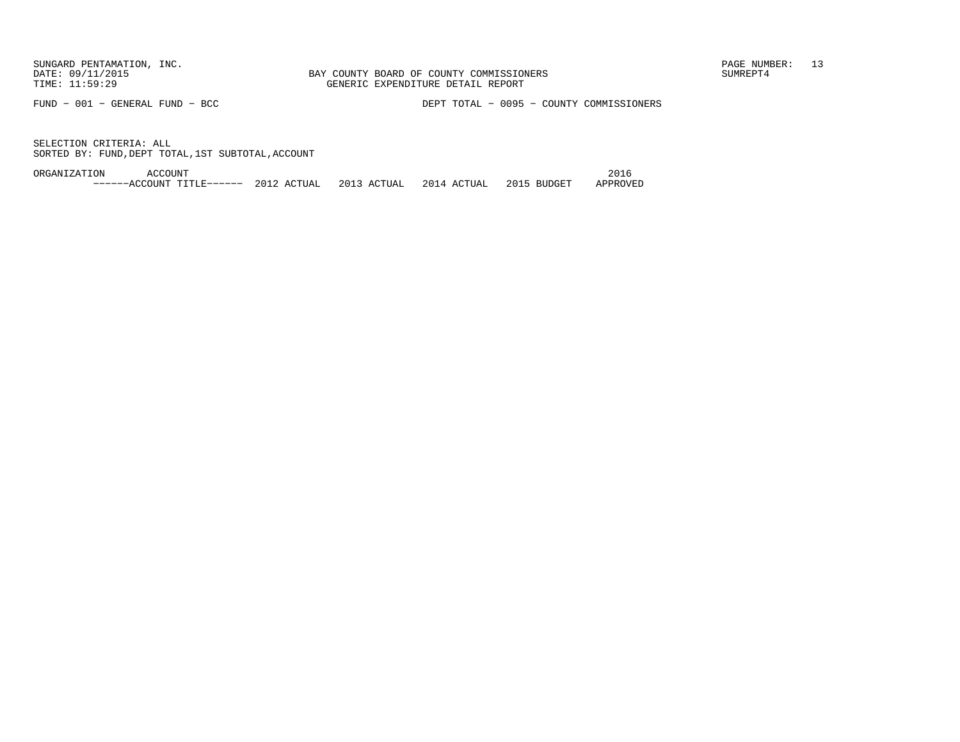FUND − 001 − GENERAL FUND − BCC DEPT TOTAL − 0095 − COUNTY COMMISSIONERS

SELECTION CRITERIA: ALLSORTED BY: FUND,DEPT TOTAL,1ST SUBTOTAL,ACCOUNT

ORGANIZATION ACCOUNT 2016−−−−−−ACCOUNT TITLE−−−−−− 2012 ACTUAL 2013 ACTUAL 2014 ACTUAL 2015 BUDGET APPROVED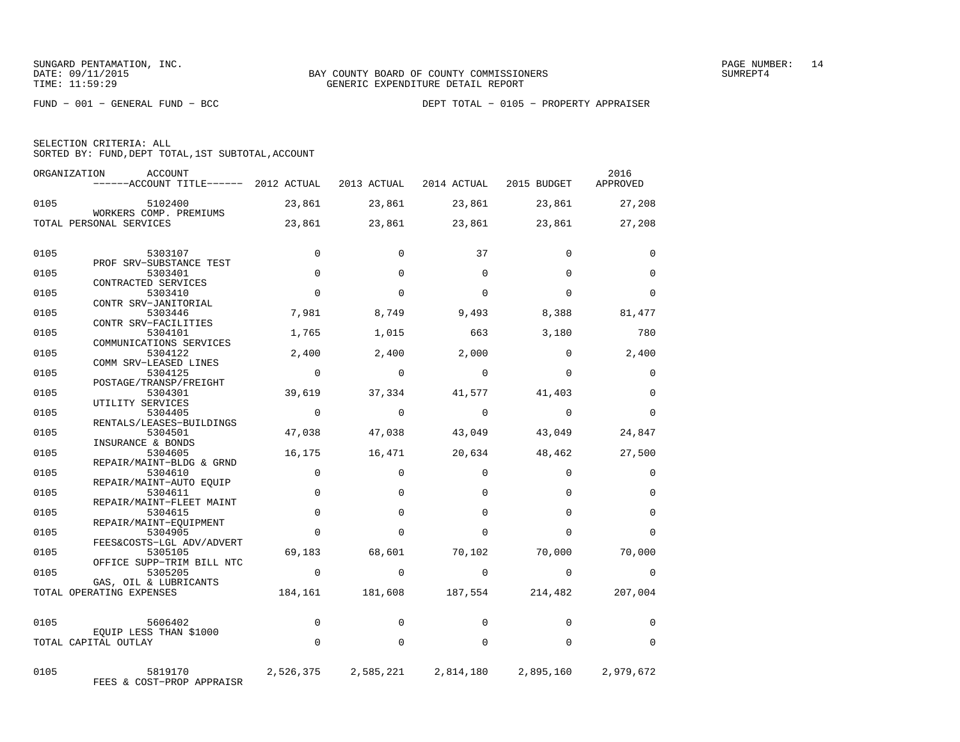|  | SELECTION CRITERIA: ALL                            |  |  |
|--|----------------------------------------------------|--|--|
|  | SORTED BY: FUND, DEPT TOTAL, 1ST SUBTOTAL, ACCOUNT |  |  |

| ORGANIZATION | <b>ACCOUNT</b><br>$----ACCOUNT$ TITLE $----$ 2012 ACTUAL |             | 2013 ACTUAL         | 2014 ACTUAL | 2015 BUDGET | 2016<br>APPROVED |
|--------------|----------------------------------------------------------|-------------|---------------------|-------------|-------------|------------------|
| 0105         | 5102400<br>WORKERS COMP. PREMIUMS                        | 23,861      | 23,861              | 23,861      | 23,861      | 27,208           |
|              | TOTAL PERSONAL SERVICES                                  | 23,861      | 23,861              | 23,861      | 23,861      | 27,208           |
| 0105         | 5303107                                                  | 0           | $\Omega$            | 37          | $\mathbf 0$ | 0                |
|              | PROF SRV-SUBSTANCE TEST                                  |             |                     |             |             |                  |
| 0105         | 5303401                                                  | $\Omega$    | $\Omega$            | $\Omega$    | $\Omega$    | $\Omega$         |
|              | CONTRACTED SERVICES                                      | $\Omega$    | $\Omega$            | $\Omega$    | $\Omega$    | $\Omega$         |
| 0105         | 5303410<br>CONTR SRV-JANITORIAL                          |             |                     |             |             |                  |
| 0105         | 5303446                                                  | 7,981       | 8,749               | 9,493       | 8,388       | 81,477           |
|              | CONTR SRV-FACILITIES                                     |             |                     |             |             |                  |
| 0105         | 5304101                                                  | 1,765       | 1,015               | 663         | 3,180       | 780              |
| 0105         | COMMUNICATIONS SERVICES<br>5304122                       | 2,400       | 2,400               | 2,000       | $\Omega$    | 2,400            |
|              | COMM SRV-LEASED LINES                                    |             |                     |             |             |                  |
| 0105         | 5304125                                                  | $\Omega$    | $\Omega$            | $\Omega$    | $\Omega$    | $\Omega$         |
|              | POSTAGE/TRANSP/FREIGHT                                   |             |                     |             |             |                  |
| 0105         | 5304301<br>UTILITY SERVICES                              | 39,619      | 37,334              | 41,577      | 41,403      | $\Omega$         |
| 0105         | 5304405                                                  | $\Omega$    | $\Omega$            | $\Omega$    | $\Omega$    | $\Omega$         |
|              | RENTALS/LEASES-BUILDINGS                                 |             |                     |             |             |                  |
| 0105         | 5304501                                                  | 47,038      | 47,038              | 43,049      | 43,049      | 24,847           |
|              | INSURANCE & BONDS                                        |             |                     |             |             |                  |
| 0105         | 5304605<br>REPAIR/MAINT-BLDG & GRND                      | 16,175      | 16,471              | 20,634      | 48,462      | 27,500           |
| 0105         | 5304610                                                  | $\mathbf 0$ | $\Omega$            | $\Omega$    | $\mathbf 0$ | $\mathbf 0$      |
|              | REPAIR/MAINT-AUTO EOUIP                                  |             |                     |             |             |                  |
| 0105         | 5304611                                                  | $\mathbf 0$ | $\Omega$            | $\Omega$    | $\Omega$    | $\mathbf 0$      |
| 0105         | REPAIR/MAINT-FLEET MAINT<br>5304615                      | $\Omega$    | $\Omega$            | $\Omega$    | $\Omega$    | $\Omega$         |
|              | REPAIR/MAINT-EOUIPMENT                                   |             |                     |             |             |                  |
| 0105         | 5304905                                                  | 0           | $\Omega$            | $\Omega$    | $\Omega$    | $\Omega$         |
|              | FEES&COSTS-LGL ADV/ADVERT                                |             |                     |             |             |                  |
| 0105         | 5305105                                                  | 69,183      | 68,601              | 70,102      | 70,000      | 70,000           |
| 0105         | OFFICE SUPP-TRIM BILL NTC<br>5305205                     | $\mathbf 0$ | $\Omega$            | $\Omega$    | $\Omega$    | 0                |
|              | GAS, OIL & LUBRICANTS                                    |             |                     |             |             |                  |
|              | TOTAL OPERATING EXPENSES                                 | 184,161     | 181,608             | 187,554     | 214,482     | 207,004          |
| 0105         | 5606402                                                  | $\mathbf 0$ | $\Omega$            | $\Omega$    | $\Omega$    | 0                |
|              | EOUIP LESS THAN \$1000                                   |             |                     |             |             |                  |
|              | TOTAL CAPITAL OUTLAY                                     | $\Omega$    | $\Omega$            | $\Omega$    | $\Omega$    | $\Omega$         |
| 0105         | 5819170<br>FEES & COST-PROP APPRAISR                     |             | 2,526,375 2,585,221 | 2,814,180   | 2,895,160   | 2,979,672        |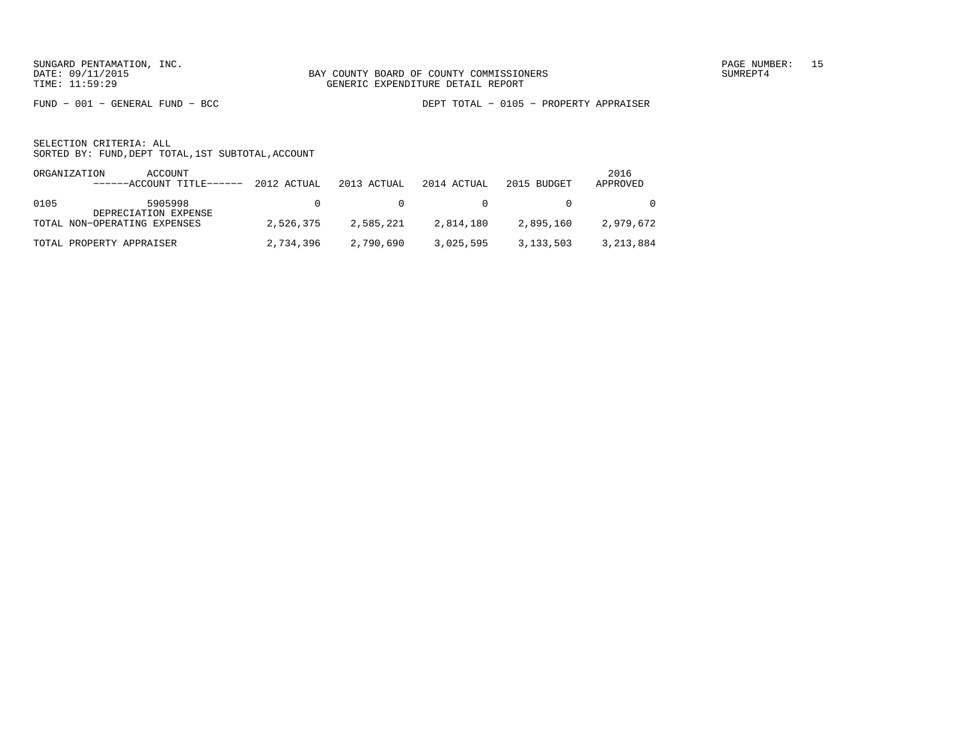FUND − 001 − GENERAL FUND − BCC DEPT TOTAL − 0105 − PROPERTY APPRAISER

| ORGANIZATION | ACCOUNT<br>$----ACCOUNT$ TITLE $---2012$ ACTUAL 2013 ACTUAL |           |           | 2014 ACTUAL           | 2015 BUDGET    | 2016<br>APPROVED |
|--------------|-------------------------------------------------------------|-----------|-----------|-----------------------|----------------|------------------|
| 0105         | 5905998<br>DEPRECIATION EXPENSE                             |           |           | $\Omega$ and $\Omega$ | $\overline{0}$ | $\Omega$         |
|              | TOTAL NON-OPERATING EXPENSES                                | 2,526,375 | 2,585,221 | 2,814,180             | 2,895,160      | 2,979,672        |
|              | TOTAL PROPERTY APPRAISER                                    | 2,734,396 | 2,790,690 | 3,025,595             | 3,133,503      | 3,213,884        |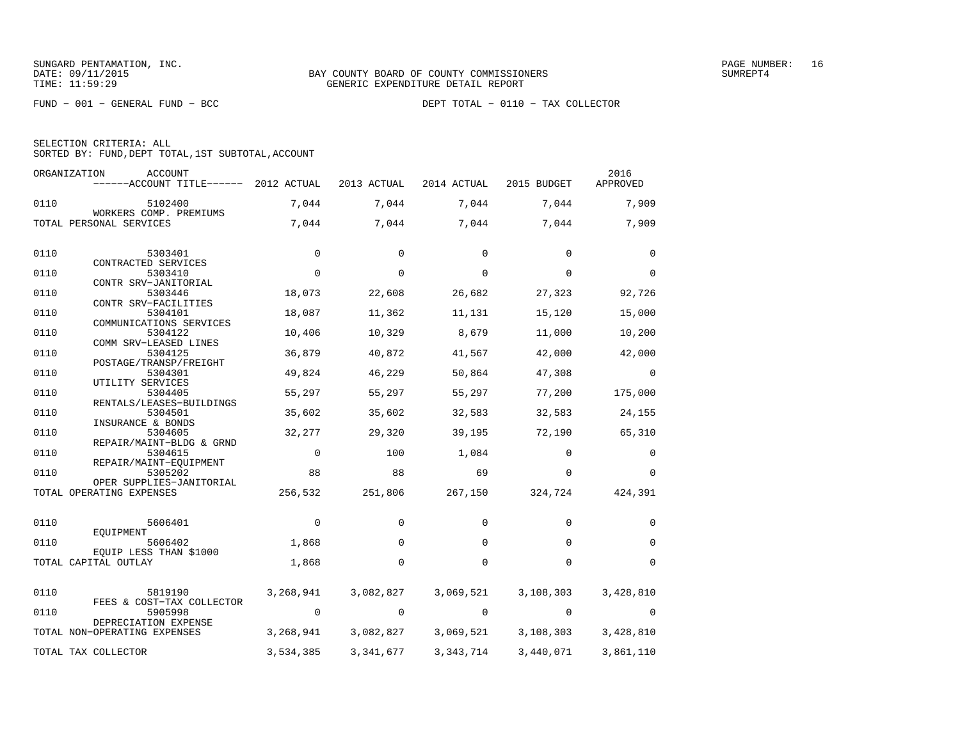FUND − 001 − GENERAL FUND − BCC DEPT TOTAL − 0110 − TAX COLLECTOR

| SELECTION CRITERIA: ALL |  |  |                                                    |  |
|-------------------------|--|--|----------------------------------------------------|--|
|                         |  |  | SORTED BY: FUND, DEPT TOTAL, 1ST SUBTOTAL, ACCOUNT |  |

|      | ORGANIZATION<br><b>ACCOUNT</b><br>------ACCOUNT TITLE------ | 2012 ACTUAL | 2013 ACTUAL | 2014 ACTUAL | 2015 BUDGET | 2016<br>APPROVED |
|------|-------------------------------------------------------------|-------------|-------------|-------------|-------------|------------------|
| 0110 | 5102400                                                     | 7,044       | 7,044       | 7,044       | 7,044       | 7,909            |
|      | WORKERS COMP. PREMIUMS<br>TOTAL PERSONAL SERVICES           | 7,044       | 7,044       | 7,044       | 7,044       | 7,909            |
| 0110 | 5303401                                                     | $\mathbf 0$ | 0           | 0           | $\Omega$    | 0                |
|      | CONTRACTED SERVICES                                         |             |             |             |             |                  |
| 0110 | 5303410<br>CONTR SRV-JANITORIAL                             | $\mathbf 0$ | $\Omega$    | 0           | $\mathbf 0$ | $\Omega$         |
| 0110 | 5303446                                                     | 18,073      | 22,608      | 26,682      | 27,323      | 92,726           |
|      | CONTR SRV-FACILITIES                                        |             |             |             |             |                  |
| 0110 | 5304101<br>COMMUNICATIONS SERVICES                          | 18,087      | 11,362      | 11,131      | 15,120      | 15,000           |
| 0110 | 5304122                                                     | 10,406      | 10,329      | 8,679       | 11,000      | 10,200           |
|      | COMM SRV-LEASED LINES                                       |             |             |             |             |                  |
| 0110 | 5304125                                                     | 36,879      | 40,872      | 41,567      | 42,000      | 42,000           |
| 0110 | POSTAGE/TRANSP/FREIGHT<br>5304301                           | 49,824      | 46,229      | 50,864      | 47,308      | $\Omega$         |
|      | UTILITY SERVICES                                            |             |             |             |             |                  |
| 0110 | 5304405                                                     | 55,297      | 55,297      | 55,297      | 77,200      | 175,000          |
| 0110 | RENTALS/LEASES-BUILDINGS<br>5304501                         | 35,602      | 35,602      |             | 32,583      |                  |
|      | INSURANCE & BONDS                                           |             |             | 32,583      |             | 24,155           |
| 0110 | 5304605                                                     | 32,277      | 29,320      | 39,195      | 72,190      | 65,310           |
|      | REPAIR/MAINT-BLDG & GRND                                    |             |             |             |             |                  |
| 0110 | 5304615                                                     | $\mathbf 0$ | 100         | 1,084       | $\Omega$    | $\Omega$         |
| 0110 | REPAIR/MAINT-EOUIPMENT<br>5305202                           | 88          | 88          | 69          | $\Omega$    | $\Omega$         |
|      | OPER SUPPLIES-JANITORIAL                                    |             |             |             |             |                  |
|      | TOTAL OPERATING EXPENSES                                    | 256,532     | 251,806     | 267,150     | 324,724     | 424,391          |
| 0110 | 5606401                                                     | 0           | 0           | 0           | $\mathbf 0$ | 0                |
|      | EOUIPMENT                                                   |             |             |             |             |                  |
| 0110 | 5606402                                                     | 1,868       | 0           | $\mathbf 0$ | $\Omega$    | $\Omega$         |
|      | EQUIP LESS THAN \$1000<br>TOTAL CAPITAL OUTLAY              | 1,868       | $\Omega$    | $\Omega$    | $\Omega$    | $\Omega$         |
|      |                                                             |             |             |             |             |                  |
| 0110 | 5819190                                                     | 3,268,941   | 3,082,827   | 3,069,521   | 3,108,303   | 3,428,810        |
|      | FEES & COST-TAX COLLECTOR                                   |             |             |             |             |                  |
| 0110 | 5905998<br>DEPRECIATION EXPENSE                             | 0           | 0           | 0           | $\mathbf 0$ | 0                |
|      | TOTAL NON-OPERATING EXPENSES                                | 3,268,941   | 3,082,827   | 3,069,521   | 3,108,303   | 3,428,810        |
|      | TOTAL TAX COLLECTOR                                         | 3,534,385   | 3, 341, 677 | 3, 343, 714 | 3,440,071   | 3,861,110        |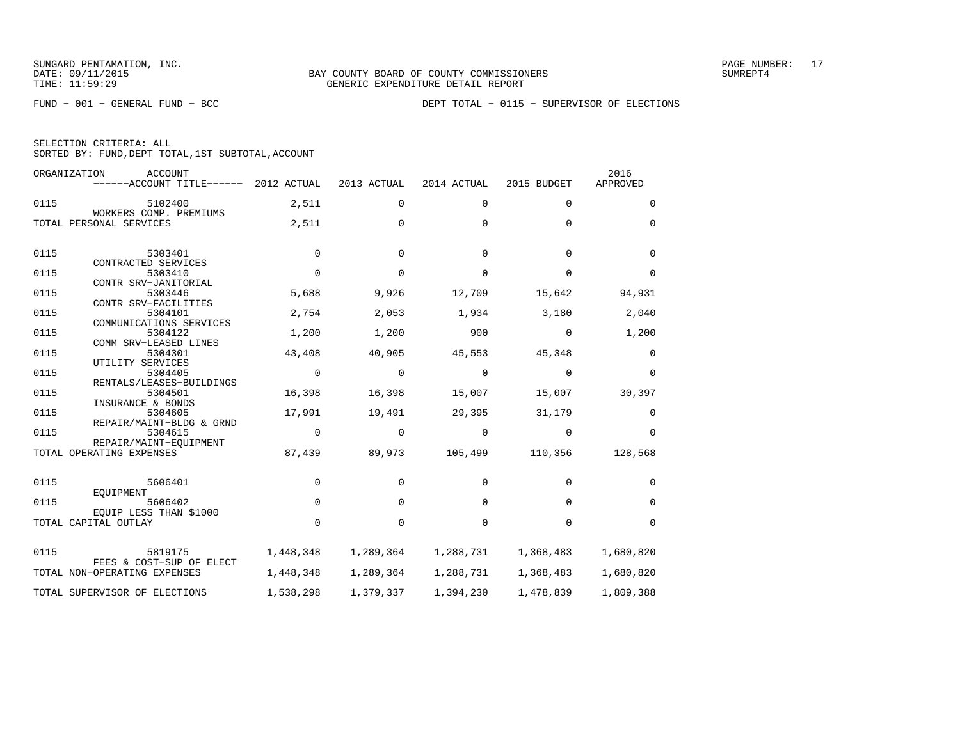FUND − 001 − GENERAL FUND − BCC DEPT TOTAL − 0115 − SUPERVISOR OF ELECTIONS

|  | SELECTION CRITERIA: ALL                            |  |  |
|--|----------------------------------------------------|--|--|
|  | SORTED BY: FUND, DEPT TOTAL, 1ST SUBTOTAL, ACCOUNT |  |  |

|      | ORGANIZATION<br><b>ACCOUNT</b><br>------ACCOUNT TITLE------ | 2012 ACTUAL    | 2013 ACTUAL | 2014 ACTUAL | 2015 BUDGET | 2016<br>APPROVED |
|------|-------------------------------------------------------------|----------------|-------------|-------------|-------------|------------------|
| 0115 | 5102400                                                     | 2,511          | 0           | $\mathbf 0$ | $\mathbf 0$ | 0                |
|      | WORKERS COMP. PREMIUMS<br>TOTAL PERSONAL SERVICES           | 2,511          | $\Omega$    | $\Omega$    | $\Omega$    | $\Omega$         |
| 0115 | 5303401<br>CONTRACTED SERVICES                              | $\mathbf 0$    | $\Omega$    | $\Omega$    | $\Omega$    | $\Omega$         |
| 0115 | 5303410                                                     | $\mathbf 0$    | $\Omega$    | $\Omega$    | $\mathbf 0$ | 0                |
| 0115 | CONTR SRV-JANITORIAL<br>5303446                             | 5,688          | 9,926       | 12,709      | 15,642      | 94,931           |
| 0115 | CONTR SRV-FACILITIES<br>5304101<br>COMMUNICATIONS SERVICES  | 2,754          | 2,053       | 1,934       | 3,180       | 2,040            |
| 0115 | 5304122<br>COMM SRV-LEASED LINES                            | 1,200          | 1,200       | 900         | 0           | 1,200            |
| 0115 | 5304301                                                     | 43,408         | 40,905      | 45,553      | 45,348      | 0                |
| 0115 | UTILITY SERVICES<br>5304405<br>RENTALS/LEASES-BUILDINGS     | $\overline{0}$ | 0           | 0           | 0           | $\mathbf 0$      |
| 0115 | 5304501                                                     | 16,398         | 16,398      | 15,007      | 15,007      | 30,397           |
| 0115 | INSURANCE & BONDS<br>5304605<br>REPAIR/MAINT-BLDG & GRND    | 17,991         | 19,491      | 29,395      | 31,179      | 0                |
| 0115 | 5304615                                                     | $\mathbf 0$    | $\mathbf 0$ | 0           | 0           | 0                |
|      | REPAIR/MAINT-EOUIPMENT<br>TOTAL OPERATING EXPENSES          | 87,439         | 89,973      | 105,499     | 110,356     | 128,568          |
| 0115 | 5606401<br>EOUIPMENT                                        | $\mathbf 0$    | $\mathbf 0$ | $\mathbf 0$ | $\mathbf 0$ | 0                |
| 0115 | 5606402                                                     | $\Omega$       | $\Omega$    | $\Omega$    | $\Omega$    | $\Omega$         |
|      | EOUIP LESS THAN \$1000<br>TOTAL CAPITAL OUTLAY              | $\mathbf 0$    | $\mathbf 0$ | $\mathbf 0$ | $\mathbf 0$ | $\mathbf 0$      |
| 0115 | 5819175                                                     | 1,448,348      | 1,289,364   | 1,288,731   | 1,368,483   | 1,680,820        |
|      | FEES & COST-SUP OF ELECT<br>TOTAL NON-OPERATING EXPENSES    | 1,448,348      | 1,289,364   | 1,288,731   | 1,368,483   | 1,680,820        |
|      | TOTAL SUPERVISOR OF ELECTIONS                               | 1,538,298      | 1,379,337   | 1,394,230   | 1,478,839   | 1,809,388        |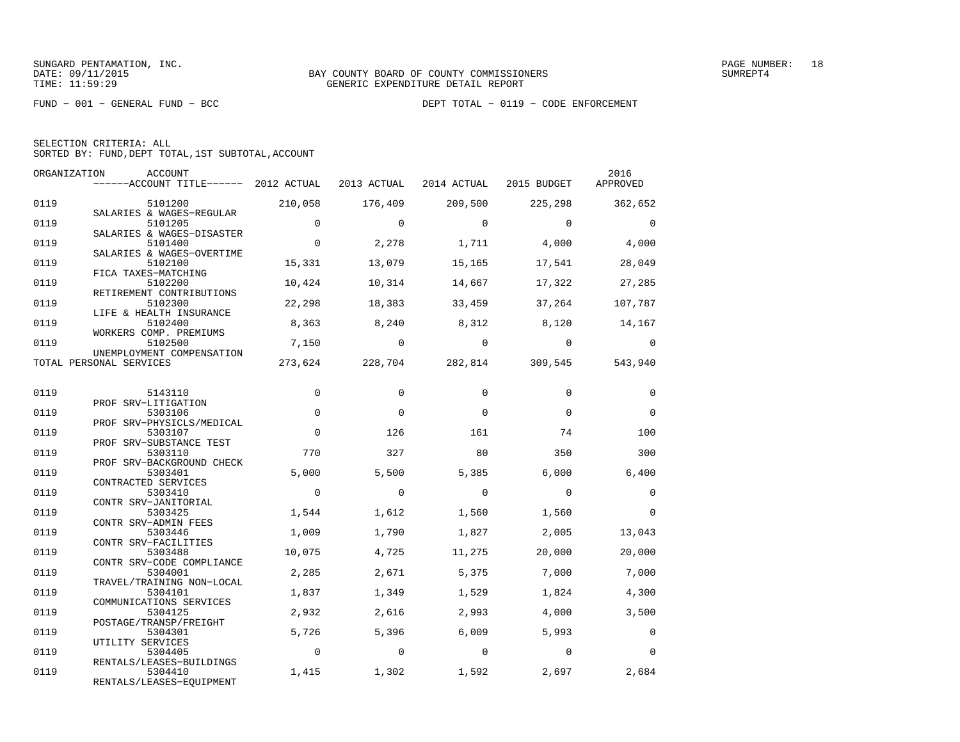| SELECTION CRITERIA: ALL |  |                                                    |  |
|-------------------------|--|----------------------------------------------------|--|
|                         |  | SORTED BY: FUND, DEPT TOTAL, 1ST SUBTOTAL, ACCOUNT |  |

|      | ORGANIZATION<br>ACCOUNT               |                |                |                |                | 2016        |
|------|---------------------------------------|----------------|----------------|----------------|----------------|-------------|
|      | ------ACCOUNT TITLE------ 2012 ACTUAL |                | 2013 ACTUAL    | 2014 ACTUAL    | 2015 BUDGET    | APPROVED    |
| 0119 | 5101200                               | 210,058        | 176,409        | 209,500        | 225,298        | 362,652     |
|      | SALARIES & WAGES-REGULAR              |                |                |                |                |             |
| 0119 | 5101205                               | $\mathbf 0$    | $\Omega$       | $\Omega$       | $\Omega$       | $\Omega$    |
|      | SALARIES & WAGES-DISASTER             |                |                |                |                |             |
| 0119 | 5101400                               | $\mathbf 0$    | 2,278          | 1,711          | 4,000          | 4,000       |
|      | SALARIES & WAGES-OVERTIME             |                |                |                |                |             |
| 0119 | 5102100                               | 15,331         | 13,079         | 15,165         | 17,541         | 28,049      |
|      | FICA TAXES-MATCHING                   |                |                |                |                |             |
| 0119 | 5102200                               | 10,424         | 10,314         | 14,667         | 17,322         | 27,285      |
| 0119 | RETIREMENT CONTRIBUTIONS<br>5102300   | 22,298         | 18,383         | 33,459         | 37,264         | 107,787     |
|      | LIFE & HEALTH INSURANCE               |                |                |                |                |             |
| 0119 | 5102400                               | 8,363          | 8,240          | 8,312          | 8,120          | 14,167      |
|      | WORKERS COMP. PREMIUMS                |                |                |                |                |             |
| 0119 | 5102500                               | 7,150          | $\overline{0}$ | $\overline{0}$ | $\overline{0}$ | $\bigcirc$  |
|      | UNEMPLOYMENT COMPENSATION             |                |                |                |                |             |
|      | TOTAL PERSONAL SERVICES               | 273,624        | 228,704        | 282,814        | 309,545        | 543,940     |
|      |                                       |                |                |                |                |             |
|      |                                       |                |                |                |                |             |
| 0119 | 5143110                               | 0              | $\mathbf 0$    | $\Omega$       | $\Omega$       | $\Omega$    |
|      | PROF SRV-LITIGATION                   |                |                | $\Omega$       | $\Omega$       |             |
| 0119 | 5303106                               | $\mathbf 0$    | $\Omega$       |                |                | $\Omega$    |
| 0119 | PROF SRV-PHYSICLS/MEDICAL<br>5303107  | $\Omega$       | 126            | 161            | 74             | 100         |
|      | PROF SRV-SUBSTANCE TEST               |                |                |                |                |             |
| 0119 | 5303110                               | 770            | 327            | 80             | 350            | 300         |
|      | PROF SRV-BACKGROUND CHECK             |                |                |                |                |             |
| 0119 | 5303401                               | 5,000          | 5,500          | 5,385          | 6,000          | 6,400       |
|      | CONTRACTED SERVICES                   |                |                |                |                |             |
| 0119 | 5303410                               | $\mathbf 0$    | $\mathbf 0$    | $\Omega$       | $\mathbf 0$    | $\mathbf 0$ |
|      | CONTR SRV-JANITORIAL                  |                |                |                |                |             |
| 0119 | 5303425                               | 1,544          | 1,612          | 1,560          | 1,560          | $\mathbf 0$ |
|      | CONTR SRV-ADMIN FEES                  |                |                |                |                |             |
| 0119 | 5303446                               | 1,009          | 1,790          | 1,827          | 2,005          | 13,043      |
| 0119 | CONTR SRV-FACILITIES<br>5303488       | 10,075         | 4,725          |                | 20,000         | 20,000      |
|      | CONTR SRV-CODE COMPLIANCE             |                |                | 11,275         |                |             |
| 0119 | 5304001                               | 2,285          | 2,671          | 5,375          | 7,000          | 7,000       |
|      | TRAVEL/TRAINING NON-LOCAL             |                |                |                |                |             |
| 0119 | 5304101                               | 1,837          | 1,349          | 1,529          | 1,824          | 4,300       |
|      | COMMUNICATIONS SERVICES               |                |                |                |                |             |
| 0119 | 5304125                               | 2,932          | 2,616          | 2,993          | 4,000          | 3,500       |
|      | POSTAGE/TRANSP/FREIGHT                |                |                |                |                |             |
| 0119 | 5304301                               | 5,726          | 5,396          | 6.009          | 5,993          | $\mathbf 0$ |
|      | UTILITY SERVICES                      |                |                |                |                |             |
| 0119 | 5304405                               | $\overline{0}$ | $\Omega$       | $\Omega$       | $\mathbf{0}$   | $\Omega$    |
|      | RENTALS/LEASES-BUILDINGS              |                |                |                |                |             |
| 0119 | 5304410<br>RENTALS/LEASES-EQUIPMENT   | 1,415          | 1,302          | 1,592          | 2,697          | 2,684       |
|      |                                       |                |                |                |                |             |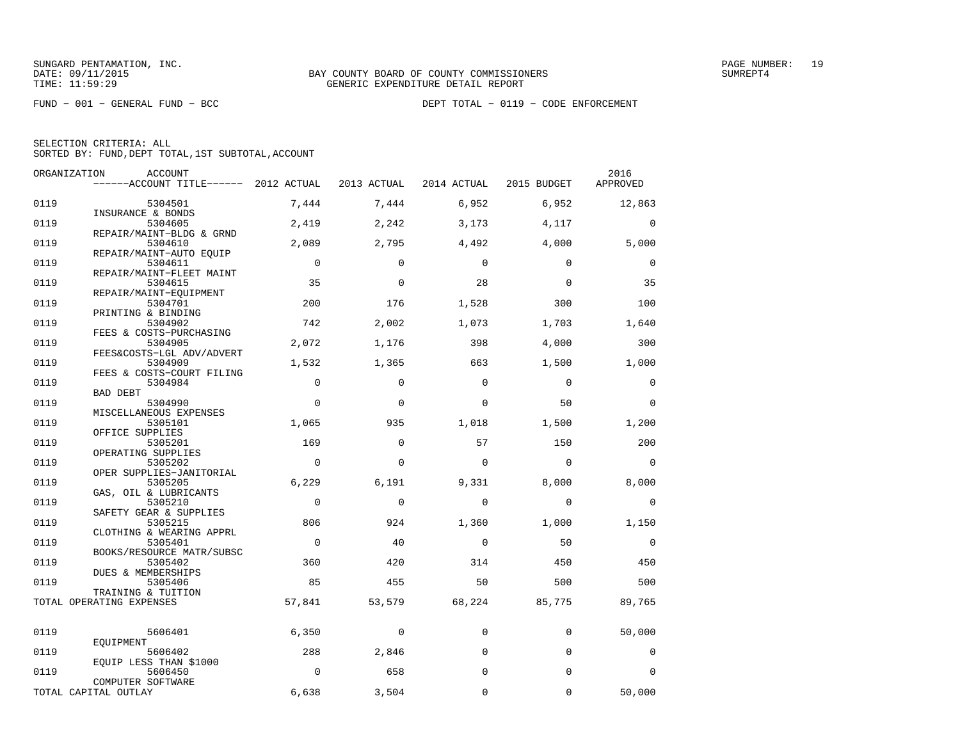FUND − 001 − GENERAL FUND − BCC DEPT TOTAL − 0119 − CODE ENFORCEMENT

SELECTION CRITERIA: ALL

SORTED BY: FUND,DEPT TOTAL,1ST SUBTOTAL,ACCOUNT

| ORGANIZATION | ACCOUNT                                                          |                |             |             |             | 2016        |
|--------------|------------------------------------------------------------------|----------------|-------------|-------------|-------------|-------------|
|              | ------ACCOUNT TITLE------ 2012 ACTUAL                            |                | 2013 ACTUAL | 2014 ACTUAL | 2015 BUDGET | APPROVED    |
| 0119         | 5304501                                                          | 7,444          | 7,444       | 6,952       | 6,952       | 12,863      |
| 0119         | INSURANCE & BONDS<br>5304605                                     | 2,419          | 2,242       | 3,173       | 4,117       | $\mathbf 0$ |
| 0119         | REPAIR/MAINT-BLDG & GRND<br>5304610                              | 2,089          | 2,795       | 4,492       | 4,000       | 5,000       |
| 0119         | REPAIR/MAINT-AUTO EQUIP<br>5304611                               | $\mathbf 0$    | $\Omega$    | $\Omega$    | $\Omega$    | $\mathbf 0$ |
| 0119         | REPAIR/MAINT-FLEET MAINT<br>5304615                              | 35             | $\mathbf 0$ | 28          | $\mathbf 0$ | 35          |
| 0119         | REPAIR/MAINT-EOUIPMENT<br>5304701                                | 200            | 176         | 1,528       | 300         | 100         |
| 0119         | PRINTING & BINDING<br>5304902                                    | 742            | 2,002       | 1,073       | 1,703       | 1,640       |
| 0119         | FEES & COSTS-PURCHASING<br>5304905                               | 2,072          | 1,176       | 398         | 4,000       | 300         |
| 0119         | FEES&COSTS-LGL ADV/ADVERT<br>5304909                             | 1,532          | 1,365       | 663         | 1,500       | 1,000       |
| 0119         | FEES & COSTS-COURT FILING<br>5304984                             | $\mathbf 0$    | 0           | $\Omega$    | 0           | 0           |
| 0119         | <b>BAD DEBT</b><br>5304990                                       | $\mathbf 0$    | $\mathbf 0$ | $\Omega$    | 50          | $\mathbf 0$ |
| 0119         | MISCELLANEOUS EXPENSES<br>5305101                                | 1,065          | 935         | 1,018       | 1,500       | 1,200       |
| 0119         | OFFICE SUPPLIES<br>5305201                                       | 169            | $\mathbf 0$ | 57          | 150         | 200         |
| 0119         | OPERATING SUPPLIES<br>5305202                                    | $\mathbf 0$    | $\mathbf 0$ | $\Omega$    | $\Omega$    | $\Omega$    |
| 0119         | OPER SUPPLIES-JANITORIAL<br>5305205                              | 6,229          | 6,191       | 9,331       | 8,000       | 8,000       |
| 0119         | GAS, OIL & LUBRICANTS<br>5305210                                 | $\mathbf 0$    | $\Omega$    | $\Omega$    | $\Omega$    | 0           |
| 0119         | SAFETY GEAR & SUPPLIES<br>5305215                                | 806            | 924         | 1,360       | 1,000       | 1,150       |
| 0119         | CLOTHING & WEARING APPRL<br>5305401<br>BOOKS/RESOURCE MATR/SUBSC | $\overline{0}$ | 40          | $\mathbf 0$ | 50          | $\mathbf 0$ |
| 0119         | 5305402<br>DUES & MEMBERSHIPS                                    | 360            | 420         | 314         | 450         | 450         |
| 0119         | 5305406<br>TRAINING & TUITION                                    | 85             | 455         | 50          | 500         | 500         |
|              | TOTAL OPERATING EXPENSES                                         | 57,841         | 53,579      | 68,224      | 85,775      | 89,765      |
| 0119         | 5606401                                                          | 6,350          | 0           | $\mathbf 0$ | $\mathbf 0$ | 50,000      |
| 0119         | EQUIPMENT<br>5606402                                             | 288            | 2,846       | $\Omega$    | $\mathbf 0$ | 0           |
| 0119         | EQUIP LESS THAN \$1000<br>5606450                                | $\mathbf 0$    | 658         | $\Omega$    | $\mathbf 0$ | 0           |
|              | COMPUTER SOFTWARE<br>TOTAL CAPITAL OUTLAY                        | 6,638          | 3,504       | $\mathbf 0$ | 0           | 50,000      |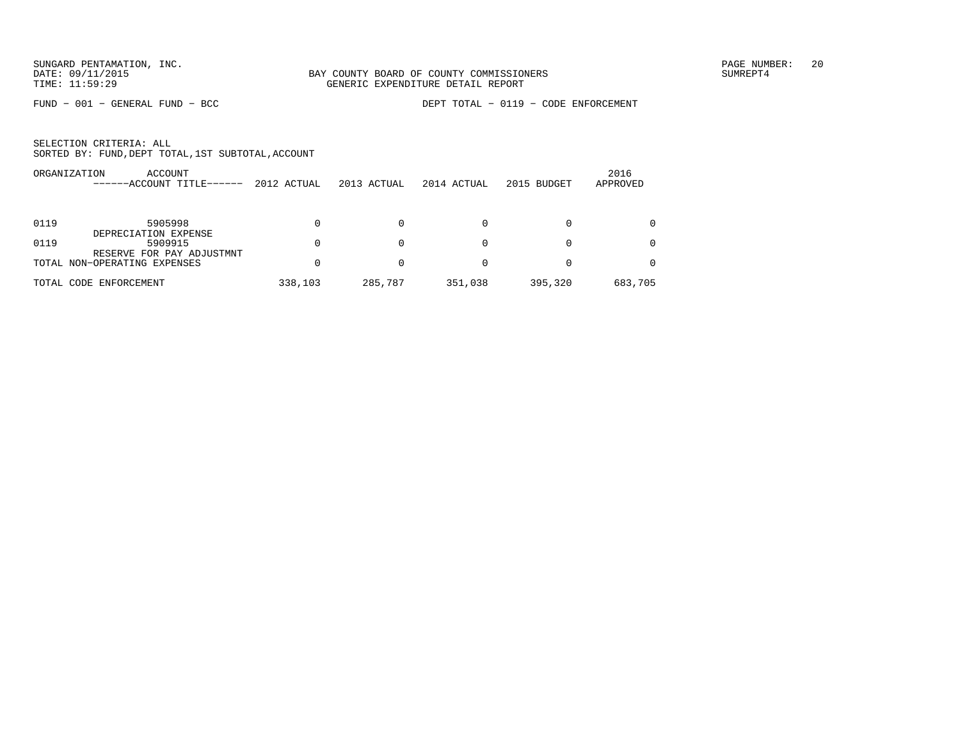FUND − 001 − GENERAL FUND − BCC DEPT TOTAL − 0119 − CODE ENFORCEMENT

|            | ACCOUNT<br>ORGANIZATION<br>-ACCOUNT TITLE------              | 2012 ACTUAL | 2013 ACTUAL | 2014 ACTUAL | 2015 BUDGET | 2016<br>APPROVED |
|------------|--------------------------------------------------------------|-------------|-------------|-------------|-------------|------------------|
|            |                                                              |             |             |             |             |                  |
| 0119       | 5905998                                                      |             |             |             |             |                  |
| 0119       | DEPRECIATION EXPENSE<br>5909915<br>RESERVE FOR PAY ADJUSTMNT |             |             | 0           | $\Omega$    |                  |
|            | TOTAL NON-OPERATING EXPENSES                                 |             |             |             |             |                  |
| TOTAL CODE | ENFORCEMENT                                                  | 338,103     | 285,787     | 351,038     | 395,320     | 683,705          |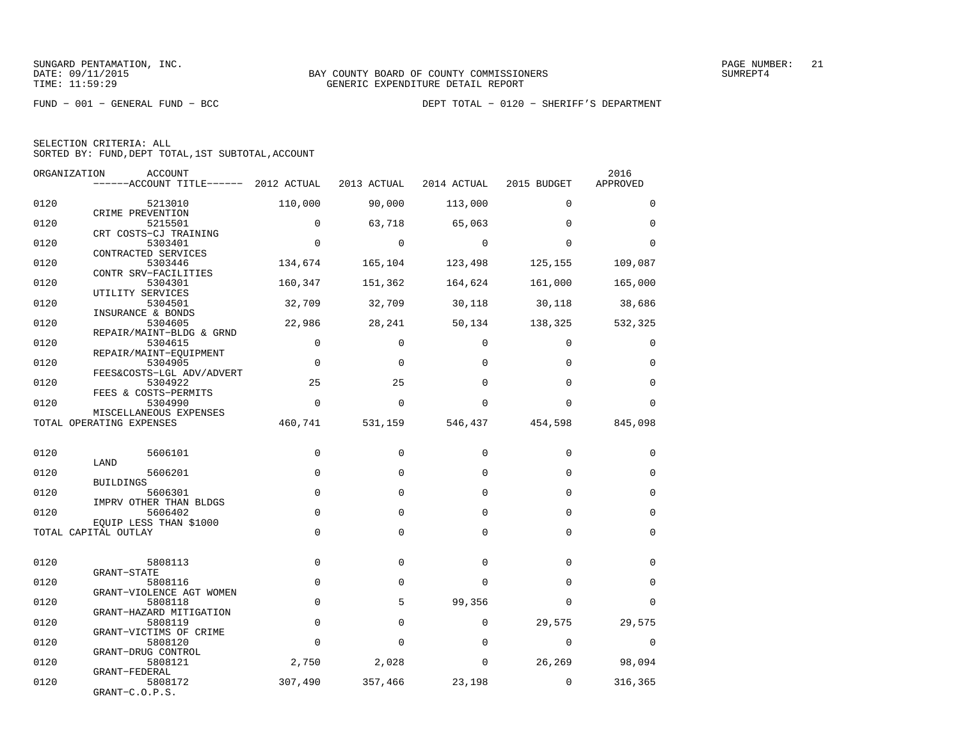| SELECTION CRITERIA: ALL |  |                                                    |  |
|-------------------------|--|----------------------------------------------------|--|
|                         |  | SORTED BY: FUND, DEPT TOTAL, 1ST SUBTOTAL, ACCOUNT |  |

| ORGANIZATION | <b>ACCOUNT</b>                                     |                     |             |             |             | 2016        |
|--------------|----------------------------------------------------|---------------------|-------------|-------------|-------------|-------------|
|              | ------ACCOUNT TITLE------ 2012 ACTUAL              |                     | 2013 ACTUAL | 2014 ACTUAL | 2015 BUDGET | APPROVED    |
| 0120         | 5213010                                            | 110,000             | 90,000      | 113,000     | $\mathbf 0$ | $\mathbf 0$ |
| 0120         | CRIME PREVENTION<br>5215501                        | $\mathbf 0$         | 63,718      | 65,063      | $\Omega$    | $\mathbf 0$ |
| 0120         | CRT COSTS-CJ TRAINING<br>5303401                   | $\mathbf 0$         | $\Omega$    | $\Omega$    | $\Omega$    | $\Omega$    |
|              | CONTRACTED SERVICES                                |                     |             |             |             |             |
| 0120         | 5303446<br>CONTR SRV-FACILITIES                    | 134,674             | 165,104     | 123,498     | 125,155     | 109,087     |
| 0120         | 5304301<br>UTILITY SERVICES                        | 160,347             | 151,362     | 164,624     | 161,000     | 165,000     |
| 0120         | 5304501                                            | 32,709              | 32,709      | 30,118      | 30,118      | 38,686      |
| 0120         | INSURANCE & BONDS<br>5304605                       | 22,986              | 28,241      | 50,134      | 138,325     | 532,325     |
| 0120         | REPAIR/MAINT-BLDG & GRND<br>5304615                | $\mathbf 0$         | $\Omega$    | $\Omega$    | $\Omega$    | $\Omega$    |
| 0120         | REPAIR/MAINT-EQUIPMENT<br>5304905                  | $\mathsf{O}\xspace$ | $\Omega$    | $\Omega$    | $\Omega$    | $\mathbf 0$ |
|              | FEES&COSTS-LGL ADV/ADVERT                          |                     |             |             |             |             |
| 0120         | 5304922<br>FEES & COSTS-PERMITS                    | 25                  | 25          | $\Omega$    | $\Omega$    | $\Omega$    |
| 0120         | 5304990                                            | $\mathbf 0$         | $\mathbf 0$ | $\Omega$    | $\Omega$    | $\Omega$    |
|              | MISCELLANEOUS EXPENSES<br>TOTAL OPERATING EXPENSES | 460,741             | 531,159     | 546,437     | 454,598     | 845,098     |
| 0120         | 5606101                                            | $\mathbf 0$         | $\mathbf 0$ | 0           | $\mathbf 0$ | $\mathbf 0$ |
|              | LAND                                               |                     |             |             |             |             |
| 0120         | 5606201<br><b>BUILDINGS</b>                        | $\mathbf 0$         | 0           | 0           | $\Omega$    | $\mathbf 0$ |
| 0120         | 5606301<br>IMPRV OTHER THAN BLDGS                  | $\mathbf 0$         | $\Omega$    | $\Omega$    | $\Omega$    | $\Omega$    |
| 0120         | 5606402                                            | $\mathbf 0$         | $\mathbf 0$ | $\Omega$    | $\Omega$    | $\mathbf 0$ |
|              | EOUIP LESS THAN \$1000<br>TOTAL CAPITAL OUTLAY     | $\mathbf 0$         | $\mathbf 0$ | 0           | $\Omega$    | $\mathbf 0$ |
|              |                                                    |                     |             |             |             |             |
| 0120         | 5808113<br>GRANT-STATE                             | $\mathbf 0$         | $\mathbf 0$ | 0           | $\Omega$    | $\mathbf 0$ |
| 0120         | 5808116                                            | $\mathbf 0$         | $\Omega$    | $\Omega$    | $\Omega$    | $\Omega$    |
| 0120         | GRANT-VIOLENCE AGT WOMEN<br>5808118                | $\mathsf 0$         | 5           | 99,356      | $\Omega$    | $\Omega$    |
| 0120         | GRANT-HAZARD MITIGATION<br>5808119                 | $\mathbf 0$         | $\mathbf 0$ | $\Omega$    | 29,575      | 29,575      |
|              | GRANT-VICTIMS OF CRIME                             | $\Omega$            | $\Omega$    | $\Omega$    | $\Omega$    |             |
| 0120         | 5808120<br>GRANT-DRUG CONTROL                      |                     |             |             |             | $\Omega$    |
| 0120         | 5808121<br>GRANT-FEDERAL                           | 2,750               | 2,028       | 0           | 26,269      | 98,094      |
| 0120         | 5808172<br>$GRANT-C.O.P.S.$                        | 307,490             | 357,466     | 23,198      | $\mathbf 0$ | 316,365     |
|              |                                                    |                     |             |             |             |             |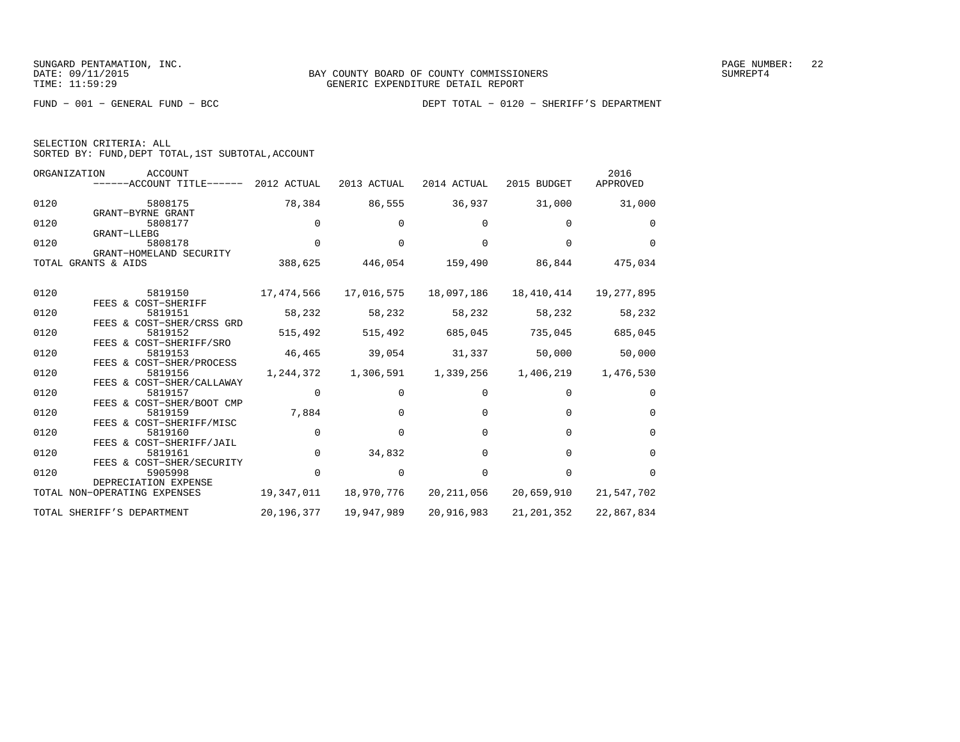| SELECTION CRITERIA: ALL |                                                    |  |
|-------------------------|----------------------------------------------------|--|
|                         | SORTED BY: FUND, DEPT TOTAL, 1ST SUBTOTAL, ACCOUNT |  |

|      | ORGANIZATION<br>ACCOUNT<br>------ACCOUNT TITLE------             | 2012 ACTUAL | 2013 ACTUAL  | 2014 ACTUAL | 2015 BUDGET | 2016<br>APPROVED |
|------|------------------------------------------------------------------|-------------|--------------|-------------|-------------|------------------|
| 0120 | 5808175<br>GRANT-BYRNE GRANT                                     | 78,384      | 86,555       | 36,937      | 31,000      | 31,000           |
| 0120 | 5808177<br>GRANT-LLEBG                                           | 0           |              |             | 0           | $\Omega$         |
| 0120 | 5808178<br>GRANT-HOMELAND SECURITY                               | $\Omega$    |              | $\cap$      | $\Omega$    | $\Omega$         |
|      | TOTAL GRANTS & AIDS                                              | 388,625     | 446,054      | 159,490     | 86,844      | 475,034          |
| 0120 | 5819150                                                          | 17,474,566  | 17,016,575   | 18,097,186  | 18,410,414  | 19,277,895       |
| 0120 | FEES & COST-SHERIFF<br>5819151                                   | 58,232      | 58,232       | 58,232      | 58,232      | 58,232           |
| 0120 | FEES & COST-SHER/CRSS GRD<br>5819152                             | 515,492     | 515,492      | 685,045     | 735,045     | 685,045          |
| 0120 | FEES & COST-SHERIFF/SRO<br>5819153                               | 46,465      | 39,054       | 31,337      | 50,000      | 50,000           |
| 0120 | FEES & COST-SHER/PROCESS<br>5819156                              | 1,244,372   | 1,306,591    | 1,339,256   | 1,406,219   | 1,476,530        |
| 0120 | FEES & COST-SHER/CALLAWAY<br>5819157                             | 0           | <sup>0</sup> | 0           | $\Omega$    | $\Omega$         |
| 0120 | FEES & COST-SHER/BOOT CMP<br>5819159<br>FEES & COST-SHERIFF/MISC | 7,884       | $\Omega$     | $\Omega$    | $\Omega$    | $\mathbf 0$      |
| 0120 | 5819160<br>FEES & COST-SHERIFF/JAIL                              | $\mathbf 0$ | 0            | $\Omega$    | $\Omega$    | $\mathbf 0$      |
| 0120 | 5819161                                                          | $\Omega$    | 34,832       | $\Omega$    | $\Omega$    | $\Omega$         |
| 0120 | FEES & COST-SHER/SECURITY<br>5905998<br>DEPRECIATION EXPENSE     | $\Omega$    | $\Omega$     | $\Omega$    | $\Omega$    | $\Omega$         |
|      | TOTAL NON-OPERATING EXPENSES                                     | 19,347,011  | 18,970,776   | 20,211,056  | 20,659,910  | 21,547,702       |
|      | TOTAL SHERIFF'S DEPARTMENT                                       | 20,196,377  | 19,947,989   | 20,916,983  | 21,201,352  | 22,867,834       |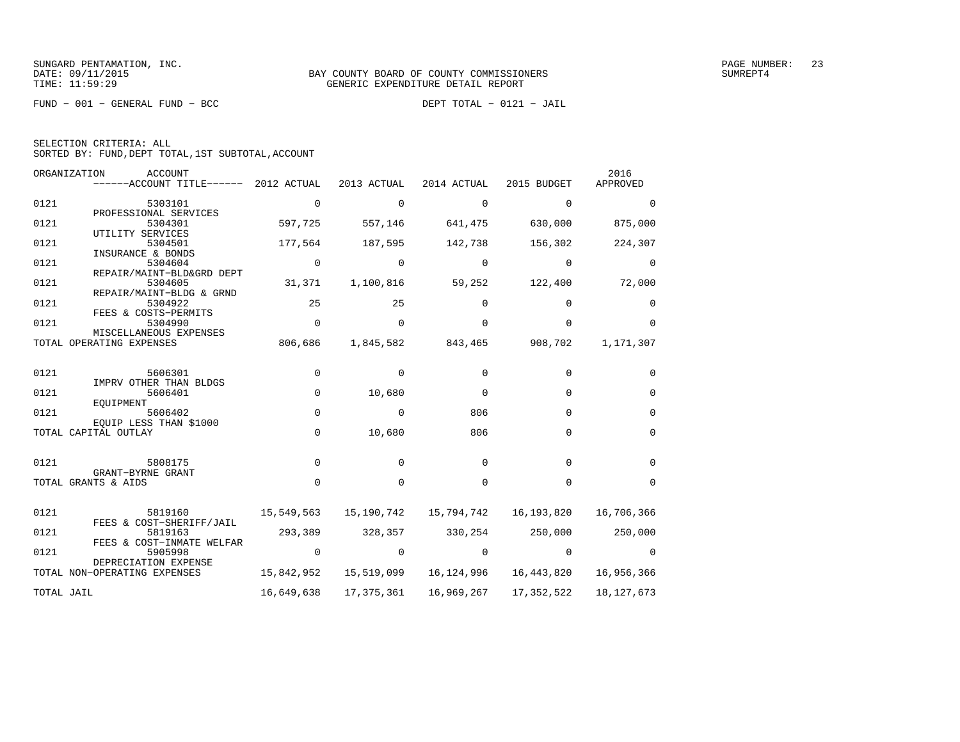FUND − 001 − GENERAL FUND − BCC DEPT TOTAL − 0121 − JAIL

| SELECTION CRITERIA: ALL |  |  |                                                    |  |
|-------------------------|--|--|----------------------------------------------------|--|
|                         |  |  | SORTED BY: FUND, DEPT TOTAL, 1ST SUBTOTAL, ACCOUNT |  |

| ORGANIZATION | ACCOUNT<br>$----ACCOUNT$ TITLE $----$ 2012 ACTUAL    |             | 2013 ACTUAL | 2014 ACTUAL | 2015 BUDGET  | 2016<br>APPROVED |
|--------------|------------------------------------------------------|-------------|-------------|-------------|--------------|------------------|
| 0121         | 5303101                                              | $\Omega$    | $\mathbf 0$ | $\Omega$    | $\Omega$     | $\Omega$         |
| 0121         | PROFESSIONAL SERVICES<br>5304301                     | 597,725     | 557,146     | 641,475     | 630,000      | 875,000          |
| 0121         | UTILITY SERVICES<br>5304501                          | 177,564     | 187,595     | 142,738     | 156,302      | 224,307          |
| 0121         | INSURANCE & BONDS<br>5304604                         | 0           | $\Omega$    | $\Omega$    | $\Omega$     | $\Omega$         |
| 0121         | REPAIR/MAINT-BLD&GRD DEPT<br>5304605                 | 31,371      | 1,100,816   | 59,252      | 122,400      | 72,000           |
| 0121         | REPAIR/MAINT-BLDG & GRND<br>5304922                  | 25          | 25          | 0           | <sup>0</sup> | $\Omega$         |
| 0121         | FEES & COSTS-PERMITS<br>5304990                      | $\mathbf 0$ | $\Omega$    | $\Omega$    | $\Omega$     | $\Omega$         |
| TOTAL        | MISCELLANEOUS EXPENSES<br>OPERATING EXPENSES         | 806,686     | 1,845,582   | 843,465     | 908,702      | 1,171,307        |
| 0121         | 5606301                                              | 0           | $\Omega$    | $\Omega$    | $\Omega$     | $\Omega$         |
| 0121         | IMPRV OTHER THAN BLDGS<br>5606401                    | 0           | 10,680      | 0           | $\Omega$     | $\Omega$         |
| 0121         | EOUIPMENT<br>5606402                                 | $\mathbf 0$ | 0           | 806         | $\Omega$     | $\Omega$         |
|              | EOUIP LESS THAN \$1000<br>TOTAL CAPITAL OUTLAY       | $\Omega$    | 10,680      | 806         | $\Omega$     | $\Omega$         |
|              |                                                      |             |             |             |              |                  |
| 0121         | 5808175<br>GRANT-BYRNE GRANT                         | $\mathbf 0$ | $\Omega$    | $\Omega$    | $\Omega$     | $\Omega$         |
|              | TOTAL GRANTS & AIDS                                  | $\Omega$    | $\Omega$    | $\Omega$    | $\Omega$     | $\Omega$         |
| 0121         | 5819160                                              | 15,549,563  | 15,190,742  | 15,794,742  | 16,193,820   | 16,706,366       |
| 0121         | FEES & COST-SHERIFF/JAIL<br>5819163                  | 293,389     | 328,357     | 330,254     | 250,000      | 250,000          |
| 0121         | FEES & COST-INMATE WELFAR<br>5905998                 | $\Omega$    | $\Omega$    | $\Omega$    | $\Omega$     | $\Omega$         |
|              | DEPRECIATION EXPENSE<br>TOTAL NON-OPERATING EXPENSES | 15,842,952  | 15,519,099  | 16,124,996  | 16,443,820   | 16,956,366       |
| TOTAL JAIL   |                                                      | 16,649,638  | 17,375,361  | 16,969,267  | 17,352,522   | 18, 127, 673     |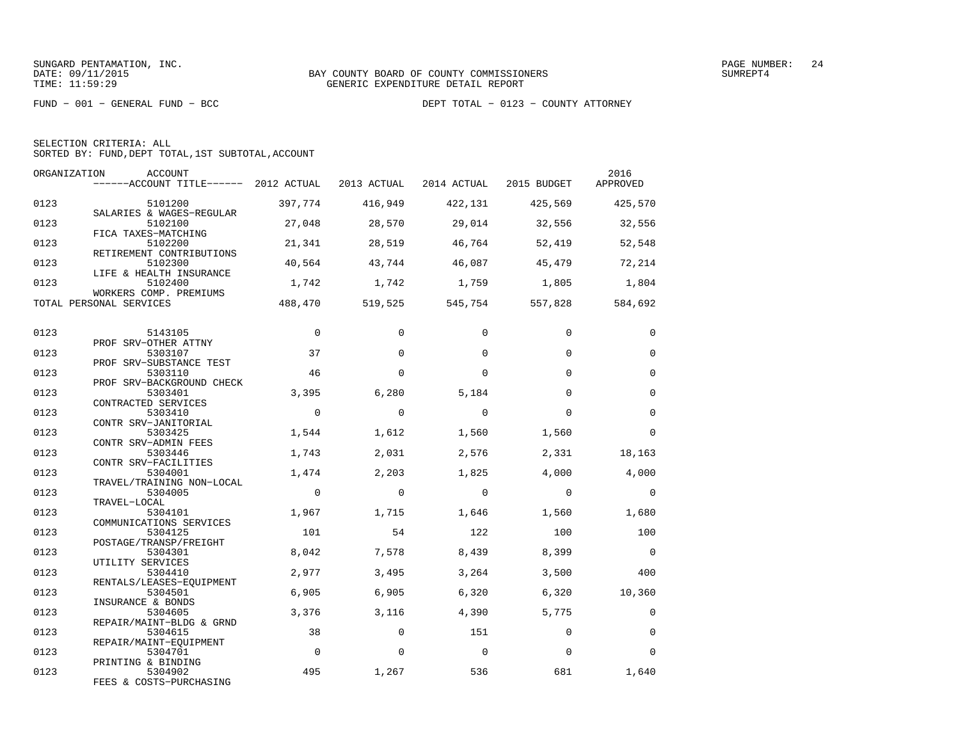FUND − 001 − GENERAL FUND − BCC DEPT TOTAL − 0123 − COUNTY ATTORNEY

SELECTION CRITERIA: ALL

SORTED BY: FUND,DEPT TOTAL,1ST SUBTOTAL,ACCOUNT

| ORGANIZATION | <b>ACCOUNT</b><br>------ACCOUNT TITLE------ 2012 ACTUAL 2013 ACTUAL |          |          | 2014 ACTUAL | 2015 BUDGET | 2016<br>APPROVED |
|--------------|---------------------------------------------------------------------|----------|----------|-------------|-------------|------------------|
| 0123         | 5101200                                                             | 397,774  | 416,949  | 422,131     | 425,569     | 425,570          |
| 0123         | SALARIES & WAGES-REGULAR<br>5102100                                 | 27,048   | 28,570   | 29,014      | 32,556      | 32,556           |
| 0123         | FICA TAXES-MATCHING<br>5102200<br>RETIREMENT CONTRIBUTIONS          | 21,341   | 28,519   | 46,764      | 52,419      | 52,548           |
| 0123         | 5102300<br>LIFE & HEALTH INSURANCE                                  | 40,564   | 43,744   | 46,087      | 45,479      | 72,214           |
| 0123         | 5102400<br>WORKERS COMP. PREMIUMS                                   | 1,742    | 1,742    | 1,759       | 1,805       | 1,804            |
|              | TOTAL PERSONAL SERVICES                                             | 488,470  | 519,525  | 545,754     | 557,828     | 584,692          |
| 0123         | 5143105                                                             | $\Omega$ | $\Omega$ | $\Omega$    | $\Omega$    | $\Omega$         |
| 0123         | PROF SRV-OTHER ATTNY<br>5303107                                     | 37       | $\Omega$ | $\Omega$    | $\Omega$    | $\Omega$         |
| 0123         | PROF SRV-SUBSTANCE TEST<br>5303110                                  | 46       | $\Omega$ | $\Omega$    | $\Omega$    | $\mathbf 0$      |
| 0123         | PROF SRV-BACKGROUND CHECK<br>5303401                                | 3,395    | 6,280    | 5,184       | $\Omega$    | $\mathbf 0$      |
| 0123         | CONTRACTED SERVICES<br>5303410                                      | $\Omega$ | $\Omega$ | $\Omega$    | $\Omega$    | $\Omega$         |
| 0123         | CONTR SRV-JANITORIAL<br>5303425                                     | 1,544    | 1,612    | 1,560       | 1,560       | $\Omega$         |
| 0123         | CONTR SRV-ADMIN FEES<br>5303446                                     | 1,743    | 2,031    | 2,576       | 2,331       | 18,163           |
| 0123         | CONTR SRV-FACILITIES<br>5304001                                     | 1,474    | 2,203    | 1,825       | 4,000       | 4,000            |
| 0123         | TRAVEL/TRAINING NON-LOCAL<br>5304005<br>TRAVEL-LOCAL                | $\Omega$ | $\Omega$ | $\Omega$    | $\Omega$    | $\Omega$         |
| 0123         | 5304101<br>COMMUNICATIONS SERVICES                                  | 1,967    | 1,715    | 1,646       | 1,560       | 1,680            |
| 0123         | 5304125<br>POSTAGE/TRANSP/FREIGHT                                   | 101      | 54       | 122         | 100         | 100              |
| 0123         | 5304301<br>UTILITY SERVICES                                         | 8,042    | 7,578    | 8,439       | 8,399       | $\Omega$         |
| 0123         | 5304410<br>RENTALS/LEASES-EQUIPMENT                                 | 2,977    | 3,495    | 3,264       | 3,500       | 400              |
| 0123         | 5304501<br>INSURANCE & BONDS                                        | 6,905    | 6,905    | 6,320       | 6,320       | 10,360           |
| 0123         | 5304605<br>REPAIR/MAINT-BLDG & GRND                                 | 3,376    | 3,116    | 4,390       | 5,775       | $\mathbf 0$      |
| 0123         | 5304615<br>REPAIR/MAINT-EOUIPMENT                                   | 38       | $\Omega$ | 151         | $\Omega$    | $\Omega$         |
| 0123         | 5304701<br>PRINTING & BINDING                                       | $\Omega$ | $\Omega$ | $\mathbf 0$ | $\Omega$    | $\Omega$         |
| 0123         | 5304902<br>FEES & COSTS-PURCHASING                                  | 495      | 1,267    | 536         | 681         | 1,640            |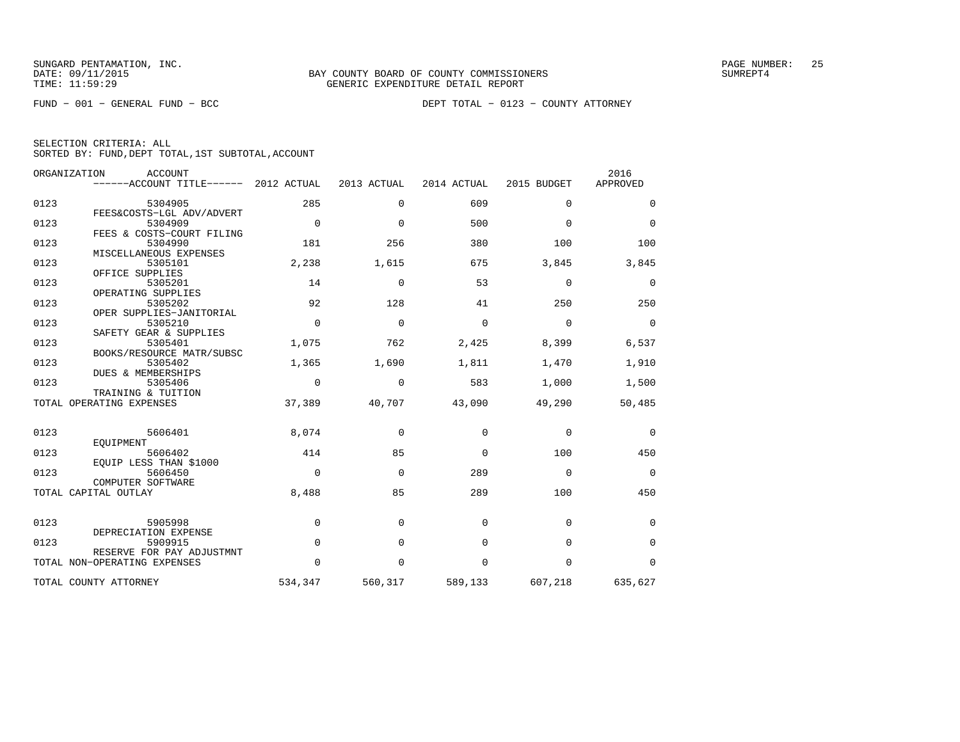FUND − 001 − GENERAL FUND − BCC DEPT TOTAL − 0123 − COUNTY ATTORNEY

| SELECTION CRITERIA: ALL |  |  |                                                    |  |
|-------------------------|--|--|----------------------------------------------------|--|
|                         |  |  | SORTED BY: FUND, DEPT TOTAL, 1ST SUBTOTAL, ACCOUNT |  |

|      | ORGANIZATION<br><b>ACCOUNT</b><br>------ACCOUNT TITLE------ 2012 ACTUAL |             | 2013 ACTUAL | 2014 ACTUAL | 2015 BUDGET | 2016<br>APPROVED |
|------|-------------------------------------------------------------------------|-------------|-------------|-------------|-------------|------------------|
| 0123 | 5304905<br>FEES&COSTS-LGL ADV/ADVERT                                    | 285         | $\Omega$    | 609         | $\Omega$    | $\Omega$         |
| 0123 | 5304909<br>FEES & COSTS-COURT FILING                                    | $\Omega$    | $\mathbf 0$ | 500         | $\Omega$    | $\mathbf 0$      |
| 0123 | 5304990                                                                 | 181         | 256         | 380         | 100         | 100              |
| 0123 | MISCELLANEOUS EXPENSES<br>5305101                                       | 2,238       | 1,615       | 675         | 3,845       | 3,845            |
| 0123 | OFFICE SUPPLIES<br>5305201<br>OPERATING SUPPLIES                        | 14          | $\Omega$    | 53          | $\Omega$    | 0                |
| 0123 | 5305202<br>OPER SUPPLIES-JANITORIAL                                     | 92          | 128         | 41          | 250         | 250              |
| 0123 | 5305210<br>SAFETY GEAR & SUPPLIES                                       | $\Omega$    | $\Omega$    | $\Omega$    | $\Omega$    | $\mathbf 0$      |
| 0123 | 5305401<br>BOOKS/RESOURCE MATR/SUBSC                                    | 1,075       | 762         | 2,425       | 8,399       | 6,537            |
| 0123 | 5305402<br><b>DUES &amp; MEMBERSHIPS</b>                                | 1,365       | 1,690       | 1,811       | 1,470       | 1,910            |
| 0123 | 5305406<br>TRAINING & TUITION                                           | $\Omega$    | $\Omega$    | 583         | 1,000       | 1,500            |
|      | TOTAL OPERATING EXPENSES                                                | 37,389      | 40,707      | 43,090      | 49,290      | 50,485           |
| 0123 | 5606401<br>EOUIPMENT                                                    | 8,074       | $\Omega$    | $\Omega$    | $\mathbf 0$ | $\mathbf 0$      |
| 0123 | 5606402<br>EQUIP LESS THAN \$1000                                       | 414         | 85          | $\Omega$    | 100         | 450              |
| 0123 | 5606450<br>COMPUTER SOFTWARE                                            | $\Omega$    | $\Omega$    | 289         | $\Omega$    | $\overline{0}$   |
|      | TOTAL CAPITAL OUTLAY                                                    | 8,488       | 85          | 289         | 100         | 450              |
| 0123 | 5905998                                                                 | $\mathbf 0$ | $\Omega$    | $\Omega$    | $\Omega$    | 0                |
| 0123 | DEPRECIATION EXPENSE<br>5909915                                         | $\mathbf 0$ | $\Omega$    | 0           | 0           | $\mathbf 0$      |
|      | RESERVE FOR PAY ADJUSTMNT<br>TOTAL NON-OPERATING EXPENSES               | $\Omega$    | $\Omega$    | 0           | 0           | 0                |
|      | TOTAL COUNTY ATTORNEY                                                   | 534,347     | 560,317     | 589,133     | 607,218     | 635,627          |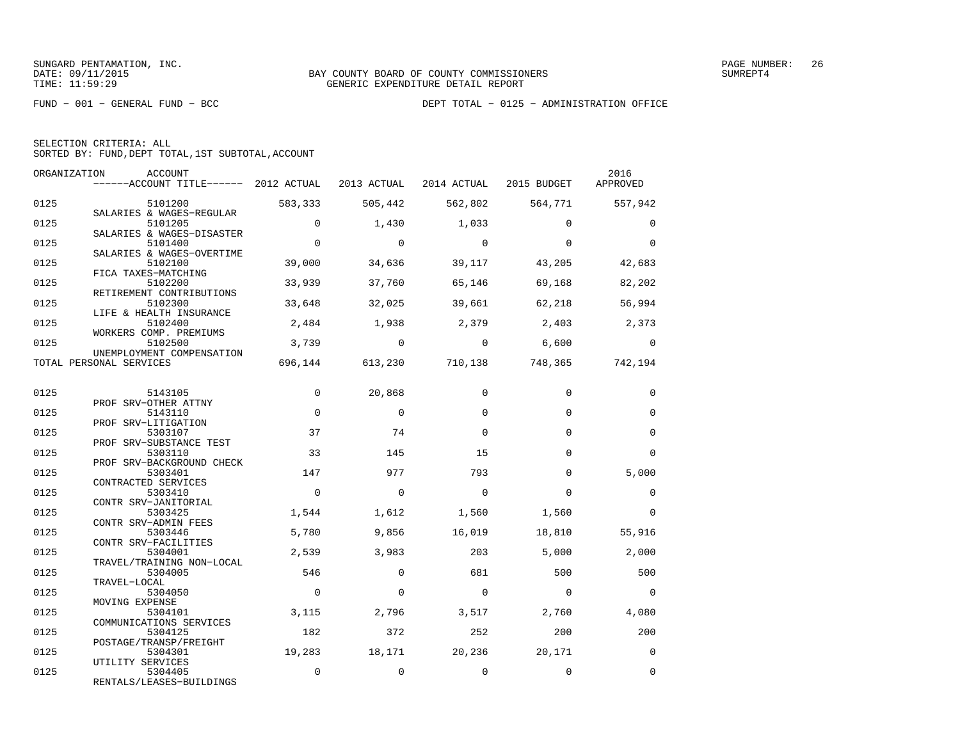| SELECTION CRITERIA: ALL |  |  |                                                    |  |
|-------------------------|--|--|----------------------------------------------------|--|
|                         |  |  | SORTED BY: FUND, DEPT TOTAL, 1ST SUBTOTAL, ACCOUNT |  |

|      | ORGANIZATION<br>ACCOUNT<br>------ACCOUNT TITLE------ 2012 ACTUAL 2013 ACTUAL 2014 ACTUAL 2015 BUDGET APPROVED |                |                |                |                                              | 2016           |
|------|---------------------------------------------------------------------------------------------------------------|----------------|----------------|----------------|----------------------------------------------|----------------|
|      |                                                                                                               |                |                |                |                                              |                |
| 0125 | 5101200                                                                                                       | 583,333        | 505,442        |                | 562,802 564,771 557,942                      |                |
|      | SALARIES & WAGES-REGULAR                                                                                      |                |                |                |                                              |                |
| 0125 | 5101205<br>SALARIES & WAGES-DISASTER                                                                          | $\Omega$       | 1,430          | 1,033          | $\Omega$                                     | $\Omega$       |
| 0125 | 5101400                                                                                                       | $\mathbf 0$    | $\overline{0}$ | $\overline{0}$ | $\Omega$                                     | $\Omega$       |
|      | SALARIES & WAGES-OVERTIME                                                                                     |                |                |                |                                              |                |
| 0125 | 5102100                                                                                                       | 39,000         | 34,636         | 39,117         | 43,205                                       | 42,683         |
|      | FICA TAXES-MATCHING                                                                                           |                |                |                |                                              |                |
| 0125 | 5102200                                                                                                       | 33,939         | 37,760         | 65,146         | 69,168                                       | 82,202         |
|      | RETIREMENT CONTRIBUTIONS                                                                                      |                |                |                |                                              | 56,994         |
| 0125 | 5102300<br>LIFE & HEALTH INSURANCE                                                                            | 33,648         | 32,025         | 39,661         | 62,218                                       |                |
| 0125 | 5102400                                                                                                       | 2,484          | 1,938          | 2,379 2,403    |                                              | 2,373          |
|      | WORKERS COMP. PREMIUMS                                                                                        |                |                |                |                                              |                |
| 0125 | 5102500                                                                                                       |                | $3,739$ 0      | $\overline{0}$ | 6.600                                        | $\Omega$       |
|      | UNEMPLOYMENT COMPENSATION                                                                                     |                |                |                |                                              |                |
|      | TOTAL PERSONAL SERVICES                                                                                       |                |                |                | 696, 144 613, 230 710, 138 748, 365 742, 194 |                |
|      |                                                                                                               |                |                |                |                                              |                |
| 0125 | 5143105                                                                                                       | $\mathbf 0$    | 20,868         | $\Omega$       | $\Omega$                                     | 0              |
|      | PROF SRV-OTHER ATTNY                                                                                          |                |                |                |                                              |                |
| 0125 | 5143110                                                                                                       | $\Omega$       | $\Omega$       | $\Omega$       | $\Omega$                                     | $\Omega$       |
|      | PROF SRV-LITIGATION                                                                                           |                |                |                |                                              |                |
| 0125 | 5303107                                                                                                       | 37             | 74             | $\Omega$       | $\Omega$                                     | $\mathbf 0$    |
|      | PROF SRV-SUBSTANCE TEST                                                                                       |                |                |                |                                              |                |
| 0125 | 5303110                                                                                                       | 33             | 145            | 15             | $\Omega$                                     | $\Omega$       |
|      | PROF SRV-BACKGROUND CHECK                                                                                     |                |                |                |                                              |                |
| 0125 | 5303401                                                                                                       | 147            | 977            | 793            | $\Omega$                                     | 5,000          |
|      | CONTRACTED SERVICES                                                                                           |                |                |                |                                              |                |
| 0125 | 5303410                                                                                                       | $\mathbf 0$    | $\overline{0}$ | $\mathbf{0}$   | $\Omega$                                     | $\mathbf 0$    |
| 0125 | CONTR SRV-JANITORIAL<br>5303425                                                                               | 1,544          | 1,612          | 1,560          | 1,560                                        | $\Omega$       |
|      | CONTR SRV-ADMIN FEES                                                                                          |                |                |                |                                              |                |
| 0125 | 5303446                                                                                                       | 5,780          | 9,856          | 16,019         | 18,810                                       | 55,916         |
|      | CONTR SRV-FACILITIES                                                                                          |                |                |                |                                              |                |
| 0125 | 5304001                                                                                                       | 2,539          | 3,983          | 203            | 5,000                                        | 2,000          |
|      | TRAVEL/TRAINING NON-LOCAL                                                                                     |                |                |                |                                              |                |
| 0125 | 5304005                                                                                                       | 546            | $\Omega$       | 681            | 500                                          | 500            |
|      | TRAVEL-LOCAL                                                                                                  |                |                |                |                                              |                |
| 0125 | 5304050                                                                                                       | $\overline{0}$ | $\mathbf 0$    | $\overline{0}$ | $\overline{0}$                               | $\overline{0}$ |
|      | MOVING EXPENSE                                                                                                |                |                |                |                                              |                |
| 0125 | 5304101                                                                                                       | 3,115          | 2,796          | 3,517          | 2,760                                        | 4,080          |
|      | COMMUNICATIONS SERVICES                                                                                       |                |                |                |                                              |                |
| 0125 | 5304125                                                                                                       | 182            | 372            | 252            | 200                                          | 200            |
| 0125 | POSTAGE/TRANSP/FREIGHT<br>5304301                                                                             | 19,283         | 18,171         | 20,236         | 20,171                                       | $\overline{0}$ |
|      | UTILITY SERVICES                                                                                              |                |                |                |                                              |                |
| 0125 | 5304405                                                                                                       | $\mathbf 0$    | $\mathbf 0$    | $\mathbf 0$    | $\mathbf 0$                                  | $\Omega$       |
|      | RENTALS/LEASES-BUILDINGS                                                                                      |                |                |                |                                              |                |
|      |                                                                                                               |                |                |                |                                              |                |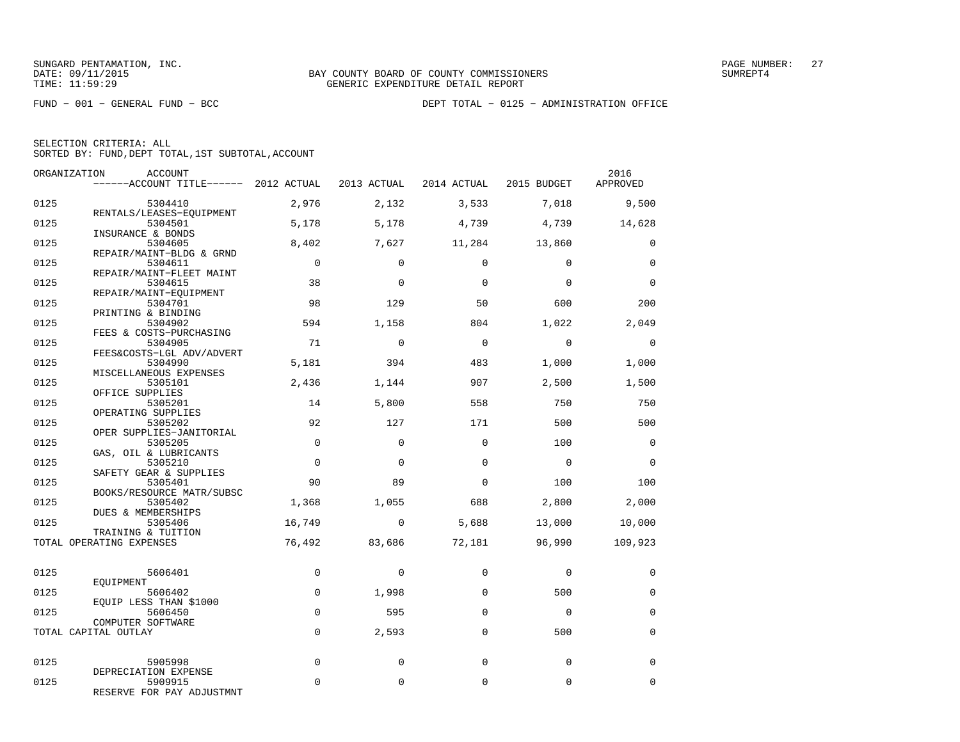| SELECTION CRITERIA: ALL |  |                                                    |  |
|-------------------------|--|----------------------------------------------------|--|
|                         |  | SORTED BY: FUND. DEPT TOTAL. 1ST SUBTOTAL. ACCOUNT |  |

| ORGANIZATION | <b>ACCOUNT</b><br>------ACCOUNT TITLE------ 2012 ACTUAL      |                |             | 2013 ACTUAL 2014 ACTUAL 2015 BUDGET |                | 2016<br>APPROVED |
|--------------|--------------------------------------------------------------|----------------|-------------|-------------------------------------|----------------|------------------|
| 0125         | 5304410                                                      | 2,976          | 2,132       | 3,533                               | 7,018          | 9,500            |
| 0125         | RENTALS/LEASES-EQUIPMENT<br>5304501                          | 5,178          | 5,178       | 4,739                               | 4,739          | 14,628           |
| 0125         | INSURANCE & BONDS<br>5304605                                 | 8,402          | 7,627       | 11,284                              | 13,860         | $\Omega$         |
| 0125         | REPAIR/MAINT-BLDG & GRND<br>5304611                          | $\overline{0}$ | $\Omega$    | $\Omega$                            | $\Omega$       | $\mathbf 0$      |
| 0125         | REPAIR/MAINT-FLEET MAINT<br>5304615                          | 38             | $\Omega$    | $\Omega$                            | $\Omega$       | $\Omega$         |
| 0125         | REPAIR/MAINT-EOUIPMENT<br>5304701<br>PRINTING & BINDING      | 98             | 129         | 50                                  | 600            | 200              |
| 0125         | 5304902<br>FEES & COSTS-PURCHASING                           | 594            | 1,158       | 804                                 | 1,022          | 2,049            |
| 0125         | 5304905<br>FEES&COSTS-LGL ADV/ADVERT                         | 71             | $\Omega$    | $\Omega$                            | $\Omega$       | $\Omega$         |
| 0125         | 5304990<br>MISCELLANEOUS EXPENSES                            | 5,181          | 394         | 483                                 | 1,000          | 1,000            |
| 0125         | 5305101<br>OFFICE SUPPLIES                                   | 2,436          | 1,144       | 907                                 | 2,500          | 1,500            |
| 0125         | 5305201<br>OPERATING SUPPLIES                                | 14             | 5,800       | 558                                 | 750            | 750              |
| 0125         | 5305202<br>OPER SUPPLIES-JANITORIAL                          | 92             | 127         | 171                                 | 500            | 500              |
| 0125         | 5305205<br>GAS, OIL & LUBRICANTS                             | $\Omega$       | $\Omega$    | $\Omega$                            | 100            | $\Omega$         |
| 0125         | 5305210<br>SAFETY GEAR & SUPPLIES                            | $\mathbf 0$    | $\mathbf 0$ | $\mathbf 0$                         | $\overline{0}$ | $\mathbf 0$      |
| 0125         | 5305401<br>BOOKS/RESOURCE MATR/SUBSC                         | 90             | 89          | $\Omega$                            | 100            | 100              |
| 0125         | 5305402<br>DUES & MEMBERSHIPS                                | 1,368          | 1,055       | 688                                 | 2,800          | 2,000            |
| 0125         | 5305406<br>TRAINING & TUITION                                | 16,749         | $\mathbf 0$ | 5,688                               | 13,000         | 10,000           |
|              | TOTAL OPERATING EXPENSES                                     | 76,492         | 83,686      | 72,181                              | 96,990         | 109,923          |
| 0125         | 5606401<br>EOUIPMENT                                         | $\Omega$       | $\Omega$    | $\Omega$                            | $\Omega$       | $\Omega$         |
| 0125         | 5606402<br>EQUIP LESS THAN \$1000                            | $\Omega$       | 1,998       | $\Omega$                            | 500            | $\Omega$         |
| 0125         | 5606450<br>COMPUTER SOFTWARE                                 | $\Omega$       | 595         | $\Omega$                            | $\Omega$       | $\mathbf 0$      |
|              | TOTAL CAPITAL OUTLAY                                         | $\Omega$       | 2,593       | $\Omega$                            | 500            | $\mathbf 0$      |
| 0125         | 5905998                                                      | $\mathbf 0$    | 0           | $\Omega$                            | $\Omega$       | $\mathbf 0$      |
| 0125         | DEPRECIATION EXPENSE<br>5909915<br>RESERVE FOR PAY ADJUSTMNT | $\Omega$       | 0           | 0                                   | $\mathbf 0$    | $\mathbf 0$      |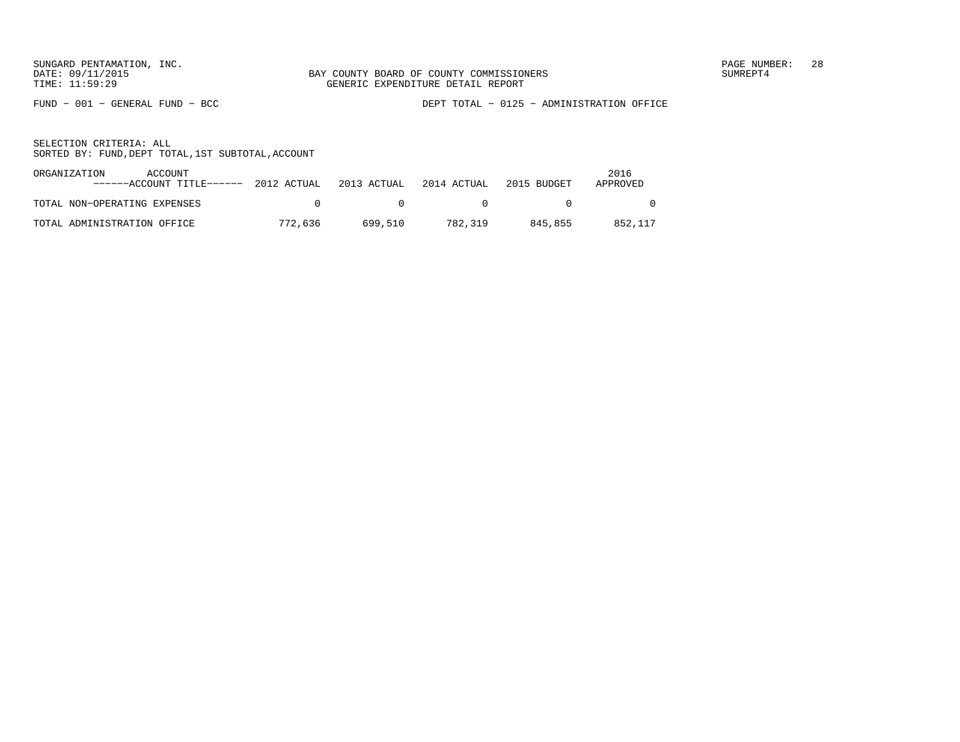FUND − 001 − GENERAL FUND − BCC DEPT TOTAL − 0125 − ADMINISTRATION OFFICE

| ORGANIZATION<br>ACCOUNT<br>$----ACCOUNT$ TITLE $---2012$ ACTUAL $2013$ ACTUAL $2014$ ACTUAL |         |              |                | 2015 BUDGET | 2016<br>APPROVED |
|---------------------------------------------------------------------------------------------|---------|--------------|----------------|-------------|------------------|
| TOTAL NON-OPERATING EXPENSES                                                                |         | $\mathsf{A}$ | $\overline{a}$ |             |                  |
| TOTAL ADMINISTRATION OFFICE                                                                 | 772,636 | 699.510      | 782,319        | 845.855     | 852,117          |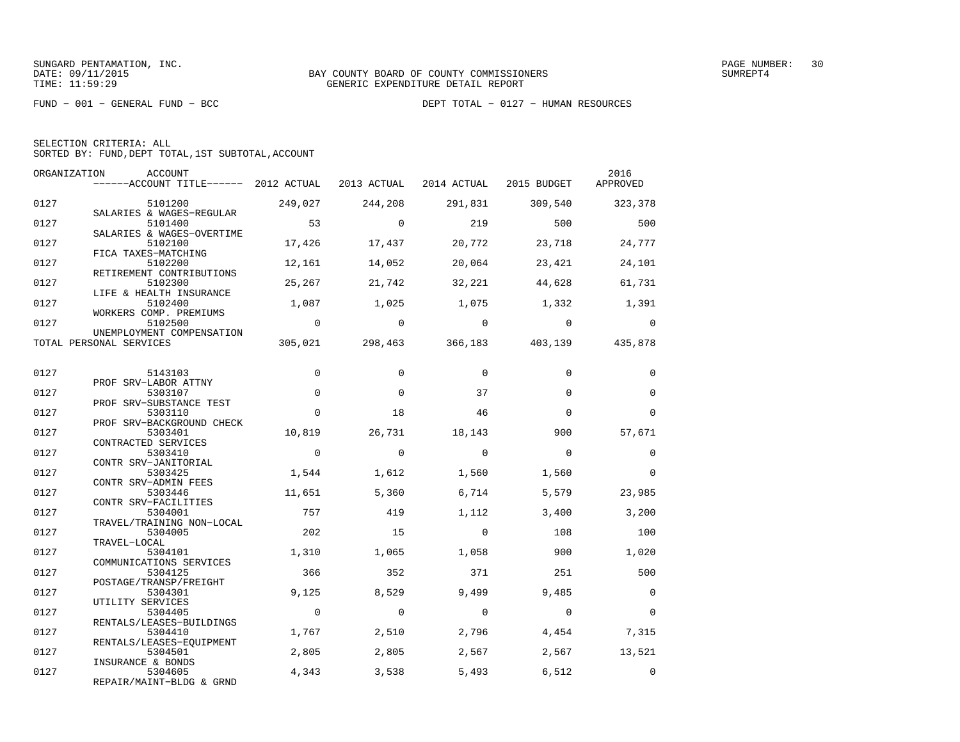FUND − 001 − GENERAL FUND − BCC DEPT TOTAL − 0127 − HUMAN RESOURCES

|  | SELECTION CRITERIA: ALL |                                                    |  |
|--|-------------------------|----------------------------------------------------|--|
|  |                         | SORTED BY: FUND, DEPT TOTAL, 1ST SUBTOTAL, ACCOUNT |  |

| ORGANIZATION | ACCOUNT<br>------ACCOUNT TITLE------ 2012 ACTUAL 2013 ACTUAL 2014 ACTUAL 2015 BUDGET |                |                |                |                                         | 2016<br>APPROVED |
|--------------|--------------------------------------------------------------------------------------|----------------|----------------|----------------|-----------------------------------------|------------------|
| 0127         | 5101200<br>SALARIES & WAGES-REGULAR                                                  | 249,027        | 244,208        | 291,831        | 309,540                                 | 323,378          |
| 0127         | 5101400<br>SALARIES & WAGES-OVERTIME                                                 | 53             | $\Omega$       | 219            | 500                                     | 500              |
| 0127         | 5102100<br>FICA TAXES-MATCHING                                                       | 17,426         | 17,437         | 20,772         | 23,718                                  | 24,777           |
| 0127         | 5102200<br>RETIREMENT CONTRIBUTIONS                                                  | 12,161         | 14,052         | 20,064         | 23,421                                  | 24,101           |
| 0127         | 5102300<br>LIFE & HEALTH INSURANCE                                                   | 25,267         | 21,742         | 32,221         | 44,628                                  | 61,731           |
| 0127         | 5102400<br>WORKERS COMP. PREMIUMS                                                    | 1,087          | 1,025          | 1,075          | 1,332                                   | 1,391            |
| 0127         | 5102500<br>UNEMPLOYMENT COMPENSATION                                                 | $\overline{0}$ | $\overline{0}$ | $\overline{0}$ | $\overline{0}$                          | $\overline{0}$   |
|              | TOTAL PERSONAL SERVICES                                                              |                |                |                | 305,021 298,463 366,183 403,139 435,878 |                  |
| 0127         | 5143103<br>PROF SRV-LABOR ATTNY                                                      | $\mathbf 0$    | $\mathbf 0$    | $\mathbf 0$    | $\Omega$                                | $\mathbf 0$      |
| 0127         | 5303107<br>PROF SRV-SUBSTANCE TEST                                                   | $\mathbf 0$    | $\Omega$       | 37             | $\Omega$                                | $\mathbf 0$      |
| 0127         | 5303110<br>PROF SRV-BACKGROUND CHECK                                                 | $\Omega$       | 18             | 46             | $\Omega$                                | $\Omega$         |
| 0127         | 5303401<br>CONTRACTED SERVICES                                                       | 10,819         | 26,731         | 18,143         | 900                                     | 57,671           |
| 0127         | 5303410<br>CONTR SRV-JANITORIAL                                                      | $\overline{0}$ | $\mathbf 0$    | $\bigcirc$     | $\Omega$                                | 0                |
| 0127         | 5303425<br>CONTR SRV-ADMIN FEES                                                      | 1,544          | 1,612          | 1,560          | 1,560                                   | $\overline{0}$   |
| 0127         | 5303446<br>CONTR SRV-FACILITIES                                                      | 11,651         | 5,360          | 6,714          | 5,579                                   | 23,985           |
| 0127         | 5304001<br>TRAVEL/TRAINING NON-LOCAL                                                 | 757            | 419            | 1,112          | 3,400                                   | 3,200            |
| 0127         | 5304005<br>TRAVEL-LOCAL                                                              | 202            | 15             | $\Omega$       | 108                                     | 100              |
| 0127         | 5304101<br>COMMUNICATIONS SERVICES                                                   | 1,310          | 1,065          | 1,058          | 900                                     | 1,020            |
| 0127         | 5304125<br>POSTAGE/TRANSP/FREIGHT                                                    | 366            | 352            | 371            | 251                                     | 500              |
| 0127         | 5304301<br>UTILITY SERVICES                                                          | 9.125          | 8,529          | 9,499          | 9,485                                   | $\Omega$         |
| 0127         | 5304405<br>RENTALS/LEASES-BUILDINGS                                                  | $\overline{0}$ | $\overline{0}$ | $\overline{0}$ | $\overline{0}$                          | $\mathbf 0$      |
| 0127         | 5304410<br>RENTALS/LEASES-EQUIPMENT                                                  | 1,767          | 2,510          | 2,796          | 4,454                                   | 7,315            |
| 0127         | 5304501<br>INSURANCE & BONDS                                                         | 2,805          | 2,805          | 2,567          | 2,567                                   | 13,521           |
| 0127         | 5304605<br>REPAIR/MAINT-BLDG & GRND                                                  | 4,343          | 3,538          | 5,493          | 6,512                                   | $\Omega$         |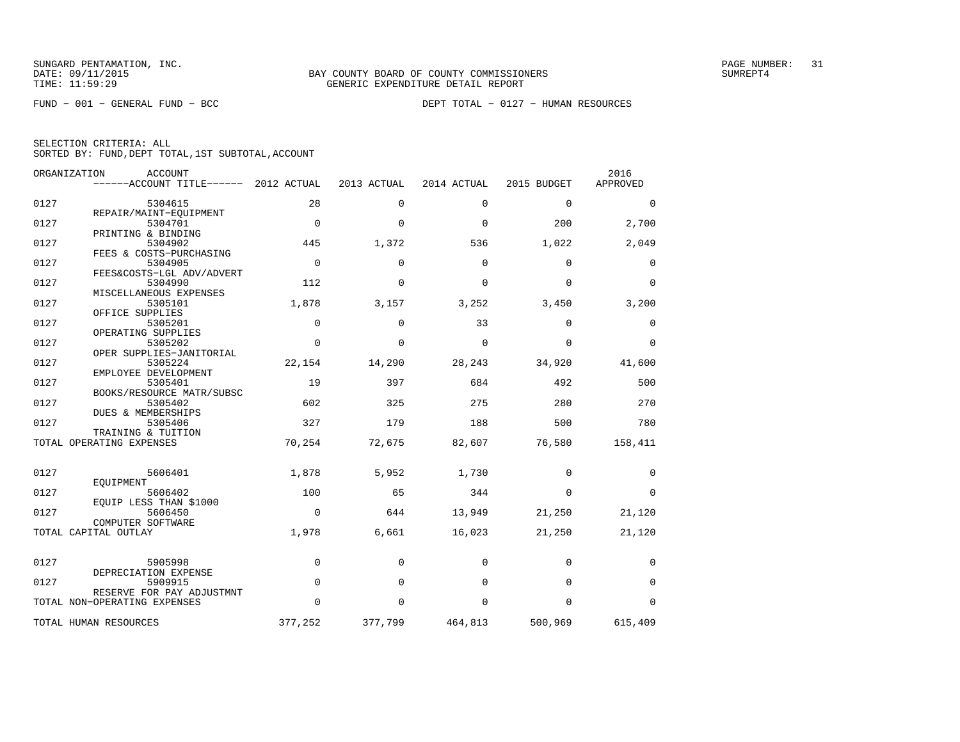FUND − 001 − GENERAL FUND − BCC DEPT TOTAL − 0127 − HUMAN RESOURCES

|  | SELECTION CRITERIA: ALL |                                                    |  |
|--|-------------------------|----------------------------------------------------|--|
|  |                         | SORTED BY: FUND, DEPT TOTAL, 1ST SUBTOTAL, ACCOUNT |  |

|      | ORGANIZATION<br><b>ACCOUNT</b><br>------ACCOUNT TITLE------ 2012 ACTUAL |             | 2013 ACTUAL | 2014 ACTUAL | 2015 BUDGET | 2016<br>APPROVED |
|------|-------------------------------------------------------------------------|-------------|-------------|-------------|-------------|------------------|
| 0127 | 5304615                                                                 | 28          | $\Omega$    | $\Omega$    | $\mathbf 0$ | 0                |
| 0127 | REPAIR/MAINT-EQUIPMENT<br>5304701                                       | $\Omega$    | $\Omega$    | $\Omega$    | 200         | 2,700            |
| 0127 | PRINTING & BINDING<br>5304902                                           | 445         | 1,372       | 536         | 1,022       | 2,049            |
| 0127 | FEES & COSTS-PURCHASING<br>5304905                                      | $\Omega$    | $\Omega$    | $\Omega$    | $\Omega$    | 0                |
|      | FEES&COSTS-LGL ADV/ADVERT                                               |             |             |             |             |                  |
| 0127 | 5304990<br>MISCELLANEOUS EXPENSES                                       | 112         | $\Omega$    | $\Omega$    | $\Omega$    | $\Omega$         |
| 0127 | 5305101<br>OFFICE SUPPLIES                                              | 1,878       | 3,157       | 3,252       | 3,450       | 3,200            |
| 0127 | 5305201<br>OPERATING SUPPLIES                                           | 0           | $\Omega$    | 33          | $\mathbf 0$ | 0                |
| 0127 | 5305202                                                                 | $\Omega$    | $\Omega$    | $\mathbf 0$ | $\mathbf 0$ | $\Omega$         |
| 0127 | OPER SUPPLIES-JANITORIAL<br>5305224                                     | 22,154      | 14,290      | 28,243      | 34,920      | 41,600           |
| 0127 | EMPLOYEE DEVELOPMENT<br>5305401                                         | 19          | 397         | 684         | 492         | 500              |
| 0127 | BOOKS/RESOURCE MATR/SUBSC<br>5305402                                    | 602         | 325         | 275         | 280         | 270              |
| 0127 | <b>DUES &amp; MEMBERSHIPS</b><br>5305406                                | 327         | 179         | 188         | 500         | 780              |
|      | TRAINING & TUITION<br>TOTAL OPERATING EXPENSES                          | 70,254      | 72,675      | 82,607      | 76,580      | 158,411          |
|      |                                                                         |             |             |             |             |                  |
| 0127 | 5606401                                                                 | 1,878       | 5,952       | 1,730       | $\Omega$    | $\Omega$         |
| 0127 | EOUIPMENT<br>5606402                                                    | 100         | 65          | 344         | $\Omega$    | $\Omega$         |
| 0127 | EQUIP LESS THAN \$1000<br>5606450                                       | $\mathbf 0$ | 644         | 13,949      | 21,250      | 21,120           |
|      | COMPUTER SOFTWARE<br>TOTAL CAPITAL OUTLAY                               | 1,978       | 6,661       | 16,023      | 21,250      | 21,120           |
|      |                                                                         |             |             |             |             |                  |
| 0127 | 5905998<br>DEPRECIATION EXPENSE                                         | 0           | $\mathbf 0$ | $\mathbf 0$ | $\mathbf 0$ | 0                |
| 0127 | 5909915                                                                 | $\mathbf 0$ | $\Omega$    | $\Omega$    | $\mathbf 0$ | 0                |
|      | RESERVE FOR PAY ADJUSTMNT<br>TOTAL NON-OPERATING EXPENSES               | $\Omega$    | $\Omega$    | $\Omega$    | $\Omega$    | $\Omega$         |
|      | TOTAL HUMAN RESOURCES                                                   | 377,252     | 377,799     | 464,813     | 500,969     | 615,409          |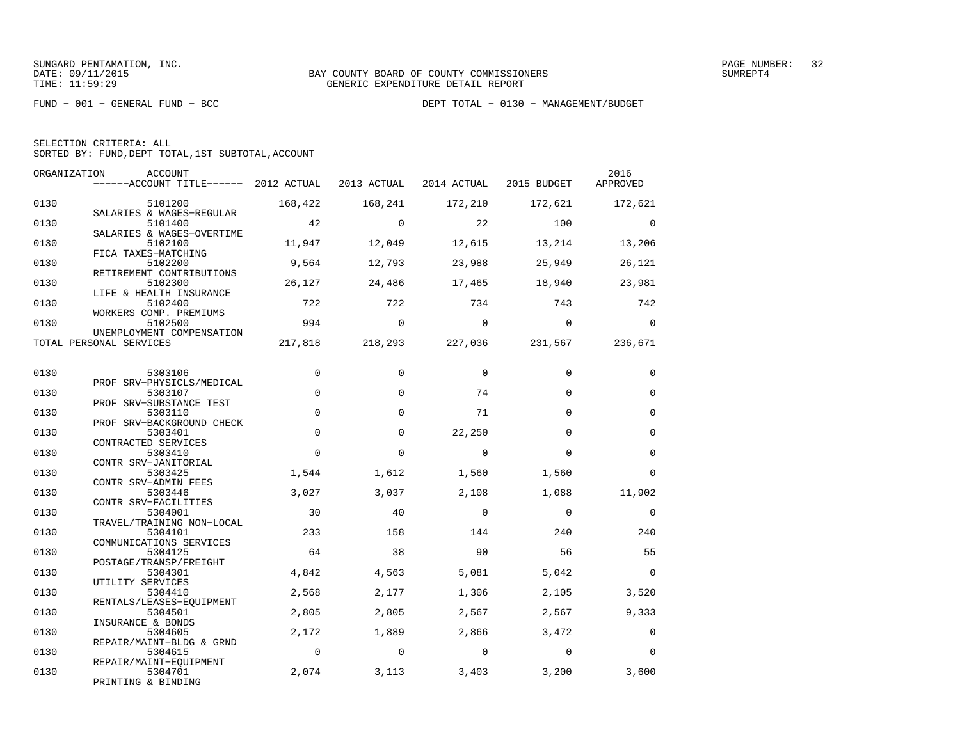| SELECTION CRITERIA: ALL |  |  |                                                    |  |
|-------------------------|--|--|----------------------------------------------------|--|
|                         |  |  | SORTED BY: FUND, DEPT TOTAL, 1ST SUBTOTAL, ACCOUNT |  |

| ORGANIZATION | ACCOUNT<br>------ACCOUNT TITLE------ 2012 ACTUAL 2013 ACTUAL |                |             | 2014 ACTUAL                     | 2015 BUDGET  | 2016<br>APPROVED |
|--------------|--------------------------------------------------------------|----------------|-------------|---------------------------------|--------------|------------------|
|              |                                                              |                |             |                                 |              |                  |
| 0130         | 5101200                                                      | 168,422        | 168,241     | 172,210                         | 172,621      | 172,621          |
|              | SALARIES & WAGES-REGULAR                                     |                |             |                                 |              |                  |
| 0130         | 5101400                                                      | 42             | $\Omega$    | 22                              | 100          | $\overline{0}$   |
| 0130         | SALARIES & WAGES-OVERTIME<br>5102100                         | 11,947         | 12,049      | 12,615                          | 13,214       | 13,206           |
|              | FICA TAXES-MATCHING                                          |                |             |                                 |              |                  |
| 0130         | 5102200                                                      | 9,564          | 12,793      | 23,988                          | 25,949       | 26,121           |
|              | RETIREMENT CONTRIBUTIONS                                     |                |             |                                 |              |                  |
| 0130         | 5102300                                                      | 26,127         | 24,486      | 17,465                          | 18,940       | 23,981           |
| 0130         | LIFE & HEALTH INSURANCE<br>5102400                           | 722            | 722         | 734                             | 743          | 742              |
|              | WORKERS COMP. PREMIUMS                                       |                |             |                                 |              |                  |
| 0130         | 5102500                                                      | 994            | $\mathbf 0$ | $\overline{0}$                  | $\mathbf{0}$ | $\overline{0}$   |
|              | UNEMPLOYMENT COMPENSATION                                    |                |             |                                 |              |                  |
|              | TOTAL PERSONAL SERVICES                                      |                |             | 217,818 218,293 227,036 231,567 |              | 236,671          |
|              |                                                              |                |             |                                 |              |                  |
| 0130         | 5303106                                                      | $\mathbf 0$    | 0           | $\mathbf 0$                     | $\Omega$     | $\mathbf 0$      |
|              | PROF SRV-PHYSICLS/MEDICAL                                    |                |             |                                 |              |                  |
| 0130         | 5303107                                                      | $\mathbf 0$    | $\Omega$    | 74                              | $\Omega$     | $\mathbf 0$      |
|              | PROF SRV-SUBSTANCE TEST                                      |                |             |                                 |              |                  |
| 0130         | 5303110                                                      | $\Omega$       | $\Omega$    | 71                              | $\Omega$     | $\Omega$         |
|              | PROF SRV-BACKGROUND CHECK                                    |                |             |                                 |              |                  |
| 0130         | 5303401<br>CONTRACTED SERVICES                               | $\Omega$       | 0           | 22,250                          | $\Omega$     | $\mathbf 0$      |
| 0130         | 5303410                                                      | $\Omega$       | $\Omega$    | $\Omega$                        | $\Omega$     | $\Omega$         |
|              | CONTR SRV-JANITORIAL                                         |                |             |                                 |              |                  |
| 0130         | 5303425                                                      | 1,544          | 1,612       | 1,560                           | 1,560        | $\mathbf 0$      |
|              | CONTR SRV-ADMIN FEES                                         |                |             |                                 |              |                  |
| 0130         | 5303446                                                      | 3,027          | 3,037       | 2,108                           | 1,088        | 11,902           |
| 0130         | CONTR SRV-FACILITIES<br>5304001                              | 30             | 40          | $\overline{0}$                  | $\mathbf 0$  | $\mathbf 0$      |
|              | TRAVEL/TRAINING NON-LOCAL                                    |                |             |                                 |              |                  |
| 0130         | 5304101                                                      | 233            | 158         | 144                             | 240          | 240              |
|              | COMMUNICATIONS SERVICES                                      |                |             |                                 |              |                  |
| 0130         | 5304125                                                      | 64             | 38          | 90                              | 56           | 55               |
|              | POSTAGE/TRANSP/FREIGHT                                       |                |             |                                 |              |                  |
| 0130         | 5304301<br>UTILITY SERVICES                                  | 4,842          | 4,563       | 5,081                           | 5,042        | $\Omega$         |
| 0130         | 5304410                                                      | 2,568          | 2,177       | 1,306                           | 2,105        | 3,520            |
|              | RENTALS/LEASES-EOUIPMENT                                     |                |             |                                 |              |                  |
| 0130         | 5304501                                                      | 2,805          | 2,805       | 2,567                           | 2,567        | 9,333            |
|              | INSURANCE & BONDS                                            |                |             |                                 |              |                  |
| 0130         | 5304605                                                      | 2,172          | 1,889       | 2,866                           | 3,472        | 0                |
| 0130         | REPAIR/MAINT-BLDG & GRND<br>5304615                          | $\overline{0}$ | $\mathbf 0$ | $\overline{0}$                  | $\Omega$     | $\Omega$         |
|              | REPAIR/MAINT-EOUIPMENT                                       |                |             |                                 |              |                  |
| 0130         | 5304701                                                      | 2,074          | 3,113       | 3,403                           | 3,200        | 3,600            |
|              | PRINTING & BINDING                                           |                |             |                                 |              |                  |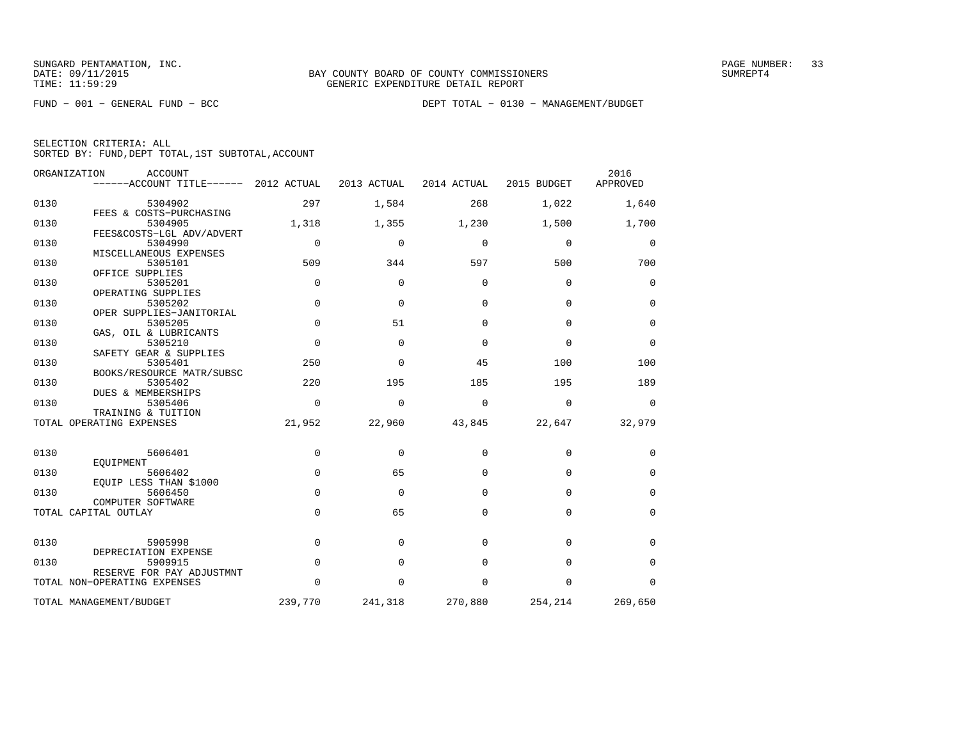FUND − 001 − GENERAL FUND − BCC DEPT TOTAL − 0130 − MANAGEMENT/BUDGET

SELECTION CRITERIA: ALL

SORTED BY: FUND,DEPT TOTAL,1ST SUBTOTAL,ACCOUNT

|      | ORGANIZATION<br><b>ACCOUNT</b><br>$----ACCOUNT$ TITLE $----2012$ ACTUAL |             | 2013 ACTUAL | 2014 ACTUAL | 2015 BUDGET | 2016<br>APPROVED |
|------|-------------------------------------------------------------------------|-------------|-------------|-------------|-------------|------------------|
| 0130 | 5304902                                                                 | 297         | 1,584       | 268         | 1,022       | 1,640            |
| 0130 | FEES & COSTS-PURCHASING<br>5304905                                      | 1,318       | 1,355       | 1,230       | 1,500       | 1,700            |
| 0130 | FEES&COSTS-LGL ADV/ADVERT<br>5304990                                    | $\mathbf 0$ | $\mathbf 0$ | 0           | $\mathbf 0$ | 0                |
| 0130 | MISCELLANEOUS EXPENSES<br>5305101                                       | 509         | 344         | 597         | 500         | 700              |
| 0130 | OFFICE SUPPLIES<br>5305201                                              | $\Omega$    | $\Omega$    | $\Omega$    | $\Omega$    | $\Omega$         |
| 0130 | OPERATING SUPPLIES<br>5305202                                           | $\mathbf 0$ | $\Omega$    | $\Omega$    | $\mathbf 0$ | $\mathbf 0$      |
| 0130 | OPER SUPPLIES-JANITORIAL<br>5305205                                     | $\Omega$    | 51          | $\Omega$    | $\Omega$    | $\Omega$         |
| 0130 | GAS, OIL & LUBRICANTS<br>5305210                                        | $\Omega$    | $\Omega$    | $\Omega$    | $\Omega$    | $\mathbf 0$      |
| 0130 | SAFETY GEAR & SUPPLIES<br>5305401<br>BOOKS/RESOURCE MATR/SUBSC          | 250         | $\Omega$    | 45          | 100         | 100              |
| 0130 | 5305402<br>DUES & MEMBERSHIPS                                           | 220         | 195         | 185         | 195         | 189              |
| 0130 | 5305406<br>TRAINING & TUITION                                           | $\Omega$    | $\mathbf 0$ | $\Omega$    | $\mathbf 0$ | $\mathbf 0$      |
|      | TOTAL OPERATING EXPENSES                                                | 21,952      | 22,960      | 43,845      | 22,647      | 32,979           |
| 0130 | 5606401                                                                 | $\Omega$    | $\Omega$    | $\Omega$    | $\Omega$    | 0                |
| 0130 | EOUIPMENT<br>5606402                                                    | $\mathbf 0$ | 65          | $\Omega$    | $\Omega$    | $\mathbf 0$      |
| 0130 | EOUIP LESS THAN \$1000<br>5606450                                       | $\mathbf 0$ | $\Omega$    | $\Omega$    | $\Omega$    | $\Omega$         |
|      | COMPUTER SOFTWARE<br>TOTAL CAPITAL OUTLAY                               | $\Omega$    | 65          | $\Omega$    | $\Omega$    | $\mathbf 0$      |
|      |                                                                         |             |             |             |             |                  |
| 0130 | 5905998<br>DEPRECIATION EXPENSE                                         | $\mathbf 0$ | $\Omega$    | $\Omega$    | $\Omega$    | $\mathbf 0$      |
| 0130 | 5909915<br>RESERVE FOR PAY ADJUSTMNT                                    | $\Omega$    | $\Omega$    | $\Omega$    | $\Omega$    | $\Omega$         |
|      | TOTAL NON-OPERATING EXPENSES                                            | $\Omega$    | $\Omega$    | 0           | $\mathbf 0$ | $\Omega$         |
|      | TOTAL MANAGEMENT/BUDGET                                                 | 239,770     | 241,318     | 270,880     | 254,214     | 269,650          |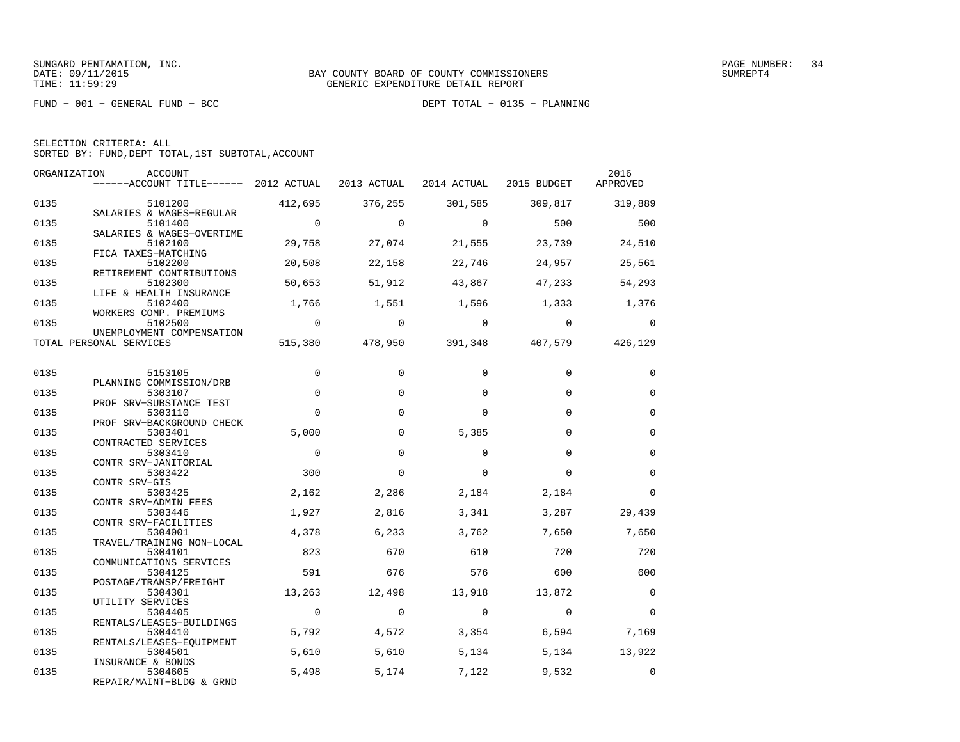FUND − 001 − GENERAL FUND − BCC DEPT TOTAL − 0135 − PLANNING

|  | SELECTION CRITERIA: ALL |                                                    |
|--|-------------------------|----------------------------------------------------|
|  |                         | SORTED BY: FUND, DEPT TOTAL, 1ST SUBTOTAL, ACCOUNT |

| ORGANIZATION | ACCOUNT<br>------ACCOUNT TITLE------ 2012 ACTUAL |                | 2013 ACTUAL | 2014 ACTUAL    | 2015 BUDGET             | 2016<br>APPROVED |
|--------------|--------------------------------------------------|----------------|-------------|----------------|-------------------------|------------------|
| 0135         | 5101200                                          | 412,695        | 376,255     | 301,585        | 309,817                 | 319,889          |
|              | SALARIES & WAGES-REGULAR                         |                |             |                |                         |                  |
| 0135         | 5101400                                          | $\overline{0}$ | $\Omega$    | $\Omega$       | 500                     | 500              |
| 0135         | SALARIES & WAGES-OVERTIME<br>5102100             | 29,758         | 27,074      | 21,555         | 23,739                  | 24,510           |
|              | FICA TAXES-MATCHING                              |                |             |                |                         |                  |
| 0135         | 5102200                                          | 20,508         | 22,158      | 22,746         | 24,957                  | 25,561           |
| 0135         | RETIREMENT CONTRIBUTIONS<br>5102300              | 50,653         | 51,912      | 43,867         | 47,233                  | 54,293           |
|              | LIFE & HEALTH INSURANCE                          |                |             |                |                         |                  |
| 0135         | 5102400                                          | 1,766          | 1,551       | 1,596          | 1,333                   | 1,376            |
|              | WORKERS COMP. PREMIUMS                           | $\overline{0}$ | $\Omega$    | $\Omega$       | $\Omega$                |                  |
| 0135         | 5102500<br>UNEMPLOYMENT COMPENSATION             |                |             |                |                         | $\mathbf 0$      |
|              | TOTAL PERSONAL SERVICES                          | 515,380        | 478,950     |                | 391,348 407,579 426,129 |                  |
|              |                                                  |                |             |                |                         |                  |
| 0135         | 5153105                                          | $\mathbf 0$    | 0           | $\mathbf 0$    | 0                       | $\mathbf 0$      |
|              | PLANNING COMMISSION/DRB                          |                |             |                |                         |                  |
| 0135         | 5303107                                          | $\mathbf 0$    | $\mathbf 0$ | $\Omega$       | $\Omega$                | $\mathbf 0$      |
| 0135         | PROF SRV-SUBSTANCE TEST<br>5303110               | $\Omega$       | $\Omega$    | $\Omega$       | $\Omega$                | $\Omega$         |
|              | PROF SRV-BACKGROUND CHECK                        |                |             |                |                         |                  |
| 0135         | 5303401                                          | 5,000          | $\Omega$    | 5,385          | $\Omega$                | $\Omega$         |
| 0135         | CONTRACTED SERVICES                              | $\Omega$       | $\Omega$    | $\Omega$       | $\Omega$                | $\Omega$         |
|              | 5303410<br>CONTR SRV-JANITORIAL                  |                |             |                |                         |                  |
| 0135         | 5303422                                          | 300            | $\Omega$    | $\Omega$       | $\Omega$                | $\mathbf 0$      |
|              | CONTR SRV-GIS                                    |                |             |                |                         |                  |
| 0135         | 5303425<br>CONTR SRV-ADMIN FEES                  | 2,162          | 2,286       | 2,184          | 2,184                   | $\Omega$         |
| 0135         | 5303446                                          | 1,927          | 2,816       | 3,341          | 3,287                   | 29,439           |
|              | CONTR SRV-FACILITIES                             |                |             |                |                         |                  |
| 0135         | 5304001<br>TRAVEL/TRAINING NON-LOCAL             | 4,378          | 6,233       | 3,762          | 7,650                   | 7,650            |
| 0135         | 5304101                                          | 823            | 670         | 610            | 720                     | 720              |
|              | COMMUNICATIONS SERVICES                          |                |             |                |                         |                  |
| 0135         | 5304125                                          | 591            | 676         | 576            | 600                     | 600              |
| 0135         | POSTAGE/TRANSP/FREIGHT<br>5304301                | 13,263         | 12,498      | 13,918         | 13,872                  | $\Omega$         |
|              | UTILITY SERVICES                                 |                |             |                |                         |                  |
| 0135         | 5304405                                          | $\overline{0}$ | $\Omega$    | $\overline{0}$ | $\Omega$                | $\Omega$         |
| 0135         | RENTALS/LEASES-BUILDINGS<br>5304410              | 5,792          | 4,572       | 3,354          | 6,594                   | 7,169            |
|              | RENTALS/LEASES-EQUIPMENT                         |                |             |                |                         |                  |
| 0135         | 5304501                                          | 5,610          | 5,610       | 5,134          | 5,134                   | 13,922           |
|              | INSURANCE & BONDS                                |                |             |                |                         |                  |
| 0135         | 5304605<br>REPAIR/MAINT-BLDG & GRND              | 5,498          | 5,174       | 7,122          | 9,532                   | $\Omega$         |
|              |                                                  |                |             |                |                         |                  |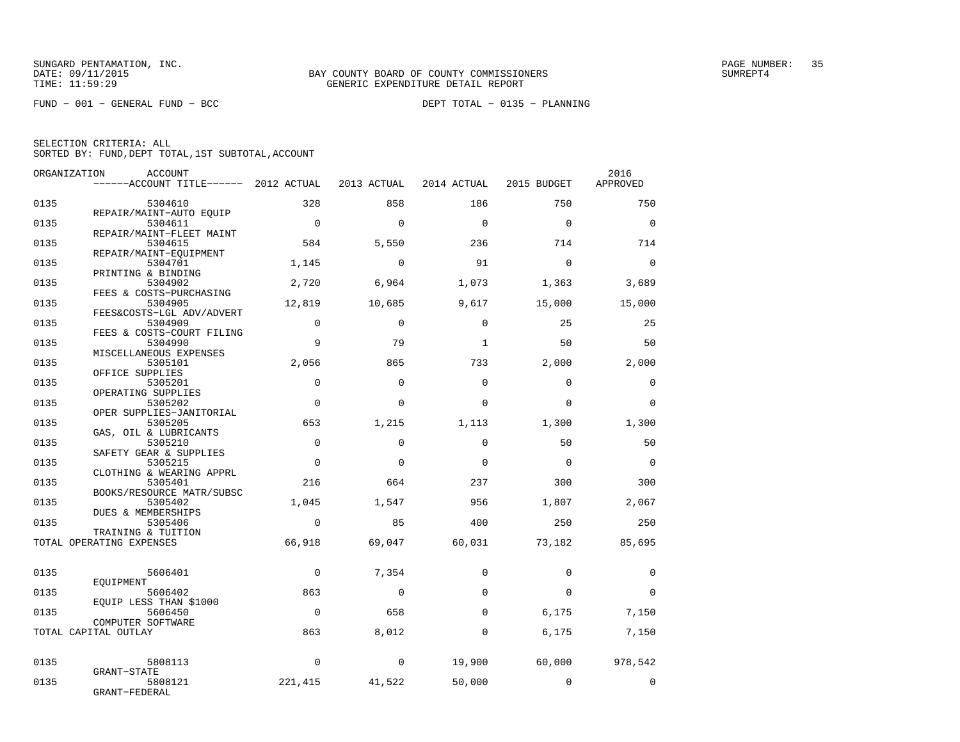FUND − 001 − GENERAL FUND − BCC DEPT TOTAL − 0135 − PLANNING

| SELECTION CRITERIA: ALL |  |  |                                                    |  |
|-------------------------|--|--|----------------------------------------------------|--|
|                         |  |  | SORTED BY: FUND, DEPT TOTAL, 1ST SUBTOTAL, ACCOUNT |  |

| ORGANIZATION | ACCOUNT<br>$----ACCOUNT$ TITLE $--- 2012$ ACTUAL |                | 2013 ACTUAL | 2014 ACTUAL  | 2015 BUDGET | 2016<br>APPROVED |
|--------------|--------------------------------------------------|----------------|-------------|--------------|-------------|------------------|
|              |                                                  |                |             |              |             |                  |
| 0135         | 5304610                                          | 328            | 858         | 186          | 750         | 750              |
| 0135         | REPAIR/MAINT-AUTO EQUIP<br>5304611               | $\overline{0}$ | $\Omega$    | $\Omega$     | $\Omega$    | $\Omega$         |
|              | REPAIR/MAINT-FLEET MAINT                         |                |             |              |             |                  |
| 0135         | 5304615                                          | 584            | 5,550       | 236          | 714         | 714              |
| 0135         | REPAIR/MAINT-EQUIPMENT<br>5304701                | 1,145          | $\Omega$    | 91           | $\Omega$    | $\Omega$         |
|              | PRINTING & BINDING                               |                |             |              |             |                  |
| 0135         | 5304902                                          | 2,720          | 6,964       | 1,073        | 1,363       | 3,689            |
|              | FEES & COSTS-PURCHASING                          |                |             |              |             |                  |
| 0135         | 5304905<br>FEES&COSTS-LGL ADV/ADVERT             | 12,819         | 10,685      | 9,617        | 15,000      | 15,000           |
| 0135         | 5304909                                          | $\Omega$       | $\Omega$    | $\Omega$     | 25          | 25               |
|              | FEES & COSTS-COURT FILING                        |                |             |              |             |                  |
| 0135         | 5304990                                          | 9              | 79          | $\mathbf{1}$ | 50          | 50               |
| 0135         | MISCELLANEOUS EXPENSES<br>5305101                | 2,056          | 865         | 733          | 2,000       | 2,000            |
|              | OFFICE SUPPLIES                                  |                |             |              |             |                  |
| 0135         | 5305201                                          | $\Omega$       | $\Omega$    | $\Omega$     | $\Omega$    | $\mathbf 0$      |
|              | OPERATING SUPPLIES                               |                |             |              |             |                  |
| 0135         | 5305202<br>OPER SUPPLIES-JANITORIAL              | $\mathbf 0$    | $\Omega$    | $\mathbf 0$  | $\Omega$    | $\mathbf 0$      |
| 0135         | 5305205                                          | 653            | 1,215       | 1,113        | 1,300       | 1,300            |
|              | GAS, OIL & LUBRICANTS                            |                |             |              |             |                  |
| 0135         | 5305210                                          | $\mathbf 0$    | $\mathbf 0$ | $\Omega$     | 50          | 50               |
| 0135         | SAFETY GEAR & SUPPLIES<br>5305215                | $\mathbf 0$    | $\Omega$    | $\Omega$     | $\Omega$    | $\mathbf 0$      |
|              | CLOTHING & WEARING APPRL                         |                |             |              |             |                  |
| 0135         | 5305401                                          | 216            | 664         | 237          | 300         | 300              |
|              | BOOKS/RESOURCE MATR/SUBSC                        |                |             |              |             |                  |
| 0135         | 5305402<br>DUES & MEMBERSHIPS                    | 1,045          | 1,547       | 956          | 1,807       | 2,067            |
| 0135         | 5305406                                          | $\Omega$       | 85          | 400          | 250         | 250              |
|              | TRAINING & TUITION                               |                |             |              |             |                  |
|              | TOTAL OPERATING EXPENSES                         | 66,918         | 69,047      | 60,031       | 73,182      | 85,695           |
|              |                                                  |                |             |              |             |                  |
| 0135         | 5606401                                          | $\Omega$       | 7,354       | $\Omega$     | $\Omega$    | 0                |
|              | EOUIPMENT                                        |                |             |              |             |                  |
| 0135         | 5606402<br>EQUIP LESS THAN \$1000                | 863            | $\mathbf 0$ | $\mathbf 0$  | $\mathbf 0$ | $\mathbf 0$      |
| 0135         | 5606450                                          | $\Omega$       | 658         | $\Omega$     | 6,175       | 7,150            |
|              | COMPUTER SOFTWARE                                |                |             |              |             |                  |
|              | TOTAL CAPITAL OUTLAY                             | 863            | 8,012       | $\Omega$     | 6,175       | 7,150            |
|              |                                                  |                |             |              |             |                  |
| 0135         | 5808113                                          | $\mathbf 0$    | $\circ$     | 19,900       | 60,000      | 978,542          |
|              | GRANT-STATE                                      |                |             |              |             |                  |
| 0135         | 5808121<br>GRANT-FEDERAL                         | 221,415        | 41,522      | 50,000       | $\Omega$    | $\mathbf 0$      |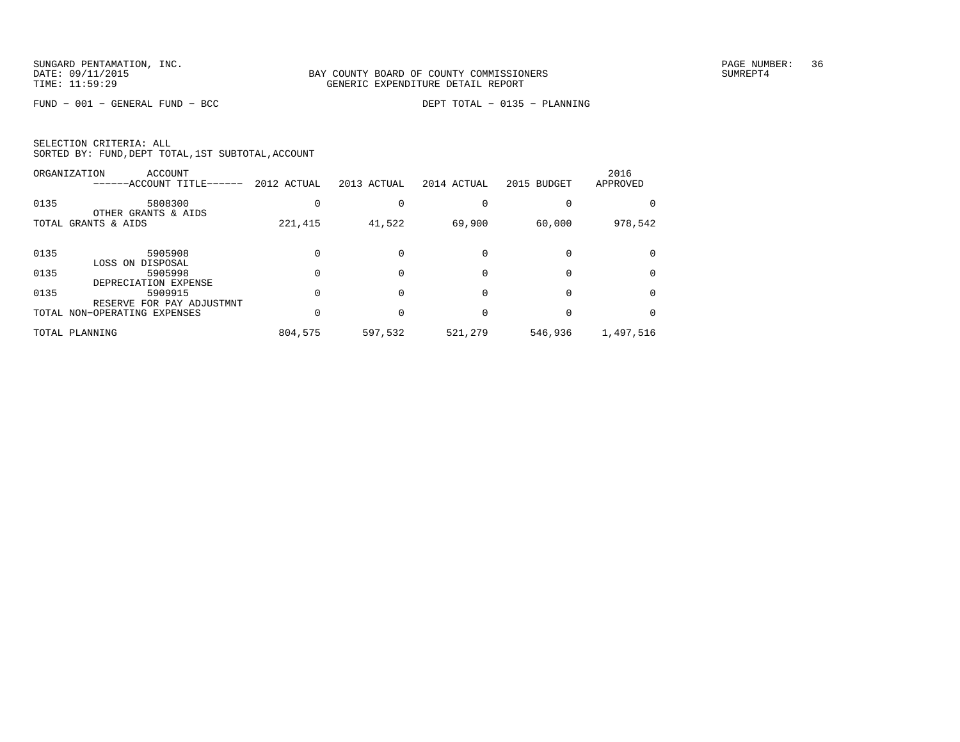FUND − 001 − GENERAL FUND − BCC DEPT TOTAL − 0135 − PLANNING

| SELECTION CRITERIA: ALL |  |  |                                                    |  |
|-------------------------|--|--|----------------------------------------------------|--|
|                         |  |  | SORTED BY: FUND, DEPT TOTAL, 1ST SUBTOTAL, ACCOUNT |  |

|      | ORGANIZATION<br>ACCOUNT<br>------ACCOUNT TITLE------ | 2012 ACTUAL | 2013 ACTUAL | 2014 ACTUAL | 2015 BUDGET | 2016<br>APPROVED |
|------|------------------------------------------------------|-------------|-------------|-------------|-------------|------------------|
| 0135 | 5808300<br>OTHER GRANTS & AIDS                       |             |             |             |             |                  |
|      | TOTAL GRANTS & AIDS                                  | 221,415     | 41,522      | 69,900      | 60,000      | 978,542          |
| 0135 | 5905908<br>LOSS ON DISPOSAL                          |             |             |             |             |                  |
| 0135 | 5905998<br>DEPRECIATION EXPENSE                      |             |             |             |             |                  |
| 0135 | 5909915<br>RESERVE FOR PAY ADJUSTMNT                 |             |             |             |             |                  |
|      | TOTAL NON-OPERATING EXPENSES                         |             |             |             |             |                  |
|      | TOTAL PLANNING                                       | 804,575     | 597,532     | 521,279     | 546,936     | 1,497,516        |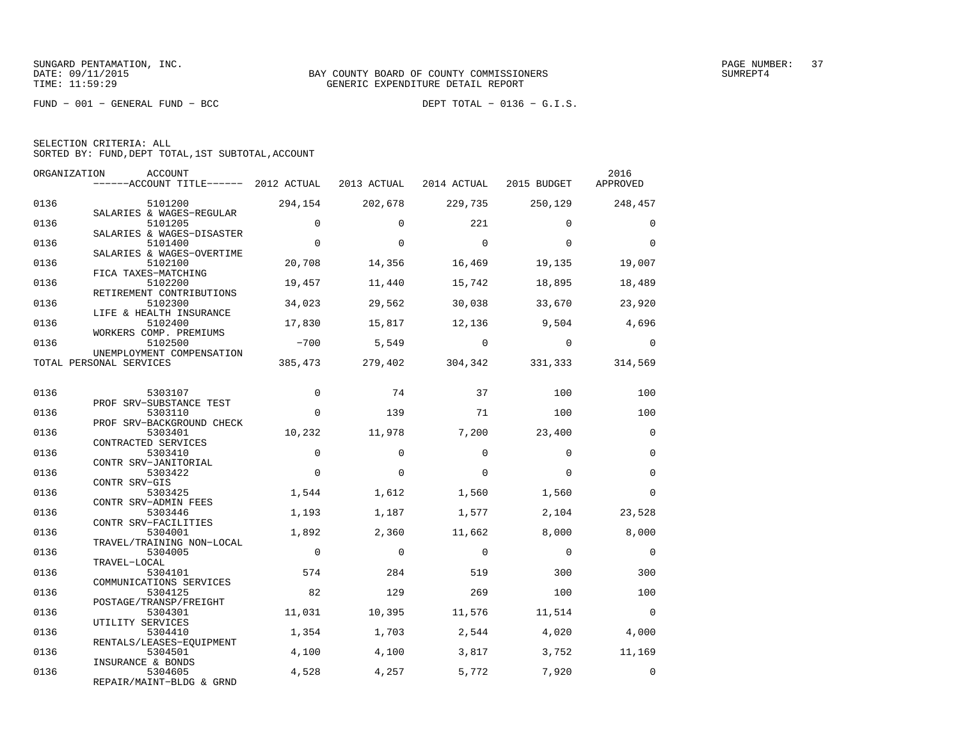FUND − 001 − GENERAL FUND − BCC DEPT TOTAL − 0136 − G.I.S.

SELECTION CRITERIA: ALL

SORTED BY: FUND,DEPT TOTAL,1ST SUBTOTAL,ACCOUNT

| ORGANIZATION | <b>ACCOUNT</b><br>------ACCOUNT TITLE------ 2012 ACTUAL |                | 2013 ACTUAL | 2014 ACTUAL | 2015 BUDGET | 2016<br>APPROVED  |
|--------------|---------------------------------------------------------|----------------|-------------|-------------|-------------|-------------------|
| 0136         | 5101200                                                 | 294,154        | 202,678     | 229,735     |             | 250, 129 248, 457 |
| 0136         | SALARIES & WAGES-REGULAR<br>5101205                     | $\mathbf 0$    | $\Omega$    | 221         | $\Omega$    | $\mathbf 0$       |
| 0136         | SALARIES & WAGES-DISASTER<br>5101400                    | $\mathbf 0$    | $\Omega$    | $\mathbf 0$ | $\Omega$    | $\Omega$          |
| 0136         | SALARIES & WAGES-OVERTIME<br>5102100                    | 20,708         | 14,356      | 16,469      | 19,135      | 19,007            |
| 0136         | FICA TAXES-MATCHING<br>5102200                          | 19,457         | 11,440      | 15,742      | 18,895      | 18,489            |
| 0136         | RETIREMENT CONTRIBUTIONS<br>5102300                     | 34,023         | 29,562      | 30,038      | 33,670      | 23,920            |
| 0136         | LIFE & HEALTH INSURANCE<br>5102400                      | 17,830         | 15,817      | 12,136      | 9,504       | 4,696             |
| 0136         | WORKERS COMP. PREMIUMS<br>5102500                       | $-700$         | 5,549       | $\bigcirc$  | $\Omega$    | $\Omega$          |
|              | UNEMPLOYMENT COMPENSATION<br>TOTAL PERSONAL SERVICES    | 385,473        | 279,402     | 304,342     | 331,333     | 314,569           |
| 0136         | 5303107                                                 | $\mathbf 0$    | 74          | 37          | 100         | 100               |
| 0136         | PROF SRV-SUBSTANCE TEST<br>5303110                      | $\mathbf 0$    | 139         | 71          | 100         | 100               |
| 0136         | PROF SRV-BACKGROUND CHECK<br>5303401                    | 10,232         | 11,978      | 7,200       | 23,400      | $\mathbf 0$       |
| 0136         | CONTRACTED SERVICES<br>5303410                          | $\mathbf 0$    | $\Omega$    | $\Omega$    | $\Omega$    | $\mathbf 0$       |
| 0136         | CONTR SRV-JANITORIAL<br>5303422                         | $\mathbf 0$    | $\mathbf 0$ | $\Omega$    | $\Omega$    | $\mathbf 0$       |
| 0136         | CONTR SRV-GIS<br>5303425                                | 1,544          | 1,612       | 1,560       | 1,560       | $\Omega$          |
| 0136         | CONTR SRV-ADMIN FEES<br>5303446                         | 1,193          | 1,187       | 1,577       | 2,104       | 23,528            |
| 0136         | CONTR SRV-FACILITIES<br>5304001                         | 1,892          | 2,360       | 11,662      | 8,000       | 8,000             |
| 0136         | TRAVEL/TRAINING NON-LOCAL<br>5304005                    | $\overline{0}$ | $\mathbf 0$ | $\mathbf 0$ | $\mathbf 0$ | $\mathbf 0$       |
| 0136         | TRAVEL-LOCAL<br>5304101                                 | 574            | 284         | 519         | 300         | 300               |
| 0136         | COMMUNICATIONS SERVICES<br>5304125                      | 82             | 129         | 269         | 100         | 100               |
| 0136         | POSTAGE/TRANSP/FREIGHT<br>5304301                       | 11,031         | 10,395      | 11,576      | 11,514      | $\Omega$          |
| 0136         | UTILITY SERVICES<br>5304410                             | 1,354          | 1,703       | 2,544       | 4,020       | 4,000             |
| 0136         | RENTALS/LEASES-EOUIPMENT<br>5304501                     | 4,100          | 4,100       | 3,817       | 3,752       | 11,169            |
| 0136         | INSURANCE & BONDS<br>5304605                            | 4,528          | 4,257       | 5,772       | 7,920       | $\mathbf 0$       |
|              | <b>DEDITE</b> 1959<br>$\sim$ $\sim$ $\sim$ $\sim$       |                |             |             |             |                   |

REPAIR/MAINT−BLDG & GRND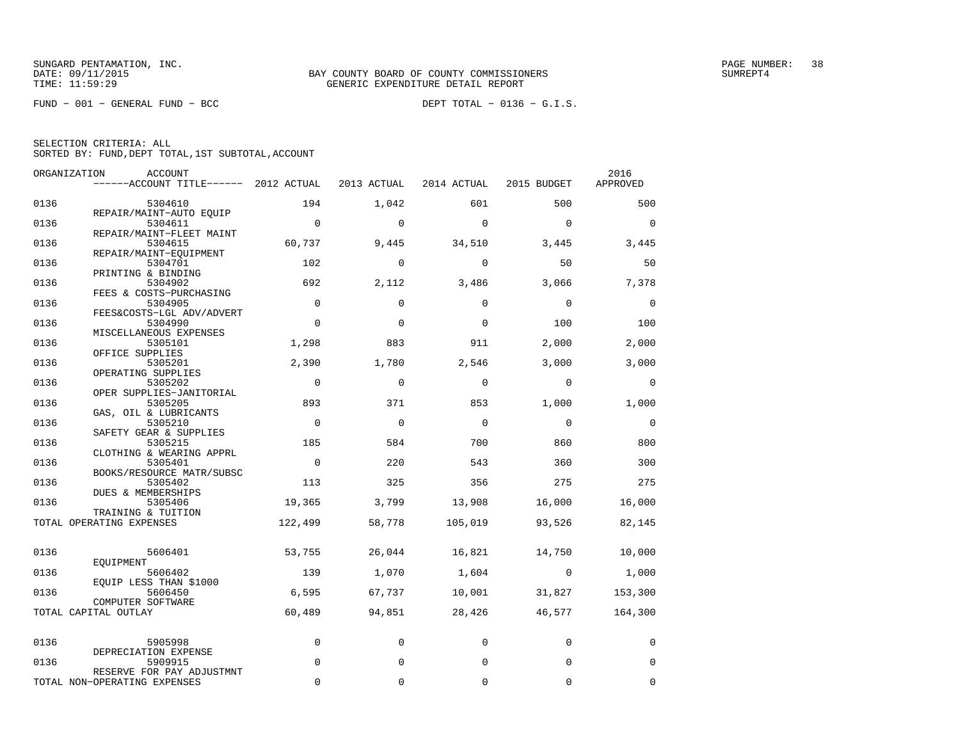FUND − 001 − GENERAL FUND − BCC DEPT TOTAL − 0136 − G.I.S.

| SELECTION CRITERIA: ALL |  |  |                                                    |  |
|-------------------------|--|--|----------------------------------------------------|--|
|                         |  |  | SORTED BY: FUND, DEPT TOTAL, 1ST SUBTOTAL, ACCOUNT |  |

|      | ORGANIZATION<br>ACCOUNT                   |                |             |             |                | 2016        |
|------|-------------------------------------------|----------------|-------------|-------------|----------------|-------------|
|      | ------ACCOUNT TITLE------ 2012 ACTUAL     |                | 2013 ACTUAL | 2014 ACTUAL | 2015 BUDGET    | APPROVED    |
| 0136 | 5304610                                   | 194            | 1,042       | 601         | 500            | 500         |
| 0136 | REPAIR/MAINT-AUTO EQUIP<br>5304611        | $\overline{0}$ | $\mathbf 0$ | $\Omega$    | $\Omega$       | $\Omega$    |
| 0136 | REPAIR/MAINT-FLEET MAINT                  |                |             |             |                |             |
|      | 5304615<br>REPAIR/MAINT-EQUIPMENT         | 60,737         | 9,445       | 34,510      | 3,445          | 3,445       |
| 0136 | 5304701                                   | 102            | $\Omega$    | $\Omega$    | 50             | 50          |
| 0136 | PRINTING & BINDING<br>5304902             | 692            | 2,112       | 3,486       | 3,066          | 7,378       |
|      | FEES & COSTS-PURCHASING                   | $\mathbf 0$    |             | $\Omega$    | $\Omega$       |             |
| 0136 | 5304905<br>FEES&COSTS-LGL ADV/ADVERT      |                | $\mathbf 0$ |             |                | 0           |
| 0136 | 5304990                                   | $\Omega$       | $\mathbf 0$ | $\Omega$    | 100            | 100         |
|      | MISCELLANEOUS EXPENSES                    |                |             |             |                |             |
| 0136 | 5305101                                   | 1,298          | 883         | 911         | 2,000          | 2,000       |
| 0136 | OFFICE SUPPLIES                           | 2,390          | 1,780       | 2,546       | 3,000          | 3,000       |
|      | 5305201<br>OPERATING SUPPLIES             |                |             |             |                |             |
| 0136 | 5305202                                   | $\overline{0}$ | $\Omega$    | $\mathbf 0$ | $\Omega$       | $\Omega$    |
|      | OPER SUPPLIES-JANITORIAL                  |                |             |             |                |             |
| 0136 | 5305205                                   | 893            | 371         | 853         | 1,000          | 1,000       |
| 0136 | GAS, OIL & LUBRICANTS<br>5305210          | $\overline{0}$ | $\mathbf 0$ | 0           | $\mathbf 0$    | 0           |
|      | SAFETY GEAR & SUPPLIES                    |                |             |             |                |             |
| 0136 | 5305215                                   | 185            | 584         | 700         | 860            | 800         |
|      | CLOTHING & WEARING APPRL                  |                |             |             |                |             |
| 0136 | 5305401<br>BOOKS/RESOURCE MATR/SUBSC      | $\Omega$       | 220         | 543         | 360            | 300         |
| 0136 | 5305402                                   | 113            | 325         | 356         | 275            | 275         |
| 0136 | DUES & MEMBERSHIPS<br>5305406             | 19,365         | 3,799       | 13,908      | 16,000         | 16,000      |
|      | TRAINING & TUITION                        |                |             |             |                |             |
|      | TOTAL OPERATING EXPENSES                  | 122,499        | 58,778      | 105,019     | 93,526         | 82,145      |
| 0136 |                                           | 53,755         |             | 16,821      |                |             |
|      | 5606401<br>EOUIPMENT                      |                | 26,044      |             | 14,750         | 10,000      |
| 0136 | 5606402<br>EQUIP LESS THAN \$1000         | 139            | 1,070       | 1,604       | $\overline{0}$ | 1,000       |
| 0136 | 5606450                                   | 6,595          | 67,737      | 10,001      | 31,827         | 153,300     |
|      | COMPUTER SOFTWARE<br>TOTAL CAPITAL OUTLAY | 60,489         | 94,851      | 28,426      | 46,577         | 164,300     |
|      |                                           |                |             |             |                |             |
| 0136 | 5905998                                   | $\mathbf 0$    | 0           | 0           | 0              | 0           |
| 0136 | DEPRECIATION EXPENSE<br>5909915           | $\Omega$       | 0           | $\mathbf 0$ | $\mathbf 0$    | 0           |
|      | RESERVE FOR PAY ADJUSTMNT                 |                |             |             |                |             |
|      | TOTAL NON-OPERATING EXPENSES              | $\Omega$       | 0           | 0           | $\mathbf 0$    | $\mathbf 0$ |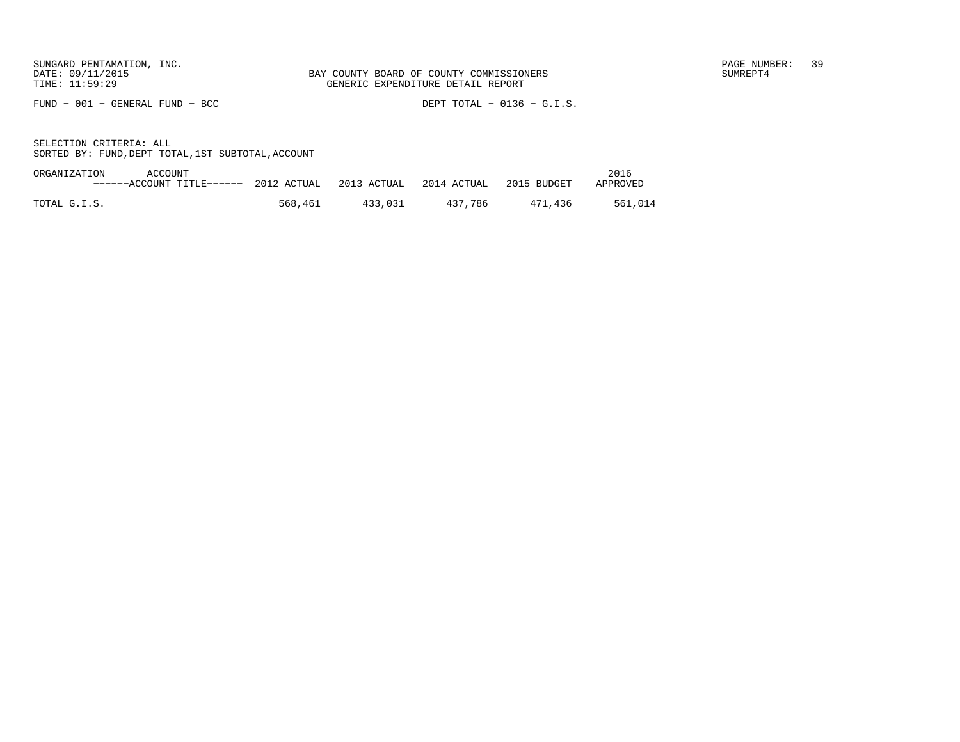FUND − 001 − GENERAL FUND − BCC DEPT TOTAL − 0136 − G.I.S.

| ORGANIZATION<br>ACCOUNT               |         |             |             |             | 2016     |
|---------------------------------------|---------|-------------|-------------|-------------|----------|
| ------ACCOUNT TITLE------ 2012 ACTUAL |         | 2013 ACTUAL | 2014 ACTUAL | 2015 BUDGET | APPROVED |
|                                       |         |             |             |             |          |
| TOTAL G.I.S.                          | 568,461 | 433.031     | 437.786     | 471.436     | 561,014  |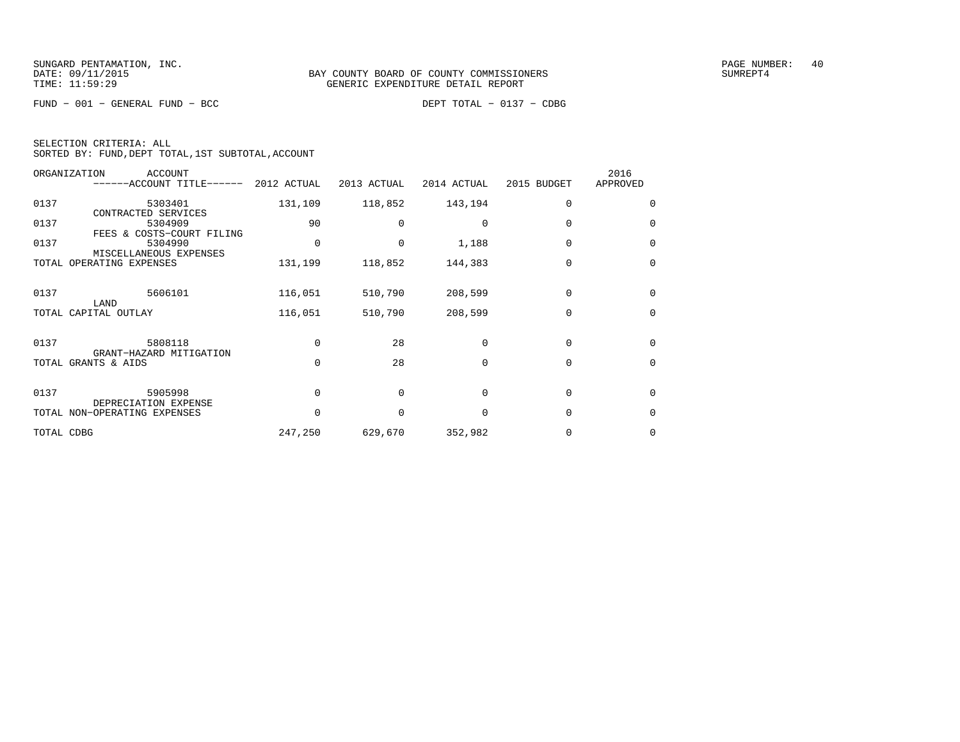FUND − 001 − GENERAL FUND − BCC DEPT TOTAL − 0137 − CDBG

| SELECTION CRITERIA: ALL |  |  |                                                    |  |
|-------------------------|--|--|----------------------------------------------------|--|
|                         |  |  | SORTED BY: FUND, DEPT TOTAL, 1ST SUBTOTAL, ACCOUNT |  |

|            | ORGANIZATION<br><b>ACCOUNT</b><br>------ACCOUNT TITLE------ 2012 ACTUAL |          | 2013 ACTUAL | 2014 ACTUAL  | 2015 BUDGET | 2016<br>APPROVED |
|------------|-------------------------------------------------------------------------|----------|-------------|--------------|-------------|------------------|
| 0137       | 5303401<br>CONTRACTED SERVICES                                          | 131,109  | 118,852     | 143,194      | $\Omega$    | $\Omega$         |
| 0137       | 5304909<br>FEES & COSTS-COURT FILING                                    | 90       |             |              |             | $\Omega$         |
| 0137       | 5304990<br>MISCELLANEOUS EXPENSES                                       | 0        | 0           | 1,188        | $\Omega$    | $\Omega$         |
|            | TOTAL OPERATING EXPENSES                                                | 131,199  | 118,852     | 144,383      | $\Omega$    | $\mathbf 0$      |
| 0137       | 5606101<br>LAND                                                         | 116,051  | 510,790     | 208,599      | $\Omega$    | $\Omega$         |
|            | TOTAL CAPITAL OUTLAY                                                    | 116,051  | 510,790     | 208,599      | $\Omega$    | $\Omega$         |
| 0137       | 5808118<br>GRANT-HAZARD MITIGATION                                      | $\Omega$ | 28          | $\Omega$     | $\Omega$    | $\Omega$         |
|            | TOTAL GRANTS & AIDS                                                     | $\Omega$ | 28          | $\Omega$     | $\Omega$    | $\Omega$         |
| 0137       | 5905998<br>DEPRECIATION EXPENSE                                         | $\Omega$ | $\Omega$    | $\cap$       | $\Omega$    | $\Omega$         |
|            | TOTAL NON-OPERATING EXPENSES                                            | $\Omega$ |             | <sup>n</sup> | $\Omega$    | $\Omega$         |
| TOTAL CDBG |                                                                         | 247,250  | 629,670     | 352,982      |             | 0                |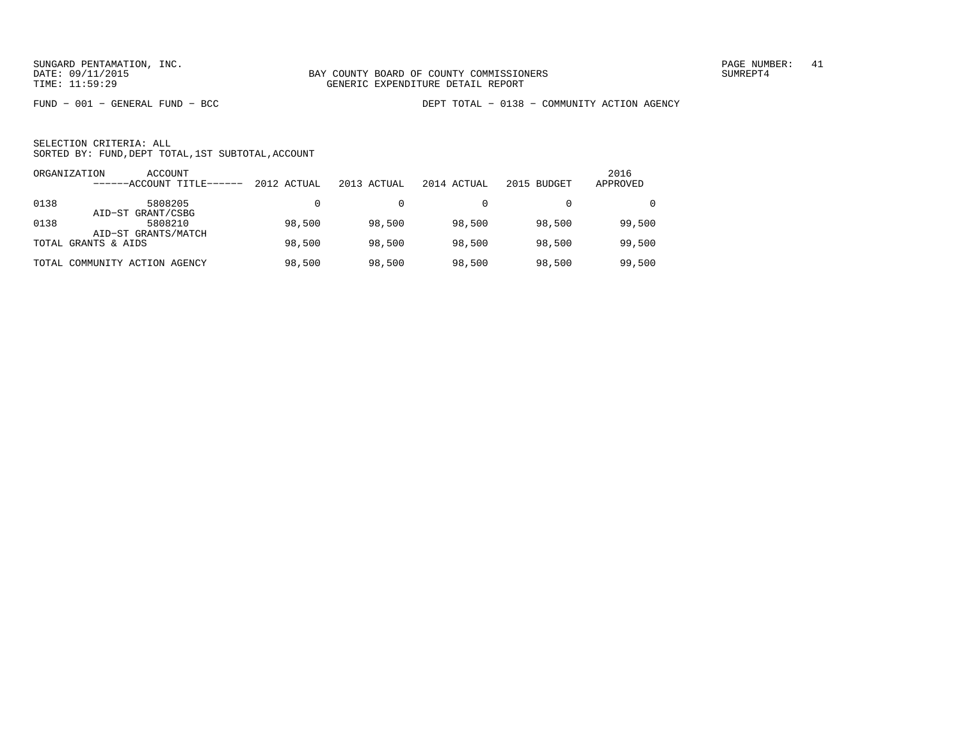FUND − 001 − GENERAL FUND − BCC DEPT TOTAL − 0138 − COMMUNITY ACTION AGENCY

| ORGANIZATION | ACCOUNT<br>------ACCOUNT TITLE------ | 2012 ACTUAL | 2013 ACTUAL | 2014 ACTUAL | 2015 BUDGET | 2016<br>APPROVED |
|--------------|--------------------------------------|-------------|-------------|-------------|-------------|------------------|
| 0138         | 5808205<br>AID-ST GRANT/CSBG         |             |             |             |             | $\Omega$         |
| 0138         | 5808210<br>AID-ST GRANTS/MATCH       | 98,500      | 98,500      | 98,500      | 98,500      | 99,500           |
|              | TOTAL GRANTS & AIDS                  | 98,500      | 98,500      | 98,500      | 98,500      | 99,500           |
|              | TOTAL COMMUNITY ACTION AGENCY        | 98,500      | 98,500      | 98,500      | 98,500      | 99,500           |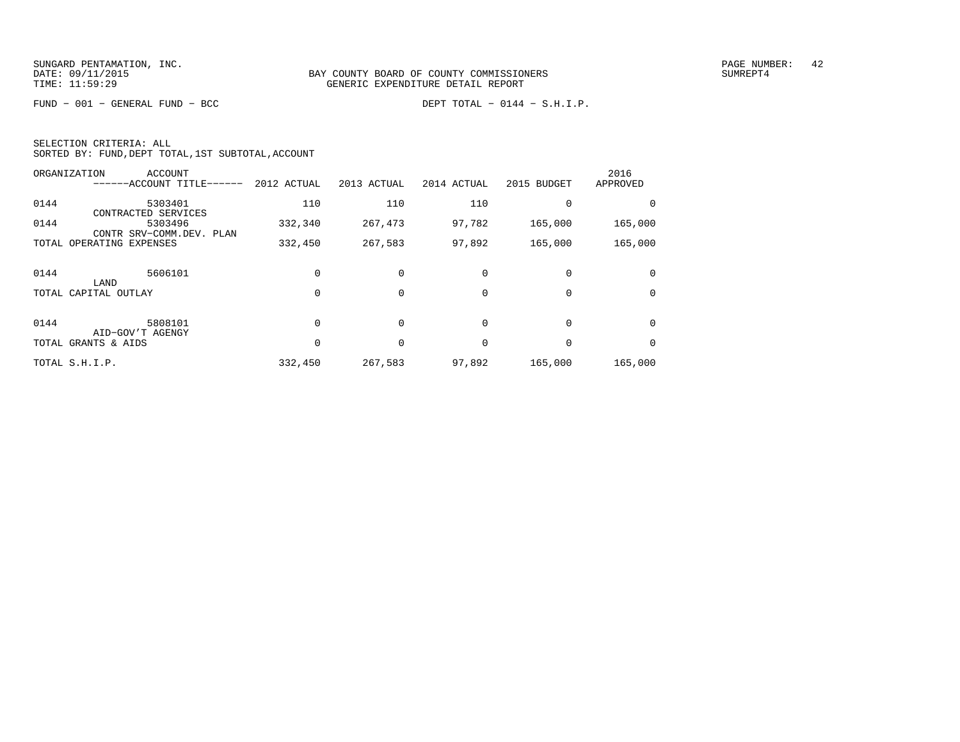FUND − 001 − GENERAL FUND − BCC DEPT TOTAL − 0144 − S.H.I.P.

| SELECTION CRITERIA: ALL |  |  |                                                    |  |
|-------------------------|--|--|----------------------------------------------------|--|
|                         |  |  | SORTED BY: FUND, DEPT TOTAL, 1ST SUBTOTAL, ACCOUNT |  |

|      | ORGANIZATION<br>ACCOUNT<br>---ACCOUNT TITLE------ | 2012 ACTUAL | 2013 ACTUAL | 2014 ACTUAL | 2015 BUDGET | 2016<br>APPROVED |
|------|---------------------------------------------------|-------------|-------------|-------------|-------------|------------------|
| 0144 | 5303401<br>CONTRACTED SERVICES                    | 110         | 110         | 110         |             |                  |
| 0144 | 5303496<br>CONTR SRV-COMM.DEV. PLAN               | 332,340     | 267,473     | 97,782      | 165,000     | 165,000          |
|      | TOTAL OPERATING EXPENSES                          | 332,450     | 267,583     | 97,892      | 165,000     | 165,000          |
| 0144 | 5606101<br>LAND                                   |             |             |             |             |                  |
|      | TOTAL CAPITAL OUTLAY                              |             | $\Omega$    | 0           | $\Omega$    | $\Omega$         |
| 0144 | 5808101<br>AID-GOV'T AGENGY                       |             |             | $\Omega$    | $\Omega$    | $\Omega$         |
|      | TOTAL GRANTS & AIDS                               |             |             | $\Omega$    |             | 0                |
|      | TOTAL S.H.I.P.                                    | 332,450     | 267,583     | 97,892      | 165,000     | 165,000          |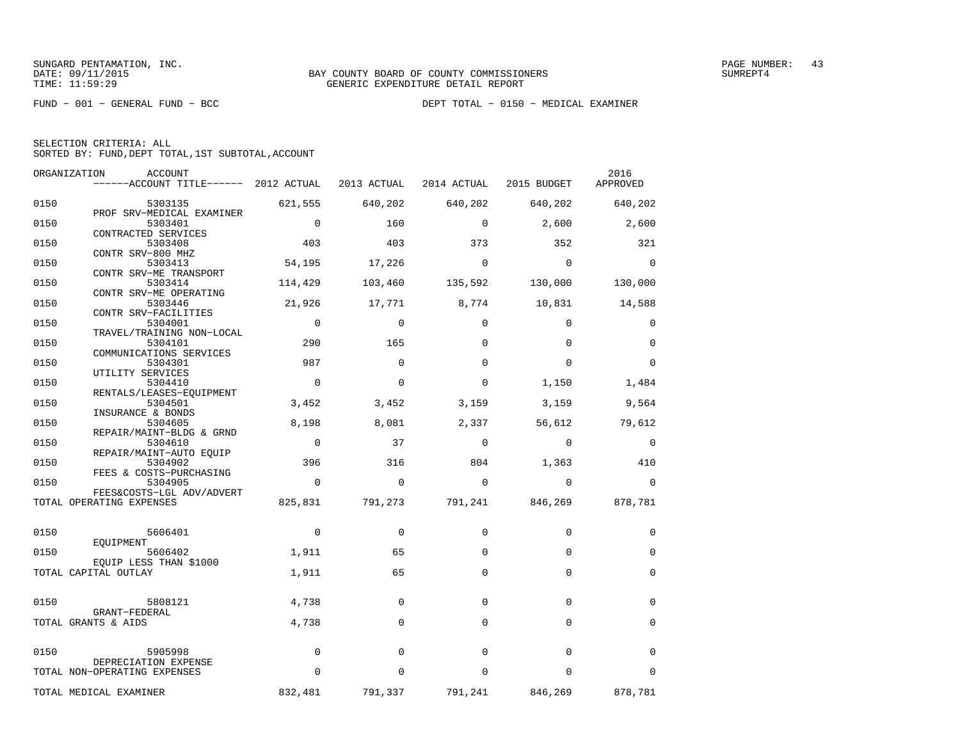| SELECTION CRITERIA: ALL |                                                    |  |
|-------------------------|----------------------------------------------------|--|
|                         | SORTED BY: FUND, DEPT TOTAL, 1ST SUBTOTAL, ACCOUNT |  |

| ORGANIZATION | ACCOUNT                                                                   |                |             |             |                                 | 2016        |
|--------------|---------------------------------------------------------------------------|----------------|-------------|-------------|---------------------------------|-------------|
|              | ------ACCOUNT TITLE------ 2012 ACTUAL 2013 ACTUAL 2014 ACTUAL 2015 BUDGET |                |             |             |                                 | APPROVED    |
| 0150         | 5303135                                                                   | 621,555        | 640,202     | 640,202     | 640,202                         | 640,202     |
| 0150         | PROF SRV-MEDICAL EXAMINER<br>5303401                                      | $\overline{0}$ | 160         | $\Omega$    | 2,600                           | 2,600       |
| 0150         | CONTRACTED SERVICES<br>5303408                                            | 403            | 403         | 373         | 352                             | 321         |
| 0150         | CONTR SRV-800 MHZ<br>5303413                                              | 54,195         | 17,226      | $\Omega$    | $\Omega$                        | $\Omega$    |
| 0150         | CONTR SRV-ME TRANSPORT<br>5303414                                         | 114,429        | 103,460     | 135,592     | 130,000                         | 130,000     |
| 0150         | CONTR SRV-ME OPERATING<br>5303446                                         | 21,926         |             |             | 17,771 8,774 10,831 14,588      |             |
| 0150         | CONTR SRV-FACILITIES<br>5304001                                           | $\overline{0}$ | $\mathbf 0$ | $\mathbf 0$ | $\mathbf 0$                     | 0           |
| 0150         | TRAVEL/TRAINING NON-LOCAL<br>5304101                                      | 290            | 165         | $\Omega$    | $\Omega$                        | $\mathbf 0$ |
| 0150         | COMMUNICATIONS SERVICES<br>5304301                                        | 987            | $\Omega$    | $\Omega$    | $\Omega$                        | $\Omega$    |
| 0150         | UTILITY SERVICES<br>5304410                                               | $\Omega$       | $\Omega$    | $\Omega$    | 1,150                           | 1,484       |
| 0150         | RENTALS/LEASES-EOUIPMENT<br>5304501                                       | 3,452          | 3,452       | 3,159       | 3,159                           | 9,564       |
|              | INSURANCE & BONDS                                                         |                |             |             |                                 |             |
| 0150         | 5304605<br>REPAIR/MAINT-BLDG & GRND                                       | 8,198          | 8,081       | 2,337       | 56,612                          | 79,612      |
| 0150         | 5304610<br>REPAIR/MAINT-AUTO EQUIP                                        | $\overline{0}$ | 37          | $\mathbf 0$ | $\overline{0}$                  | $\mathbf 0$ |
| 0150         | 5304902<br>FEES & COSTS-PURCHASING                                        | 396            | 316         | 804         | 1,363                           | 410         |
| 0150         | 5304905<br>FEES&COSTS-LGL ADV/ADVERT                                      | $\Omega$       | $\Omega$    | $\Omega$    | $\Omega$                        | $\Omega$    |
|              | TOTAL OPERATING EXPENSES                                                  | 825,831        |             |             | 791,273 791,241 846,269 878,781 |             |
| 0150         | 5606401                                                                   | $\mathbf{0}$   | $\mathbf 0$ | $\mathbf 0$ | $\Omega$                        | 0           |
| 0150         | EOUIPMENT<br>5606402                                                      | 1,911          | 65          | $\Omega$    | $\Omega$                        | $\mathbf 0$ |
|              | EQUIP LESS THAN \$1000<br>TOTAL CAPITAL OUTLAY                            | 1,911          | 65          | $\mathbf 0$ | $\Omega$                        | $\mathbf 0$ |
| 0150         | 5808121                                                                   | 4,738          | $\Omega$    | $\Omega$    | $\Omega$                        | $\Omega$    |
|              | GRANT-FEDERAL                                                             |                |             |             |                                 |             |
|              | TOTAL GRANTS & AIDS                                                       | 4,738          | $\Omega$    | $\Omega$    | $\Omega$                        | $\mathbf 0$ |
| 0150         | 5905998                                                                   | $\mathbf 0$    | $\mathbf 0$ | $\Omega$    | $\Omega$                        | $\mathbf 0$ |
|              | DEPRECIATION EXPENSE<br>TOTAL NON-OPERATING EXPENSES                      | $\mathbf 0$    | $\Omega$    | $\Omega$    | $\mathbf 0$                     | $\Omega$    |
|              | TOTAL MEDICAL EXAMINER                                                    | 832,481        | 791,337     | 791,241     | 846,269                         | 878,781     |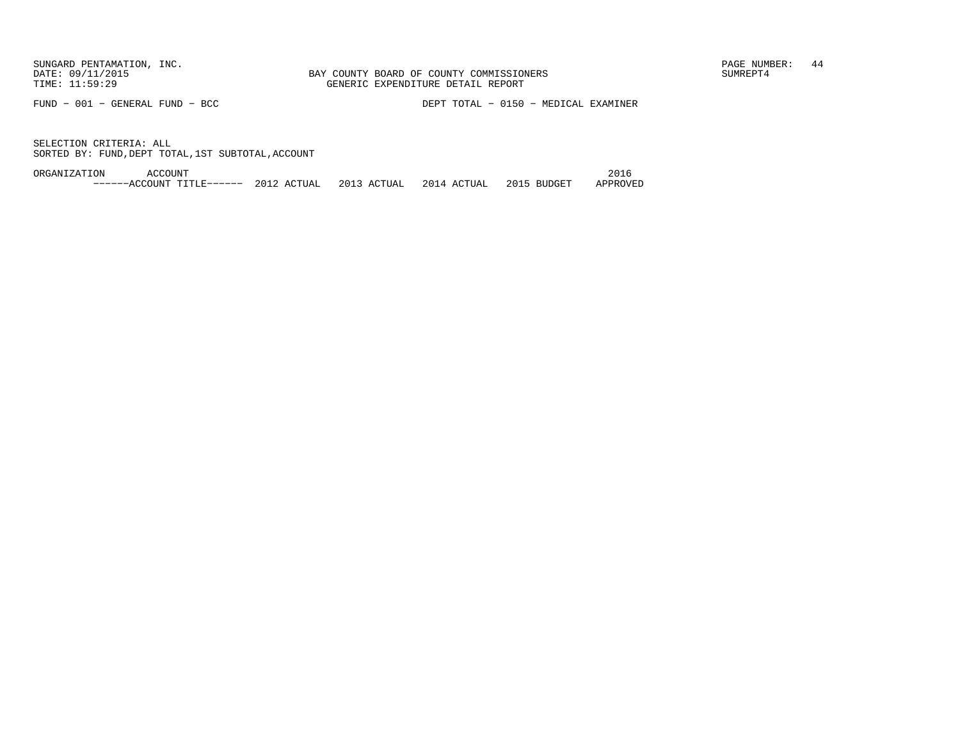FUND − 001 − GENERAL FUND − BCC DEPT TOTAL − 0150 − MEDICAL EXAMINER

SELECTION CRITERIA: ALLSORTED BY: FUND,DEPT TOTAL,1ST SUBTOTAL,ACCOUNT

ORGANIZATION ACCOUNT 2016−−−−−−ACCOUNT TITLE−−−−−− 2012 ACTUAL 2013 ACTUAL 2014 ACTUAL 2015 BUDGET APPROVED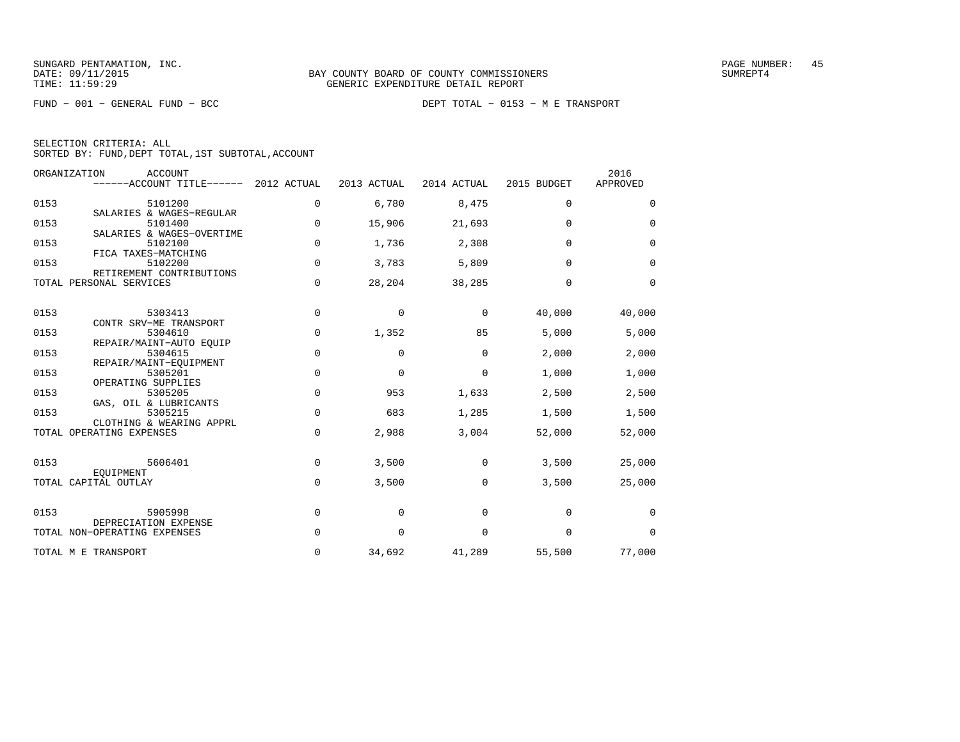FUND − 001 − GENERAL FUND − BCC DEPT TOTAL − 0153 − M E TRANSPORT

SELECTION CRITERIA: ALL

SORTED BY: FUND,DEPT TOTAL,1ST SUBTOTAL,ACCOUNT

| ORGANIZATION             | <b>ACCOUNT</b><br>------ACCOUNT TITLE------ 2012 ACTUAL      |             | 2013 ACTUAL | 2014 ACTUAL | 2015 BUDGET | 2016<br>APPROVED |
|--------------------------|--------------------------------------------------------------|-------------|-------------|-------------|-------------|------------------|
| 0153                     | 5101200<br>SALARIES & WAGES-REGULAR                          | 0           | 6,780       | 8,475       | $\mathbf 0$ | $\mathbf 0$      |
| 0153                     | 5101400<br>SALARIES & WAGES-OVERTIME                         | $\Omega$    | 15,906      | 21,693      | $\Omega$    | $\Omega$         |
| 0153                     | 5102100<br>FICA TAXES-MATCHING                               | $\mathbf 0$ | 1,736       | 2,308       | $\Omega$    | $\mathbf 0$      |
| 0153                     | 5102200<br>RETIREMENT CONTRIBUTIONS                          | $\Omega$    | 3,783       | 5,809       | $\Omega$    | $\mathbf 0$      |
| TOTAL PERSONAL SERVICES  |                                                              | 0           | 28,204      | 38,285      | $\Omega$    | $\mathbf 0$      |
| 0153                     | 5303413<br>CONTR SRV-ME TRANSPORT                            | $\mathbf 0$ | 0           | 0           | 40,000      | 40,000           |
| 0153                     | 5304610<br>REPAIR/MAINT-AUTO EOUIP                           | $\mathbf 0$ | 1,352       | 85          | 5,000       | 5,000            |
| 0153                     | 5304615<br>REPAIR/MAINT-EQUIPMENT                            | 0           | 0           | $\Omega$    | 2,000       | 2,000            |
| 0153                     | 5305201<br>OPERATING SUPPLIES                                | $\mathbf 0$ | 0           | $\mathbf 0$ | 1,000       | 1,000            |
| 0153                     | 5305205                                                      | $\mathbf 0$ | 953         | 1,633       | 2,500       | 2,500            |
| 0153                     | GAS, OIL & LUBRICANTS<br>5305215<br>CLOTHING & WEARING APPRL | 0           | 683         | 1,285       | 1,500       | 1,500            |
| TOTAL OPERATING EXPENSES |                                                              | 0           | 2,988       | 3,004       | 52,000      | 52,000           |
| 0153                     | 5606401                                                      | $\mathbf 0$ | 3,500       | $\mathbf 0$ | 3,500       | 25,000           |
| TOTAL CAPITAL OUTLAY     | EOUIPMENT                                                    | 0           | 3,500       | 0           | 3,500       | 25,000           |
| 0153                     | 5905998                                                      | $\mathbf 0$ | 0           | 0           | $\mathbf 0$ | 0                |
|                          | DEPRECIATION EXPENSE<br>TOTAL NON-OPERATING EXPENSES         | $\Omega$    | 0           | 0           | $\mathbf 0$ | $\Omega$         |
| TOTAL M E TRANSPORT      |                                                              | 0           | 34,692      | 41,289      | 55,500      | 77,000           |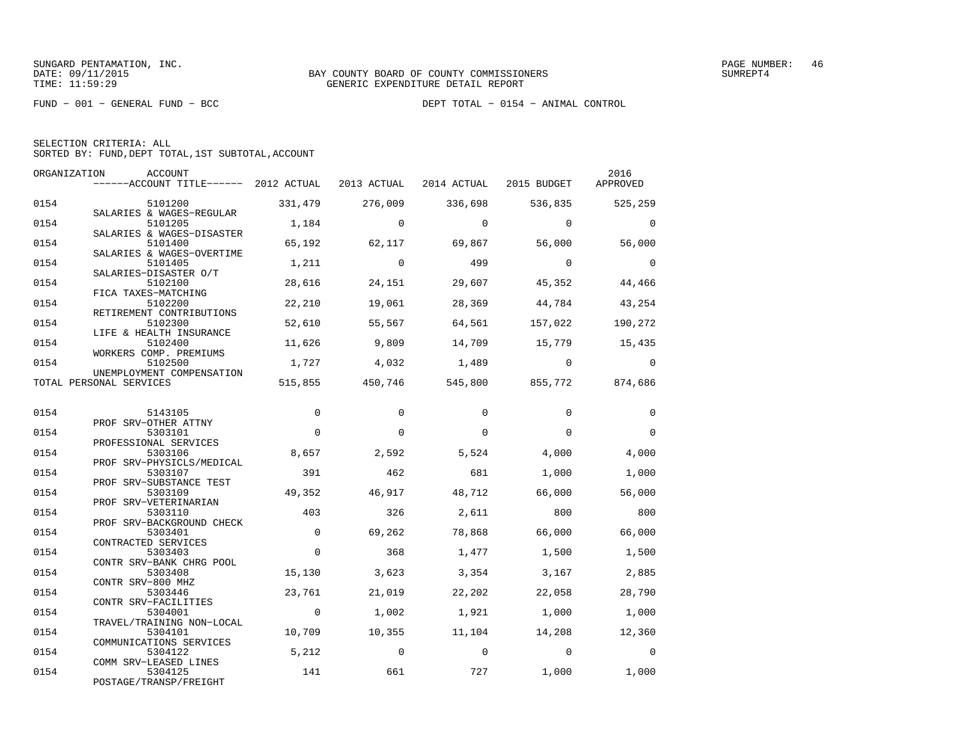FUND − 001 − GENERAL FUND − BCC DEPT TOTAL − 0154 − ANIMAL CONTROL

|  | SELECTION CRITERIA: ALL                            |  |  |
|--|----------------------------------------------------|--|--|
|  | SORTED BY: FUND, DEPT TOTAL, 1ST SUBTOTAL, ACCOUNT |  |  |

| ORGANIZATION | ACCOUNT<br>------ACCOUNT TITLE------ 2012 ACTUAL            |                | 2013 ACTUAL     | 2014 ACTUAL 2015 BUDGET |                 | 2016<br>APPROVED |
|--------------|-------------------------------------------------------------|----------------|-----------------|-------------------------|-----------------|------------------|
| 0154         | 5101200                                                     | 331,479        | 276,009         | 336,698                 | 536,835         | 525,259          |
| 0154         | SALARIES & WAGES-REGULAR<br>5101205                         | 1,184          | $\Omega$        | $\Omega$                | $\overline{0}$  | $\Omega$         |
| 0154         | SALARIES & WAGES-DISASTER<br>5101400                        | 65,192         | 62,117          | 69,867                  | 56,000          | 56,000           |
| 0154         | SALARIES & WAGES-OVERTIME<br>5101405                        | 1,211          | $\overline{0}$  | 499                     | $\overline{0}$  | $\Omega$         |
| 0154         | SALARIES-DISASTER O/T<br>5102100<br>FICA TAXES-MATCHING     | 28,616         | 24,151          | 29,607                  | 45,352          | 44,466           |
| 0154         | 5102200<br>RETIREMENT CONTRIBUTIONS                         | 22,210         | 19,061          | 28,369                  | 44,784          | 43,254           |
| 0154         | 5102300<br>LIFE & HEALTH INSURANCE                          | 52,610         | 55,567          | 64,561                  | 157,022         | 190,272          |
| 0154         | 5102400<br>WORKERS COMP. PREMIUMS                           | 11,626         | 9,809           | 14,709                  | 15,779 15,435   |                  |
| 0154         | 5102500<br>UNEMPLOYMENT COMPENSATION                        | 1,727          | 4,032           | 1,489                   | $\overline{0}$  | $\Omega$         |
|              | TOTAL PERSONAL SERVICES                                     |                | 515,855 450,746 |                         | 545,800 855,772 | 874,686          |
| 0154         | 5143105                                                     | $\Omega$       | $\Omega$        | $\Omega$                | $\Omega$        | $\Omega$         |
| 0154         | PROF SRV-OTHER ATTNY<br>5303101                             | $\Omega$       | $\Omega$        | $\Omega$                | $\Omega$        | $\Omega$         |
| 0154         | PROFESSIONAL SERVICES<br>5303106                            | 8,657          | 2,592           | 5,524                   | 4,000           | 4,000            |
| 0154         | PROF SRV-PHYSICLS/MEDICAL<br>5303107                        | 391            | 462             | 681                     | 1,000           | 1,000            |
| 0154         | PROF SRV-SUBSTANCE TEST<br>5303109<br>PROF SRV-VETERINARIAN | 49,352         | 46,917          | 48,712                  | 66,000          | 56,000           |
| 0154         | 5303110<br>PROF SRV-BACKGROUND CHECK                        | 403            | 326             | 2,611                   | 800             | 800              |
| 0154         | 5303401<br>CONTRACTED SERVICES                              | $\Omega$       | 69,262          | 78,868                  | 66,000          | 66,000           |
| 0154         | 5303403<br>CONTR SRV-BANK CHRG POOL                         | $\Omega$       | 368             | 1,477                   | 1,500           | 1,500            |
| 0154         | 5303408<br>CONTR SRV-800 MHZ                                | 15,130         | 3,623           | 3,354                   | 3,167           | 2,885            |
| 0154         | 5303446<br>CONTR SRV-FACILITIES                             | 23,761         | 21,019          | 22,202                  | 22,058          | 28,790           |
| 0154         | 5304001<br>TRAVEL/TRAINING NON-LOCAL                        | $\overline{0}$ | 1,002           | 1,921                   | 1,000           | 1,000            |
| 0154         | 5304101<br>COMMUNICATIONS SERVICES                          | 10,709         | 10,355          | 11,104                  | 14,208          | 12,360           |
| 0154         | 5304122<br>COMM SRV-LEASED LINES                            | 5,212          | $\overline{0}$  | $\overline{0}$          | $\overline{0}$  | $\Omega$         |
| 0154         | 5304125<br>POSTAGE/TRANSP/FREIGHT                           | 141            | 661             | 727                     | 1,000           | 1,000            |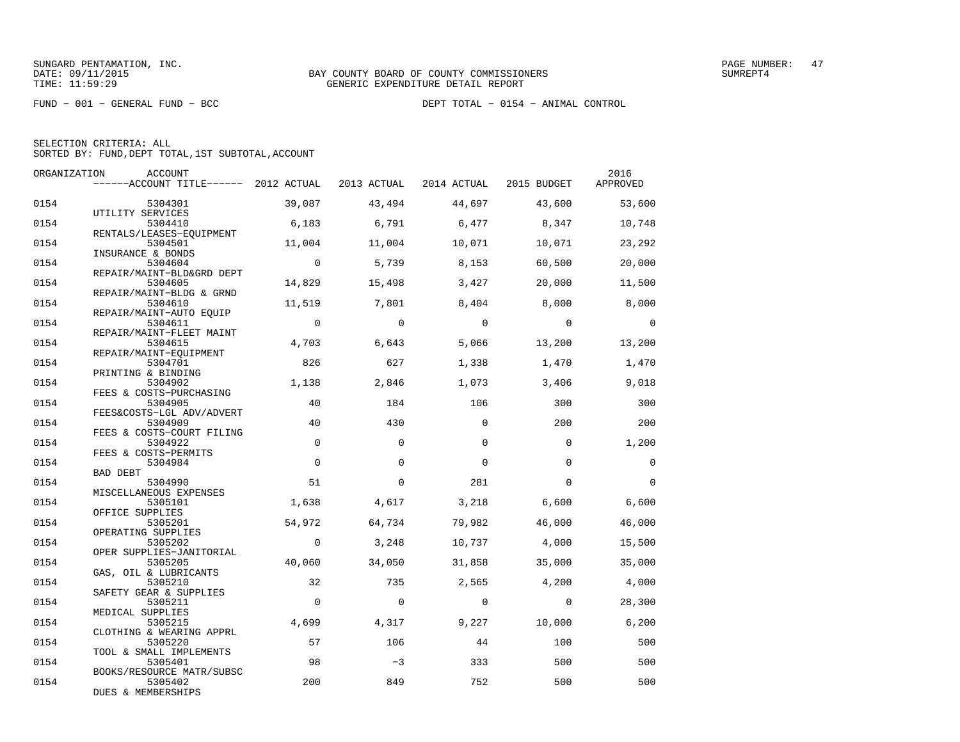FUND − 001 − GENERAL FUND − BCC DEPT TOTAL − 0154 − ANIMAL CONTROL

|  | SELECTION CRITERIA: ALL                            |  |  |
|--|----------------------------------------------------|--|--|
|  | SORTED BY: FUND, DEPT TOTAL, 1ST SUBTOTAL, ACCOUNT |  |  |

| ORGANIZATION | <b>ACCOUNT</b>                        |                |             |                         |                | 2016        |
|--------------|---------------------------------------|----------------|-------------|-------------------------|----------------|-------------|
|              | ------ACCOUNT TITLE------ 2012 ACTUAL |                | 2013 ACTUAL | 2014 ACTUAL 2015 BUDGET |                | APPROVED    |
| 0154         | 5304301                               | 39,087         | 43,494      | 44,697                  | 43,600         | 53,600      |
|              | UTILITY SERVICES                      |                |             |                         |                |             |
| 0154         | 5304410                               | 6,183          | 6,791       | 6,477                   | 8,347          | 10,748      |
|              | RENTALS/LEASES-EOUIPMENT              |                |             |                         |                |             |
| 0154         | 5304501                               | 11,004         | 11,004      | 10,071                  | 10,071         | 23,292      |
|              | INSURANCE & BONDS                     | $\overline{0}$ |             |                         |                |             |
| 0154         | 5304604<br>REPAIR/MAINT-BLD&GRD DEPT  |                | 5,739       | 8,153                   | 60,500         | 20,000      |
| 0154         | 5304605                               | 14,829         | 15,498      | 3,427                   | 20,000         | 11,500      |
|              | REPAIR/MAINT-BLDG & GRND              |                |             |                         |                |             |
| 0154         | 5304610                               | 11,519         | 7,801       | 8,404                   | 8,000          | 8,000       |
|              | REPAIR/MAINT-AUTO EQUIP               |                |             |                         |                |             |
| 0154         | 5304611<br>REPAIR/MAINT-FLEET MAINT   | $\overline{0}$ | $\Omega$    | $\Omega$                | $\overline{0}$ | $\Omega$    |
| 0154         | 5304615                               | 4,703          | 6,643       | 5,066                   | 13,200         | 13,200      |
|              | REPAIR/MAINT-EOUIPMENT                |                |             |                         |                |             |
| 0154         | 5304701                               | 826            | 627         | 1,338                   | 1,470          | 1,470       |
|              | PRINTING & BINDING                    |                |             |                         |                |             |
| 0154         | 5304902                               | 1,138          | 2,846       | 1,073                   | 3,406          | 9,018       |
| 0154         | FEES & COSTS-PURCHASING<br>5304905    | 40             | 184         | 106                     | 300            | 300         |
|              | FEES&COSTS-LGL ADV/ADVERT             |                |             |                         |                |             |
| 0154         | 5304909                               | 40             | 430         | $\Omega$                | 200            | 200         |
|              | FEES & COSTS-COURT FILING             |                |             |                         |                |             |
| 0154         | 5304922                               | $\Omega$       | $\Omega$    | $\Omega$                | $\Omega$       | 1,200       |
|              | FEES & COSTS-PERMITS                  |                |             |                         |                |             |
| 0154         | 5304984<br><b>BAD DEBT</b>            | $\Omega$       | $\Omega$    | $\Omega$                | $\Omega$       | $\mathbf 0$ |
| 0154         | 5304990                               | 51             | $\Omega$    | 281                     | $\Omega$       | $\Omega$    |
|              | MISCELLANEOUS EXPENSES                |                |             |                         |                |             |
| 0154         | 5305101                               | 1,638          | 4,617       | 3,218                   | 6,600          | 6,600       |
|              | OFFICE SUPPLIES                       |                |             |                         |                |             |
| 0154         | 5305201                               | 54,972         | 64,734      | 79,982                  | 46,000         | 46,000      |
| 0154         | OPERATING SUPPLIES<br>5305202         | $\Omega$       | 3,248       | 10,737                  | 4,000          | 15,500      |
|              | OPER SUPPLIES-JANITORIAL              |                |             |                         |                |             |
| 0154         | 5305205                               | 40,060         | 34,050      | 31,858                  | 35,000         | 35,000      |
|              | GAS, OIL & LUBRICANTS                 |                |             |                         |                |             |
| 0154         | 5305210                               | 32             | 735         | 2,565                   | 4,200          | 4,000       |
| 0154         | SAFETY GEAR & SUPPLIES<br>5305211     | $\Omega$       | $\Omega$    | $\Omega$                | $\Omega$       | 28,300      |
|              | MEDICAL SUPPLIES                      |                |             |                         |                |             |
| 0154         | 5305215                               | 4,699          | 4,317       | 9,227                   | 10,000         | 6,200       |
|              | CLOTHING & WEARING APPRL              |                |             |                         |                |             |
| 0154         | 5305220                               | 57             | 106         | 44                      | 100            | 500         |
|              | TOOL & SMALL IMPLEMENTS               |                |             |                         |                |             |
| 0154         | 5305401<br>BOOKS/RESOURCE MATR/SUBSC  | 98             | $-3$        | 333                     | 500            | 500         |
| 0154         | 5305402                               | 200            | 849         | 752                     | 500            | 500         |
|              | DUES & MEMBERSHIPS                    |                |             |                         |                |             |
|              |                                       |                |             |                         |                |             |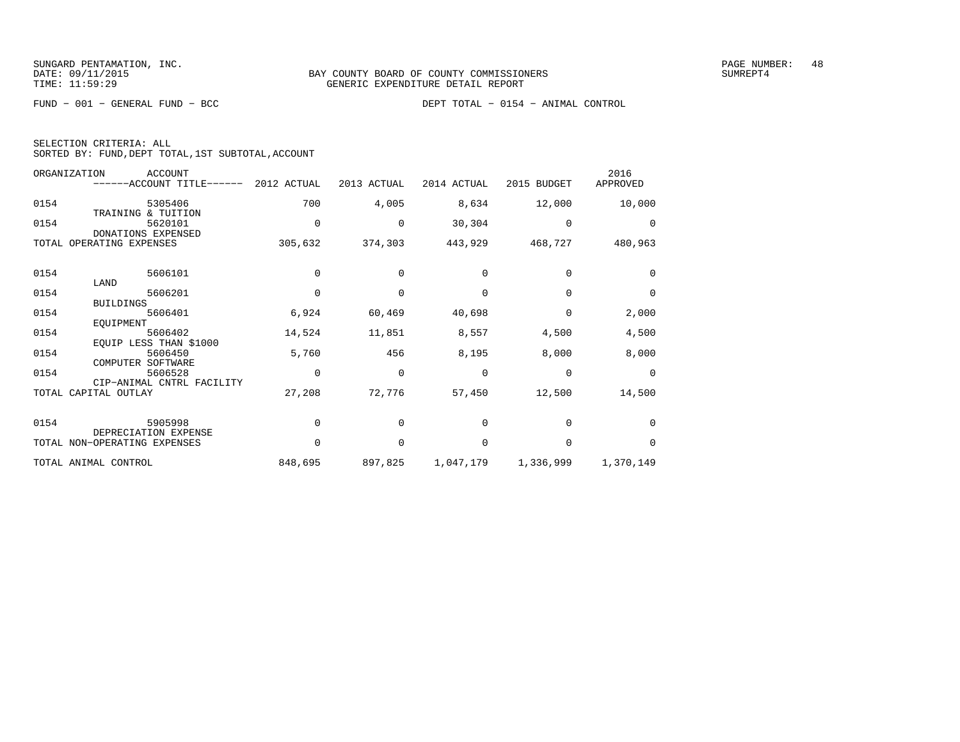FUND − 001 − GENERAL FUND − BCC DEPT TOTAL − 0154 − ANIMAL CONTROL

| SELECTION CRITERIA: ALL |  |  |                                                    |  |
|-------------------------|--|--|----------------------------------------------------|--|
|                         |  |  | SORTED BY: FUND, DEPT TOTAL, 1ST SUBTOTAL, ACCOUNT |  |

| ORGANIZATION | <b>ACCOUNT</b><br>------ACCOUNT TITLE------ 2012 ACTUAL |          | 2013 ACTUAL | 2014 ACTUAL | 2015 BUDGET     | 2016<br>APPROVED |
|--------------|---------------------------------------------------------|----------|-------------|-------------|-----------------|------------------|
| 0154         | 5305406<br>TRAINING & TUITION                           | 700      | 4,005       | 8,634       | 12,000          | 10,000           |
| 0154         | 5620101<br>DONATIONS EXPENSED                           | 0        | 0           | 30,304      | $\Omega$        | $\Omega$         |
| TOTAL        | OPERATING EXPENSES                                      | 305,632  | 374,303     |             | 443,929 468,727 | 480,963          |
| 0154         | 5606101                                                 | $\Omega$ | 0           | $\Omega$    | $\Omega$        | $\Omega$         |
| 0154         | LAND<br>5606201<br><b>BUILDINGS</b>                     | $\Omega$ | 0           | $\Omega$    | $\Omega$        | $\Omega$         |
| 0154         | 5606401<br>EQUIPMENT                                    | 6,924    | 60,469      | 40,698      | 0               | 2,000            |
| 0154         | 5606402<br>EQUIP LESS THAN \$1000                       | 14,524   | 11,851      | 8,557       | 4,500           | 4,500            |
| 0154         | 5606450<br>COMPUTER SOFTWARE                            | 5,760    | 456         | 8,195       | 8,000           | 8,000            |
| 0154         | 5606528<br>CIP-ANIMAL CNTRL FACILITY                    | $\Omega$ | $\Omega$    | $\Omega$    | $\Omega$        | $\Omega$         |
| TOTAL        | CAPITAL OUTLAY                                          | 27,208   | 72,776      | 57,450      | 12,500          | 14,500           |
| 0154         | 5905998<br>DEPRECIATION EXPENSE                         | 0        | 0           | $\Omega$    | <sup>0</sup>    | $\Omega$         |
|              | TOTAL NON-OPERATING EXPENSES                            | $\Omega$ | $\Omega$    | $\Omega$    | $\Omega$        | $\Omega$         |
|              | TOTAL ANIMAL CONTROL                                    | 848,695  | 897,825     | 1,047,179   | 1,336,999       | 1,370,149        |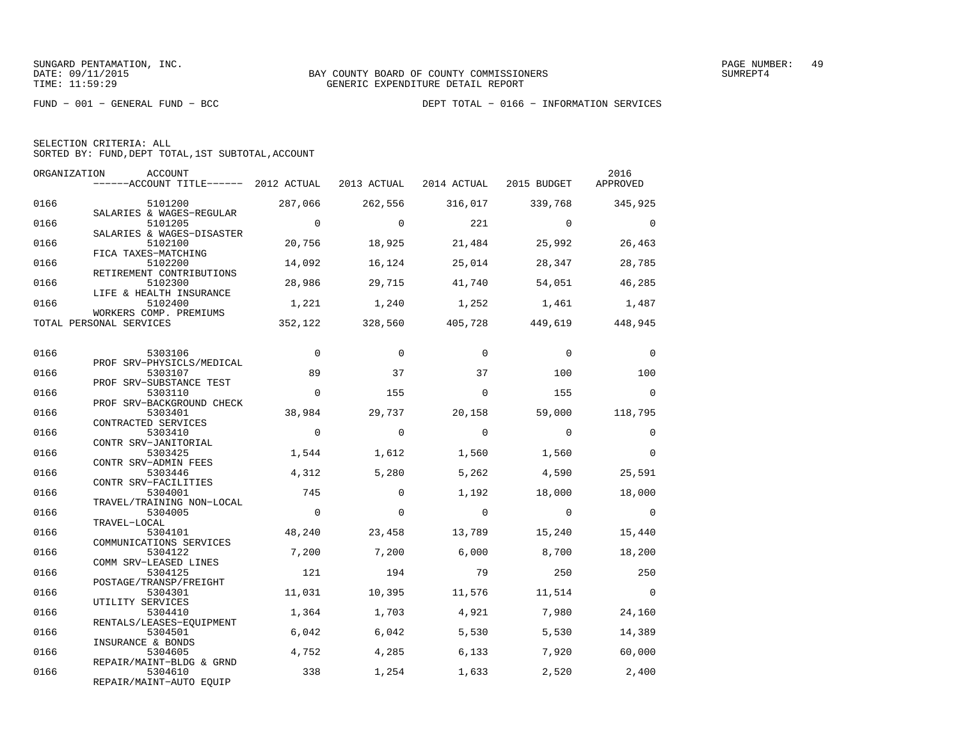| SELECTION CRITERIA: ALL |  |  |                                                    |  |
|-------------------------|--|--|----------------------------------------------------|--|
|                         |  |  | SORTED BY: FUND, DEPT TOTAL, 1ST SUBTOTAL, ACCOUNT |  |

| ORGANIZATION | ACCOUNT<br>------ACCOUNT TITLE------ 2012 ACTUAL 2013 ACTUAL 2014 ACTUAL 2015 BUDGET APPROVED |                |                |                |                                         | 2016                     |
|--------------|-----------------------------------------------------------------------------------------------|----------------|----------------|----------------|-----------------------------------------|--------------------------|
| 0166         | 5101200                                                                                       | 287,066        | 262,556        |                | 316,017 339,768 345,925                 |                          |
| 0166         | SALARIES & WAGES-REGULAR<br>5101205<br>SALARIES & WAGES-DISASTER                              | $\overline{0}$ | $\overline{0}$ | 221            | $\overline{0}$                          | $\overline{\phantom{0}}$ |
| 0166         | 5102100<br>FICA TAXES-MATCHING                                                                | 20,756         | 18,925         | 21,484         | 25,992                                  | 26,463                   |
| 0166         | 5102200<br>RETIREMENT CONTRIBUTIONS                                                           | 14,092         | 16,124         | 25,014         | 28,347                                  | 28,785                   |
| 0166         | 5102300<br>LIFE & HEALTH INSURANCE                                                            | 28,986         | 29,715         | 41,740         | 54,051                                  | 46,285                   |
| 0166         | 5102400<br>WORKERS COMP. PREMIUMS                                                             | 1,221          |                |                | $1,240$ $1,252$ $1,461$ $1,487$         |                          |
|              | TOTAL PERSONAL SERVICES                                                                       |                |                |                | 352,122 328,560 405,728 449,619 448,945 |                          |
| 0166         | 5303106                                                                                       | $\overline{0}$ | $\Omega$       | $\Omega$       | $\Omega$                                | $\overline{0}$           |
| 0166         | PROF SRV-PHYSICLS/MEDICAL<br>5303107                                                          | 89             | 37             | 37             | 100                                     | 100                      |
| 0166         | PROF SRV-SUBSTANCE TEST<br>5303110                                                            | $\Omega$       | 155            | $\Omega$       | 155                                     | $\Omega$                 |
| 0166         | PROF SRV-BACKGROUND CHECK<br>5303401<br>CONTRACTED SERVICES                                   | 38,984         | 29,737         | 20,158         |                                         | 59,000 118,795           |
| 0166         | 5303410<br>CONTR SRV-JANITORIAL                                                               | $\overline{0}$ | $\mathbf{0}$   | $\overline{0}$ | $\mathbf{0}$                            | $\mathbf 0$              |
| 0166         | 5303425<br>CONTR SRV-ADMIN FEES                                                               | 1,544          | 1,612          | 1,560          | 1,560                                   | $\mathbf 0$              |
| 0166         | 5303446<br>CONTR SRV-FACILITIES                                                               | 4,312          | 5,280          | 5,262          | 4,590                                   | 25,591                   |
| 0166         | 5304001<br>TRAVEL/TRAINING NON-LOCAL                                                          | 745            | $\Omega$       | 1,192          | 18,000                                  | 18,000                   |
| 0166         | 5304005<br>TRAVEL-LOCAL                                                                       | $\overline{0}$ | $\mathbf 0$    | $\overline{0}$ | $\overline{0}$                          | $\overline{0}$           |
| 0166         | 5304101<br>COMMUNICATIONS SERVICES                                                            | 48,240         | 23,458         | 13,789         | 15,240                                  | 15,440                   |
| 0166         | 5304122<br>COMM SRV-LEASED LINES                                                              | 7,200          | 7,200          | 6,000          | 8,700                                   | 18,200                   |
| 0166         | 5304125<br>POSTAGE/TRANSP/FREIGHT                                                             | 121            | 194            | 79             | 250                                     | 250                      |
| 0166         | 5304301<br>UTILITY SERVICES                                                                   | 11,031         | 10,395         | 11,576         | 11,514                                  | $\overline{0}$           |
| 0166         | 5304410<br>RENTALS/LEASES-EQUIPMENT                                                           | 1,364          | 1,703          | 4,921          | 7,980                                   | 24,160                   |
| 0166         | 5304501<br>INSURANCE & BONDS                                                                  | 6,042          | 6,042          | 5,530          | 5,530                                   | 14,389                   |
| 0166         | 5304605<br>REPAIR/MAINT-BLDG & GRND                                                           | 4,752          | 4,285          | 6,133          | 7,920                                   | 60,000                   |
| 0166         | 5304610<br>REPAIR/MAINT-AUTO EQUIP                                                            | 338            | 1,254          | 1,633          | 2,520                                   | 2,400                    |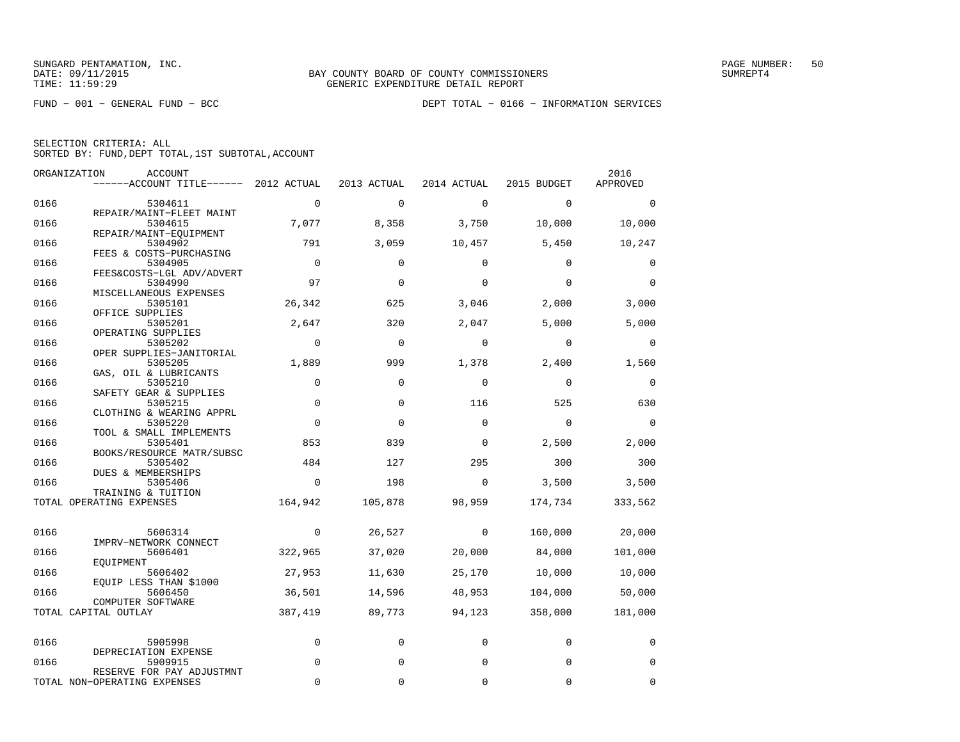|  | SELECTION CRITERIA: ALL                            |  |  |
|--|----------------------------------------------------|--|--|
|  | SORTED BY: FUND, DEPT TOTAL, 1ST SUBTOTAL, ACCOUNT |  |  |

|      | ORGANIZATION<br>ACCOUNT                   |                |             |              |             | 2016        |
|------|-------------------------------------------|----------------|-------------|--------------|-------------|-------------|
|      | ------ACCOUNT TITLE------ 2012 ACTUAL     |                | 2013 ACTUAL | 2014 ACTUAL  | 2015 BUDGET | APPROVED    |
| 0166 | 5304611                                   | $\mathbf 0$    | $\mathbf 0$ | $\mathbf 0$  | $\Omega$    | $\Omega$    |
| 0166 | REPAIR/MAINT-FLEET MAINT<br>5304615       | 7,077          | 8,358       | 3,750        | 10,000      | 10,000      |
| 0166 | REPAIR/MAINT-EOUIPMENT<br>5304902         | 791            | 3,059       | 10,457       | 5,450       | 10,247      |
| 0166 | FEES & COSTS-PURCHASING<br>5304905        | $\overline{0}$ | $\Omega$    | $\Omega$     | $\Omega$    | 0           |
|      | FEES&COSTS-LGL ADV/ADVERT                 |                |             |              |             |             |
| 0166 | 5304990<br>MISCELLANEOUS EXPENSES         | 97             | $\mathbf 0$ | $\Omega$     | $\Omega$    | $\mathbf 0$ |
| 0166 | 5305101                                   | 26,342         | 625         | 3,046        | 2,000       | 3,000       |
| 0166 | OFFICE SUPPLIES<br>5305201                | 2,647          | 320         | 2,047        | 5,000       | 5,000       |
| 0166 | OPERATING SUPPLIES<br>5305202             | $\mathbf 0$    | $\mathbf 0$ | 0            | 0           | $\Omega$    |
|      | OPER SUPPLIES-JANITORIAL                  |                |             |              |             |             |
| 0166 | 5305205<br>GAS, OIL & LUBRICANTS          | 1,889          | 999         | 1,378        | 2,400       | 1,560       |
| 0166 | 5305210                                   | 0              | $\mathbf 0$ | $\mathbf 0$  | $\mathbf 0$ | $\mathbf 0$ |
| 0166 | SAFETY GEAR & SUPPLIES<br>5305215         | $\mathbf 0$    | $\mathbf 0$ | 116          | 525         | 630         |
| 0166 | CLOTHING & WEARING APPRL<br>5305220       | $\Omega$       | $\Omega$    | $\Omega$     | $\Omega$    | $\Omega$    |
| 0166 | TOOL & SMALL IMPLEMENTS<br>5305401        | 853            | 839         | $\Omega$     | 2,500       | 2,000       |
|      | BOOKS/RESOURCE MATR/SUBSC                 |                |             |              |             |             |
| 0166 | 5305402<br>DUES & MEMBERSHIPS             | 484            | 127         | 295          | 300         | 300         |
| 0166 | 5305406<br>TRAINING & TUITION             | $\overline{0}$ | 198         | 0            | 3,500       | 3,500       |
|      | TOTAL OPERATING EXPENSES                  | 164,942        | 105,878     | 98,959       | 174,734     | 333,562     |
| 0166 | 5606314                                   | $\overline{0}$ | 26,527      | $\mathbf{0}$ | 160,000     | 20,000      |
|      | IMPRV-NETWORK CONNECT                     |                |             |              |             |             |
| 0166 | 5606401<br>EOUIPMENT                      | 322,965        | 37,020      | 20,000       | 84,000      | 101,000     |
| 0166 | 5606402<br>EQUIP LESS THAN \$1000         | 27,953         | 11,630      | 25,170       | 10,000      | 10,000      |
| 0166 | 5606450                                   | 36,501         | 14,596      | 48,953       | 104,000     | 50,000      |
|      | COMPUTER SOFTWARE<br>TOTAL CAPITAL OUTLAY | 387,419        | 89,773      | 94,123       | 358,000     | 181,000     |
| 0166 | 5905998                                   | $\mathbf 0$    | 0           | 0            | $\mathbf 0$ | 0           |
| 0166 | DEPRECIATION EXPENSE<br>5909915           | $\Omega$       | 0           | 0            | $\Omega$    | 0           |
|      | RESERVE FOR PAY ADJUSTMNT                 |                |             |              |             |             |
|      | TOTAL NON-OPERATING EXPENSES              | $\Omega$       | $\Omega$    | 0            | 0           | 0           |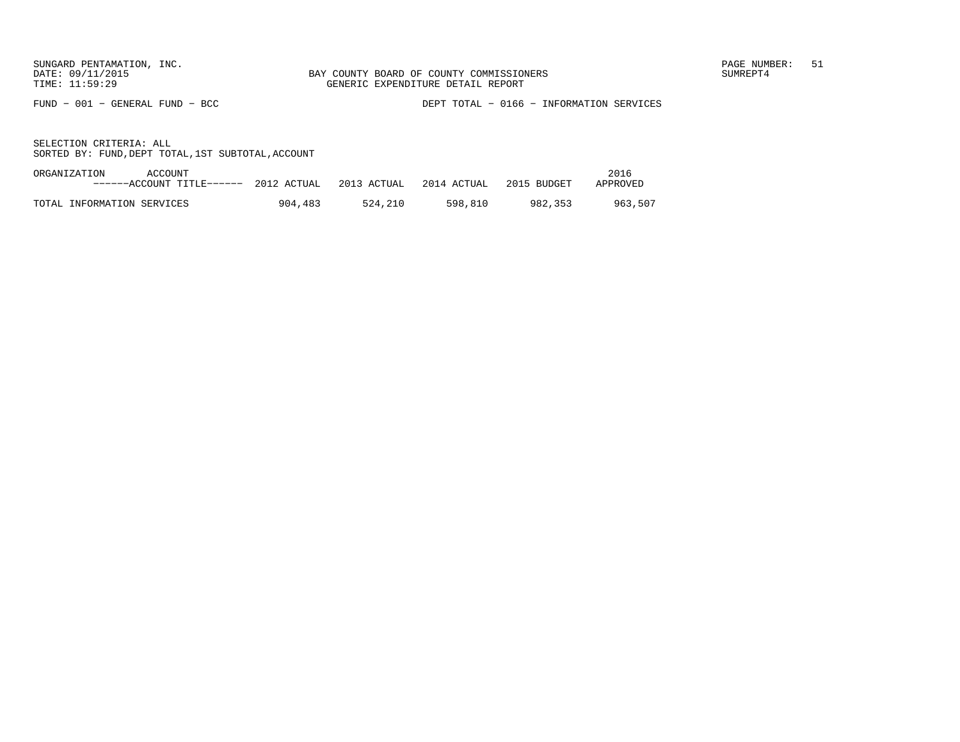FUND − 001 − GENERAL FUND − BCC DEPT TOTAL − 0166 − INFORMATION SERVICES

| ORGANIZATION<br>ACCOUNT                                       |         |         |         |             | 2016     |
|---------------------------------------------------------------|---------|---------|---------|-------------|----------|
| ------ACCOUNT TITLE------ 2012 ACTUAL 2013 ACTUAL 2014 ACTUAL |         |         |         | 2015 BUDGET | APPROVED |
|                                                               |         |         |         |             |          |
| TOTAL INFORMATION SERVICES                                    | 904,483 | 524.210 | 598.810 | 982.353     | 963.507  |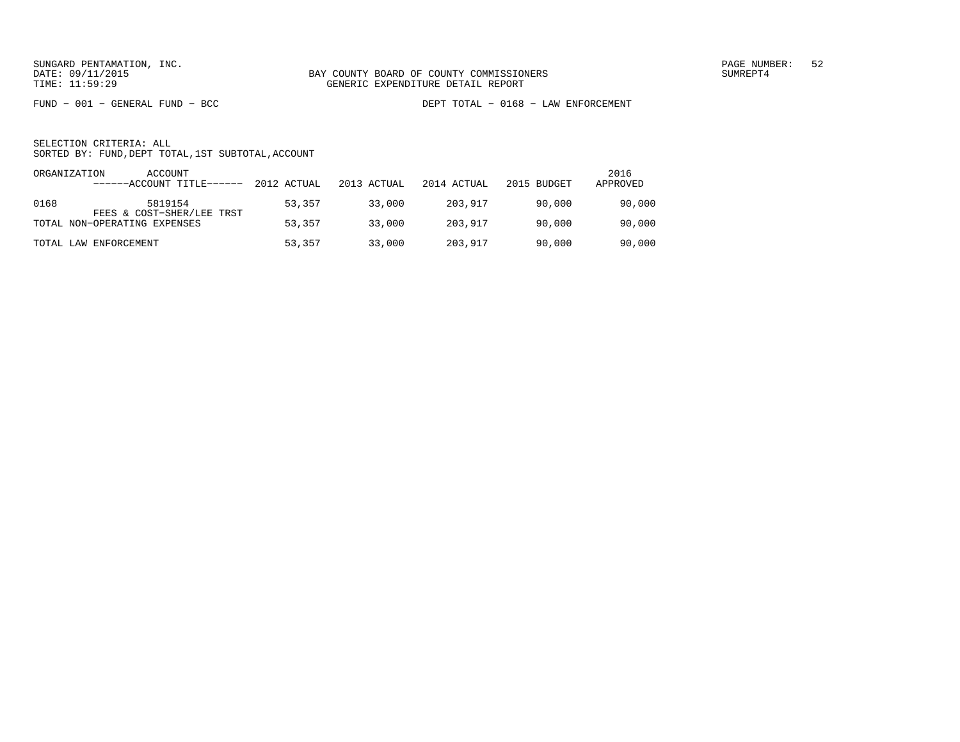FUND − 001 − GENERAL FUND − BCC DEPT TOTAL − 0168 − LAW ENFORCEMENT

| ORGANIZATION | ACCOUNT<br>------ACCOUNT TITLE------ | 2012 ACTUAL | 2013 ACTUAL | 2014 ACTUAL | 2015 BUDGET | 2016<br>APPROVED |
|--------------|--------------------------------------|-------------|-------------|-------------|-------------|------------------|
| 0168         | 5819154<br>FEES & COST-SHER/LEE TRST | 53,357      | 33,000      | 203,917     | 90,000      | 90,000           |
|              | TOTAL NON-OPERATING EXPENSES         | 53,357      | 33,000      | 203,917     | 90,000      | 90,000           |
|              | TOTAL LAW ENFORCEMENT                | 53,357      | 33,000      | 203,917     | 90,000      | 90,000           |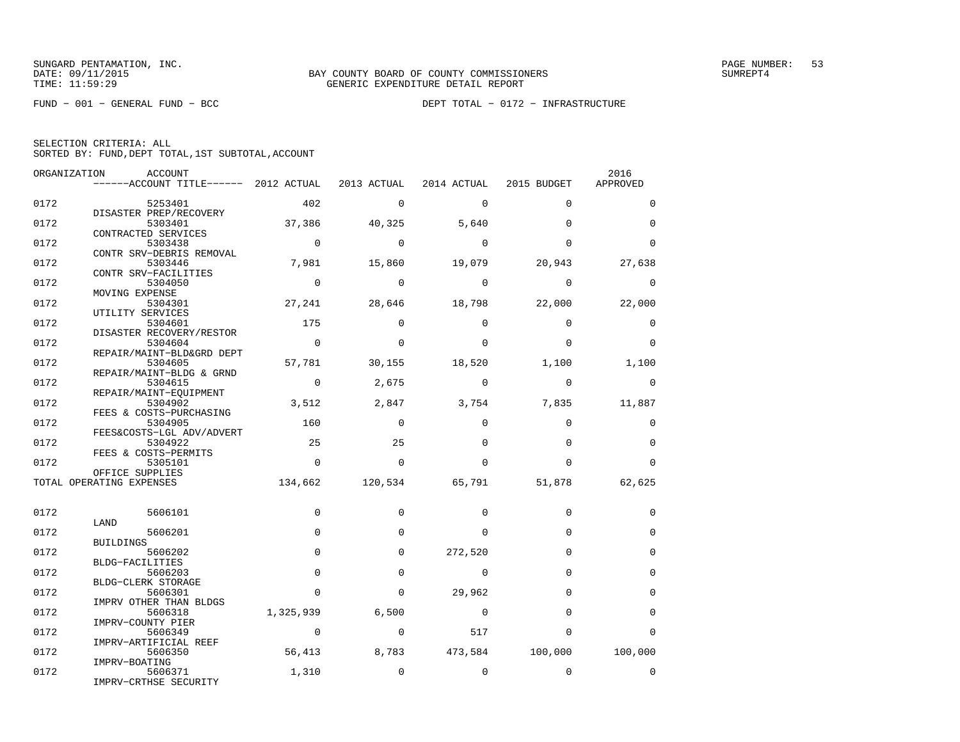FUND − 001 − GENERAL FUND − BCC DEPT TOTAL − 0172 − INFRASTRUCTURE

| SELECTION CRITERIA: ALL |                                                    |  |
|-------------------------|----------------------------------------------------|--|
|                         | SORTED BY: FUND, DEPT TOTAL, 1ST SUBTOTAL, ACCOUNT |  |

|      | ORGANIZATION<br>ACCOUNT                                                   |                |                |                         |                         | 2016          |
|------|---------------------------------------------------------------------------|----------------|----------------|-------------------------|-------------------------|---------------|
|      | $---$ ACCOUNT TITLE------ 2012 ACTUAL 2013 ACTUAL 2014 ACTUAL 2015 BUDGET |                |                |                         |                         | APPROVED      |
| 0172 | 5253401                                                                   | 402            | $\Omega$       | $\Omega$                | $\Omega$                | $\Omega$      |
|      | DISASTER PREP/RECOVERY                                                    |                |                |                         |                         |               |
| 0172 | 5303401                                                                   | 37,386         | 40,325         | 5,640                   | $\Omega$                | $\Omega$      |
|      | CONTRACTED SERVICES                                                       |                |                |                         |                         |               |
| 0172 | 5303438                                                                   | $\overline{0}$ | $\Omega$       | $\Omega$                | $\Omega$                | $\Omega$      |
|      | CONTR SRV-DEBRIS REMOVAL                                                  |                |                |                         |                         |               |
| 0172 | 5303446                                                                   | 7,981          | 15,860         | 19,079                  | 20,943                  | 27,638        |
| 0172 | CONTR SRV-FACILITIES<br>5304050                                           | $\overline{0}$ | $\Omega$       | $\Omega$                | $\Omega$                | $\Omega$      |
|      | MOVING EXPENSE                                                            |                |                |                         |                         |               |
| 0172 | 5304301                                                                   |                |                | 27, 241 28, 646 18, 798 | 22,000                  | 22,000        |
|      | UTILITY SERVICES                                                          |                |                |                         |                         |               |
| 0172 | 5304601                                                                   | 175            | $\Omega$       | $\Omega$                | $\Omega$                | $\mathbf 0$   |
|      | DISASTER RECOVERY/RESTOR                                                  |                |                |                         |                         |               |
| 0172 | 5304604                                                                   | $\overline{0}$ | $\Omega$       | $\Omega$                | $\Omega$                | $\Omega$      |
|      | REPAIR/MAINT-BLD&GRD DEPT                                                 |                |                |                         |                         |               |
| 0172 | 5304605<br>REPAIR/MAINT-BLDG & GRND                                       | 57,781         | 30,155         | 18,520                  | 1,100                   | 1,100         |
| 0172 | 5304615                                                                   | $\overline{0}$ | 2,675          | $\overline{0}$          | $\mathbf 0$             | 0             |
|      | REPAIR/MAINT-EQUIPMENT                                                    |                |                |                         |                         |               |
| 0172 | 5304902                                                                   | 3,512          | 2,847          |                         | 3,754 7,835             | 11,887        |
|      | FEES & COSTS-PURCHASING                                                   |                |                |                         |                         |               |
| 0172 | 5304905                                                                   | 160            | $\Omega$       | $\Omega$                | $\Omega$                | $\Omega$      |
|      | FEES&COSTS-LGL ADV/ADVERT                                                 |                |                |                         |                         |               |
| 0172 | 5304922                                                                   | 25             | 25             | $\Omega$                | $\Omega$                | $\Omega$      |
|      | FEES & COSTS-PERMITS                                                      | $\overline{0}$ | $\overline{0}$ | $\Omega$                | $\Omega$                | $\Omega$      |
| 0172 | 5305101<br>OFFICE SUPPLIES                                                |                |                |                         |                         |               |
|      | TOTAL OPERATING EXPENSES                                                  |                |                | 134,662 120,534 65,791  |                         | 51,878 62,625 |
|      |                                                                           |                |                |                         |                         |               |
|      |                                                                           |                |                |                         |                         |               |
| 0172 | 5606101                                                                   | $\Omega$       | $\Omega$       | $\Omega$                | $\Omega$                | 0             |
|      | LAND                                                                      |                |                |                         |                         |               |
| 0172 | 5606201<br>BUILDINGS                                                      | $\Omega$       | $\Omega$       | $\Omega$                | $\Omega$                | $\Omega$      |
| 0172 | 5606202                                                                   | $\mathbf 0$    | $\Omega$       | 272,520                 | $\Omega$                | $\mathbf 0$   |
|      | BLDG-FACILITIES                                                           |                |                |                         |                         |               |
| 0172 | 5606203                                                                   | $\Omega$       | $\Omega$       | $\Omega$                | $\Omega$                | $\Omega$      |
|      | BLDG-CLERK STORAGE                                                        |                |                |                         |                         |               |
| 0172 | 5606301                                                                   | $\Omega$       | $\Omega$       | 29,962                  | $\Omega$                | $\mathbf 0$   |
|      | IMPRV OTHER THAN BLDGS                                                    |                |                |                         |                         |               |
| 0172 | 5606318                                                                   | 1,325,939      | 6,500          | $\sim$ 0                | $\Omega$                | $\Omega$      |
| 0172 | IMPRV-COUNTY PIER<br>5606349                                              | $\sim$ 0       | $\mathbf 0$    | 517                     | $\Omega$                | 0             |
|      | IMPRV-ARTIFICIAL REEF                                                     |                |                |                         |                         |               |
| 0172 | 5606350                                                                   | 56,413         | 8,783          |                         | 473,584 100,000 100,000 |               |
|      | IMPRV-BOATING                                                             |                |                |                         |                         |               |
| 0172 | 5606371                                                                   | 1,310          | $\mathbf 0$    | $\mathbf 0$             | $\Omega$                | $\mathbf 0$   |
|      | IMPRV-CRTHSE SECURITY                                                     |                |                |                         |                         |               |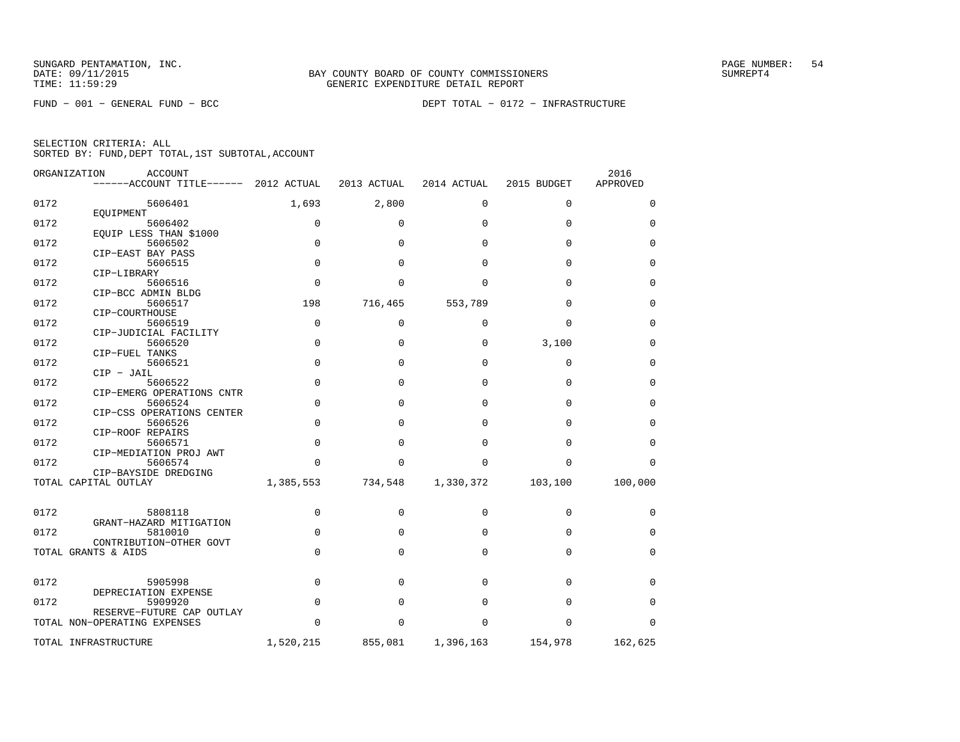FUND − 001 − GENERAL FUND − BCC DEPT TOTAL − 0172 − INFRASTRUCTURE

| ORGANIZATION | <b>ACCOUNT</b><br>------ACCOUNT TITLE------ 2012 ACTUAL |             | 2013 ACTUAL  | 2014 ACTUAL | 2015 BUDGET | 2016<br>APPROVED |
|--------------|---------------------------------------------------------|-------------|--------------|-------------|-------------|------------------|
| 0172         | 5606401                                                 | 1,693       | 2,800        | $\mathbf 0$ | $\mathbf 0$ | 0                |
|              | EQUIPMENT                                               |             |              |             |             |                  |
| 0172         | 5606402                                                 | $\mathbf 0$ | 0            | $\Omega$    | $\Omega$    | 0                |
| 0172         | EOUIP LESS THAN \$1000<br>5606502                       | $\Omega$    | $\Omega$     | $\Omega$    | $\Omega$    | $\Omega$         |
|              | CIP-EAST BAY PASS                                       |             |              |             |             |                  |
| 0172         | 5606515                                                 | $\mathbf 0$ | $\Omega$     | $\Omega$    | $\Omega$    | $\mathbf 0$      |
|              | CIP-LIBRARY                                             |             |              |             |             |                  |
| 0172         | 5606516                                                 | $\mathbf 0$ | <sup>0</sup> | $\Omega$    | $\Omega$    | $\mathbf 0$      |
|              | CIP-BCC ADMIN BLDG                                      |             |              |             |             |                  |
| 0172         | 5606517                                                 | 198         | 716,465      | 553,789     | $\Omega$    | $\Omega$         |
|              | CIP-COURTHOUSE                                          |             |              |             |             |                  |
| 0172         | 5606519                                                 | $\mathbf 0$ | $\mathbf 0$  | $\Omega$    | $\Omega$    | $\mathbf 0$      |
|              | CIP-JUDICIAL FACILITY                                   |             |              |             |             |                  |
| 0172         | 5606520                                                 | $\mathbf 0$ | $\Omega$     | $\Omega$    | 3,100       | 0                |
|              | CIP-FUEL TANKS                                          |             |              |             |             |                  |
| 0172         | 5606521<br>$CIP - JAIL$                                 | $\Omega$    | $\Omega$     | $\Omega$    | $\Omega$    | $\Omega$         |
| 0172         | 5606522                                                 | $\Omega$    | $\Omega$     | $\Omega$    | $\Omega$    | $\Omega$         |
|              | CIP-EMERG OPERATIONS CNTR                               |             |              |             |             |                  |
| 0172         | 5606524                                                 | $\mathbf 0$ | $\Omega$     | $\Omega$    | $\Omega$    | $\mathbf 0$      |
|              | CIP-CSS OPERATIONS CENTER                               |             |              |             |             |                  |
| 0172         | 5606526                                                 | $\Omega$    | $\Omega$     | $\Omega$    | $\Omega$    | $\Omega$         |
|              | CIP-ROOF REPAIRS                                        |             |              |             |             |                  |
| 0172         | 5606571                                                 | $\Omega$    | $\Omega$     | $\Omega$    | $\Omega$    | $\Omega$         |
|              | CIP-MEDIATION PROJ AWT                                  |             |              |             |             |                  |
| 0172         | 5606574                                                 | $\Omega$    | 0            | 0           | $\Omega$    | $\Omega$         |
|              | CIP-BAYSIDE DREDGING                                    |             |              |             |             |                  |
|              | TOTAL CAPITAL OUTLAY                                    | 1,385,553   | 734,548      | 1,330,372   | 103,100     | 100,000          |
|              |                                                         |             |              |             |             |                  |
| 0172         | 5808118                                                 | $\mathbf 0$ | 0            | $\Omega$    | $\Omega$    | 0                |
|              | GRANT-HAZARD MITIGATION                                 |             |              |             |             |                  |
| 0172         | 5810010                                                 | $\mathbf 0$ | 0            | 0           | $\Omega$    | 0                |
|              | CONTRIBUTION-OTHER GOVT                                 |             |              |             |             |                  |
|              | TOTAL GRANTS & AIDS                                     | $\Omega$    | $\Omega$     | $\Omega$    | $\Omega$    | $\Omega$         |
|              |                                                         |             |              |             |             |                  |
|              |                                                         |             |              |             |             |                  |
| 0172         | 5905998                                                 | $\mathbf 0$ | $\Omega$     | $\Omega$    | $\Omega$    | $\Omega$         |
| 0172         | DEPRECIATION EXPENSE                                    |             |              |             |             |                  |
|              | 5909920<br>RESERVE-FUTURE CAP OUTLAY                    | $\mathbf 0$ | $\Omega$     | 0           | $\Omega$    | 0                |
|              | TOTAL NON-OPERATING EXPENSES                            | $\Omega$    | $\Omega$     | $\Omega$    | $\Omega$    | $\Omega$         |
|              |                                                         |             |              |             |             |                  |
|              | TOTAL INFRASTRUCTURE                                    | 1,520,215   | 855,081      | 1,396,163   | 154,978     | 162,625          |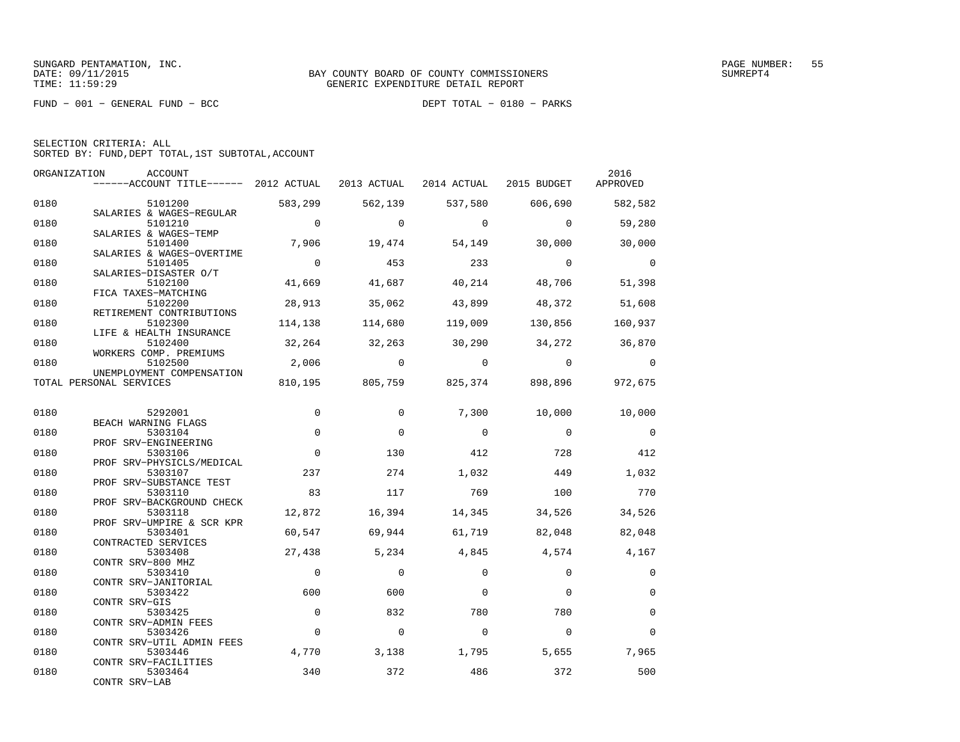FUND − 001 − GENERAL FUND − BCC DEPT TOTAL − 0180 − PARKS

|      | ORGANIZATION<br>ACCOUNT                           |                |                 |                                         |                | 2016           |
|------|---------------------------------------------------|----------------|-----------------|-----------------------------------------|----------------|----------------|
|      | ------ACCOUNT TITLE------ 2012 ACTUAL 2013 ACTUAL |                |                 | 2014 ACTUAL 2015 BUDGET                 |                | APPROVED       |
| 0180 | 5101200                                           | 583,299        | 562,139         | 537,580                                 | 606,690        | 582,582        |
| 0180 | SALARIES & WAGES-REGULAR<br>5101210               | $\overline{0}$ | $\Omega$        | $\overline{0}$                          | $\overline{0}$ | 59,280         |
| 0180 | SALARIES & WAGES-TEMP<br>5101400                  | 7,906          | 19,474          | 54,149                                  | 30,000         | 30,000         |
| 0180 | SALARIES & WAGES-OVERTIME<br>5101405              | $\overline{0}$ | 453             | 233                                     | $\overline{0}$ | $\bigcirc$     |
|      | SALARIES-DISASTER O/T                             |                |                 |                                         |                |                |
| 0180 | 5102100<br>FICA TAXES-MATCHING                    | 41,669         | 41,687          | 40,214                                  | 48,706         | 51,398         |
| 0180 | 5102200                                           | 28,913         | 35,062          | 43,899                                  | 48,372         | 51,608         |
|      | RETIREMENT CONTRIBUTIONS                          |                |                 |                                         |                |                |
| 0180 | 5102300                                           | 114,138        | 114,680         | 119,009                                 | 130,856        | 160,937        |
| 0180 | LIFE & HEALTH INSURANCE<br>5102400                |                | 32, 264 32, 263 | 30,290                                  | 34,272 36,870  |                |
|      | WORKERS COMP. PREMIUMS                            |                |                 |                                         |                |                |
| 0180 | 5102500<br>UNEMPLOYMENT COMPENSATION              | 2,006          | $\sim$ 0        | $\overline{0}$                          | $\overline{0}$ | $\overline{0}$ |
|      | TOTAL PERSONAL SERVICES                           |                |                 | 810,195 805,759 825,374 898,896 972,675 |                |                |
|      |                                                   |                |                 |                                         |                |                |
| 0180 | 5292001<br>BEACH WARNING FLAGS                    | $\mathbf 0$    | $\Omega$        | 7,300                                   | 10,000         | 10,000         |
| 0180 | 5303104                                           | $\mathbf 0$    | $\Omega$        | $\Omega$                                | $\overline{0}$ | $\overline{0}$ |
| 0180 | PROF SRV-ENGINEERING<br>5303106                   | $\Omega$       | 130             | 412                                     | 728            | 412            |
|      | PROF SRV-PHYSICLS/MEDICAL                         |                |                 |                                         |                |                |
| 0180 | 5303107<br>PROF SRV-SUBSTANCE TEST                | 237            | 274             | 1,032                                   | 449            | 1,032          |
| 0180 | 5303110                                           | 83             | 117             | 769                                     | 100            | 770            |
|      | PROF SRV-BACKGROUND CHECK                         |                |                 |                                         |                |                |
| 0180 | 5303118<br>PROF SRV-UMPIRE & SCR KPR              | 12,872         | 16,394          | 14,345                                  | 34,526         | 34,526         |
| 0180 | 5303401                                           | 60,547         | 69,944          | 61,719                                  | 82,048         | 82,048         |
|      | CONTRACTED SERVICES                               |                |                 |                                         |                |                |
| 0180 | 5303408<br>CONTR SRV-800 MHZ                      | 27,438         | 5,234           | 4,845                                   | 4,574          | 4,167          |
| 0180 | 5303410                                           | $\overline{0}$ | $\Omega$        | $\Omega$                                | $\Omega$       | $\mathbf 0$    |
|      | CONTR SRV-JANITORIAL                              |                |                 |                                         |                |                |
| 0180 | 5303422                                           | 600            | 600             | $\Omega$                                | $\Omega$       | $\Omega$       |
|      | CONTR SRV-GIS                                     |                |                 |                                         |                |                |
| 0180 | 5303425                                           | $\Omega$       | 832             | 780                                     | 780            | $\Omega$       |
| 0180 | CONTR SRV-ADMIN FEES<br>5303426                   | $\Omega$       | 0               | $\Omega$                                | $\Omega$       | $\Omega$       |
|      | CONTR SRV-UTIL ADMIN FEES                         |                |                 |                                         |                |                |
| 0180 | 5303446                                           | 4,770          | 3,138           | 1,795                                   | 5,655          | 7,965          |
|      | CONTR SRV-FACILITIES                              |                |                 |                                         |                |                |
| 0180 | 5303464<br>CONTR SRV-LAB                          | 340            | 372             | 486                                     | 372            | 500            |
|      |                                                   |                |                 |                                         |                |                |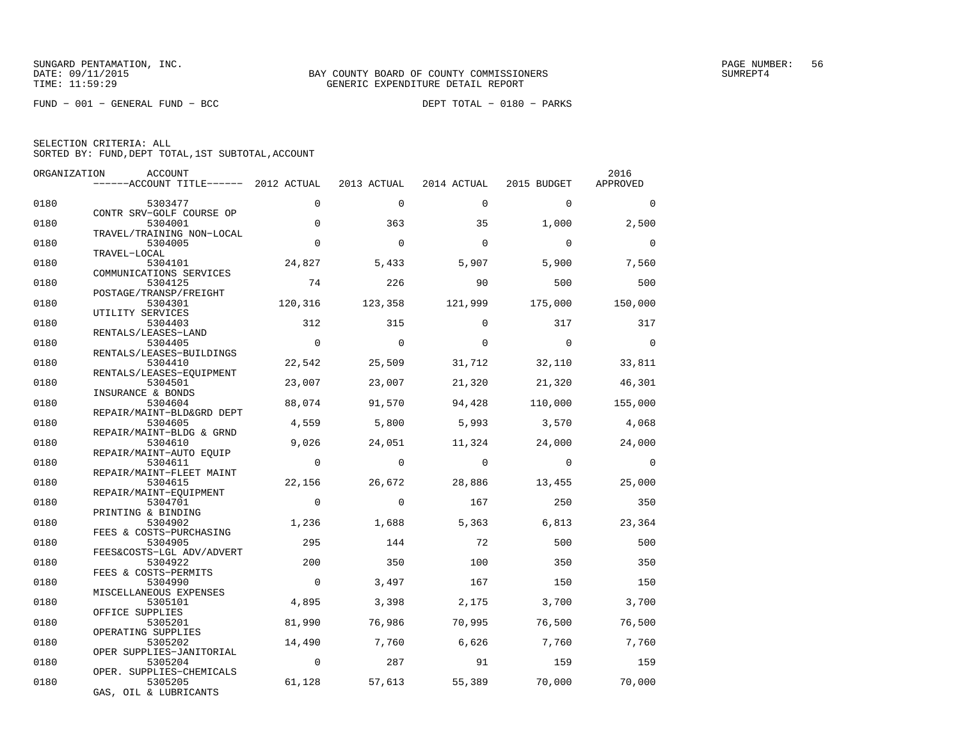FUND − 001 − GENERAL FUND − BCC DEPT TOTAL − 0180 − PARKS

| ORGANIZATION | ACCOUNT                               |                |             |                |                | 2016           |
|--------------|---------------------------------------|----------------|-------------|----------------|----------------|----------------|
|              | ------ACCOUNT TITLE------ 2012 ACTUAL |                | 2013 ACTUAL | 2014 ACTUAL    | 2015 BUDGET    | APPROVED       |
| 0180         | 5303477                               | 0              | $\mathbf 0$ | $\mathbf 0$    | $\mathbf 0$    | $\Omega$       |
|              | CONTR SRV-GOLF COURSE OP              |                |             |                |                |                |
| 0180         | 5304001                               | $\Omega$       | 363         | 35             | 1,000          | 2,500          |
|              | TRAVEL/TRAINING NON-LOCAL             |                |             |                |                |                |
| 0180         | 5304005                               | $\Omega$       | $\Omega$    | $\Omega$       | $\Omega$       | $\mathbf 0$    |
| 0180         | TRAVEL-LOCAL<br>5304101               | 24,827         | 5,433       | 5,907          | 5,900          | 7,560          |
|              | COMMUNICATIONS SERVICES               |                |             |                |                |                |
| 0180         | 5304125                               | 74             | 226         | 90             | 500            | 500            |
|              | POSTAGE/TRANSP/FREIGHT                |                |             |                |                |                |
| 0180         | 5304301                               | 120,316        | 123,358     | 121,999        | 175,000        | 150,000        |
|              | UTILITY SERVICES                      |                |             |                |                |                |
| 0180         | 5304403                               | 312            | 315         | $\Omega$       | 317            | 317            |
|              | RENTALS/LEASES-LAND                   |                |             |                |                |                |
| 0180         | 5304405                               | $\mathbf 0$    | $\Omega$    | $\Omega$       | $\Omega$       | $\bigcirc$     |
|              | RENTALS/LEASES-BUILDINGS              |                |             |                |                |                |
| 0180         | 5304410                               | 22,542         | 25,509      | 31,712         | 32,110         | 33,811         |
|              | RENTALS/LEASES-EQUIPMENT              |                |             |                |                |                |
| 0180         | 5304501                               | 23,007         | 23,007      | 21,320         | 21,320         | 46,301         |
|              | INSURANCE & BONDS                     |                |             |                |                |                |
| 0180         | 5304604                               | 88,074         | 91,570      | 94,428         | 110,000        | 155,000        |
|              | REPAIR/MAINT-BLD&GRD DEPT             |                |             |                |                |                |
| 0180         | 5304605                               | 4,559          | 5,800       | 5,993          | 3,570          | 4,068          |
|              | REPAIR/MAINT-BLDG & GRND              |                |             |                |                |                |
| 0180         | 5304610                               | 9,026          | 24,051      | 11,324         | 24,000         | 24,000         |
|              | REPAIR/MAINT-AUTO EQUIP               |                |             |                |                |                |
| 0180         | 5304611                               | $\overline{0}$ | $\Omega$    | $\overline{0}$ | $\overline{0}$ | $\overline{0}$ |
|              | REPAIR/MAINT-FLEET MAINT              |                |             |                |                |                |
| 0180         | 5304615                               | 22,156         | 26,672      | 28,886         | 13,455         | 25,000         |
|              | REPAIR/MAINT-EQUIPMENT                | $\Omega$       | $\Omega$    | 167            | 250            |                |
| 0180         | 5304701                               |                |             |                |                | 350            |
| 0180         | PRINTING & BINDING                    |                |             |                |                |                |
|              | 5304902                               | 1,236          | 1,688       | 5,363          | 6,813          | 23,364         |
| 0180         | FEES & COSTS-PURCHASING<br>5304905    | 295            | 144         | 72             | 500            | 500            |
|              | FEES&COSTS-LGL ADV/ADVERT             |                |             |                |                |                |
| 0180         | 5304922                               | 200            | 350         | 100            | 350            | 350            |
|              | FEES & COSTS-PERMITS                  |                |             |                |                |                |
| 0180         | 5304990                               | $\mathbf 0$    | 3,497       | 167            | 150            | 150            |
|              | MISCELLANEOUS EXPENSES                |                |             |                |                |                |
| 0180         | 5305101                               | 4,895          | 3,398       | 2,175          | 3,700          | 3,700          |
|              | OFFICE SUPPLIES                       |                |             |                |                |                |
| 0180         | 5305201                               | 81,990         | 76,986      | 70,995         | 76,500         | 76,500         |
|              | OPERATING SUPPLIES                    |                |             |                |                |                |
| 0180         | 5305202                               | 14,490         | 7,760       | 6,626          | 7,760          | 7,760          |
|              | OPER SUPPLIES-JANITORIAL              |                |             |                |                |                |
| 0180         | 5305204                               | $\overline{0}$ | 287         | 91             | 159            | 159            |
|              | OPER. SUPPLIES-CHEMICALS              |                |             |                |                |                |
| 0180         | 5305205                               | 61,128         | 57,613      | 55,389         | 70,000         | 70,000         |
|              | GAS, OIL & LUBRICANTS                 |                |             |                |                |                |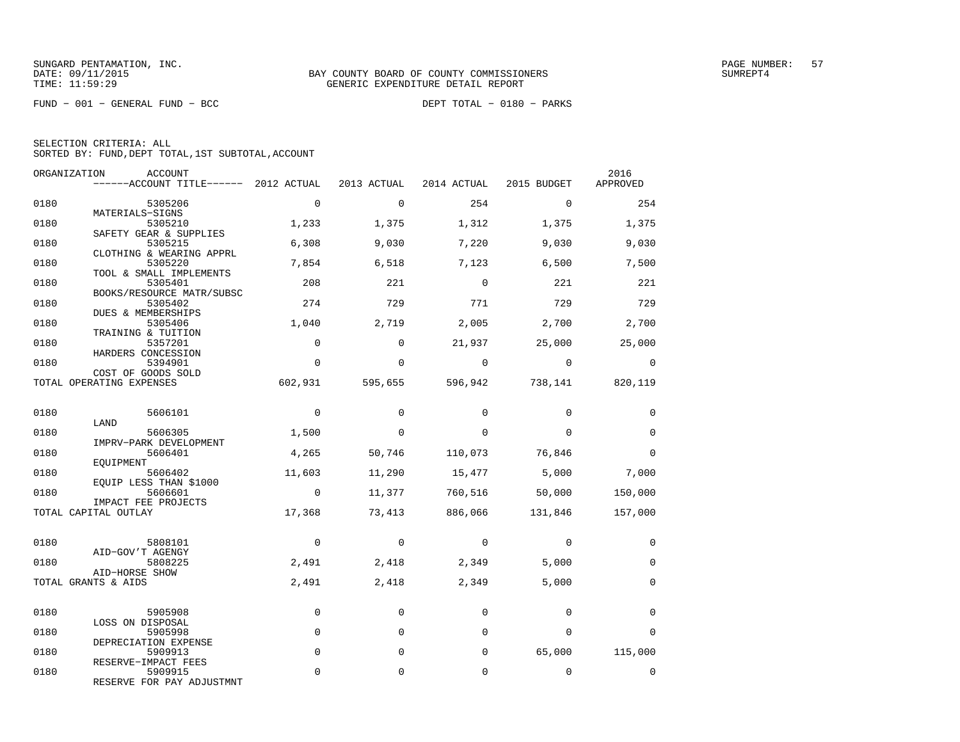FUND − 001 − GENERAL FUND − BCC DEPT TOTAL − 0180 − PARKS

|  | SELECTION CRITERIA: ALL |  |                                                    |  |
|--|-------------------------|--|----------------------------------------------------|--|
|  |                         |  | SORTED BY: FUND, DEPT TOTAL, 1ST SUBTOTAL, ACCOUNT |  |

|      | ORGANIZATION<br>ACCOUNT<br>$----ACCOUNT$ TITLE $----$ 2012 ACTUAL |                | 2013 ACTUAL    | 2014 ACTUAL | 2015 BUDGET     | 2016<br>APPROVED |
|------|-------------------------------------------------------------------|----------------|----------------|-------------|-----------------|------------------|
|      |                                                                   |                |                |             |                 |                  |
| 0180 | 5305206<br>MATERIALS-SIGNS                                        | $\mathbf 0$    | $\mathbf 0$    | 254         | $\mathbf 0$     | 254              |
| 0180 | 5305210<br>SAFETY GEAR & SUPPLIES                                 | 1,233          | 1,375          | 1,312       | 1,375           | 1,375            |
| 0180 | 5305215<br>CLOTHING & WEARING APPRL                               | 6,308          | 9,030          | 7,220       | 9,030           | 9,030            |
| 0180 | 5305220<br>TOOL & SMALL IMPLEMENTS                                | 7,854          | 6,518          | 7,123       | 6,500           | 7,500            |
| 0180 | 5305401<br>BOOKS/RESOURCE MATR/SUBSC                              | 208            | 221            | $\Omega$    | 221             | 221              |
| 0180 | 5305402<br>DUES & MEMBERSHIPS                                     | 274            | 729            | 771         | 729             | 729              |
| 0180 | 5305406<br>TRAINING & TUITION                                     | 1,040          | 2,719          | 2,005       | 2,700           | 2,700            |
| 0180 | 5357201<br>HARDERS CONCESSION                                     | $\Omega$       | $\Omega$       | 21,937      | 25,000          | 25,000           |
| 0180 | 5394901<br>COST OF GOODS SOLD                                     | $\mathbf 0$    | $\mathbf 0$    | $\circ$     | $\mathbf 0$     | 0                |
|      | TOTAL OPERATING EXPENSES                                          | 602,931        | 595,655        |             | 596,942 738,141 | 820,119          |
| 0180 | 5606101                                                           | $\overline{0}$ | $\Omega$       | $\Omega$    | $\Omega$        | $\Omega$         |
| 0180 | LAND<br>5606305<br>IMPRV-PARK DEVELOPMENT                         | 1,500          | $\mathbf 0$    | $\Omega$    | $\Omega$        | $\Omega$         |
| 0180 | 5606401<br>EOUIPMENT                                              | 4,265          | 50,746         | 110,073     | 76,846          | $\Omega$         |
| 0180 | 5606402<br>EQUIP LESS THAN \$1000                                 | 11,603         | 11,290         | 15,477      | 5,000           | 7,000            |
| 0180 | 5606601<br>IMPACT FEE PROJECTS                                    | $\overline{0}$ | 11,377         | 760,516     | 50,000          | 150,000          |
|      | TOTAL CAPITAL OUTLAY                                              | 17,368         | 73,413         | 886,066     | 131,846         | 157,000          |
| 0180 | 5808101                                                           | $\overline{0}$ | $\overline{0}$ | $\circ$     | $\mathbf 0$     | 0                |
| 0180 | AID-GOV'T AGENGY<br>5808225                                       | 2,491          | 2,418          | 2,349       | 5,000           | $\mathbf 0$      |
|      | AID-HORSE SHOW<br>TOTAL GRANTS & AIDS                             | 2,491          | 2,418          | 2,349       | 5,000           | $\mathbf 0$      |
| 0180 | 5905908                                                           | $\Omega$       | $\Omega$       | $\Omega$    | $\Omega$        | $\Omega$         |
| 0180 | LOSS ON DISPOSAL<br>5905998                                       | $\mathbf 0$    | 0              | $\Omega$    | $\Omega$        | $\Omega$         |
| 0180 | DEPRECIATION EXPENSE<br>5909913                                   | $\Omega$       | $\Omega$       | 0           | 65,000          | 115,000          |
| 0180 | RESERVE-IMPACT FEES<br>5909915                                    | $\mathbf 0$    | $\mathbf 0$    | $\mathsf 0$ | $\mathsf{O}$    | 0                |
|      | RESERVE FOR PAY ADJUSTMNT                                         |                |                |             |                 |                  |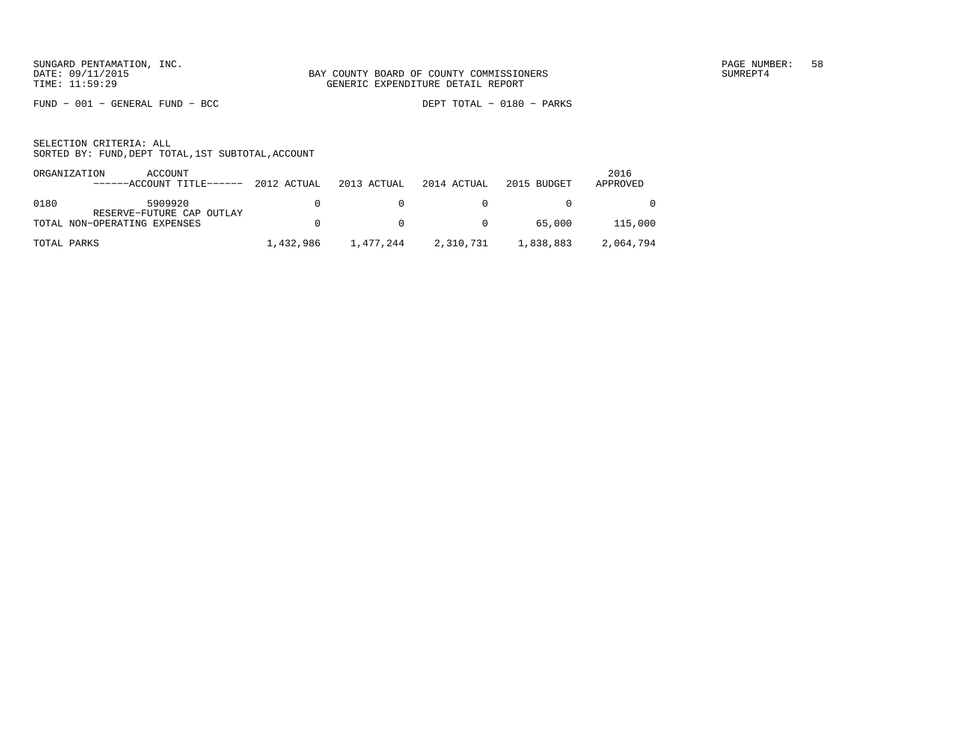FUND − 001 − GENERAL FUND − BCC DEPT TOTAL − 0180 − PARKS

| ORGANIZATION | ACCOUNT                                                   |           |                |                |             | 2016      |
|--------------|-----------------------------------------------------------|-----------|----------------|----------------|-------------|-----------|
|              | ------ACCOUNT TITLE------ 2012 ACTUAL                     |           | 2013 ACTUAL    | 2014 ACTUAL    | 2015 BUDGET | APPROVED  |
| 0180         | 5909920                                                   | n.        | n.             |                |             | $\Omega$  |
|              | RESERVE-FUTURE CAP OUTLAY<br>TOTAL NON-OPERATING EXPENSES | n.        | $\overline{0}$ | $\overline{0}$ | 65,000      | 115,000   |
| TOTAL PARKS  |                                                           | 1,432,986 | 1,477,244      | 2,310,731      | 1,838,883   | 2,064,794 |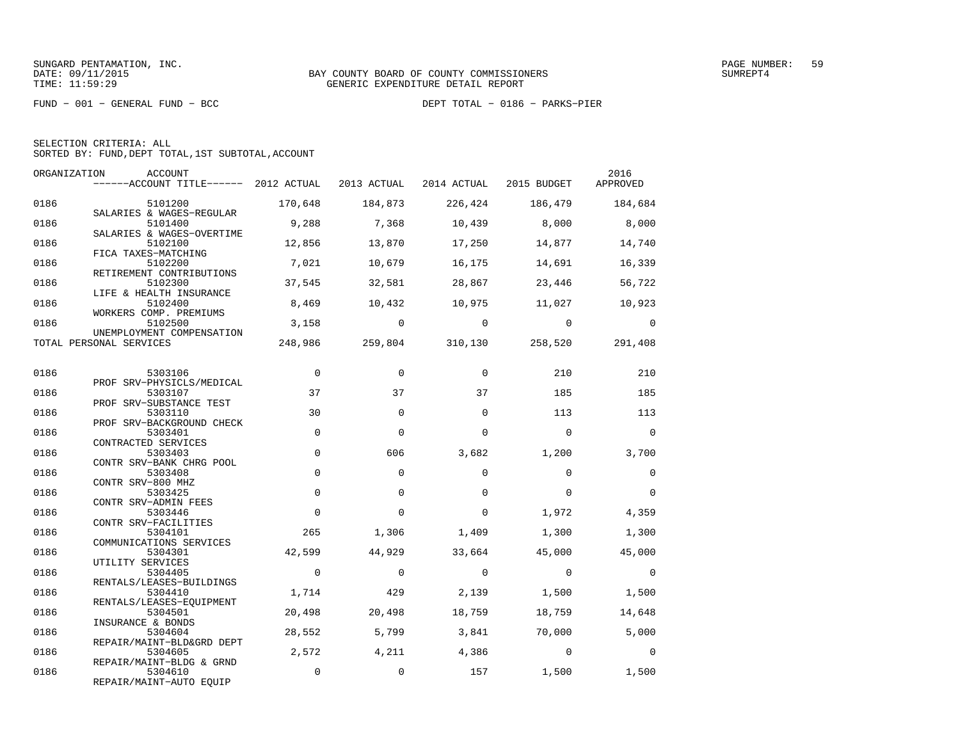FUND − 001 − GENERAL FUND − BCC DEPT TOTAL − 0186 − PARKS−PIER

| ORGANIZATION | ACCOUNT<br>------ACCOUNT TITLE------ 2012 ACTUAL 2013 ACTUAL 2014 ACTUAL 2015 BUDGET APPROVED |                      |                |             |                                 | 2016        |
|--------------|-----------------------------------------------------------------------------------------------|----------------------|----------------|-------------|---------------------------------|-------------|
| 0186         | 5101200                                                                                       | 170,648              | 184,873        | 226,424     | 186,479                         | 184,684     |
| 0186         | SALARIES & WAGES-REGULAR<br>5101400<br>SALARIES & WAGES-OVERTIME                              | 9,288                | 7,368          | 10,439      | 8,000                           | 8,000       |
| 0186         | 5102100<br>FICA TAXES-MATCHING                                                                | 12,856               | 13,870         | 17,250      | 14,877                          | 14,740      |
| 0186         | 5102200<br>RETIREMENT CONTRIBUTIONS                                                           | 7,021                | 10,679         | 16,175      | 14,691                          | 16,339      |
| 0186         | 5102300<br>LIFE & HEALTH INSURANCE                                                            | 37,545               | 32,581         | 28,867      | 23,446                          | 56,722      |
| 0186         | 5102400<br>WORKERS COMP. PREMIUMS                                                             | 8,469                | 10,432         | 10,975      | 11,027                          | 10,923      |
| 0186         | 5102500<br>UNEMPLOYMENT COMPENSATION                                                          | 3,158                | $\overline{0}$ | $\mathbf 0$ | $\mathbf 0$                     | $\mathbf 0$ |
|              | TOTAL PERSONAL SERVICES                                                                       |                      |                |             | 248,986 259,804 310,130 258,520 | 291,408     |
| 0186         | 5303106                                                                                       | $\mathbf 0$          | $\Omega$       | $\Omega$    | 210                             | 210         |
| 0186         | PROF SRV-PHYSICLS/MEDICAL<br>5303107<br>PROF SRV-SUBSTANCE TEST                               | 37                   | 37             | 37          | 185                             | 185         |
| 0186         | 5303110<br>PROF SRV-BACKGROUND CHECK                                                          | 30                   | $\Omega$       | $\Omega$    | 113                             | 113         |
| 0186         | 5303401<br>CONTRACTED SERVICES                                                                | $\mathbf 0$          | $\Omega$       | $\Omega$    | $\Omega$                        | $\Omega$    |
| 0186         | 5303403<br>CONTR SRV-BANK CHRG POOL                                                           | $\mathbf 0$          | 606            | 3,682       | 1,200                           | 3,700       |
| 0186         | 5303408<br>CONTR SRV-800 MHZ                                                                  | $\Omega$             | $\Omega$       | $\Omega$    | $\Omega$                        | $\Omega$    |
| 0186         | 5303425<br>CONTR SRV-ADMIN FEES                                                               | $\Omega$             | $\Omega$       | $\Omega$    | $\Omega$                        | $\Omega$    |
| 0186         | 5303446<br>CONTR SRV-FACILITIES                                                               | $\mathbf 0$          | $\mathbf 0$    | $\mathbf 0$ | 1,972                           | 4,359       |
| 0186         | 5304101<br>COMMUNICATIONS SERVICES                                                            | 265                  | 1,306          | 1,409       | 1,300                           | 1,300       |
| 0186         | 5304301<br>UTILITY SERVICES                                                                   | 42,599               | 44,929         | 33,664      | 45,000                          | 45,000      |
| 0186         | 5304405<br>RENTALS/LEASES-BUILDINGS                                                           | $\Omega$             | $\Omega$       | $\Omega$    | $\Omega$                        | $\Omega$    |
| 0186         | 5304410<br>RENTALS/LEASES-EQUIPMENT                                                           | 1,714                | 429            | 2,139       | 1,500                           | 1,500       |
| 0186         | 5304501<br>INSURANCE & BONDS                                                                  | 20,498               | 20,498         | 18,759      | 18,759                          | 14,648      |
| 0186         | 5304604<br>REPAIR/MAINT-BLD&GRD DEPT                                                          | 28,552               | 5,799          | 3,841       | 70,000                          | 5,000       |
| 0186         | 5304605<br>REPAIR/MAINT-BLDG & GRND                                                           | 2,572<br>$\mathbf 0$ | 4,211          | 4,386       | $\overline{0}$                  | $\Omega$    |
| 0186         | 5304610<br>REPAIR/MAINT-AUTO EQUIP                                                            |                      | $\mathbf 0$    | 157         | 1,500                           | 1,500       |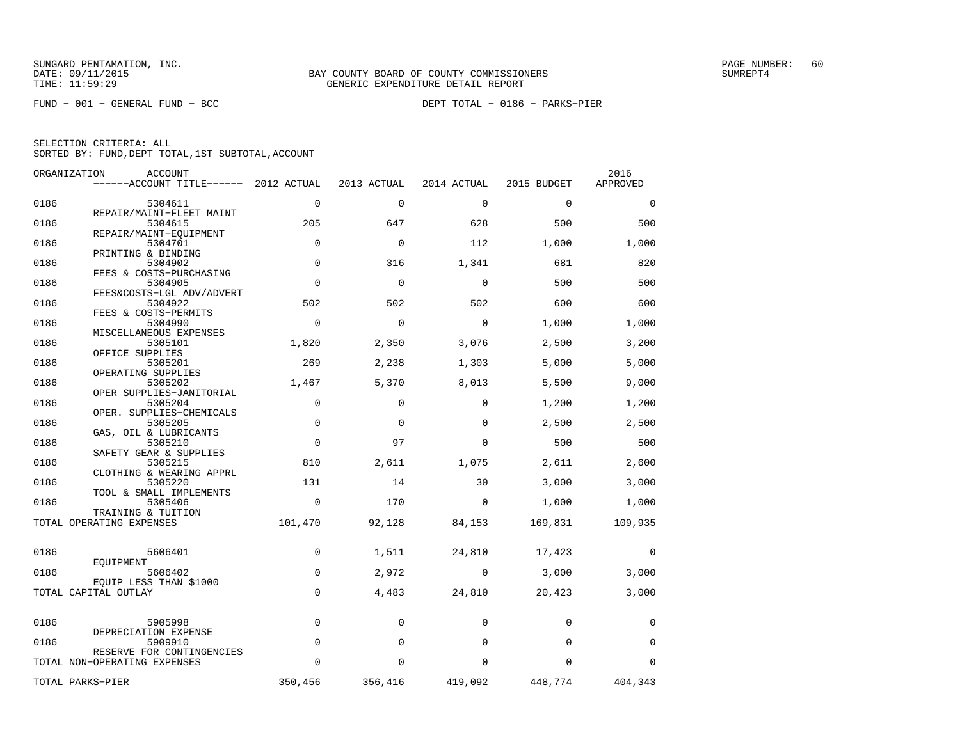FUND − 001 − GENERAL FUND − BCC DEPT TOTAL − 0186 − PARKS−PIER

|      | ORGANIZATION<br>ACCOUNT               |             |             |             |             | 2016     |
|------|---------------------------------------|-------------|-------------|-------------|-------------|----------|
|      | ------ACCOUNT TITLE------ 2012 ACTUAL |             | 2013 ACTUAL | 2014 ACTUAL | 2015 BUDGET | APPROVED |
| 0186 | 5304611                               | $\mathbf 0$ | $\mathbf 0$ | $\Omega$    | $\Omega$    | $\Omega$ |
| 0186 | REPAIR/MAINT-FLEET MAINT<br>5304615   | 205         | 647         | 628         | 500         | 500      |
|      | REPAIR/MAINT-EOUIPMENT                |             |             |             |             |          |
| 0186 | 5304701                               | $\mathbf 0$ | $\mathbf 0$ | 112         | 1,000       | 1,000    |
| 0186 | PRINTING & BINDING<br>5304902         | $\mathbf 0$ | 316         | 1,341       | 681         | 820      |
|      | FEES & COSTS-PURCHASING               |             |             |             |             |          |
| 0186 | 5304905                               | $\mathbf 0$ | $\mathbf 0$ | $\mathbf 0$ | 500         | 500      |
| 0186 | FEES&COSTS-LGL ADV/ADVERT<br>5304922  | 502         | 502         | 502         | 600         | 600      |
|      | FEES & COSTS-PERMITS                  |             |             |             |             |          |
| 0186 | 5304990                               | $\Omega$    | $\mathbf 0$ | $\mathbf 0$ | 1,000       | 1,000    |
|      | MISCELLANEOUS EXPENSES                |             |             |             |             |          |
| 0186 | 5305101                               | 1,820       | 2,350       | 3,076       | 2,500       | 3,200    |
|      | OFFICE SUPPLIES                       |             |             |             |             |          |
| 0186 | 5305201                               | 269         | 2,238       | 1,303       | 5,000       | 5,000    |
|      | OPERATING SUPPLIES                    |             |             |             |             |          |
| 0186 | 5305202<br>OPER SUPPLIES-JANITORIAL   | 1,467       | 5,370       | 8,013       | 5,500       | 9,000    |
| 0186 | 5305204                               | 0           | $\mathbf 0$ | $\Omega$    | 1,200       | 1,200    |
|      | OPER. SUPPLIES-CHEMICALS              |             |             |             |             |          |
| 0186 | 5305205                               | $\mathbf 0$ | $\Omega$    | $\Omega$    | 2,500       | 2,500    |
|      | GAS, OIL & LUBRICANTS                 |             |             |             |             |          |
| 0186 | 5305210                               | $\mathbf 0$ | 97          | $\Omega$    | 500         | 500      |
|      | SAFETY GEAR & SUPPLIES                |             |             |             |             |          |
| 0186 | 5305215                               | 810         | 2,611       | 1,075       | 2,611       | 2,600    |
|      | CLOTHING & WEARING APPRL              |             |             |             |             |          |
| 0186 | 5305220                               | 131         | 14          | 30          | 3,000       | 3,000    |
|      | TOOL & SMALL IMPLEMENTS               |             |             |             |             |          |
| 0186 | 5305406                               | $\mathbf 0$ | 170         | 0           | 1,000       | 1,000    |
|      | TRAINING & TUITION                    |             |             |             |             |          |
|      | TOTAL OPERATING EXPENSES              | 101,470     | 92,128      | 84,153      | 169,831     | 109,935  |
|      |                                       |             |             |             |             |          |
| 0186 | 5606401                               | 0           | 1,511       | 24,810      | 17,423      | 0        |
|      | EOUIPMENT                             |             |             |             |             |          |
| 0186 | 5606402                               | 0           | 2,972       | 0           | 3,000       | 3,000    |
|      | EQUIP LESS THAN \$1000                |             |             |             |             |          |
|      | TOTAL CAPITAL OUTLAY                  | $\mathbf 0$ | 4,483       | 24,810      | 20,423      | 3,000    |
|      |                                       |             |             |             |             |          |
| 0186 | 5905998                               | $\mathbf 0$ | 0           | $\Omega$    | $\Omega$    | 0        |
|      | DEPRECIATION EXPENSE                  |             |             |             |             |          |
| 0186 | 5909910                               | $\mathbf 0$ | $\Omega$    | $\Omega$    | $\Omega$    | $\Omega$ |
|      | RESERVE FOR CONTINGENCIES             |             |             |             |             |          |
|      | TOTAL NON-OPERATING EXPENSES          | 0           | $\Omega$    | 0           | $\Omega$    | 0        |
|      | TOTAL PARKS-PIER                      | 350,456     | 356,416     | 419,092     | 448,774     | 404,343  |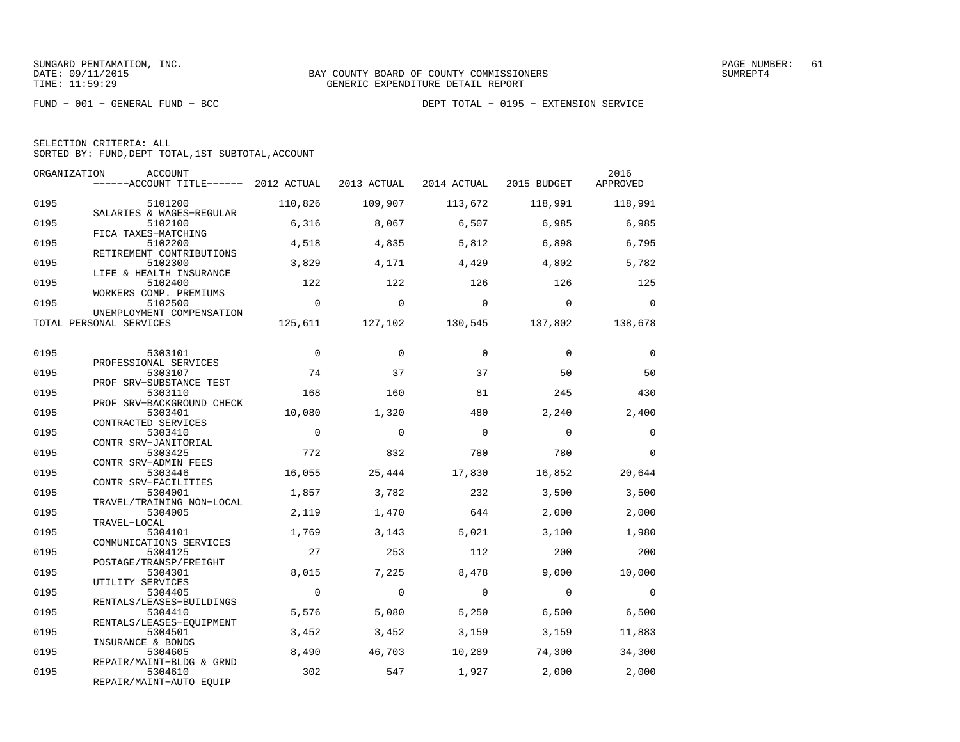|  | SELECTION CRITERIA: ALL                            |  |  |
|--|----------------------------------------------------|--|--|
|  | SORTED BY: FUND, DEPT TOTAL, 1ST SUBTOTAL, ACCOUNT |  |  |

| ORGANIZATION | <b>ACCOUNT</b><br>$----ACCOUNT$ TITLE $----$ 2012 ACTUAL       |              | 2013 ACTUAL | 2014 ACTUAL | 2015 BUDGET | 2016<br>APPROVED |
|--------------|----------------------------------------------------------------|--------------|-------------|-------------|-------------|------------------|
| 0195         | 5101200                                                        | 110,826      | 109,907     | 113,672     | 118,991     | 118,991          |
| 0195         | SALARIES & WAGES-REGULAR<br>5102100                            | 6,316        | 8,067       | 6,507       | 6,985       | 6,985            |
| 0195         | FICA TAXES-MATCHING<br>5102200                                 | 4,518        | 4,835       | 5,812       | 6,898       | 6,795            |
| 0195         | RETIREMENT CONTRIBUTIONS<br>5102300<br>LIFE & HEALTH INSURANCE | 3,829        | 4,171       | 4,429       | 4,802       | 5,782            |
| 0195         | 5102400<br>WORKERS COMP. PREMIUMS                              | 122          | 122         | 126         | 126         | 125              |
| 0195         | 5102500<br>UNEMPLOYMENT COMPENSATION                           | $\Omega$     | $\Omega$    | $\Omega$    | $\Omega$    | $\Omega$         |
|              | TOTAL PERSONAL SERVICES                                        | 125,611      | 127,102     | 130,545     | 137,802     | 138,678          |
| 0195         | 5303101                                                        | $\mathbf{0}$ | $\Omega$    | $\Omega$    | $\Omega$    | 0                |
| 0195         | PROFESSIONAL SERVICES<br>5303107                               | 74           | 37          | 37          | 50          | 50               |
| 0195         | PROF SRV-SUBSTANCE TEST<br>5303110                             | 168          | 160         | 81          | 245         | 430              |
| 0195         | PROF SRV-BACKGROUND CHECK<br>5303401                           | 10,080       | 1,320       | 480         | 2,240       | 2,400            |
| 0195         | CONTRACTED SERVICES<br>5303410<br>CONTR SRV-JANITORIAL         | $\mathbf 0$  | $\Omega$    | $\mathbf 0$ | $\mathbf 0$ | $\mathbf 0$      |
| 0195         | 5303425<br>CONTR SRV-ADMIN FEES                                | 772          | 832         | 780         | 780         | $\Omega$         |
| 0195         | 5303446<br>CONTR SRV-FACILITIES                                | 16,055       | 25,444      | 17,830      | 16,852      | 20,644           |
| 0195         | 5304001<br>TRAVEL/TRAINING NON-LOCAL                           | 1,857        | 3,782       | 232         | 3,500       | 3,500            |
| 0195         | 5304005<br>TRAVEL-LOCAL                                        | 2,119        | 1,470       | 644         | 2,000       | 2,000            |
| 0195         | 5304101<br>COMMUNICATIONS SERVICES                             | 1,769        | 3,143       | 5.021       | 3,100       | 1,980            |
| 0195         | 5304125<br>POSTAGE/TRANSP/FREIGHT                              | 27           | 253         | 112         | 200         | 200              |
| 0195         | 5304301<br>UTILITY SERVICES                                    | 8,015        | 7,225       | 8,478       | 9.000       | 10,000           |
| 0195         | 5304405<br>RENTALS/LEASES-BUILDINGS                            | $\mathbf 0$  | $\Omega$    | $\Omega$    | $\Omega$    | $\Omega$         |
| 0195         | 5304410<br>RENTALS/LEASES-EQUIPMENT                            | 5,576        | 5,080       | 5,250       | 6,500       | 6,500            |
| 0195         | 5304501<br>INSURANCE & BONDS                                   | 3,452        | 3,452       | 3,159       | 3,159       | 11,883           |
| 0195         | 5304605<br>REPAIR/MAINT-BLDG & GRND                            | 8,490        | 46,703      | 10,289      | 74,300      | 34,300           |
| 0195         | 5304610<br>REPAIR/MAINT-AUTO EQUIP                             | 302          | 547         | 1,927       | 2,000       | 2,000            |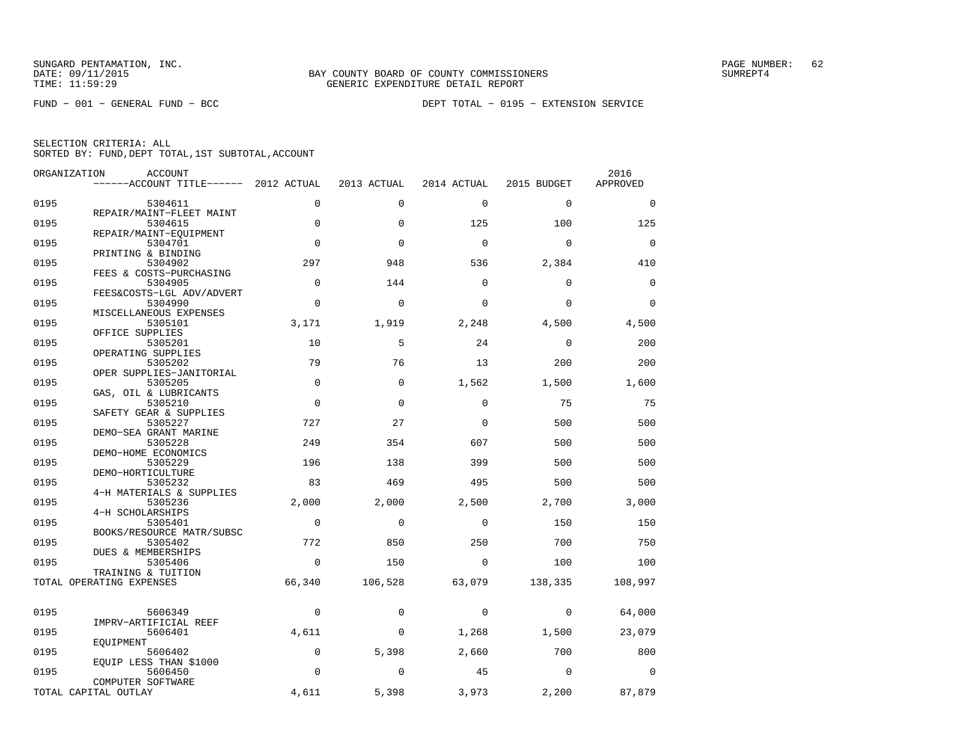|  | SELECTION CRITERIA: ALL                            |  |  |
|--|----------------------------------------------------|--|--|
|  | SORTED BY: FUND, DEPT TOTAL, 1ST SUBTOTAL, ACCOUNT |  |  |

| ORGANIZATION | ACCOUNT                                        |             |             |             |             | 2016        |
|--------------|------------------------------------------------|-------------|-------------|-------------|-------------|-------------|
|              | ------ACCOUNT TITLE------ 2012 ACTUAL          |             | 2013 ACTUAL | 2014 ACTUAL | 2015 BUDGET | APPROVED    |
| 0195         | 5304611                                        | $\mathbf 0$ | $\mathbf 0$ | $\mathbf 0$ | $\mathbf 0$ | $\mathbf 0$ |
|              | REPAIR/MAINT-FLEET MAINT                       |             |             |             |             |             |
| 0195         | 5304615                                        | $\mathbf 0$ | $\Omega$    | 125         | 100         | 125         |
| 0195         | REPAIR/MAINT-EQUIPMENT<br>5304701              | $\mathbf 0$ | $\Omega$    | $\mathbf 0$ | $\mathbf 0$ | $\mathbf 0$ |
|              | PRINTING & BINDING                             |             |             |             |             |             |
| 0195         | 5304902                                        | 297         | 948         | 536         | 2,384       | 410         |
|              | FEES & COSTS-PURCHASING                        |             |             |             |             |             |
| 0195         | 5304905                                        | $\mathbf 0$ | 144         | $\mathbf 0$ | $\mathbf 0$ | $\mathsf 0$ |
| 0195         | FEES&COSTS-LGL ADV/ADVERT<br>5304990           | $\Omega$    | $\Omega$    | $\Omega$    | $\Omega$    | $\Omega$    |
|              | MISCELLANEOUS EXPENSES                         |             |             |             |             |             |
| 0195         | 5305101                                        | 3,171       | 1,919       | 2,248       | 4,500       | 4,500       |
|              | OFFICE SUPPLIES                                |             |             |             |             |             |
| 0195         | 5305201                                        | 10          | 5           | 24          | $\mathbf 0$ | 200         |
|              | OPERATING SUPPLIES                             |             |             |             |             |             |
| 0195         | 5305202<br>OPER SUPPLIES-JANITORIAL            | 79          | 76          | 13          | 200         | 200         |
| 0195         | 5305205                                        | $\mathbf 0$ | $\mathbf 0$ | 1,562       | 1,500       | 1,600       |
|              | GAS, OIL & LUBRICANTS                          |             |             |             |             |             |
| 0195         | 5305210                                        | $\mathbf 0$ | 0           | 0           | 75          | 75          |
|              | SAFETY GEAR & SUPPLIES                         |             |             |             |             |             |
| 0195         | 5305227                                        | 727         | 27          | $\mathbf 0$ | 500         | 500         |
|              | DEMO-SEA GRANT MARINE                          |             |             |             |             |             |
| 0195         | 5305228                                        | 249         | 354         | 607         | 500         | 500         |
|              | DEMO-HOME ECONOMICS                            |             |             |             |             |             |
| 0195         | 5305229                                        | 196         | 138         | 399         | 500         | 500         |
| 0195         | DEMO-HORTICULTURE<br>5305232                   | 83          | 469         | 495         | 500         | 500         |
|              | 4-H MATERIALS & SUPPLIES                       |             |             |             |             |             |
| 0195         | 5305236                                        | 2,000       | 2,000       | 2,500       | 2,700       | 3,000       |
|              | 4-H SCHOLARSHIPS                               |             |             |             |             |             |
| 0195         | 5305401                                        | $\mathbf 0$ | $\mathbf 0$ | $\mathbf 0$ | 150         | 150         |
|              | BOOKS/RESOURCE MATR/SUBSC                      |             |             |             |             |             |
| 0195         | 5305402                                        | 772         | 850         | 250         | 700         | 750         |
|              | DUES & MEMBERSHIPS                             |             |             |             |             |             |
| 0195         | 5305406                                        | $\mathbf 0$ | 150         | $\mathbf 0$ | 100         | 100         |
|              | TRAINING & TUITION<br>TOTAL OPERATING EXPENSES | 66,340      | 106,528     | 63,079      | 138,335     | 108,997     |
|              |                                                |             |             |             |             |             |
|              |                                                |             |             |             |             |             |
| 0195         | 5606349                                        | 0           | $\mathbf 0$ | 0           | 0           | 64,000      |
|              | IMPRV-ARTIFICIAL REEF                          |             |             |             |             |             |
| 0195         | 5606401                                        | 4,611       | 0           | 1,268       | 1,500       | 23,079      |
|              | EQUIPMENT                                      |             |             |             |             |             |
| 0195         | 5606402<br>EQUIP LESS THAN \$1000              | $\mathbf 0$ | 5,398       | 2,660       | 700         | 800         |
| 0195         | 5606450                                        | $\mathbf 0$ | 0           | 45          | $\mathbf 0$ | 0           |
|              | COMPUTER SOFTWARE                              |             |             |             |             |             |
|              | TOTAL CAPITAL OUTLAY                           | 4,611       | 5,398       | 3,973       | 2,200       | 87,879      |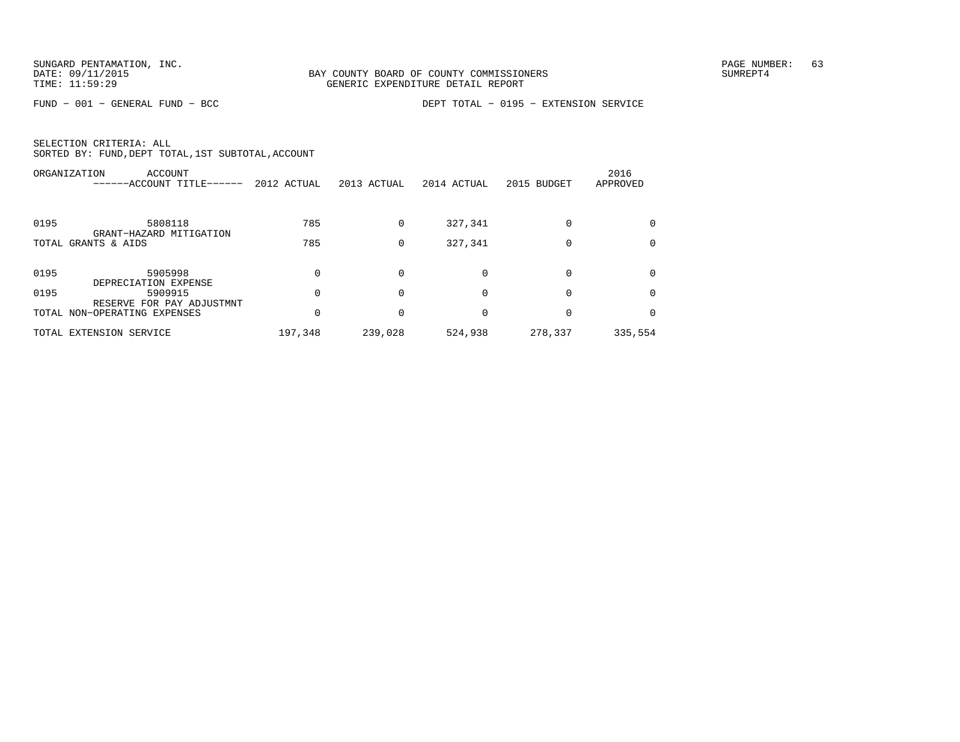|      | ORGANIZATION<br>ACCOUNT<br>------ACCOUNT TITLE------      | 2012 ACTUAL | 2013 ACTUAL | 2014 ACTUAL | 2015 BUDGET | 2016<br>APPROVED |
|------|-----------------------------------------------------------|-------------|-------------|-------------|-------------|------------------|
| 0195 | 5808118<br>GRANT-HAZARD MITIGATION                        | 785         | $\Omega$    | 327,341     |             |                  |
|      | TOTAL GRANTS & AIDS                                       | 785         | 0           | 327,341     |             | $\Omega$         |
| 0195 | 5905998<br>DEPRECIATION EXPENSE                           |             |             | $\Omega$    |             |                  |
| 0195 | 5909915                                                   |             |             | $\Omega$    |             |                  |
|      | RESERVE FOR PAY ADJUSTMNT<br>TOTAL NON-OPERATING EXPENSES |             |             | $\Omega$    |             |                  |
|      | TOTAL EXTENSION SERVICE                                   | 197,348     | 239,028     | 524,938     | 278,337     | 335,554          |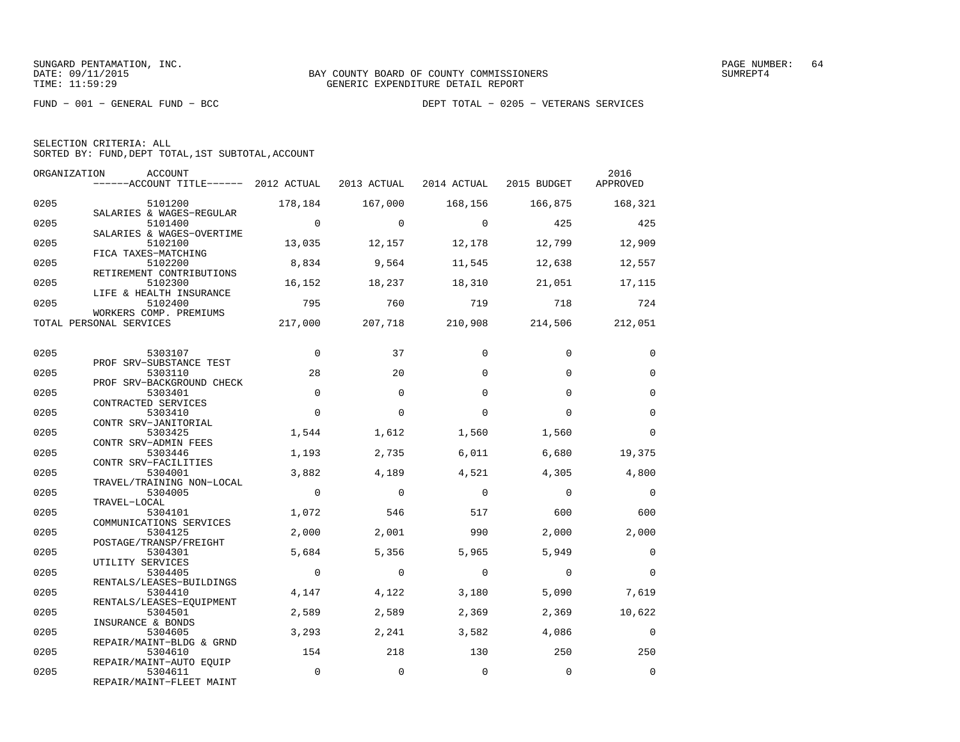|  | SELECTION CRITERIA: ALL                            |  |  |
|--|----------------------------------------------------|--|--|
|  | SORTED BY: FUND, DEPT TOTAL, 1ST SUBTOTAL, ACCOUNT |  |  |

| ORGANIZATION | ACCOUNT<br>------ACCOUNT TITLE------ 2012 ACTUAL 2013 ACTUAL 2014 ACTUAL 2015 BUDGET |                |                |                |                         | 2016<br>APPROVED         |
|--------------|--------------------------------------------------------------------------------------|----------------|----------------|----------------|-------------------------|--------------------------|
| 0205         | 5101200                                                                              | 178,184        | 167,000        |                | 168,156 166,875         | 168,321                  |
| 0205         | SALARIES & WAGES-REGULAR<br>5101400<br>SALARIES & WAGES-OVERTIME                     | $\overline{0}$ | $\Omega$       | $\overline{0}$ | 425                     | 425                      |
| 0205         | 5102100<br>FICA TAXES-MATCHING                                                       | 13,035         | 12,157         | 12,178         | 12,799                  | 12,909                   |
| 0205         | 5102200<br>RETIREMENT CONTRIBUTIONS                                                  | 8,834          | 9,564          | 11,545         | 12,638                  | 12,557                   |
| 0205         | 5102300<br>LIFE & HEALTH INSURANCE                                                   | 16,152         | 18,237         | 18,310         | 21,051                  | 17,115                   |
| 0205         | 5102400<br>WORKERS COMP. PREMIUMS                                                    | 795            | 760            | 719            | 718                     | 724                      |
|              | TOTAL PERSONAL SERVICES                                                              | 217,000        |                |                | 207,718 210,908 214,506 | 212,051                  |
| 0205         | 5303107                                                                              | $\overline{0}$ | 37             | $\Omega$       | $\Omega$                | $\mathbf 0$              |
| 0205         | PROF SRV-SUBSTANCE TEST<br>5303110<br>PROF SRV-BACKGROUND CHECK                      | 28             | 20             | $\Omega$       | $\Omega$                | $\mathbf 0$              |
| 0205         | 5303401<br>CONTRACTED SERVICES                                                       | $\Omega$       | $\Omega$       | $\Omega$       | $\Omega$                | $\Omega$                 |
| 0205         | 5303410<br>CONTR SRV-JANITORIAL                                                      | $\Omega$       | $\Omega$       | $\Omega$       | $\Omega$                | $\mathbf 0$              |
| 0205         | 5303425<br>CONTR SRV-ADMIN FEES                                                      | 1,544          | 1,612          | 1,560          | 1,560                   | $\mathbf 0$              |
| 0205         | 5303446<br>CONTR SRV-FACILITIES                                                      | 1,193          | 2,735          | 6,011          | 6,680                   | 19,375                   |
| 0205         | 5304001<br>TRAVEL/TRAINING NON-LOCAL                                                 | 3,882          | 4,189          | 4,521          | 4,305                   | 4,800                    |
| 0205         | 5304005<br>TRAVEL-LOCAL                                                              | $\overline{0}$ | $\overline{0}$ | $\bigcirc$     | $\bigcirc$              | $\overline{0}$           |
| 0205         | 5304101<br>COMMUNICATIONS SERVICES                                                   | 1,072          | 546            | 517            | 600                     | 600                      |
| 0205         | 5304125<br>POSTAGE/TRANSP/FREIGHT                                                    | 2,000          | 2,001          | 990            | 2,000                   | 2,000                    |
| 0205         | 5304301<br>UTILITY SERVICES                                                          | 5,684          | 5,356          | 5,965          | 5,949                   | $\mathbf 0$              |
| 0205         | 5304405<br>RENTALS/LEASES-BUILDINGS                                                  | $\overline{0}$ | $\Omega$       | $\Omega$       | $\Omega$                | $\Omega$                 |
| 0205         | 5304410<br>RENTALS/LEASES-EOUIPMENT                                                  | 4,147          | 4,122          | 3,180          | 5,090                   | 7,619                    |
| 0205         | 5304501<br>INSURANCE & BONDS                                                         | 2,589          | 2,589          | 2,369          | 2,369                   | 10,622                   |
| 0205         | 5304605<br>REPAIR/MAINT-BLDG & GRND                                                  | 3,293          | 2,241          | 3,582          | 4,086                   | $\overline{\phantom{0}}$ |
| 0205         | 5304610<br>REPAIR/MAINT-AUTO EQUIP                                                   | 154            | 218            | 130            | 250                     | 250                      |
| 0205         | 5304611<br>REPAIR/MAINT-FLEET MAINT                                                  | $\mathbf 0$    | $\mathbf 0$    | $\mathbf 0$    | $\mathbf 0$             | $\mathbf 0$              |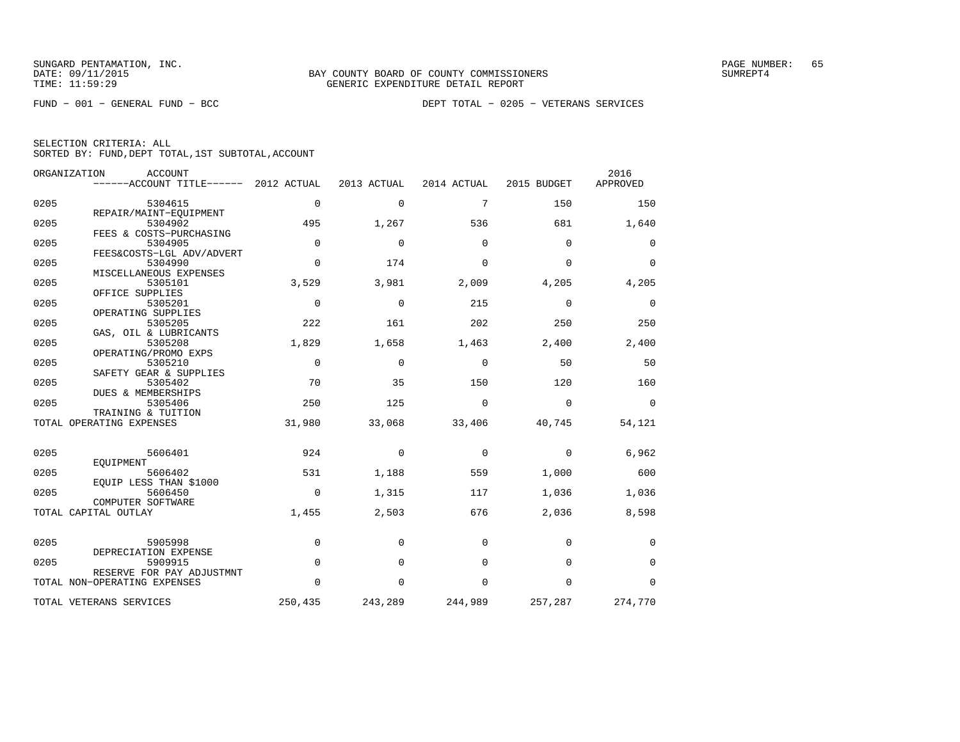|  | SELECTION CRITERIA: ALL |                                                    |
|--|-------------------------|----------------------------------------------------|
|  |                         | SORTED BY: FUND, DEPT TOTAL, 1ST SUBTOTAL, ACCOUNT |

|      | ORGANIZATION<br><b>ACCOUNT</b>   |             |             |             |             | 2016        |
|------|----------------------------------|-------------|-------------|-------------|-------------|-------------|
|      | ------ACCOUNT TITLE------        | 2012 ACTUAL | 2013 ACTUAL | 2014 ACTUAL | 2015 BUDGET | APPROVED    |
| 0205 | 5304615                          | $\Omega$    | $\mathbf 0$ | 7           | 150         | 150         |
|      | REPAIR/MAINT-EQUIPMENT           |             |             |             |             |             |
| 0205 | 5304902                          | 495         | 1,267       | 536         | 681         | 1,640       |
|      | FEES & COSTS-PURCHASING          |             |             |             |             |             |
| 0205 | 5304905                          | $\mathbf 0$ | $\mathbf 0$ | $\Omega$    | $\Omega$    | 0           |
|      | FEES&COSTS-LGL ADV/ADVERT        |             |             |             |             |             |
| 0205 | 5304990                          | $\Omega$    | 174         | $\Omega$    | $\Omega$    | $\Omega$    |
|      | MISCELLANEOUS EXPENSES           |             |             |             |             |             |
| 0205 | 5305101                          | 3,529       | 3,981       | 2,009       | 4,205       | 4,205       |
|      | OFFICE SUPPLIES                  |             |             |             |             |             |
| 0205 | 5305201                          | $\Omega$    | $\Omega$    | 215         | $\Omega$    | 0           |
|      | OPERATING SUPPLIES               |             |             |             |             |             |
| 0205 | 5305205                          | 222         | 161         | 202         | 250         | 250         |
| 0205 | GAS, OIL & LUBRICANTS<br>5305208 | 1,829       | 1,658       | 1,463       | 2,400       | 2,400       |
|      | OPERATING/PROMO EXPS             |             |             |             |             |             |
| 0205 | 5305210                          | $\Omega$    | $\Omega$    | $\Omega$    | 50          | 50          |
|      | SAFETY GEAR & SUPPLIES           |             |             |             |             |             |
| 0205 | 5305402                          | 70          | 35          | 150         | 120         | 160         |
|      | DUES & MEMBERSHIPS               |             |             |             |             |             |
| 0205 | 5305406                          | 250         | 125         | $\Omega$    | $\Omega$    | $\Omega$    |
|      | TRAINING & TUITION               |             |             |             |             |             |
|      | TOTAL OPERATING EXPENSES         | 31,980      | 33,068      | 33,406      | 40,745      | 54,121      |
|      |                                  |             |             |             |             |             |
| 0205 | 5606401                          | 924         | $\mathbf 0$ | 0           | 0           | 6,962       |
|      | EQUIPMENT                        |             |             |             |             |             |
| 0205 | 5606402                          | 531         | 1,188       | 559         | 1,000       | 600         |
|      | EQUIP LESS THAN \$1000           |             |             |             |             |             |
| 0205 | 5606450                          | $\Omega$    | 1,315       | 117         | 1,036       | 1,036       |
|      | COMPUTER SOFTWARE                |             |             |             |             |             |
|      | TOTAL CAPITAL OUTLAY             | 1,455       | 2,503       | 676         | 2,036       | 8,598       |
|      |                                  |             |             |             |             |             |
| 0205 | 5905998                          | $\mathbf 0$ | $\Omega$    | $\Omega$    | 0           | 0           |
|      | DEPRECIATION EXPENSE             |             |             |             |             |             |
| 0205 | 5909915                          | $\Omega$    | $\Omega$    | $\Omega$    | $\Omega$    | $\mathbf 0$ |
|      | RESERVE FOR PAY ADJUSTMNT        |             |             |             |             |             |
|      | TOTAL NON-OPERATING EXPENSES     | $\Omega$    | $\mathbf 0$ | $\mathbf 0$ | $\mathbf 0$ | $\mathbf 0$ |
|      | TOTAL VETERANS SERVICES          | 250,435     | 243,289     | 244,989     | 257,287     | 274,770     |
|      |                                  |             |             |             |             |             |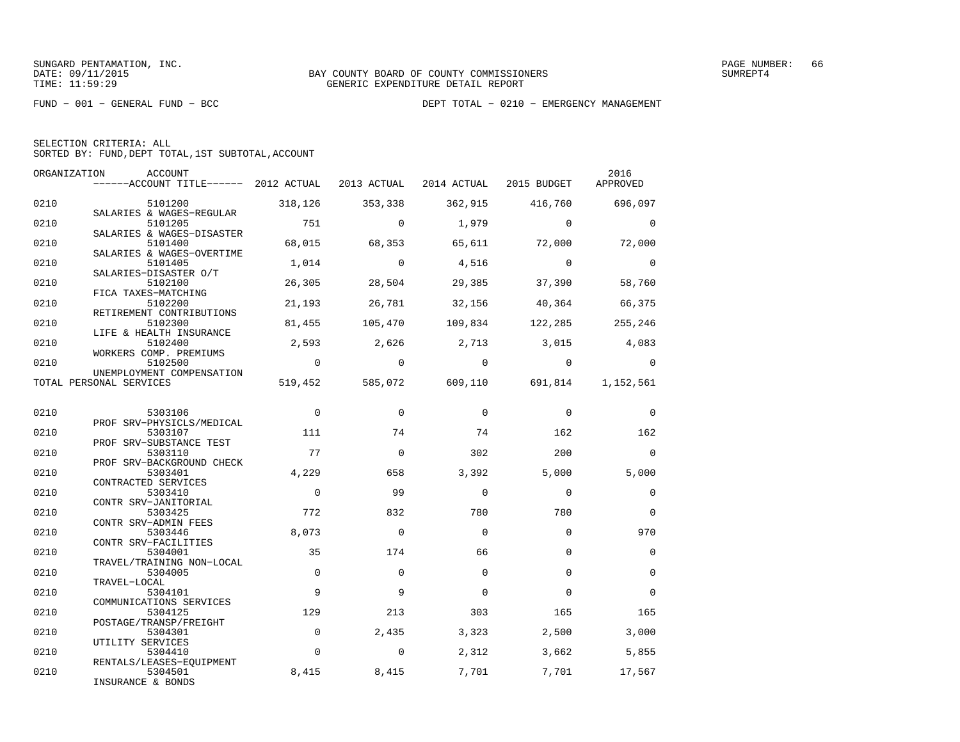| SELECTION CRITERIA: ALL |  |  |                                                    |  |
|-------------------------|--|--|----------------------------------------------------|--|
|                         |  |  | SORTED BY: FUND, DEPT TOTAL, 1ST SUBTOTAL, ACCOUNT |  |

|      | ORGANIZATION<br>ACCOUNT<br>------ACCOUNT TITLE------ 2012 ACTUAL 2013 ACTUAL 2014 ACTUAL 2015 BUDGET |                |                |          |                                 | 2016<br>APPROVED |
|------|------------------------------------------------------------------------------------------------------|----------------|----------------|----------|---------------------------------|------------------|
| 0210 | 5101200                                                                                              | 318,126        | 353,338        | 362,915  | 416,760                         | 696,097          |
| 0210 | SALARIES & WAGES-REGULAR<br>5101205<br>SALARIES & WAGES-DISASTER                                     | 751            | $\Omega$       | 1,979    | $\Omega$                        | $\mathbf{0}$     |
| 0210 | 5101400<br>SALARIES & WAGES-OVERTIME                                                                 | 68,015         | 68,353         | 65,611   | 72,000                          | 72,000           |
| 0210 | 5101405<br>SALARIES-DISASTER O/T                                                                     | 1,014          | $\bigcirc$     | 4,516    | $\Omega$                        | $\overline{0}$   |
| 0210 | 5102100<br>FICA TAXES-MATCHING                                                                       | 26,305         | 28,504         | 29,385   | 37,390                          | 58,760           |
| 0210 | 5102200<br>RETIREMENT CONTRIBUTIONS                                                                  | 21,193         | 26,781         | 32,156   | 40,364                          | 66,375           |
| 0210 | 5102300<br>LIFE & HEALTH INSURANCE                                                                   | 81,455         | 105,470        | 109,834  | 122,285                         | 255,246          |
| 0210 | 5102400<br>WORKERS COMP. PREMIUMS                                                                    | 2,593          | 2,626          | 2,713    | 3,015                           | 4,083            |
| 0210 | 5102500<br>UNEMPLOYMENT COMPENSATION                                                                 | $\overline{0}$ | $\overline{0}$ | $\Omega$ | $\Omega$                        | $\Omega$         |
|      | TOTAL PERSONAL SERVICES                                                                              |                |                |          | 519,452 585,072 609,110 691,814 | 1,152,561        |
| 0210 | 5303106                                                                                              | $\overline{0}$ | $\Omega$       | $\Omega$ | $\mathbf 0$                     | $\mathbf 0$      |
| 0210 | PROF SRV-PHYSICLS/MEDICAL<br>5303107                                                                 | 111            | 74             | 74       | 162                             | 162              |
| 0210 | PROF SRV-SUBSTANCE TEST<br>5303110                                                                   | 77             | $\mathbf 0$    | 302      | 200                             | $\Omega$         |
| 0210 | PROF SRV-BACKGROUND CHECK<br>5303401                                                                 | 4,229          | 658            | 3,392    | 5,000                           | 5,000            |
| 0210 | CONTRACTED SERVICES<br>5303410<br>CONTR SRV-JANITORIAL                                               | $\Omega$       | 99             | $\Omega$ | $\Omega$                        | $\mathbf 0$      |
| 0210 | 5303425<br>CONTR SRV-ADMIN FEES                                                                      | 772            | 832            | 780      | 780                             | $\mathbf 0$      |
| 0210 | 5303446<br>CONTR SRV-FACILITIES                                                                      | 8,073          | $\Omega$       | $\Omega$ | $\Omega$                        | 970              |
| 0210 | 5304001<br>TRAVEL/TRAINING NON-LOCAL                                                                 | 35             | 174            | 66       | $\Omega$                        | $\mathbf 0$      |
| 0210 | 5304005<br>TRAVEL-LOCAL                                                                              | $\mathbf 0$    | $\Omega$       | $\Omega$ | $\Omega$                        | $\mathbf 0$      |
| 0210 | 5304101<br>COMMUNICATIONS SERVICES                                                                   | 9              | $\mathsf{Q}$   | $\Omega$ | $\Omega$                        | $\Omega$         |
| 0210 | 5304125<br>POSTAGE/TRANSP/FREIGHT                                                                    | 129            | 213            | 303      | 165                             | 165              |
| 0210 | 5304301<br>UTILITY SERVICES                                                                          | $\mathbf 0$    | 2,435          | 3,323    | 2,500                           | 3,000            |
| 0210 | 5304410<br>RENTALS/LEASES-EQUIPMENT                                                                  | $\mathbf 0$    | $\mathbf 0$    | 2,312    | 3,662                           | 5,855            |
| 0210 | 5304501<br>INSURANCE & BONDS                                                                         | 8,415          | 8,415          | 7,701    | 7,701                           | 17,567           |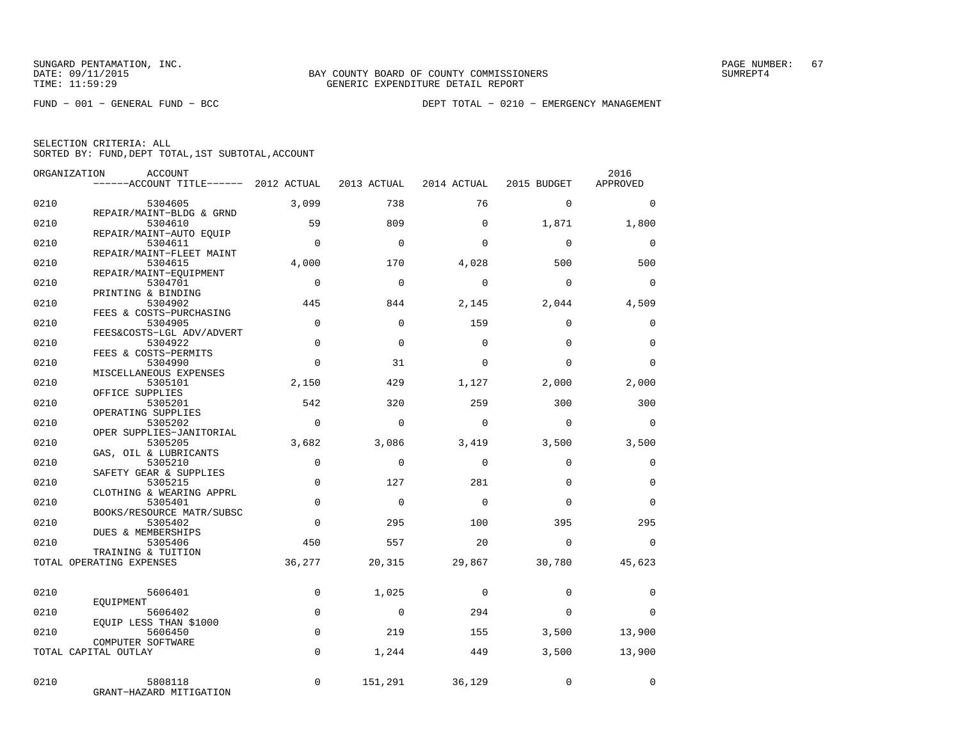FUND − 001 − GENERAL FUND − BCC DEPT TOTAL − 0210 − EMERGENCY MANAGEMENT

| ORGANIZATION | ACCOUNT                               |                |             |                |             | 2016        |
|--------------|---------------------------------------|----------------|-------------|----------------|-------------|-------------|
|              | ------ACCOUNT TITLE------ 2012 ACTUAL |                | 2013 ACTUAL | 2014 ACTUAL    | 2015 BUDGET | APPROVED    |
| 0210         | 5304605                               | 3,099          | 738         | 76             | $\mathbf 0$ | $\mathbf 0$ |
|              | REPAIR/MAINT-BLDG & GRND              |                |             |                |             |             |
| 0210         | 5304610                               | 59             | 809         | $\Omega$       | 1,871       | 1,800       |
| 0210         | REPAIR/MAINT-AUTO EOUIP<br>5304611    | $\Omega$       | $\Omega$    | $\Omega$       | $\Omega$    | $\mathbf 0$ |
|              | REPAIR/MAINT-FLEET MAINT              |                |             |                |             |             |
| 0210         | 5304615                               | 4,000          | 170         | 4,028          | 500         | 500         |
|              | REPAIR/MAINT-EQUIPMENT                |                |             |                |             |             |
| 0210         | 5304701                               | $\Omega$       | $\Omega$    | $\Omega$       | $\Omega$    | $\Omega$    |
| 0210         | PRINTING & BINDING<br>5304902         | 445            | 844         | 2,145          | 2,044       | 4,509       |
|              | FEES & COSTS-PURCHASING               |                |             |                |             |             |
| 0210         | 5304905                               | $\Omega$       | $\Omega$    | 159            | $\Omega$    | $\mathbf 0$ |
|              | FEES&COSTS-LGL ADV/ADVERT             |                |             |                |             |             |
| 0210         | 5304922                               | $\Omega$       | $\Omega$    | $\Omega$       | $\Omega$    | $\Omega$    |
| 0210         | FEES & COSTS-PERMITS                  | $\Omega$       | 31          | $\Omega$       | $\Omega$    | $\Omega$    |
|              | 5304990<br>MISCELLANEOUS EXPENSES     |                |             |                |             |             |
| 0210         | 5305101                               | 2,150          | 429         | 1,127          | 2,000       | 2,000       |
|              | OFFICE SUPPLIES                       |                |             |                |             |             |
| 0210         | 5305201                               | 542            | 320         | 259            | 300         | 300         |
|              | OPERATING SUPPLIES                    | $\overline{0}$ |             |                |             |             |
| 0210         | 5305202<br>OPER SUPPLIES-JANITORIAL   |                | $\mathbf 0$ | $\Omega$       | $\Omega$    | $\mathbf 0$ |
| 0210         | 5305205                               | 3,682          | 3,086       | 3,419          | 3,500       | 3,500       |
|              | GAS, OIL & LUBRICANTS                 |                |             |                |             |             |
| 0210         | 5305210                               | $\mathbf 0$    | $\Omega$    | $\Omega$       | $\Omega$    | $\mathbf 0$ |
|              | SAFETY GEAR & SUPPLIES                |                |             |                |             |             |
| 0210         | 5305215<br>CLOTHING & WEARING APPRL   | $\Omega$       | 127         | 281            | $\Omega$    | $\mathbf 0$ |
| 0210         | 5305401                               | $\overline{0}$ | $\mathbf 0$ | $\Omega$       | $\Omega$    | $\mathbf 0$ |
|              | BOOKS/RESOURCE MATR/SUBSC             |                |             |                |             |             |
| 0210         | 5305402                               | $\Omega$       | 295         | 100            | 395         | 295         |
|              | DUES & MEMBERSHIPS                    |                |             |                |             |             |
| 0210         | 5305406<br>TRAINING & TUITION         | 450            | 557         | 20             | $\Omega$    | $\Omega$    |
|              | TOTAL OPERATING EXPENSES              | 36,277         | 20,315      | 29,867         | 30,780      | 45,623      |
|              |                                       |                |             |                |             |             |
|              |                                       |                |             |                |             |             |
| 0210         | 5606401                               | $\mathbf 0$    | 1,025       | $\mathbf 0$    | $\Omega$    | $\mathbf 0$ |
| 0210         | EOUIPMENT<br>5606402                  | $\mathbf 0$    | $\mathbf 0$ | 294            | $\Omega$    | $\Omega$    |
|              | EQUIP LESS THAN \$1000                |                |             |                |             |             |
| 0210         | 5606450                               | $\mathbf 0$    | 219         | 155            | 3,500       | 13,900      |
|              | COMPUTER SOFTWARE                     |                |             |                |             |             |
|              | TOTAL CAPITAL OUTLAY                  | $\mathbf 0$    | 1,244       | 449            | 3,500       | 13,900      |
|              |                                       |                |             |                |             |             |
| 0210         | 5808118                               | $\Omega$       |             | 151,291 36,129 | $\mathbf 0$ | $\Omega$    |
|              | GRANT-HAZARD MITIGATION               |                |             |                |             |             |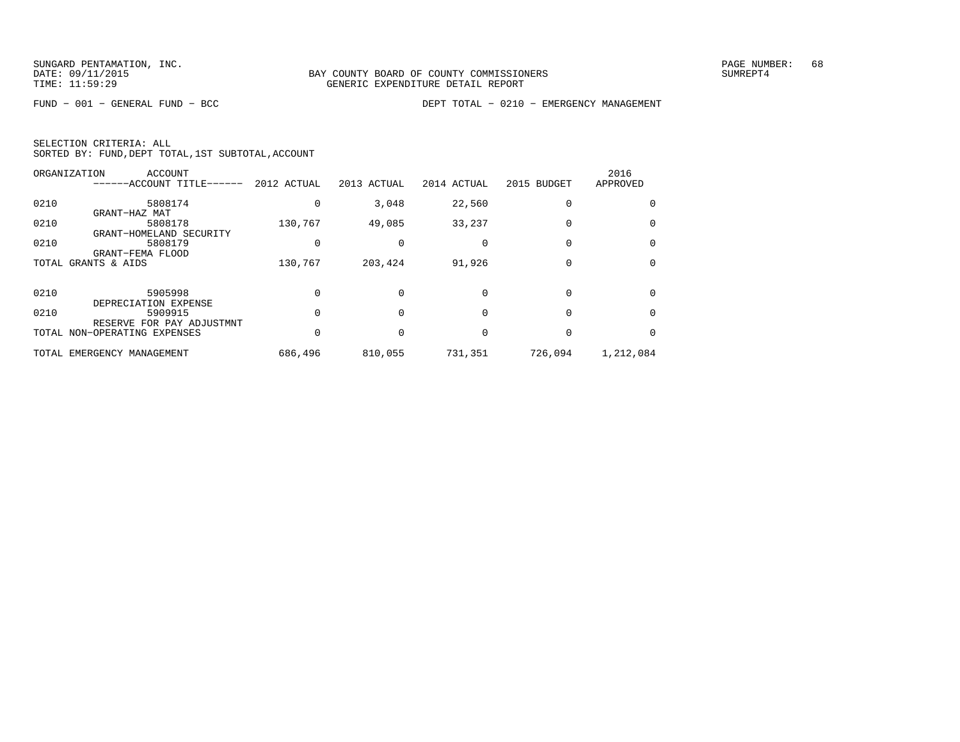FUND − 001 − GENERAL FUND − BCC DEPT TOTAL − 0210 − EMERGENCY MANAGEMENT

| SELECTION CRITERIA: ALL |  |  |                                                    |  |
|-------------------------|--|--|----------------------------------------------------|--|
|                         |  |  | SORTED BY: FUND, DEPT TOTAL, 1ST SUBTOTAL, ACCOUNT |  |

|      | ORGANIZATION<br>ACCOUNT<br>-----ACCOUNT TITLE------ | 2012 ACTUAL | 2013 ACTUAL | 2014 ACTUAL | 2015 BUDGET  | 2016<br>APPROVED |
|------|-----------------------------------------------------|-------------|-------------|-------------|--------------|------------------|
| 0210 | 5808174<br>GRANT-HAZ MAT                            |             | 3,048       | 22,560      |              |                  |
| 0210 | 5808178<br>GRANT-HOMELAND SECURITY                  | 130,767     | 49,085      | 33,237      |              | $\Omega$         |
| 0210 | 5808179<br>GRANT-FEMA FLOOD                         |             |             |             |              | 0                |
|      | TOTAL GRANTS & AIDS                                 | 130,767     | 203,424     | 91,926      |              | 0                |
| 0210 | 5905998<br>DEPRECIATION EXPENSE                     |             |             |             |              | $\Omega$         |
| 0210 | 5909915<br>RESERVE FOR PAY ADJUSTMNT                |             |             |             |              | $\Omega$         |
|      | TOTAL NON-OPERATING EXPENSES                        |             |             |             | <sup>0</sup> | $\Omega$         |
|      | TOTAL EMERGENCY MANAGEMENT                          | 686,496     | 810,055     | 731,351     | 726,094      | 1,212,084        |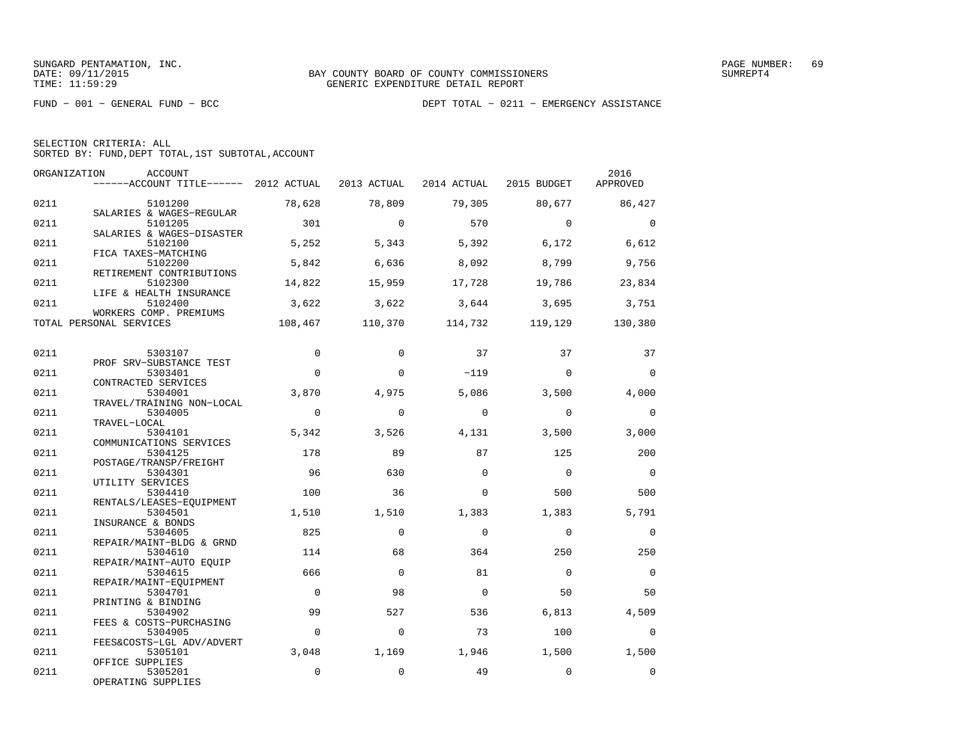| SELECTION CRITERIA: ALL |  |  |                                                    |  |
|-------------------------|--|--|----------------------------------------------------|--|
|                         |  |  | SORTED BY: FUND, DEPT TOTAL, 1ST SUBTOTAL, ACCOUNT |  |

| ORGANIZATION | ACCOUNT<br>------ACCOUNT TITLE------ 2012 ACTUAL 2013 ACTUAL 2014 ACTUAL 2015 BUDGET |                |             |                 |                | 2016<br>APPROVED |
|--------------|--------------------------------------------------------------------------------------|----------------|-------------|-----------------|----------------|------------------|
| 0211         | 5101200<br>SALARIES & WAGES-REGULAR                                                  | 78,628         | 78,809      | 79,305          | 80,677         | 86,427           |
| 0211         | 5101205<br>SALARIES & WAGES-DISASTER                                                 | 301            | $\Omega$    | 570             | $\Omega$       | $\overline{0}$   |
| 0211         | 5102100<br>FICA TAXES-MATCHING                                                       | 5,252          | 5,343       | 5,392           | 6,172          | 6,612            |
| 0211         | 5102200<br>RETIREMENT CONTRIBUTIONS                                                  | 5,842          | 6,636       | 8,092           | 8,799          | 9,756            |
| 0211         | 5102300<br>LIFE & HEALTH INSURANCE                                                   | 14,822         | 15,959      | 17,728          | 19,786         | 23,834           |
| 0211         | 5102400<br>WORKERS COMP. PREMIUMS                                                    | 3,622          | 3,622       | 3,644           | 3,695          | 3,751            |
|              | TOTAL PERSONAL SERVICES                                                              | 108,467        | 110,370     | 114,732 119,129 |                | 130,380          |
| 0211         | 5303107                                                                              | $\mathbf 0$    | $\mathbf 0$ | 37              | 37             | 37               |
| 0211         | PROF SRV-SUBSTANCE TEST<br>5303401<br>CONTRACTED SERVICES                            | $\Omega$       | $\Omega$    | $-119$          | $\Omega$       | $\overline{0}$   |
| 0211         | 5304001<br>TRAVEL/TRAINING NON-LOCAL                                                 | 3,870          | 4,975       | 5,086           | 3,500          | 4,000            |
| 0211         | 5304005<br>TRAVEL-LOCAL                                                              | $\overline{0}$ | $\Omega$    | $\Omega$        | $\Omega$       | $\Omega$         |
| 0211         | 5304101<br>COMMUNICATIONS SERVICES                                                   | 5,342          | 3,526       | 4,131           | 3,500          | 3,000            |
| 0211         | 5304125<br>POSTAGE/TRANSP/FREIGHT                                                    | 178            | 89          | 87              | 125            | 200              |
| 0211         | 5304301<br>UTILITY SERVICES                                                          | 96             | 630         | $\Omega$        | $\overline{0}$ | $\overline{0}$   |
| 0211         | 5304410<br>RENTALS/LEASES-EOUIPMENT                                                  | 100            | 36          | $\Omega$        | 500            | 500              |
| 0211         | 5304501<br>INSURANCE & BONDS                                                         | 1,510          | 1,510       | 1,383           | 1,383          | 5,791            |
| 0211         | 5304605<br>REPAIR/MAINT-BLDG & GRND                                                  | 825            | $\Omega$    | $\Omega$        | $\Omega$       | $\Omega$         |
| 0211         | 5304610<br>REPAIR/MAINT-AUTO EOUIP                                                   | 114            | 68          | 364             | 250            | 250              |
| 0211         | 5304615<br>REPAIR/MAINT-EOUIPMENT                                                    | 666            | $\Omega$    | 81              | $\Omega$       | $\Omega$         |
| 0211         | 5304701<br>PRINTING & BINDING                                                        | $\overline{0}$ | 98          | $\Omega$        | 50             | 50               |
| 0211         | 5304902<br>FEES & COSTS-PURCHASING                                                   | 99             | 527         | 536             | 6,813          | 4,509            |
| 0211         | 5304905<br>FEES&COSTS-LGL ADV/ADVERT                                                 | $\mathbf 0$    | $\Omega$    | 73              | 100            | $\Omega$         |
| 0211         | 5305101<br>OFFICE SUPPLIES                                                           | 3,048          | 1,169       | 1,946           | 1,500          | 1,500            |
| 0211         | 5305201<br>OPERATING SUPPLIES                                                        | $\Omega$       | $\mathbf 0$ | 49              | $\mathbf 0$    | $\Omega$         |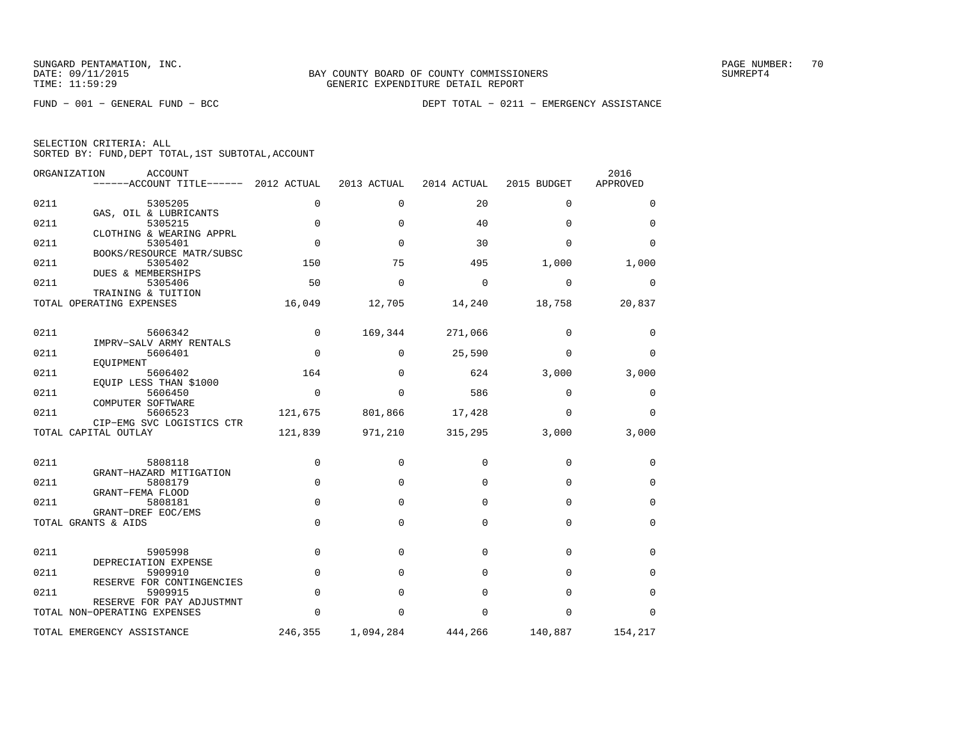|  | SELECTION CRITERIA: ALL                            |  |  |
|--|----------------------------------------------------|--|--|
|  | SORTED BY: FUND, DEPT TOTAL, 1ST SUBTOTAL, ACCOUNT |  |  |

| ORGANIZATION | ACCOUNT<br>------ACCOUNT TITLE------ 2012 ACTUAL          |             | 2013 ACTUAL | 2014 ACTUAL | 2015 BUDGET | 2016<br>APPROVED |
|--------------|-----------------------------------------------------------|-------------|-------------|-------------|-------------|------------------|
| 0211         | 5305205                                                   | 0           | $\Omega$    | 20          | $\Omega$    | 0                |
| 0211         | GAS, OIL & LUBRICANTS<br>5305215                          | $\mathbf 0$ | $\Omega$    | 40          | $\Omega$    | $\mathbf 0$      |
| 0211         | CLOTHING & WEARING APPRL<br>5305401                       | $\mathbf 0$ | $\Omega$    | 30          | $\Omega$    | $\Omega$         |
| 0211         | BOOKS/RESOURCE MATR/SUBSC<br>5305402                      | 150         | 75          | 495         | 1,000       | 1,000            |
| 0211         | DUES & MEMBERSHIPS<br>5305406                             | 50          | $\mathbf 0$ | $\mathbf 0$ | $\mathbf 0$ | 0                |
|              | TRAINING & TUITION<br>TOTAL OPERATING EXPENSES            | 16,049      | 12,705      | 14,240      | 18,758      | 20,837           |
| 0211         | 5606342                                                   | $\Omega$    | 169,344     | 271,066     | $\Omega$    | 0                |
|              | IMPRV-SALV ARMY RENTALS                                   |             |             |             |             |                  |
| 0211         | 5606401<br>EOUIPMENT                                      | $\Omega$    | $\Omega$    | 25,590      | $\Omega$    | $\Omega$         |
| 0211         | 5606402<br>EQUIP LESS THAN \$1000                         | 164         | $\Omega$    | 624         | 3,000       | 3,000            |
| 0211         | 5606450                                                   | $\Omega$    | $\Omega$    | 586         | $\Omega$    | 0                |
| 0211         | COMPUTER SOFTWARE<br>5606523<br>CIP-EMG SVC LOGISTICS CTR | 121,675     | 801,866     | 17,428      | $\Omega$    | $\Omega$         |
|              | TOTAL CAPITAL OUTLAY                                      | 121,839     | 971,210     | 315,295     | 3,000       | 3,000            |
| 0211         | 5808118                                                   | $\mathbf 0$ | 0           | $\Omega$    | $\mathbf 0$ | 0                |
|              | GRANT-HAZARD MITIGATION                                   |             |             |             |             |                  |
| 0211         | 5808179<br>GRANT-FEMA FLOOD                               | $\Omega$    | $\Omega$    | $\Omega$    | $\Omega$    | $\mathbf 0$      |
| 0211         | 5808181                                                   | $\Omega$    | $\Omega$    | $\Omega$    | $\Omega$    | $\mathbf 0$      |
|              | GRANT-DREF EOC/EMS<br>TOTAL GRANTS & AIDS                 | $\Omega$    | $\Omega$    | $\Omega$    | $\Omega$    | $\mathbf 0$      |
|              |                                                           |             |             |             |             |                  |
| 0211         | 5905998<br>DEPRECIATION EXPENSE                           | $\mathbf 0$ | 0           | $\Omega$    | $\Omega$    | 0                |
| 0211         | 5909910                                                   | $\Omega$    | $\Omega$    | $\Omega$    | $\Omega$    | $\Omega$         |
| 0211         | RESERVE FOR CONTINGENCIES<br>5909915                      | $\mathbf 0$ | $\Omega$    | $\Omega$    | $\Omega$    | $\mathbf 0$      |
|              | RESERVE FOR PAY ADJUSTMNT<br>TOTAL NON-OPERATING EXPENSES | $\Omega$    | $\Omega$    | $\Omega$    | $\Omega$    | $\Omega$         |
|              | TOTAL EMERGENCY ASSISTANCE                                | 246,355     | 1,094,284   | 444,266     | 140,887     | 154,217          |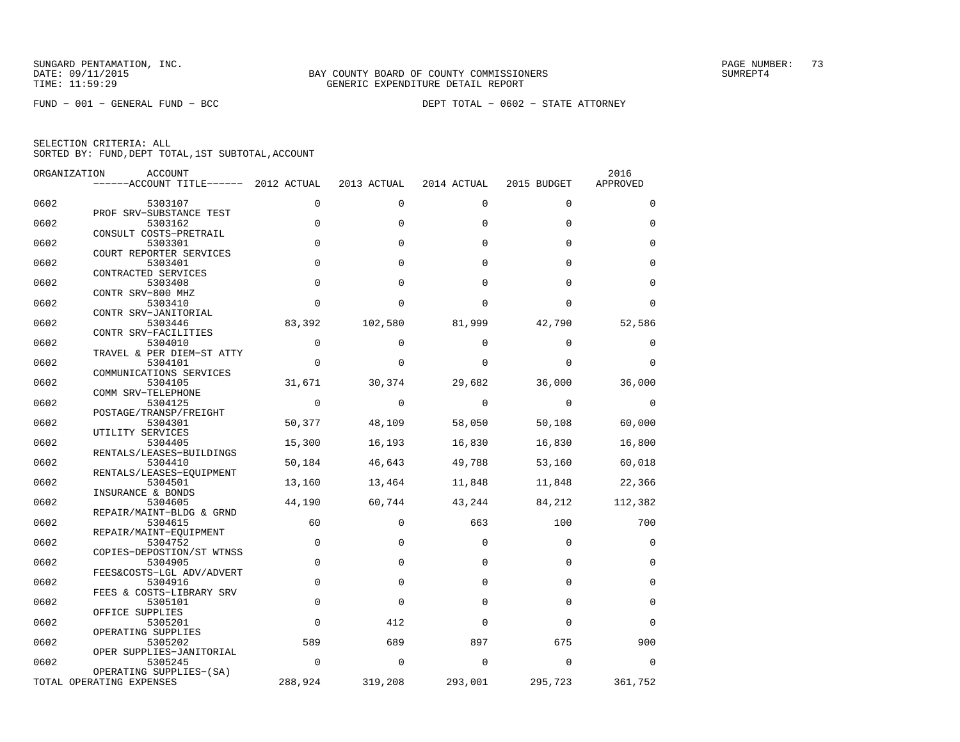FUND − 001 − GENERAL FUND − BCC DEPT TOTAL − 0602 − STATE ATTORNEY

| ORGANIZATION | <b>ACCOUNT</b>                                      |             |             |             |             | 2016        |
|--------------|-----------------------------------------------------|-------------|-------------|-------------|-------------|-------------|
|              | ------ACCOUNT TITLE------ 2012 ACTUAL               |             | 2013 ACTUAL | 2014 ACTUAL | 2015 BUDGET | APPROVED    |
| 0602         | 5303107                                             | $\Omega$    | $\Omega$    | $\Omega$    | $\Omega$    | $\Omega$    |
| 0602         | PROF SRV-SUBSTANCE TEST<br>5303162                  | 0           | $\Omega$    | $\Omega$    | $\Omega$    | $\Omega$    |
|              | CONSULT COSTS-PRETRAIL                              |             |             |             |             |             |
| 0602         | 5303301<br>COURT REPORTER SERVICES                  | 0           | $\Omega$    | $\Omega$    | $\Omega$    | 0           |
| 0602         | 5303401<br>CONTRACTED SERVICES                      | $\mathbf 0$ | $\Omega$    | $\Omega$    | $\Omega$    | $\mathbf 0$ |
| 0602         | 5303408                                             | $\Omega$    | $\Omega$    | $\Omega$    | $\Omega$    | $\Omega$    |
| 0602         | CONTR SRV-800 MHZ<br>5303410                        | $\Omega$    | $\Omega$    | $\Omega$    | $\Omega$    | $\Omega$    |
| 0602         | CONTR SRV-JANITORIAL<br>5303446                     | 83,392      | 102,580     | 81,999      | 42,790      | 52,586      |
| 0602         | CONTR SRV-FACILITIES<br>5304010                     | 0           | $\Omega$    | $\Omega$    | $\Omega$    | 0           |
|              | TRAVEL & PER DIEM-ST ATTY                           |             |             |             |             |             |
| 0602         | 5304101<br>COMMUNICATIONS SERVICES                  | $\mathbf 0$ | $\Omega$    | $\Omega$    | $\Omega$    | $\Omega$    |
| 0602         | 5304105<br>COMM SRV-TELEPHONE                       | 31,671      | 30,374      | 29,682      | 36,000      | 36,000      |
| 0602         | 5304125                                             | $\Omega$    | $\Omega$    | $\Omega$    | $\Omega$    | $\Omega$    |
| 0602         | POSTAGE/TRANSP/FREIGHT<br>5304301                   | 50,377      | 48,109      | 58,050      | 50,108      | 60,000      |
| 0602         | UTILITY SERVICES<br>5304405                         | 15,300      | 16,193      | 16,830      | 16,830      | 16,800      |
| 0602         | RENTALS/LEASES-BUILDINGS<br>5304410                 | 50,184      | 46,643      | 49,788      | 53,160      | 60,018      |
|              | RENTALS/LEASES-EOUIPMENT                            |             |             |             |             |             |
| 0602         | 5304501<br>INSURANCE & BONDS                        | 13,160      | 13,464      | 11,848      | 11,848      | 22,366      |
| 0602         | 5304605<br>REPAIR/MAINT-BLDG & GRND                 | 44,190      | 60,744      | 43,244      | 84,212      | 112,382     |
| 0602         | 5304615                                             | 60          | $\Omega$    | 663         | 100         | 700         |
| 0602         | REPAIR/MAINT-EQUIPMENT<br>5304752                   | $\mathbf 0$ | $\Omega$    | $\Omega$    | $\Omega$    | $\mathbf 0$ |
| 0602         | COPIES-DEPOSTION/ST WTNSS<br>5304905                | $\mathbf 0$ | $\Omega$    | $\Omega$    | $\Omega$    | $\Omega$    |
| 0602         | FEES&COSTS-LGL ADV/ADVERT<br>5304916                | $\mathbf 0$ | $\Omega$    | $\Omega$    | $\Omega$    | $\Omega$    |
|              | FEES & COSTS-LIBRARY SRV                            |             |             |             |             |             |
| 0602         | 5305101<br>OFFICE SUPPLIES                          | $\mathbf 0$ | $\Omega$    | $\Omega$    | $\Omega$    | 0           |
| 0602         | 5305201<br>OPERATING SUPPLIES                       | $\mathbf 0$ | 412         | $\Omega$    | $\Omega$    | $\Omega$    |
| 0602         | 5305202                                             | 589         | 689         | 897         | 675         | 900         |
| 0602         | OPER SUPPLIES-JANITORIAL<br>5305245                 | $\Omega$    | $\Omega$    | $\Omega$    | $\Omega$    | $\Omega$    |
|              | OPERATING SUPPLIES-(SA)<br>TOTAL OPERATING EXPENSES | 288,924     | 319,208     | 293,001     | 295,723     | 361,752     |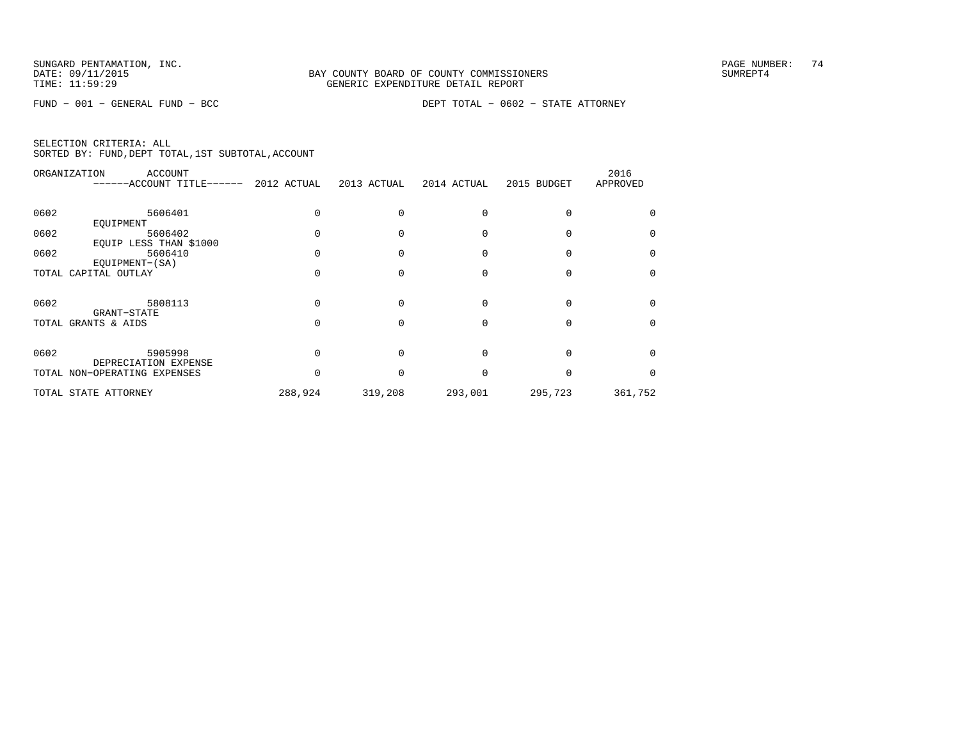FUND − 001 − GENERAL FUND − BCC DEPT TOTAL − 0602 − STATE ATTORNEY

| <sup>0</sup> |
|--------------|
|              |
|              |
|              |
| $\Omega$     |
|              |
|              |
|              |
|              |
|              |
| 361,752      |
|              |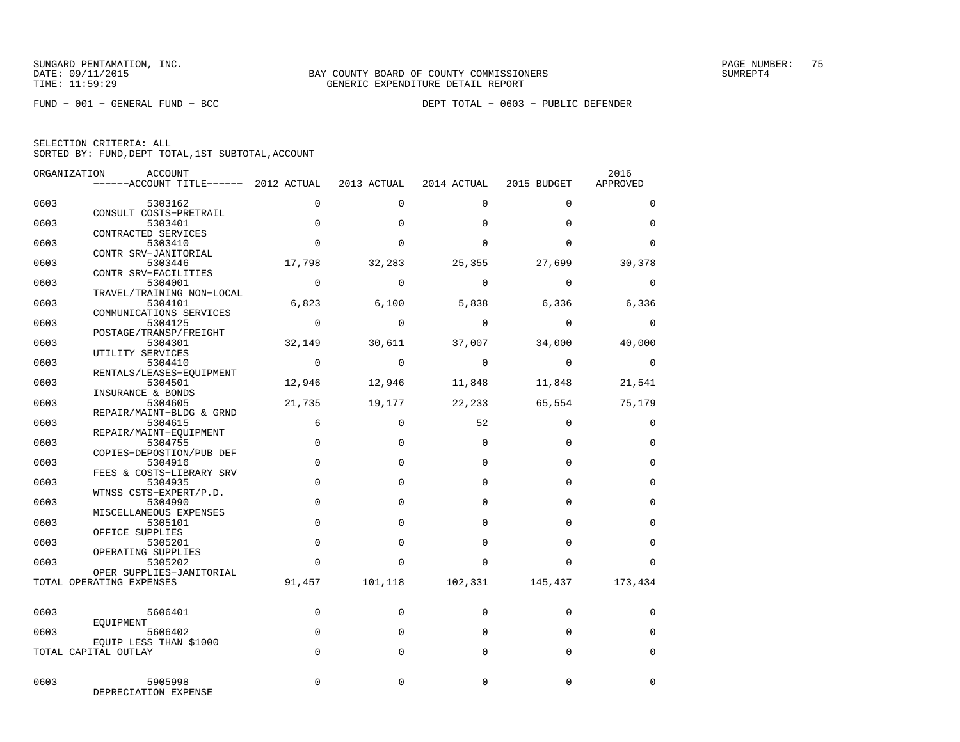|  | SELECTION CRITERIA: ALL |                                                    |  |
|--|-------------------------|----------------------------------------------------|--|
|  |                         | SORTED BY: FUND, DEPT TOTAL, 1ST SUBTOTAL, ACCOUNT |  |

|      | ORGANIZATION<br>ACCOUNT                        |                |             |                         |                   | 2016        |
|------|------------------------------------------------|----------------|-------------|-------------------------|-------------------|-------------|
|      | ------ACCOUNT TITLE------ 2012 ACTUAL          |                | 2013 ACTUAL | 2014 ACTUAL             | 2015 BUDGET       | APPROVED    |
| 0603 | 5303162                                        | $\mathbf 0$    | $\mathbf 0$ | 0                       | $\mathbf 0$       | 0           |
| 0603 | CONSULT COSTS-PRETRAIL<br>5303401              | $\Omega$       | $\Omega$    | $\Omega$                | $\Omega$          | $\Omega$    |
| 0603 | CONTRACTED SERVICES<br>5303410                 | $\Omega$       | $\Omega$    | $\Omega$                | $\Omega$          | $\Omega$    |
| 0603 | CONTR SRV-JANITORIAL<br>5303446                | 17,798         | 32,283      | 25,355                  | 27,699            | 30,378      |
| 0603 | CONTR SRV-FACILITIES<br>5304001                | $\overline{0}$ | $\Omega$    | $\Omega$                | $\Omega$          | $\Omega$    |
|      | TRAVEL/TRAINING NON-LOCAL                      |                |             |                         |                   |             |
| 0603 | 5304101<br>COMMUNICATIONS SERVICES             | 6,823          |             |                         | 6,100 5,838 6,336 | 6,336       |
| 0603 | 5304125<br>POSTAGE/TRANSP/FREIGHT              | $\overline{0}$ | $\Omega$    | $\Omega$                | $\Omega$          | $\Omega$    |
| 0603 | 5304301<br>UTILITY SERVICES                    | 32,149         | 30,611      | 37,007                  | 34,000            | 40,000      |
| 0603 | 5304410<br>RENTALS/LEASES-EOUIPMENT            | $\overline{0}$ | $\Omega$    | $\Omega$                | $\Omega$          | $\Omega$    |
| 0603 | 5304501<br>INSURANCE & BONDS                   | 12,946         | 12,946      | 11,848                  | 11,848            | 21,541      |
| 0603 | 5304605                                        | 21,735         | 19,177      | 22,233                  | 65,554            | 75,179      |
| 0603 | REPAIR/MAINT-BLDG & GRND<br>5304615            | 6              | $\mathbf 0$ | 52                      | $\Omega$          | 0           |
| 0603 | REPAIR/MAINT-EQUIPMENT<br>5304755              | $\mathbf 0$    | $\Omega$    | $\Omega$                | $\Omega$          | 0           |
| 0603 | COPIES-DEPOSTION/PUB DEF<br>5304916            | $\Omega$       | $\Omega$    | $\Omega$                | $\Omega$          | $\Omega$    |
| 0603 | FEES & COSTS-LIBRARY SRV<br>5304935            | $\mathbf 0$    | $\Omega$    | $\Omega$                | $\Omega$          | $\mathbf 0$ |
| 0603 | WTNSS CSTS-EXPERT/P.D.<br>5304990              | $\Omega$       | $\Omega$    | $\Omega$                | $\Omega$          | $\Omega$    |
| 0603 | MISCELLANEOUS EXPENSES<br>5305101              | $\Omega$       | $\Omega$    | $\Omega$                | $\Omega$          | $\Omega$    |
| 0603 | OFFICE SUPPLIES<br>5305201                     | $\Omega$       | $\Omega$    | $\Omega$                | $\Omega$          | $\Omega$    |
|      | OPERATING SUPPLIES                             | $\Omega$       | $\Omega$    | $\Omega$                | $\Omega$          | $\Omega$    |
| 0603 | 5305202<br>OPER SUPPLIES-JANITORIAL            |                |             |                         |                   |             |
|      | TOTAL OPERATING EXPENSES                       | 91,457         |             | 101,118 102,331 145,437 |                   | 173,434     |
| 0603 | 5606401                                        | 0              | $\mathbf 0$ | 0                       | $\Omega$          | 0           |
| 0603 | EOUIPMENT<br>5606402                           | $\Omega$       | $\Omega$    | $\Omega$                | $\Omega$          | $\Omega$    |
|      | EOUIP LESS THAN \$1000<br>TOTAL CAPITAL OUTLAY | $\mathbf 0$    | $\Omega$    | $\Omega$                | $\mathbf 0$       | 0           |
| 0603 | 5905998<br>DEPRECIATION EXPENSE                | $\Omega$       | $\Omega$    | $\Omega$                | $\Omega$          | $\Omega$    |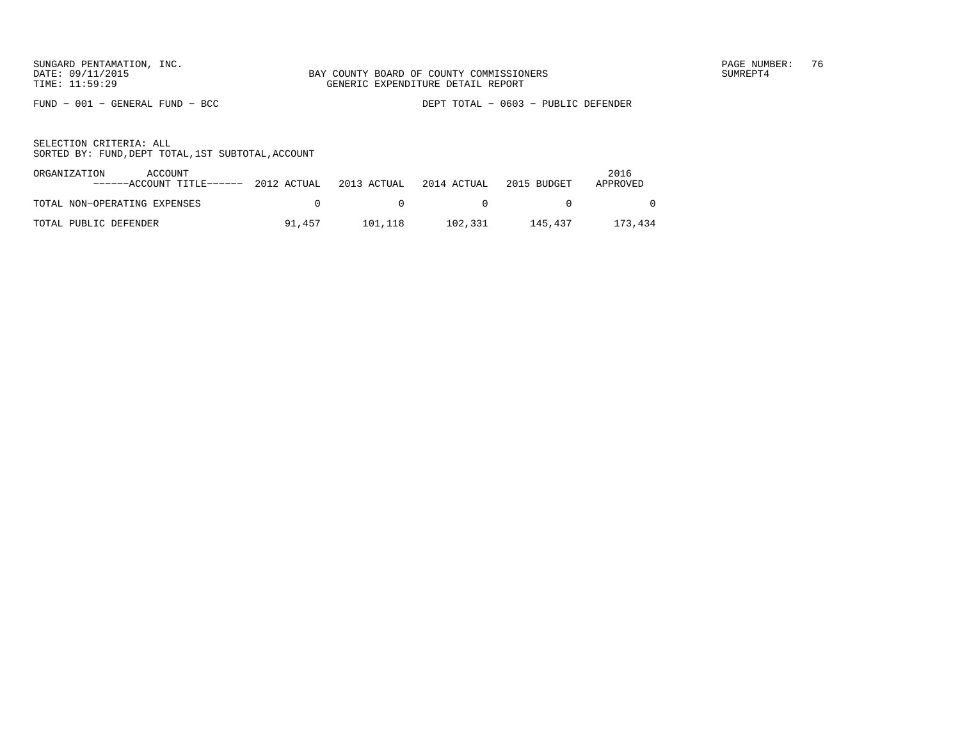FUND − 001 − GENERAL FUND − BCC DEPT TOTAL − 0603 − PUBLIC DEFENDER

| ORGANIZATION<br>ACCOUNT<br>------ACCOUNT TITLE------ 2012 ACTUAL 2013 ACTUAL |              |                | 2014 ACTUAL | 2015 BUDGET | 2016<br>APPROVED |
|------------------------------------------------------------------------------|--------------|----------------|-------------|-------------|------------------|
| TOTAL NON-OPERATING EXPENSES                                                 | $\mathbf{r}$ | $\overline{0}$ | $\sim$ 0    |             |                  |
| TOTAL PUBLIC DEFENDER                                                        | 91.457       | 101.118        | 102,331     | 145.437     | 173,434          |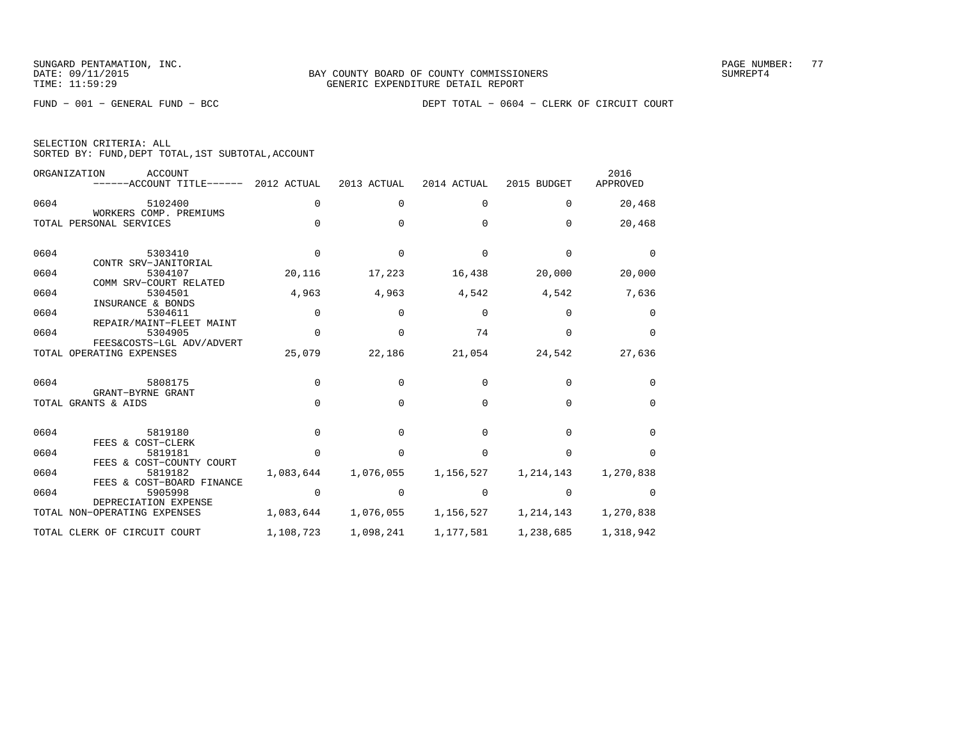SELECTION CRITERIA: ALL

SORTED BY: FUND,DEPT TOTAL,1ST SUBTOTAL,ACCOUNT

FUND − 001 − GENERAL FUND − BCC DEPT TOTAL − 0604 − CLERK OF CIRCUIT COURT

|      | ORGANIZATION<br>ACCOUNT<br>------ACCOUNT TITLE------             | 2012 ACTUAL  | 2013 ACTUAL | 2014 ACTUAL | 2015 BUDGET  | 2016<br>APPROVED |
|------|------------------------------------------------------------------|--------------|-------------|-------------|--------------|------------------|
| 0604 | 5102400                                                          | 0            | 0           | 0           | $\Omega$     | 20,468           |
|      | WORKERS COMP. PREMIUMS<br>TOTAL PERSONAL SERVICES                | $\Omega$     | $\Omega$    | $\Omega$    | $\Omega$     | 20,468           |
| 0604 | 5303410<br>CONTR SRV-JANITORIAL                                  | $\Omega$     | $\Omega$    | $\Omega$    | $\Omega$     | $\Omega$         |
| 0604 | 5304107<br>COMM SRV-COURT RELATED                                | 20,116       | 17,223      | 16,438      | 20,000       | 20,000           |
| 0604 | 5304501                                                          | 4,963        | 4,963       | 4,542       | 4,542        | 7,636            |
| 0604 | INSURANCE & BONDS<br>5304611<br>REPAIR/MAINT-FLEET MAINT         | 0            | 0           | $\mathbf 0$ | $\Omega$     | 0                |
| 0604 | 5304905                                                          | $\Omega$     | $\Omega$    | 74          | $\Omega$     | $\Omega$         |
|      | FEES&COSTS-LGL ADV/ADVERT<br>TOTAL OPERATING EXPENSES            | 25,079       | 22,186      | 21,054      | 24,542       | 27,636           |
| 0604 | 5808175<br>GRANT-BYRNE GRANT                                     | $\Omega$     | 0           | $\Omega$    | <sup>n</sup> | $\Omega$         |
|      | TOTAL GRANTS & AIDS                                              | $\Omega$     | $\Omega$    | $\Omega$    | $\Omega$     | $\Omega$         |
| 0604 | 5819180                                                          | $\Omega$     | $\cap$      | $\Omega$    | <sup>n</sup> | $\Omega$         |
| 0604 | FEES & COST-CLERK<br>5819181                                     | <sup>n</sup> | $\cap$      | $\cap$      | <sup>n</sup> | $\cap$           |
| 0604 | FEES & COST-COUNTY COURT<br>5819182<br>FEES & COST-BOARD FINANCE | 1,083,644    | 1,076,055   | 1,156,527   | 1,214,143    | 1,270,838        |
| 0604 | 5905998                                                          | $\Omega$     | $\Omega$    | $\Omega$    | $\cap$       | <sup>0</sup>     |
|      | DEPRECIATION EXPENSE<br>TOTAL NON-OPERATING EXPENSES             | 1,083,644    | 1,076,055   | 1,156,527   | 1,214,143    | 1,270,838        |
|      | TOTAL CLERK OF CIRCUIT COURT                                     | 1,108,723    | 1,098,241   | 1,177,581   | 1,238,685    | 1,318,942        |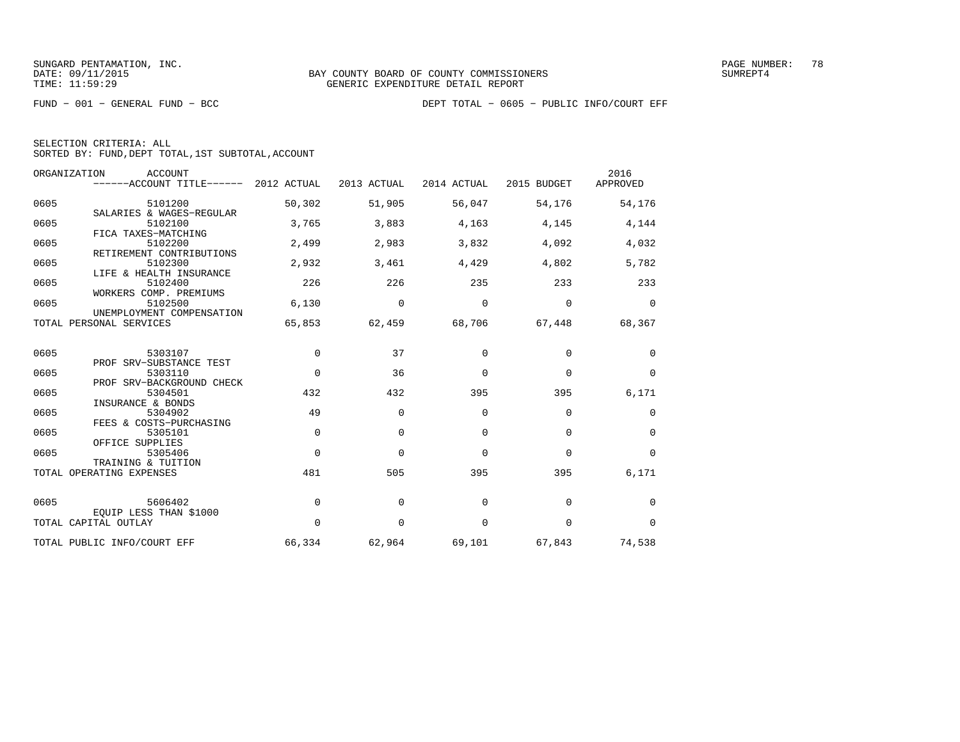| SELECTION CRITERIA: ALL |  |  |                                                    |  |
|-------------------------|--|--|----------------------------------------------------|--|
|                         |  |  | SORTED BY: FUND, DEPT TOTAL, 1ST SUBTOTAL, ACCOUNT |  |

| ORGANIZATION | <b>ACCOUNT</b><br>------ACCOUNT TITLE------ 2012 ACTUAL    |          | 2013 ACTUAL | 2014 ACTUAL | 2015 BUDGET | 2016<br>APPROVED |
|--------------|------------------------------------------------------------|----------|-------------|-------------|-------------|------------------|
| 0605         | 5101200                                                    | 50,302   | 51,905      | 56,047      | 54,176      | 54,176           |
| 0605         | SALARIES & WAGES-REGULAR<br>5102100<br>FICA TAXES-MATCHING | 3,765    | 3,883       | 4,163       | 4,145       | 4,144            |
| 0605         | 5102200<br>RETIREMENT CONTRIBUTIONS                        | 2,499    | 2,983       | 3,832       | 4,092       | 4,032            |
| 0605         | 5102300<br>LIFE & HEALTH INSURANCE                         | 2,932    | 3,461       | 4,429       | 4,802       | 5,782            |
| 0605         | 5102400<br>WORKERS COMP. PREMIUMS                          | 226      | 226         | 235         | 233         | 233              |
| 0605         | 5102500<br>UNEMPLOYMENT COMPENSATION                       | 6,130    | 0           | 0           | 0           | $\mathbf 0$      |
|              | TOTAL PERSONAL SERVICES                                    | 65,853   | 62,459      | 68,706      | 67,448      | 68,367           |
| 0605         | 5303107                                                    | 0        | 37          | $\Omega$    | 0           | 0                |
| 0605         | PROF SRV-SUBSTANCE TEST<br>5303110                         | $\Omega$ | 36          | $\mathbf 0$ | $\mathbf 0$ | 0                |
| 0605         | PROF SRV-BACKGROUND CHECK<br>5304501                       | 432      | 432         | 395         | 395         | 6,171            |
| 0605         | INSURANCE & BONDS<br>5304902                               | 49       | $\Omega$    | $\Omega$    | $\mathbf 0$ | 0                |
| 0605         | FEES & COSTS-PURCHASING<br>5305101                         | $\Omega$ | $\Omega$    | $\Omega$    | $\mathbf 0$ | 0                |
| 0605         | OFFICE SUPPLIES<br>5305406<br>TRAINING & TUITION           | $\Omega$ | $\Omega$    | $\Omega$    | $\mathbf 0$ | 0                |
|              | TOTAL OPERATING EXPENSES                                   | 481      | 505         | 395         | 395         | 6,171            |
| 0605         | 5606402                                                    | 0        | $\mathbf 0$ | 0           | $\mathbf 0$ | 0                |
|              | EQUIP LESS THAN \$1000<br>TOTAL CAPITAL OUTLAY             | $\Omega$ | $\mathbf 0$ | $\mathbf 0$ | $\mathbf 0$ | 0                |
|              | TOTAL PUBLIC INFO/COURT EFF                                | 66,334   | 62,964      | 69,101      | 67,843      | 74,538           |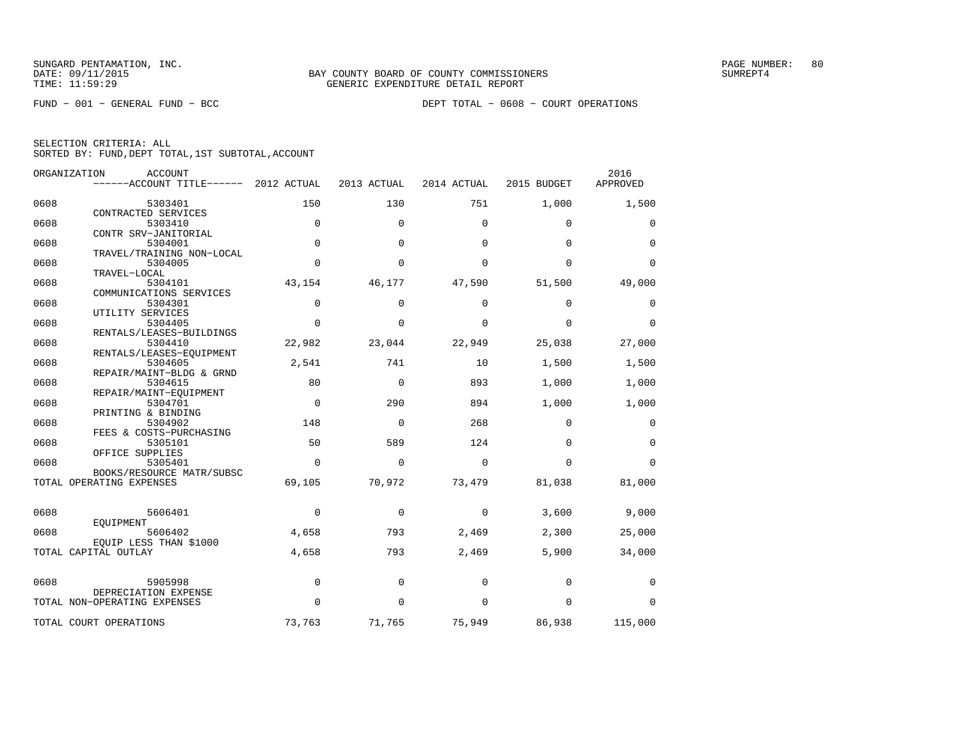|      | ORGANIZATION<br><b>ACCOUNT</b><br>------ACCOUNT TITLE------ | 2012 ACTUAL | 2013 ACTUAL | 2014 ACTUAL | 2015 BUDGET | 2016<br>APPROVED |
|------|-------------------------------------------------------------|-------------|-------------|-------------|-------------|------------------|
| 0608 | 5303401                                                     | 150         | 130         | 751         | 1,000       | 1,500            |
| 0608 | CONTRACTED SERVICES<br>5303410                              | 0           | $\Omega$    | $\Omega$    | $\mathbf 0$ | 0                |
|      | CONTR SRV-JANITORIAL                                        |             |             |             |             |                  |
| 0608 | 5304001<br>TRAVEL/TRAINING NON-LOCAL                        | $\Omega$    | $\Omega$    | $\Omega$    | $\Omega$    | $\Omega$         |
| 0608 | 5304005                                                     | $\Omega$    | $\Omega$    | $\Omega$    | $\Omega$    | $\Omega$         |
| 0608 | TRAVEL-LOCAL<br>5304101                                     | 43,154      | 46,177      | 47,590      | 51,500      | 49,000           |
|      | COMMUNICATIONS SERVICES                                     |             |             |             |             |                  |
| 0608 | 5304301<br>UTILITY SERVICES                                 | $\Omega$    | $\Omega$    | $\Omega$    | $\Omega$    | 0                |
| 0608 | 5304405                                                     | $\Omega$    | $\Omega$    | $\Omega$    | $\Omega$    | $\mathbf 0$      |
| 0608 | RENTALS/LEASES-BUILDINGS                                    |             |             |             |             |                  |
|      | 5304410<br>RENTALS/LEASES-EQUIPMENT                         | 22,982      | 23,044      | 22,949      | 25,038      | 27,000           |
| 0608 | 5304605                                                     | 2,541       | 741         | 10          | 1,500       | 1,500            |
| 0608 | REPAIR/MAINT-BLDG & GRND<br>5304615                         | 80          | $\Omega$    | 893         | 1,000       | 1,000            |
|      | REPAIR/MAINT-EOUIPMENT                                      |             |             |             |             |                  |
| 0608 | 5304701<br>PRINTING & BINDING                               | $\Omega$    | 290         | 894         | 1,000       | 1,000            |
| 0608 | 5304902                                                     | 148         | $\mathbf 0$ | 268         | $\mathbf 0$ | 0                |
| 0608 | FEES & COSTS-PURCHASING<br>5305101                          | 50          | 589         | 124         | $\Omega$    | $\Omega$         |
|      | OFFICE SUPPLIES                                             |             |             |             |             |                  |
| 0608 | 5305401                                                     | $\Omega$    | $\Omega$    | $\Omega$    | $\Omega$    | $\Omega$         |
|      | BOOKS/RESOURCE MATR/SUBSC<br>TOTAL OPERATING EXPENSES       | 69,105      | 70,972      | 73,479      | 81,038      | 81,000           |
|      |                                                             |             |             |             |             |                  |
| 0608 | 5606401                                                     | 0           | $\mathbf 0$ | $\Omega$    | 3,600       | 9,000            |
| 0608 | EOUIPMENT<br>5606402                                        | 4,658       | 793         | 2,469       | 2,300       | 25,000           |
|      | EQUIP LESS THAN \$1000                                      |             |             |             |             |                  |
|      | TOTAL CAPITAL OUTLAY                                        | 4,658       | 793         | 2,469       | 5,900       | 34,000           |
|      |                                                             |             |             |             |             |                  |
| 0608 | 5905998<br>DEPRECIATION EXPENSE                             | 0           | $\mathbf 0$ | $\mathbf 0$ | 0           | 0                |
|      | TOTAL NON-OPERATING EXPENSES                                | $\Omega$    | $\Omega$    | $\Omega$    | $\mathbf 0$ | $\Omega$         |
|      | TOTAL COURT OPERATIONS                                      | 73,763      | 71,765      | 75,949      | 86,938      | 115,000          |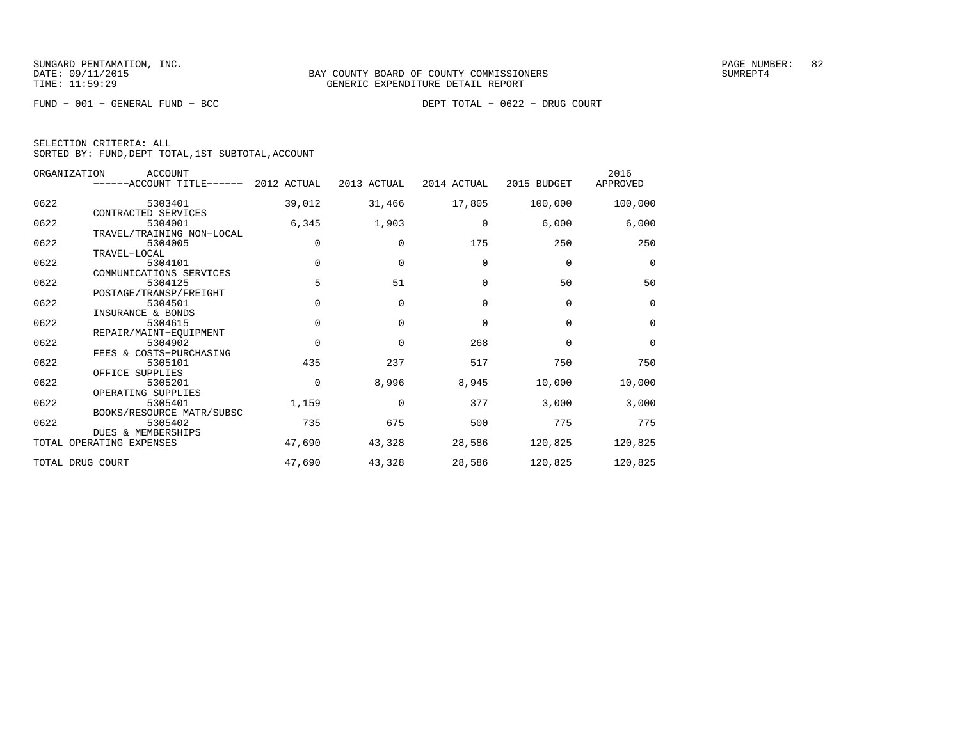FUND − 001 − GENERAL FUND − BCC DEPT TOTAL − 0622 − DRUG COURT

SELECTION CRITERIA: ALL

SORTED BY: FUND,DEPT TOTAL,1ST SUBTOTAL,ACCOUNT

|      | ORGANIZATION<br>ACCOUNT<br>------ACCOUNT TITLE------ 2012 ACTUAL |             | 2013 ACTUAL | 2014 ACTUAL | 2015 BUDGET | 2016<br>APPROVED |
|------|------------------------------------------------------------------|-------------|-------------|-------------|-------------|------------------|
| 0622 | 5303401                                                          | 39,012      | 31,466      | 17,805      | 100,000     | 100,000          |
|      | CONTRACTED SERVICES                                              |             |             |             |             |                  |
| 0622 | 5304001                                                          | 6,345       | 1,903       | $\mathbf 0$ | 6,000       | 6,000            |
|      | TRAVEL/TRAINING NON-LOCAL                                        |             |             |             |             |                  |
| 0622 | 5304005                                                          | $\mathbf 0$ | $\Omega$    | 175         | 250         | 250              |
|      | TRAVEL-LOCAL                                                     |             |             |             |             |                  |
| 0622 | 5304101                                                          | $\mathbf 0$ | $\mathbf 0$ | $\mathbf 0$ | $\mathbf 0$ | $\mathbf 0$      |
|      | COMMUNICATIONS SERVICES                                          |             |             |             |             |                  |
| 0622 | 5304125                                                          | 5           | 51          | $\Omega$    | 50          | 50               |
|      | POSTAGE/TRANSP/FREIGHT                                           |             |             |             |             |                  |
| 0622 | 5304501                                                          | $\Omega$    | $\mathbf 0$ | $\mathbf 0$ | $\mathbf 0$ | $\mathbf 0$      |
|      | INSURANCE & BONDS                                                |             |             |             |             |                  |
| 0622 | 5304615                                                          | $\Omega$    | $\Omega$    | $\Omega$    | $\Omega$    | $\mathbf 0$      |
|      | REPAIR/MAINT-EOUIPMENT                                           |             |             |             |             |                  |
| 0622 | 5304902                                                          | $\Omega$    | $\Omega$    | 268         | $\Omega$    | $\mathbf 0$      |
|      | FEES & COSTS-PURCHASING                                          |             |             |             |             |                  |
| 0622 | 5305101                                                          | 435         | 237         | 517         | 750         | 750              |
|      | OFFICE SUPPLIES                                                  |             |             |             |             |                  |
| 0622 | 5305201                                                          | $\Omega$    | 8,996       | 8,945       | 10,000      | 10,000           |
|      | OPERATING SUPPLIES                                               |             |             |             |             |                  |
| 0622 | 5305401                                                          | 1,159       | $\Omega$    | 377         | 3,000       | 3,000            |
|      | BOOKS/RESOURCE MATR/SUBSC                                        |             |             |             |             |                  |
| 0622 | 5305402                                                          | 735         | 675         | 500         | 775         | 775              |
|      | <b>DUES &amp; MEMBERSHIPS</b>                                    |             |             |             |             |                  |
|      | TOTAL OPERATING EXPENSES                                         | 47,690      | 43,328      | 28,586      | 120,825     | 120,825          |
|      | TOTAL DRUG COURT                                                 | 47,690      | 43,328      | 28,586      | 120,825     | 120,825          |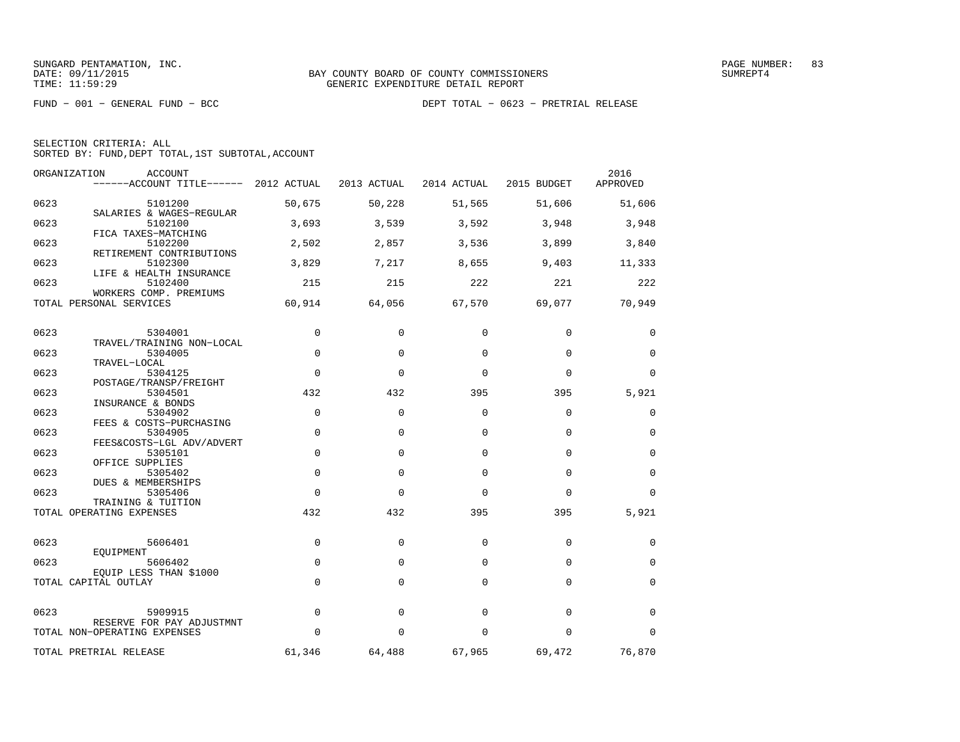| SELECTION CRITERIA: ALL |  |  |                                                    |  |
|-------------------------|--|--|----------------------------------------------------|--|
|                         |  |  | SORTED BY: FUND, DEPT TOTAL, 1ST SUBTOTAL, ACCOUNT |  |

| ORGANIZATION | <b>ACCOUNT</b><br>------ACCOUNT TITLE------ 2012 ACTUAL        |             | 2013 ACTUAL | 2014 ACTUAL | 2015 BUDGET | 2016<br>APPROVED |
|--------------|----------------------------------------------------------------|-------------|-------------|-------------|-------------|------------------|
| 0623         | 5101200                                                        | 50,675      | 50,228      | 51,565      | 51,606      | 51,606           |
| 0623         | SALARIES & WAGES-REGULAR<br>5102100                            | 3,693       | 3,539       | 3,592       | 3,948       | 3,948            |
| 0623         | FICA TAXES-MATCHING<br>5102200                                 | 2,502       | 2,857       | 3,536       | 3,899       | 3,840            |
| 0623         | RETIREMENT CONTRIBUTIONS<br>5102300<br>LIFE & HEALTH INSURANCE | 3,829       | 7,217       | 8,655       | 9,403       | 11,333           |
| 0623         | 5102400<br>WORKERS COMP. PREMIUMS                              | 215         | 215         | 222         | 221         | 222              |
|              | TOTAL PERSONAL SERVICES                                        | 60,914      | 64,056      | 67,570      | 69,077      | 70,949           |
| 0623         | 5304001                                                        | 0           | $\Omega$    | 0           | $\mathbf 0$ | 0                |
| 0623         | TRAVEL/TRAINING NON-LOCAL<br>5304005<br>TRAVEL-LOCAL           | 0           | $\Omega$    | $\Omega$    | $\mathbf 0$ | 0                |
| 0623         | 5304125<br>POSTAGE/TRANSP/FREIGHT                              | $\Omega$    | $\Omega$    | $\Omega$    | $\Omega$    | $\mathbf 0$      |
| 0623         | 5304501<br>INSURANCE & BONDS                                   | 432         | 432         | 395         | 395         | 5,921            |
| 0623         | 5304902<br>FEES & COSTS-PURCHASING                             | $\mathbf 0$ | $\Omega$    | $\Omega$    | $\mathbf 0$ | 0                |
| 0623         | 5304905<br>FEES&COSTS-LGL ADV/ADVERT                           | $\mathbf 0$ | $\Omega$    | $\Omega$    | $\mathbf 0$ | $\mathbf 0$      |
| 0623         | 5305101<br>OFFICE SUPPLIES                                     | $\mathbf 0$ | $\Omega$    | $\Omega$    | $\mathbf 0$ | $\mathbf 0$      |
| 0623         | 5305402<br>DUES & MEMBERSHIPS                                  | $\Omega$    | $\Omega$    | $\Omega$    | $\Omega$    | $\Omega$         |
| 0623         | 5305406<br>TRAINING & TUITION                                  | $\Omega$    | $\Omega$    | $\Omega$    | $\Omega$    | $\Omega$         |
|              | TOTAL OPERATING EXPENSES                                       | 432         | 432         | 395         | 395         | 5,921            |
| 0623         | 5606401<br>EOUIPMENT                                           | 0           | $\mathbf 0$ | $\Omega$    | $\mathbf 0$ | 0                |
| 0623         | 5606402<br>EQUIP LESS THAN \$1000                              | 0           | $\Omega$    | $\Omega$    | $\Omega$    | $\mathbf 0$      |
|              | TOTAL CAPITAL OUTLAY                                           | $\mathbf 0$ | $\Omega$    | $\Omega$    | $\mathbf 0$ | 0                |
| 0623         | 5909915                                                        | 0           | $\mathbf 0$ | 0           | $\mathbf 0$ | 0                |
|              | RESERVE FOR PAY ADJUSTMNT<br>TOTAL NON-OPERATING EXPENSES      | $\Omega$    | $\Omega$    | $\Omega$    | $\Omega$    | $\Omega$         |
|              | TOTAL PRETRIAL RELEASE                                         | 61,346      | 64,488      | 67,965      | 69,472      | 76,870           |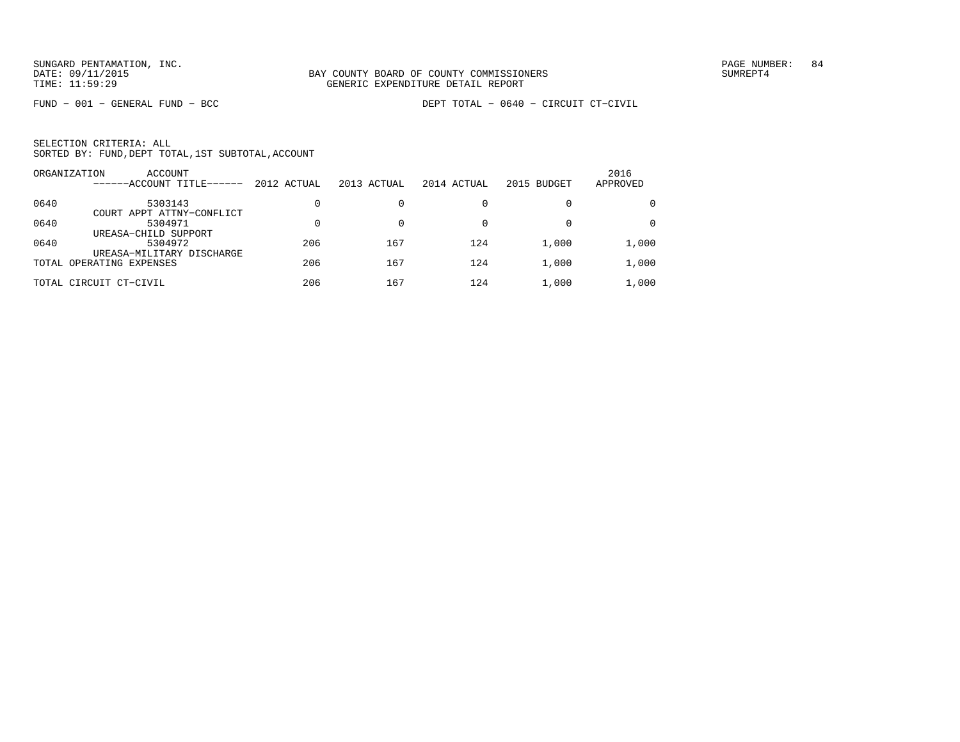| SELECTION CRITERIA: ALL |  |  |                                                    |  |
|-------------------------|--|--|----------------------------------------------------|--|
|                         |  |  | SORTED BY: FUND, DEPT TOTAL, 1ST SUBTOTAL, ACCOUNT |  |

|      | ORGANIZATION<br><b>ACCOUNT</b><br>------ACCOUNT TITLE------ | 2012 ACTUAL | 2013 ACTUAL | 2014 ACTUAL | 2015 BUDGET | 2016<br>APPROVED |
|------|-------------------------------------------------------------|-------------|-------------|-------------|-------------|------------------|
| 0640 | 5303143<br>COURT APPT ATTNY-CONFLICT                        |             |             |             |             | $\mathbf{0}$     |
| 0640 | 5304971<br>UREASA-CHILD SUPPORT                             |             |             |             | 0           | $\mathbf{0}$     |
| 0640 | 5304972<br>UREASA-MILITARY DISCHARGE                        | 206         | 167         | 124         | 1,000       | 1,000            |
|      | TOTAL OPERATING EXPENSES                                    | 206         | 167         | 124         | 1,000       | 1,000            |
|      | TOTAL CIRCUIT CT-CIVIL                                      | 206         | 167         | 124         | 1,000       | 1,000            |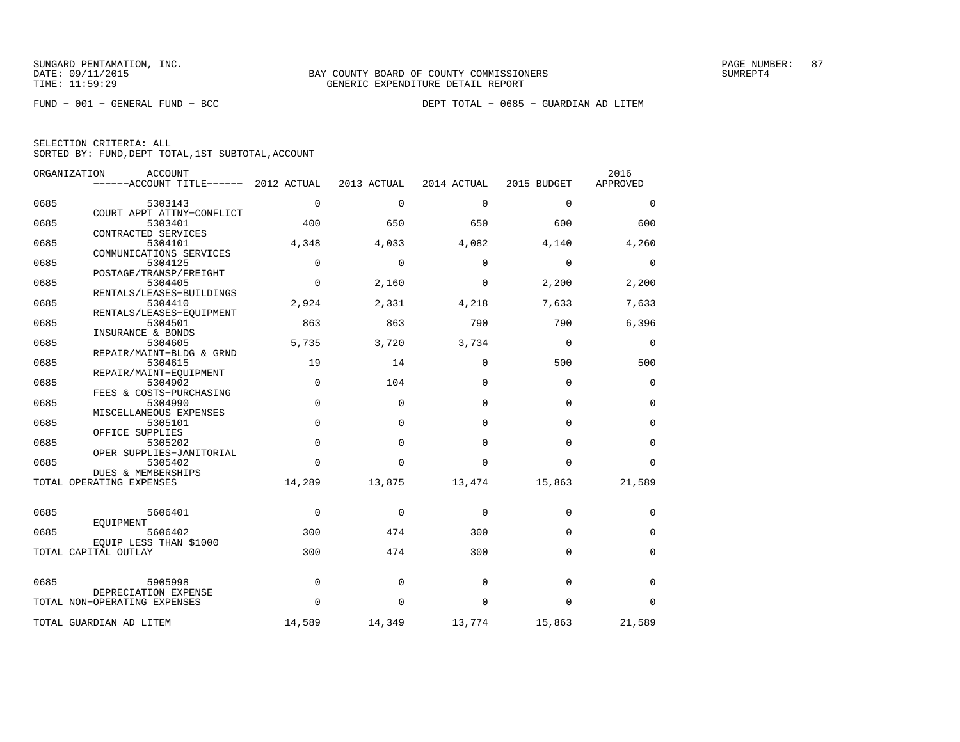| SELECTION CRITERIA: ALL |  |  |                                                    |  |
|-------------------------|--|--|----------------------------------------------------|--|
|                         |  |  | SORTED BY: FUND, DEPT TOTAL, 1ST SUBTOTAL, ACCOUNT |  |

|      | ORGANIZATION<br><b>ACCOUNT</b><br>------ACCOUNT TITLE------ 2012 ACTUAL |             | 2013 ACTUAL | 2014 ACTUAL | 2015 BUDGET | 2016<br>APPROVED |
|------|-------------------------------------------------------------------------|-------------|-------------|-------------|-------------|------------------|
| 0685 | 5303143                                                                 | $\mathbf 0$ | $\mathbf 0$ | $\mathbf 0$ | $\mathbf 0$ | $\mathbf 0$      |
| 0685 | COURT APPT ATTNY-CONFLICT<br>5303401                                    | 400         | 650         | 650         | 600         | 600              |
| 0685 | CONTRACTED SERVICES<br>5304101                                          | 4,348       | 4,033       | 4,082       | 4,140       | 4,260            |
| 0685 | COMMUNICATIONS SERVICES<br>5304125                                      | 0           | $\Omega$    | $\Omega$    | $\mathbf 0$ | 0                |
| 0685 | POSTAGE/TRANSP/FREIGHT<br>5304405                                       | 0           | 2,160       | 0           | 2,200       | 2,200            |
| 0685 | RENTALS/LEASES-BUILDINGS<br>5304410                                     | 2,924       | 2,331       | 4,218       | 7,633       | 7,633            |
| 0685 | RENTALS/LEASES-EQUIPMENT<br>5304501                                     | 863         | 863         | 790         | 790         | 6,396            |
| 0685 | INSURANCE & BONDS<br>5304605                                            | 5,735       | 3,720       | 3,734       | $\mathbf 0$ | 0                |
| 0685 | REPAIR/MAINT-BLDG & GRND<br>5304615                                     | 19          | 14          | $\Omega$    | 500         | 500              |
| 0685 | REPAIR/MAINT-EOUIPMENT<br>5304902                                       | $\mathbf 0$ | 104         | $\Omega$    | $\mathbf 0$ | $\mathbf 0$      |
| 0685 | FEES & COSTS-PURCHASING<br>5304990                                      | 0           | $\mathbf 0$ | $\mathbf 0$ | $\mathbf 0$ | $\mathbf 0$      |
| 0685 | MISCELLANEOUS EXPENSES<br>5305101                                       | $\Omega$    | $\Omega$    | $\Omega$    | $\Omega$    | 0                |
| 0685 | OFFICE SUPPLIES<br>5305202                                              | $\Omega$    | $\Omega$    | $\Omega$    | $\Omega$    | $\mathbf 0$      |
| 0685 | OPER SUPPLIES-JANITORIAL<br>5305402                                     | $\Omega$    | $\Omega$    | $\Omega$    | $\Omega$    | $\Omega$         |
|      | <b>DUES &amp; MEMBERSHIPS</b><br>TOTAL OPERATING EXPENSES               | 14,289      | 13,875      | 13,474      | 15,863      | 21,589           |
|      |                                                                         |             |             |             |             |                  |
| 0685 | 5606401<br>EOUIPMENT                                                    | $\mathbf 0$ | 0           | $\mathbf 0$ | $\mathbf 0$ | 0                |
| 0685 | 5606402<br>EOUIP LESS THAN \$1000                                       | 300         | 474         | 300         | $\Omega$    | $\mathbf 0$      |
|      | TOTAL CAPITAL OUTLAY                                                    | 300         | 474         | 300         | $\Omega$    | $\mathbf 0$      |
| 0685 | 5905998                                                                 | 0           | $\mathbf 0$ | 0           | $\mathbf 0$ | $\mathbf 0$      |
|      | DEPRECIATION EXPENSE<br>TOTAL NON-OPERATING EXPENSES                    | $\Omega$    | $\Omega$    | $\Omega$    | $\Omega$    | $\Omega$         |
|      | TOTAL GUARDIAN AD LITEM                                                 | 14,589      | 14,349      | 13,774      | 15,863      | 21,589           |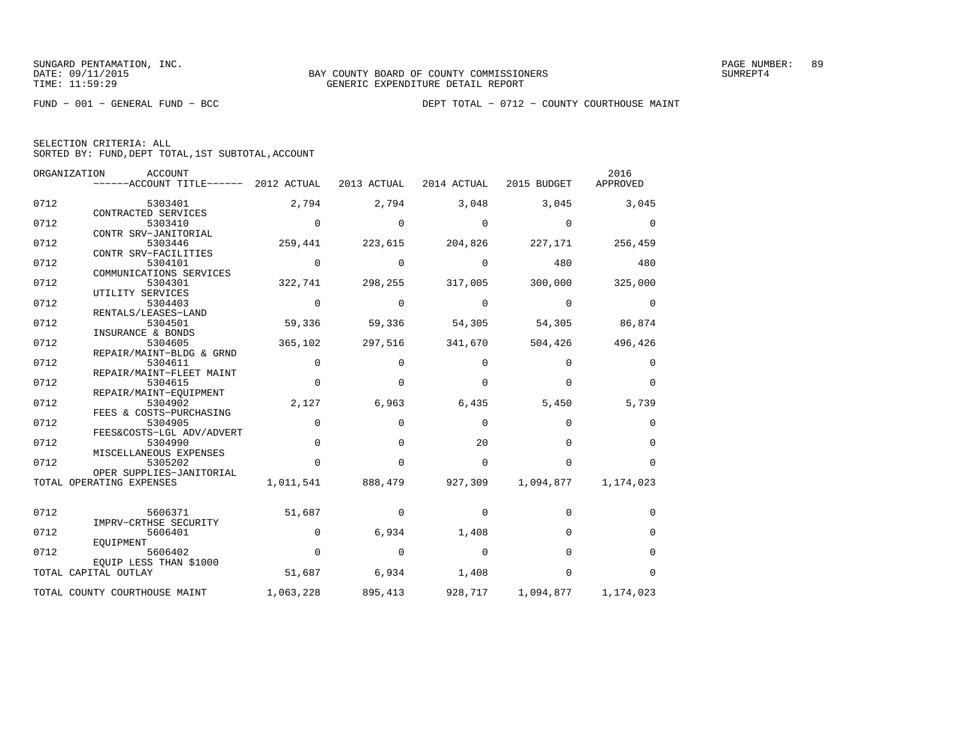|  | SELECTION CRITERIA: ALL |                                                    |  |
|--|-------------------------|----------------------------------------------------|--|
|  |                         | SORTED BY: FUND, DEPT TOTAL, 1ST SUBTOTAL, ACCOUNT |  |

|      | ORGANIZATION<br><b>ACCOUNT</b><br>------ACCOUNT TITLE------ | 2012 ACTUAL | 2013 ACTUAL | 2014 ACTUAL | 2015 BUDGET | 2016<br>APPROVED |
|------|-------------------------------------------------------------|-------------|-------------|-------------|-------------|------------------|
| 0712 | 5303401                                                     | 2,794       | 2,794       | 3,048       | 3,045       | 3,045            |
| 0712 | CONTRACTED SERVICES<br>5303410                              | $\Omega$    | $\Omega$    | $\Omega$    | $\Omega$    | $\Omega$         |
| 0712 | CONTR SRV-JANITORIAL<br>5303446<br>CONTR SRV-FACILITIES     | 259,441     | 223,615     | 204,826     | 227,171     | 256,459          |
| 0712 | 5304101<br>COMMUNICATIONS SERVICES                          | $\Omega$    | $\Omega$    | $\Omega$    | 480         | 480              |
| 0712 | 5304301<br>UTILITY SERVICES                                 | 322,741     | 298,255     | 317,005     | 300,000     | 325,000          |
| 0712 | 5304403<br>RENTALS/LEASES-LAND                              | $\Omega$    | $\Omega$    | $\Omega$    | $\Omega$    | $\Omega$         |
| 0712 | 5304501<br>INSURANCE & BONDS                                | 59,336      | 59,336      | 54,305      | 54,305      | 86,874           |
| 0712 | 5304605<br>REPAIR/MAINT-BLDG & GRND                         | 365,102     | 297,516     | 341,670     | 504,426     | 496,426          |
| 0712 | 5304611<br>REPAIR/MAINT-FLEET MAINT                         | $\Omega$    | $\Omega$    | $\Omega$    | $\Omega$    | 0                |
| 0712 | 5304615<br>REPAIR/MAINT-EOUIPMENT                           | $\Omega$    | $\Omega$    | $\Omega$    | $\Omega$    | $\Omega$         |
| 0712 | 5304902<br>FEES & COSTS-PURCHASING                          | 2,127       | 6,963       | 6,435       | 5,450       | 5,739            |
| 0712 | 5304905<br>FEES&COSTS-LGL ADV/ADVERT                        | $\mathbf 0$ | $\mathbf 0$ | $\mathbf 0$ | 0           | 0                |
| 0712 | 5304990<br>MISCELLANEOUS EXPENSES                           | $\Omega$    | $\Omega$    | 20          | $\Omega$    | $\Omega$         |
| 0712 | 5305202<br>OPER SUPPLIES-JANITORIAL                         | $\Omega$    | $\Omega$    | $\Omega$    | $\Omega$    | $\Omega$         |
|      | TOTAL OPERATING EXPENSES                                    | 1,011,541   | 888,479     | 927,309     | 1,094,877   | 1,174,023        |
| 0712 | 5606371<br>IMPRV-CRTHSE SECURITY                            | 51,687      | $\Omega$    | 0           | $\Omega$    | 0                |
| 0712 | 5606401<br>EOUIPMENT                                        | $\Omega$    | 6,934       | 1,408       | $\Omega$    | 0                |
| 0712 | 5606402<br>EQUIP LESS THAN \$1000                           | $\Omega$    | $\Omega$    | $\Omega$    | $\Omega$    | $\Omega$         |
|      | TOTAL CAPITAL OUTLAY                                        | 51,687      | 6,934       | 1,408       | $\mathbf 0$ | $\Omega$         |
|      | TOTAL COUNTY COURTHOUSE MAINT                               | 1,063,228   | 895,413     | 928,717     | 1,094,877   | 1,174,023        |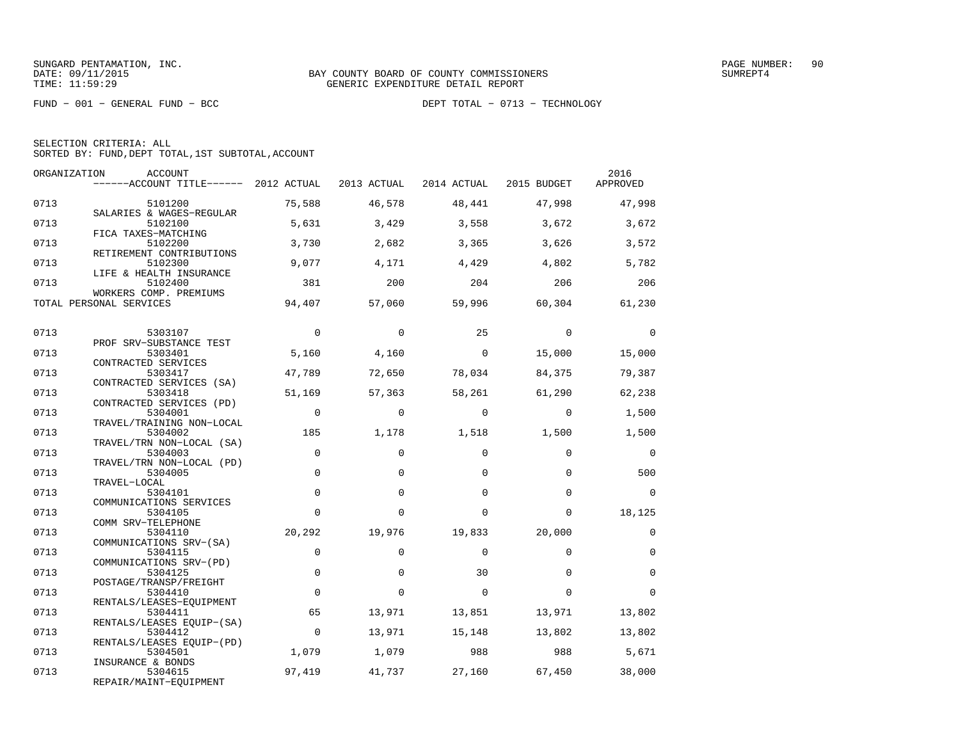FUND − 001 − GENERAL FUND − BCC DEPT TOTAL − 0713 − TECHNOLOGY

SELECTION CRITERIA: ALL

SORTED BY: FUND,DEPT TOTAL,1ST SUBTOTAL,ACCOUNT

| ORGANIZATION | <b>ACCOUNT</b><br>$----ACCOUNT$ TITLE $----$ 2012 ACTUAL |             | 2013 ACTUAL | 2014 ACTUAL | 2015 BUDGET | 2016<br>APPROVED |
|--------------|----------------------------------------------------------|-------------|-------------|-------------|-------------|------------------|
| 0713         | 5101200                                                  | 75,588      | 46,578      | 48,441      | 47,998      | 47,998           |
| 0713         | SALARIES & WAGES-REGULAR<br>5102100                      | 5,631       | 3,429       | 3,558       | 3,672       | 3,672            |
| 0713         | FICA TAXES-MATCHING<br>5102200                           | 3,730       | 2,682       | 3,365       | 3,626       | 3,572            |
| 0713         | RETIREMENT CONTRIBUTIONS<br>5102300                      | 9,077       | 4,171       | 4,429       | 4,802       | 5,782            |
| 0713         | LIFE & HEALTH INSURANCE<br>5102400                       | 381         | 200         | 204         | 206         | 206              |
|              | WORKERS COMP. PREMIUMS<br>TOTAL PERSONAL SERVICES        | 94,407      | 57,060      | 59,996      | 60,304      | 61,230           |
| 0713         | 5303107                                                  | $\Omega$    | $\Omega$    | 25          | $\Omega$    | $\Omega$         |
|              | PROF SRV-SUBSTANCE TEST                                  |             |             |             |             |                  |
| 0713         | 5303401<br>CONTRACTED SERVICES                           | 5,160       | 4,160       | $\Omega$    | 15,000      | 15,000           |
| 0713         | 5303417<br>CONTRACTED SERVICES (SA)                      | 47,789      | 72,650      | 78,034      | 84,375      | 79,387           |
| 0713         | 5303418<br>CONTRACTED SERVICES (PD)                      | 51,169      | 57,363      | 58,261      | 61,290      | 62,238           |
| 0713         | 5304001<br>TRAVEL/TRAINING NON-LOCAL                     | $\Omega$    | $\Omega$    | $\Omega$    | $\Omega$    | 1,500            |
| 0713         | 5304002<br>TRAVEL/TRN NON-LOCAL (SA)                     | 185         | 1,178       | 1,518       | 1,500       | 1,500            |
| 0713         | 5304003<br>TRAVEL/TRN NON-LOCAL (PD)                     | $\Omega$    | $\Omega$    | $\Omega$    | $\Omega$    | $\Omega$         |
| 0713         | 5304005                                                  | $\mathbf 0$ | $\Omega$    | $\Omega$    | $\Omega$    | 500              |
| 0713         | TRAVEL-LOCAL<br>5304101                                  | $\mathbf 0$ | $\Omega$    | $\Omega$    | $\Omega$    | $\Omega$         |
| 0713         | COMMUNICATIONS SERVICES<br>5304105                       | $\Omega$    | $\Omega$    | $\Omega$    | $\Omega$    | 18,125           |
| 0713         | COMM SRV-TELEPHONE<br>5304110                            | 20,292      | 19,976      | 19,833      | 20,000      | $\mathbf 0$      |
| 0713         | COMMUNICATIONS SRV-(SA)<br>5304115                       | $\mathbf 0$ | $\mathbf 0$ | $\Omega$    | $\Omega$    | $\mathbf 0$      |
| 0713         | COMMUNICATIONS SRV-(PD)<br>5304125                       | $\Omega$    | $\Omega$    | 30          | $\Omega$    | $\Omega$         |
| 0713         | POSTAGE/TRANSP/FREIGHT<br>5304410                        | $\Omega$    | $\Omega$    | $\Omega$    | $\Omega$    | $\Omega$         |
| 0713         | RENTALS/LEASES-EOUIPMENT<br>5304411                      | 65          | 13,971      | 13,851      | 13,971      | 13,802           |
| 0713         | RENTALS/LEASES EQUIP-(SA)<br>5304412                     | $\mathbf 0$ | 13,971      | 15,148      | 13,802      | 13,802           |
| 0713         | RENTALS/LEASES EOUIP-(PD)<br>5304501                     | 1,079       | 1,079       | 988         | 988         | 5,671            |
|              | INSURANCE & BONDS                                        |             |             |             |             |                  |
| 0713         | 5304615<br>REPAIR/MAINT-EQUIPMENT                        | 97,419      | 41,737      | 27,160      | 67,450      | 38,000           |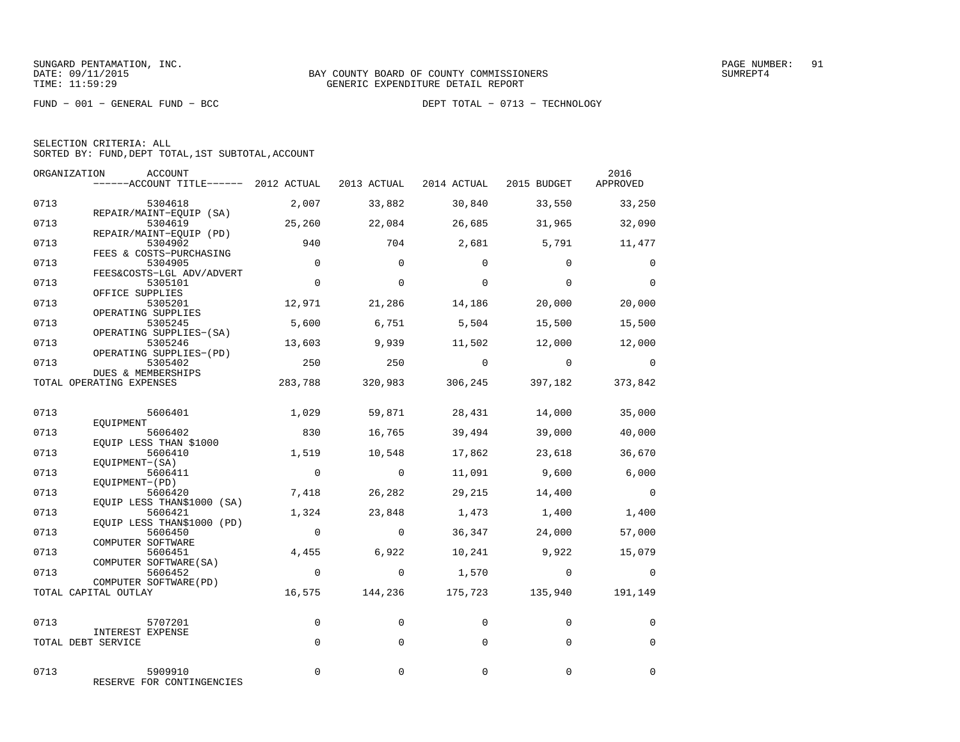FUND − 001 − GENERAL FUND − BCC DEPT TOTAL − 0713 − TECHNOLOGY

| SELECTION CRITERIA: ALL |  |  |                                                    |  |
|-------------------------|--|--|----------------------------------------------------|--|
|                         |  |  | SORTED BY: FUND, DEPT TOTAL, 1ST SUBTOTAL, ACCOUNT |  |

| ORGANIZATION | ACCOUNT<br>------ACCOUNT TITLE------ 2012 ACTUAL              |                |             | 2013 ACTUAL 2014 ACTUAL 2015 BUDGET |                 | 2016<br>APPROVED |
|--------------|---------------------------------------------------------------|----------------|-------------|-------------------------------------|-----------------|------------------|
| 0713         | 5304618                                                       | 2,007          | 33,882      | 30,840                              | 33,550          | 33,250           |
| 0713         | REPAIR/MAINT-EQUIP (SA)<br>5304619                            | 25,260         | 22,084      | 26,685                              | 31,965          | 32,090           |
| 0713         | REPAIR/MAINT-EQUIP (PD)<br>5304902<br>FEES & COSTS-PURCHASING | 940            | 704         | 2,681                               | 5,791           | 11,477           |
| 0713         | 5304905<br>FEES&COSTS-LGL ADV/ADVERT                          | $\overline{0}$ | $\Omega$    | $\Omega$                            | $\Omega$        | $\mathbf 0$      |
| 0713         | 5305101<br>OFFICE SUPPLIES                                    | $\Omega$       | $\Omega$    | $\Omega$                            | $\Omega$        | $\Omega$         |
| 0713         | 5305201<br>OPERATING SUPPLIES                                 | 12,971         | 21,286      | 14,186                              | 20,000          | 20,000           |
| 0713         | 5305245<br>OPERATING SUPPLIES-(SA)                            | 5,600          | 6,751       | 5,504                               | 15,500          | 15,500           |
| 0713         | 5305246<br>OPERATING SUPPLIES-(PD)                            | 13,603         | 9,939       | 11,502                              | 12,000          | 12,000           |
| 0713         | 5305402<br>DUES & MEMBERSHIPS                                 | 250            | 250         | $\overline{0}$                      | $\overline{0}$  | $\Omega$         |
|              | TOTAL OPERATING EXPENSES                                      | 283,788        | 320,983     | 306,245                             | 397,182         | 373,842          |
| 0713         | 5606401<br>EOUIPMENT                                          | 1,029          | 59,871      | 28,431                              | 14,000          | 35,000           |
| 0713         | 5606402<br>EQUIP LESS THAN \$1000                             | 830            | 16,765      | 39,494                              | 39,000          | 40,000           |
| 0713         | 5606410<br>EOUIPMENT-(SA)                                     | 1,519          | 10,548      | 17,862                              | 23,618          | 36,670           |
| 0713         | 5606411<br>EQUIPMENT-(PD)                                     | $\overline{0}$ | $\mathbf 0$ | 11,091                              | 9,600           | 6,000            |
| 0713         | 5606420<br>EQUIP LESS THAN\$1000 (SA)                         | 7,418          | 26,282      | 29,215                              | 14,400          | $\overline{0}$   |
| 0713         | 5606421<br>EQUIP LESS THAN\$1000 (PD)                         | 1,324          | 23,848      | 1,473                               | 1,400           | 1,400            |
| 0713         | 5606450<br>COMPUTER SOFTWARE                                  | $\overline{0}$ | $\mathbf 0$ | 36,347                              | 24,000          | 57,000           |
| 0713         | 5606451<br>COMPUTER SOFTWARE (SA)                             | 4,455          | 6,922       | 10,241                              | 9,922           | 15,079           |
| 0713         | 5606452<br>COMPUTER SOFTWARE (PD)                             | $\overline{0}$ | $\mathbf 0$ | 1,570                               | $\mathbf 0$     | $\overline{0}$   |
|              | TOTAL CAPITAL OUTLAY                                          | 16,575         | 144,236     |                                     | 175,723 135,940 | 191,149          |
| 0713         | 5707201                                                       | $\mathbf 0$    | $\Omega$    | $\Omega$                            | $\Omega$        | 0                |
|              | INTEREST EXPENSE<br>TOTAL DEBT SERVICE                        | $\Omega$       | $\Omega$    | $\Omega$                            | $\Omega$        | $\Omega$         |
| 0713         | 5909910<br>RESERVE FOR CONTINGENCIES                          | $\mathbf 0$    | $\mathbf 0$ | $\mathbf 0$                         | 0               | $\mathbf 0$      |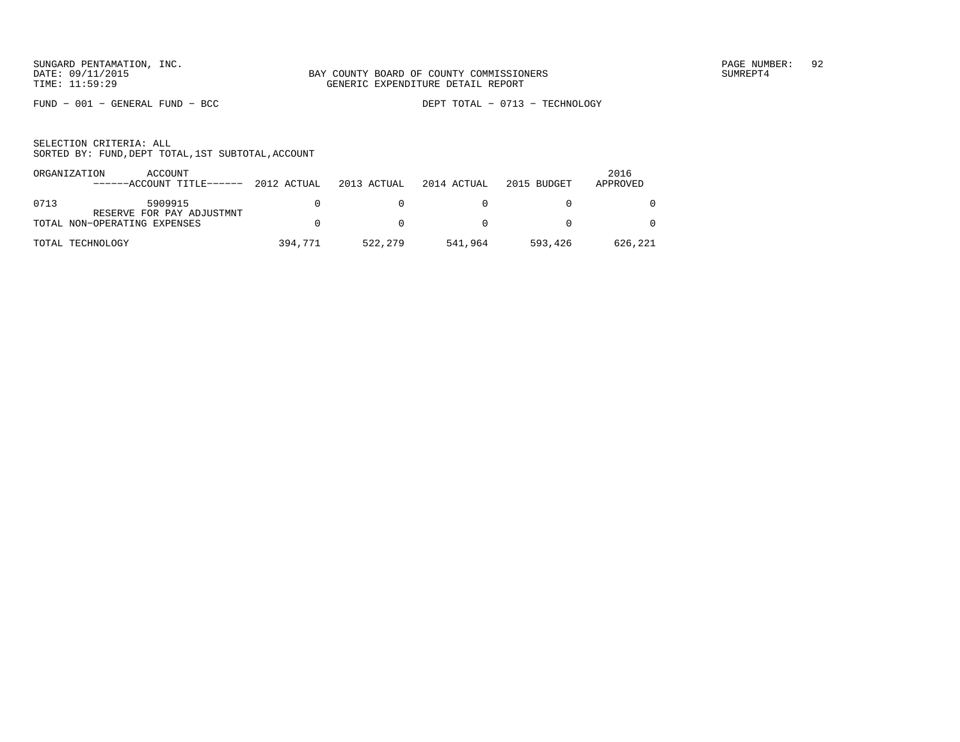FUND − 001 − GENERAL FUND − BCC DEPT TOTAL − 0713 − TECHNOLOGY

| ORGANIZATION | ACCOUNT<br>------ACCOUNT TITLE------                      | 2012 ACTUAL | 2013 ACTUAL | 2014 ACTUAL | 2015 BUDGET | 2016<br>APPROVED |
|--------------|-----------------------------------------------------------|-------------|-------------|-------------|-------------|------------------|
| 0713         | 5909915                                                   |             |             |             |             |                  |
|              | RESERVE FOR PAY ADJUSTMNT<br>TOTAL NON-OPERATING EXPENSES |             |             |             |             | $\Omega$         |
|              | TOTAL TECHNOLOGY                                          | 394,771     | 522,279     | 541,964     | 593,426     | 626,221          |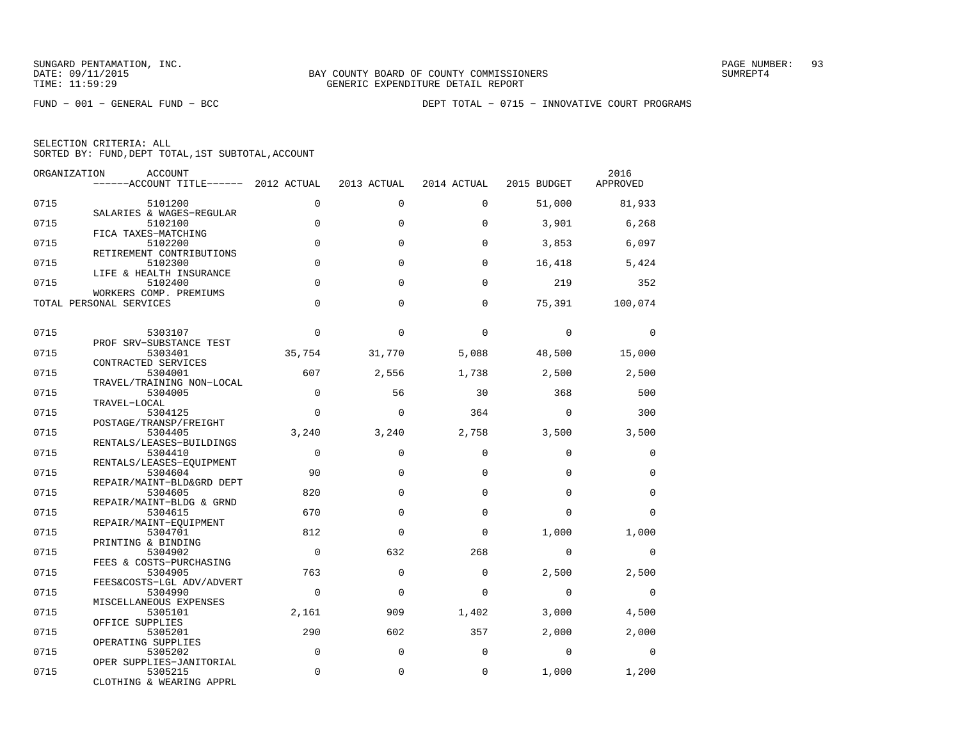FUND − 001 − GENERAL FUND − BCC DEPT TOTAL − 0715 − INNOVATIVE COURT PROGRAMS

|  | SELECTION CRITERIA: ALL |                                                    |
|--|-------------------------|----------------------------------------------------|
|  |                         | SORTED BY: FUND, DEPT TOTAL, 1ST SUBTOTAL, ACCOUNT |

| ORGANIZATION | ACCOUNT<br>------ACCOUNT TITLE------ 2012 ACTUAL  |             | 2013 ACTUAL  | 2014 ACTUAL | 2015 BUDGET | 2016<br>APPROVED |
|--------------|---------------------------------------------------|-------------|--------------|-------------|-------------|------------------|
| 0715         | 5101200                                           | $\Omega$    | $\Omega$     | $\Omega$    | 51,000      | 81,933           |
| 0715         | SALARIES & WAGES-REGULAR<br>5102100               | $\mathbf 0$ | $\Omega$     | $\Omega$    | 3,901       | 6,268            |
| 0715         | FICA TAXES-MATCHING<br>5102200                    | $\Omega$    | $\Omega$     | $\Omega$    | 3,853       | 6,097            |
| 0715         | RETIREMENT CONTRIBUTIONS<br>5102300               | $\Omega$    | $\Omega$     | $\Omega$    | 16,418      | 5,424            |
| 0715         | LIFE & HEALTH INSURANCE<br>5102400                | $\Omega$    | $\Omega$     | $\Omega$    | 219         | 352              |
|              | WORKERS COMP. PREMIUMS<br>TOTAL PERSONAL SERVICES | $\Omega$    | $\Omega$     | $\Omega$    | 75,391      | 100,074          |
| 0715         |                                                   | $\Omega$    | $\Omega$     | $\Omega$    | $\mathbf 0$ | $\Omega$         |
|              | 5303107<br>PROF SRV-SUBSTANCE TEST                |             |              |             |             |                  |
| 0715         | 5303401<br>CONTRACTED SERVICES                    | 35,754      | 31,770       | 5,088       | 48,500      | 15,000           |
| 0715         | 5304001<br>TRAVEL/TRAINING NON-LOCAL              | 607         | 2,556        | 1,738       | 2,500       | 2,500            |
| 0715         | 5304005<br>TRAVEL-LOCAL                           | $\Omega$    | 56           | 30          | 368         | 500              |
| 0715         | 5304125<br>POSTAGE/TRANSP/FREIGHT                 | $\Omega$    | $\Omega$     | 364         | $\Omega$    | 300              |
| 0715         | 5304405                                           | 3,240       | 3,240        | 2,758       | 3,500       | 3,500            |
| 0715         | RENTALS/LEASES-BUILDINGS<br>5304410               | $\Omega$    | $\Omega$     | $\Omega$    | $\Omega$    | $\mathbf 0$      |
| 0715         | RENTALS/LEASES-EQUIPMENT<br>5304604               | 90          | $\Omega$     | $\Omega$    | $\Omega$    | $\mathbf 0$      |
| 0715         | REPAIR/MAINT-BLD&GRD DEPT<br>5304605              | 820         | $\Omega$     | $\Omega$    | $\Omega$    | $\mathbf 0$      |
| 0715         | REPAIR/MAINT-BLDG & GRND<br>5304615               | 670         | $\Omega$     | $\Omega$    | $\Omega$    | $\Omega$         |
| 0715         | REPAIR/MAINT-EOUIPMENT<br>5304701                 | 812         | $\Omega$     | $\Omega$    | 1,000       | 1,000            |
| 0715         | PRINTING & BINDING<br>5304902                     | $\Omega$    | 632          | 268         | $\mathbf 0$ | 0                |
| 0715         | FEES & COSTS-PURCHASING<br>5304905                | 763         | $\Omega$     | $\Omega$    | 2,500       | 2,500            |
| 0715         | FEES&COSTS-LGL ADV/ADVERT<br>5304990              | $\Omega$    | $\Omega$     | $\Omega$    | $\Omega$    | 0                |
| 0715         | MISCELLANEOUS EXPENSES<br>5305101                 | 2,161       | 909          | 1,402       | 3,000       | 4,500            |
|              | OFFICE SUPPLIES<br>5305201                        | 290         | 602          |             | 2,000       | 2,000            |
| 0715         | OPERATING SUPPLIES                                |             |              | 357         |             |                  |
| 0715         | 5305202<br>OPER SUPPLIES-JANITORIAL               | $\Omega$    | $\Omega$     | $\Omega$    | $\Omega$    | $\Omega$         |
| 0715         | 5305215<br>CLOTHING & WEARING APPRL               | $\mathbf 0$ | $\mathbf{0}$ | $\mathbf 0$ | 1,000       | 1,200            |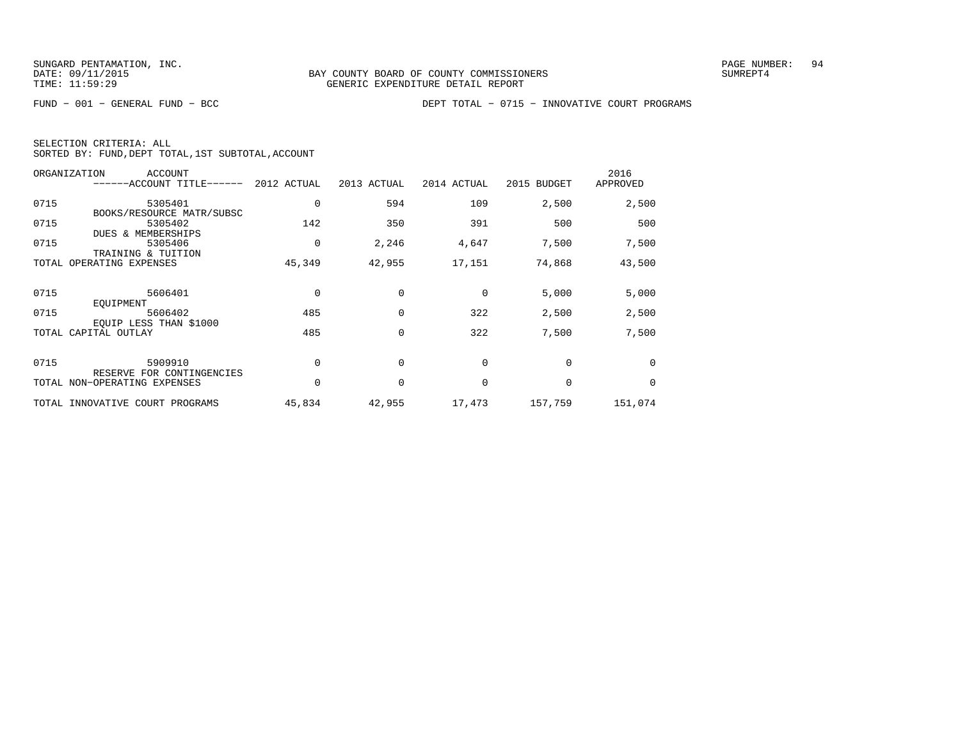FUND − 001 − GENERAL FUND − BCC DEPT TOTAL − 0715 − INNOVATIVE COURT PROGRAMS

| ORGANIZATION                 | ACCOUNT<br>------ACCOUNT TITLE------                       | 2012 ACTUAL | 2013 ACTUAL | 2014 ACTUAL | 2015 BUDGET | 2016<br>APPROVED |
|------------------------------|------------------------------------------------------------|-------------|-------------|-------------|-------------|------------------|
| 0715                         | 5305401                                                    | 0           | 594         | 109         | 2,500       | 2,500            |
| 0715                         | BOOKS/RESOURCE MATR/SUBSC<br>5305402<br>DUES & MEMBERSHIPS | 142         | 350         | 391         | 500         | 500              |
| 0715                         | 5305406<br>TRAINING & TUITION                              | 0           | 2,246       | 4,647       | 7,500       | 7,500            |
| TOTAL OPERATING EXPENSES     |                                                            | 45,349      | 42,955      | 17,151      | 74,868      | 43,500           |
| 0715                         | 5606401                                                    | 0           |             | 0           | 5,000       | 5,000            |
|                              | EOUIPMENT                                                  |             |             |             |             |                  |
| 0715                         | 5606402                                                    | 485         | $\Omega$    | 322         | 2,500       | 2,500            |
| TOTAL CAPITAL OUTLAY         | EQUIP LESS THAN \$1000                                     | 485         | 0           | 322         | 7,500       | 7,500            |
| 0715                         | 5909910                                                    |             | $\Omega$    | $\Omega$    | $\Omega$    | $\Omega$         |
| TOTAL NON-OPERATING EXPENSES | RESERVE FOR CONTINGENCIES                                  | 0           | $\mathbf 0$ | 0           | 0           | $\Omega$         |
|                              |                                                            |             |             |             |             |                  |
|                              | TOTAL INNOVATIVE COURT PROGRAMS                            | 45,834      | 42,955      | 17,473      | 157,759     | 151,074          |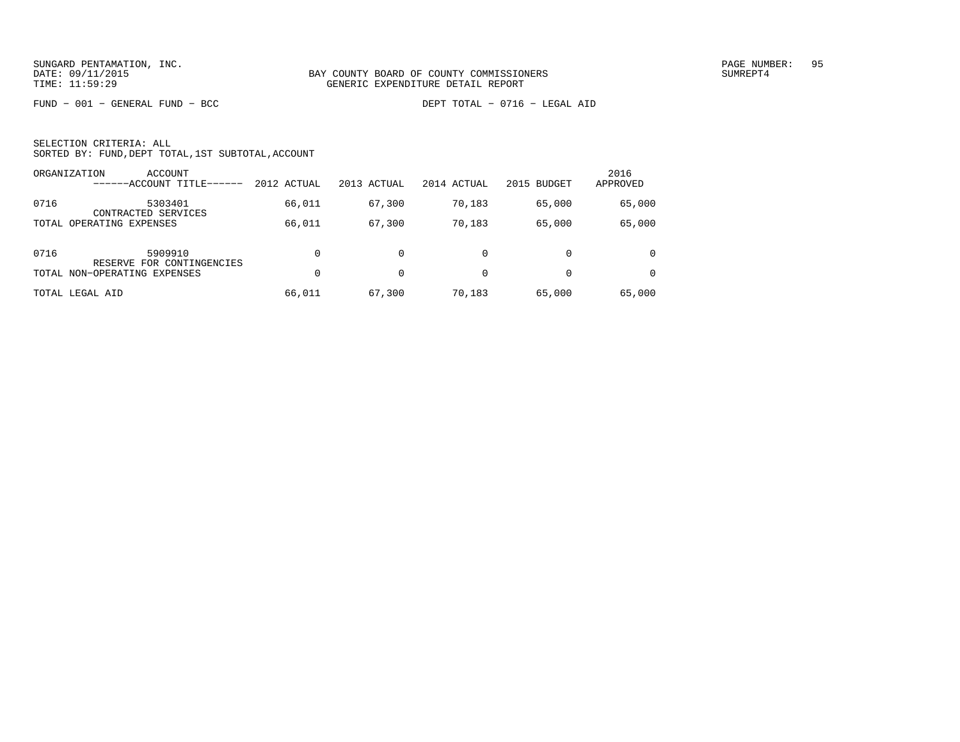FUND − 001 − GENERAL FUND − BCC DEPT TOTAL − 0716 − LEGAL AID

|      | ORGANIZATION<br>ACCOUNT<br>------ACCOUNT TITLE- | 2012 ACTUAL | 2013 ACTUAL | 2014 ACTUAL | 2015 BUDGET | 2016<br>APPROVED |
|------|-------------------------------------------------|-------------|-------------|-------------|-------------|------------------|
| 0716 | 5303401<br>CONTRACTED SERVICES                  | 66,011      | 67,300      | 70,183      | 65,000      | 65,000           |
|      | TOTAL OPERATING EXPENSES                        | 66,011      | 67,300      | 70,183      | 65,000      | 65,000           |
| 0716 | 5909910<br>RESERVE FOR CONTINGENCIES            | $\Omega$    |             | 0           |             | $\Omega$         |
|      | TOTAL NON-OPERATING EXPENSES                    | $\Omega$    | 0           | $\Omega$    | $\Omega$    |                  |
|      | TOTAL LEGAL AID                                 | 66,011      | 67,300      | 70,183      | 65,000      | 65,000           |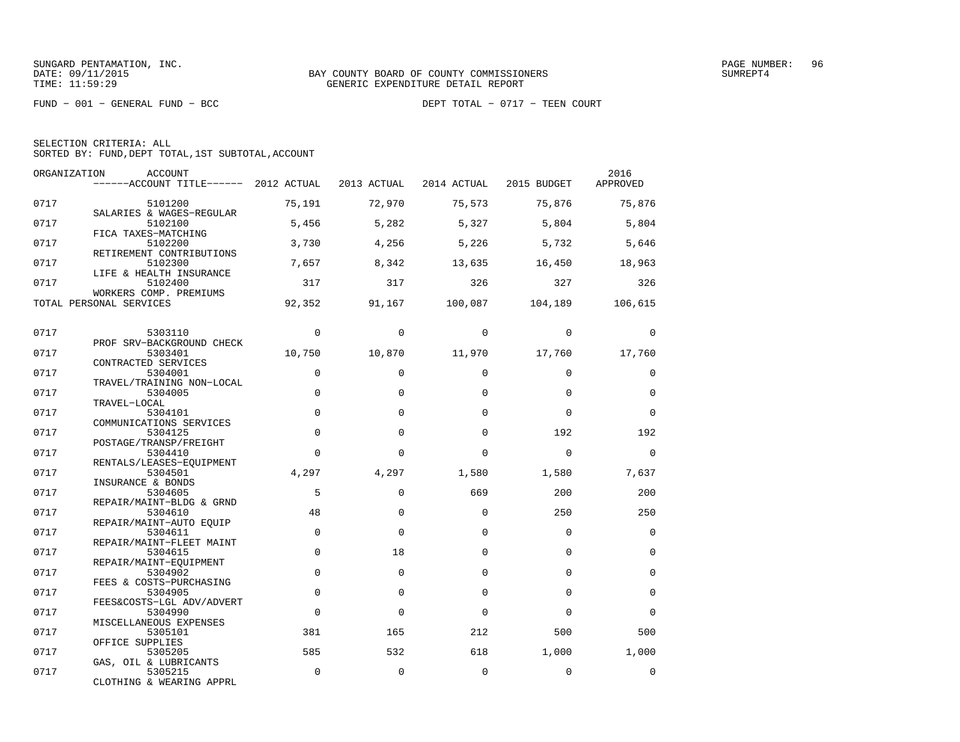FUND − 001 − GENERAL FUND − BCC DEPT TOTAL − 0717 − TEEN COURT

| ORGANIZATION | <b>ACCOUNT</b><br>$----ACCOUNT$ TITLE $----$ 2012 ACTUAL |             | 2013 ACTUAL | 2014 ACTUAL | 2015 BUDGET | 2016<br>APPROVED |
|--------------|----------------------------------------------------------|-------------|-------------|-------------|-------------|------------------|
| 0717         | 5101200                                                  | 75,191      | 72,970      | 75,573      | 75,876      | 75,876           |
| 0717         | SALARIES & WAGES-REGULAR<br>5102100                      | 5,456       | 5,282       | 5,327       | 5,804       | 5,804            |
| 0717         | FICA TAXES-MATCHING<br>5102200                           | 3,730       | 4,256       | 5,226       | 5,732       | 5,646            |
| 0717         | RETIREMENT CONTRIBUTIONS<br>5102300                      | 7,657       | 8,342       | 13,635      | 16,450      | 18,963           |
| 0717         | LIFE & HEALTH INSURANCE<br>5102400                       | 317         | 317         | 326         | 327         | 326              |
|              | WORKERS COMP. PREMIUMS<br>TOTAL PERSONAL SERVICES        | 92,352      | 91,167      | 100,087     | 104,189     | 106,615          |
| 0717         | 5303110                                                  | $\Omega$    | $\Omega$    | $\Omega$    | $\Omega$    | $\Omega$         |
| 0717         | PROF SRV-BACKGROUND CHECK<br>5303401                     | 10,750      | 10,870      | 11,970      | 17,760      | 17,760           |
| 0717         | CONTRACTED SERVICES<br>5304001                           | $\mathbf 0$ | $\Omega$    | $\Omega$    | $\Omega$    | $\mathbf 0$      |
| 0717         | TRAVEL/TRAINING NON-LOCAL<br>5304005                     | $\Omega$    | $\Omega$    | $\Omega$    | $\Omega$    | $\Omega$         |
| 0717         | TRAVEL-LOCAL<br>5304101                                  | $\Omega$    | $\Omega$    | $\Omega$    | $\Omega$    | $\Omega$         |
| 0717         | COMMUNICATIONS SERVICES<br>5304125                       | $\Omega$    | $\Omega$    | $\Omega$    | 192         | 192              |
| 0717         | POSTAGE/TRANSP/FREIGHT<br>5304410                        | $\Omega$    | $\Omega$    | $\Omega$    | $\Omega$    | $\Omega$         |
| 0717         | RENTALS/LEASES-EQUIPMENT<br>5304501                      | 4,297       | 4,297       | 1,580       | 1,580       | 7,637            |
| 0717         | INSURANCE & BONDS<br>5304605                             | 5           | $\Omega$    | 669         | 200         | 200              |
|              | REPAIR/MAINT-BLDG & GRND                                 |             |             | $\Omega$    |             |                  |
| 0717         | 5304610<br>REPAIR/MAINT-AUTO EOUIP                       | 48          | $\Omega$    |             | 250         | 250              |
| 0717         | 5304611<br>REPAIR/MAINT-FLEET MAINT                      | $\mathbf 0$ | $\Omega$    | $\Omega$    | $\Omega$    | $\Omega$         |
| 0717         | 5304615<br>REPAIR/MAINT-EQUIPMENT                        | $\mathbf 0$ | 18          | $\Omega$    | $\Omega$    | $\mathbf 0$      |
| 0717         | 5304902<br>FEES & COSTS-PURCHASING                       | $\mathbf 0$ | $\Omega$    | $\Omega$    | $\Omega$    | $\Omega$         |
| 0717         | 5304905<br>FEES&COSTS-LGL ADV/ADVERT                     | $\mathbf 0$ | 0           | $\Omega$    | $\Omega$    | $\mathbf 0$      |
| 0717         | 5304990<br>MISCELLANEOUS EXPENSES                        | $\Omega$    | $\Omega$    | $\Omega$    | $\Omega$    | $\Omega$         |
| 0717         | 5305101<br>OFFICE SUPPLIES                               | 381         | 165         | 212         | 500         | 500              |
| 0717         | 5305205<br>GAS, OIL & LUBRICANTS                         | 585         | 532         | 618         | 1,000       | 1,000            |
| 0717         | 5305215<br>CLOTHING & WEARING APPRL                      | $\mathbf 0$ | $\mathbf 0$ | $\mathbf 0$ | $\Omega$    | $\mathbf 0$      |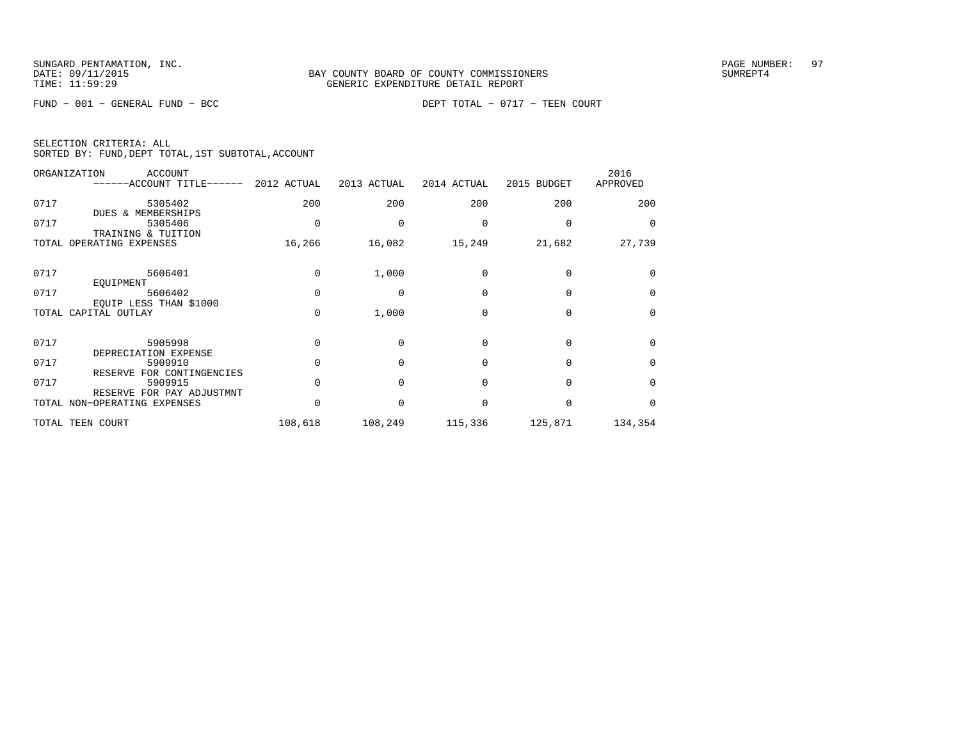FUND − 001 − GENERAL FUND − BCC DEPT TOTAL − 0717 − TEEN COURT

|  | SELECTION CRITERIA: ALL |                                                    |  |
|--|-------------------------|----------------------------------------------------|--|
|  |                         | SORTED BY: FUND, DEPT TOTAL, 1ST SUBTOTAL, ACCOUNT |  |

|      | ORGANIZATION<br><b>ACCOUNT</b><br>$----ACCOUNT$ TITLE $----$ 2012 ACTUAL |          | 2013 ACTUAL  | 2014 ACTUAL | 2015 BUDGET | 2016<br>APPROVED |
|------|--------------------------------------------------------------------------|----------|--------------|-------------|-------------|------------------|
| 0717 | 5305402<br>DUES & MEMBERSHIPS                                            | 200      | 200          | 200         | 200         | 200              |
| 0717 | 5305406<br>TRAINING & TUITION                                            |          |              |             |             | $\Omega$         |
|      | TOTAL OPERATING EXPENSES                                                 | 16,266   | 16,082       | 15,249      | 21,682      | 27,739           |
| 0717 | 5606401<br>EOUIPMENT                                                     | $\Omega$ | 1,000        | $\Omega$    | $\Omega$    | $\Omega$         |
| 0717 | 5606402                                                                  | $\Omega$ | $\Omega$     | $\Omega$    | $\Omega$    | $\Omega$         |
|      | EOUIP LESS THAN \$1000<br>TOTAL CAPITAL OUTLAY                           | $\Omega$ | 1,000        | $\Omega$    | 0           | $\Omega$         |
| 0717 | 5905998<br>DEPRECIATION EXPENSE                                          | $\Omega$ | $\Omega$     | $\Omega$    | $\Omega$    | $\Omega$         |
| 0717 | 5909910<br>RESERVE FOR CONTINGENCIES                                     |          | $\Omega$     | $\Omega$    | $\Omega$    | $\Omega$         |
| 0717 | 5909915<br>RESERVE FOR PAY ADJUSTMNT                                     |          | $\Omega$     | $\Omega$    | $\Omega$    | $\Omega$         |
|      | TOTAL NON-OPERATING EXPENSES                                             |          | <sup>0</sup> | $\Omega$    | $\Omega$    | $\Omega$         |
|      | TOTAL TEEN COURT                                                         | 108,618  | 108,249      | 115,336     | 125,871     | 134,354          |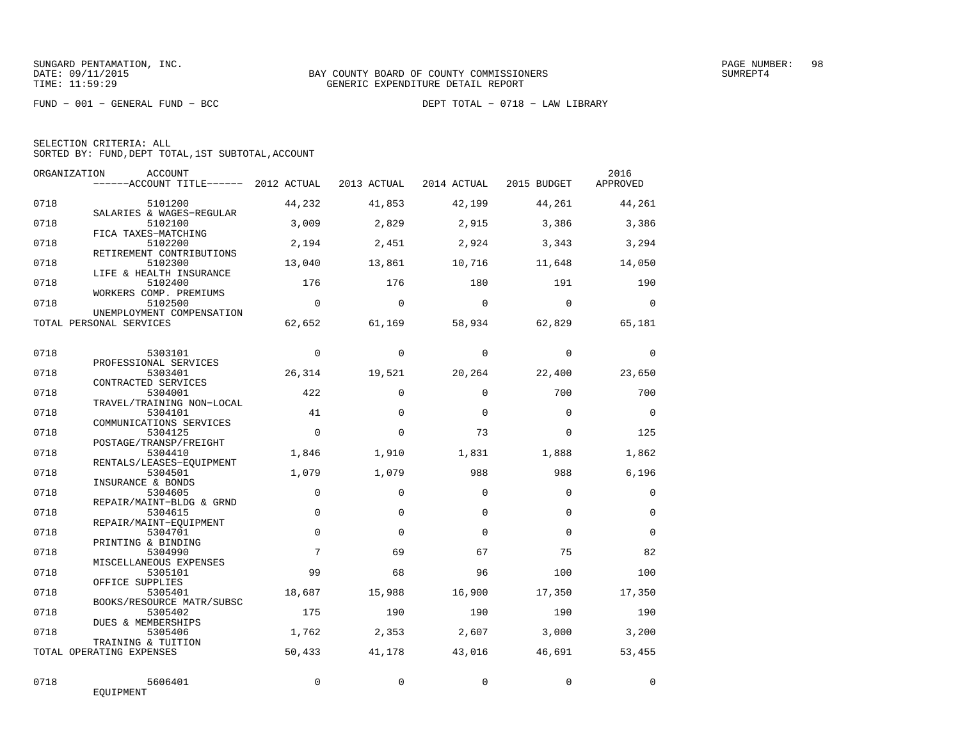FUND − 001 − GENERAL FUND − BCC DEPT TOTAL − 0718 − LAW LIBRARY

SELECTION CRITERIA: ALL

SORTED BY: FUND,DEPT TOTAL,1ST SUBTOTAL,ACCOUNT

|              | ORGANIZATION<br><b>ACCOUNT</b><br>------ACCOUNT TITLE------ 2012 ACTUAL |               | 2013 ACTUAL   | 2014 ACTUAL   | 2015 BUDGET   | 2016<br>APPROVED |
|--------------|-------------------------------------------------------------------------|---------------|---------------|---------------|---------------|------------------|
| 0718         | 5101200<br>SALARIES & WAGES-REGULAR                                     | 44,232        | 41,853        | 42,199        | 44,261        | 44,261           |
| 0718         | 5102100<br>FICA TAXES-MATCHING                                          | 3,009         | 2,829         | 2,915         | 3,386         | 3,386            |
| 0718         | 5102200<br>RETIREMENT CONTRIBUTIONS                                     | 2,194         | 2,451         | 2,924         | 3,343         | 3,294            |
| 0718         | 5102300<br>LIFE & HEALTH INSURANCE                                      | 13,040        | 13,861        | 10,716        | 11,648        | 14,050           |
| 0718         | 5102400<br>WORKERS COMP. PREMIUMS                                       | 176           | 176           | 180           | 191           | 190              |
| 0718         | 5102500<br>UNEMPLOYMENT COMPENSATION                                    | $\Omega$      | $\Omega$      | $\Omega$      | $\Omega$      | $\Omega$         |
|              | TOTAL PERSONAL SERVICES                                                 | 62,652        | 61,169        | 58,934        | 62,829        | 65,181           |
| 0718         | 5303101                                                                 | $\Omega$      | $\Omega$      | $\Omega$      | $\Omega$      | $\mathbf 0$      |
| 0718         | PROFESSIONAL SERVICES<br>5303401<br>CONTRACTED SERVICES                 | 26,314        | 19,521        | 20,264        | 22,400        | 23,650           |
| 0718         | 5304001<br>TRAVEL/TRAINING NON-LOCAL                                    | 422           | $\Omega$      | $\Omega$      | 700           | 700              |
| 0718         | 5304101<br>COMMUNICATIONS SERVICES                                      | 41            | $\Omega$      | $\Omega$      | $\Omega$      | $\Omega$         |
| 0718         | 5304125<br>POSTAGE/TRANSP/FREIGHT                                       | $\Omega$      | $\Omega$      | 73            | $\Omega$      | 125              |
| 0718         | 5304410<br>RENTALS/LEASES-EQUIPMENT                                     | 1,846         | 1,910         | 1,831         | 1,888         | 1,862            |
| 0718         | 5304501<br>INSURANCE & BONDS                                            | 1,079         | 1,079         | 988           | 988           | 6,196            |
| 0718         | 5304605<br>REPAIR/MAINT-BLDG & GRND                                     | $\mathbf 0$   | $\Omega$      | $\Omega$      | $\Omega$      | $\mathbf 0$      |
| 0718         | 5304615<br>REPAIR/MAINT-EOUIPMENT                                       | $\Omega$      | $\Omega$      | $\Omega$      | $\Omega$      | $\Omega$         |
| 0718         | 5304701<br>PRINTING & BINDING                                           | $\Omega$<br>7 | $\Omega$      | $\Omega$      | $\Omega$      | $\Omega$         |
| 0718<br>0718 | 5304990<br>MISCELLANEOUS EXPENSES                                       | 99            | 69            | 67            | 75            | 82               |
| 0718         | 5305101<br>OFFICE SUPPLIES                                              |               | 68            | 96            | 100           | 100              |
| 0718         | 5305401<br>BOOKS/RESOURCE MATR/SUBSC<br>5305402                         | 18,687<br>175 | 15,988<br>190 | 16,900<br>190 | 17,350<br>190 | 17,350<br>190    |
| 0718         | DUES & MEMBERSHIPS<br>5305406                                           | 1,762         | 2,353         | 2,607         | 3,000         | 3,200            |
|              | TRAINING & TUITION<br>TOTAL OPERATING EXPENSES                          | 50,433        | 41,178        | 43,016        | 46,691        | 53,455           |
|              |                                                                         |               |               |               |               |                  |
| 0718         | 5606401<br>EQUIPMENT                                                    | $\Omega$      | $\Omega$      | $\Omega$      | $\Omega$      | $\Omega$         |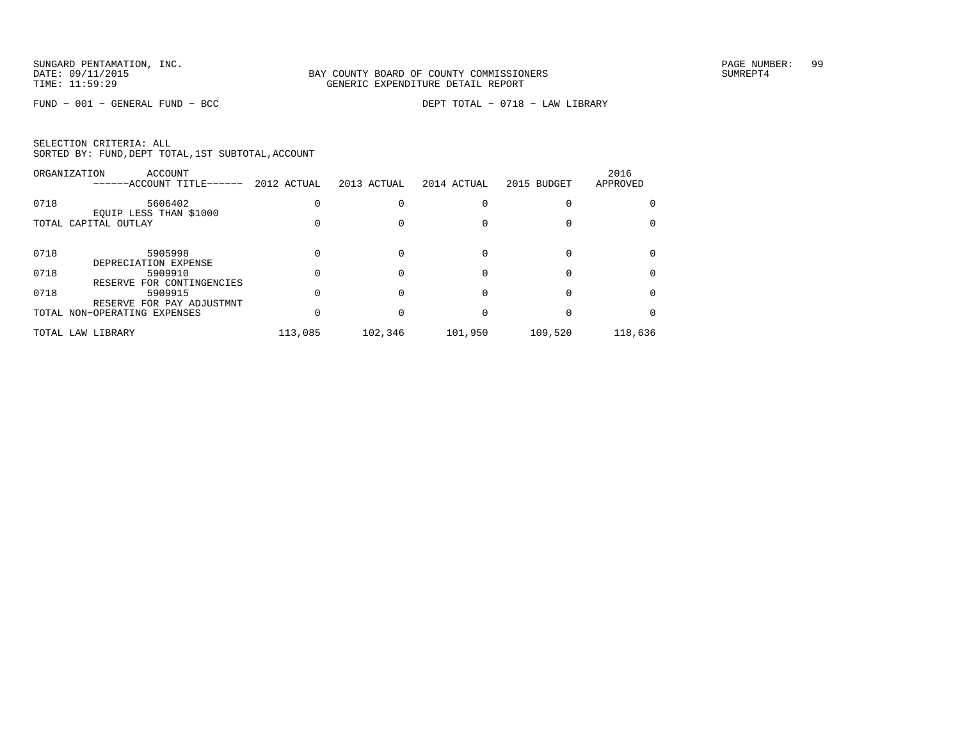FUND − 001 − GENERAL FUND − BCC DEPT TOTAL − 0718 − LAW LIBRARY

| SELECTION CRITERIA: ALL |  |  |                                                    |  |
|-------------------------|--|--|----------------------------------------------------|--|
|                         |  |  | SORTED BY: FUND, DEPT TOTAL, 1ST SUBTOTAL, ACCOUNT |  |

|      | ORGANIZATION<br>ACCOUNT<br>------ACCOUNT TITLE------ | 2012 ACTUAL | 2013 ACTUAL | 2014 ACTUAL | 2015 BUDGET | 2016<br>APPROVED |
|------|------------------------------------------------------|-------------|-------------|-------------|-------------|------------------|
| 0718 | 5606402<br>EQUIP LESS THAN \$1000                    |             |             |             |             |                  |
|      | TOTAL CAPITAL OUTLAY                                 |             |             |             |             |                  |
| 0718 | 5905998<br>DEPRECIATION EXPENSE                      |             |             |             |             |                  |
| 0718 | 5909910<br>RESERVE FOR CONTINGENCIES                 |             |             |             |             |                  |
| 0718 | 5909915<br>RESERVE FOR PAY ADJUSTMNT                 |             |             |             |             |                  |
|      | TOTAL NON-OPERATING EXPENSES                         |             |             |             |             |                  |
|      | TOTAL LAW LIBRARY                                    | 113,085     | 102,346     | 101,950     | 109,520     | 118,636          |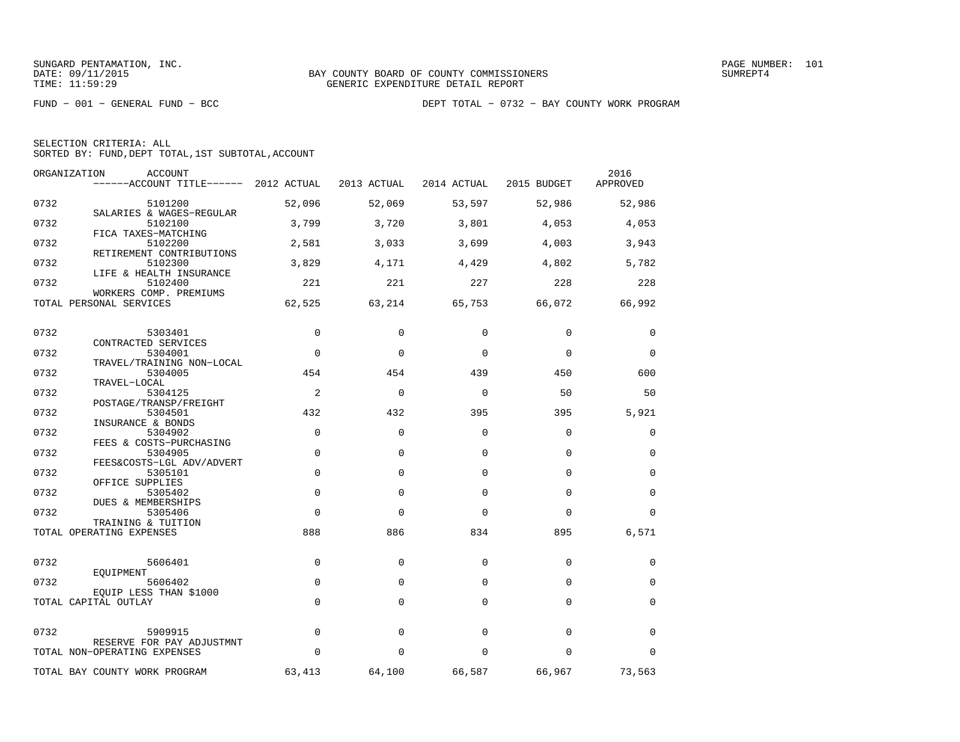| SELECTION CRITERIA: ALL |                                                    |
|-------------------------|----------------------------------------------------|
|                         | SORTED BY: FUND, DEPT TOTAL, 1ST SUBTOTAL, ACCOUNT |

| ORGANIZATION | <b>ACCOUNT</b><br>------ACCOUNT TITLE------ 2012 ACTUAL      |                | 2013 ACTUAL | 2014 ACTUAL | 2015 BUDGET | 2016<br>APPROVED |
|--------------|--------------------------------------------------------------|----------------|-------------|-------------|-------------|------------------|
| 0732         | 5101200                                                      | 52,096         | 52,069      | 53,597      | 52,986      | 52,986           |
| 0732         | SALARIES & WAGES-REGULAR<br>5102100                          | 3,799          | 3,720       | 3,801       | 4,053       | 4,053            |
| 0732         | FICA TAXES-MATCHING<br>5102200                               | 2,581          | 3,033       | 3,699       | 4,003       | 3,943            |
| 0732         | RETIREMENT CONTRIBUTIONS<br>5102300                          | 3,829          | 4,171       | 4,429       | 4,802       | 5,782            |
| 0732         | LIFE & HEALTH INSURANCE<br>5102400<br>WORKERS COMP. PREMIUMS | 221            | 221         | 227         | 228         | 228              |
|              | TOTAL PERSONAL SERVICES                                      | 62,525         | 63,214      | 65,753      | 66,072      | 66,992           |
| 0732         | 5303401                                                      | $\mathbf 0$    | $\Omega$    | 0           | $\mathbf 0$ | 0                |
| 0732         | CONTRACTED SERVICES<br>5304001                               | $\mathbf 0$    | $\Omega$    | $\Omega$    | $\mathbf 0$ | 0                |
|              | TRAVEL/TRAINING NON-LOCAL                                    |                |             |             |             |                  |
| 0732         | 5304005<br>TRAVEL-LOCAL                                      | 454            | 454         | 439         | 450         | 600              |
| 0732         | 5304125                                                      | $\overline{2}$ | $\Omega$    | $\Omega$    | 50          | 50               |
| 0732         | POSTAGE/TRANSP/FREIGHT<br>5304501                            | 432            | 432         | 395         | 395         | 5,921            |
| 0732         | INSURANCE & BONDS<br>5304902                                 | $\Omega$       | $\Omega$    | $\Omega$    | $\Omega$    | $\mathbf 0$      |
| 0732         | FEES & COSTS-PURCHASING<br>5304905                           | $\mathbf 0$    | $\Omega$    | $\Omega$    | $\Omega$    | $\mathbf 0$      |
| 0732         | FEES&COSTS-LGL ADV/ADVERT<br>5305101<br>OFFICE SUPPLIES      | $\mathbf 0$    | $\Omega$    | $\Omega$    | $\Omega$    | 0                |
| 0732         | 5305402<br>DUES & MEMBERSHIPS                                | $\Omega$       | $\Omega$    | $\Omega$    | $\Omega$    | $\Omega$         |
| 0732         | 5305406<br>TRAINING & TUITION                                | $\Omega$       | $\Omega$    | $\Omega$    | $\Omega$    | $\Omega$         |
|              | TOTAL OPERATING EXPENSES                                     | 888            | 886         | 834         | 895         | 6,571            |
| 0732         | 5606401                                                      | $\mathbf 0$    | $\mathbf 0$ | 0           | $\mathbf 0$ | 0                |
| 0732         | EOUIPMENT<br>5606402                                         | $\mathbf 0$    | 0           | 0           | $\mathbf 0$ | 0                |
|              | EQUIP LESS THAN \$1000<br>TOTAL CAPITAL OUTLAY               | $\Omega$       | $\Omega$    | $\Omega$    | $\Omega$    | $\mathbf 0$      |
| 0732         | 5909915                                                      | $\Omega$       | $\Omega$    | $\Omega$    | $\Omega$    | 0                |
|              | RESERVE FOR PAY ADJUSTMNT                                    | $\Omega$       | $\Omega$    | $\Omega$    | $\Omega$    |                  |
|              | TOTAL NON-OPERATING EXPENSES                                 |                |             |             |             | $\mathbf 0$      |
|              | TOTAL BAY COUNTY WORK PROGRAM                                | 63,413         | 64,100      | 66,587      | 66,967      | 73,563           |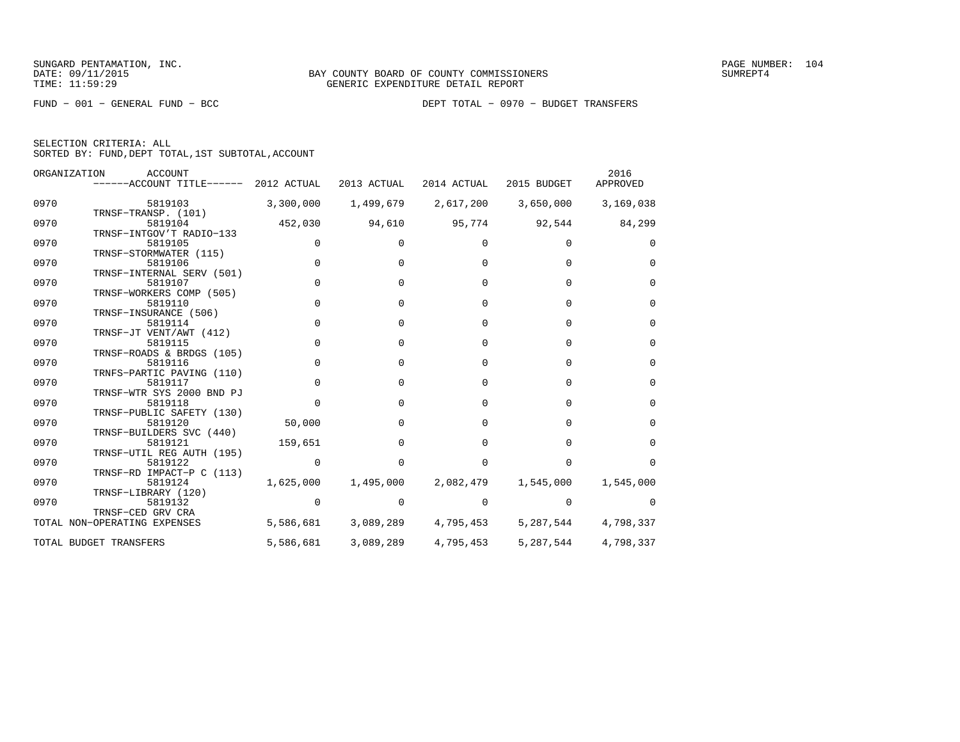| SELECTION CRITERIA: ALL                            |  |
|----------------------------------------------------|--|
| SORTED BY: FUND, DEPT TOTAL, 1ST SUBTOTAL, ACCOUNT |  |

|      | ORGANIZATION<br><b>ACCOUNT</b><br>------ACCOUNT TITLE------ 2012 ACTUAL |             | 2013 ACTUAL | 2014 ACTUAL  | 2015 BUDGET  | 2016<br>APPROVED |
|------|-------------------------------------------------------------------------|-------------|-------------|--------------|--------------|------------------|
| 0970 | 5819103                                                                 | 3,300,000   | 1,499,679   | 2,617,200    | 3,650,000    | 3,169,038        |
| 0970 | TRNSF-TRANSP. (101)<br>5819104<br>TRNSF-INTGOV'T RADIO-133              | 452,030     | 94,610      | 95,774       | 92,544       | 84,299           |
| 0970 | 5819105                                                                 | 0           |             |              |              | $\Omega$         |
| 0970 | TRNSF-STORMWATER (115)<br>5819106                                       | $\Omega$    |             |              |              | $\Omega$         |
| 0970 | TRNSF-INTERNAL SERV (501)<br>5819107                                    | $\mathbf 0$ |             | <sup>n</sup> | <sup>n</sup> | $\Omega$         |
| 0970 | TRNSF-WORKERS COMP (505)<br>5819110<br>TRNSF-INSURANCE (506)            | $\mathbf 0$ |             | <sup>0</sup> | $\Omega$     | $\Omega$         |
| 0970 | 5819114                                                                 | $\Omega$    |             | $\Omega$     | $\Omega$     | $\Omega$         |
| 0970 | TRNSF-JT VENT/AWT (412)<br>5819115                                      | $\Omega$    |             | <sup>n</sup> | U            | $\Omega$         |
| 0970 | TRNSF-ROADS & BRDGS (105)<br>5819116                                    | $\Omega$    |             | <sup>n</sup> |              | $\Omega$         |
| 0970 | TRNFS-PARTIC PAVING (110)<br>5819117                                    | $\Omega$    |             |              |              | $\Omega$         |
| 0970 | TRNSF-WTR SYS 2000 BND PJ<br>5819118                                    | $\Omega$    |             |              |              | $\Omega$         |
| 0970 | TRNSF-PUBLIC SAFETY (130)<br>5819120                                    | 50,000      |             |              |              | $\Omega$         |
| 0970 | TRNSF-BUILDERS SVC (440)<br>5819121                                     | 159,651     |             |              |              | $\Omega$         |
| 0970 | TRNSF-UTIL REG AUTH (195)<br>5819122                                    |             |             |              |              |                  |
| 0970 | TRNSF-RD IMPACT-P C (113)<br>5819124                                    | 1,625,000   | 1,495,000   | 2,082,479    | 1,545,000    | 1,545,000        |
| 0970 | TRNSF-LIBRARY (120)<br>5819132                                          | 0           |             |              |              |                  |
|      | TRNSF-CED GRV CRA<br>TOTAL NON-OPERATING EXPENSES                       | 5,586,681   | 3,089,289   | 4,795,453    | 5,287,544    | 4,798,337        |
|      | TOTAL BUDGET TRANSFERS                                                  | 5,586,681   | 3,089,289   | 4,795,453    | 5,287,544    | 4,798,337        |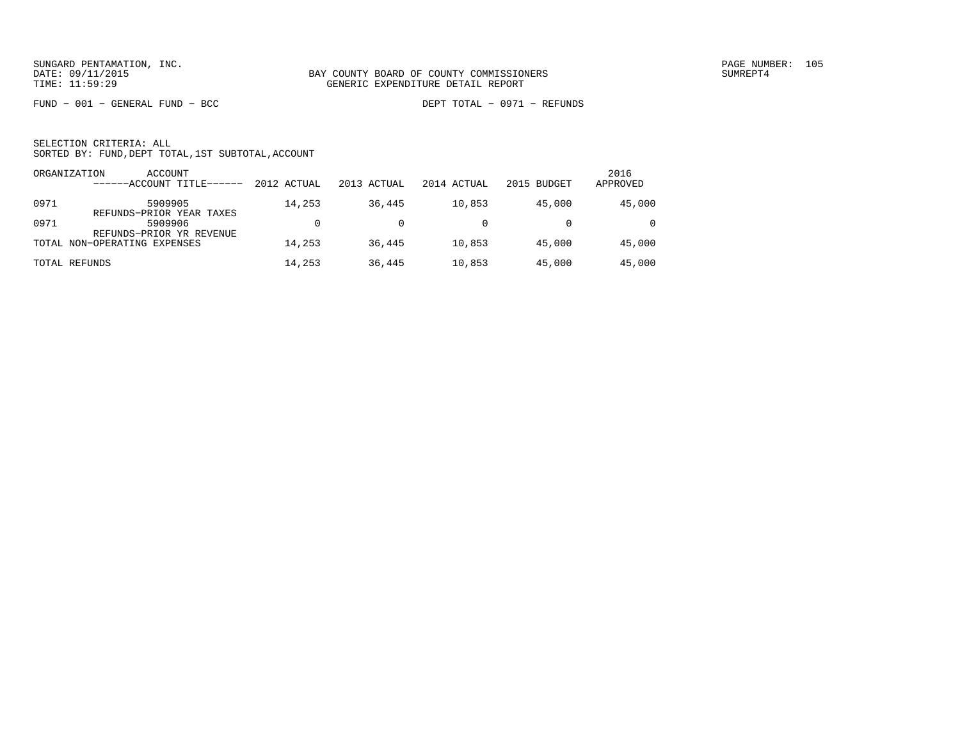FUND − 001 − GENERAL FUND − BCC DEPT TOTAL − 0971 − REFUNDS

|      | ORGANIZATION<br>ACCOUNT<br>------ACCOUNT TITLE------ | 2012 ACTUAL | 2013 ACTUAL | 2014 ACTUAL | 2015 BUDGET | 2016<br>APPROVED |
|------|------------------------------------------------------|-------------|-------------|-------------|-------------|------------------|
| 0971 | 5909905<br>REFUNDS-PRIOR YEAR TAXES                  | 14,253      | 36,445      | 10,853      | 45,000      | 45,000           |
| 0971 | 5909906<br>REFUNDS-PRIOR YR REVENUE                  |             |             |             |             | $\Omega$         |
|      | TOTAL NON-OPERATING EXPENSES                         | 14,253      | 36,445      | 10,853      | 45,000      | 45,000           |
|      | TOTAL REFUNDS                                        | 14,253      | 36,445      | 10,853      | 45,000      | 45,000           |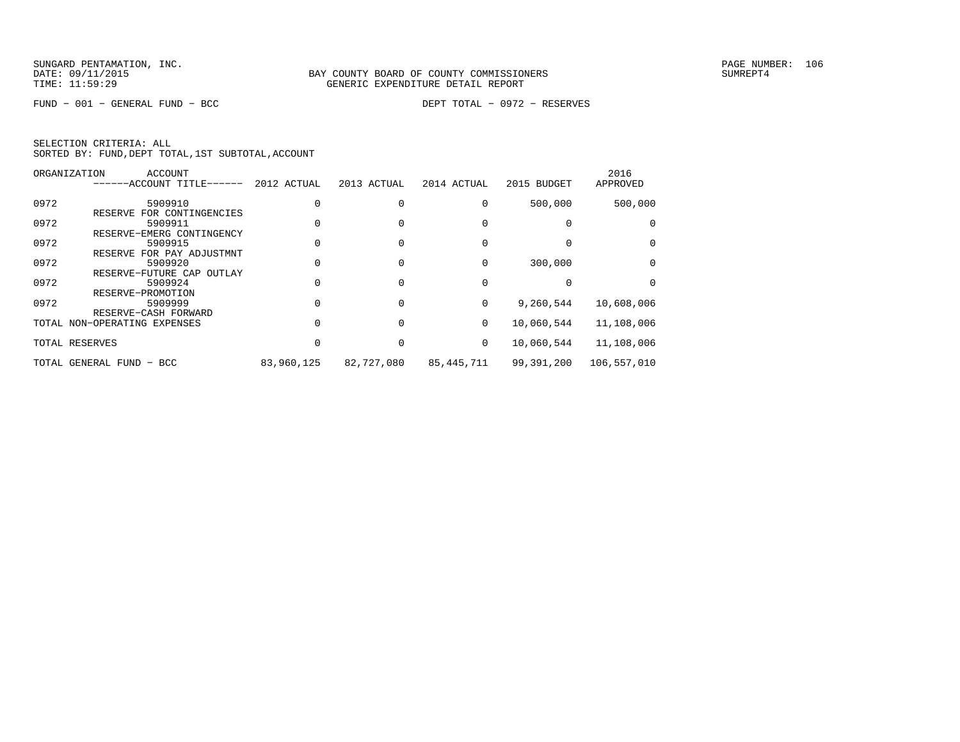FUND − 001 − GENERAL FUND − BCC DEPT TOTAL − 0972 − RESERVES

|      | ORGANIZATION<br>ACCOUNT<br>------ACCOUNT TITLE------ | 2012 ACTUAL | 2013 ACTUAL | 2014 ACTUAL  | 2015 BUDGET | 2016<br>APPROVED |
|------|------------------------------------------------------|-------------|-------------|--------------|-------------|------------------|
| 0972 | 5909910                                              |             |             |              | 500,000     | 500,000          |
| 0972 | FOR CONTINGENCIES<br>RESERVE<br>5909911              |             |             |              |             | $\Omega$         |
| 0972 | RESERVE-EMERG CONTINGENCY<br>5909915                 |             |             |              |             | $\Omega$         |
|      | RESERVE FOR PAY ADJUSTMNT                            |             |             |              |             |                  |
| 0972 | 5909920<br>RESERVE-FUTURE CAP<br>OUTLAY              |             |             |              | 300,000     | $\Omega$         |
| 0972 | 5909924<br>RESERVE-PROMOTION                         |             |             |              |             | $\Omega$         |
| 0972 | 5909999                                              |             |             | $\Omega$     | 9,260,544   | 10,608,006       |
|      | RESERVE-CASH FORWARD<br>TOTAL NON-OPERATING EXPENSES |             |             | $\mathbf{0}$ | 10,060,544  | 11,108,006       |
|      | TOTAL RESERVES                                       |             |             | $\mathbf{0}$ | 10,060,544  | 11,108,006       |
|      | TOTAL GENERAL FUND - BCC                             | 83,960,125  | 82,727,080  | 85,445,711   | 99,391,200  | 106,557,010      |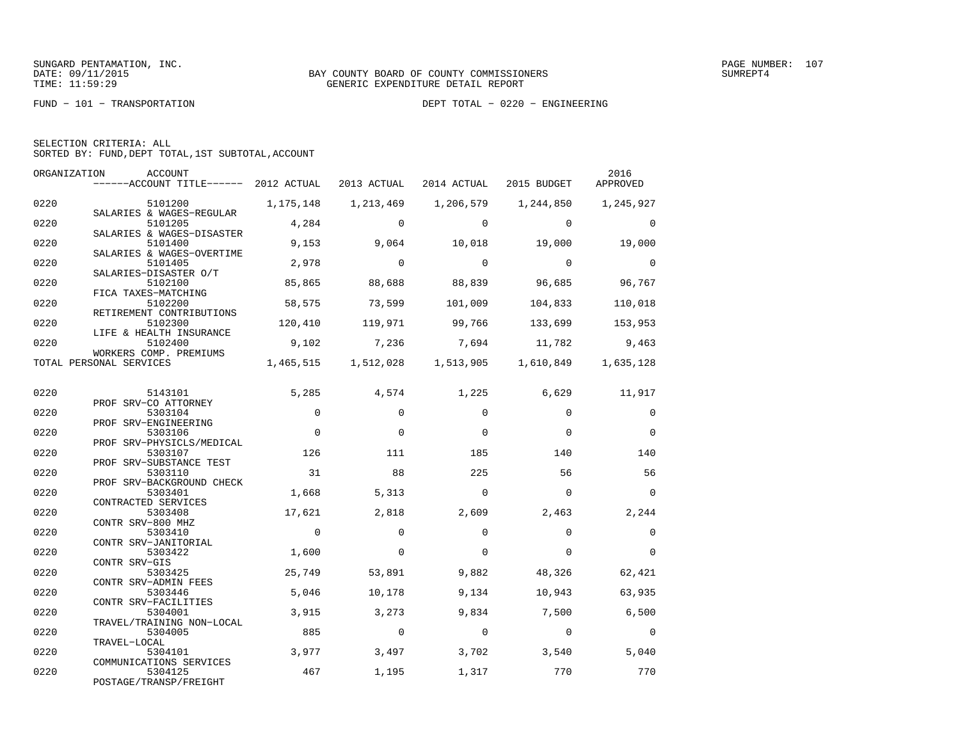FUND − 101 − TRANSPORTATION DEPT TOTAL − 0220 − ENGINEERING

| SELECTION CRITERIA: ALL |  |  |                                                    |  |
|-------------------------|--|--|----------------------------------------------------|--|
|                         |  |  | SORTED BY: FUND, DEPT TOTAL, 1ST SUBTOTAL, ACCOUNT |  |

| ORGANIZATION | ACCOUNT<br>------ACCOUNT TITLE------ 2012 ACTUAL 2013 ACTUAL |              |                | 2014 ACTUAL 2015 BUDGET       |                | 2016<br>APPROVED |
|--------------|--------------------------------------------------------------|--------------|----------------|-------------------------------|----------------|------------------|
| 0220         | 5101200 1,175,148                                            |              | 1,213,469      | 1,206,579                     | 1,244,850      | 1,245,927        |
| 0220         | SALARIES & WAGES-REGULAR<br>5101205                          | 4,284        | $\Omega$       | $\Omega$                      | $\Omega$       | $\Omega$         |
| 0220         | SALARIES & WAGES-DISASTER<br>5101400                         | 9,153        | 9,064          | 10,018                        | 19,000         | 19,000           |
| 0220         | SALARIES & WAGES-OVERTIME<br>5101405                         | 2,978        | $\overline{0}$ | $\Omega$                      | $\overline{0}$ | $\Omega$         |
| 0220         | SALARIES-DISASTER O/T<br>5102100<br>FICA TAXES-MATCHING      | 85,865       | 88,688         | 88,839                        | 96,685         | 96,767           |
| 0220         | 5102200<br>RETIREMENT CONTRIBUTIONS                          | 58,575       | 73,599         | 101,009                       | 104,833        | 110,018          |
| 0220         | 5102300<br>LIFE & HEALTH INSURANCE                           | 120,410      | 119,971        | 99,766                        | 133,699        | 153,953          |
| 0220         | 5102400<br>WORKERS COMP. PREMIUMS                            | 9,102        | 7,236          | 7,694                         | 11,782         | 9,463            |
|              | TOTAL PERSONAL SERVICES                                      |              |                | 1,465,515 1,512,028 1,513,905 | 1,610,849      | 1,635,128        |
| 0220         | 5143101                                                      | 5,285        | 4,574          | 1,225                         | 6,629          | 11,917           |
| 0220         | PROF SRV-CO ATTORNEY<br>5303104                              | $\mathbf{0}$ | $\mathbf 0$    | $\Omega$                      | $\mathbf 0$    | 0                |
| 0220         | PROF SRV-ENGINEERING<br>5303106                              | $\Omega$     | $\Omega$       | $\Omega$                      | $\Omega$       | $\Omega$         |
| 0220         | PROF SRV-PHYSICLS/MEDICAL<br>5303107                         | 126          | 111            | 185                           | 140            | 140              |
| 0220         | PROF SRV-SUBSTANCE TEST<br>5303110                           | 31           | 88             | 225                           | 56             | 56               |
| 0220         | PROF SRV-BACKGROUND CHECK<br>5303401                         | 1,668        | 5,313          | $\Omega$                      | $\Omega$       | $\Omega$         |
| 0220         | CONTRACTED SERVICES<br>5303408                               | 17,621       | 2,818          | 2,609                         | 2,463          | 2,244            |
| 0220         | CONTR SRV-800 MHZ<br>5303410                                 | $\Omega$     | $\Omega$       | $\Omega$                      | $\Omega$       | $\Omega$         |
| 0220         | CONTR SRV-JANITORIAL<br>5303422                              | 1,600        | $\mathbf 0$    | $\Omega$                      | $\Omega$       | $\Omega$         |
| 0220         | CONTR SRV-GIS<br>5303425                                     | 25,749       | 53,891         | 9,882                         | 48,326         | 62,421           |
| 0220         | CONTR SRV-ADMIN FEES<br>5303446<br>CONTR SRV-FACILITIES      | 5,046        | 10,178         | 9,134                         | 10,943         | 63,935           |
| 0220         | 5304001<br>TRAVEL/TRAINING NON-LOCAL                         | 3,915        | 3,273          | 9,834                         | 7,500          | 6,500            |
| 0220         | 5304005<br>TRAVEL-LOCAL                                      | 885          | $\overline{0}$ | $\mathbf 0$                   | $\mathbf{0}$   | $\overline{0}$   |
| 0220         | 5304101<br>COMMUNICATIONS SERVICES                           | 3,977        | 3,497          | 3,702                         | 3,540          | 5,040            |
| 0220         | 5304125<br>POSTAGE/TRANSP/FREIGHT                            | 467          | 1,195          | 1,317                         | 770            | 770              |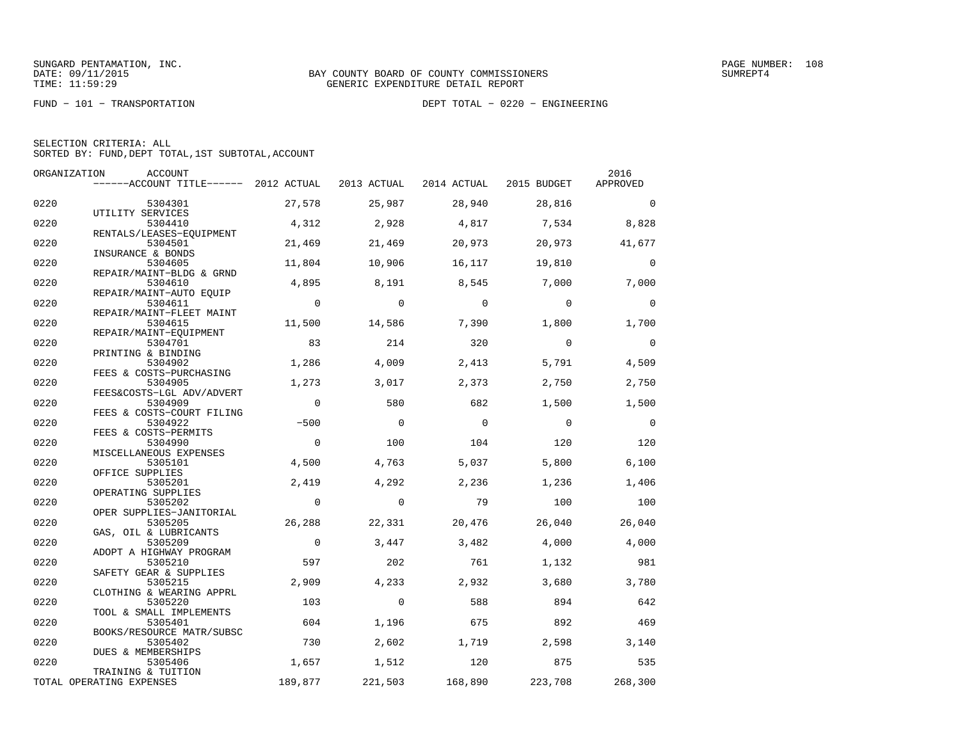FUND − 101 − TRANSPORTATION DEPT TOTAL − 0220 − ENGINEERING

| SELECTION CRITERIA: ALL |  |  |                                                    |  |
|-------------------------|--|--|----------------------------------------------------|--|
|                         |  |  | SORTED BY: FUND, DEPT TOTAL, 1ST SUBTOTAL, ACCOUNT |  |

| ORGANIZATION | ACCOUNT                                        |                |                |             |             | 2016           |
|--------------|------------------------------------------------|----------------|----------------|-------------|-------------|----------------|
|              | $----ACCOUNT$ TITLE $----$ 2012 ACTUAL         |                | 2013 ACTUAL    | 2014 ACTUAL | 2015 BUDGET | APPROVED       |
| 0220         | 5304301                                        | 27,578         | 25,987         | 28,940      | 28,816      | $\Omega$       |
| 0220         | UTILITY SERVICES<br>5304410                    | 4,312          | 2,928          | 4,817       | 7,534       | 8,828          |
| 0220         | RENTALS/LEASES-EOUIPMENT<br>5304501            | 21,469         | 21,469         | 20,973      | 20,973      | 41,677         |
| 0220         | INSURANCE & BONDS<br>5304605                   | 11,804         | 10,906         | 16,117      | 19,810      | $\Omega$       |
| 0220         | REPAIR/MAINT-BLDG & GRND<br>5304610            | 4,895          | 8,191          | 8,545       | 7,000       | 7,000          |
| 0220         | REPAIR/MAINT-AUTO EQUIP<br>5304611             | $\overline{0}$ | $\overline{0}$ | $\mathbf 0$ | $\mathbf 0$ | $\Omega$       |
| 0220         | REPAIR/MAINT-FLEET MAINT<br>5304615            | 11,500         | 14,586         | 7,390       | 1,800       | 1,700          |
| 0220         | REPAIR/MAINT-EOUIPMENT<br>5304701              | 83             | 214            | 320         | $\Omega$    | $\Omega$       |
| 0220         | PRINTING & BINDING<br>5304902                  | 1,286          | 4,009          | 2,413       | 5,791       | 4,509          |
| 0220         | FEES & COSTS-PURCHASING<br>5304905             | 1,273          | 3,017          | 2,373       | 2,750       | 2,750          |
| 0220         | FEES&COSTS-LGL ADV/ADVERT<br>5304909           | $\mathbf 0$    | 580            | 682         | 1,500       | 1,500          |
| 0220         | FEES & COSTS-COURT FILING<br>5304922           | $-500$         | $\Omega$       | $\mathbf 0$ | $\mathbf 0$ | $\overline{0}$ |
| 0220         | FEES & COSTS-PERMITS<br>5304990                | $\overline{0}$ | 100            | 104         | 120         | 120            |
| 0220         | MISCELLANEOUS EXPENSES<br>5305101              | 4,500          | 4,763          | 5,037       | 5,800       | 6,100          |
| 0220         | OFFICE SUPPLIES<br>5305201                     | 2,419          | 4,292          | 2,236       | 1,236       | 1,406          |
| 0220         | OPERATING SUPPLIES<br>5305202                  | $\overline{0}$ | $\Omega$       | 79          | 100         | 100            |
| 0220         | OPER SUPPLIES-JANITORIAL<br>5305205            | 26,288         | 22,331         | 20,476      | 26,040      | 26,040         |
| 0220         | GAS, OIL & LUBRICANTS<br>5305209               | $\overline{0}$ | 3,447          | 3,482       | 4,000       | 4,000          |
| 0220         | ADOPT A HIGHWAY PROGRAM<br>5305210             | 597            | 202            | 761         | 1,132       | 981            |
| 0220         | SAFETY GEAR & SUPPLIES<br>5305215              | 2,909          | 4,233          | 2,932       | 3,680       | 3,780          |
| 0220         | CLOTHING & WEARING APPRL<br>5305220            | 103            | $\Omega$       | 588         | 894         | 642            |
| 0220         | TOOL & SMALL IMPLEMENTS<br>5305401             | 604            | 1,196          | 675         | 892         | 469            |
| 0220         | BOOKS/RESOURCE MATR/SUBSC<br>5305402           | 730            | 2,602          | 1,719       | 2,598       | 3,140          |
| 0220         | DUES & MEMBERSHIPS<br>5305406                  | 1,657          | 1,512          | 120         | 875         | 535            |
|              | TRAINING & TUITION<br>TOTAL OPERATING EXPENSES | 189,877        | 221,503        | 168,890     | 223,708     | 268,300        |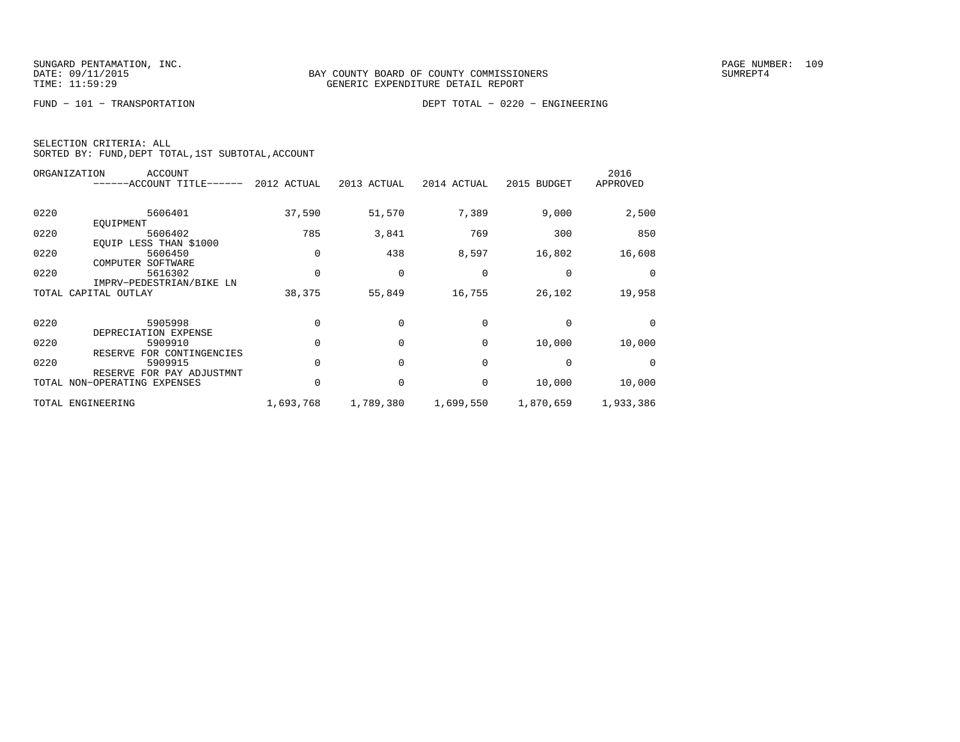FUND − 101 − TRANSPORTATION DEPT TOTAL − 0220 − ENGINEERING

|  | SELECTION CRITERIA: ALL |                                                    |
|--|-------------------------|----------------------------------------------------|
|  |                         | SORTED BY: FUND, DEPT TOTAL, 1ST SUBTOTAL, ACCOUNT |

|      | ORGANIZATION<br><b>ACCOUNT</b><br>------ACCOUNT TITLE------ | 2012 ACTUAL | 2013 ACTUAL | 2014 ACTUAL | 2015 BUDGET | 2016<br>APPROVED |
|------|-------------------------------------------------------------|-------------|-------------|-------------|-------------|------------------|
| 0220 | 5606401                                                     | 37,590      | 51,570      | 7,389       | 9,000       | 2,500            |
|      | EOUIPMENT                                                   |             |             |             |             |                  |
| 0220 | 5606402                                                     | 785         | 3,841       | 769         | 300         | 850              |
| 0220 | EOUIP LESS THAN \$1000<br>5606450<br>COMPUTER<br>SOFTWARE   |             | 438         | 8,597       | 16,802      | 16,608           |
| 0220 | 5616302                                                     |             | $\Omega$    | $\Omega$    | $\Omega$    |                  |
|      | IMPRV-PEDESTRIAN/BIKE LN                                    |             |             |             |             |                  |
|      | TOTAL CAPITAL OUTLAY                                        | 38,375      | 55,849      | 16,755      | 26,102      | 19,958           |
| 0220 | 5905998                                                     |             | $\Omega$    | $\Omega$    | $\Omega$    |                  |
|      | DEPRECIATION EXPENSE                                        |             |             |             |             |                  |
| 0220 | 5909910                                                     |             |             | $\Omega$    | 10,000      | 10,000           |
|      | RESERVE FOR CONTINGENCIES                                   |             |             |             |             |                  |
| 0220 | 5909915                                                     |             |             | $\Omega$    | $\Omega$    |                  |
|      | RESERVE FOR PAY ADJUSTMNT                                   |             |             |             |             |                  |
|      | TOTAL NON-OPERATING EXPENSES                                |             |             | $\Omega$    | 10,000      | 10,000           |
|      | TOTAL ENGINEERING                                           | 1,693,768   | 1,789,380   | 1,699,550   | 1,870,659   | 1,933,386        |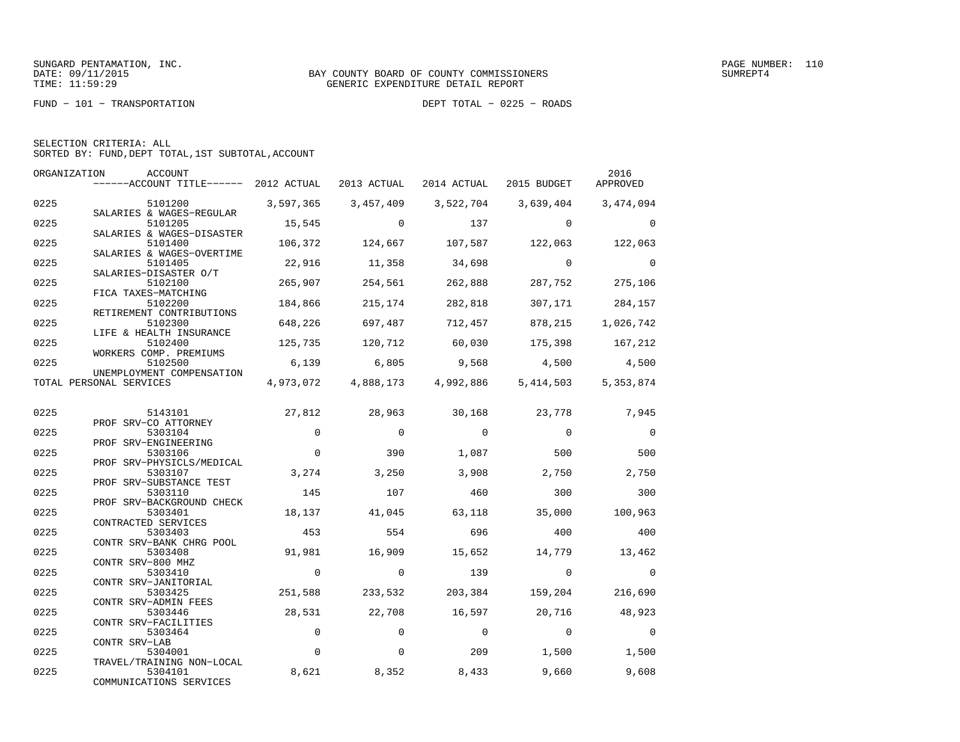FUND − 101 − TRANSPORTATION DEPT TOTAL − 0225 − ROADS

| SELECTION CRITERIA: ALL |  |  |                                                    |  |
|-------------------------|--|--|----------------------------------------------------|--|
|                         |  |  | SORTED BY: FUND, DEPT TOTAL, 1ST SUBTOTAL, ACCOUNT |  |

| ORGANIZATION | ACCOUNT<br>------ACCOUNT TITLE------ 2012 ACTUAL 2013 ACTUAL |             |                     | 2014 ACTUAL    | 2015 BUDGET    | 2016<br>APPROVED |
|--------------|--------------------------------------------------------------|-------------|---------------------|----------------|----------------|------------------|
| 0225         | 5101200                                                      | 3,597,365   | 3,457,409           | 3,522,704      | 3,639,404      | 3,474,094        |
| 0225         | SALARIES & WAGES-REGULAR<br>5101205                          | 15,545      | $\Omega$            | 137            | $\Omega$       | $\Omega$         |
| 0225         | SALARIES & WAGES-DISASTER<br>5101400                         | 106,372     | 124,667             | 107,587        | 122,063        | 122,063          |
|              | SALARIES & WAGES-OVERTIME                                    |             |                     |                |                |                  |
| 0225         | 5101405<br>SALARIES-DISASTER O/T                             | 22,916      | 11,358              | 34,698         | $\Omega$       | $\Omega$         |
| 0225         | 5102100<br>FICA TAXES-MATCHING                               | 265,907     | 254,561             | 262,888        | 287,752        | 275,106          |
| 0225         | 5102200                                                      | 184,866     | 215,174             | 282,818        | 307,171        | 284,157          |
| 0225         | RETIREMENT CONTRIBUTIONS<br>5102300                          | 648,226     | 697,487             | 712,457        | 878,215        | 1,026,742        |
| 0225         | LIFE & HEALTH INSURANCE<br>5102400                           | 125,735     | 120,712             | 60,030         | 175,398        | 167,212          |
| 0225         | WORKERS COMP. PREMIUMS<br>5102500                            | 6,139       | 6,805               | 9,568          | 4,500          | 4,500            |
|              | UNEMPLOYMENT COMPENSATION                                    |             |                     |                |                |                  |
|              | TOTAL PERSONAL SERVICES                                      |             | 4,973,072 4,888,173 | 4,992,886      | 5,414,503      | 5,353,874        |
| 0225         | 5143101                                                      | 27,812      | 28,963              | 30,168         | 23,778         | 7,945            |
| 0225         | PROF SRV-CO ATTORNEY<br>5303104                              | $\Omega$    | $\Omega$            | $\Omega$       | $\Omega$       | $\overline{0}$   |
|              | PROF SRV-ENGINEERING                                         |             |                     |                |                |                  |
| 0225         | 5303106<br>PROF SRV-PHYSICLS/MEDICAL                         | $\Omega$    | 390                 | 1,087          | 500            | 500              |
| 0225         | 5303107<br>PROF SRV-SUBSTANCE TEST                           | 3,274       | 3,250               | 3,908          | 2,750          | 2,750            |
| 0225         | 5303110                                                      | 145         | 107                 | 460            | 300            | 300              |
| 0225         | PROF SRV-BACKGROUND CHECK<br>5303401                         | 18,137      | 41,045              | 63,118         | 35,000         | 100,963          |
| 0225         | CONTRACTED SERVICES<br>5303403                               | 453         | 554                 | 696            | 400            | 400              |
| 0225         | CONTR SRV-BANK CHRG POOL<br>5303408                          | 91,981      | 16,909              | 15,652         | 14,779         | 13,462           |
|              | CONTR SRV-800 MHZ                                            | $\mathbf 0$ |                     |                | $\Omega$       | $\Omega$         |
| 0225         | 5303410<br>CONTR SRV-JANITORIAL                              |             | $\mathbf 0$         | 139            |                |                  |
| 0225         | 5303425<br>CONTR SRV-ADMIN FEES                              | 251,588     | 233,532             | 203,384        | 159,204        | 216,690          |
| 0225         | 5303446<br>CONTR SRV-FACILITIES                              | 28,531      | 22,708              | 16,597         | 20,716         | 48,923           |
| 0225         | 5303464                                                      | $\mathbf 0$ | $\mathbf 0$         | $\overline{0}$ | $\overline{0}$ | $\mathbf 0$      |
| 0225         | CONTR SRV-LAB<br>5304001                                     | $\Omega$    | $\Omega$            | 209            | 1,500          | 1,500            |
| 0225         | TRAVEL/TRAINING NON-LOCAL<br>5304101                         | 8,621       | 8,352               | 8,433          | 9,660          | 9,608            |
|              | COMMUNICATIONS SERVICES                                      |             |                     |                |                |                  |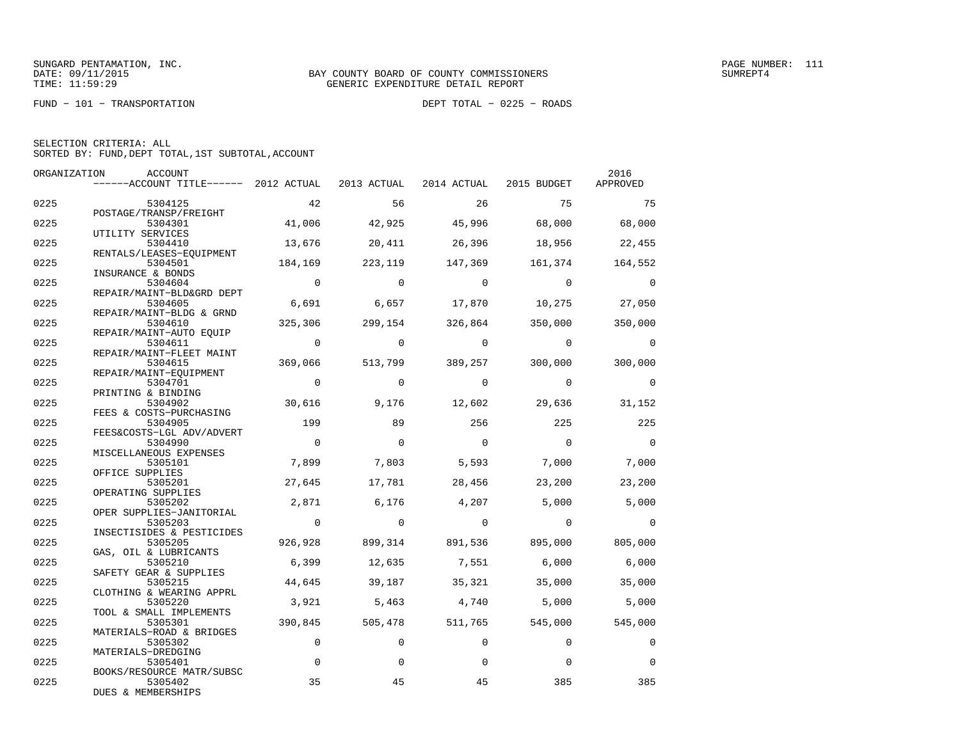FUND − 101 − TRANSPORTATION DEPT TOTAL − 0225 − ROADS

| SELECTION CRITERIA: ALL |  |  |                                                    |  |
|-------------------------|--|--|----------------------------------------------------|--|
|                         |  |  | SORTED BY: FUND, DEPT TOTAL, 1ST SUBTOTAL, ACCOUNT |  |

| ORGANIZATION | ACCOUNT                                                                   |                |                |                                 |                | 2016           |
|--------------|---------------------------------------------------------------------------|----------------|----------------|---------------------------------|----------------|----------------|
|              | ------ACCOUNT TITLE------ 2012 ACTUAL 2013 ACTUAL 2014 ACTUAL 2015 BUDGET |                |                |                                 |                | APPROVED       |
| 0225         | 5304125                                                                   | 42             | 56             | 26                              | 75             | 75             |
|              | POSTAGE/TRANSP/FREIGHT                                                    |                |                |                                 |                |                |
| 0225         | 5304301                                                                   | 41,006         | 42,925         | 45,996                          | 68,000         | 68,000         |
|              | UTILITY SERVICES                                                          |                |                |                                 |                |                |
| 0225         | 5304410<br>RENTALS/LEASES-EOUIPMENT                                       | 13,676         | 20,411         | 26,396                          | 18,956         | 22,455         |
| 0225         | 5304501                                                                   | 184,169        | 223,119        | 147,369                         | 161,374        | 164,552        |
|              | INSURANCE & BONDS                                                         |                |                |                                 |                |                |
| 0225         | 5304604                                                                   | $\overline{0}$ | $\Omega$       | $\Omega$                        | $\overline{0}$ | $\Omega$       |
|              | REPAIR/MAINT-BLD&GRD DEPT                                                 | 6,691          |                |                                 |                |                |
| 0225         | 5304605<br>REPAIR/MAINT-BLDG & GRND                                       |                | 6,657          | 17,870                          | 10,275         | 27,050         |
| 0225         | 5304610                                                                   | 325,306        | 299,154        | 326,864                         | 350,000        | 350,000        |
|              | REPAIR/MAINT-AUTO EOUIP                                                   |                |                |                                 |                |                |
| 0225         | 5304611                                                                   | $\overline{0}$ | $\circ$        | $\overline{0}$                  | $\overline{0}$ | $\overline{0}$ |
|              | REPAIR/MAINT-FLEET MAINT                                                  |                |                |                                 |                |                |
| 0225         | 5304615                                                                   | 369,066        |                | 513,799 389,257                 | 300,000        | 300,000        |
|              | REPAIR/MAINT-EQUIPMENT                                                    |                |                |                                 |                |                |
| 0225         | 5304701                                                                   | $\overline{0}$ | $\Omega$       | $\Omega$                        | $\overline{0}$ | $\Omega$       |
|              | PRINTING & BINDING                                                        |                |                |                                 |                |                |
| 0225         | 5304902                                                                   | 30,616         | 9,176          | 12,602                          | 29,636         | 31,152         |
|              | FEES & COSTS-PURCHASING                                                   |                |                |                                 |                |                |
| 0225         | 5304905                                                                   | 199            | 89             | 256                             | 225            | 225            |
|              | FEES&COSTS-LGL ADV/ADVERT                                                 |                |                |                                 |                |                |
| 0225         | 5304990                                                                   | $\overline{0}$ | $\Omega$       | $\overline{0}$                  | $\overline{0}$ | $\Omega$       |
|              | MISCELLANEOUS EXPENSES                                                    |                |                |                                 |                |                |
| 0225         | 5305101                                                                   | 7,899          | 7,803          | 5,593                           | 7,000          | 7,000          |
|              | OFFICE SUPPLIES                                                           |                |                |                                 |                |                |
| 0225         | 5305201<br>OPERATING SUPPLIES                                             | 27,645         | 17,781         | 28,456                          | 23,200         | 23,200         |
| 0225         | 5305202                                                                   | 2,871          | 6,176          | 4,207                           | 5,000          | 5,000          |
|              | OPER SUPPLIES-JANITORIAL                                                  |                |                |                                 |                |                |
| 0225         | 5305203                                                                   | $\overline{0}$ | $\overline{0}$ | $\overline{0}$                  | $\overline{0}$ | $\Omega$       |
|              | INSECTISIDES & PESTICIDES                                                 |                |                |                                 |                |                |
| 0225         | 5305205                                                                   | 926,928        |                | 899,314 891,536 895,000 805,000 |                |                |
|              | GAS, OIL & LUBRICANTS                                                     |                |                |                                 |                |                |
| 0225         | 5305210                                                                   | 6,399          | 12,635         | 7,551                           | 6,000          | 6,000          |
|              | SAFETY GEAR & SUPPLIES                                                    |                |                |                                 |                |                |
| 0225         | 5305215                                                                   | 44,645         | 39,187         | 35,321                          | 35,000         | 35,000         |
|              | CLOTHING & WEARING APPRL                                                  |                |                |                                 |                |                |
| 0225         | 5305220                                                                   | 3,921          | 5,463          | 4,740                           | 5,000          | 5,000          |
|              | TOOL & SMALL IMPLEMENTS                                                   |                |                |                                 |                |                |
| 0225         | 5305301                                                                   | 390,845        | 505,478        | 511,765                         | 545,000        | 545,000        |
| 0225         | MATERIALS-ROAD & BRIDGES<br>5305302                                       | $\mathbf 0$    | $\Omega$       | $\Omega$                        | $\Omega$       | 0              |
|              | MATERIALS-DREDGING                                                        |                |                |                                 |                |                |
| 0225         | 5305401                                                                   | $\mathbf 0$    | $\Omega$       | 0                               | $\Omega$       | $\Omega$       |
|              | BOOKS/RESOURCE MATR/SUBSC                                                 |                |                |                                 |                |                |
| 0225         | 5305402                                                                   | 35             | 45             | 45                              | 385            | 385            |
|              | DUES & MEMBERSHIPS                                                        |                |                |                                 |                |                |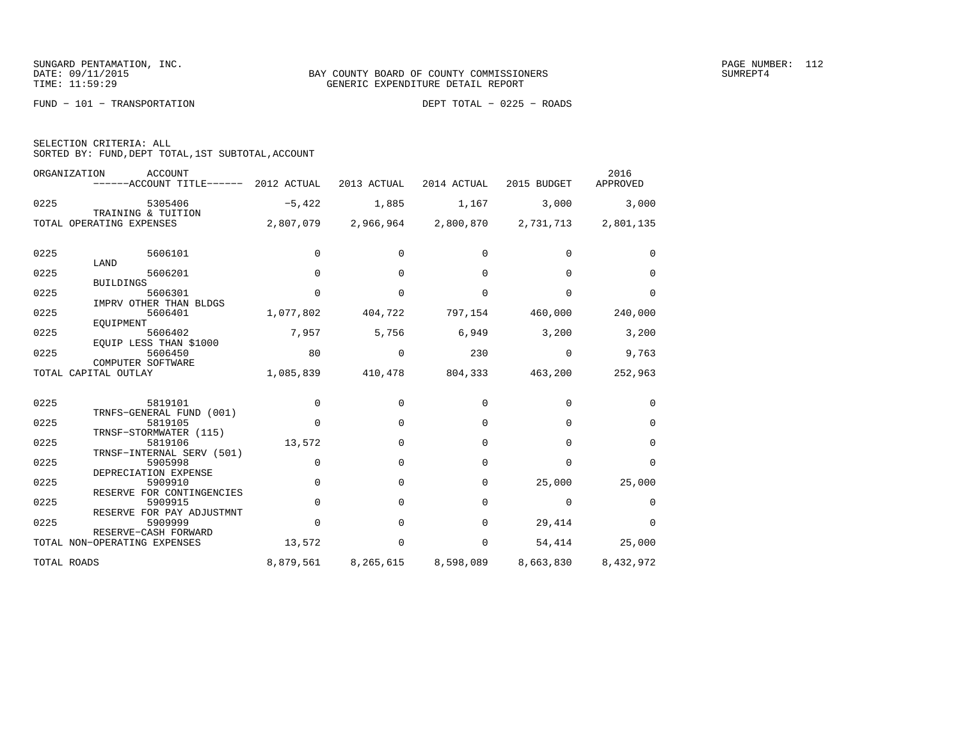FUND − 101 − TRANSPORTATION DEPT TOTAL − 0225 − ROADS

|  | SELECTION CRITERIA: ALL |  |                                                    |  |
|--|-------------------------|--|----------------------------------------------------|--|
|  |                         |  | SORTED BY: FUND, DEPT TOTAL, 1ST SUBTOTAL, ACCOUNT |  |

|      | ORGANIZATION<br><b>ACCOUNT</b><br>------ACCOUNT TITLE------    | 2012 ACTUAL | 2013 ACTUAL | 2014 ACTUAL | 2015 BUDGET | 2016<br>APPROVED |
|------|----------------------------------------------------------------|-------------|-------------|-------------|-------------|------------------|
| 0225 | 5305406                                                        | $-5,422$    | 1,885       | 1,167       | 3,000       | 3,000            |
|      | TRAINING & TUITION<br>TOTAL OPERATING EXPENSES                 | 2,807,079   | 2,966,964   | 2,800,870   | 2,731,713   | 2,801,135        |
| 0225 | 5606101                                                        | $\Omega$    | $\Omega$    | $\Omega$    | $\Omega$    | $\Omega$         |
| 0225 | LAND<br>5606201                                                | $\mathbf 0$ | $\Omega$    | $\Omega$    | $\Omega$    | $\Omega$         |
|      | <b>BUILDINGS</b>                                               |             |             |             |             |                  |
| 0225 | 5606301<br>IMPRV OTHER THAN BLDGS                              | $\Omega$    | $\Omega$    | $\Omega$    | $\Omega$    | $\Omega$         |
| 0225 | 5606401<br>EOUIPMENT                                           | 1,077,802   | 404,722     | 797,154     | 460,000     | 240,000          |
| 0225 | 5606402                                                        | 7,957       | 5,756       | 6,949       | 3,200       | 3,200            |
| 0225 | EOUIP LESS THAN \$1000<br>5606450<br>COMPUTER SOFTWARE         | 80          | 0           | 230         | 0           | 9,763            |
|      | TOTAL CAPITAL OUTLAY                                           | 1,085,839   | 410,478     | 804,333     | 463,200     | 252,963          |
| 0225 | 5819101                                                        | 0           | $\Omega$    | $\Omega$    | $\Omega$    | $\Omega$         |
| 0225 | TRNFS-GENERAL FUND (001)<br>5819105                            | $\Omega$    | $\Omega$    | $\Omega$    | $\Omega$    | $\Omega$         |
| 0225 | TRNSF-STORMWATER (115)<br>5819106<br>TRNSF-INTERNAL SERV (501) | 13,572      | $\Omega$    | $\Omega$    | $\Omega$    | $\Omega$         |
| 0225 | 5905998                                                        | $\mathbf 0$ | $\Omega$    | $\Omega$    | $\Omega$    | $\Omega$         |
| 0225 | DEPRECIATION EXPENSE<br>5909910                                | $\mathbf 0$ | $\Omega$    | 0           | 25,000      | 25,000           |
| 0225 | RESERVE FOR CONTINGENCIES<br>5909915                           | 0           | $\Omega$    | $\Omega$    | $\Omega$    | $\Omega$         |
| 0225 | RESERVE FOR PAY ADJUSTMNT<br>5909999                           | $\Omega$    | $\Omega$    | $\Omega$    | 29,414      | $\Omega$         |
|      | RESERVE-CASH FORWARD<br>TOTAL NON-OPERATING EXPENSES           | 13,572      | 0           | 0           | 54,414      | 25,000           |
|      | TOTAL ROADS                                                    | 8,879,561   | 8,265,615   | 8,598,089   | 8,663,830   | 8,432,972        |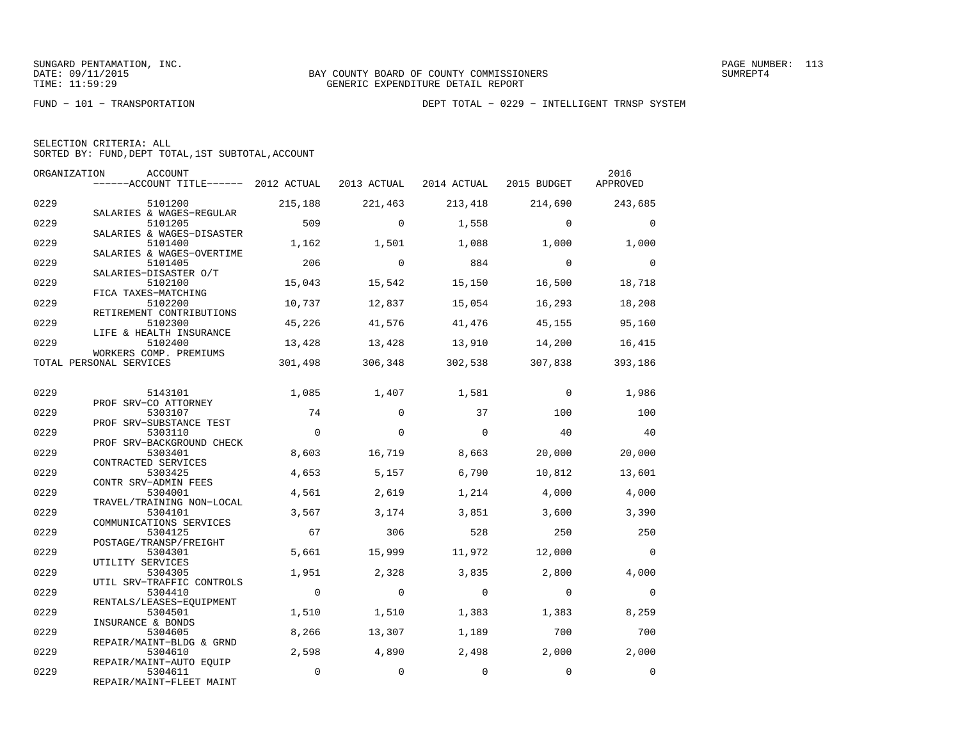FUND − 101 − TRANSPORTATION DEPT TOTAL − 0229 − INTELLIGENT TRNSP SYSTEM

|  | SELECTION CRITERIA: ALL                            |  |  |
|--|----------------------------------------------------|--|--|
|  | SORTED BY: FUND, DEPT TOTAL, 1ST SUBTOTAL, ACCOUNT |  |  |

|      | ORGANIZATION<br>ACCOUNT<br>------ACCOUNT TITLE------ 2012 ACTUAL |             | 2013 ACTUAL | 2014 ACTUAL 2015 BUDGET |                | 2016<br>APPROVED |
|------|------------------------------------------------------------------|-------------|-------------|-------------------------|----------------|------------------|
| 0229 | 5101200                                                          | 215,188     | 221,463     | 213,418                 | 214,690        | 243,685          |
| 0229 | SALARIES & WAGES-REGULAR<br>5101205                              | 509         | $\Omega$    | 1,558                   | $\Omega$       | $\mathbf 0$      |
| 0229 | SALARIES & WAGES-DISASTER<br>5101400                             | 1,162       | 1,501       | 1,088                   | 1,000          | 1,000            |
| 0229 | SALARIES & WAGES-OVERTIME<br>5101405                             | 206         | $\Omega$    | 884                     | $\overline{0}$ | $\Omega$         |
| 0229 | SALARIES-DISASTER O/T<br>5102100<br>FICA TAXES-MATCHING          | 15,043      | 15,542      | 15,150                  | 16,500         | 18,718           |
| 0229 | 5102200<br>RETIREMENT CONTRIBUTIONS                              | 10,737      | 12,837      | 15,054                  | 16,293         | 18,208           |
| 0229 | 5102300<br>LIFE & HEALTH INSURANCE                               | 45,226      | 41,576      | 41,476                  | 45,155         | 95,160           |
| 0229 | 5102400<br>WORKERS COMP. PREMIUMS                                | 13,428      | 13,428      | 13,910                  | 14,200         | 16,415           |
|      | TOTAL PERSONAL SERVICES                                          | 301,498     | 306,348     | 302,538                 | 307,838        | 393,186          |
| 0229 | 5143101                                                          | 1,085       | 1,407       | 1,581                   | $\Omega$       | 1,986            |
| 0229 | PROF SRV-CO ATTORNEY<br>5303107                                  | 74          | $\Omega$    | 37                      | 100            | 100              |
| 0229 | PROF SRV-SUBSTANCE TEST<br>5303110                               | $\Omega$    | $\Omega$    | $\Omega$                | 40             | 40               |
| 0229 | PROF SRV-BACKGROUND CHECK<br>5303401                             | 8,603       | 16,719      | 8,663                   | 20,000         | 20,000           |
| 0229 | CONTRACTED SERVICES<br>5303425                                   | 4,653       | 5,157       | 6,790                   | 10,812         | 13,601           |
| 0229 | CONTR SRV-ADMIN FEES<br>5304001                                  | 4,561       | 2,619       | 1,214                   | 4,000          | 4,000            |
| 0229 | TRAVEL/TRAINING NON-LOCAL<br>5304101                             | 3,567       | 3,174       | 3,851                   | 3,600          | 3,390            |
| 0229 | COMMUNICATIONS SERVICES<br>5304125                               | 67          | 306         | 528                     | 250            | 250              |
| 0229 | POSTAGE/TRANSP/FREIGHT<br>5304301                                | 5,661       | 15,999      | 11,972                  | 12,000         | $\Omega$         |
| 0229 | UTILITY SERVICES<br>5304305                                      | 1,951       | 2,328       | 3,835                   | 2,800          | 4,000            |
| 0229 | UTIL SRV-TRAFFIC CONTROLS<br>5304410                             | $\mathbf 0$ | $\mathbf 0$ | $\mathbf 0$             | $\Omega$       | $\mathbf 0$      |
| 0229 | RENTALS/LEASES-EQUIPMENT<br>5304501                              | 1,510       | 1,510       | 1,383                   | 1,383          | 8,259            |
| 0229 | INSURANCE & BONDS<br>5304605                                     | 8,266       | 13,307      | 1,189                   | 700            | 700              |
| 0229 | REPAIR/MAINT-BLDG & GRND<br>5304610                              | 2,598       | 4,890       | 2,498                   | 2,000          | 2,000            |
| 0229 | REPAIR/MAINT-AUTO EOUIP<br>5304611<br>REPAIR/MAINT-FLEET MAINT   | $\mathbf 0$ | $\mathbf 0$ | $\mathbf 0$             | $\mathbf 0$    | $\mathbf 0$      |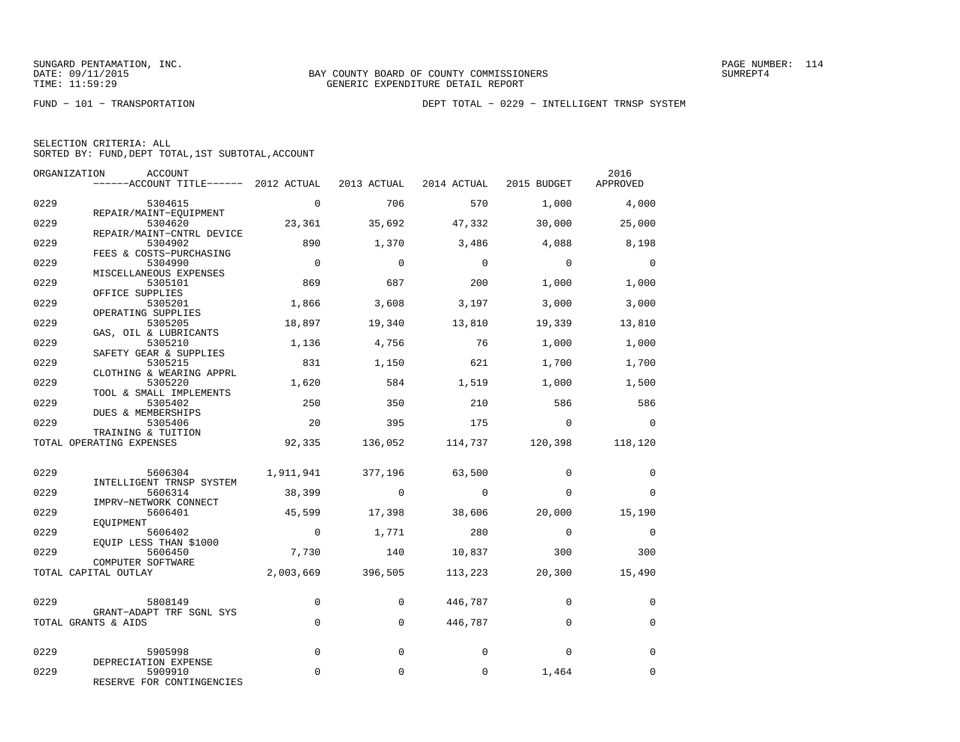FUND − 101 − TRANSPORTATION DEPT TOTAL − 0229 − INTELLIGENT TRNSP SYSTEM

| SELECTION CRITERIA: ALL |  |  |                                                    |  |
|-------------------------|--|--|----------------------------------------------------|--|
|                         |  |  | SORTED BY: FUND, DEPT TOTAL, 1ST SUBTOTAL, ACCOUNT |  |

| ORGANIZATION | ACCOUNT                                                                   |                |             |                |                 | 2016           |
|--------------|---------------------------------------------------------------------------|----------------|-------------|----------------|-----------------|----------------|
|              | ------ACCOUNT TITLE------ 2012 ACTUAL 2013 ACTUAL 2014 ACTUAL 2015 BUDGET |                |             |                |                 | APPROVED       |
| 0229         | 5304615                                                                   | $\overline{0}$ | 706         | 570            | 1,000           | 4,000          |
| 0229         | REPAIR/MAINT-EQUIPMENT<br>5304620                                         | 23,361         | 35,692      | 47,332         | 30,000          | 25,000         |
| 0229         | REPAIR/MAINT-CNTRL DEVICE<br>5304902                                      | 890            | 1,370       | 3,486          | 4,088           | 8,198          |
| 0229         | FEES & COSTS-PURCHASING<br>5304990                                        | $\overline{0}$ | $\Omega$    | $\overline{0}$ | $\Omega$        | $\overline{0}$ |
| 0229         | MISCELLANEOUS EXPENSES<br>5305101<br>OFFICE SUPPLIES                      | 869            | 687         | 200            | 1,000           | 1,000          |
| 0229         | 5305201<br>OPERATING SUPPLIES                                             | 1,866          | 3,608       | 3,197          | 3,000           | 3,000          |
| 0229         | 5305205<br>GAS, OIL & LUBRICANTS                                          | 18,897         | 19,340      | 13,810         | 19,339          | 13,810         |
| 0229         | 5305210<br>SAFETY GEAR & SUPPLIES                                         | 1,136          | 4,756       | 76             | 1,000           | 1,000          |
| 0229         | 5305215<br>CLOTHING & WEARING APPRL                                       | 831            | 1,150       | 621            | 1,700           | 1,700          |
| 0229         | 5305220<br>TOOL & SMALL IMPLEMENTS                                        | 1,620          | 584         | 1,519          | 1,000           | 1,500          |
| 0229         | 5305402<br>DUES & MEMBERSHIPS                                             | 250            | 350         | 210            | 586             | 586            |
| 0229         | 5305406<br>TRAINING & TUITION                                             | 20             | 395         | 175            | $\Omega$        | $\Omega$       |
|              | TOTAL OPERATING EXPENSES                                                  | 92,335         | 136,052     |                | 114,737 120,398 | 118,120        |
| 0229         | 5606304                                                                   | 1,911,941      | 377,196     | 63,500         | $\Omega$        | $\mathbf 0$    |
| 0229         | INTELLIGENT TRNSP SYSTEM<br>5606314<br>IMPRV-NETWORK CONNECT              | 38,399         | $\sim$ 0    | $\bigcirc$     | $\Omega$        | $\Omega$       |
| 0229         | 5606401<br>EOUIPMENT                                                      | 45,599         | 17,398      | 38,606         | 20,000          | 15,190         |
| 0229         | 5606402<br>EQUIP LESS THAN \$1000                                         | $\overline{0}$ | 1,771       | 280            | $\Omega$        | $\mathbf 0$    |
| 0229         | 5606450<br>COMPUTER SOFTWARE                                              | 7,730          | 140         | 10,837         | 300             | 300            |
|              | TOTAL CAPITAL OUTLAY                                                      | 2,003,669      | 396,505     | 113,223        | 20,300          | 15,490         |
| 0229         | 5808149                                                                   | $\mathbf 0$    | $\Omega$    | 446,787        | $\Omega$        | $\Omega$       |
|              | GRANT-ADAPT TRF SGNL SYS<br>TOTAL GRANTS & AIDS                           | $\mathbf 0$    | $\mathbf 0$ | 446,787        | $\mathbf 0$     | $\mathbf 0$    |
| 0229         | 5905998                                                                   | $\Omega$       | $\Omega$    | $\Omega$       | $\Omega$        | $\Omega$       |
|              | DEPRECIATION EXPENSE                                                      |                |             |                |                 |                |
| 0229         | 5909910<br>RESERVE FOR CONTINGENCIES                                      | $\Omega$       | $\mathbf 0$ | 0              | 1,464           | $\mathbf 0$    |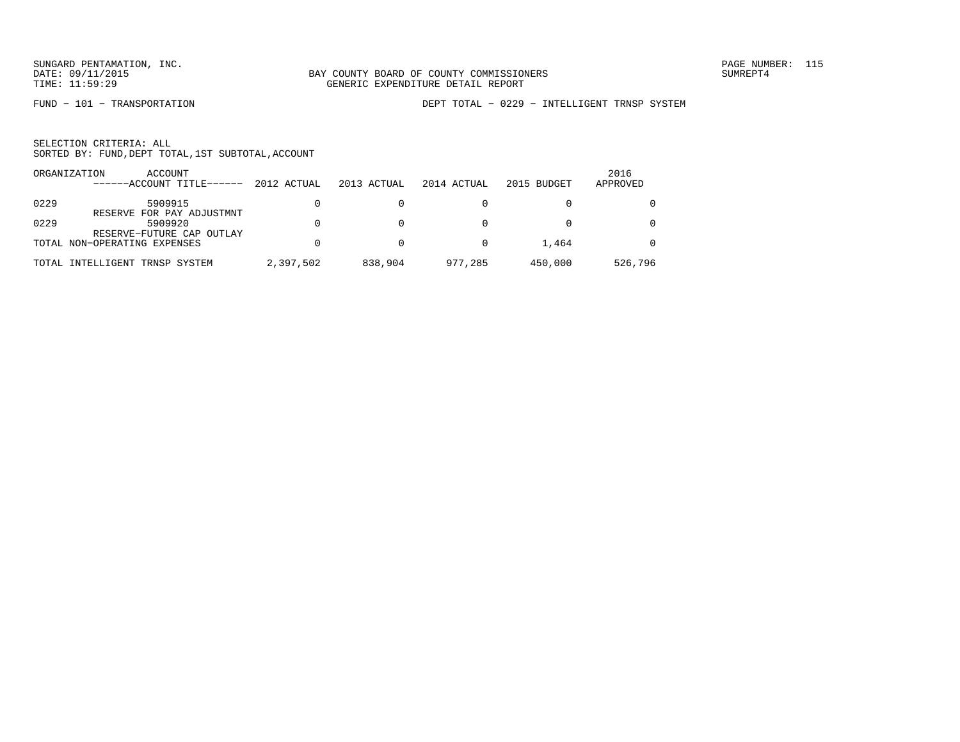FUND − 101 − TRANSPORTATION DEPT TOTAL − 0229 − INTELLIGENT TRNSP SYSTEM

|      | ORGANIZATION<br>ACCOUNT<br>------ACCOUNT TITLE------ | 2012 ACTUAL | 2013 ACTUAL | 2014 ACTUAL | 2015 BUDGET | 2016<br>APPROVED |
|------|------------------------------------------------------|-------------|-------------|-------------|-------------|------------------|
| 0229 | 5909915<br>RESERVE FOR PAY ADJUSTMNT                 |             |             |             |             | $\Omega$         |
| 0229 | 5909920<br>RESERVE-FUTURE CAP OUTLAY                 |             |             |             |             | $\Omega$         |
|      | TOTAL NON-OPERATING EXPENSES                         |             |             |             | 1,464       | $\Omega$         |
|      | TOTAL INTELLIGENT TRNSP SYSTEM                       | 2,397,502   | 838,904     | 977,285     | 450,000     | 526,796          |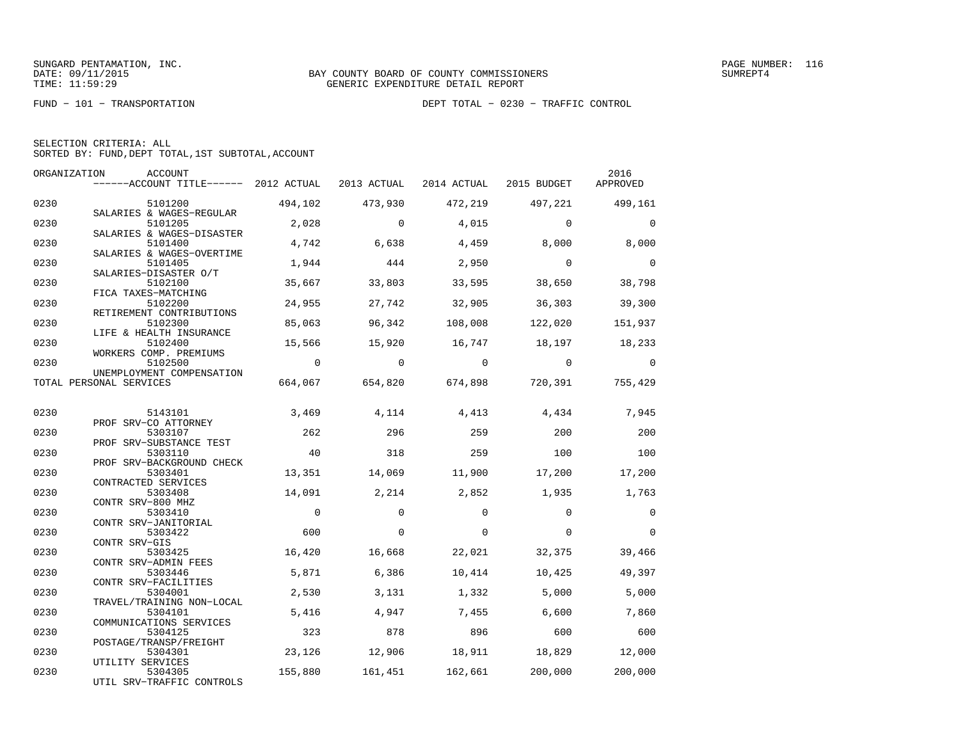FUND − 101 − TRANSPORTATION DEPT TOTAL − 0230 − TRAFFIC CONTROL

|  | SELECTION CRITERIA: ALL                            |  |  |
|--|----------------------------------------------------|--|--|
|  | SORTED BY: FUND, DEPT TOTAL, 1ST SUBTOTAL, ACCOUNT |  |  |

|      | ORGANIZATION<br>ACCOUNT<br>------ACCOUNT TITLE------ 2012 ACTUAL |                | 2013 ACTUAL    | 2014 ACTUAL 2015 BUDGET |                         | 2016<br>APPROVED |
|------|------------------------------------------------------------------|----------------|----------------|-------------------------|-------------------------|------------------|
|      |                                                                  |                |                |                         |                         |                  |
| 0230 | 5101200<br>SALARIES & WAGES-REGULAR                              | 494,102        | 473,930        | 472,219                 | 497,221                 | 499,161          |
| 0230 | 5101205<br>SALARIES & WAGES-DISASTER                             | 2,028          | $\overline{0}$ | 4,015                   | $\Omega$                | $\Omega$         |
| 0230 | 5101400                                                          | 4,742          | 6,638          | 4,459                   | 8,000                   | 8,000            |
| 0230 | SALARIES & WAGES-OVERTIME<br>5101405                             | 1,944          | 444            | 2,950                   | $\overline{0}$          | $\Omega$         |
| 0230 | SALARIES-DISASTER O/T<br>5102100                                 | 35,667         | 33,803         | 33,595                  | 38,650                  | 38,798           |
|      | FICA TAXES-MATCHING                                              |                |                |                         |                         |                  |
| 0230 | 5102200                                                          | 24,955         | 27,742         | 32,905                  | 36,303                  | 39,300           |
| 0230 | RETIREMENT CONTRIBUTIONS<br>5102300                              | 85,063         | 96,342         | 108,008                 | 122,020                 | 151,937          |
|      | LIFE & HEALTH INSURANCE                                          |                |                |                         |                         |                  |
| 0230 | 5102400<br>WORKERS COMP. PREMIUMS                                | 15,566         | 15,920         | 16,747                  | 18,197 18,233           |                  |
| 0230 | 5102500<br>UNEMPLOYMENT COMPENSATION                             | $\overline{0}$ | $\overline{0}$ | $\overline{0}$          | $\overline{0}$          | $\mathbf 0$      |
|      | TOTAL PERSONAL SERVICES                                          | 664,067        |                |                         | 654,820 674,898 720,391 | 755,429          |
|      |                                                                  |                |                |                         |                         |                  |
| 0230 | 5143101                                                          | 3,469          | 4,114          | 4,413                   | 4,434                   | 7,945            |
|      | PROF SRV-CO ATTORNEY                                             |                |                |                         |                         |                  |
| 0230 | 5303107                                                          | 262            | 296            | 259                     | 200                     | 200              |
|      | PROF SRV-SUBSTANCE TEST                                          |                |                |                         |                         |                  |
| 0230 | 5303110                                                          | 40             | 318            | 259                     | 100                     | 100              |
| 0230 | PROF SRV-BACKGROUND CHECK<br>5303401                             | 13,351         | 14,069         | 11,900                  | 17,200                  | 17,200           |
|      | CONTRACTED SERVICES                                              |                |                |                         |                         |                  |
| 0230 | 5303408                                                          | 14,091         | 2,214          | 2,852                   | 1,935                   | 1,763            |
|      | CONTR SRV-800 MHZ                                                |                |                |                         |                         |                  |
| 0230 | 5303410                                                          | $\mathbf 0$    | $\Omega$       | $\Omega$                | $\Omega$                | $\mathbf 0$      |
| 0230 | CONTR SRV-JANITORIAL                                             | 600            | $\Omega$       | $\Omega$                | $\Omega$                | $\Omega$         |
|      | 5303422<br>CONTR SRV-GIS                                         |                |                |                         |                         |                  |
| 0230 | 5303425                                                          | 16,420         | 16,668         | 22,021                  | 32,375                  | 39,466           |
|      | CONTR SRV-ADMIN FEES                                             |                |                |                         |                         |                  |
| 0230 | 5303446                                                          | 5,871          | 6,386          | 10,414                  | 10,425                  | 49,397           |
|      | CONTR SRV-FACILITIES                                             |                |                |                         |                         |                  |
| 0230 | 5304001<br>TRAVEL/TRAINING NON-LOCAL                             | 2,530          | 3,131          | 1,332                   | 5,000                   | 5,000            |
| 0230 | 5304101                                                          | 5,416          | 4,947          | 7,455                   | 6,600                   | 7,860            |
|      | COMMUNICATIONS SERVICES                                          |                |                |                         |                         |                  |
| 0230 | 5304125                                                          | 323            | 878            | 896                     | 600                     | 600              |
|      | POSTAGE/TRANSP/FREIGHT                                           |                |                |                         |                         |                  |
| 0230 | 5304301                                                          | 23,126         | 12,906         |                         | 18,911 18,829 12,000    |                  |
| 0230 | UTILITY SERVICES<br>5304305                                      | 155,880        | 161,451        | 162,661                 | 200,000                 | 200,000          |
|      | UTIL SRV-TRAFFIC CONTROLS                                        |                |                |                         |                         |                  |
|      |                                                                  |                |                |                         |                         |                  |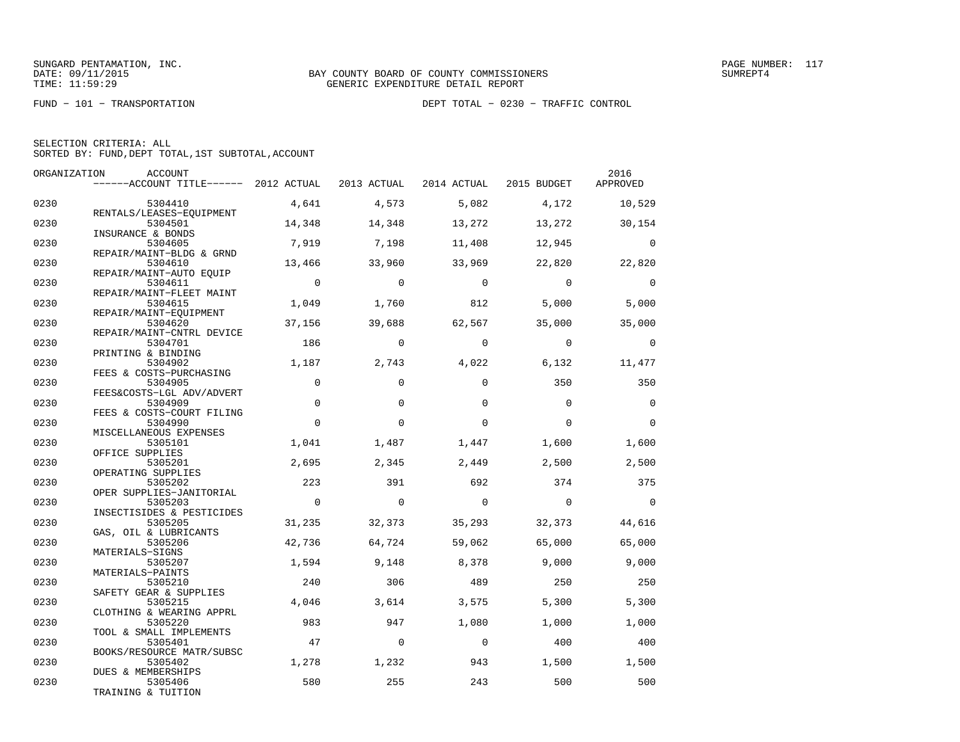FUND − 101 − TRANSPORTATION DEPT TOTAL − 0230 − TRAFFIC CONTROL

| SELECTION CRITERIA: ALL |  |                                                    |  |
|-------------------------|--|----------------------------------------------------|--|
|                         |  | SORTED BY: FUND, DEPT TOTAL, 1ST SUBTOTAL, ACCOUNT |  |

| ORGANIZATION | ACCOUNT                                                                   |                |          |          |                | 2016        |
|--------------|---------------------------------------------------------------------------|----------------|----------|----------|----------------|-------------|
|              | ------ACCOUNT TITLE------ 2012 ACTUAL 2013 ACTUAL 2014 ACTUAL 2015 BUDGET |                |          |          |                | APPROVED    |
| 0230         | 5304410                                                                   | 4,641          | 4,573    | 5.082    | 4,172          | 10,529      |
|              | RENTALS/LEASES-EQUIPMENT                                                  |                |          |          |                |             |
| 0230         | 5304501<br>INSURANCE & BONDS                                              | 14,348         | 14,348   | 13,272   | 13,272         | 30,154      |
| 0230         | 5304605                                                                   | 7,919          | 7,198    | 11,408   | 12,945         | $\Omega$    |
|              | REPAIR/MAINT-BLDG & GRND                                                  |                |          |          |                |             |
| 0230         | 5304610<br>REPAIR/MAINT-AUTO EQUIP                                        | 13,466         | 33,960   | 33,969   | 22,820         | 22,820      |
| 0230         | 5304611                                                                   | $\overline{0}$ | $\Omega$ | $\Omega$ | $\Omega$       | $\Omega$    |
|              | REPAIR/MAINT-FLEET MAINT                                                  |                |          |          |                |             |
| 0230         | 5304615                                                                   | 1,049          | 1,760    | 812      | 5,000          | 5,000       |
|              | REPAIR/MAINT-EQUIPMENT                                                    |                |          |          |                |             |
| 0230         | 5304620                                                                   | 37,156         | 39,688   | 62,567   | 35,000         | 35,000      |
|              | REPAIR/MAINT-CNTRL DEVICE                                                 |                |          |          |                |             |
| 0230         | 5304701                                                                   | 186            | $\Omega$ | $\Omega$ | $\Omega$       | $\Omega$    |
|              | PRINTING & BINDING                                                        | 1,187          |          |          |                |             |
| 0230         | 5304902                                                                   |                | 2,743    | 4,022    | 6,132          | 11,477      |
| 0230         | FEES & COSTS-PURCHASING<br>5304905                                        | $\Omega$       | $\Omega$ | $\Omega$ | 350            | 350         |
|              | FEES&COSTS-LGL ADV/ADVERT                                                 |                |          |          |                |             |
| 0230         | 5304909                                                                   | $\mathbf 0$    | $\Omega$ | $\Omega$ | $\Omega$       | $\mathbf 0$ |
|              | FEES & COSTS-COURT FILING                                                 |                |          |          |                |             |
| 0230         | 5304990                                                                   | $\Omega$       | $\Omega$ | $\Omega$ | $\Omega$       | $\Omega$    |
|              | MISCELLANEOUS EXPENSES                                                    |                |          |          |                |             |
| 0230         | 5305101                                                                   | 1,041          | 1,487    | 1,447    | 1,600          | 1,600       |
|              | OFFICE SUPPLIES                                                           |                |          |          |                |             |
| 0230         | 5305201                                                                   | 2,695          | 2,345    | 2,449    | 2,500          | 2,500       |
|              | OPERATING SUPPLIES                                                        |                |          |          |                |             |
| 0230         | 5305202                                                                   | 223            | 391      | 692      | 374            | 375         |
|              | OPER SUPPLIES-JANITORIAL                                                  |                |          |          |                |             |
| 0230         | 5305203                                                                   | $\overline{0}$ | $\Omega$ | $\Omega$ | $\overline{0}$ | $\Omega$    |
|              | INSECTISIDES & PESTICIDES                                                 |                |          |          |                |             |
| 0230         | 5305205                                                                   | 31,235         | 32,373   | 35,293   | 32,373         | 44,616      |
|              | GAS, OIL & LUBRICANTS                                                     |                |          |          |                |             |
| 0230         | 5305206                                                                   | 42,736         | 64,724   | 59,062   | 65,000         | 65,000      |
|              | MATERIALS-SIGNS                                                           |                |          |          |                |             |
| 0230         | 5305207                                                                   | 1,594          | 9,148    | 8,378    | 9,000          | 9,000       |
|              | MATERIALS-PAINTS                                                          |                |          |          |                |             |
| 0230         | 5305210                                                                   | 240            | 306      | 489      | 250            | 250         |
|              | SAFETY GEAR & SUPPLIES                                                    |                |          |          |                |             |
| 0230         | 5305215                                                                   | 4,046          | 3,614    | 3,575    | 5,300          | 5,300       |
|              | CLOTHING & WEARING APPRL                                                  |                |          |          |                |             |
| 0230         | 5305220                                                                   | 983            | 947      | 1,080    | 1,000          | 1,000       |
|              | TOOL & SMALL IMPLEMENTS                                                   |                |          |          |                |             |
| 0230         | 5305401                                                                   | 47             | $\Omega$ | $\Omega$ | 400            | 400         |
|              | BOOKS/RESOURCE MATR/SUBSC                                                 |                |          |          |                |             |
| 0230         | 5305402<br><b>DUES &amp; MEMBERSHIPS</b>                                  | 1,278          | 1,232    | 943      | 1,500          | 1,500       |
| 0230         | 5305406                                                                   | 580            | 255      | 243      | 500            | 500         |
|              | TRAINING & TUITION                                                        |                |          |          |                |             |
|              |                                                                           |                |          |          |                |             |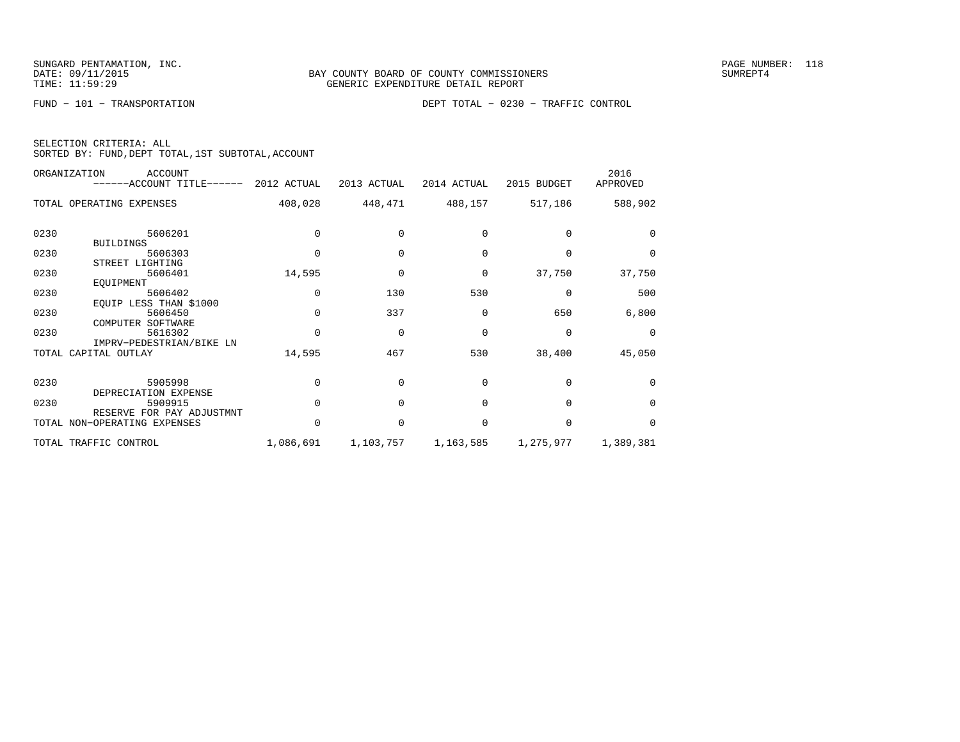FUND − 101 − TRANSPORTATION DEPT TOTAL − 0230 − TRAFFIC CONTROL

| SELECTION CRITERIA: ALL |  |  |                                                    |  |
|-------------------------|--|--|----------------------------------------------------|--|
|                         |  |  | SORTED BY: FUND, DEPT TOTAL, 1ST SUBTOTAL, ACCOUNT |  |

|      | ORGANIZATION<br><b>ACCOUNT</b><br>$----ACCOUNT$ TITLE $--- 2012$ ACTUAL |              | 2013 ACTUAL | 2014 ACTUAL | 2015 BUDGET | 2016<br>APPROVED |
|------|-------------------------------------------------------------------------|--------------|-------------|-------------|-------------|------------------|
|      | TOTAL OPERATING EXPENSES                                                | 408,028      | 448,471     | 488,157     | 517,186     | 588,902          |
| 0230 | 5606201<br><b>BUILDINGS</b>                                             |              |             | $\Omega$    |             | $\Omega$         |
| 0230 | 5606303<br>STREET LIGHTING                                              | $\Omega$     | $\Omega$    | $\Omega$    | $\Omega$    | $\Omega$         |
| 0230 | 5606401<br>EQUIPMENT                                                    | 14,595       | $\Omega$    | 0           | 37,750      | 37,750           |
| 0230 | 5606402<br>EQUIP LESS THAN \$1000                                       | 0            | 130         | 530         | $\Omega$    | 500              |
| 0230 | 5606450<br>COMPUTER SOFTWARE                                            |              | 337         | $\Omega$    | 650         | 6,800            |
| 0230 | 5616302<br>IMPRV-PEDESTRIAN/BIKE LN                                     | $\Omega$     | $\Omega$    | $\Omega$    | 0           | $\Omega$         |
|      | TOTAL CAPITAL OUTLAY                                                    | 14,595       | 467         | 530         | 38,400      | 45,050           |
| 0230 | 5905998<br>DEPRECIATION EXPENSE                                         |              |             | $\Omega$    | $\cap$      | $\Omega$         |
| 0230 | 5909915<br>RESERVE FOR PAY ADJUSTMNT                                    | <sup>n</sup> | $\cap$      | $\Omega$    | $\Omega$    | $\Omega$         |
|      | TOTAL NON-OPERATING EXPENSES                                            | <sup>0</sup> | $\Omega$    | $\Omega$    | $\Omega$    | $\Omega$         |
|      | TOTAL TRAFFIC CONTROL                                                   | 1,086,691    | 1,103,757   | 1,163,585   | 1,275,977   | 1,389,381        |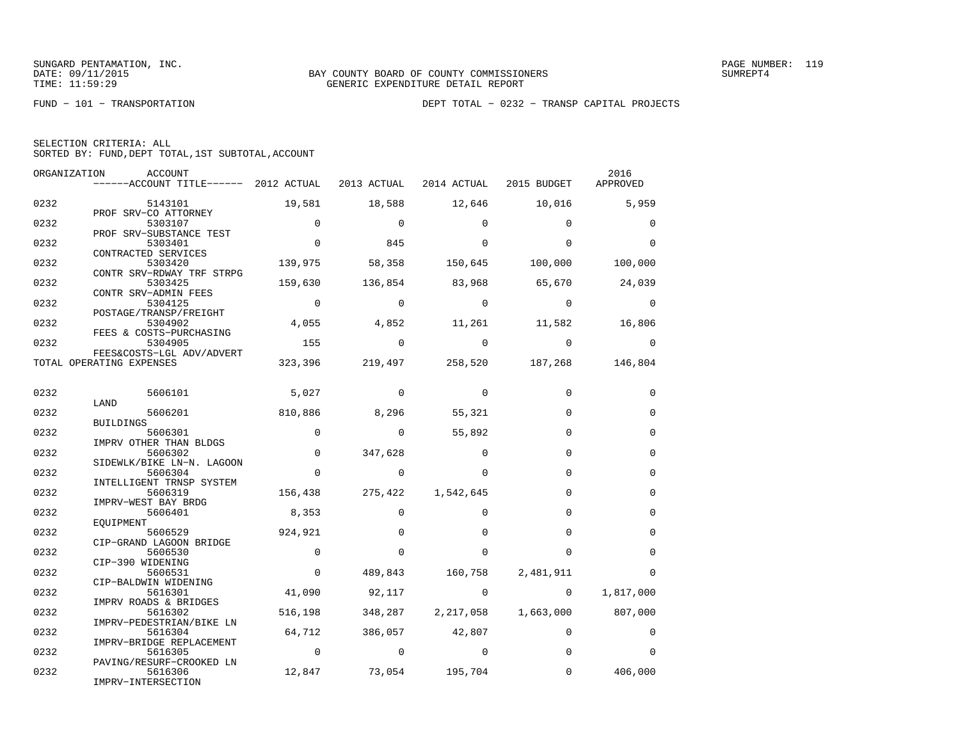FUND − 101 − TRANSPORTATION DEPT TOTAL − 0232 − TRANSP CAPITAL PROJECTS

| SELECTION CRITERIA: ALL |                                                    |
|-------------------------|----------------------------------------------------|
|                         | SORTED BY: FUND, DEPT TOTAL, 1ST SUBTOTAL, ACCOUNT |

| ORGANIZATION | ACCOUNT                                                                            |                |                                                                                                                                                                                                                                                                                                                                 |                   |                                         | 2016              |
|--------------|------------------------------------------------------------------------------------|----------------|---------------------------------------------------------------------------------------------------------------------------------------------------------------------------------------------------------------------------------------------------------------------------------------------------------------------------------|-------------------|-----------------------------------------|-------------------|
|              | ------ACCOUNT TITLE------ 2012 ACTUAL 2013 ACTUAL 2014 ACTUAL 2015 BUDGET APPROVED |                |                                                                                                                                                                                                                                                                                                                                 |                   |                                         |                   |
|              |                                                                                    |                |                                                                                                                                                                                                                                                                                                                                 |                   |                                         |                   |
| 0232         | 5143101                                                                            | 19,581         | 18,588                                                                                                                                                                                                                                                                                                                          |                   | 12,646 10,016 5,959                     |                   |
|              | PROF SRV-CO ATTORNEY                                                               | $\overline{0}$ |                                                                                                                                                                                                                                                                                                                                 |                   |                                         |                   |
| 0232         | 5303107<br>PROF SRV-SUBSTANCE TEST                                                 |                | $\sim$ 0                                                                                                                                                                                                                                                                                                                        | $\Omega$          | $\Omega$                                | $\mathbf 0$       |
| 0232         | 5303401                                                                            | $\overline{0}$ | 845                                                                                                                                                                                                                                                                                                                             | $\Omega$          | $\Omega$                                | $\Omega$          |
|              | CONTRACTED SERVICES                                                                |                |                                                                                                                                                                                                                                                                                                                                 |                   |                                         |                   |
| 0232         | 5303420                                                                            |                |                                                                                                                                                                                                                                                                                                                                 |                   | 139,975 58,358 150,645 100,000 100,000  |                   |
|              | CONTR SRV-RDWAY TRF STRPG                                                          |                |                                                                                                                                                                                                                                                                                                                                 |                   |                                         |                   |
| 0232         | 5303425                                                                            | 159,630        |                                                                                                                                                                                                                                                                                                                                 |                   | $136,854$ $83,968$ $65,670$ $24,039$    |                   |
|              | CONTR SRV-ADMIN FEES                                                               |                |                                                                                                                                                                                                                                                                                                                                 |                   |                                         |                   |
| 0232         | 5304125                                                                            | $\overline{0}$ | $\sim$ 0                                                                                                                                                                                                                                                                                                                        | $\overline{0}$    | $\sim$ 0                                | $\sim$ 0          |
| 0232         | POSTAGE/TRANSP/FREIGHT<br>5304902                                                  |                |                                                                                                                                                                                                                                                                                                                                 |                   | 4,055 4,852 11,261 11,582               | 16,806            |
|              | FEES & COSTS-PURCHASING                                                            |                |                                                                                                                                                                                                                                                                                                                                 |                   |                                         |                   |
| 0232         | 5304905                                                                            | 155            | $\overline{a}$                                                                                                                                                                                                                                                                                                                  | $\sim$ 0          | $\overline{0}$                          | 0                 |
|              | FEES&COSTS-LGL ADV/ADVERT                                                          |                |                                                                                                                                                                                                                                                                                                                                 |                   |                                         |                   |
|              | TOTAL OPERATING EXPENSES                                                           |                |                                                                                                                                                                                                                                                                                                                                 |                   | 323,396 219,497 258,520 187,268 146,804 |                   |
|              |                                                                                    |                |                                                                                                                                                                                                                                                                                                                                 |                   |                                         |                   |
|              |                                                                                    |                |                                                                                                                                                                                                                                                                                                                                 |                   |                                         |                   |
| 0232         | 5606101                                                                            | 5,027          | $\sim$ 0                                                                                                                                                                                                                                                                                                                        | $\sim$ 0          | $\mathbf 0$                             | 0                 |
|              | LAND<br>5606201                                                                    |                | 8,296 55,321                                                                                                                                                                                                                                                                                                                    |                   | $\Omega$                                | $\mathbf 0$       |
| 0232         | BUILDINGS                                                                          | 810,886        |                                                                                                                                                                                                                                                                                                                                 |                   |                                         |                   |
| 0232         | 5606301                                                                            | $\overline{0}$ | $\sim$ 0                                                                                                                                                                                                                                                                                                                        | 55,892            | $\Omega$                                | 0                 |
|              | IMPRV OTHER THAN BLDGS                                                             |                |                                                                                                                                                                                                                                                                                                                                 |                   |                                         |                   |
| 0232         | 5606302                                                                            | $\overline{0}$ | 347,628                                                                                                                                                                                                                                                                                                                         | $\Omega$          | $\Omega$                                | $\Omega$          |
|              | SIDEWLK/BIKE LN-N. LAGOON                                                          |                |                                                                                                                                                                                                                                                                                                                                 |                   |                                         |                   |
| 0232         | 5606304                                                                            | $\overline{0}$ | $\overline{0}$                                                                                                                                                                                                                                                                                                                  | $\Omega$          | $\Omega$                                | $\mathbf 0$       |
|              | INTELLIGENT TRNSP SYSTEM                                                           |                |                                                                                                                                                                                                                                                                                                                                 |                   |                                         |                   |
| 0232         | 5606319                                                                            |                | 156,438 275,422 1,542,645                                                                                                                                                                                                                                                                                                       |                   | $\Omega$                                | $\mathbf 0$       |
|              | IMPRV-WEST BAY BRDG                                                                |                |                                                                                                                                                                                                                                                                                                                                 | $\Omega$          | $\Omega$                                |                   |
| 0232         | 5606401<br>EOUIPMENT                                                               | 8,353          | $\mathbf 0$                                                                                                                                                                                                                                                                                                                     |                   |                                         | $\mathbf 0$       |
| 0232         | 5606529                                                                            | 924,921        | $\Omega$                                                                                                                                                                                                                                                                                                                        | $\Omega$          | $\Omega$                                | $\Omega$          |
|              | CIP-GRAND LAGOON BRIDGE                                                            |                |                                                                                                                                                                                                                                                                                                                                 |                   |                                         |                   |
| 0232         | 5606530                                                                            | $\Omega$       | $\Omega$                                                                                                                                                                                                                                                                                                                        | $\Omega$          | $\Omega$                                | $\Omega$          |
|              | CIP-390 WIDENING                                                                   |                |                                                                                                                                                                                                                                                                                                                                 |                   |                                         |                   |
| 0232         | 5606531                                                                            | $\sim$ 0       |                                                                                                                                                                                                                                                                                                                                 | 489,843 160,758   | 2,481,911                               | $\Omega$          |
|              | CIP-BALDWIN WIDENING                                                               |                |                                                                                                                                                                                                                                                                                                                                 |                   |                                         |                   |
| 0232         | 5616301                                                                            | 41,090         | 92,117                                                                                                                                                                                                                                                                                                                          | $\overline{0}$    | $\overline{0}$                          | 1,817,000         |
| 0232         | IMPRV ROADS & BRIDGES                                                              | 516,198        |                                                                                                                                                                                                                                                                                                                                 | 348,287 2,217,058 |                                         | 1,663,000 807,000 |
|              | 5616302<br>IMPRV-PEDESTRIAN/BIKE LN                                                |                |                                                                                                                                                                                                                                                                                                                                 |                   |                                         |                   |
| 0232         | 5616304                                                                            |                | 64,712 386,057 42,807                                                                                                                                                                                                                                                                                                           |                   | $\Omega$                                | 0                 |
|              | IMPRV-BRIDGE REPLACEMENT                                                           |                |                                                                                                                                                                                                                                                                                                                                 |                   |                                         |                   |
| 0232         | 5616305                                                                            |                | $\begin{matrix} 0 & 0 & 0 \\ 0 & 0 & 0 \\ 0 & 0 & 0 \\ 0 & 0 & 0 \\ 0 & 0 & 0 \\ 0 & 0 & 0 \\ 0 & 0 & 0 \\ 0 & 0 & 0 \\ 0 & 0 & 0 & 0 \\ 0 & 0 & 0 & 0 \\ 0 & 0 & 0 & 0 \\ 0 & 0 & 0 & 0 \\ 0 & 0 & 0 & 0 & 0 \\ 0 & 0 & 0 & 0 & 0 \\ 0 & 0 & 0 & 0 & 0 \\ 0 & 0 & 0 & 0 & 0 & 0 \\ 0 & 0 & 0 & 0 & 0 & 0 \\ 0 & 0 & 0 & 0 & 0$ |                   | $\Omega$                                | $\Omega$          |
|              | PAVING/RESURF-CROOKED LN                                                           |                |                                                                                                                                                                                                                                                                                                                                 |                   |                                         |                   |
| 0232         | 5616306                                                                            |                | 12,847 73,054 195,704                                                                                                                                                                                                                                                                                                           |                   | $\overline{0}$                          | 406,000           |
|              | IMPRV-INTERSECTION                                                                 |                |                                                                                                                                                                                                                                                                                                                                 |                   |                                         |                   |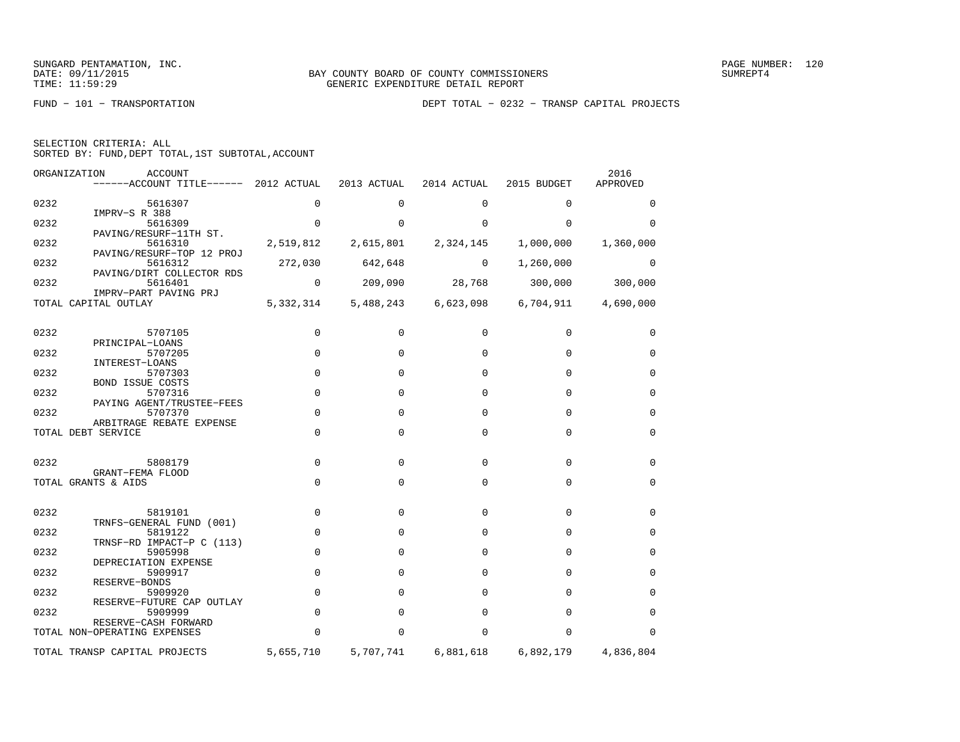FUND − 101 − TRANSPORTATION DEPT TOTAL − 0232 − TRANSP CAPITAL PROJECTS

| SORTED BY: FUND, DEPT TOTAL, 1ST SUBTOTAL, ACCOUNT | SELECTION CRITERIA: ALL |  |  |  |  |
|----------------------------------------------------|-------------------------|--|--|--|--|
|                                                    |                         |  |  |  |  |

|      | ORGANIZATION<br>ACCOUNT<br>------ACCOUNT TITLE------ 2012 ACTUAL |                | 2013 ACTUAL     | 2014 ACTUAL                   | 2015 BUDGET                             | 2016<br>APPROVED |
|------|------------------------------------------------------------------|----------------|-----------------|-------------------------------|-----------------------------------------|------------------|
| 0232 | 5616307                                                          | 0              | $\Omega$        | $\Omega$                      | $\Omega$                                | $\Omega$         |
| 0232 | IMPRV-S R 388<br>5616309                                         | $\Omega$       | $\Omega$        | $\Omega$                      | $\Omega$                                | $\Omega$         |
| 0232 | PAVING/RESURF-11TH ST.<br>5616310                                |                |                 | 2,519,812 2,615,801 2,324,145 | 1,000,000                               | 1,360,000        |
| 0232 | PAVING/RESURF-TOP 12 PROJ<br>5616312                             |                | 272,030 642,648 | $\sim$ 0                      | 1,260,000                               | 0                |
| 0232 | PAVING/DIRT COLLECTOR RDS<br>5616401<br>IMPRV-PART PAVING PRJ    | $\overline{0}$ |                 |                               | 209,090 28,768 300,000 300,000          |                  |
|      | TOTAL CAPITAL OUTLAY                                             | 5, 332, 314    |                 |                               | 5,488,243 6,623,098 6,704,911 4,690,000 |                  |
| 0232 | 5707105                                                          | $\Omega$       | $\Omega$        | $\Omega$                      | $\Omega$                                | 0                |
| 0232 | PRINCIPAL-LOANS<br>5707205                                       | $\Omega$       | $\Omega$        | $\Omega$                      | $\Omega$                                | $\Omega$         |
| 0232 | INTEREST-LOANS<br>5707303                                        | $\Omega$       | $\Omega$        | 0                             | $\Omega$                                | $\mathbf 0$      |
| 0232 | <b>BOND ISSUE COSTS</b><br>5707316<br>PAYING AGENT/TRUSTEE-FEES  | $\Omega$       | $\Omega$        | $\Omega$                      | $\Omega$                                | $\mathbf 0$      |
| 0232 | 5707370<br>ARBITRAGE REBATE EXPENSE                              | $\Omega$       | $\Omega$        | $\Omega$                      | $\Omega$                                | 0                |
|      | TOTAL DEBT SERVICE                                               | 0              | $\Omega$        | $\Omega$                      | $\Omega$                                | $\mathbf 0$      |
| 0232 | 5808179                                                          | 0              | $\Omega$        | $\Omega$                      | $\mathbf 0$                             | $\mathbf 0$      |
|      | GRANT-FEMA FLOOD<br>TOTAL GRANTS & AIDS                          | $\mathbf 0$    | 0               | $\mathbf 0$                   | 0                                       | $\mathbf 0$      |
|      |                                                                  |                |                 |                               |                                         |                  |
| 0232 | 5819101<br>TRNFS-GENERAL FUND (001)                              | $\mathbf 0$    | $\Omega$        | $\Omega$                      | $\Omega$                                | 0                |
| 0232 | 5819122<br>TRNSF-RD IMPACT-P C (113)                             | $\mathbf 0$    | $\Omega$        | $\Omega$                      | $\Omega$                                | $\mathbf 0$      |
| 0232 | 5905998<br>DEPRECIATION EXPENSE                                  | $\mathbf 0$    | $\Omega$        | $\Omega$                      | $\Omega$                                | $\mathbf 0$      |
| 0232 | 5909917<br>RESERVE-BONDS                                         | $\mathbf 0$    | $\Omega$        | $\Omega$                      | $\Omega$                                | $\mathbf 0$      |
| 0232 | 5909920<br>RESERVE-FUTURE CAP OUTLAY                             | $\mathbf 0$    | $\Omega$        | $\Omega$                      | $\Omega$                                | $\mathbf 0$      |
| 0232 | 5909999<br>RESERVE-CASH FORWARD                                  | $\mathbf 0$    | $\Omega$        | $\Omega$                      | $\Omega$                                | $\mathbf 0$      |
|      | TOTAL NON-OPERATING EXPENSES                                     | $\Omega$       | O               | $\Omega$                      | $\Omega$                                | $\Omega$         |
|      | TOTAL TRANSP CAPITAL PROJECTS                                    | 5,655,710      | 5,707,741       | 6,881,618                     | 6,892,179                               | 4,836,804        |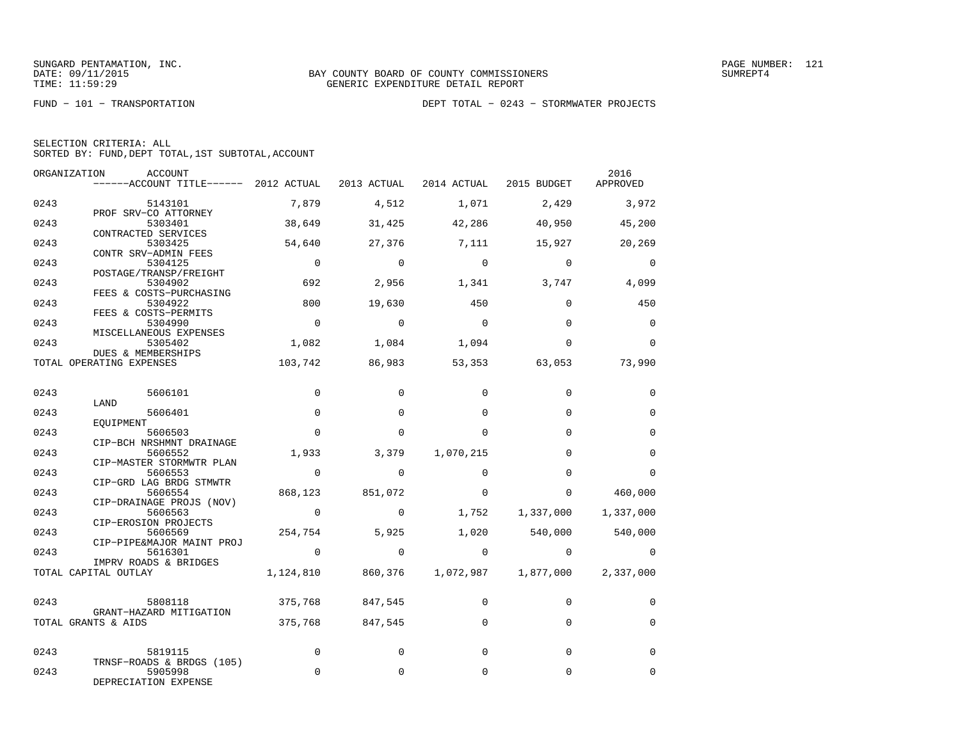SUNGARD PENTAMATION, INC.<br>DATE: 09/11/2015 MINC. BAY COUNTY BOARD OF COUNTY COMMISSIONERS

|  | SELECTION CRITERIA: ALL |                                                    |
|--|-------------------------|----------------------------------------------------|
|  |                         | SORTED BY: FUND, DEPT TOTAL, 1ST SUBTOTAL, ACCOUNT |

| ORGANIZATION | <b>ACCOUNT</b><br>------ACCOUNT TITLE------ 2012 ACTUAL      |                | 2013 ACTUAL 2014 ACTUAL |             | 2015 BUDGET  | 2016<br>APPROVED |
|--------------|--------------------------------------------------------------|----------------|-------------------------|-------------|--------------|------------------|
| 0243         | 5143101                                                      | 7,879          | 4,512                   | 1,071       | 2,429        | 3,972            |
| 0243         | PROF SRV-CO ATTORNEY<br>5303401<br>CONTRACTED SERVICES       | 38,649         | 31,425                  | 42,286      | 40,950       | 45,200           |
| 0243         | 5303425<br>CONTR SRV-ADMIN FEES                              | 54,640         | 27,376                  | 7,111       | 15,927       | 20,269           |
| 0243         | 5304125<br>POSTAGE/TRANSP/FREIGHT                            | $\Omega$       | $\overline{0}$          | $\bigcirc$  | $\Omega$     | $\Omega$         |
| 0243         | 5304902<br>FEES & COSTS-PURCHASING                           | 692            | 2,956                   | 1,341       | 3,747        | 4,099            |
| 0243         | 5304922<br>FEES & COSTS-PERMITS                              | 800            | 19,630                  | 450         | $\Omega$     | 450              |
| 0243         | 5304990<br>MISCELLANEOUS EXPENSES                            | $\Omega$       | $\Omega$                | $\Omega$    | $\Omega$     | 0                |
| 0243         | 5305402<br>DUES & MEMBERSHIPS                                | 1,082          | 1,084                   | 1,094       | $\Omega$     | $\Omega$         |
|              | TOTAL OPERATING EXPENSES                                     | 103,742        | 86,983                  | 53,353      | 63,053       | 73,990           |
| 0243         | 5606101                                                      | $\Omega$       | $\Omega$                | $\Omega$    | $\Omega$     | $\Omega$         |
| 0243         | LAND<br>5606401                                              | $\mathbf 0$    | $\Omega$                | $\Omega$    | $\Omega$     | $\mathbf 0$      |
| 0243         | EOUIPMENT<br>5606503<br>CIP-BCH NRSHMNT DRAINAGE             | $\Omega$       | $\Omega$                | $\Omega$    | $\Omega$     | $\Omega$         |
| 0243         | 5606552<br>CIP-MASTER STORMWTR PLAN                          | 1,933          | 3,379                   | 1,070,215   | $\Omega$     | $\Omega$         |
| 0243         | 5606553<br>CIP-GRD LAG BRDG STMWTR                           | $\overline{0}$ | $\Omega$                | $\Omega$    | $\Omega$     | $\Omega$         |
| 0243         | 5606554<br>CIP-DRAINAGE PROJS (NOV)                          | 868,123        | 851,072                 | $\Omega$    | $\Omega$     | 460,000          |
| 0243         | 5606563<br>CIP-EROSION PROJECTS                              | $\overline{0}$ | $\mathbf 0$             | 1,752       | 1,337,000    | 1,337,000        |
| 0243         | 5606569<br>CIP-PIPE&MAJOR MAINT PROJ                         | 254,754        | 5,925                   | 1,020       | 540,000      | 540,000          |
| 0243         | 5616301<br>IMPRV ROADS & BRIDGES                             | $\overline{0}$ | $\overline{0}$          | $\mathbf 0$ | $\mathbf{0}$ | $\mathbf 0$      |
|              | TOTAL CAPITAL OUTLAY                                         | 1,124,810      | 860,376                 | 1,072,987   | 1,877,000    | 2,337,000        |
| 0243         | 5808118<br>GRANT-HAZARD MITIGATION                           | 375,768        | 847,545                 | $\Omega$    | $\Omega$     | $\Omega$         |
|              | TOTAL GRANTS & AIDS                                          | 375,768        | 847,545                 | $\mathbf 0$ | $\mathbf 0$  | $\mathbf 0$      |
| 0243         | 5819115                                                      | $\mathbf 0$    | $\Omega$                | $\Omega$    | $\Omega$     | $\Omega$         |
| 0243         | TRNSF-ROADS & BRDGS (105)<br>5905998<br>DEPRECIATION EXPENSE | $\mathbf 0$    | 0                       | $\mathbf 0$ | 0            | $\mathbf 0$      |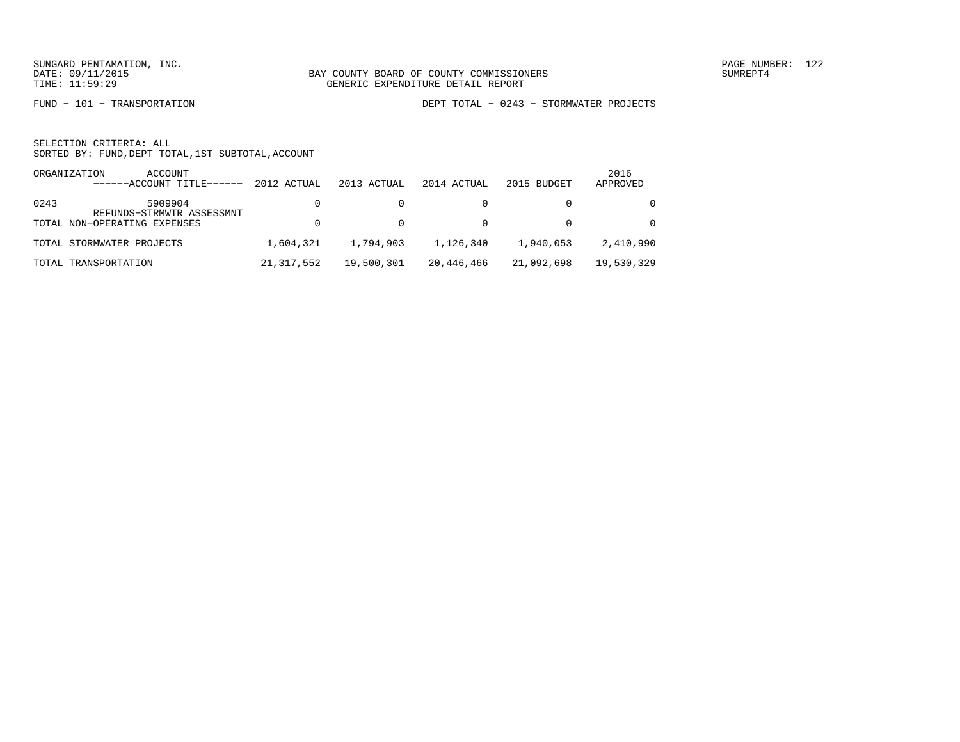FUND − 101 − TRANSPORTATION DEPT TOTAL − 0243 − STORMWATER PROJECTS

|      | ORGANIZATION<br>ACCOUNT<br>------ACCOUNT TITLE-<br>------ | 2012 ACTUAL  | 2013 ACTUAL | 2014 ACTUAL | 2015 BUDGET | 2016<br>APPROVED |
|------|-----------------------------------------------------------|--------------|-------------|-------------|-------------|------------------|
| 0243 | 5909904<br>REFUNDS-STRMWTR ASSESSMNT                      |              |             |             |             | $\Omega$         |
|      | TOTAL NON-OPERATING EXPENSES                              |              |             |             |             | $\Omega$         |
|      | TOTAL STORMWATER PROJECTS                                 | 1,604,321    | 1,794,903   | 1,126,340   | 1,940,053   | 2,410,990        |
|      | TOTAL TRANSPORTATION                                      | 21, 317, 552 | 19,500,301  | 20,446,466  | 21,092,698  | 19,530,329       |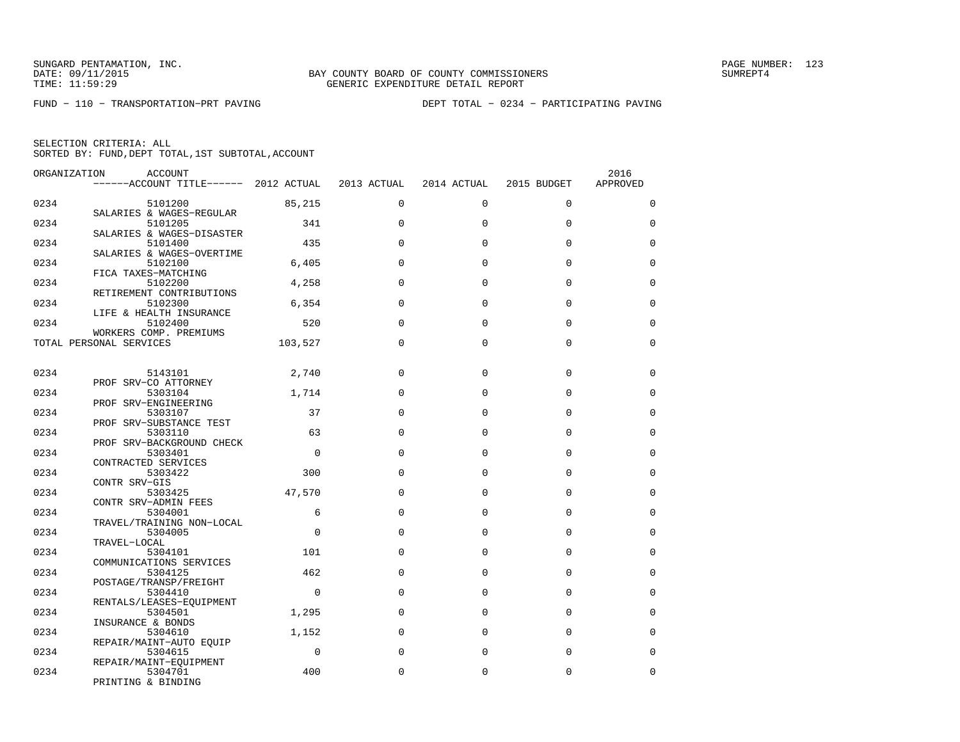FUND − 110 − TRANSPORTATION−PRT PAVING DEPT TOTAL − 0234 − PARTICIPATING PAVING

| ORGANIZATION | ACCOUNT                             |             |             |             |             | 2016        |
|--------------|-------------------------------------|-------------|-------------|-------------|-------------|-------------|
|              | $---ACCOUNT$ TITLE $---2012$ ACTUAL |             | 2013 ACTUAL | 2014 ACTUAL | 2015 BUDGET | APPROVED    |
|              |                                     |             |             |             |             |             |
| 0234         | 5101200                             | 85,215      | $\mathbf 0$ | $\mathbf 0$ | $\mathbf 0$ | $\mathbf 0$ |
|              | SALARIES & WAGES-REGULAR            |             |             |             |             |             |
| 0234         | 5101205                             | 341         | $\Omega$    | $\Omega$    | $\Omega$    | $\Omega$    |
|              | SALARIES & WAGES-DISASTER           |             |             |             |             |             |
| 0234         | 5101400                             | 435         | $\Omega$    | $\Omega$    | $\Omega$    | $\mathbf 0$ |
|              | SALARIES & WAGES-OVERTIME           |             |             |             |             |             |
| 0234         |                                     |             | $\Omega$    | $\Omega$    | $\Omega$    | $\Omega$    |
|              | 5102100                             | 6,405       |             |             |             |             |
|              | FICA TAXES-MATCHING                 |             |             |             |             |             |
| 0234         | 5102200                             | 4,258       | $\Omega$    | $\Omega$    | $\Omega$    | 0           |
|              | RETIREMENT CONTRIBUTIONS            |             |             |             |             |             |
| 0234         | 5102300                             | 6,354       | $\Omega$    | $\Omega$    | $\mathbf 0$ | $\mathbf 0$ |
|              | LIFE & HEALTH INSURANCE             |             |             |             |             |             |
| 0234         | 5102400                             | 520         | $\Omega$    | $\Omega$    | $\Omega$    | $\mathbf 0$ |
|              | WORKERS COMP. PREMIUMS              |             |             |             |             |             |
|              | TOTAL PERSONAL SERVICES             | 103,527     | $\Omega$    | $\Omega$    | $\Omega$    | $\mathbf 0$ |
|              |                                     |             |             |             |             |             |
|              |                                     |             |             |             |             |             |
| 0234         | 5143101                             | 2,740       | $\Omega$    | $\Omega$    | $\Omega$    | 0           |
|              | PROF SRV-CO ATTORNEY                |             |             |             |             |             |
| 0234         | 5303104                             | 1,714       | $\Omega$    | $\Omega$    | $\Omega$    | $\Omega$    |
|              | PROF SRV-ENGINEERING                |             |             |             |             |             |
| 0234         | 5303107                             | 37          | $\Omega$    | $\Omega$    | $\Omega$    | 0           |
|              | PROF SRV-SUBSTANCE TEST             |             |             |             |             |             |
|              |                                     | 63          | $\Omega$    | $\Omega$    | $\Omega$    |             |
| 0234         | 5303110                             |             |             |             |             | $\mathbf 0$ |
|              | PROF SRV-BACKGROUND CHECK           |             |             |             |             |             |
| 0234         | 5303401                             | $\mathbf 0$ | $\Omega$    | $\Omega$    | $\mathbf 0$ | $\mathbf 0$ |
|              | CONTRACTED SERVICES                 |             |             |             |             |             |
| 0234         | 5303422                             | 300         | $\Omega$    | $\Omega$    | $\Omega$    | $\mathbf 0$ |
|              | CONTR SRV-GIS                       |             |             |             |             |             |
| 0234         | 5303425                             | 47,570      | $\Omega$    | $\Omega$    | $\Omega$    | $\Omega$    |
|              | CONTR SRV-ADMIN FEES                |             |             |             |             |             |
| 0234         | 5304001                             | 6           | $\Omega$    | $\Omega$    | $\Omega$    | $\Omega$    |
|              | TRAVEL/TRAINING NON-LOCAL           |             |             |             |             |             |
| 0234         | 5304005                             | $\Omega$    | $\Omega$    | $\Omega$    | $\Omega$    | $\mathbf 0$ |
|              | TRAVEL-LOCAL                        |             |             |             |             |             |
| 0234         | 5304101                             | 101         | $\Omega$    | $\Omega$    | $\Omega$    | 0           |
|              | COMMUNICATIONS SERVICES             |             |             |             |             |             |
| 0234         | 5304125                             | 462         | $\Omega$    | 0           | $\mathbf 0$ | $\mathbf 0$ |
|              | POSTAGE/TRANSP/FREIGHT              |             |             |             |             |             |
| 0234         | 5304410                             | $\mathbf 0$ | $\Omega$    | $\Omega$    | $\Omega$    | $\mathbf 0$ |
|              | RENTALS/LEASES-EQUIPMENT            |             |             |             |             |             |
| 0234         |                                     | 1,295       | $\Omega$    | $\Omega$    | $\Omega$    | $\Omega$    |
|              | 5304501                             |             |             |             |             |             |
|              | INSURANCE & BONDS                   |             |             |             |             |             |
| 0234         | 5304610                             | 1,152       | $\Omega$    | $\Omega$    | $\Omega$    | $\Omega$    |
|              | REPAIR/MAINT-AUTO EQUIP             |             |             |             |             |             |
| 0234         | 5304615                             | $\Omega$    | $\Omega$    | $\Omega$    | $\Omega$    | $\Omega$    |
|              | REPAIR/MAINT-EQUIPMENT              |             |             |             |             |             |
| 0234         | 5304701                             | 400         | $\Omega$    | $\Omega$    | $\mathbf 0$ | $\mathbf 0$ |
|              | PRINTING & BINDING                  |             |             |             |             |             |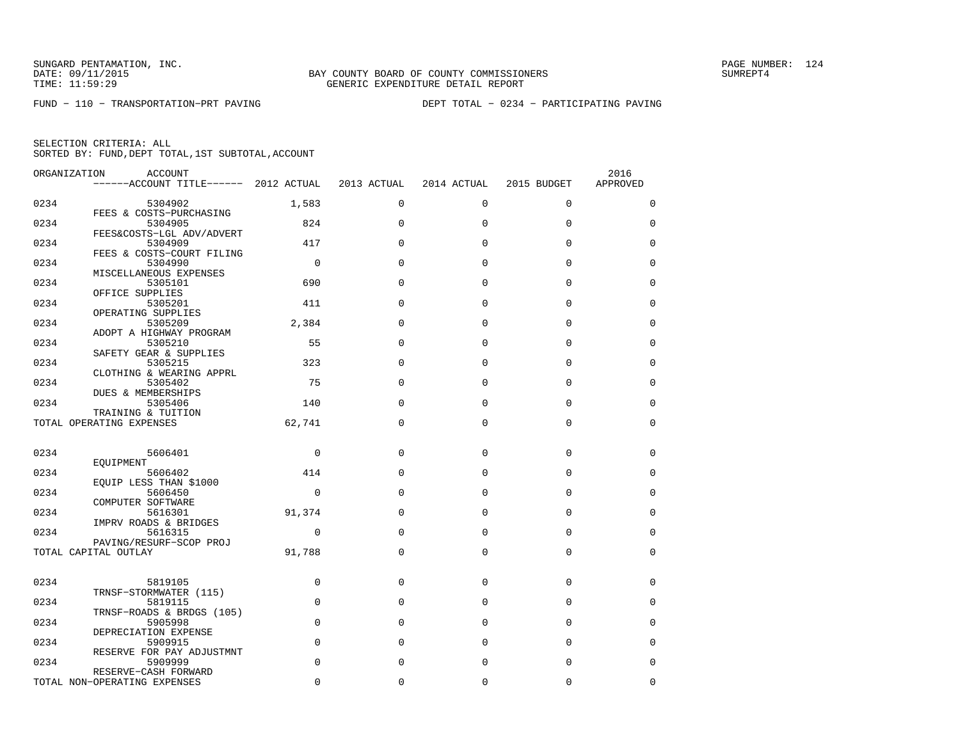| ORGANIZATION | <b>ACCOUNT</b>                                 |                |              |             |             | 2016        |
|--------------|------------------------------------------------|----------------|--------------|-------------|-------------|-------------|
|              | ------ACCOUNT TITLE------ 2012 ACTUAL          |                | 2013 ACTUAL  | 2014 ACTUAL | 2015 BUDGET | APPROVED    |
|              |                                                |                |              |             |             |             |
| 0234         | 5304902                                        | 1,583          | $\Omega$     | $\Omega$    | $\Omega$    | $\mathbf 0$ |
|              | FEES & COSTS-PURCHASING                        |                |              |             |             |             |
| 0234         | 5304905                                        | 824            | $\Omega$     | $\Omega$    | $\mathbf 0$ | 0           |
| 0234         | FEES&COSTS-LGL ADV/ADVERT<br>5304909           | 417            | $\Omega$     | $\Omega$    | $\Omega$    | 0           |
|              | FEES & COSTS-COURT FILING                      |                |              |             |             |             |
| 0234         | 5304990                                        | $\overline{0}$ | $\Omega$     | 0           | 0           | 0           |
|              | MISCELLANEOUS EXPENSES                         |                |              |             |             |             |
| 0234         | 5305101                                        | 690            | $\Omega$     | $\Omega$    | $\Omega$    | 0           |
|              | OFFICE SUPPLIES                                |                |              |             |             |             |
| 0234         | 5305201                                        | 411            | $\Omega$     | $\Omega$    | $\Omega$    | $\Omega$    |
|              | OPERATING SUPPLIES                             |                |              |             |             |             |
| 0234         | 5305209                                        | 2,384          | $\Omega$     | $\Omega$    | $\Omega$    | $\Omega$    |
|              | ADOPT A HIGHWAY PROGRAM                        |                |              |             |             |             |
| 0234         | 5305210                                        | 55             | $\Omega$     | $\Omega$    | $\Omega$    | 0           |
|              | SAFETY GEAR & SUPPLIES                         |                |              |             |             |             |
| 0234         | 5305215                                        | 323            | $\Omega$     | $\Omega$    | $\Omega$    | 0           |
|              | CLOTHING & WEARING APPRL                       |                |              |             |             |             |
| 0234         | 5305402                                        | 75             | $\Omega$     | 0           | $\mathbf 0$ | $\mathbf 0$ |
|              | DUES & MEMBERSHIPS                             |                |              |             |             |             |
| 0234         | 5305406                                        | 140            | $\Omega$     | $\Omega$    | $\Omega$    | $\mathbf 0$ |
|              | TRAINING & TUITION<br>TOTAL OPERATING EXPENSES | 62,741         | $\Omega$     | $\Omega$    | $\Omega$    | 0           |
|              |                                                |                |              |             |             |             |
|              |                                                |                |              |             |             |             |
| 0234         | 5606401                                        | $\mathbf 0$    | $\Omega$     | $\Omega$    | $\Omega$    | 0           |
|              | EQUIPMENT                                      |                |              |             |             |             |
| 0234         | 5606402                                        | 414            | $\Omega$     | $\Omega$    | $\mathbf 0$ | 0           |
|              | EQUIP LESS THAN \$1000                         |                |              |             |             |             |
| 0234         | 5606450                                        | 0              | $\Omega$     | $\Omega$    | $\Omega$    | $\mathbf 0$ |
|              | COMPUTER SOFTWARE                              |                |              |             |             |             |
| 0234         | 5616301                                        | 91,374         | $\Omega$     | $\Omega$    | $\Omega$    | $\Omega$    |
|              | IMPRV ROADS & BRIDGES                          |                |              |             |             |             |
| 0234         | 5616315                                        | 0              | $\Omega$     | $\Omega$    | $\Omega$    | $\Omega$    |
|              | PAVING/RESURF-SCOP PROJ                        |                |              |             |             |             |
|              | TOTAL CAPITAL OUTLAY                           | 91,788         | $\mathbf{0}$ | 0           | $\Omega$    | 0           |
|              |                                                |                |              |             |             |             |
| 0234         | 5819105                                        | 0              | 0            | 0           | 0           | 0           |
|              | TRNSF-STORMWATER (115)                         |                |              |             |             |             |
| 0234         | 5819115                                        | $\mathbf 0$    | $\Omega$     | 0           | $\mathbf 0$ | 0           |
|              | TRNSF-ROADS & BRDGS (105)                      |                |              |             |             |             |
| 0234         | 5905998                                        | $\Omega$       | $\Omega$     | $\Omega$    | $\Omega$    | $\Omega$    |
|              | DEPRECIATION EXPENSE                           |                |              |             |             |             |
| 0234         | 5909915                                        | $\mathbf 0$    | $\Omega$     | 0           | $\Omega$    | $\Omega$    |
|              | RESERVE FOR PAY ADJUSTMNT                      |                |              |             |             |             |
| 0234         | 5909999                                        | $\mathbf 0$    | $\Omega$     | 0           | 0           | 0           |
|              | RESERVE-CASH FORWARD                           |                |              |             |             |             |
|              | TOTAL NON-OPERATING EXPENSES                   | $\Omega$       | $\Omega$     | 0           | 0           | 0           |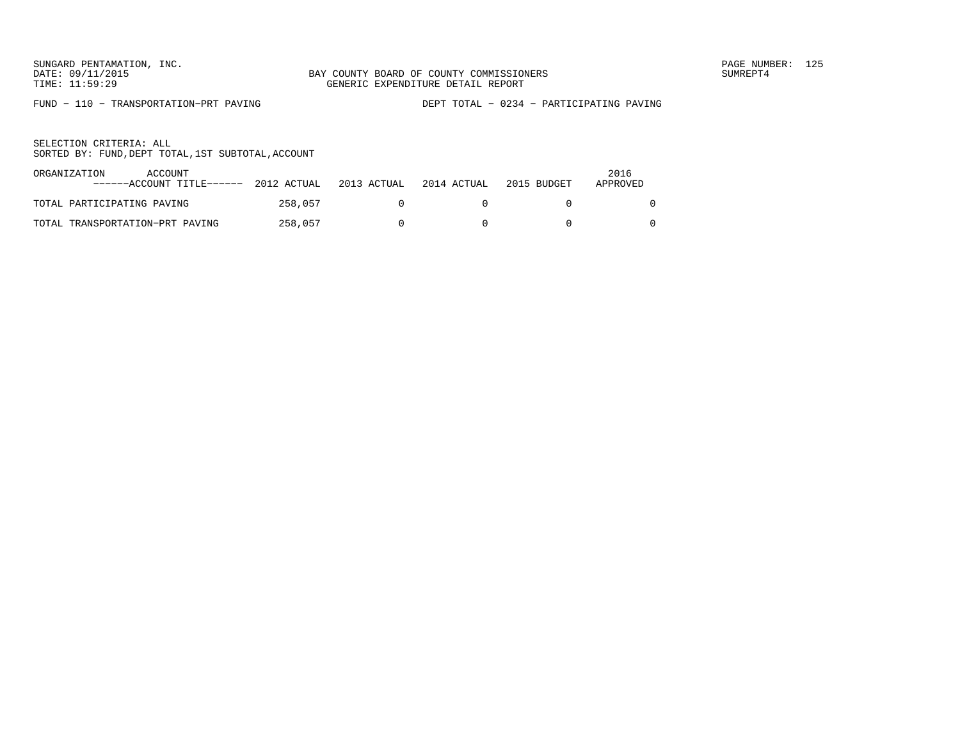FUND − 110 − TRANSPORTATION−PRT PAVING DEPT TOTAL − 0234 − PARTICIPATING PAVING

| ORGANIZATION               | ACCOUNT<br>------ACCOUNT TITLE------ | 2012 ACTUAL | 2013 ACTUAL | 2014 ACTUAL | 2015 BUDGET | 2016<br>APPROVED |
|----------------------------|--------------------------------------|-------------|-------------|-------------|-------------|------------------|
| TOTAL PARTICIPATING PAVING |                                      | 258.057     |             |             |             |                  |
|                            | TOTAL TRANSPORTATION-PRT PAVING      | 258,057     |             |             |             |                  |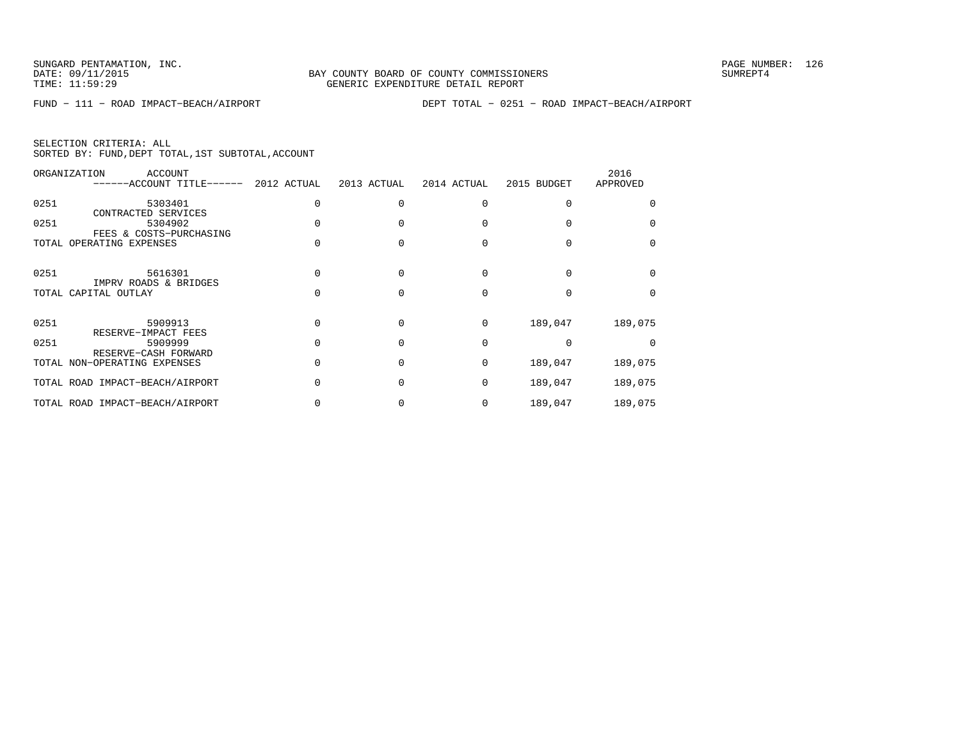|  | SELECTION CRITERIA: ALL |                                                    |  |
|--|-------------------------|----------------------------------------------------|--|
|  |                         | SORTED BY: FUND, DEPT TOTAL, 1ST SUBTOTAL, ACCOUNT |  |

|      | ORGANIZATION<br>ACCOUNT<br>------ACCOUNT TITLE------ | 2012 ACTUAL | 2013 ACTUAL | 2014 ACTUAL | 2015 BUDGET | 2016<br>APPROVED |
|------|------------------------------------------------------|-------------|-------------|-------------|-------------|------------------|
| 0251 | 5303401<br>CONTRACTED SERVICES                       |             |             |             |             |                  |
| 0251 | 5304902<br>FEES & COSTS-PURCHASING                   |             |             |             |             |                  |
|      | TOTAL OPERATING EXPENSES                             |             |             |             |             |                  |
| 0251 | 5616301<br>IMPRV ROADS & BRIDGES                     |             |             |             |             |                  |
|      | TOTAL CAPITAL OUTLAY                                 |             |             |             |             |                  |
| 0251 | 5909913<br>RESERVE-IMPACT FEES                       |             |             | $\Omega$    | 189,047     | 189,075          |
| 0251 | 5909999<br>RESERVE-CASH FORWARD                      |             |             | $\Omega$    |             |                  |
|      | TOTAL NON-OPERATING EXPENSES                         |             |             | $\Omega$    | 189,047     | 189,075          |
|      | TOTAL ROAD IMPACT-BEACH/AIRPORT                      |             |             | $\Omega$    | 189,047     | 189,075          |
|      | TOTAL ROAD IMPACT-BEACH/AIRPORT                      |             |             | $\Omega$    | 189,047     | 189,075          |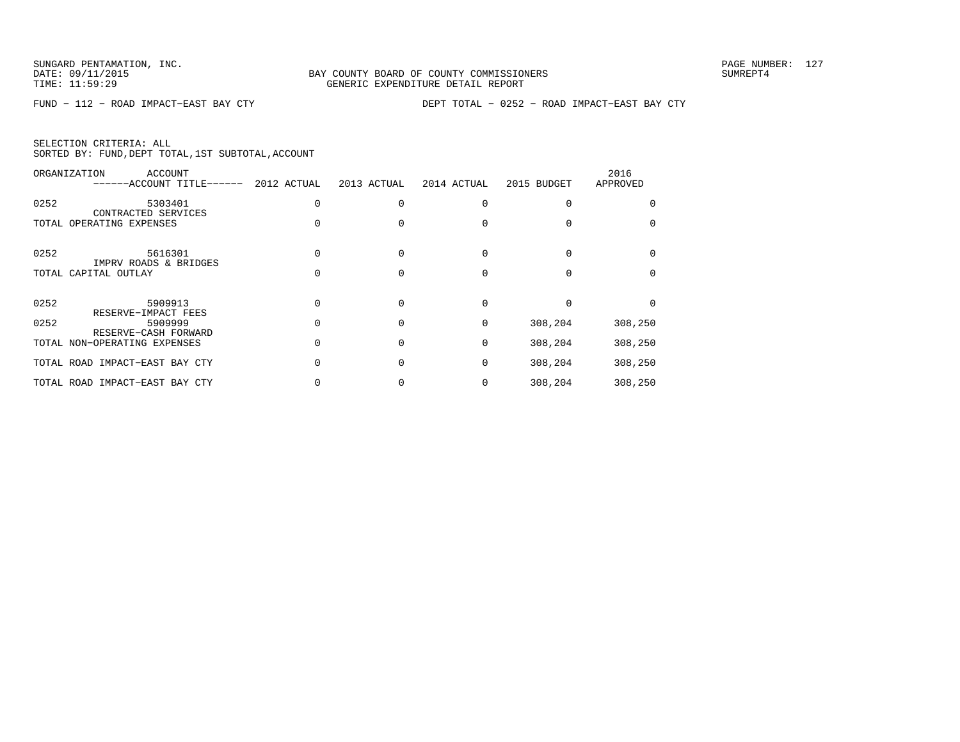|  | SELECTION CRITERIA: ALL |                                                    |  |
|--|-------------------------|----------------------------------------------------|--|
|  |                         | SORTED BY: FUND, DEPT TOTAL, 1ST SUBTOTAL, ACCOUNT |  |

|      | ORGANIZATION<br>ACCOUNT<br>------ACCOUNT TITLE------ | 2012 ACTUAL | 2013 ACTUAL | 2014 ACTUAL | 2015 BUDGET | 2016<br>APPROVED |
|------|------------------------------------------------------|-------------|-------------|-------------|-------------|------------------|
| 0252 | 5303401<br>CONTRACTED SERVICES                       |             |             |             |             |                  |
|      | TOTAL OPERATING EXPENSES                             |             |             |             |             |                  |
| 0252 | 5616301                                              |             |             |             |             |                  |
|      | IMPRV ROADS & BRIDGES<br>TOTAL CAPITAL OUTLAY        |             |             |             |             |                  |
| 0252 | 5909913                                              |             |             | 0           |             |                  |
| 0252 | RESERVE-IMPACT FEES<br>5909999                       |             |             | 0           | 308,204     | 308,250          |
|      | RESERVE-CASH FORWARD<br>TOTAL NON-OPERATING EXPENSES |             |             | 0           | 308,204     | 308,250          |
|      | TOTAL ROAD IMPACT-EAST BAY CTY                       |             |             | $\Omega$    | 308,204     | 308,250          |
|      | TOTAL ROAD IMPACT-EAST BAY CTY                       |             |             | 0           | 308,204     | 308,250          |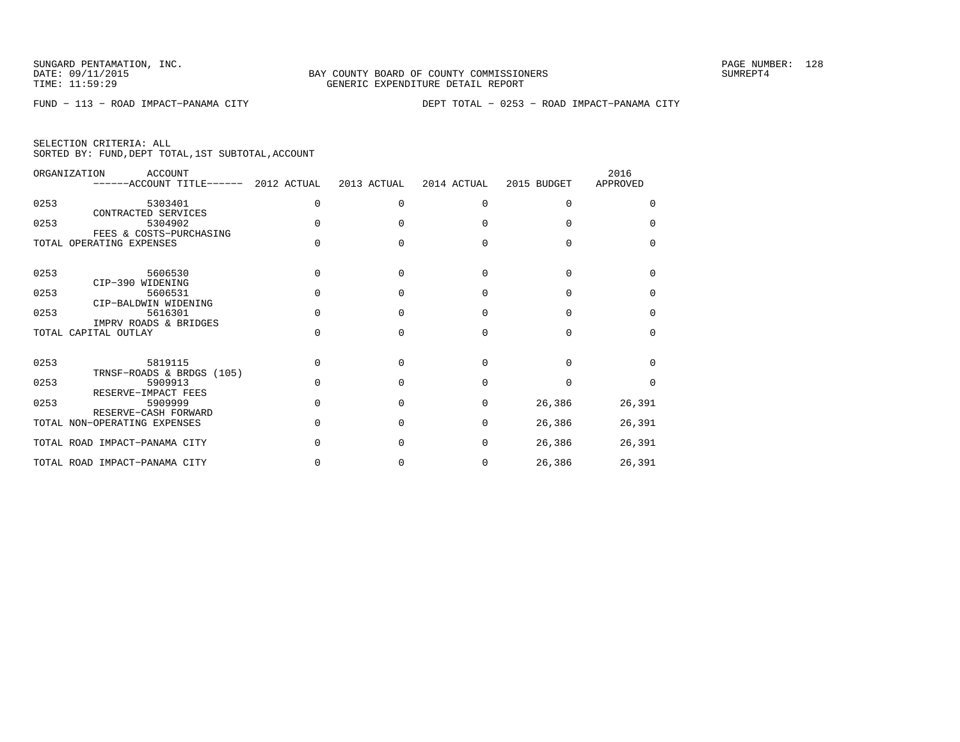|  | SELECTION CRITERIA: ALL                            |  |  |  |
|--|----------------------------------------------------|--|--|--|
|  | SORTED BY: FUND, DEPT TOTAL, 1ST SUBTOTAL, ACCOUNT |  |  |  |

|      | ORGANIZATION<br>ACCOUNT<br>------ACCOUNT TITLE------ 2012 ACTUAL | 2013 ACTUAL | 2014 ACTUAL  | 2015 BUDGET | 2016<br>APPROVED |
|------|------------------------------------------------------------------|-------------|--------------|-------------|------------------|
| 0253 | 5303401                                                          | $\Omega$    | $\Omega$     | O           | <sup>n</sup>     |
| 0253 | CONTRACTED SERVICES<br>5304902                                   |             |              |             | $\Omega$         |
|      | FEES & COSTS-PURCHASING<br>TOTAL OPERATING EXPENSES              |             |              |             | $\Omega$         |
| 0253 | 5606530                                                          |             | U            | U           | U                |
| 0253 | CIP-390 WIDENING<br>5606531                                      |             |              | U           | <sup>0</sup>     |
| 0253 | CIP-BALDWIN WIDENING<br>5616301                                  | n           | <sup>0</sup> | U           | <sup>0</sup>     |
|      | IMPRV ROADS & BRIDGES<br>TOTAL CAPITAL OUTLAY                    |             | ∩            |             | <sup>0</sup>     |
| 0253 | 5819115                                                          |             |              |             | U                |
| 0253 | TRNSF-ROADS & BRDGS (105)<br>5909913                             |             |              |             | $\cap$           |
| 0253 | RESERVE-IMPACT FEES<br>5909999<br>RESERVE-CASH FORWARD           | $\cap$      | $\Omega$     | 26,386      | 26,391           |
|      | TOTAL NON-OPERATING EXPENSES                                     |             | <sup>0</sup> | 26,386      | 26,391           |
|      | TOTAL ROAD IMPACT-PANAMA CITY                                    |             | <sup>0</sup> | 26,386      | 26,391           |
|      | TOTAL ROAD IMPACT-PANAMA CITY                                    |             | 0            | 26,386      | 26,391           |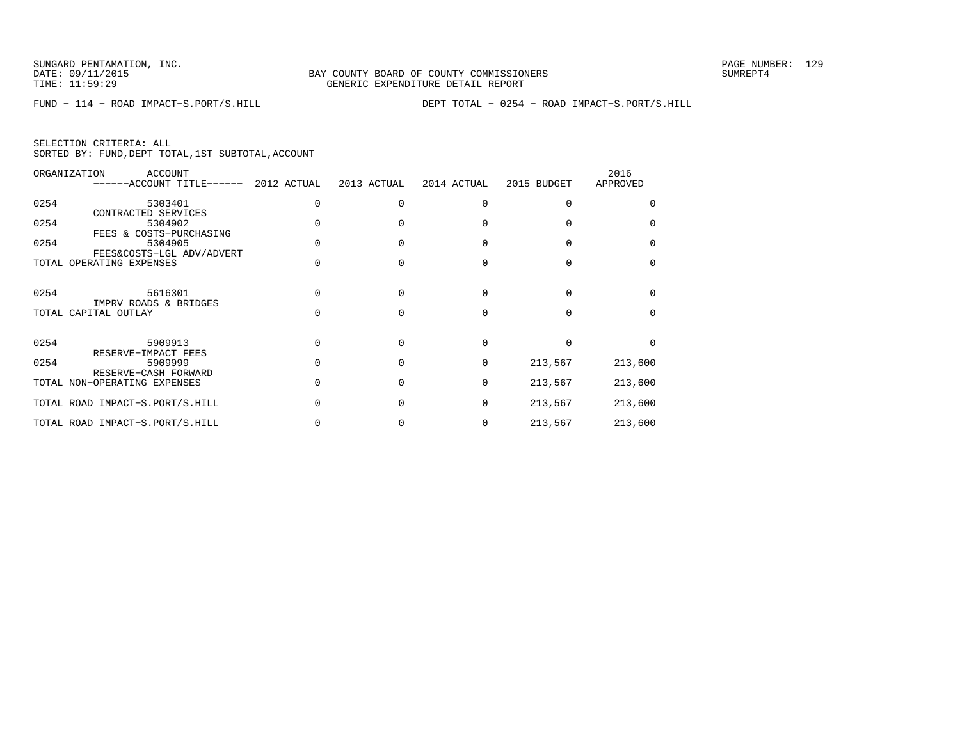|  | SELECTION CRITERIA: ALL |                                                    |  |
|--|-------------------------|----------------------------------------------------|--|
|  |                         | SORTED BY: FUND, DEPT TOTAL, 1ST SUBTOTAL, ACCOUNT |  |

|      | ORGANIZATION<br><b>ACCOUNT</b><br>------ACCOUNT TITLE------ | 2012 ACTUAL | 2013 ACTUAL  | 2014 ACTUAL  | 2015 BUDGET | 2016<br>APPROVED |
|------|-------------------------------------------------------------|-------------|--------------|--------------|-------------|------------------|
| 0254 | 5303401<br>CONTRACTED SERVICES                              |             |              | <sup>0</sup> |             |                  |
| 0254 | 5304902<br>FEES & COSTS-PURCHASING                          |             |              |              |             |                  |
| 0254 | 5304905<br>FEES&COSTS-LGL ADV/ADVERT                        |             |              |              |             | <sup>n</sup>     |
|      | TOTAL OPERATING EXPENSES                                    |             |              |              |             | $\Omega$         |
| 0254 | 5616301<br>IMPRV ROADS & BRIDGES                            |             |              | $\Omega$     |             |                  |
|      | TOTAL CAPITAL OUTLAY                                        |             |              |              |             | n                |
| 0254 | 5909913<br>RESERVE-IMPACT FEES                              |             | $\cap$       | $\Omega$     |             |                  |
| 0254 | 5909999<br>RESERVE-CASH FORWARD                             |             | $\Omega$     | 0            | 213,567     | 213,600          |
|      | TOTAL NON-OPERATING EXPENSES                                |             | <sup>0</sup> | $\Omega$     | 213,567     | 213,600          |
|      | TOTAL ROAD IMPACT-S.PORT/S.HILL                             |             |              | $\Omega$     | 213,567     | 213,600          |
|      | TOTAL ROAD IMPACT-S.PORT/S.HILL                             |             |              | $\Omega$     | 213,567     | 213,600          |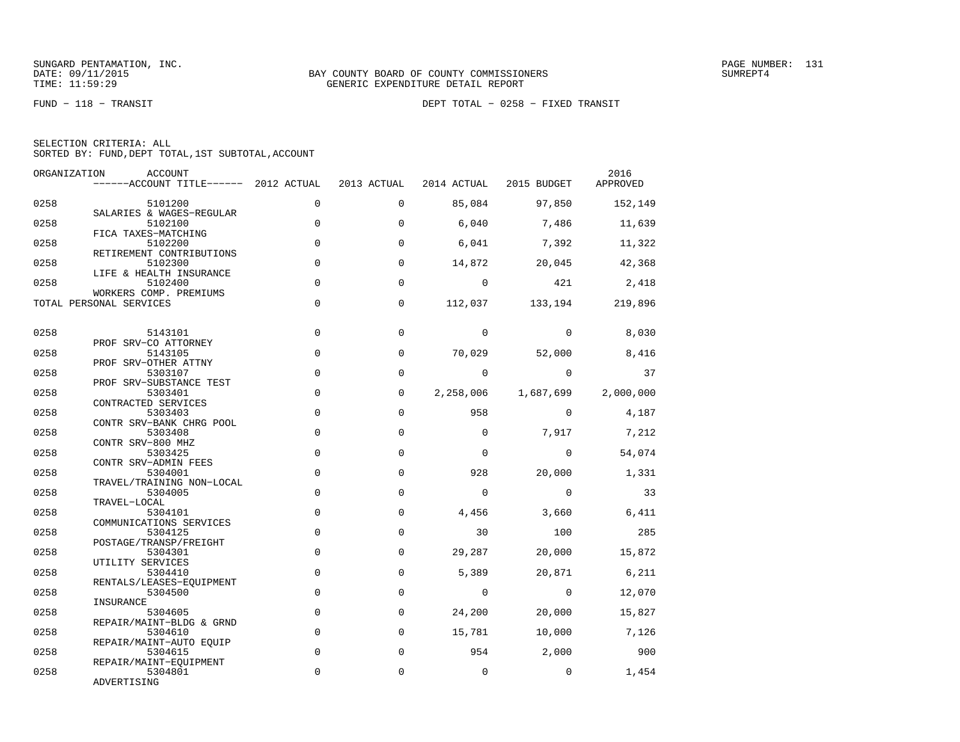FUND − 118 − TRANSIT DEPT TOTAL − 0258 − FIXED TRANSIT

| SELECTION CRITERIA: ALL |  |  |                                                    |  |
|-------------------------|--|--|----------------------------------------------------|--|
|                         |  |  | SORTED BY: FUND, DEPT TOTAL, 1ST SUBTOTAL, ACCOUNT |  |

| ORGANIZATION | ACCOUNT<br>------ACCOUNT TITLE------ 2012 ACTUAL 2013 ACTUAL |             |              |                | 2014 ACTUAL 2015 BUDGET | 2016<br>APPROVED |
|--------------|--------------------------------------------------------------|-------------|--------------|----------------|-------------------------|------------------|
| 0258         | 5101200                                                      | $\Omega$    | $\Omega$     | 85,084         | 97,850                  | 152,149          |
| 0258         | SALARIES & WAGES-REGULAR<br>5102100                          | $\mathbf 0$ | $\Omega$     | 6,040          | 7,486                   | 11,639           |
| 0258         | FICA TAXES-MATCHING<br>5102200                               | 0           | 0            | 6,041          | 7,392                   | 11,322           |
| 0258         | RETIREMENT CONTRIBUTIONS<br>5102300                          | $\mathbf 0$ | $\mathbf 0$  | 14,872         | 20,045                  | 42,368           |
| 0258         | LIFE & HEALTH INSURANCE<br>5102400                           | $\Omega$    | $\Omega$     | $\Omega$       | 421                     | 2,418            |
|              | WORKERS COMP. PREMIUMS<br>TOTAL PERSONAL SERVICES            | $\mathbf 0$ | 0            |                | 112,037 133,194 219,896 |                  |
| 0258         | 5143101                                                      | $\mathbf 0$ | $\mathbf 0$  | $\Omega$       | $\Omega$                | 8,030            |
| 0258         | PROF SRV-CO ATTORNEY<br>5143105                              | $\Omega$    | $\Omega$     | 70,029         | 52,000                  | 8,416            |
| 0258         | PROF SRV-OTHER ATTNY<br>5303107                              | $\mathbf 0$ | 0            | $\Omega$       | $\Omega$                | 37               |
| 0258         | PROF SRV-SUBSTANCE TEST<br>5303401<br>CONTRACTED SERVICES    | $\mathbf 0$ | 0            | 2,258,006      | 1,687,699               | 2,000,000        |
| 0258         | 5303403<br>CONTR SRV-BANK CHRG POOL                          | $\mathbf 0$ | $\mathsf{O}$ | 958            | $\mathbf{0}$            | 4,187            |
| 0258         | 5303408<br>CONTR SRV-800 MHZ                                 | $\Omega$    | $\Omega$     | $\Omega$       | 7,917                   | 7,212            |
| 0258         | 5303425<br>CONTR SRV-ADMIN FEES                              | $\mathbf 0$ | 0            | $\mathbf 0$    | $\overline{0}$          | 54,074           |
| 0258         | 5304001<br>TRAVEL/TRAINING NON-LOCAL                         | $\mathbf 0$ | 0            | 928            | 20,000                  | 1,331            |
| 0258         | 5304005<br>TRAVEL-LOCAL                                      | $\Omega$    | $\Omega$     | $\Omega$       | $\Omega$                | 33               |
| 0258         | 5304101<br>COMMUNICATIONS SERVICES                           | $\mathbf 0$ | 0            | 4,456          | 3,660                   | 6,411            |
| 0258         | 5304125<br>POSTAGE/TRANSP/FREIGHT                            | $\Omega$    | $\Omega$     | 30             | 100                     | 285              |
| 0258         | 5304301<br>UTILITY SERVICES                                  | 0           | 0            | 29,287         | 20,000                  | 15,872           |
| 0258         | 5304410<br>RENTALS/LEASES-EOUIPMENT                          | $\Omega$    | $\Omega$     | 5,389          | 20,871                  | 6,211            |
| 0258         | 5304500<br>INSURANCE                                         | $\mathbf 0$ | $\mathsf{O}$ | $\overline{0}$ | $\overline{0}$          | 12,070           |
| 0258         | 5304605<br>REPAIR/MAINT-BLDG & GRND                          | $\mathbf 0$ | 0            | 24,200         | 20,000                  | 15,827           |
| 0258         | 5304610<br>REPAIR/MAINT-AUTO EQUIP                           | $\mathbf 0$ | $\mathbf 0$  | 15,781         | 10,000                  | 7,126            |
| 0258         | 5304615<br>REPAIR/MAINT-EQUIPMENT                            | $\mathbf 0$ | $\mathbf 0$  | 954            | 2,000                   | 900              |
| 0258         | 5304801<br>ADVERTISING                                       | 0           | 0            | $\mathbf 0$    | $\overline{0}$          | 1,454            |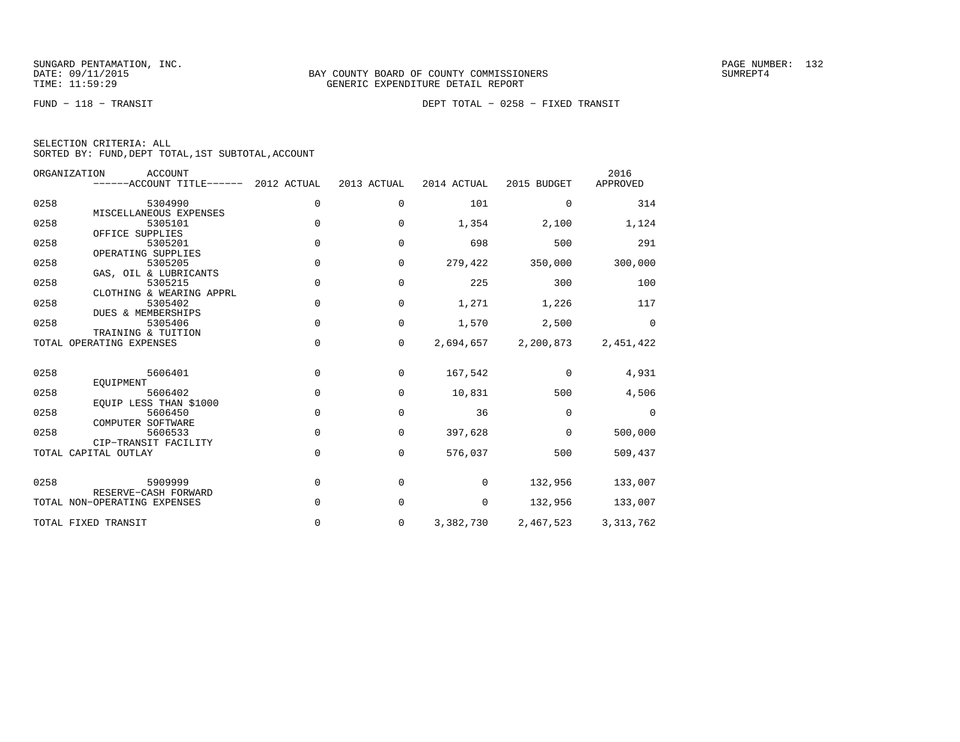FUND − 118 − TRANSIT DEPT TOTAL − 0258 − FIXED TRANSIT

|  | SELECTION CRITERIA: ALL |                                                    |  |
|--|-------------------------|----------------------------------------------------|--|
|  |                         | SORTED BY: FUND, DEPT TOTAL, 1ST SUBTOTAL, ACCOUNT |  |

| ORGANIZATION | <b>ACCOUNT</b><br>------ACCOUNT TITLE------          | 2012 ACTUAL | 2013 ACTUAL | 2014 ACTUAL | 2015 BUDGET | 2016<br>APPROVED |
|--------------|------------------------------------------------------|-------------|-------------|-------------|-------------|------------------|
| 0258         | 5304990                                              | $\mathbf 0$ | $\mathbf 0$ | 101         | $\Omega$    | 314              |
| 0258         | MISCELLANEOUS EXPENSES<br>5305101<br>OFFICE SUPPLIES | $\mathbf 0$ | 0           | 1,354       | 2,100       | 1,124            |
| 0258         | 5305201<br>OPERATING SUPPLIES                        | $\Omega$    | $\Omega$    | 698         | 500         | 291              |
| 0258         | 5305205<br>GAS, OIL & LUBRICANTS                     | $\mathbf 0$ | 0           | 279,422     | 350,000     | 300,000          |
| 0258         | 5305215<br>CLOTHING & WEARING APPRL                  | $\mathbf 0$ | 0           | 225         | 300         | 100              |
| 0258         | 5305402<br>DUES & MEMBERSHIPS                        | $\mathsf 0$ | $\mathbf 0$ | 1,271       | 1,226       | 117              |
| 0258         | 5305406<br>TRAINING & TUITION                        | $\mathbf 0$ | $\mathbf 0$ | 1,570       | 2,500       | $\mathbf 0$      |
|              | TOTAL OPERATING EXPENSES                             | $\mathbf 0$ | $\mathbf 0$ | 2,694,657   | 2,200,873   | 2,451,422        |
| 0258         | 5606401<br>EOUIPMENT                                 | $\Omega$    | $\Omega$    | 167,542     | $\Omega$    | 4,931            |
| 0258         | 5606402<br>EQUIP LESS THAN \$1000                    | $\mathbf 0$ | 0           | 10,831      | 500         | 4,506            |
| 0258         | 5606450<br>COMPUTER SOFTWARE                         | $\Omega$    | $\Omega$    | 36          | $\Omega$    | $\Omega$         |
| 0258         | 5606533<br>CIP-TRANSIT FACILITY                      | $\mathbf 0$ | 0           | 397,628     | $\mathbf 0$ | 500,000          |
|              | TOTAL CAPITAL OUTLAY                                 | $\mathbf 0$ | 0           | 576,037     | 500         | 509,437          |
| 0258         | 5909999<br>RESERVE-CASH FORWARD                      | $\mathbf 0$ | 0           | 0           | 132,956     | 133,007          |
|              | TOTAL NON-OPERATING EXPENSES                         | $\Omega$    | 0           | 0           | 132,956     | 133,007          |
|              | TOTAL FIXED TRANSIT                                  | 0           | 0           | 3,382,730   | 2,467,523   | 3, 313, 762      |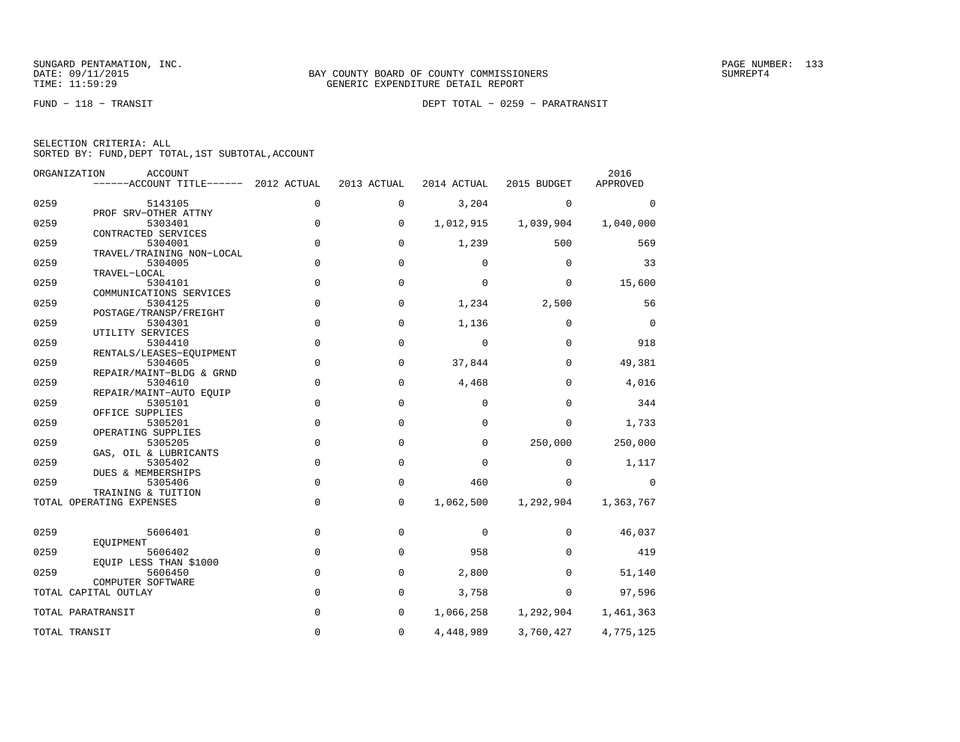FUND − 118 − TRANSIT DEPT TOTAL − 0259 − PARATRANSIT

|  | SELECTION CRITERIA: ALL |                                                    |  |
|--|-------------------------|----------------------------------------------------|--|
|  |                         | SORTED BY: FUND, DEPT TOTAL, 1ST SUBTOTAL, ACCOUNT |  |

|      | ORGANIZATION<br><b>ACCOUNT</b><br>$----ACCOUNT$ TITLE $----$ 2012 ACTUAL |             | 2013 ACTUAL | 2014 ACTUAL | 2015 BUDGET | 2016<br>APPROVED |
|------|--------------------------------------------------------------------------|-------------|-------------|-------------|-------------|------------------|
|      |                                                                          |             |             |             |             |                  |
| 0259 | 5143105<br>PROF SRV-OTHER ATTNY                                          | 0           | 0           | 3,204       | $\Omega$    | $\Omega$         |
| 0259 | 5303401                                                                  | 0           | 0           | 1,012,915   | 1,039,904   | 1,040,000        |
|      | CONTRACTED SERVICES                                                      |             |             |             |             |                  |
| 0259 | 5304001                                                                  | 0           | $\mathbf 0$ | 1,239       | 500         | 569              |
| 0259 | TRAVEL/TRAINING NON-LOCAL<br>5304005                                     | 0           | $\mathbf 0$ | $\Omega$    | $\mathbf 0$ | 33               |
|      | TRAVEL-LOCAL                                                             |             |             |             |             |                  |
| 0259 | 5304101                                                                  | $\mathbf 0$ | $\mathbf 0$ | $\mathbf 0$ | 0           | 15,600           |
|      | COMMUNICATIONS SERVICES                                                  |             |             |             |             |                  |
| 0259 | 5304125<br>POSTAGE/TRANSP/FREIGHT                                        | 0           | 0           | 1,234       | 2,500       | 56               |
| 0259 | 5304301                                                                  | 0           | $\mathbf 0$ | 1,136       | $\mathbf 0$ | $\mathbf 0$      |
|      | UTILITY SERVICES                                                         |             |             |             |             |                  |
| 0259 | 5304410                                                                  | 0           | $\mathbf 0$ | $\mathbf 0$ | $\mathbf 0$ | 918              |
|      | RENTALS/LEASES-EQUIPMENT                                                 |             |             |             |             |                  |
| 0259 | 5304605<br>REPAIR/MAINT-BLDG & GRND                                      | 0           | $\mathbf 0$ | 37,844      | $\Omega$    | 49,381           |
| 0259 | 5304610                                                                  | 0           | $\mathbf 0$ | 4,468       | 0           | 4,016            |
|      | REPAIR/MAINT-AUTO EOUIP                                                  |             |             |             |             |                  |
| 0259 | 5305101                                                                  | 0           | $\mathbf 0$ | $\mathbf 0$ | $\Omega$    | 344              |
|      | OFFICE SUPPLIES                                                          |             |             |             |             |                  |
| 0259 | 5305201<br>OPERATING SUPPLIES                                            | $\mathbf 0$ | $\mathbf 0$ | $\Omega$    | $\Omega$    | 1,733            |
| 0259 | 5305205                                                                  | $\mathbf 0$ | $\mathbf 0$ | $\mathbf 0$ | 250,000     | 250,000          |
|      | GAS, OIL & LUBRICANTS                                                    |             |             |             |             |                  |
| 0259 | 5305402                                                                  | 0           | $\mathbf 0$ | $\mathbf 0$ | $\mathbf 0$ | 1,117            |
|      | DUES & MEMBERSHIPS                                                       |             |             |             |             |                  |
| 0259 | 5305406                                                                  | 0           | $\mathbf 0$ | 460         | 0           | 0                |
|      | TRAINING & TUITION<br>TOTAL OPERATING EXPENSES                           | 0           | $\mathbf 0$ | 1,062,500   | 1,292,904   | 1,363,767        |
|      |                                                                          |             |             |             |             |                  |
| 0259 | 5606401                                                                  | $\mathbf 0$ | $\mathbf 0$ | 0           | $\mathbf 0$ | 46,037           |
|      | EOUIPMENT                                                                |             |             |             |             |                  |
| 0259 | 5606402                                                                  | 0           | $\mathbf 0$ | 958         | $\Omega$    | 419              |
|      | EQUIP LESS THAN \$1000                                                   | 0           |             |             | $\Omega$    |                  |
| 0259 | 5606450<br>COMPUTER SOFTWARE                                             |             | 0           | 2,800       |             | 51,140           |
|      | TOTAL CAPITAL OUTLAY                                                     | 0           | $\mathbf 0$ | 3,758       | $\Omega$    | 97,596           |
|      |                                                                          |             |             |             |             |                  |
|      | TOTAL PARATRANSIT                                                        | 0           | $\mathbf 0$ | 1,066,258   | 1,292,904   | 1,461,363        |
|      | TOTAL TRANSIT                                                            | 0           | $\mathbf 0$ | 4,448,989   | 3,760,427   | 4,775,125        |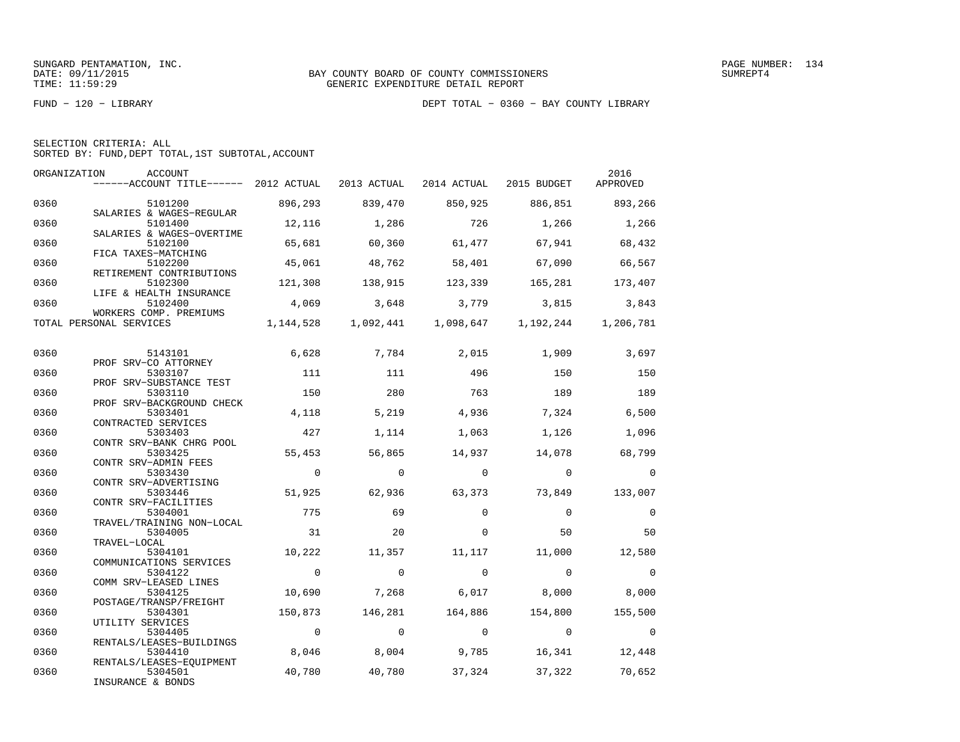|  | SELECTION CRITERIA: ALL                            |  |  |
|--|----------------------------------------------------|--|--|
|  | SORTED BY: FUND, DEPT TOTAL, 1ST SUBTOTAL, ACCOUNT |  |  |

| ORGANIZATION | ACCOUNT<br>------ACCOUNT TITLE------ 2012 ACTUAL |                         | 2013 ACTUAL      | 2014 ACTUAL 2015 BUDGET |                                                 | 2016<br>APPROVED |
|--------------|--------------------------------------------------|-------------------------|------------------|-------------------------|-------------------------------------------------|------------------|
| 0360         | 5101200<br>SALARIES & WAGES-REGULAR              | 896,293                 | 839,470          | 850,925                 | 886,851 893,266                                 |                  |
| 0360         | 5101400<br>SALARIES & WAGES-OVERTIME             | 12,116                  | 1,286            | 726                     | 1,266                                           | 1,266            |
| 0360         | 5102100<br>FICA TAXES-MATCHING                   | 65,681                  | 60,360           | 61,477                  | 67,941                                          | 68,432           |
| 0360         | 5102200<br>RETIREMENT CONTRIBUTIONS              | 45,061                  | 48,762           | 58,401                  | 67,090                                          | 66,567           |
| 0360         | 5102300<br>LIFE & HEALTH INSURANCE               | 121,308                 | 138,915          | 123,339                 | 165,281 173,407                                 |                  |
| 0360         | 5102400<br>WORKERS COMP. PREMIUMS                | 4,069                   |                  |                         | 3,648 3,779 3,815 3,843                         |                  |
|              | TOTAL PERSONAL SERVICES                          |                         |                  |                         | 1, 144, 528 1, 092, 441 1, 098, 647 1, 192, 244 | 1,206,781        |
| 0360         | 5143101<br>PROF SRV-CO ATTORNEY                  | 6,628                   | 7,784            | 2,015                   | 1,909                                           | 3,697            |
| 0360         | 5303107<br>PROF SRV-SUBSTANCE TEST               | 111                     | 111              | 496                     | 150                                             | 150              |
| 0360         | 5303110<br>PROF SRV-BACKGROUND CHECK             | 150                     | 280              | 763                     | 189                                             | 189              |
| 0360         | 5303401<br>CONTRACTED SERVICES                   | 4,118                   | 5,219            | 4,936                   | 7,324                                           | 6,500            |
| 0360         | 5303403<br>CONTR SRV-BANK CHRG POOL              | 427                     | 1,114            | 1,063                   | 1,126                                           | 1,096            |
| 0360         | 5303425<br>CONTR SRV-ADMIN FEES                  | 55,453                  | 56,865           | 14,937                  | 14,078                                          | 68,799           |
| 0360         | 5303430<br>CONTR SRV-ADVERTISING                 | $\overline{0}$          | $\Omega$         | $\bigcirc$              | $\overline{0}$                                  | $\overline{0}$   |
| 0360         | 5303446<br>CONTR SRV-FACILITIES                  | 51,925                  | 62,936           | 63,373                  | 73,849                                          | 133,007          |
| 0360         | 5304001<br>TRAVEL/TRAINING NON-LOCAL             | 775                     | 69               | $\Omega$                | $\overline{0}$                                  | $\Omega$         |
| 0360         | 5304005<br>TRAVEL-LOCAL                          | 31                      | 20               | $\Omega$                | 50                                              | 50               |
| 0360         | 5304101<br>COMMUNICATIONS SERVICES               | 10,222                  | 11,357           | 11,117                  | 11,000                                          | 12,580           |
| 0360         | 5304122<br>COMM SRV-LEASED LINES                 | $\overline{0}$          | $\mathbf 0$      | $\overline{0}$          | $\overline{0}$                                  | $\overline{0}$   |
| 0360         | 5304125<br>POSTAGE/TRANSP/FREIGHT                | 10,690                  | 7,268            | 6,017                   | 8,000                                           | 8,000            |
| 0360         | 5304301<br>UTILITY SERVICES                      | 150,873                 | 146,281          | 164,886<br>$\bigcirc$   | 154,800                                         | 155,500          |
| 0360         | 5304405<br>RENTALS/LEASES-BUILDINGS              | $\overline{0}$<br>8,046 | $\circ$<br>8,004 |                         | $\overline{0}$                                  | $\overline{0}$   |
| 0360<br>0360 | 5304410<br>RENTALS/LEASES-EQUIPMENT              | 40,780                  | 40,780           | 9,785<br>37,324         | 16,341<br>37,322                                | 12,448<br>70,652 |
|              | 5304501<br>INSURANCE & BONDS                     |                         |                  |                         |                                                 |                  |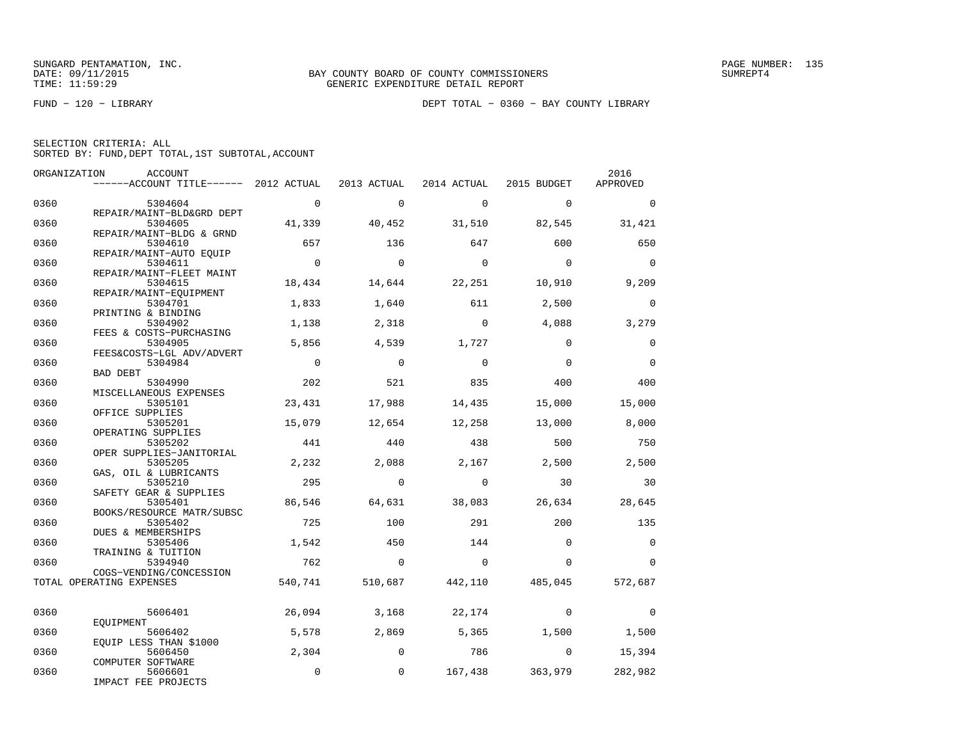|  | SELECTION CRITERIA: ALL |  |                                                    |  |
|--|-------------------------|--|----------------------------------------------------|--|
|  |                         |  | SORTED BY: FUND, DEPT TOTAL, 1ST SUBTOTAL, ACCOUNT |  |

| ORGANIZATION | ACCOUNT<br>------ACCOUNT TITLE------ 2012 ACTUAL    |                | 2013 ACTUAL    | 2014 ACTUAL             |                 | 2016<br>APPROVED |
|--------------|-----------------------------------------------------|----------------|----------------|-------------------------|-----------------|------------------|
|              |                                                     |                |                |                         | 2015 BUDGET     |                  |
| 0360         | 5304604                                             | $\overline{0}$ | $\Omega$       | $\Omega$                | $\Omega$        | $\Omega$         |
|              | REPAIR/MAINT-BLD&GRD DEPT                           |                |                |                         |                 |                  |
| 0360         | 5304605                                             | 41,339         | 40,452         | 31,510                  | 82,545          | 31,421           |
| 0360         | REPAIR/MAINT-BLDG & GRND<br>5304610                 | 657            | 136            | 647                     | 600             | 650              |
|              | REPAIR/MAINT-AUTO EQUIP                             |                |                |                         |                 |                  |
| 0360         | 5304611                                             | $\overline{0}$ | $\overline{0}$ | $\overline{0}$          | $\overline{0}$  | $\Omega$         |
|              | REPAIR/MAINT-FLEET MAINT                            |                |                |                         |                 |                  |
| 0360         | 5304615                                             | 18,434         | 14,644         | 22,251                  | 10,910          | 9,209            |
|              | REPAIR/MAINT-EQUIPMENT                              |                |                |                         |                 |                  |
| 0360         | 5304701<br>PRINTING & BINDING                       | 1,833          | 1,640          | 611                     | 2,500           | $\mathbf 0$      |
| 0360         | 5304902                                             | 1,138          | 2,318          | $\Omega$                | 4,088           | 3,279            |
|              | FEES & COSTS-PURCHASING                             |                |                |                         |                 |                  |
| 0360         | 5304905                                             | 5,856          | 4,539          | 1,727                   | $\Omega$        | $\Omega$         |
|              | FEES&COSTS-LGL ADV/ADVERT                           |                |                |                         |                 |                  |
| 0360         | 5304984                                             | $\overline{0}$ | $\overline{0}$ | $\Omega$                | $\Omega$        | $\mathbf 0$      |
|              | BAD DEBT                                            |                |                |                         |                 |                  |
| 0360         | 5304990                                             | 202            | 521            | 835                     | 400             | 400              |
| 0360         | MISCELLANEOUS EXPENSES<br>5305101                   | 23,431         | 17,988         | 14,435                  | 15,000          | 15,000           |
|              | OFFICE SUPPLIES                                     |                |                |                         |                 |                  |
| 0360         | 5305201                                             | 15,079         | 12,654         | 12,258                  | 13,000          | 8,000            |
|              | OPERATING SUPPLIES                                  |                |                |                         |                 |                  |
| 0360         | 5305202                                             | 441            | 440            | 438                     | 500             | 750              |
|              | OPER SUPPLIES-JANITORIAL                            |                |                |                         |                 |                  |
| 0360         | 5305205                                             | 2,232          | 2,088          | 2,167                   | 2,500           | 2,500            |
|              | GAS, OIL & LUBRICANTS                               |                |                |                         |                 |                  |
| 0360         | 5305210                                             | 295            | $\Omega$       | $\Omega$                | 30              | 30               |
| 0360         | SAFETY GEAR & SUPPLIES<br>5305401                   | 86,546         | 64,631         | 38,083                  | 26,634          | 28,645           |
|              | BOOKS/RESOURCE MATR/SUBSC                           |                |                |                         |                 |                  |
| 0360         | 5305402                                             | 725            | 100            | 291                     | 200             | 135              |
|              | DUES & MEMBERSHIPS                                  |                |                |                         |                 |                  |
| 0360         | 5305406                                             | 1,542          | 450            | 144                     | $\Omega$        | $\Omega$         |
|              | TRAINING & TUITION                                  |                |                |                         |                 |                  |
| 0360         | 5394940                                             | 762            | $\overline{0}$ | $\overline{0}$          | $\Omega$        | $\Omega$         |
|              | COGS-VENDING/CONCESSION<br>TOTAL OPERATING EXPENSES | 540,741        |                | 510,687 442,110 485,045 |                 | 572,687          |
|              |                                                     |                |                |                         |                 |                  |
|              |                                                     |                |                |                         |                 |                  |
| 0360         | 5606401                                             | 26,094         | 3,168          | 22,174                  | $\mathbf 0$     | $\mathbf 0$      |
|              | EOUIPMENT                                           |                |                |                         |                 |                  |
| 0360         | 5606402<br>EOUIP LESS THAN \$1000                   | 5,578          | 2,869          | 5,365                   | 1,500           | 1,500            |
| 0360         | 5606450                                             | 2,304          | $\Omega$       | 786                     | $\overline{0}$  | 15,394           |
|              | COMPUTER SOFTWARE                                   |                |                |                         |                 |                  |
| 0360         | 5606601                                             | $\mathbf 0$    | $\mathbf 0$    |                         | 167,438 363,979 | 282,982          |
|              | IMPACT FEE PROJECTS                                 |                |                |                         |                 |                  |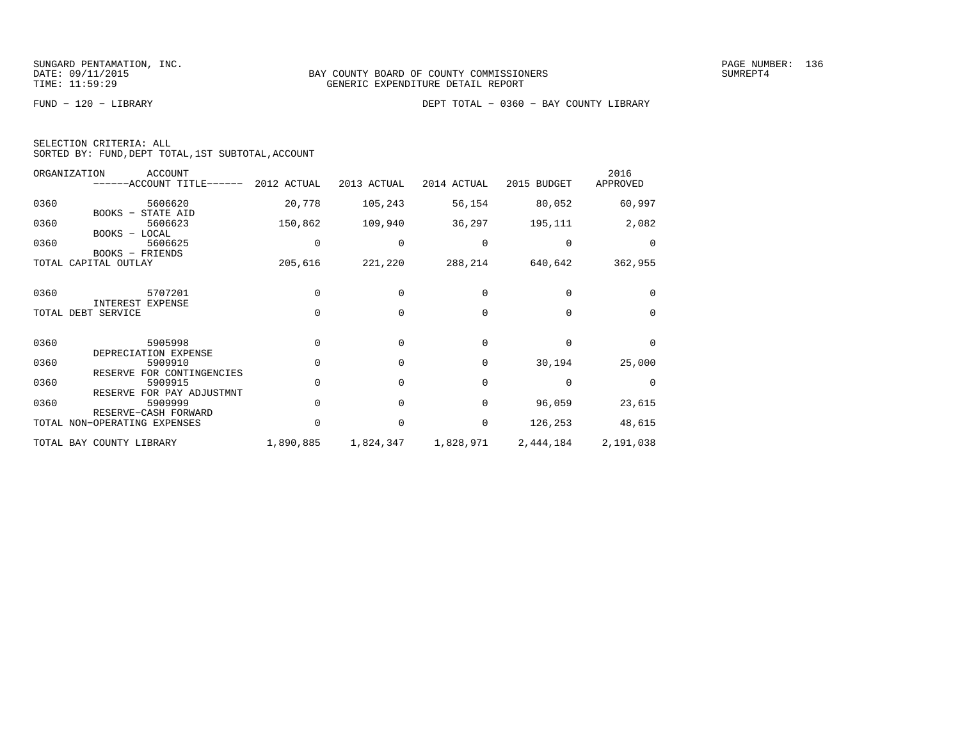| SELECTION CRITERIA: ALL |  |  |                                                    |  |
|-------------------------|--|--|----------------------------------------------------|--|
|                         |  |  | SORTED BY: FUND, DEPT TOTAL, 1ST SUBTOTAL, ACCOUNT |  |

|      | ORGANIZATION<br>ACCOUNT<br>------ACCOUNT TITLE------ 2012 ACTUAL  |           | 2013 ACTUAL | 2014 ACTUAL | 2015 BUDGET     | 2016<br>APPROVED |
|------|-------------------------------------------------------------------|-----------|-------------|-------------|-----------------|------------------|
| 0360 | 5606620<br>BOOKS - STATE AID                                      | 20,778    | 105,243     | 56,154      | 80,052          | 60,997           |
| 0360 | 5606623<br>BOOKS - LOCAL                                          | 150,862   | 109,940     | 36,297      | 195,111         | 2,082            |
| 0360 | 5606625<br>BOOKS - FRIENDS                                        |           | $\Omega$    | $\Omega$    | 0               | $\Omega$         |
|      | TOTAL CAPITAL OUTLAY                                              | 205,616   | 221,220     |             | 288,214 640,642 | 362,955          |
| 0360 | 5707201<br>INTEREST EXPENSE                                       |           | $\Omega$    | $\Omega$    | $\Omega$        | $\Omega$         |
|      | TOTAL DEBT SERVICE                                                | $\cap$    | $\Omega$    | $\cap$      | $\Omega$        | $\Omega$         |
| 0360 | 5905998<br>DEPRECIATION EXPENSE                                   |           | $\Omega$    | $\Omega$    | $\Omega$        | $\Omega$         |
| 0360 | 5909910                                                           |           | $\Omega$    | $\Omega$    | 30,194          | 25,000           |
| 0360 | RESERVE FOR CONTINGENCIES<br>5909915<br>RESERVE FOR PAY ADJUSTMNT | $\Omega$  | $\Omega$    | $\Omega$    | $\Omega$        | $\Omega$         |
| 0360 | 5909999<br>RESERVE-CASH FORWARD                                   |           | $\Omega$    | $\Omega$    | 96,059          | 23,615           |
|      | TOTAL NON-OPERATING EXPENSES                                      | $\Omega$  | $\mathbf 0$ | 0           | 126,253         | 48,615           |
|      | TOTAL BAY COUNTY LIBRARY                                          | 1,890,885 | 1,824,347   | 1,828,971   | 2,444,184       | 2,191,038        |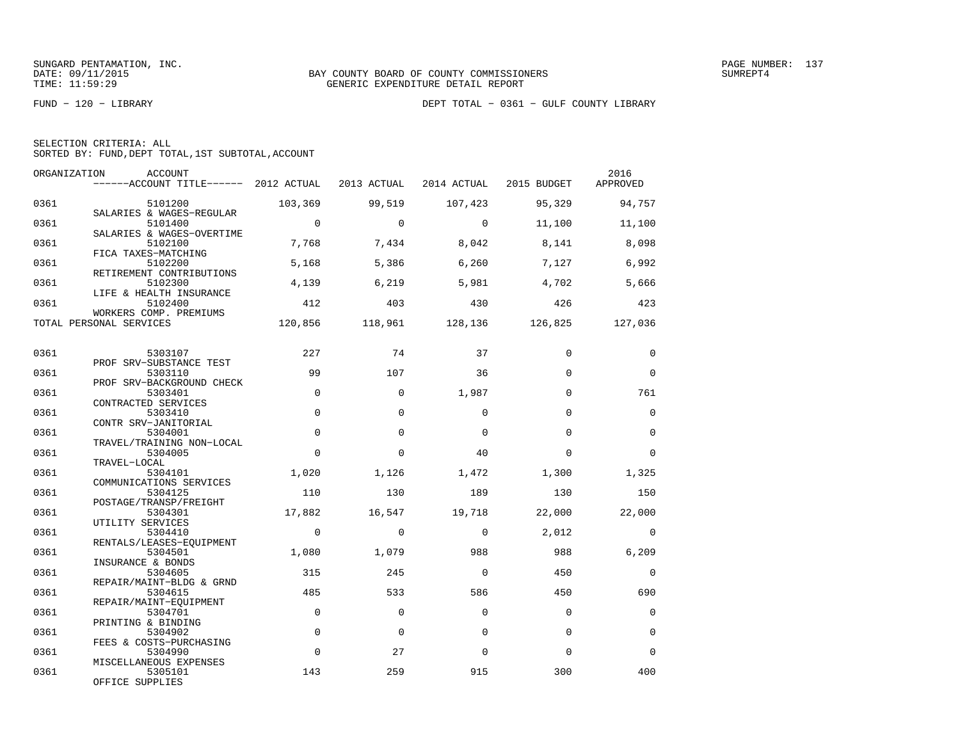| SELECTION CRITERIA: ALL |  |  |                                                    |  |
|-------------------------|--|--|----------------------------------------------------|--|
|                         |  |  | SORTED BY: FUND, DEPT TOTAL, 1ST SUBTOTAL, ACCOUNT |  |

| ORGANIZATION | ACCOUNT<br>$----ACCOUNT$ TITLE $---2012$ ACTUAL 2013 ACTUAL |                |          | 2014 ACTUAL 2015 BUDGET |                         | 2016<br>APPROVED |
|--------------|-------------------------------------------------------------|----------------|----------|-------------------------|-------------------------|------------------|
| 0361         | 5101200<br>SALARIES & WAGES-REGULAR                         | 103,369        | 99,519   | 107,423                 | 95,329                  | 94,757           |
| 0361         | 5101400<br>SALARIES & WAGES-OVERTIME                        | $\overline{0}$ | $\Omega$ | $\Omega$                | 11,100                  | 11,100           |
| 0361         | 5102100<br>FICA TAXES-MATCHING                              | 7,768          | 7,434    | 8,042                   | 8,141                   | 8,098            |
| 0361         | 5102200<br>RETIREMENT CONTRIBUTIONS                         | 5,168          | 5,386    | 6,260                   | 7,127                   | 6,992            |
| 0361         | 5102300<br>LIFE & HEALTH INSURANCE                          | 4,139          | 6,219    | 5,981                   | 4,702                   | 5,666            |
| 0361         | 5102400<br>WORKERS COMP. PREMIUMS                           | 412            | 403      | 430                     | 426                     | 423              |
|              | TOTAL PERSONAL SERVICES                                     | 120,856        |          |                         | 118,961 128,136 126,825 | 127,036          |
| 0361         | 5303107                                                     | 227            | 74       | 37                      | $\Omega$                | $\mathbf 0$      |
| 0361         | PROF SRV-SUBSTANCE TEST<br>5303110                          | 99             | 107      | 36                      | $\Omega$                | $\Omega$         |
| 0361         | PROF SRV-BACKGROUND CHECK<br>5303401<br>CONTRACTED SERVICES | $\Omega$       | $\Omega$ | 1,987                   | $\Omega$                | 761              |
| 0361         | 5303410<br>CONTR SRV-JANITORIAL                             | $\Omega$       | $\Omega$ | $\Omega$                | $\Omega$                | $\Omega$         |
| 0361         | 5304001<br>TRAVEL/TRAINING NON-LOCAL                        | $\Omega$       | $\Omega$ | $\Omega$                | $\Omega$                | $\Omega$         |
| 0361         | 5304005<br>TRAVEL-LOCAL                                     | $\Omega$       | $\Omega$ | 40                      | $\Omega$                | $\Omega$         |
| 0361         | 5304101<br>COMMUNICATIONS SERVICES                          | 1,020          | 1,126    | 1,472                   | 1,300                   | 1,325            |
| 0361         | 5304125<br>POSTAGE/TRANSP/FREIGHT                           | 110            | 130      | 189                     | 130                     | 150              |
| 0361         | 5304301<br>UTILITY SERVICES                                 | 17,882         | 16,547   | 19,718                  | 22,000                  | 22,000           |
| 0361         | 5304410<br>RENTALS/LEASES-EQUIPMENT                         | $\mathbf 0$    | $\Omega$ | $\Omega$                | 2,012                   | $\Omega$         |
| 0361         | 5304501<br>INSURANCE & BONDS                                | 1,080          | 1,079    | 988                     | 988                     | 6,209            |
| 0361         | 5304605<br>REPAIR/MAINT-BLDG & GRND                         | 315            | 245      | $\Omega$                | 450                     | $\Omega$         |
| 0361         | 5304615<br>REPAIR/MAINT-EOUIPMENT                           | 485            | 533      | 586                     | 450                     | 690              |
| 0361         | 5304701<br>PRINTING & BINDING                               | $\Omega$       | $\Omega$ | $\Omega$                | $\Omega$                | $\mathbf 0$      |
| 0361         | 5304902<br>FEES & COSTS-PURCHASING                          | $\Omega$       | $\Omega$ | $\Omega$                | $\Omega$                | $\Omega$         |
| 0361         | 5304990<br>MISCELLANEOUS EXPENSES                           | $\mathbf 0$    | 27       | $\Omega$                | $\Omega$                | $\Omega$         |
| 0361         | 5305101<br>OFFICE SUPPLIES                                  | 143            | 259      | 915                     | 300                     | 400              |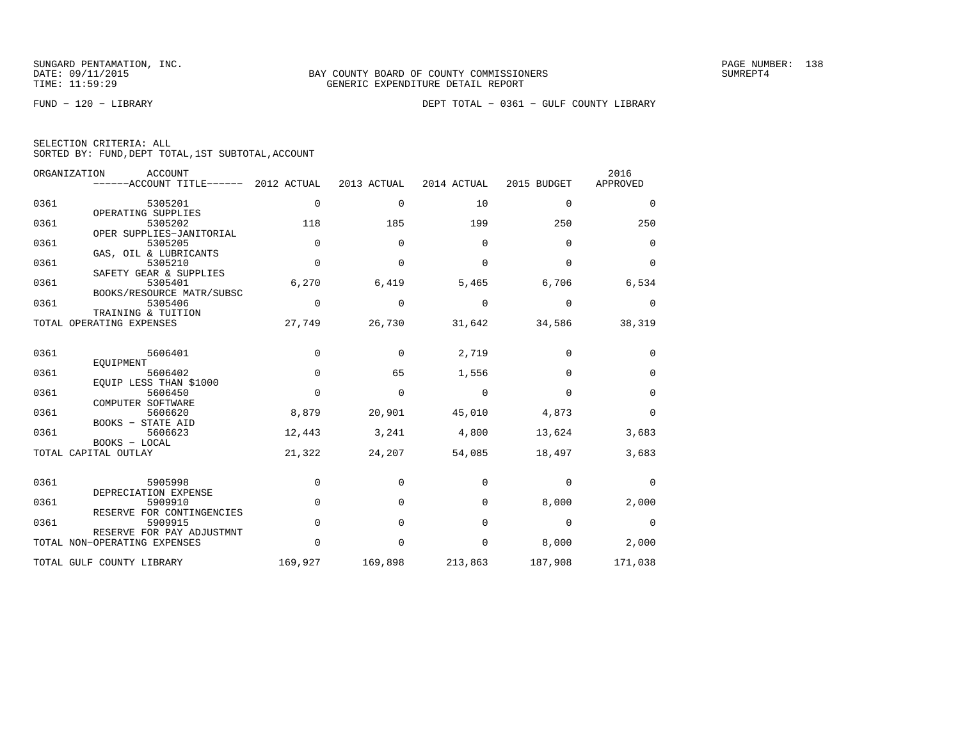|  | SELECTION CRITERIA: ALL |                                                    |  |
|--|-------------------------|----------------------------------------------------|--|
|  |                         | SORTED BY: FUND, DEPT TOTAL, 1ST SUBTOTAL, ACCOUNT |  |

|      | ORGANIZATION<br>ACCOUNT<br>------ACCOUNT TITLE------       | 2012 ACTUAL | 2013 ACTUAL | 2014 ACTUAL | 2015 BUDGET | 2016<br>APPROVED |
|------|------------------------------------------------------------|-------------|-------------|-------------|-------------|------------------|
| 0361 | 5305201<br>OPERATING SUPPLIES                              | $\mathbf 0$ | $\mathbf 0$ | 10          | $\mathbf 0$ | 0                |
| 0361 | 5305202                                                    | 118         | 185         | 199         | 250         | 250              |
| 0361 | OPER SUPPLIES-JANITORIAL<br>5305205                        | $\mathbf 0$ | $\Omega$    | 0           | $\mathbf 0$ | 0                |
| 0361 | GAS, OIL & LUBRICANTS<br>5305210<br>SAFETY GEAR & SUPPLIES | $\Omega$    | $\Omega$    | $\Omega$    | $\Omega$    | $\mathbf 0$      |
| 0361 | 5305401<br>BOOKS/RESOURCE MATR/SUBSC                       | 6,270       | 6,419       | 5,465       | 6,706       | 6,534            |
| 0361 | 5305406<br>TRAINING & TUITION                              | $\mathbf 0$ | $\mathbf 0$ | $\mathbf 0$ | $\mathbf 0$ | 0                |
|      | TOTAL OPERATING EXPENSES                                   | 27,749      | 26,730      | 31,642      | 34,586      | 38,319           |
| 0361 | 5606401                                                    | $\mathbf 0$ | $\mathbf 0$ | 2,719       | 0           | 0                |
| 0361 | EOUIPMENT<br>5606402                                       | $\Omega$    | 65          | 1,556       | $\Omega$    | 0                |
| 0361 | EOUIP LESS THAN \$1000<br>5606450<br>COMPUTER SOFTWARE     | $\mathbf 0$ | $\mathbf 0$ | $\mathbf 0$ | $\mathbf 0$ | 0                |
| 0361 | 5606620<br>BOOKS - STATE AID                               | 8,879       | 20,901      | 45,010      | 4,873       | 0                |
| 0361 | 5606623<br>BOOKS - LOCAL                                   | 12,443      | 3,241       | 4,800       | 13,624      | 3,683            |
|      | TOTAL CAPITAL OUTLAY                                       | 21,322      | 24,207      | 54,085      | 18,497      | 3,683            |
| 0361 | 5905998<br>DEPRECIATION EXPENSE                            | $\mathbf 0$ | $\Omega$    | $\Omega$    | $\mathbf 0$ | $\Omega$         |
| 0361 | 5909910<br>RESERVE FOR CONTINGENCIES                       | $\mathbf 0$ | $\Omega$    | $\Omega$    | 8,000       | 2,000            |
| 0361 | 5909915<br>RESERVE FOR PAY ADJUSTMNT                       | $\Omega$    | $\Omega$    | $\Omega$    | $\mathbf 0$ | $\mathbf 0$      |
|      | TOTAL NON-OPERATING EXPENSES                               | $\mathbf 0$ | 0           | 0           | 8,000       | 2,000            |
|      | TOTAL GULF COUNTY LIBRARY                                  | 169,927     | 169,898     | 213,863     | 187,908     | 171,038          |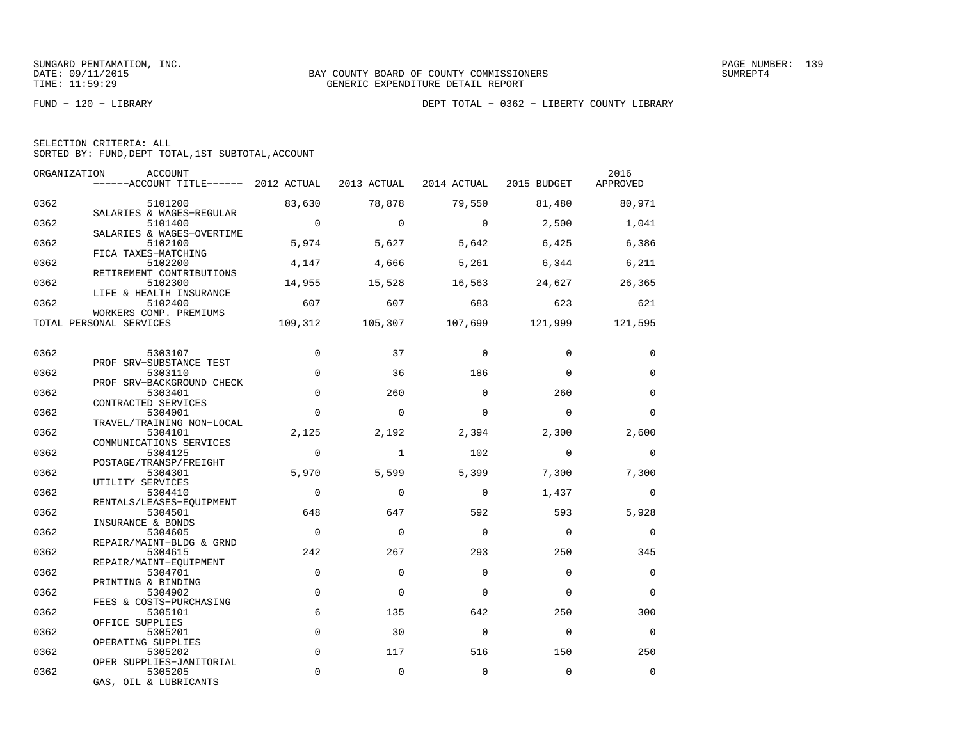|  | SELECTION CRITERIA: ALL |                                                    |  |
|--|-------------------------|----------------------------------------------------|--|
|  |                         | SORTED BY: FUND, DEPT TOTAL, 1ST SUBTOTAL, ACCOUNT |  |

| ORGANIZATION | ACCOUNT<br>------ACCOUNT TITLE------ 2012 ACTUAL 2013 ACTUAL 2014 ACTUAL 2015 BUDGET |                |              |                |                         | 2016<br>APPROVED |
|--------------|--------------------------------------------------------------------------------------|----------------|--------------|----------------|-------------------------|------------------|
| 0362         | 5101200                                                                              | 83,630         | 78,878       | 79,550         | 81,480                  | 80,971           |
| 0362         | SALARIES & WAGES-REGULAR<br>5101400<br>SALARIES & WAGES-OVERTIME                     | $\overline{0}$ | $\Omega$     | $\overline{0}$ | 2,500                   | 1,041            |
| 0362         | 5102100<br>FICA TAXES-MATCHING                                                       | 5,974          | 5,627        | 5,642          | 6,425                   | 6,386            |
| 0362         | 5102200<br>RETIREMENT CONTRIBUTIONS                                                  | 4,147          | 4,666        | 5,261          | 6,344                   | 6,211            |
| 0362         | 5102300<br>LIFE & HEALTH INSURANCE                                                   | 14,955         | 15,528       | 16,563         | 24,627                  | 26,365           |
| 0362         | 5102400<br>WORKERS COMP. PREMIUMS                                                    | 607            | 607          | 683            | 623                     | 621              |
|              | TOTAL PERSONAL SERVICES                                                              | 109,312        |              |                | 105,307 107,699 121,999 | 121,595          |
| 0362         | 5303107                                                                              | $\Omega$       | 37           | $\Omega$       | $\Omega$                | $\Omega$         |
| 0362         | PROF SRV-SUBSTANCE TEST<br>5303110                                                   | $\mathbf 0$    | 36           | 186            | $\Omega$                | $\mathbf 0$      |
| 0362         | PROF SRV-BACKGROUND CHECK<br>5303401                                                 | $\mathbf 0$    | 260          | $\Omega$       | 260                     | $\mathbf 0$      |
| 0362         | CONTRACTED SERVICES<br>5304001<br>TRAVEL/TRAINING NON-LOCAL                          | $\Omega$       | $\Omega$     | $\Omega$       | $\Omega$                | $\Omega$         |
| 0362         | 5304101<br>COMMUNICATIONS SERVICES                                                   | 2,125          | 2,192        | 2,394          | 2,300                   | 2,600            |
| 0362         | 5304125<br>POSTAGE/TRANSP/FREIGHT                                                    | $\Omega$       | $\mathbf{1}$ | 102            | $\Omega$                | $\mathbf{0}$     |
| 0362         | 5304301<br>UTILITY SERVICES                                                          | 5,970          | 5,599        | 5,399          | 7,300                   | 7,300            |
| 0362         | 5304410<br>RENTALS/LEASES-EOUIPMENT                                                  | $\Omega$       | $\Omega$     | $\Omega$       | 1,437                   | $\Omega$         |
| 0362         | 5304501<br>INSURANCE & BONDS                                                         | 648            | 647          | 592            | 593                     | 5,928            |
| 0362         | 5304605<br>REPAIR/MAINT-BLDG & GRND                                                  | $\Omega$       | $\Omega$     | $\Omega$       | $\Omega$                | $\Omega$         |
| 0362         | 5304615<br>REPAIR/MAINT-EOUIPMENT                                                    | 242            | 267          | 293            | 250                     | 345              |
| 0362         | 5304701<br>PRINTING & BINDING                                                        | $\Omega$       | $\Omega$     | $\Omega$       | $\Omega$                | $\Omega$         |
| 0362         | 5304902<br>FEES & COSTS-PURCHASING                                                   | $\mathbf 0$    | $\Omega$     | $\Omega$       | $\Omega$                | $\Omega$         |
| 0362         | 5305101<br>OFFICE SUPPLIES                                                           | 6              | 135          | 642            | 250                     | 300              |
| 0362         | 5305201<br>OPERATING SUPPLIES                                                        | $\mathbf 0$    | 30           | $\Omega$       | $\Omega$                | $\overline{0}$   |
| 0362         | 5305202<br>OPER SUPPLIES-JANITORIAL                                                  | $\Omega$       | 117          | 516            | 150                     | 250              |
| 0362         | 5305205<br>GAS, OIL & LUBRICANTS                                                     | $\Omega$       | $\mathbf 0$  | $\mathbf 0$    | $\mathbf 0$             | $\mathbf 0$      |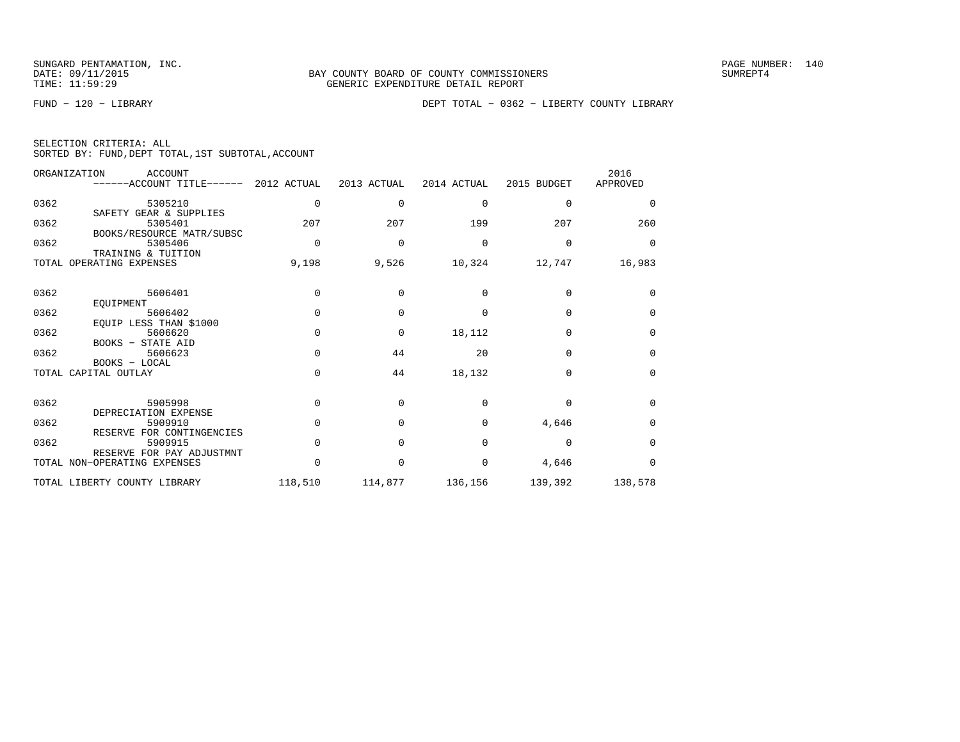| SELECTION CRITERIA: ALL |  |  |                                                    |  |
|-------------------------|--|--|----------------------------------------------------|--|
|                         |  |  | SORTED BY: FUND, DEPT TOTAL, 1ST SUBTOTAL, ACCOUNT |  |

|      | ORGANIZATION<br><b>ACCOUNT</b><br>------ACCOUNT TITLE------ 2012 ACTUAL |              | 2013 ACTUAL | 2014 ACTUAL | 2015 BUDGET | 2016<br>APPROVED |
|------|-------------------------------------------------------------------------|--------------|-------------|-------------|-------------|------------------|
| 0362 | 5305210<br>SAFETY GEAR & SUPPLIES                                       | 0            | $\Omega$    | 0           | $\Omega$    | 0                |
| 0362 | 5305401<br>BOOKS/RESOURCE MATR/SUBSC                                    | 207          | 207         | 199         | 207         | 260              |
| 0362 | 5305406<br>TRAINING & TUITION                                           | $\Omega$     | $\Omega$    | $\Omega$    | $\Omega$    | $\Omega$         |
|      | TOTAL OPERATING EXPENSES                                                | 9,198        | 9,526       | 10,324      | 12,747      | 16,983           |
| 0362 | 5606401                                                                 | $\Omega$     | $\Omega$    | $\Omega$    | $\Omega$    | $\Omega$         |
| 0362 | EOUIPMENT<br>5606402<br>EOUIP LESS THAN \$1000                          | $\Omega$     | $\Omega$    | $\Omega$    | $\Omega$    | $\Omega$         |
| 0362 | 5606620<br>BOOKS - STATE AID                                            | $\cap$       | $\Omega$    | 18,112      | $\Omega$    | $\Omega$         |
| 0362 | 5606623<br>BOOKS - LOCAL                                                | $\Omega$     | 44          | 20          | $\Omega$    | 0                |
|      | TOTAL CAPITAL OUTLAY                                                    | $\Omega$     | 44          | 18,132      | $\Omega$    | $\Omega$         |
| 0362 | 5905998<br>DEPRECIATION EXPENSE                                         | <sup>n</sup> | $\Omega$    | $\Omega$    | $\Omega$    | $\Omega$         |
| 0362 | 5909910<br>RESERVE FOR CONTINGENCIES                                    | $\Omega$     | $\Omega$    | $\Omega$    | 4,646       | $\Omega$         |
| 0362 | 5909915<br>RESERVE FOR PAY ADJUSTMNT                                    | $\Omega$     | $\Omega$    | $\Omega$    | $\Omega$    | $\Omega$         |
|      | TOTAL NON-OPERATING EXPENSES                                            | <sup>n</sup> | $\Omega$    | $\Omega$    | 4,646       | $\Omega$         |
|      | TOTAL LIBERTY COUNTY LIBRARY                                            | 118,510      | 114,877     | 136,156     | 139,392     | 138,578          |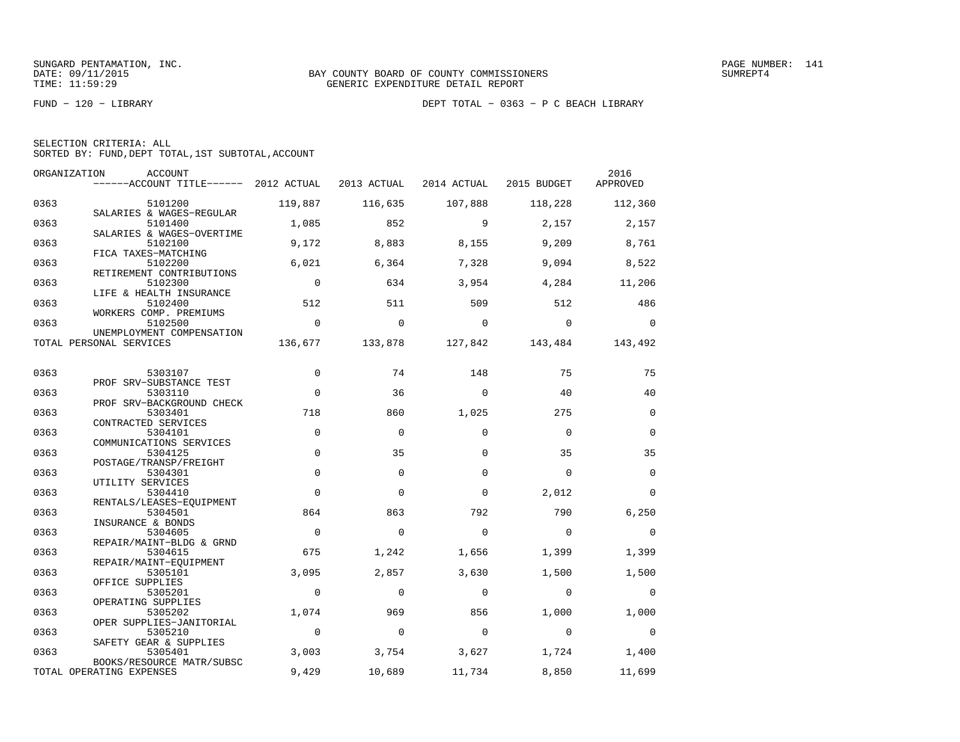| SELECTION CRITERIA: ALL |  |  |                                                    |  |
|-------------------------|--|--|----------------------------------------------------|--|
|                         |  |  | SORTED BY: FUND, DEPT TOTAL, 1ST SUBTOTAL, ACCOUNT |  |

|      | ORGANIZATION<br>ACCOUNT<br>------ACCOUNT TITLE------ 2012 ACTUAL |                | 2013 ACTUAL |             | 2014 ACTUAL 2015 BUDGET | 2016<br>APPROVED |
|------|------------------------------------------------------------------|----------------|-------------|-------------|-------------------------|------------------|
| 0363 | 5101200                                                          | 119,887        | 116,635     | 107,888     | 118,228                 | 112,360          |
| 0363 | SALARIES & WAGES-REGULAR<br>5101400                              | 1,085          | 852         | 9           | 2,157                   | 2,157            |
| 0363 | SALARIES & WAGES-OVERTIME<br>5102100                             | 9,172          | 8,883       | 8,155       | 9,209                   | 8,761            |
| 0363 | FICA TAXES-MATCHING<br>5102200                                   | 6,021          | 6,364       | 7,328       | 9,094                   | 8,522            |
| 0363 | RETIREMENT CONTRIBUTIONS<br>5102300<br>LIFE & HEALTH INSURANCE   | $\overline{0}$ | 634         | 3,954       | 4,284                   | 11,206           |
| 0363 | 5102400<br>WORKERS COMP. PREMIUMS                                | 512            | 511         | 509         | 512                     | 486              |
| 0363 | 5102500<br>UNEMPLOYMENT COMPENSATION                             | $\mathbf{0}$   | $\mathbf 0$ | $\mathbf 0$ | $\mathbf 0$             | $\Omega$         |
|      | TOTAL PERSONAL SERVICES                                          | 136,677        | 133,878     | 127,842     | 143,484                 | 143,492          |
| 0363 | 5303107                                                          | $\Omega$       | 74          | 148         | 75                      | 75               |
| 0363 | PROF SRV-SUBSTANCE TEST<br>5303110                               | $\mathbf 0$    | 36          | $\Omega$    | 40                      | 40               |
| 0363 | PROF SRV-BACKGROUND CHECK<br>5303401                             | 718            | 860         | 1,025       | 275                     | $\mathbf{0}$     |
| 0363 | CONTRACTED SERVICES<br>5304101                                   | $\mathbf 0$    | $\mathbf 0$ | $\Omega$    | $\Omega$                | $\mathbf{0}$     |
| 0363 | COMMUNICATIONS SERVICES<br>5304125<br>POSTAGE/TRANSP/FREIGHT     | $\mathbf 0$    | 35          | $\Omega$    | 35                      | 35               |
| 0363 | 5304301<br>UTILITY SERVICES                                      | $\Omega$       | $\Omega$    | $\Omega$    | $\Omega$                | $\Omega$         |
| 0363 | 5304410<br>RENTALS/LEASES-EQUIPMENT                              | $\Omega$       | $\Omega$    | $\Omega$    | 2,012                   | $\Omega$         |
| 0363 | 5304501<br>INSURANCE & BONDS                                     | 864            | 863         | 792         | 790                     | 6,250            |
| 0363 | 5304605<br>REPAIR/MAINT-BLDG & GRND                              | $\overline{0}$ | $\mathbf 0$ | $\Omega$    | $\bigcirc$              | $\mathbf 0$      |
| 0363 | 5304615<br>REPAIR/MAINT-EOUIPMENT                                | 675            | 1,242       | 1,656       | 1,399                   | 1,399            |
| 0363 | 5305101<br>OFFICE SUPPLIES                                       | 3,095          | 2,857       | 3,630       | 1,500                   | 1,500            |
| 0363 | 5305201<br>OPERATING SUPPLIES                                    | $\mathbf 0$    | 0           | $\mathbf 0$ | $\mathbf 0$             | $\mathbf 0$      |
| 0363 | 5305202<br>OPER SUPPLIES-JANITORIAL                              | 1,074          | 969         | 856         | 1,000                   | 1,000            |
| 0363 | 5305210<br>SAFETY GEAR & SUPPLIES                                | $\overline{0}$ | $\Omega$    | $\mathbf 0$ | $\overline{0}$          | $\Omega$         |
| 0363 | 5305401<br>BOOKS/RESOURCE MATR/SUBSC                             | 3,003          | 3,754       | 3,627       | 1,724                   | 1,400            |
|      | TOTAL OPERATING EXPENSES                                         | 9,429          | 10,689      | 11,734      | 8,850                   | 11,699           |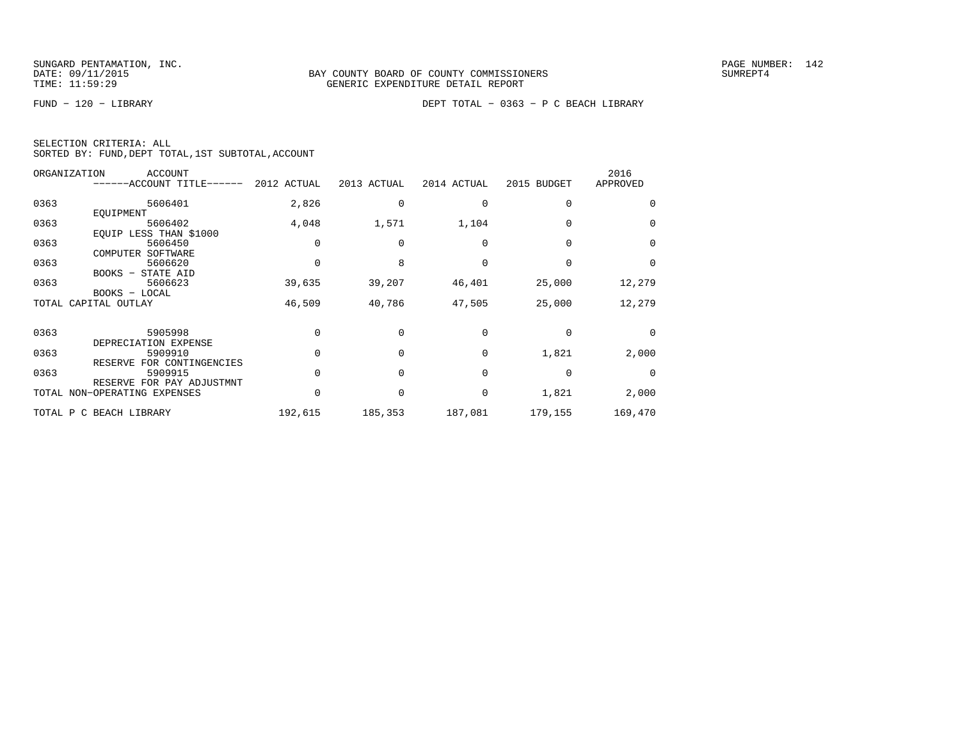|  | SELECTION CRITERIA: ALL |                                                    |
|--|-------------------------|----------------------------------------------------|
|  |                         | SORTED BY: FUND, DEPT TOTAL, 1ST SUBTOTAL, ACCOUNT |

| ORGANIZATION<br>ACCOUNT<br>------ACCOUNT TITLE------ |                                                                                                                                                                                     | 2013 ACTUAL                                         |                             | 2015 BUDGET                                | 2016<br>APPROVED                     |
|------------------------------------------------------|-------------------------------------------------------------------------------------------------------------------------------------------------------------------------------------|-----------------------------------------------------|-----------------------------|--------------------------------------------|--------------------------------------|
|                                                      |                                                                                                                                                                                     |                                                     |                             |                                            |                                      |
| 5606401                                              | 2,826                                                                                                                                                                               |                                                     |                             | $\Omega$                                   | $\Omega$                             |
| EQUIPMENT                                            |                                                                                                                                                                                     |                                                     |                             |                                            |                                      |
| 5606402                                              |                                                                                                                                                                                     | 1,571                                               | 1,104                       |                                            | $\Omega$                             |
|                                                      |                                                                                                                                                                                     |                                                     |                             |                                            |                                      |
|                                                      |                                                                                                                                                                                     |                                                     |                             |                                            | $\Omega$                             |
|                                                      |                                                                                                                                                                                     |                                                     |                             |                                            |                                      |
|                                                      |                                                                                                                                                                                     |                                                     |                             |                                            | $\Omega$                             |
|                                                      |                                                                                                                                                                                     |                                                     |                             |                                            |                                      |
|                                                      |                                                                                                                                                                                     |                                                     |                             |                                            | 12,279                               |
|                                                      |                                                                                                                                                                                     |                                                     |                             |                                            |                                      |
|                                                      |                                                                                                                                                                                     |                                                     |                             |                                            | 12,279                               |
|                                                      |                                                                                                                                                                                     |                                                     |                             |                                            |                                      |
|                                                      |                                                                                                                                                                                     |                                                     |                             |                                            | $\Omega$                             |
| DEPRECIATION EXPENSE                                 |                                                                                                                                                                                     |                                                     |                             |                                            |                                      |
| 5909910                                              |                                                                                                                                                                                     |                                                     | $\Omega$                    | 1,821                                      | 2,000                                |
| RESERVE FOR CONTINGENCIES                            |                                                                                                                                                                                     |                                                     |                             |                                            |                                      |
| 5909915                                              |                                                                                                                                                                                     |                                                     | $\Omega$                    |                                            | $\Omega$                             |
| RESERVE FOR PAY ADJUSTMNT                            |                                                                                                                                                                                     |                                                     |                             |                                            |                                      |
| TOTAL NON-OPERATING EXPENSES                         |                                                                                                                                                                                     |                                                     | 0                           |                                            | 2,000                                |
|                                                      |                                                                                                                                                                                     |                                                     |                             |                                            | 169,470                              |
|                                                      | EOUIP LESS THAN \$1000<br>5606450<br>COMPUTER<br>SOFTWARE<br>5606620<br>BOOKS - STATE AID<br>5606623<br>BOOKS - LOCAL<br>TOTAL CAPITAL OUTLAY<br>5905998<br>TOTAL P C BEACH LIBRARY | 2012 ACTUAL<br>4,048<br>39,635<br>46,509<br>192,615 | 39,207<br>40,786<br>185,353 | 2014 ACTUAL<br>46,401<br>47,505<br>187,081 | 25,000<br>25,000<br>1,821<br>179,155 |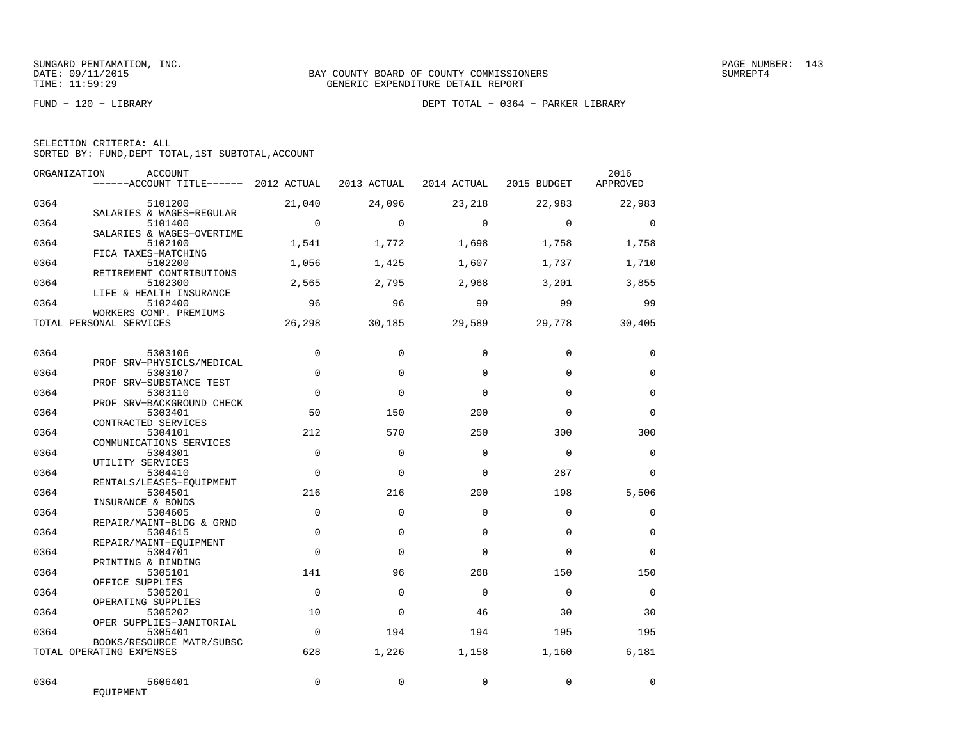FUND − 120 − LIBRARY DEPT TOTAL − 0364 − PARKER LIBRARY

| SELECTION CRITERIA: ALL |  |  |                                                    |  |
|-------------------------|--|--|----------------------------------------------------|--|
|                         |  |  | SORTED BY: FUND, DEPT TOTAL, 1ST SUBTOTAL, ACCOUNT |  |

|      | ORGANIZATION<br>ACCOUNT<br>------ACCOUNT TITLE------ 2012 ACTUAL |                | 2013 ACTUAL | 2014 ACTUAL | 2015 BUDGET | 2016<br>APPROVED |
|------|------------------------------------------------------------------|----------------|-------------|-------------|-------------|------------------|
| 0364 | 5101200<br>SALARIES & WAGES-REGULAR                              | 21,040         | 24,096      | 23,218      | 22,983      | 22,983           |
| 0364 | 5101400<br>SALARIES & WAGES-OVERTIME                             | $\overline{0}$ | $\Omega$    | $\Omega$    | $\Omega$    | $\mathbf 0$      |
| 0364 | 5102100<br>FICA TAXES-MATCHING                                   | 1,541          | 1,772       | 1,698       | 1,758       | 1,758            |
| 0364 | 5102200<br>RETIREMENT CONTRIBUTIONS                              | 1,056          | 1,425       | 1,607       | 1,737       | 1,710            |
| 0364 | 5102300<br>LIFE & HEALTH INSURANCE                               | 2,565          | 2,795       | 2,968       | 3,201       | 3,855            |
| 0364 | 5102400<br>WORKERS COMP. PREMIUMS                                | 96             | 96          | 99          | 99          | 99               |
|      | TOTAL PERSONAL SERVICES                                          | 26,298         | 30,185      | 29,589      | 29,778      | 30,405           |
| 0364 | 5303106                                                          | $\Omega$       | $\Omega$    | $\Omega$    | $\Omega$    | $\mathbf 0$      |
| 0364 | PROF SRV-PHYSICLS/MEDICAL<br>5303107                             | $\Omega$       | $\Omega$    | $\Omega$    | $\Omega$    | $\Omega$         |
| 0364 | PROF SRV-SUBSTANCE TEST<br>5303110                               | $\mathbf 0$    | $\Omega$    | $\Omega$    | $\Omega$    | $\mathbf 0$      |
| 0364 | PROF SRV-BACKGROUND CHECK<br>5303401                             | 50             | 150         | 200         | $\Omega$    | $\Omega$         |
| 0364 | CONTRACTED SERVICES<br>5304101<br>COMMUNICATIONS SERVICES        | 212            | 570         | 250         | 300         | 300              |
| 0364 | 5304301<br>UTILITY SERVICES                                      | $\Omega$       | $\Omega$    | $\Omega$    | $\Omega$    | $\Omega$         |
| 0364 | 5304410<br>RENTALS/LEASES-EQUIPMENT                              | $\mathbf 0$    | $\mathbf 0$ | $\Omega$    | 287         | $\mathbf 0$      |
| 0364 | 5304501<br>INSURANCE & BONDS                                     | 216            | 216         | 200         | 198         | 5,506            |
| 0364 | 5304605<br>REPAIR/MAINT-BLDG & GRND                              | $\mathbf 0$    | $\Omega$    | $\Omega$    | $\Omega$    | $\mathbf 0$      |
| 0364 | 5304615<br>REPAIR/MAINT-EQUIPMENT                                | $\mathbf 0$    | $\Omega$    | $\Omega$    | $\Omega$    | $\mathbf 0$      |
| 0364 | 5304701<br>PRINTING & BINDING                                    | $\mathbf 0$    | $\mathbf 0$ | $\Omega$    | $\Omega$    | $\mathbf 0$      |
| 0364 | 5305101<br>OFFICE SUPPLIES                                       | 141            | 96          | 268         | 150         | 150              |
| 0364 | 5305201<br>OPERATING SUPPLIES                                    | $\Omega$       | $\Omega$    | $\Omega$    | $\Omega$    | $\Omega$         |
| 0364 | 5305202<br>OPER SUPPLIES-JANITORIAL                              | 10             | $\Omega$    | 46          | 30          | 30               |
| 0364 | 5305401<br>BOOKS/RESOURCE MATR/SUBSC                             | $\mathbf 0$    | 194         | 194         | 195         | 195              |
|      | TOTAL OPERATING EXPENSES                                         | 628            | 1,226       | 1,158       | 1,160       | 6,181            |
| 0364 | 5606401<br>EQUIPMENT                                             | $\Omega$       | $\Omega$    | $\Omega$    | $\mathbf 0$ | $\Omega$         |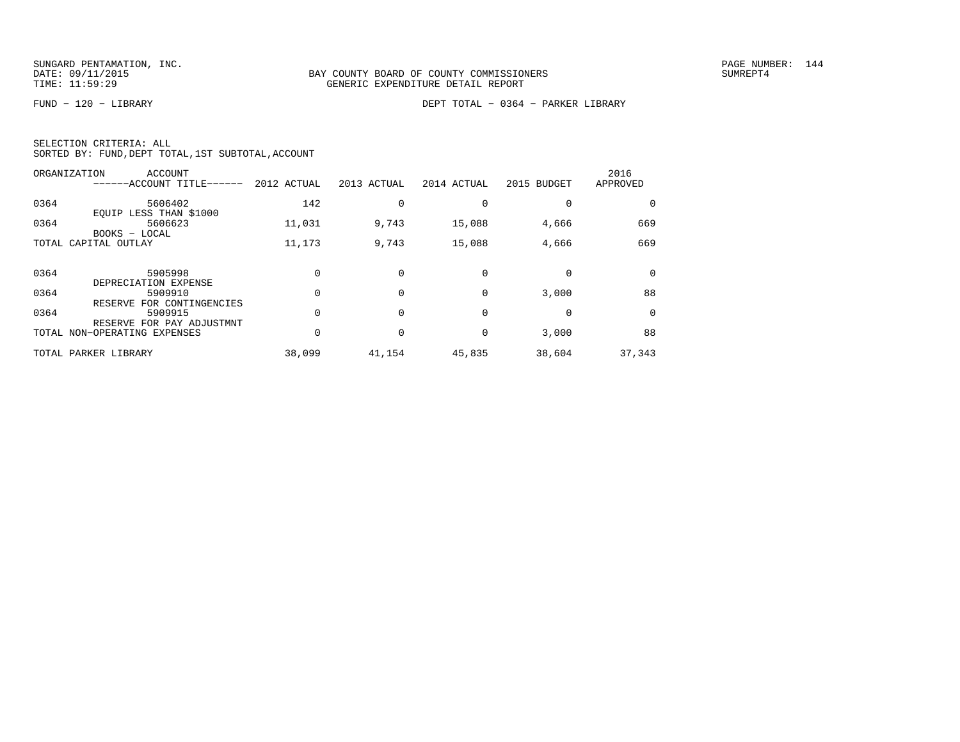FUND − 120 − LIBRARY DEPT TOTAL − 0364 − PARKER LIBRARY

|  | SELECTION CRITERIA: ALL |                                                    |
|--|-------------------------|----------------------------------------------------|
|  |                         | SORTED BY: FUND, DEPT TOTAL, 1ST SUBTOTAL, ACCOUNT |

|      | ORGANIZATION<br>ACCOUNT<br>------ACCOUNT TITLE------ | 2012 ACTUAL | 2013 ACTUAL | 2014 ACTUAL | 2015 BUDGET | 2016<br>APPROVED |
|------|------------------------------------------------------|-------------|-------------|-------------|-------------|------------------|
| 0364 | 5606402<br>EQUIP LESS THAN \$1000                    | 142         |             |             |             |                  |
| 0364 | 5606623<br>BOOKS - LOCAL                             | 11,031      | 9,743       | 15,088      | 4,666       | 669              |
|      | TOTAL CAPITAL OUTLAY                                 | 11,173      | 9,743       | 15,088      | 4,666       | 669              |
| 0364 | 5905998<br>DEPRECIATION EXPENSE                      |             |             | $\Omega$    |             | $\Omega$         |
| 0364 | 5909910<br>RESERVE FOR CONTINGENCIES                 |             |             | $\Omega$    | 3,000       | 88               |
| 0364 | 5909915<br>RESERVE FOR PAY ADJUSTMNT                 |             |             | 0           |             | $\Omega$         |
|      | TOTAL NON-OPERATING EXPENSES                         |             |             | 0           | 3,000       | 88               |
|      | TOTAL PARKER LIBRARY                                 | 38,099      | 41,154      | 45,835      | 38,604      | 37,343           |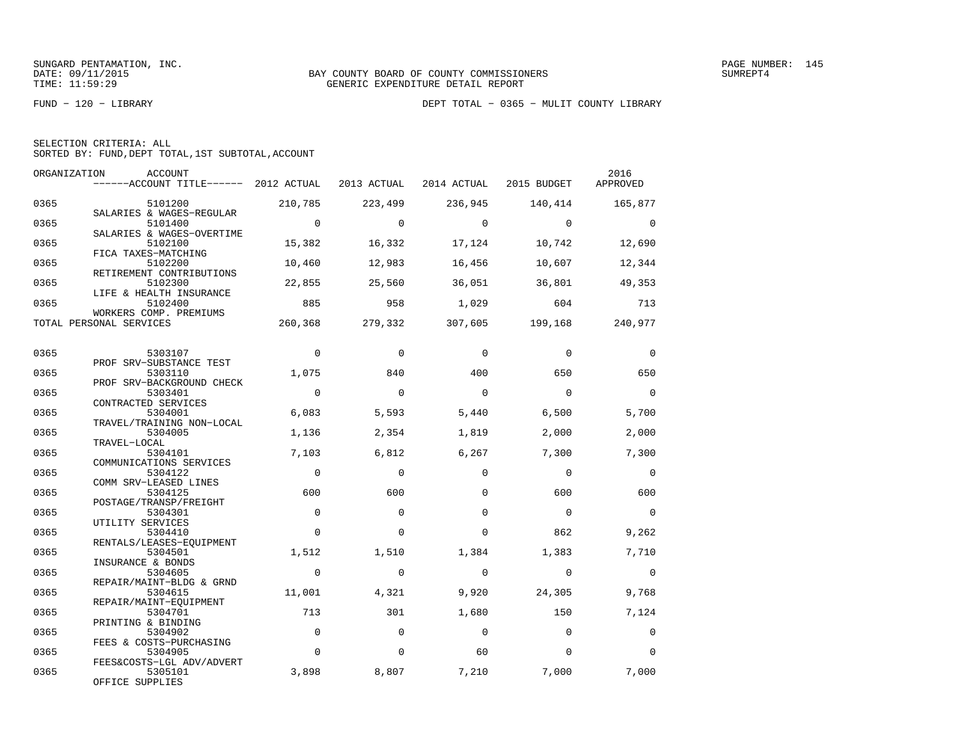|  | SELECTION CRITERIA: ALL |  |                                                    |  |
|--|-------------------------|--|----------------------------------------------------|--|
|  |                         |  | SORTED BY: FUND, DEPT TOTAL, 1ST SUBTOTAL, ACCOUNT |  |

| ORGANIZATION | ACCOUNT<br>$----ACCOUNT$ TITLE $--- 2012$ ACTUAL                 |                   | 2013 ACTUAL       |                   | 2014 ACTUAL 2015 BUDGET | 2016<br>APPROVED  |
|--------------|------------------------------------------------------------------|-------------------|-------------------|-------------------|-------------------------|-------------------|
| 0365         | 5101200                                                          | 210,785           | 223,499           | 236,945           | 140,414                 | 165,877           |
| 0365         | SALARIES & WAGES-REGULAR<br>5101400<br>SALARIES & WAGES-OVERTIME | $\overline{0}$    | $\Omega$          | $\overline{a}$    | $\overline{0}$          | $\bigcirc$        |
| 0365         | 5102100<br>FICA TAXES-MATCHING                                   | 15,382            | 16,332            | 17,124            | 10,742                  | 12,690            |
| 0365         | 5102200<br>RETIREMENT CONTRIBUTIONS                              | 10,460            | 12,983            | 16,456            | 10,607                  | 12,344            |
| 0365         | 5102300<br>LIFE & HEALTH INSURANCE                               | 22,855            | 25,560            | 36,051            | 36,801                  | 49,353            |
| 0365         | 5102400<br>WORKERS COMP. PREMIUMS                                | 885               | 958               | 1,029             | 604                     | 713               |
|              | TOTAL PERSONAL SERVICES                                          | 260,368           | 279,332           | 307,605 199,168   |                         | 240,977           |
| 0365         | 5303107                                                          | $\mathbf 0$       | $\Omega$          | $\Omega$          | $\Omega$                | $\mathbf 0$       |
| 0365         | PROF SRV-SUBSTANCE TEST<br>5303110<br>PROF SRV-BACKGROUND CHECK  | 1,075             | 840               | 400               | 650                     | 650               |
| 0365         | 5303401<br>CONTRACTED SERVICES                                   | $\overline{0}$    | $\Omega$          | $\mathbf 0$       | $\mathbf 0$             | $\Omega$          |
| 0365         | 5304001<br>TRAVEL/TRAINING NON-LOCAL                             | 6,083             | 5,593             | 5,440             | 6,500                   | 5,700             |
| 0365         | 5304005<br>TRAVEL-LOCAL                                          | 1,136             | 2,354             | 1,819             | 2,000                   | 2,000             |
| 0365         | 5304101<br>COMMUNICATIONS SERVICES                               | 7,103             | 6,812             | 6,267             | 7,300                   | 7,300             |
| 0365         | 5304122<br>COMM SRV-LEASED LINES                                 | $\overline{0}$    | $\mathbf 0$       | $\mathbf 0$       | $\mathbf 0$             | $\overline{0}$    |
| 0365         | 5304125<br>POSTAGE/TRANSP/FREIGHT                                | 600               | 600               | $\Omega$          | 600                     | 600               |
| 0365         | 5304301<br>UTILITY SERVICES                                      | $\mathbf 0$       | $\Omega$          | $\Omega$          | $\bigcirc$              | $\bigcirc$        |
| 0365         | 5304410<br>RENTALS/LEASES-EQUIPMENT                              | $\Omega$          | $\Omega$          | $\Omega$          | 862                     | 9,262             |
| 0365<br>0365 | 5304501<br>INSURANCE & BONDS<br>5304605                          | 1,512<br>$\Omega$ | 1,510<br>$\Omega$ | 1,384<br>$\Omega$ | 1,383<br>$\overline{0}$ | 7,710<br>$\Omega$ |
| 0365         | REPAIR/MAINT-BLDG & GRND<br>5304615                              | 11,001            | 4,321             | 9,920             | 24,305                  | 9,768             |
| 0365         | REPAIR/MAINT-EQUIPMENT<br>5304701                                | 713               | 301               | 1,680             | 150                     | 7,124             |
| 0365         | PRINTING & BINDING<br>5304902                                    | $\mathbf 0$       | $\Omega$          | $\Omega$          | $\Omega$                | $\Omega$          |
| 0365         | FEES & COSTS-PURCHASING<br>5304905                               | $\mathbf 0$       | $\mathbf 0$       | 60                | $\mathbf 0$             | $\Omega$          |
| 0365         | FEES&COSTS-LGL ADV/ADVERT<br>5305101<br>OFFICE SUPPLIES          | 3,898             | 8,807             | 7,210             | 7,000                   | 7,000             |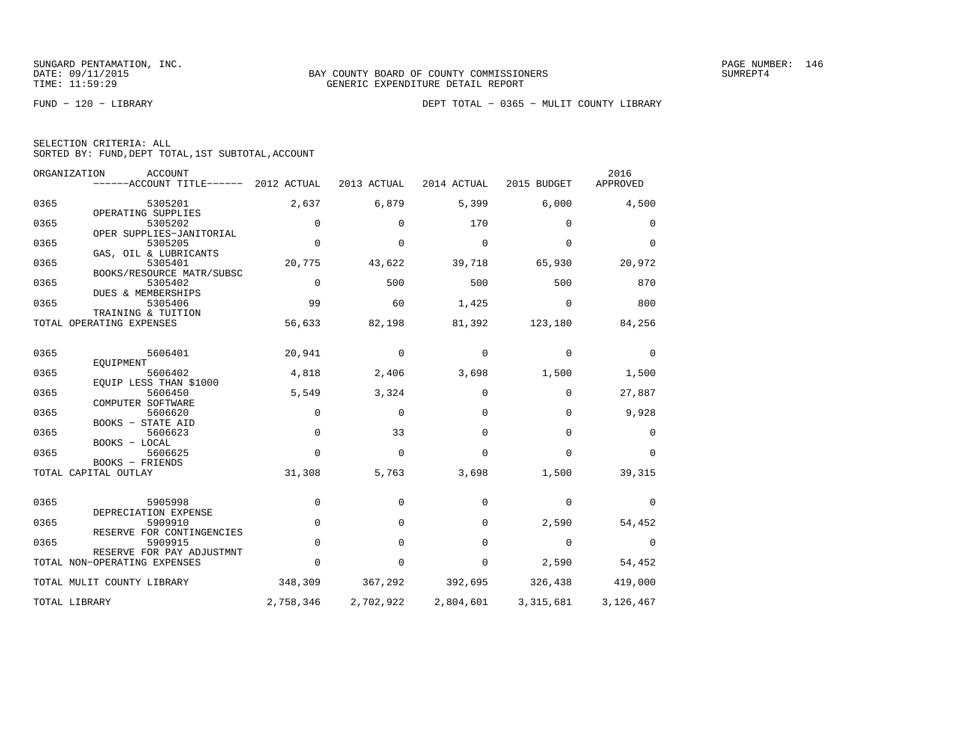|  | SELECTION CRITERIA: ALL                            |  |  |
|--|----------------------------------------------------|--|--|
|  | SORTED BY: FUND, DEPT TOTAL, 1ST SUBTOTAL, ACCOUNT |  |  |

|      | ORGANIZATION<br>ACCOUNT<br>$----ACCOUNT$ TITLE $----2012$ ACTUAL |             | 2013 ACTUAL | 2014 ACTUAL | 2015 BUDGET | 2016<br>APPROVED |
|------|------------------------------------------------------------------|-------------|-------------|-------------|-------------|------------------|
| 0365 | 5305201                                                          | 2,637       | 6,879       | 5,399       | 6,000       | 4,500            |
| 0365 | OPERATING SUPPLIES<br>5305202                                    | 0           | 0           | 170         | 0           | 0                |
| 0365 | OPER SUPPLIES-JANITORIAL<br>5305205                              | $\Omega$    | $\Omega$    | $\Omega$    | $\Omega$    | $\Omega$         |
| 0365 | GAS, OIL & LUBRICANTS<br>5305401                                 | 20,775      | 43,622      | 39,718      | 65,930      | 20,972           |
| 0365 | BOOKS/RESOURCE MATR/SUBSC<br>5305402                             | $\mathbf 0$ | 500         | 500         | 500         | 870              |
| 0365 | DUES & MEMBERSHIPS<br>5305406<br>TRAINING & TUITION              | 99          | 60          | 1,425       | $\Omega$    | 800              |
|      | TOTAL OPERATING EXPENSES                                         | 56,633      | 82,198      | 81,392      | 123,180     | 84,256           |
| 0365 | 5606401                                                          | 20,941      | 0           | 0           | 0           | 0                |
| 0365 | EOUIPMENT<br>5606402                                             | 4,818       | 2,406       | 3,698       | 1,500       | 1,500            |
| 0365 | EOUIP LESS THAN \$1000<br>5606450<br>COMPUTER SOFTWARE           | 5,549       | 3,324       | $\mathbf 0$ | $\mathbf 0$ | 27,887           |
| 0365 | 5606620<br>BOOKS - STATE AID                                     | $\Omega$    | $\Omega$    | $\Omega$    | $\Omega$    | 9,928            |
| 0365 | 5606623<br>BOOKS - LOCAL                                         | $\Omega$    | 33          | $\Omega$    | $\Omega$    | $\Omega$         |
| 0365 | 5606625<br>BOOKS - FRIENDS                                       | $\Omega$    | $\Omega$    | $\Omega$    | $\Omega$    | $\Omega$         |
|      | TOTAL CAPITAL OUTLAY                                             | 31,308      | 5,763       | 3,698       | 1,500       | 39,315           |
| 0365 | 5905998                                                          | $\mathbf 0$ | 0           | 0           | 0           | 0                |
| 0365 | DEPRECIATION EXPENSE<br>5909910                                  | $\Omega$    | $\mathbf 0$ | 0           | 2,590       | 54,452           |
| 0365 | RESERVE FOR CONTINGENCIES<br>5909915                             | $\mathbf 0$ | 0           | $\Omega$    | 0           | 0                |
|      | RESERVE FOR PAY ADJUSTMNT<br>TOTAL NON-OPERATING EXPENSES        | $\Omega$    | $\Omega$    | $\mathbf 0$ | 2,590       | 54,452           |
|      | TOTAL MULIT COUNTY LIBRARY                                       | 348,309     | 367,292     | 392,695     | 326,438     | 419,000          |
|      | TOTAL LIBRARY                                                    | 2,758,346   | 2,702,922   | 2,804,601   | 3,315,681   | 3,126,467        |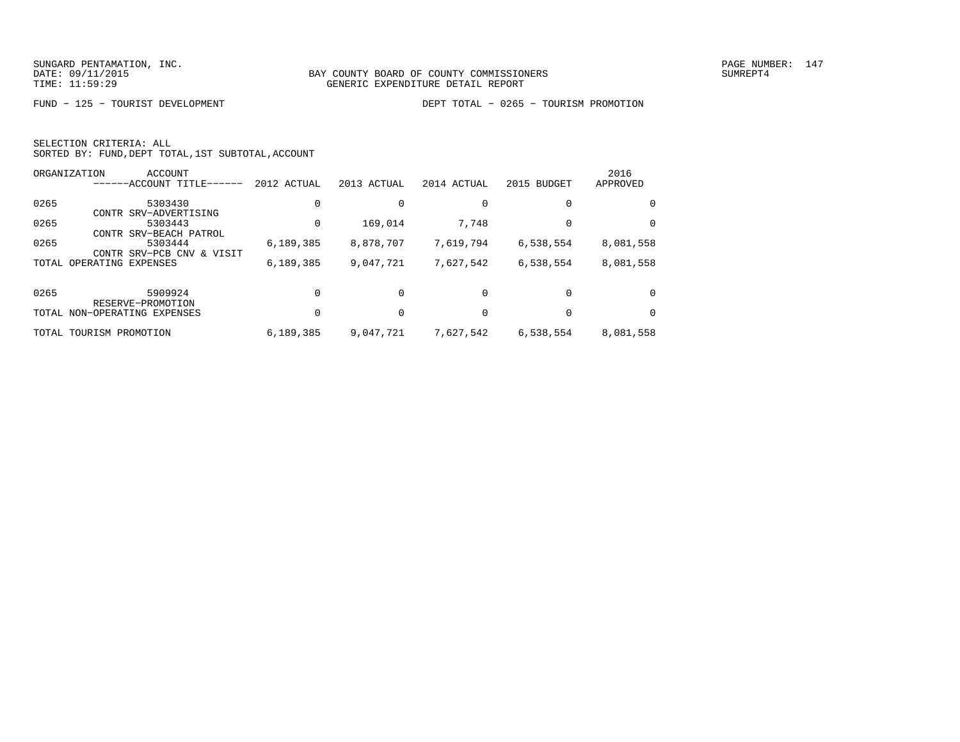|  | SELECTION CRITERIA: ALL                            |  |  |
|--|----------------------------------------------------|--|--|
|  | SORTED BY: FUND, DEPT TOTAL, 1ST SUBTOTAL, ACCOUNT |  |  |

|       | ORGANIZATION<br>ACCOUNT                                    |             |             |             |             | 2016      |
|-------|------------------------------------------------------------|-------------|-------------|-------------|-------------|-----------|
|       | ------ACCOUNT TITLE-                                       | 2012 ACTUAL | 2013 ACTUAL | 2014 ACTUAL | 2015 BUDGET | APPROVED  |
| 0265  | 5303430                                                    |             |             |             | $\Omega$    | $\Omega$  |
| 0265  | CONTR SRV-ADVERTISING<br>5303443<br>CONTR SRV-BEACH PATROL |             | 169,014     | 7,748       | 0           | $\Omega$  |
| 0265  | 5303444<br>CONTR SRV-PCB CNV<br>& VISIT                    | 6, 189, 385 | 8,878,707   | 7,619,794   | 6,538,554   | 8,081,558 |
| TOTAL | OPERATING EXPENSES                                         | 6, 189, 385 | 9,047,721   | 7,627,542   | 6,538,554   | 8,081,558 |
| 0265  | 5909924<br>RESERVE-PROMOTION                               |             |             | $\Omega$    | $\Omega$    | $\Omega$  |
|       | TOTAL NON-OPERATING EXPENSES                               |             |             |             |             | $\Omega$  |
|       | TOTAL TOURISM PROMOTION                                    | 6,189,385   | 9,047,721   | 7,627,542   | 6,538,554   | 8,081,558 |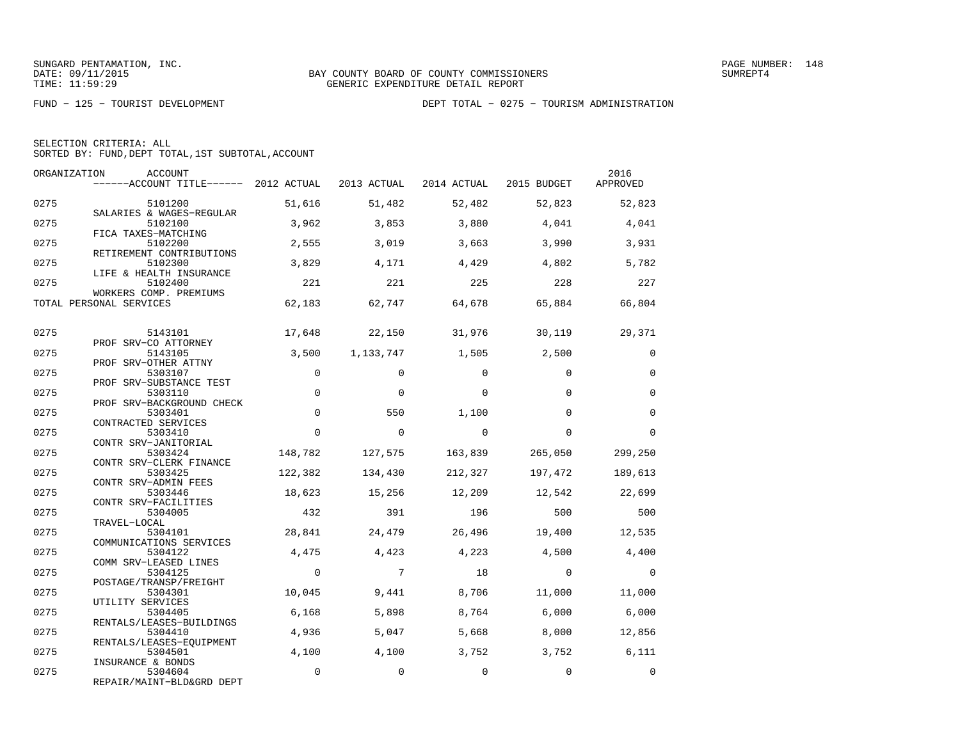|  | SELECTION CRITERIA: ALL |                                                    |  |
|--|-------------------------|----------------------------------------------------|--|
|  |                         | SORTED BY: FUND, DEPT TOTAL, 1ST SUBTOTAL, ACCOUNT |  |

| ORGANIZATION | ACCOUNT<br>------ACCOUNT TITLE------ 2012 ACTUAL                |             | 2013 ACTUAL | 2014 ACTUAL | 2015 BUDGET | 2016<br>APPROVED |
|--------------|-----------------------------------------------------------------|-------------|-------------|-------------|-------------|------------------|
| 0275         | 5101200                                                         | 51,616      | 51,482      | 52,482      | 52,823      | 52,823           |
| 0275         | SALARIES & WAGES-REGULAR<br>5102100<br>FICA TAXES-MATCHING      | 3,962       | 3,853       | 3,880       | 4,041       | 4,041            |
| 0275         | 5102200<br>RETIREMENT CONTRIBUTIONS                             | 2,555       | 3,019       | 3,663       | 3,990       | 3,931            |
| 0275         | 5102300<br>LIFE & HEALTH INSURANCE                              | 3,829       | 4,171       | 4,429       | 4,802       | 5,782            |
| 0275         | 5102400<br>WORKERS COMP. PREMIUMS                               | 221         | 221         | 225         | 228         | 227              |
|              | TOTAL PERSONAL SERVICES                                         | 62,183      | 62,747      | 64,678      | 65,884      | 66,804           |
| 0275         | 5143101<br>PROF SRV-CO ATTORNEY                                 | 17,648      | 22,150      | 31,976      | 30,119      | 29,371           |
| 0275         | 5143105                                                         | 3,500       | 1,133,747   | 1,505       | 2,500       | $\Omega$         |
| 0275         | PROF SRV-OTHER ATTNY<br>5303107                                 | $\Omega$    | $\Omega$    | $\Omega$    | $\Omega$    | $\Omega$         |
| 0275         | PROF SRV-SUBSTANCE TEST<br>5303110<br>PROF SRV-BACKGROUND CHECK | $\mathbf 0$ | $\Omega$    | $\Omega$    | $\Omega$    | $\mathbf 0$      |
| 0275         | 5303401<br>CONTRACTED SERVICES                                  | $\Omega$    | 550         | 1,100       | $\Omega$    | $\Omega$         |
| 0275         | 5303410<br>CONTR SRV-JANITORIAL                                 | $\Omega$    | $\Omega$    | $\Omega$    | $\Omega$    | $\Omega$         |
| 0275         | 5303424<br>CONTR SRV-CLERK FINANCE                              | 148,782     | 127,575     | 163,839     | 265,050     | 299,250          |
| 0275         | 5303425<br>CONTR SRV-ADMIN FEES                                 | 122,382     | 134,430     | 212,327     | 197,472     | 189,613          |
| 0275         | 5303446<br>CONTR SRV-FACILITIES                                 | 18,623      | 15,256      | 12,209      | 12,542      | 22,699           |
| 0275         | 5304005<br>TRAVEL-LOCAL                                         | 432         | 391         | 196         | 500         | 500              |
| 0275         | 5304101<br>COMMUNICATIONS SERVICES                              | 28,841      | 24,479      | 26,496      | 19,400      | 12,535           |
| 0275         | 5304122<br>COMM SRV-LEASED LINES                                | 4,475       | 4,423       | 4,223       | 4,500       | 4,400            |
| 0275         | 5304125<br>POSTAGE/TRANSP/FREIGHT                               | $\mathbf 0$ | 7           | 18          | $\Omega$    | $\mathbf 0$      |
| 0275         | 5304301                                                         | 10,045      | 9,441       | 8,706       | 11,000      | 11,000           |
| 0275         | UTILITY SERVICES<br>5304405                                     | 6,168       | 5,898       | 8,764       | 6,000       | 6,000            |
| 0275         | RENTALS/LEASES-BUILDINGS<br>5304410                             | 4,936       | 5,047       | 5,668       | 8,000       | 12,856           |
| 0275         | RENTALS/LEASES-EQUIPMENT<br>5304501                             | 4,100       | 4,100       | 3,752       | 3,752       | 6,111            |
| 0275         | INSURANCE & BONDS<br>5304604<br>REPAIR/MAINT-BLD&GRD DEPT       | $\mathbf 0$ | $\mathbf 0$ | $\mathbf 0$ | $\Omega$    | $\Omega$         |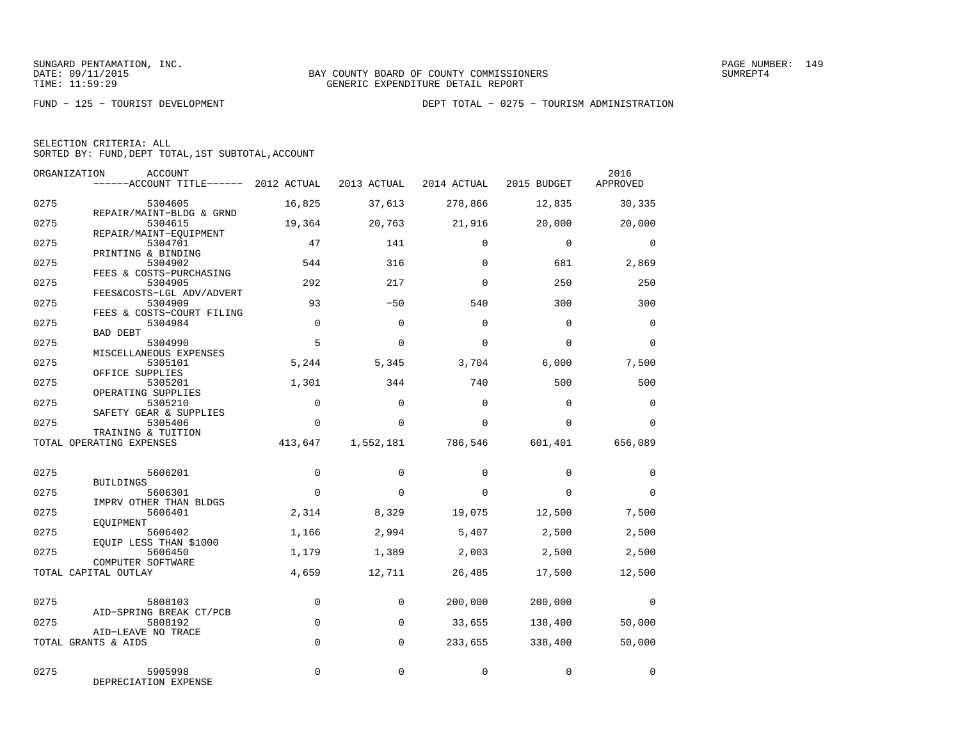|  | SELECTION CRITERIA: ALL                            |  |  |
|--|----------------------------------------------------|--|--|
|  | SORTED BY: FUND, DEPT TOTAL, 1ST SUBTOTAL, ACCOUNT |  |  |

| ORGANIZATION | <b>ACCOUNT</b><br>------ACCOUNT TITLE------ 2012 ACTUAL |             | 2013 ACTUAL | 2014 ACTUAL | 2015 BUDGET | 2016<br>APPROVED |
|--------------|---------------------------------------------------------|-------------|-------------|-------------|-------------|------------------|
| 0275         | 5304605                                                 | 16,825      | 37,613      | 278,866     | 12,835      | 30,335           |
| 0275         | REPAIR/MAINT-BLDG & GRND<br>5304615                     | 19,364      | 20,763      | 21,916      | 20,000      | 20,000           |
| 0275         | REPAIR/MAINT-EOUIPMENT<br>5304701                       | 47          | 141         | $\Omega$    | $\mathbf 0$ | $\mathbf 0$      |
| 0275         | PRINTING & BINDING<br>5304902                           | 544         | 316         | $\Omega$    | 681         | 2,869            |
| 0275         | FEES & COSTS-PURCHASING<br>5304905                      | 292         | 217         | $\Omega$    | 250         | 250              |
| 0275         | FEES&COSTS-LGL ADV/ADVERT<br>5304909                    | 93          | $-50$       | 540         | 300         | 300              |
| 0275         | FEES & COSTS-COURT FILING<br>5304984                    | $\Omega$    | $\Omega$    | $\Omega$    | $\Omega$    | $\Omega$         |
| 0275         | <b>BAD DEBT</b><br>5304990                              | 5           | $\Omega$    | $\Omega$    | $\Omega$    | $\Omega$         |
| 0275         | MISCELLANEOUS EXPENSES<br>5305101<br>OFFICE SUPPLIES    | 5,244       | 5,345       | 3,704       | 6,000       | 7,500            |
| 0275         | 5305201<br>OPERATING SUPPLIES                           | 1,301       | 344         | 740         | 500         | 500              |
| 0275         | 5305210<br>SAFETY GEAR & SUPPLIES                       | $\Omega$    | $\Omega$    | $\Omega$    | $\Omega$    | $\mathbf 0$      |
| 0275         | 5305406<br>TRAINING & TUITION                           | $\mathbf 0$ | $\Omega$    | $\Omega$    | $\Omega$    | $\mathbf 0$      |
|              | TOTAL OPERATING EXPENSES                                | 413,647     | 1,552,181   | 786,546     | 601,401     | 656,089          |
| 0275         | 5606201                                                 | $\mathbf 0$ | $\Omega$    | $\Omega$    | $\Omega$    | $\Omega$         |
| 0275         | BUILDINGS<br>5606301                                    | $\mathbf 0$ | $\Omega$    | $\Omega$    | $\Omega$    | $\Omega$         |
| 0275         | IMPRV OTHER THAN BLDGS<br>5606401                       | 2,314       | 8,329       | 19,075      | 12,500      | 7,500            |
| 0275         | EOUIPMENT<br>5606402                                    | 1,166       | 2,994       | 5,407       | 2,500       | 2,500            |
| 0275         | EQUIP LESS THAN \$1000<br>5606450                       | 1,179       | 1,389       | 2,003       | 2,500       | 2,500            |
|              | COMPUTER SOFTWARE<br>TOTAL CAPITAL OUTLAY               | 4,659       | 12,711      | 26,485      | 17,500      | 12,500           |
| 0275         | 5808103                                                 | $\mathbf 0$ | $\Omega$    | 200,000     | 200,000     | $\mathbf 0$      |
| 0275         | AID-SPRING BREAK CT/PCB<br>5808192                      | $\mathbf 0$ | $\mathbf 0$ | 33,655      | 138,400     | 50,000           |
|              | AID-LEAVE NO TRACE<br>TOTAL GRANTS & AIDS               | $\Omega$    | $\Omega$    | 233,655     | 338,400     | 50,000           |
|              |                                                         |             |             |             |             |                  |
| 0275         | 5905998<br>DEPRECIATION EXPENSE                         | 0           | $\mathbf 0$ | $\mathbf 0$ | $\mathbf 0$ | $\mathbf 0$      |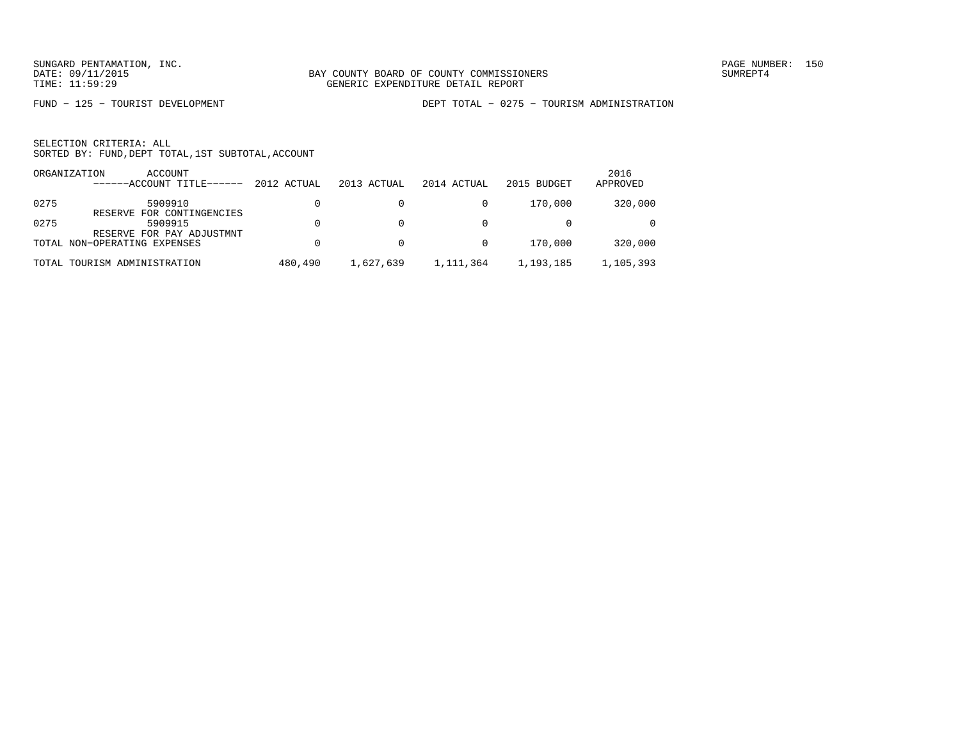FUND − 125 − TOURIST DEVELOPMENT DEPT TOTAL − 0275 − TOURISM ADMINISTRATION

|      | ORGANIZATION<br>ACCOUNT<br>$---ACCOINT TITLE---$                  | 2012 ACTUAL | 2013 ACTUAL | 2014 ACTUAL | 2015 BUDGET | 2016<br>APPROVED |
|------|-------------------------------------------------------------------|-------------|-------------|-------------|-------------|------------------|
| 0275 | 5909910                                                           |             |             |             | 170,000     | 320,000          |
| 0275 | RESERVE FOR CONTINGENCIES<br>5909915<br>RESERVE FOR PAY ADJUSTMNT |             |             |             |             | $\Omega$         |
|      | TOTAL NON-OPERATING EXPENSES                                      |             |             |             | 170,000     | 320,000          |
|      | TOTAL TOURISM ADMINISTRATION                                      | 480,490     | 1,627,639   | 1,111,364   | 1,193,185   | 1,105,393        |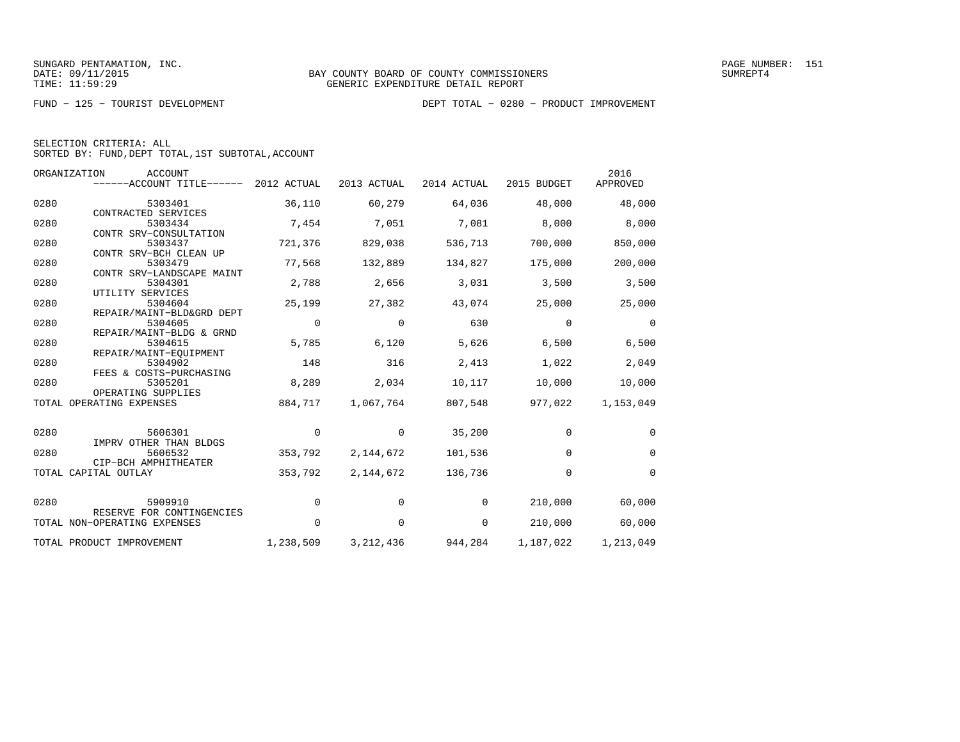|  | SELECTION CRITERIA: ALL                            |  |  |
|--|----------------------------------------------------|--|--|
|  | SORTED BY: FUND, DEPT TOTAL, 1ST SUBTOTAL, ACCOUNT |  |  |

|      | ORGANIZATION<br><b>ACCOUNT</b><br>------ACCOUNT TITLE------ | 2012 ACTUAL | 2013 ACTUAL | 2014 ACTUAL | 2015 BUDGET | 2016<br>APPROVED |
|------|-------------------------------------------------------------|-------------|-------------|-------------|-------------|------------------|
| 0280 | 5303401                                                     | 36,110      | 60,279      | 64,036      | 48,000      | 48,000           |
| 0280 | CONTRACTED SERVICES<br>5303434<br>CONTR SRV-CONSULTATION    | 7,454       | 7,051       | 7,081       | 8,000       | 8,000            |
| 0280 | 5303437<br>CONTR SRV-BCH CLEAN UP                           | 721,376     | 829,038     | 536,713     | 700,000     | 850,000          |
| 0280 | 5303479<br>CONTR SRV-LANDSCAPE MAINT                        | 77,568      | 132,889     | 134,827     | 175,000     | 200,000          |
| 0280 | 5304301<br>UTILITY SERVICES                                 | 2,788       | 2,656       | 3,031       | 3,500       | 3,500            |
| 0280 | 5304604<br>REPAIR/MAINT-BLD&GRD DEPT                        | 25,199      | 27,382      | 43,074      | 25,000      | 25,000           |
| 0280 | 5304605<br>REPAIR/MAINT-BLDG & GRND                         | $\Omega$    | $\Omega$    | 630         | $\Omega$    | $\Omega$         |
| 0280 | 5304615<br>REPAIR/MAINT-EOUIPMENT                           | 5,785       | 6,120       | 5,626       | 6,500       | 6,500            |
| 0280 | 5304902<br>FEES & COSTS-PURCHASING                          | 148         | 316         | 2,413       | 1,022       | 2,049            |
| 0280 | 5305201<br>OPERATING SUPPLIES                               | 8,289       | 2,034       | 10,117      | 10,000      | 10,000           |
|      | TOTAL OPERATING EXPENSES                                    | 884,717     | 1,067,764   | 807,548     | 977,022     | 1,153,049        |
| 0280 | 5606301                                                     | 0           | 0           | 35,200      | $\mathbf 0$ | $\mathbf 0$      |
| 0280 | IMPRV OTHER THAN BLDGS<br>5606532                           | 353,792     | 2,144,672   | 101,536     | $\mathbf 0$ | $\mathbf 0$      |
|      | CIP-BCH AMPHITHEATER<br>TOTAL CAPITAL OUTLAY                | 353,792     | 2, 144, 672 | 136,736     | $\mathbf 0$ | $\mathbf 0$      |
| 0280 | 5909910                                                     | 0           | 0           | 0           | 210,000     | 60,000           |
|      | RESERVE FOR CONTINGENCIES<br>TOTAL NON-OPERATING EXPENSES   | 0           | $\mathbf 0$ | 0           | 210,000     | 60,000           |
|      | TOTAL PRODUCT IMPROVEMENT                                   | 1,238,509   | 3, 212, 436 | 944,284     | 1,187,022   | 1,213,049        |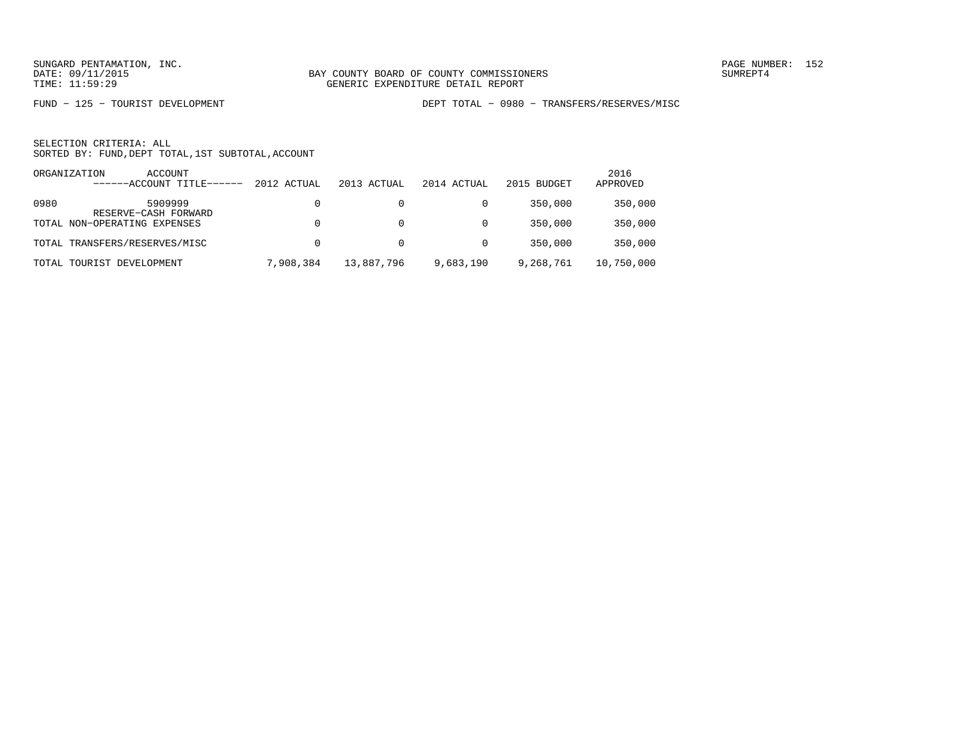FUND − 125 − TOURIST DEVELOPMENT DEPT TOTAL − 0980 − TRANSFERS/RESERVES/MISC

|      | ORGANIZATION<br>ACCOUNT         |             |             |             |             | 2016       |
|------|---------------------------------|-------------|-------------|-------------|-------------|------------|
|      | ------ACCOUNT TITLE-            | 2012 ACTUAL | 2013 ACTUAL | 2014 ACTUAL | 2015 BUDGET | APPROVED   |
| 0980 | 5909999<br>RESERVE-CASH FORWARD | 0           |             |             | 350,000     | 350,000    |
|      | TOTAL NON-OPERATING EXPENSES    | 0           |             |             | 350,000     | 350,000    |
|      | TOTAL TRANSFERS/RESERVES/MISC   | 0           | 0           |             | 350,000     | 350,000    |
|      | TOTAL TOURIST DEVELOPMENT       | 7,908,384   | 13,887,796  | 9,683,190   | 9,268,761   | 10,750,000 |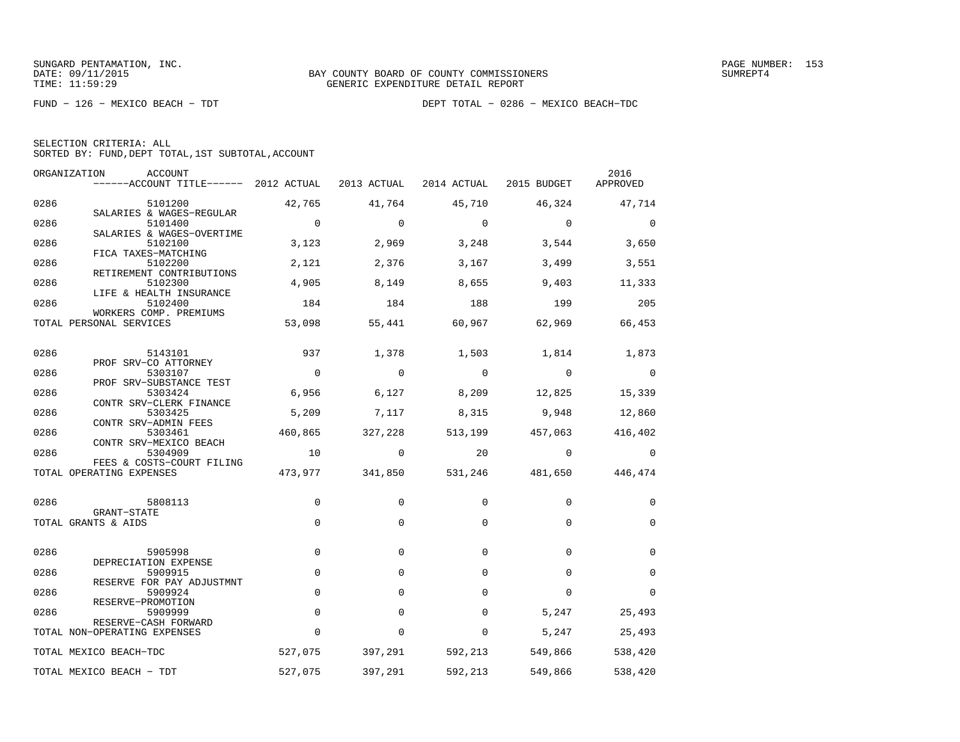| SELECTION CRITERIA: ALL |  |  |                                                    |  |
|-------------------------|--|--|----------------------------------------------------|--|
|                         |  |  | SORTED BY: FUND, DEPT TOTAL, 1ST SUBTOTAL, ACCOUNT |  |

| ORGANIZATION | ACCOUNT<br>------ACCOUNT TITLE------ 2012 ACTUAL     |                |                | 2013 ACTUAL 2014 ACTUAL 2015 BUDGET |                                         | 2016<br>APPROVED |
|--------------|------------------------------------------------------|----------------|----------------|-------------------------------------|-----------------------------------------|------------------|
| 0286         | 5101200                                              | 42,765         | 41,764         | 45,710                              | 46,324                                  | 47,714           |
| 0286         | SALARIES & WAGES-REGULAR<br>5101400                  | $\Omega$       | $\Omega$       | $\Omega$                            | $\overline{0}$                          | $\Omega$         |
| 0286         | SALARIES & WAGES-OVERTIME<br>5102100                 | 3,123          | 2,969          | 3,248                               | 3,544                                   | 3,650            |
| 0286         | FICA TAXES-MATCHING<br>5102200                       | 2,121          | 2,376          | 3,167                               | 3,499                                   | 3,551            |
| 0286         | RETIREMENT CONTRIBUTIONS<br>5102300                  | 4,905          | 8,149          | 8,655                               | 9,403                                   | 11,333           |
| 0286         | LIFE & HEALTH INSURANCE<br>5102400                   | 184            | 184            | 188                                 | 199                                     | 205              |
|              | WORKERS COMP. PREMIUMS                               |                |                |                                     |                                         |                  |
|              | TOTAL PERSONAL SERVICES                              | 53,098         | 55,441         |                                     | 60,967 62,969                           | 66,453           |
| 0286         | 5143101                                              | 937            | 1,378          |                                     | 1,503 1,814 1,873                       |                  |
| 0286         | PROF SRV-CO ATTORNEY<br>5303107                      | $\overline{0}$ | $\mathbf 0$    | $\overline{\phantom{0}}$            | $\overline{0}$                          | 0                |
| 0286         | PROF SRV-SUBSTANCE TEST<br>5303424                   | 6,956          | 6,127          | 8,209                               | 12,825                                  | 15,339           |
| 0286         | CONTR SRV-CLERK FINANCE<br>5303425                   | 5,209          | 7,117          | 8,315                               | 9,948                                   | 12,860           |
| 0286         | CONTR SRV-ADMIN FEES<br>5303461                      | 460,865        | 327,228        |                                     | 513,199 457,063                         | 416,402          |
| 0286         | CONTR SRV-MEXICO BEACH<br>5304909                    | 10             | $\overline{0}$ | 20                                  | $\overline{0}$                          | 0                |
|              | FEES & COSTS-COURT FILING                            |                |                |                                     |                                         |                  |
|              | TOTAL OPERATING EXPENSES                             |                |                |                                     | 473,977 341,850 531,246 481,650 446,474 |                  |
| 0286         | 5808113                                              | 0              | 0              | 0                                   | 0                                       | 0                |
|              | GRANT-STATE<br>TOTAL GRANTS & AIDS                   | $\mathbf 0$    | $\mathbf 0$    | $\mathbf 0$                         | $\mathbf 0$                             | $\mathbf 0$      |
|              |                                                      |                |                |                                     |                                         |                  |
| 0286         | 5905998<br>DEPRECIATION EXPENSE                      | $\mathbf 0$    | $\Omega$       | $\Omega$                            | $\Omega$                                | $\Omega$         |
| 0286         | 5909915                                              | $\mathbf 0$    | $\Omega$       | $\Omega$                            | $\Omega$                                | $\mathbf 0$      |
| 0286         | RESERVE FOR PAY ADJUSTMNT<br>5909924                 | $\mathbf 0$    | $\Omega$       | $\Omega$                            | $\Omega$                                | 0                |
| 0286         | RESERVE-PROMOTION<br>5909999                         | $\mathbf 0$    | $\Omega$       | $\Omega$                            | 5,247                                   | 25,493           |
|              | RESERVE-CASH FORWARD<br>TOTAL NON-OPERATING EXPENSES | $\Omega$       | $\Omega$       | $\Omega$                            | 5,247                                   | 25,493           |
|              | TOTAL MEXICO BEACH-TDC                               | 527,075        | 397,291        | 592,213                             | 549,866                                 | 538,420          |
|              | TOTAL MEXICO BEACH - TDT                             | 527,075        | 397,291        | 592,213                             | 549,866                                 | 538,420          |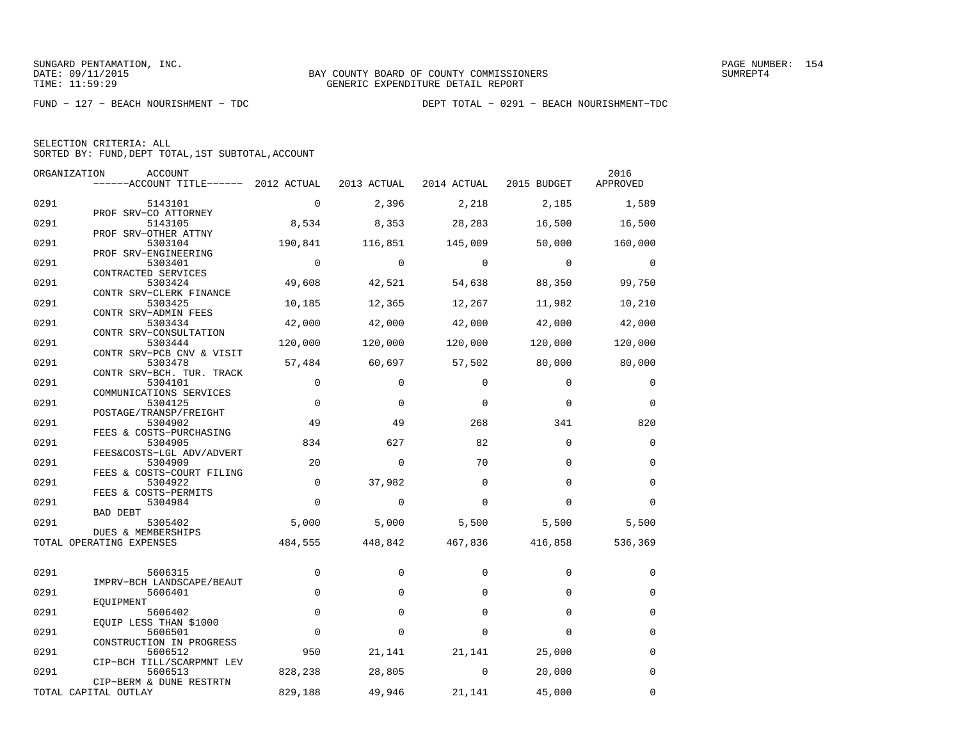| SELECTION CRITERIA: ALL |  |                                                    |  |
|-------------------------|--|----------------------------------------------------|--|
|                         |  | SORTED BY: FUND. DEPT TOTAL. 1ST SUBTOTAL. ACCOUNT |  |

|      | ORGANIZATION<br>ACCOUNT                                           |             |             |             |             | 2016        |
|------|-------------------------------------------------------------------|-------------|-------------|-------------|-------------|-------------|
|      | ------ACCOUNT TITLE------ 2012 ACTUAL                             |             | 2013 ACTUAL | 2014 ACTUAL | 2015 BUDGET | APPROVED    |
| 0291 | 5143101                                                           | $\mathbf 0$ | 2,396       | 2,218       | 2,185       | 1,589       |
| 0291 | PROF SRV-CO ATTORNEY<br>5143105                                   | 8,534       | 8,353       | 28,283      | 16,500      | 16,500      |
| 0291 | PROF SRV-OTHER ATTNY<br>5303104                                   | 190,841     | 116,851     | 145,009     | 50,000      | 160,000     |
| 0291 | PROF SRV-ENGINEERING<br>5303401                                   | $\Omega$    | $\Omega$    | $\Omega$    | $\Omega$    | $\Omega$    |
| 0291 | CONTRACTED SERVICES<br>5303424                                    | 49,608      | 42,521      | 54,638      | 88,350      | 99,750      |
| 0291 | CONTR SRV-CLERK FINANCE<br>5303425                                | 10,185      | 12,365      | 12,267      | 11,982      | 10,210      |
| 0291 | CONTR SRV-ADMIN FEES<br>5303434                                   | 42,000      | 42,000      | 42,000      | 42,000      | 42,000      |
| 0291 | CONTR SRV-CONSULTATION<br>5303444                                 | 120,000     | 120,000     | 120,000     | 120,000     | 120,000     |
| 0291 | CONTR SRV-PCB CNV & VISIT<br>5303478                              | 57,484      | 60,697      | 57,502      | 80,000      | 80,000      |
| 0291 | CONTR SRV-BCH. TUR. TRACK<br>5304101                              | $\Omega$    | $\Omega$    | $\Omega$    | $\Omega$    | $\Omega$    |
| 0291 | COMMUNICATIONS SERVICES<br>5304125                                | $\mathbf 0$ | $\Omega$    | $\Omega$    | $\Omega$    | $\mathbf 0$ |
| 0291 | POSTAGE/TRANSP/FREIGHT<br>5304902                                 | 49          | 49          | 268         | 341         | 820         |
| 0291 | FEES & COSTS-PURCHASING<br>5304905                                | 834         | 627         | 82          | $\Omega$    | $\Omega$    |
| 0291 | FEES&COSTS-LGL ADV/ADVERT<br>5304909<br>FEES & COSTS-COURT FILING | 20          | $\mathbf 0$ | 70          | $\Omega$    | $\mathbf 0$ |
| 0291 | 5304922<br>FEES & COSTS-PERMITS                                   | $\Omega$    | 37,982      | $\Omega$    | $\Omega$    | $\Omega$    |
| 0291 | 5304984<br><b>BAD DEBT</b>                                        | $\Omega$    | $\mathbf 0$ | $\Omega$    | $\Omega$    | $\Omega$    |
| 0291 | 5305402<br>DUES & MEMBERSHIPS                                     | 5,000       | 5,000       | 5,500       | 5,500       | 5,500       |
|      | TOTAL OPERATING EXPENSES                                          | 484,555     | 448,842     | 467,836     | 416,858     | 536,369     |
| 0291 | 5606315                                                           | $\mathbf 0$ | $\Omega$    | $\Omega$    | $\Omega$    | $\Omega$    |
| 0291 | IMPRV-BCH LANDSCAPE/BEAUT<br>5606401                              | $\Omega$    | $\Omega$    | $\Omega$    | $\Omega$    | $\mathbf 0$ |
| 0291 | EOUIPMENT<br>5606402                                              | $\Omega$    | $\Omega$    | $\Omega$    | $\Omega$    | $\Omega$    |
| 0291 | EQUIP LESS THAN \$1000<br>5606501                                 | $\mathbf 0$ | $\Omega$    | $\Omega$    | $\Omega$    | $\Omega$    |
| 0291 | CONSTRUCTION IN PROGRESS<br>5606512                               | 950         | 21,141      | 21,141      | 25,000      | 0           |
| 0291 | CIP-BCH TILL/SCARPMNT LEV<br>5606513                              | 828,238     | 28,805      | 0           | 20,000      | $\mathbf 0$ |
|      | CIP-BERM & DUNE RESTRTN<br>TOTAL CAPITAL OUTLAY                   | 829,188     | 49,946      | 21,141      | 45,000      | 0           |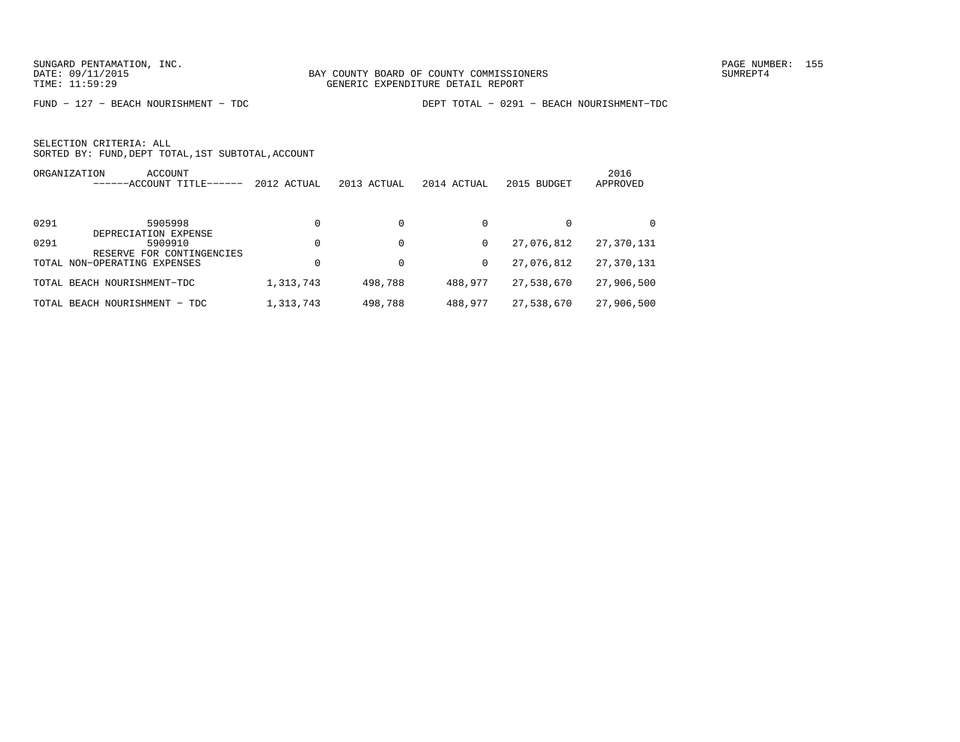FUND − 127 − BEACH NOURISHMENT − TDC DEPT TOTAL − 0291 − BEACH NOURISHMENT−TDC

| ORGANIZATION | ACCOUNT<br>-ACCOUNT TITLE-<br>-----  | 2012 ACTUAL | 2013 ACTUAL | 2014 ACTUAL | 2015 BUDGET | 2016<br>APPROVED |
|--------------|--------------------------------------|-------------|-------------|-------------|-------------|------------------|
| 0291         | 5905998<br>DEPRECIATION EXPENSE      | $\Omega$    | 0           | 0           | 0           |                  |
| 0291         | 5909910<br>RESERVE FOR CONTINGENCIES | $\Omega$    | 0           | 0           | 27,076,812  | 27,370,131       |
|              | TOTAL NON-OPERATING EXPENSES         |             | 0           | 0           | 27,076,812  | 27,370,131       |
|              | TOTAL BEACH NOURISHMENT-TDC          | 1,313,743   | 498,788     | 488,977     | 27,538,670  | 27,906,500       |
|              | TOTAL BEACH NOURISHMENT - TDC        | 1,313,743   | 498,788     | 488,977     | 27,538,670  | 27,906,500       |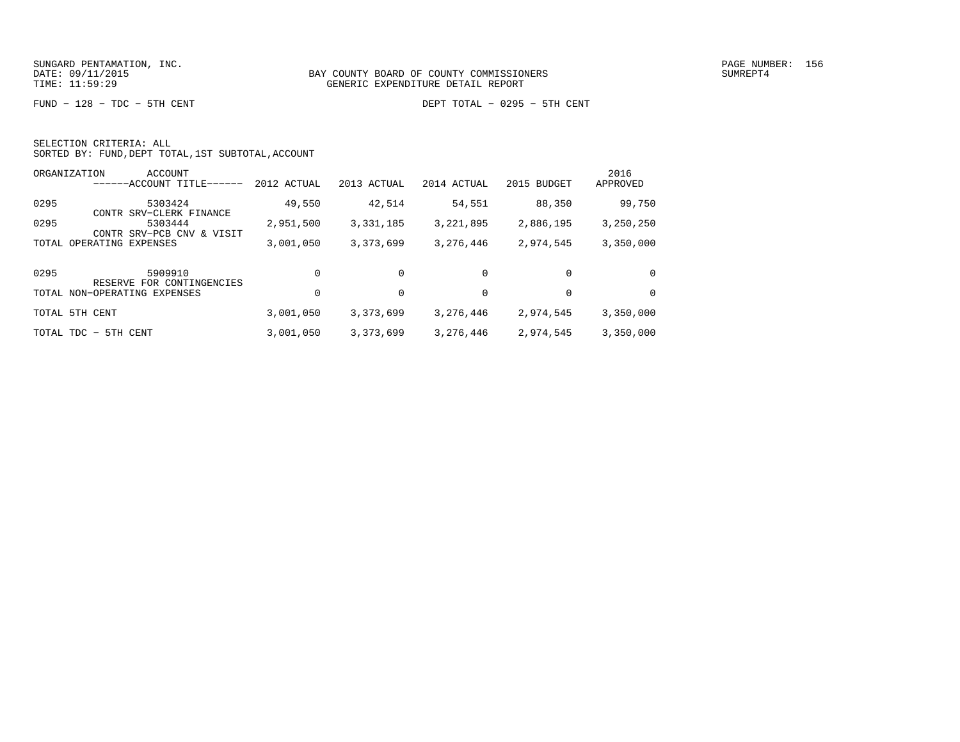FUND − 128 − TDC − 5TH CENT DEPT TOTAL − 0295 − 5TH CENT

|  | SELECTION CRITERIA: ALL |                                                    |
|--|-------------------------|----------------------------------------------------|
|  |                         | SORTED BY: FUND, DEPT TOTAL, 1ST SUBTOTAL, ACCOUNT |

|       | ORGANIZATION<br>ACCOUNT<br>$---ACCOUNT$ TITLE-       | 2012 ACTUAL | 2013 ACTUAL | 2014 ACTUAL | 2015 BUDGET | 2016<br>APPROVED |
|-------|------------------------------------------------------|-------------|-------------|-------------|-------------|------------------|
| 0295  | 5303424<br>CONTR SRV-CLERK FINANCE                   | 49,550      | 42,514      | 54,551      | 88,350      | 99,750           |
| 0295  | 5303444<br>SRV-PCB CNV<br>VISIT<br>CONTR<br>$\delta$ | 2,951,500   | 3,331,185   | 3, 221, 895 | 2,886,195   | 3,250,250        |
| TOTAL | OPERATING EXPENSES                                   | 3,001,050   | 3,373,699   | 3,276,446   | 2,974,545   | 3,350,000        |
| 0295  | 5909910<br>RESERVE FOR CONTINGENCIES                 | $\Omega$    | $\Omega$    | $\Omega$    | $\Omega$    | $\Omega$         |
|       | TOTAL NON-OPERATING EXPENSES                         | $\Omega$    | 0           | 0           | 0           | $\Omega$         |
| TOTAL | 5TH CENT                                             | 3,001,050   | 3, 373, 699 | 3,276,446   | 2,974,545   | 3,350,000        |
|       | TOTAL TDC - 5TH CENT                                 | 3,001,050   | 3,373,699   | 3,276,446   | 2,974,545   | 3,350,000        |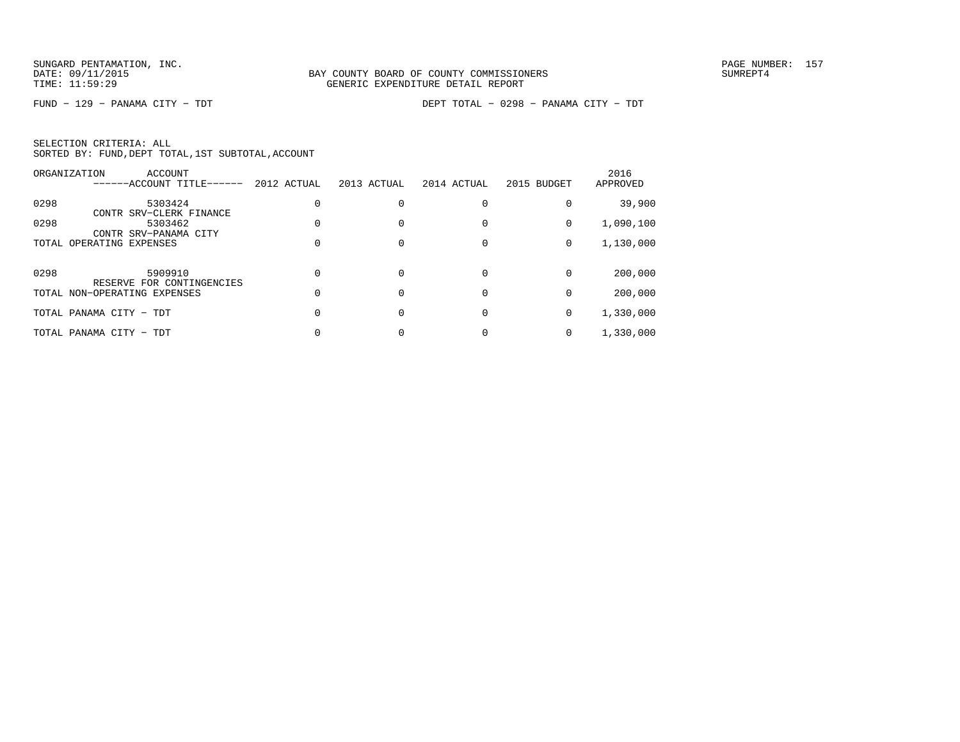FUND − 129 − PANAMA CITY − TDT DEPT TOTAL − 0298 − PANAMA CITY − TDT

SELECTION CRITERIA: ALLSORTED BY: FUND,DEPT TOTAL,1ST SUBTOTAL,ACCOUNT

|      | ORGANIZATION<br>ACCOUNT<br>------ACCOUNT TITLE------ | 2012 ACTUAL | 2013 ACTUAL | 2014 ACTUAL | 2015 BUDGET | 2016<br>APPROVED |
|------|------------------------------------------------------|-------------|-------------|-------------|-------------|------------------|
| 0298 | 5303424<br>CONTR SRV-CLERK FINANCE                   |             |             |             |             | 39,900           |
| 0298 | 5303462<br>CONTR SRV-PANAMA CITY                     |             |             |             | 0           | 1,090,100        |
|      | TOTAL OPERATING EXPENSES                             |             |             |             | $\mathbf 0$ | 1,130,000        |
| 0298 | 5909910<br>RESERVE FOR CONTINGENCIES                 |             |             |             | $\Omega$    | 200,000          |
|      | TOTAL NON-OPERATING EXPENSES                         |             |             |             |             | 200,000          |
|      | TOTAL PANAMA CITY - TDT                              |             |             |             | 0           | 1,330,000        |
|      | TOTAL PANAMA CITY - TDT                              |             |             |             |             | 1,330,000        |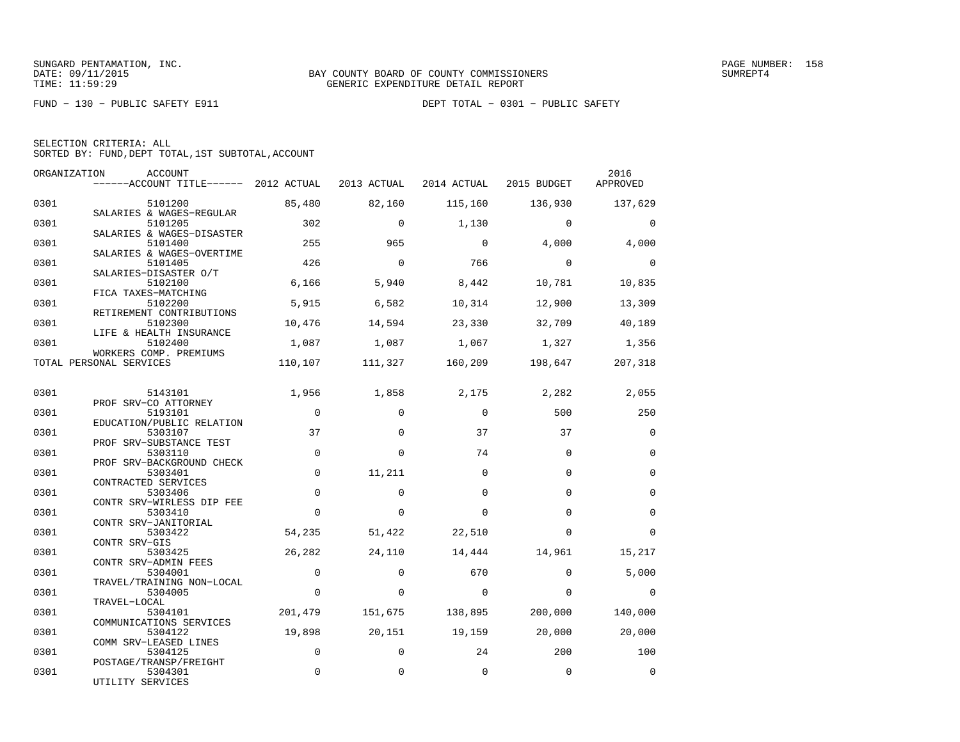FUND − 130 − PUBLIC SAFETY E911 DEPT TOTAL − 0301 − PUBLIC SAFETY

| SELECTION CRITERIA: ALL |                                                    |
|-------------------------|----------------------------------------------------|
|                         | SORTED BY: FUND, DEPT TOTAL, 1ST SUBTOTAL, ACCOUNT |

|      | ORGANIZATION<br>ACCOUNT<br>------ACCOUNT TITLE------ 2012 ACTUAL 2013 ACTUAL |             |          | 2014 ACTUAL             | 2015 BUDGET | 2016<br>APPROVED |
|------|------------------------------------------------------------------------------|-------------|----------|-------------------------|-------------|------------------|
| 0301 | 5101200                                                                      | 85,480      | 82,160   | 115,160                 | 136,930     | 137,629          |
| 0301 | SALARIES & WAGES-REGULAR<br>5101205                                          | 302         | $\Omega$ | 1,130                   | $\Omega$    | $\Omega$         |
| 0301 | SALARIES & WAGES-DISASTER<br>5101400<br>SALARIES & WAGES-OVERTIME            | 255         | 965      | $\mathbf 0$             | 4,000       | 4,000            |
| 0301 | 5101405<br>SALARIES-DISASTER O/T                                             | 426         | $\Omega$ | 766                     | $\Omega$    | $\Omega$         |
| 0301 | 5102100<br>FICA TAXES-MATCHING                                               | 6,166       | 5,940    | 8,442                   | 10,781      | 10,835           |
| 0301 | 5102200<br>RETIREMENT CONTRIBUTIONS                                          | 5,915       | 6,582    | 10,314                  | 12,900      | 13,309           |
| 0301 | 5102300<br>LIFE & HEALTH INSURANCE                                           | 10,476      | 14,594   | 23,330                  | 32,709      | 40,189           |
| 0301 | 5102400<br>WORKERS COMP. PREMIUMS                                            | 1,087       |          | 1,087 1,067             | 1,327       | 1,356            |
|      | TOTAL PERSONAL SERVICES                                                      | 110,107     |          | 111,327 160,209 198,647 |             | 207,318          |
| 0301 | 5143101                                                                      | 1,956       | 1,858    | 2,175                   | 2,282       | 2,055            |
| 0301 | PROF SRV-CO ATTORNEY<br>5193101<br>EDUCATION/PUBLIC RELATION                 | $\mathbf 0$ | $\Omega$ | $\Omega$                | 500         | 250              |
| 0301 | 5303107<br>PROF SRV-SUBSTANCE TEST                                           | 37          | $\Omega$ | 37                      | 37          | $\Omega$         |
| 0301 | 5303110<br>PROF SRV-BACKGROUND CHECK                                         | $\Omega$    | $\Omega$ | 74                      | $\Omega$    | $\Omega$         |
| 0301 | 5303401<br>CONTRACTED SERVICES                                               | $\mathbf 0$ | 11,211   | $\Omega$                | $\Omega$    | $\Omega$         |
| 0301 | 5303406<br>CONTR SRV-WIRLESS DIP FEE                                         | $\Omega$    | $\Omega$ | $\Omega$                | $\Omega$    | $\mathbf 0$      |
| 0301 | 5303410<br>CONTR SRV-JANITORIAL                                              | $\Omega$    | $\Omega$ | $\Omega$                | $\Omega$    | $\mathbf 0$      |
| 0301 | 5303422<br>CONTR SRV-GIS                                                     | 54,235      | 51,422   | 22,510                  | $\Omega$    | $\Omega$         |
| 0301 | 5303425<br>CONTR SRV-ADMIN FEES                                              | 26,282      | 24,110   | 14,444                  | 14,961      | 15,217           |
| 0301 | 5304001<br>TRAVEL/TRAINING NON-LOCAL                                         | $\Omega$    | $\Omega$ | 670                     | $\Omega$    | 5,000            |
| 0301 | 5304005<br>TRAVEL-LOCAL                                                      | $\mathbf 0$ | $\Omega$ | $\Omega$                | $\Omega$    | 0                |
| 0301 | 5304101<br>COMMUNICATIONS SERVICES                                           | 201,479     | 151,675  | 138,895                 | 200,000     | 140,000          |
| 0301 | 5304122<br>COMM SRV-LEASED LINES                                             | 19,898      | 20,151   | 19,159                  | 20,000      | 20,000           |
| 0301 | 5304125<br>POSTAGE/TRANSP/FREIGHT                                            | $\Omega$    | $\Omega$ | 24                      | 200         | 100              |
| 0301 | 5304301<br>UTILITY SERVICES                                                  | $\Omega$    | $\Omega$ | $\mathbf 0$             | $\Omega$    | $\Omega$         |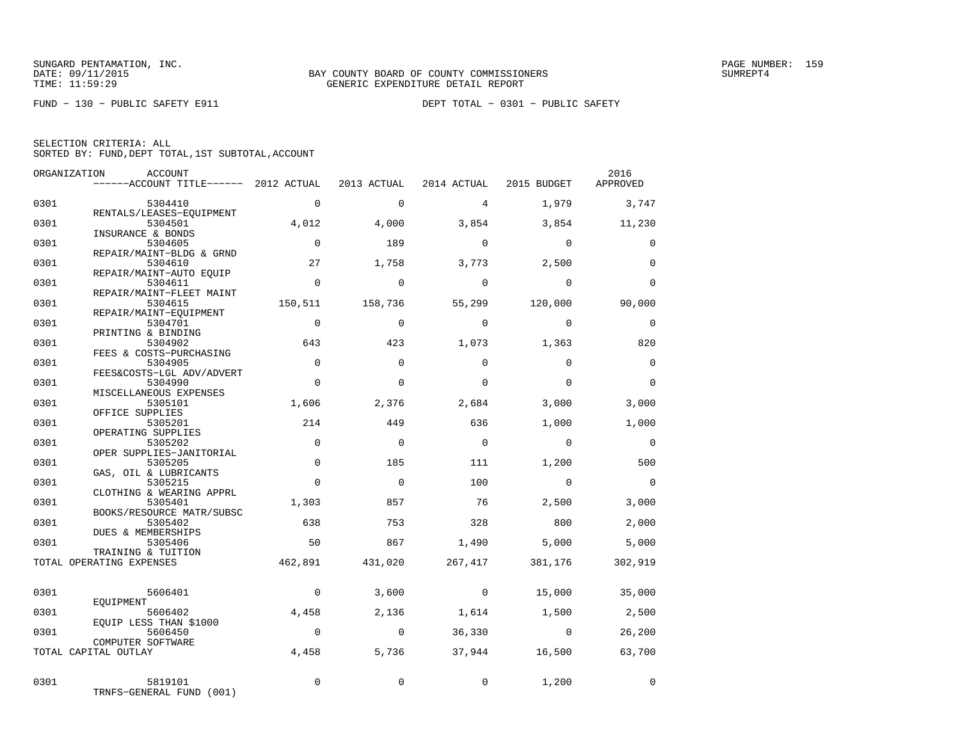FUND − 130 − PUBLIC SAFETY E911 DEPT TOTAL − 0301 − PUBLIC SAFETY

SELECTION CRITERIA: ALLSORTED BY: FUND,DEPT TOTAL,1ST SUBTOTAL,ACCOUNT

|              | ORGANIZATION<br>ACCOUNT<br>------ACCOUNT TITLE------ 2012 ACTUAL 2013 ACTUAL 2014 ACTUAL 2015 BUDGET |                   |                 |                |                         | 2016<br>APPROVED |
|--------------|------------------------------------------------------------------------------------------------------|-------------------|-----------------|----------------|-------------------------|------------------|
| 0301         | 5304410                                                                                              | $\Omega$          | $\Omega$        | $\overline{4}$ | 1,979                   | 3,747            |
| 0301         | RENTALS/LEASES-EQUIPMENT<br>5304501                                                                  | 4,012             | 4,000           | 3,854          | 3,854                   | 11,230           |
| 0301         | INSURANCE & BONDS<br>5304605                                                                         | $\overline{0}$    | 189             | $\Omega$       | $\Omega$                | $\Omega$         |
| 0301         | REPAIR/MAINT-BLDG & GRND<br>5304610                                                                  | 27                | 1,758           | 3,773          | 2,500                   | $\mathbf 0$      |
| 0301         | REPAIR/MAINT-AUTO EQUIP<br>5304611<br>REPAIR/MAINT-FLEET MAINT                                       | $\overline{0}$    | $\Omega$        | $\overline{0}$ | $\Omega$                | $\Omega$         |
| 0301         | 5304615<br>REPAIR/MAINT-EOUIPMENT                                                                    | 150,511           | 158,736         |                | 55,299 120,000          | 90,000           |
| 0301         | 5304701<br>PRINTING & BINDING                                                                        | $\Omega$          | $\Omega$        | $\overline{0}$ | $\overline{0}$          | 0                |
| 0301         | 5304902<br>FEES & COSTS-PURCHASING                                                                   | 643               | 423             | 1,073          | 1,363                   | 820              |
| 0301         | 5304905<br>FEES&COSTS-LGL ADV/ADVERT                                                                 | $\Omega$          | $\Omega$        | $\Omega$       | $\Omega$                | $\Omega$         |
| 0301         | 5304990<br>MISCELLANEOUS EXPENSES                                                                    | $\Omega$          | $\Omega$        | $\mathbf 0$    | $\Omega$                | $\Omega$         |
| 0301         | 5305101<br>OFFICE SUPPLIES                                                                           | 1,606             | 2,376           | 2,684          | 3,000                   | 3,000            |
| 0301         | 5305201<br>OPERATING SUPPLIES                                                                        | 214               | 449             | 636            | 1,000                   | 1,000            |
| 0301         | 5305202<br>OPER SUPPLIES-JANITORIAL                                                                  | $\mathbf 0$       | $\mathbf 0$     | $\overline{0}$ | $\Omega$                | $\overline{0}$   |
| 0301         | 5305205<br>GAS, OIL & LUBRICANTS                                                                     | $\mathbf 0$       | 185             | 111            | 1,200                   | 500              |
| 0301<br>0301 | 5305215<br>CLOTHING & WEARING APPRL                                                                  | $\Omega$<br>1,303 | $\Omega$<br>857 | 100<br>76      | $\overline{0}$<br>2,500 | $\Omega$         |
| 0301         | 5305401<br>BOOKS/RESOURCE MATR/SUBSC<br>5305402                                                      | 638               | 753             | 328            | 800                     | 3,000<br>2,000   |
| 0301         | DUES & MEMBERSHIPS<br>5305406                                                                        | 50                | 867             | 1,490          | 5.000                   | 5,000            |
|              | TRAINING & TUITION<br>TOTAL OPERATING EXPENSES                                                       | 462,891           | 431,020         | 267,417        | 381,176                 | 302,919          |
|              |                                                                                                      |                   |                 |                |                         |                  |
| 0301         | 5606401<br>EOUIPMENT                                                                                 | $\overline{0}$    | 3,600           | $\overline{0}$ | 15,000                  | 35,000           |
| 0301         | 5606402<br>EQUIP LESS THAN \$1000                                                                    | 4,458             | 2,136           |                | 1,614 1,500             | 2,500            |
| 0301         | 5606450<br>COMPUTER SOFTWARE                                                                         | $\overline{0}$    | $\overline{0}$  | 36,330         | $\sim$ 0                | 26,200           |
|              | TOTAL CAPITAL OUTLAY                                                                                 | 4,458             | 5,736           | 37,944         | 16,500                  | 63,700           |
| 0301         | 5819101<br>TRNFS-GENERAL FUND (001)                                                                  | $\Omega$          | $\Omega$        | $\mathbf{0}$   | 1,200                   | $\mathbf 0$      |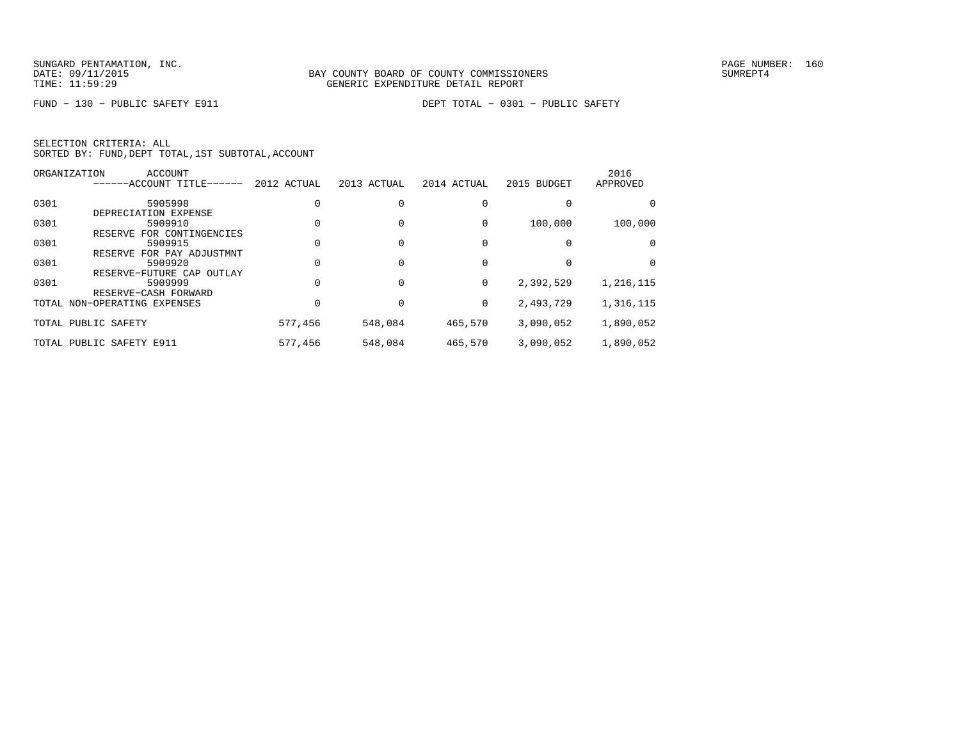FUND − 130 − PUBLIC SAFETY E911 DEPT TOTAL − 0301 − PUBLIC SAFETY

SELECTION CRITERIA: ALLSORTED BY: FUND,DEPT TOTAL,1ST SUBTOTAL,ACCOUNT

|      | ORGANIZATION<br><b>ACCOUNT</b> |             |             |             |             | 2016      |
|------|--------------------------------|-------------|-------------|-------------|-------------|-----------|
|      | ------ACCOUNT TITLE------      | 2012 ACTUAL | 2013 ACTUAL | 2014 ACTUAL | 2015 BUDGET | APPROVED  |
| 0301 | 5905998                        |             |             |             |             |           |
|      | DEPRECIATION EXPENSE           |             |             |             |             |           |
| 0301 | 5909910                        |             |             | $\Omega$    | 100,000     | 100,000   |
|      | RESERVE FOR CONTINGENCIES      |             |             |             |             |           |
| 0301 | 5909915                        |             |             |             |             |           |
|      | RESERVE FOR PAY ADJUSTMNT      |             |             |             |             |           |
| 0301 | 5909920                        |             |             |             |             | $\Omega$  |
|      | RESERVE-FUTURE CAP OUTLAY      |             |             |             |             |           |
| 0301 | 5909999                        |             |             | 0           | 2,392,529   | 1,216,115 |
|      | RESERVE-CASH FORWARD           |             |             |             |             |           |
|      | TOTAL NON-OPERATING EXPENSES   |             |             | 0           | 2,493,729   | 1,316,115 |
|      | TOTAL PUBLIC SAFETY            | 577,456     | 548,084     | 465,570     | 3,090,052   | 1,890,052 |
|      |                                |             |             |             |             |           |
|      | TOTAL PUBLIC SAFETY E911       | 577,456     | 548,084     | 465,570     | 3,090,052   | 1,890,052 |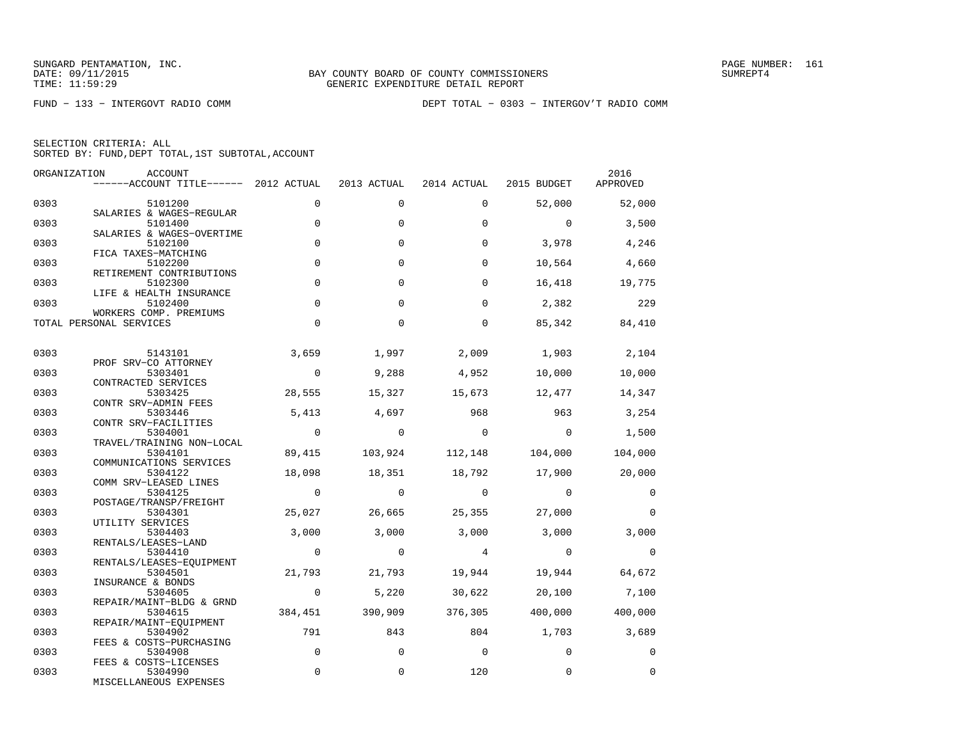| SELECTION CRITERIA: ALL |  |  |                                                    |  |
|-------------------------|--|--|----------------------------------------------------|--|
|                         |  |  | SORTED BY: FUND, DEPT TOTAL, 1ST SUBTOTAL, ACCOUNT |  |

| ORGANIZATION | ACCOUNT<br>------ACCOUNT TITLE------ 2012 ACTUAL            |                | 2013 ACTUAL    | 2014 ACTUAL             | 2015 BUDGET    | 2016<br>APPROVED |
|--------------|-------------------------------------------------------------|----------------|----------------|-------------------------|----------------|------------------|
| 0303         | 5101200                                                     | $\Omega$       | $\mathbf 0$    | $\Omega$                | 52,000         | 52,000           |
| 0303         | SALARIES & WAGES-REGULAR<br>5101400                         | $\mathbf 0$    | $\Omega$       | $\Omega$                | $\overline{0}$ | 3,500            |
| 0303         | SALARIES & WAGES-OVERTIME<br>5102100<br>FICA TAXES-MATCHING | $\mathbf 0$    | $\Omega$       | $\Omega$                | 3,978          | 4,246            |
| 0303         | 5102200<br>RETIREMENT CONTRIBUTIONS                         | $\mathbf 0$    | $\Omega$       | $\Omega$                | 10,564         | 4,660            |
| 0303         | 5102300<br>LIFE & HEALTH INSURANCE                          | $\mathbf 0$    | $\Omega$       | $\Omega$                | 16,418         | 19,775           |
| 0303         | 5102400<br>WORKERS COMP. PREMIUMS                           | $\mathbf 0$    | $\Omega$       | $\Omega$                | 2,382          | 229              |
|              | TOTAL PERSONAL SERVICES                                     | $\Omega$       | $\Omega$       | $\Omega$                | 85,342         | 84,410           |
| 0303         | 5143101                                                     | 3,659          | 1,997          | 2,009                   | 1,903          | 2,104            |
| 0303         | PROF SRV-CO ATTORNEY<br>5303401                             | $\overline{0}$ | 9,288          | 4,952                   | 10,000         | 10,000           |
| 0303         | CONTRACTED SERVICES<br>5303425                              | 28,555         | 15,327         | 15,673                  | 12,477         | 14,347           |
| 0303         | CONTR SRV-ADMIN FEES<br>5303446<br>CONTR SRV-FACILITIES     | 5,413          | 4,697          | 968                     | 963            | 3,254            |
| 0303         | 5304001<br>TRAVEL/TRAINING NON-LOCAL                        | $\overline{0}$ | $\overline{0}$ | $\overline{0}$          | $\overline{0}$ | 1,500            |
| 0303         | 5304101<br>COMMUNICATIONS SERVICES                          | 89,415         |                | 103,924 112,148 104,000 |                | 104,000          |
| 0303         | 5304122<br>COMM SRV-LEASED LINES                            | 18,098         | 18,351         | 18,792                  | 17,900         | 20,000           |
| 0303         | 5304125<br>POSTAGE/TRANSP/FREIGHT                           | $\overline{0}$ | $\overline{0}$ | $\overline{0}$          | $\sim$ 0       | $\overline{0}$   |
| 0303         | 5304301<br>UTILITY SERVICES                                 | 25,027         | 26,665         | 25,355                  | 27,000         | $\Omega$         |
| 0303         | 5304403<br>RENTALS/LEASES-LAND                              | 3,000          | 3,000          | 3,000                   | 3,000          | 3,000            |
| 0303         | 5304410<br>RENTALS/LEASES-EQUIPMENT                         | $\overline{0}$ | $\overline{0}$ | $\overline{4}$          | $\overline{0}$ | $\overline{0}$   |
| 0303         | 5304501<br>INSURANCE & BONDS                                | 21,793         | 21,793         | 19,944                  | 19,944         | 64,672           |
| 0303         | 5304605<br>REPAIR/MAINT-BLDG & GRND                         | $\overline{0}$ | 5,220          | 30,622                  |                | 20,100 7,100     |
| 0303         | 5304615<br>REPAIR/MAINT-EOUIPMENT                           | 384,451        | 390,909        | 376,305                 | 400,000        | 400,000          |
| 0303         | 5304902<br>FEES & COSTS-PURCHASING                          | 791            | 843            | 804                     | 1,703 3,689    |                  |
| 0303         | 5304908<br>FEES & COSTS-LICENSES                            | $\mathbf 0$    | $\mathbf 0$    | $\bigcirc$              | $\Omega$       | $\Omega$         |
| 0303         | 5304990<br>MISCELLANEOUS EXPENSES                           | $\mathbf 0$    | $\mathbf 0$    | 120                     | 0              | $\mathbf 0$      |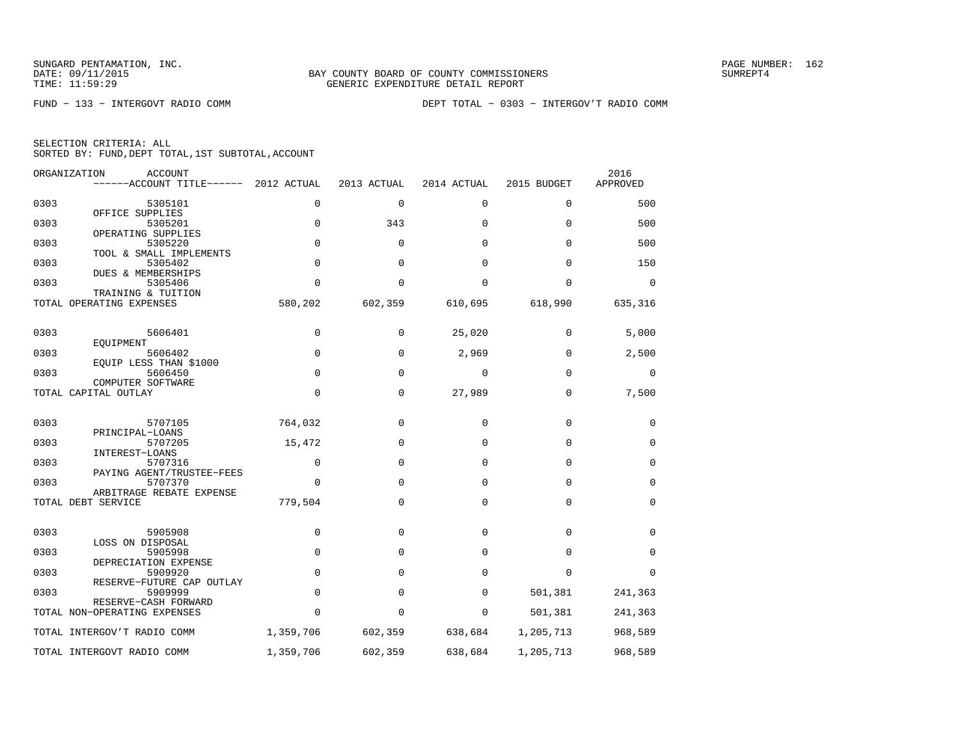|  | SELECTION CRITERIA: ALL |                                                    |
|--|-------------------------|----------------------------------------------------|
|  |                         | SORTED BY: FUND, DEPT TOTAL, 1ST SUBTOTAL, ACCOUNT |

|      | ORGANIZATION<br><b>ACCOUNT</b><br>------ACCOUNT TITLE------ | 2012 ACTUAL | 2013 ACTUAL  | 2014 ACTUAL | 2015 BUDGET | 2016<br>APPROVED |
|------|-------------------------------------------------------------|-------------|--------------|-------------|-------------|------------------|
| 0303 | 5305101                                                     | 0           | $\mathbf 0$  | 0           | 0           | 500              |
| 0303 | OFFICE SUPPLIES<br>5305201                                  | $\mathbf 0$ | 343          | 0           | $\mathbf 0$ | 500              |
| 0303 | OPERATING SUPPLIES<br>5305220                               | $\mathbf 0$ | $\Omega$     | $\Omega$    | $\Omega$    | 500              |
| 0303 | TOOL & SMALL IMPLEMENTS<br>5305402                          | $\Omega$    | $\Omega$     | $\Omega$    | $\Omega$    | 150              |
| 0303 | DUES & MEMBERSHIPS<br>5305406                               | $\Omega$    | $\Omega$     | $\Omega$    | $\mathbf 0$ | $\mathbf 0$      |
|      | TRAINING & TUITION<br>TOTAL OPERATING EXPENSES              | 580,202     | 602,359      | 610,695     | 618,990     | 635,316          |
|      |                                                             |             |              |             |             |                  |
| 0303 | 5606401<br>EQUIPMENT                                        | $\mathbf 0$ | 0            | 25,020      | 0           | 5,000            |
| 0303 | 5606402<br>EOUIP LESS THAN \$1000                           | $\mathbf 0$ | 0            | 2,969       | $\mathbf 0$ | 2,500            |
| 0303 | 5606450<br>COMPUTER SOFTWARE                                | $\Omega$    | $\Omega$     | 0           | $\Omega$    | 0                |
|      | TOTAL CAPITAL OUTLAY                                        | $\mathbf 0$ | 0            | 27,989      | $\mathbf 0$ | 7,500            |
| 0303 | 5707105                                                     | 764,032     | $\Omega$     | $\Omega$    | $\Omega$    | 0                |
| 0303 | PRINCIPAL-LOANS<br>5707205                                  | 15,472      | $\mathbf{0}$ | $\Omega$    | $\Omega$    | $\mathbf 0$      |
| 0303 | INTEREST-LOANS<br>5707316                                   | $\mathbf 0$ | $\Omega$     | $\Omega$    | $\mathbf 0$ | $\mathbf 0$      |
| 0303 | PAYING AGENT/TRUSTEE-FEES<br>5707370                        | $\Omega$    | $\Omega$     | $\Omega$    | $\mathbf 0$ | 0                |
|      | ARBITRAGE REBATE EXPENSE<br>TOTAL DEBT SERVICE              | 779,504     | $\Omega$     | $\mathbf 0$ | $\mathbf 0$ | 0                |
|      |                                                             |             |              |             |             |                  |
| 0303 | 5905908                                                     | $\mathbf 0$ | $\mathbf{0}$ | $\mathbf 0$ | $\mathbf 0$ | $\mathbf 0$      |
| 0303 | LOSS ON DISPOSAL<br>5905998                                 | $\mathbf 0$ | $\mathbf{0}$ | $\mathbf 0$ | $\mathbf 0$ | $\mathbf 0$      |
| 0303 | DEPRECIATION EXPENSE<br>5909920                             | $\Omega$    | $\Omega$     | $\Omega$    | $\Omega$    | $\Omega$         |
| 0303 | RESERVE-FUTURE CAP OUTLAY<br>5909999                        | $\Omega$    | $\Omega$     | $\Omega$    | 501,381     | 241,363          |
|      | RESERVE-CASH FORWARD<br>TOTAL NON-OPERATING EXPENSES        | $\Omega$    | 0            | 0           | 501,381     | 241,363          |
|      | TOTAL INTERGOV'T RADIO COMM                                 | 1,359,706   | 602,359      | 638,684     | 1,205,713   | 968,589          |
|      | TOTAL INTERGOVT RADIO COMM                                  | 1,359,706   | 602,359      | 638,684     | 1,205,713   | 968,589          |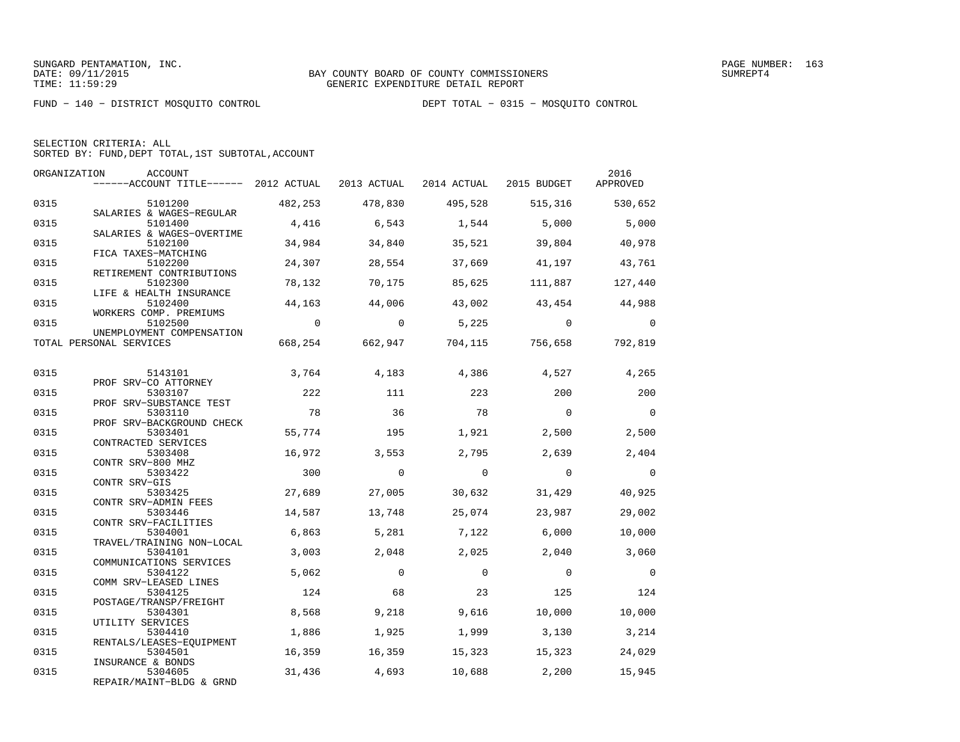FUND − 140 − DISTRICT MOSQUITO CONTROL DEPT TOTAL − 0315 − MOSQUITO CONTROL

|  | SELECTION CRITERIA: ALL                            |  |  |
|--|----------------------------------------------------|--|--|
|  | SORTED BY: FUND, DEPT TOTAL, 1ST SUBTOTAL, ACCOUNT |  |  |

| ORGANIZATION | ACCOUNT<br>$----ACCOUNT$ TITLE $---$ 2012 ACTUAL 2013 ACTUAL 2014 ACTUAL 2015 BUDGET |                |                |                |                                              | 2016<br>APPROVED         |
|--------------|--------------------------------------------------------------------------------------|----------------|----------------|----------------|----------------------------------------------|--------------------------|
| 0315         | 5101200                                                                              | 482,253        | 478,830        |                | 495,528 515,316                              | 530,652                  |
| 0315         | SALARIES & WAGES-REGULAR<br>5101400                                                  | 4,416          | 6,543          | 1,544          | 5,000                                        | 5,000                    |
| 0315         | SALARIES & WAGES-OVERTIME<br>5102100                                                 | 34,984         | 34,840         | 35,521         | 39,804                                       | 40,978                   |
| 0315         | FICA TAXES-MATCHING<br>5102200<br>RETIREMENT CONTRIBUTIONS                           | 24,307         | 28,554         | 37,669         | 41,197                                       | 43,761                   |
| 0315         | 5102300<br>LIFE & HEALTH INSURANCE                                                   | 78,132         | 70,175         | 85,625         | 111,887                                      | 127,440                  |
| 0315         | 5102400<br>WORKERS COMP. PREMIUMS                                                    | 44,163         | 44,006         | 43,002         | 43,454                                       | 44,988                   |
| 0315         | 5102500<br>UNEMPLOYMENT COMPENSATION                                                 | $\overline{0}$ | $\Omega$       | 5,225          | $\overline{0}$                               | $\Omega$                 |
|              | TOTAL PERSONAL SERVICES                                                              |                |                |                | 668, 254 662, 947 704, 115 756, 658 792, 819 |                          |
| 0315         | 5143101                                                                              | 3,764          | 4,183          | 4,386          | 4,527                                        | 4,265                    |
| 0315         | PROF SRV-CO ATTORNEY<br>5303107<br>PROF SRV-SUBSTANCE TEST                           | 222            | 111            | 223            | 200                                          | 200                      |
| 0315         | 5303110<br>PROF SRV-BACKGROUND CHECK                                                 | 78             | 36             | 78             | $\overline{0}$                               | $\bigcirc$               |
| 0315         | 5303401<br>CONTRACTED SERVICES                                                       | 55,774         | 195            | 1,921          | 2,500                                        | 2,500                    |
| 0315         | 5303408<br>CONTR SRV-800 MHZ                                                         | 16,972         | 3,553          | 2,795          | 2,639                                        | 2,404                    |
| 0315         | 5303422<br>CONTR SRV-GIS                                                             | 300            | $\overline{0}$ | $\overline{0}$ | $\overline{0}$                               | $\overline{0}$           |
| 0315         | 5303425<br>CONTR SRV-ADMIN FEES                                                      | 27,689         | 27,005         | 30,632         | 31,429                                       | 40,925                   |
| 0315         | 5303446<br>CONTR SRV-FACILITIES                                                      | 14,587         | 13,748         | 25,074         | 23,987                                       | 29,002                   |
| 0315         | 5304001<br>TRAVEL/TRAINING NON-LOCAL                                                 | 6,863          | 5,281          | 7,122          | 6,000                                        | 10,000                   |
| 0315         | 5304101<br>COMMUNICATIONS SERVICES                                                   | 3,003          | 2,048          | 2,025          | 2,040                                        | 3,060                    |
| 0315         | 5304122<br>COMM SRV-LEASED LINES                                                     | 5,062          | $\Omega$       | $\Omega$       | $\Omega$                                     | $\overline{\phantom{0}}$ |
| 0315         | 5304125<br>POSTAGE/TRANSP/FREIGHT                                                    | 124            | 68             | 23             | 125                                          | 124                      |
| 0315         | 5304301<br>UTILITY SERVICES                                                          | 8,568          | 9,218          | 9,616          | 10,000                                       | 10,000                   |
| 0315         | 5304410<br>RENTALS/LEASES-EQUIPMENT                                                  | 1,886          | 1,925          | 1,999          | 3,130                                        | 3,214                    |
| 0315         | 5304501<br>INSURANCE & BONDS                                                         | 16,359         | 16,359         | 15,323         | 15,323                                       | 24,029                   |
| 0315         | 5304605<br>REPAIR/MAINT-BLDG & GRND                                                  | 31,436         | 4,693          | 10,688         | 2,200                                        | 15,945                   |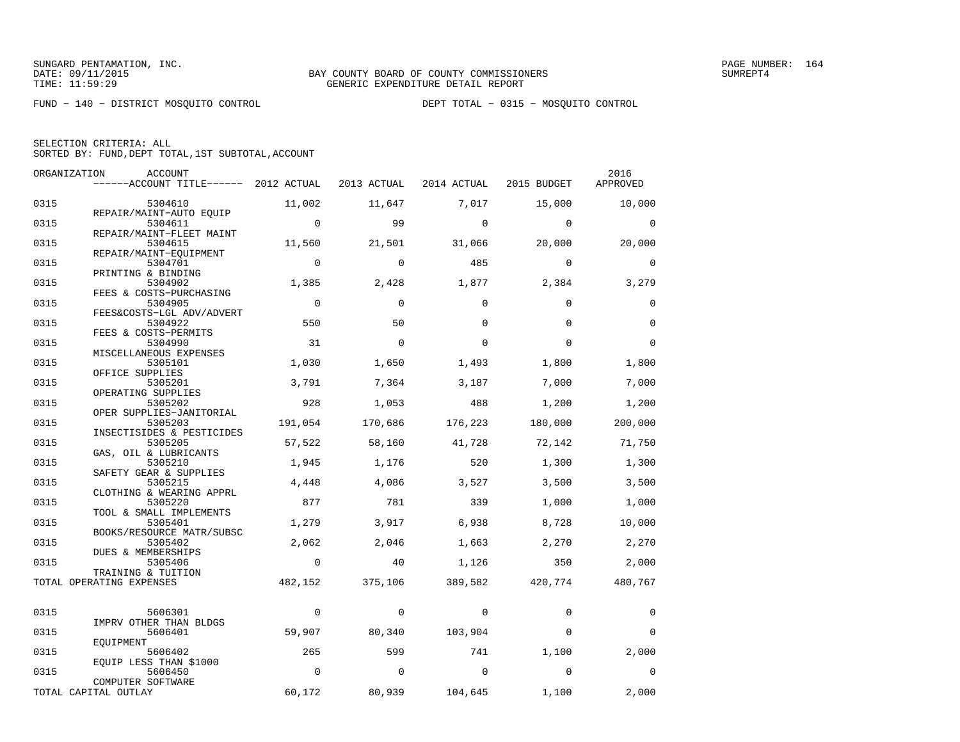FUND − 140 − DISTRICT MOSQUITO CONTROL DEPT TOTAL − 0315 − MOSQUITO CONTROL

| SELECTION CRITERIA: ALL |  |                                                    |  |
|-------------------------|--|----------------------------------------------------|--|
|                         |  | SORTED BY: FUND. DEPT TOTAL. 1ST SUBTOTAL. ACCOUNT |  |

|      | ORGANIZATION<br><b>ACCOUNT</b>            |             |              |             |             | 2016        |
|------|-------------------------------------------|-------------|--------------|-------------|-------------|-------------|
|      | $----ACCOUNT$ TITLE $--- 2012$ ACTUAL     |             | 2013 ACTUAL  | 2014 ACTUAL | 2015 BUDGET | APPROVED    |
| 0315 | 5304610                                   | 11,002      | 11,647       | 7,017       | 15,000      | 10,000      |
| 0315 | REPAIR/MAINT-AUTO EQUIP<br>5304611        | $\mathbf 0$ | 99           | $\Omega$    | $\Omega$    | $\Omega$    |
| 0315 | REPAIR/MAINT-FLEET MAINT<br>5304615       | 11,560      | 21,501       | 31,066      | 20,000      | 20,000      |
| 0315 | REPAIR/MAINT-EOUIPMENT<br>5304701         | $\Omega$    | $\Omega$     | 485         | $\Omega$    | $\Omega$    |
| 0315 | PRINTING & BINDING<br>5304902             | 1,385       | 2,428        | 1,877       | 2,384       | 3,279       |
| 0315 | FEES & COSTS-PURCHASING<br>5304905        | $\mathbf 0$ | $\Omega$     | $\Omega$    | $\Omega$    | $\mathbf 0$ |
| 0315 | FEES&COSTS-LGL ADV/ADVERT<br>5304922      | 550         | 50           | $\Omega$    | $\Omega$    | $\mathbf 0$ |
| 0315 | FEES & COSTS-PERMITS<br>5304990           | 31          | $\Omega$     | $\Omega$    | $\Omega$    | $\mathbf 0$ |
| 0315 | MISCELLANEOUS EXPENSES<br>5305101         | 1,030       | 1,650        | 1,493       | 1,800       | 1,800       |
| 0315 | OFFICE SUPPLIES<br>5305201                | 3,791       | 7,364        | 3,187       | 7,000       | 7,000       |
| 0315 | OPERATING SUPPLIES<br>5305202             | 928         | 1,053        | 488         | 1,200       | 1,200       |
| 0315 | OPER SUPPLIES-JANITORIAL<br>5305203       | 191,054     | 170,686      | 176,223     | 180,000     | 200,000     |
| 0315 | INSECTISIDES & PESTICIDES<br>5305205      | 57,522      | 58,160       | 41,728      | 72,142      | 71,750      |
| 0315 | GAS, OIL & LUBRICANTS                     | 1,945       |              | 520         |             |             |
|      | 5305210<br>SAFETY GEAR & SUPPLIES         |             | 1,176        |             | 1,300       | 1,300       |
| 0315 | 5305215<br>CLOTHING & WEARING APPRL       | 4,448       | 4,086        | 3,527       | 3,500       | 3,500       |
| 0315 | 5305220<br>TOOL & SMALL IMPLEMENTS        | 877         | 781          | 339         | 1,000       | 1,000       |
| 0315 | 5305401<br>BOOKS/RESOURCE MATR/SUBSC      | 1,279       | 3,917        | 6,938       | 8,728       | 10,000      |
| 0315 | 5305402<br><b>DUES &amp; MEMBERSHIPS</b>  | 2,062       | 2,046        | 1,663       | 2,270       | 2,270       |
| 0315 | 5305406<br>TRAINING & TUITION             | $\mathbf 0$ | 40           | 1,126       | 350         | 2,000       |
|      | TOTAL OPERATING EXPENSES                  | 482,152     | 375,106      | 389,582     | 420,774     | 480,767     |
| 0315 | 5606301                                   | $\mathbf 0$ | $\mathbf{0}$ | 0           | $\mathbf 0$ | 0           |
| 0315 | IMPRV OTHER THAN BLDGS<br>5606401         | 59,907      | 80,340       | 103,904     | $\Omega$    | $\Omega$    |
| 0315 | EOUIPMENT<br>5606402                      | 265         | 599          | 741         | 1,100       | 2,000       |
| 0315 | EQUIP LESS THAN \$1000<br>5606450         | $\Omega$    | $\Omega$     | $\Omega$    | $\Omega$    | $\Omega$    |
|      | COMPUTER SOFTWARE<br>TOTAL CAPITAL OUTLAY | 60,172      | 80,939       | 104,645     | 1,100       | 2,000       |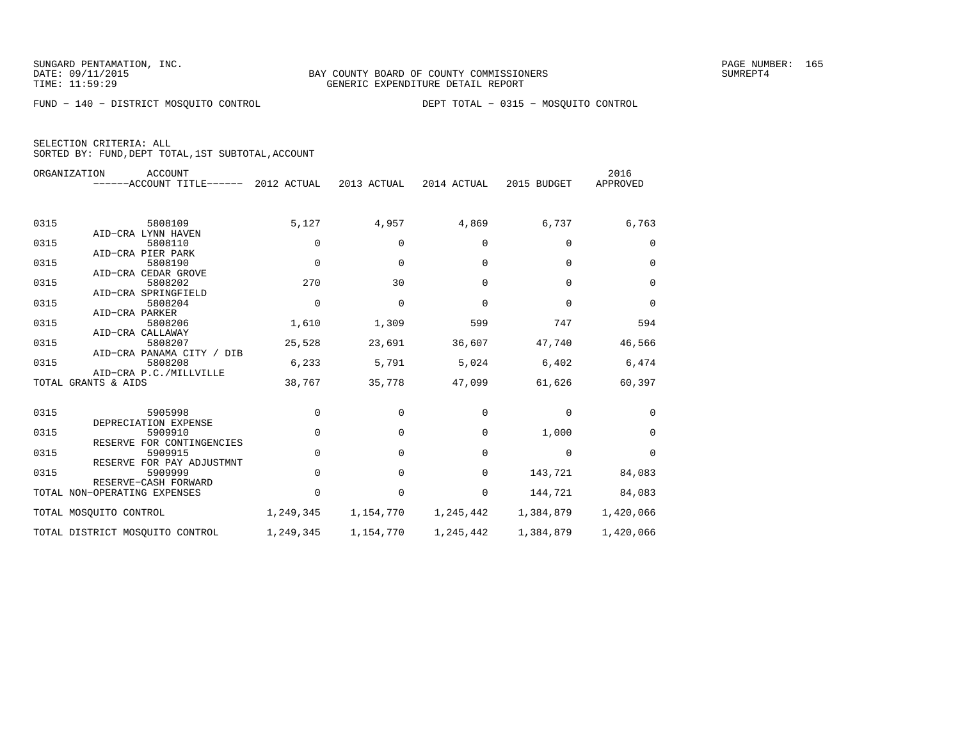FUND − 140 − DISTRICT MOSQUITO CONTROL DEPT TOTAL − 0315 − MOSQUITO CONTROL

| SELECTION CRITERIA: ALL |  |                                                    |  |
|-------------------------|--|----------------------------------------------------|--|
|                         |  | SORTED BY: FUND, DEPT TOTAL, 1ST SUBTOTAL, ACCOUNT |  |

|      | ORGANIZATION<br><b>ACCOUNT</b>        |             |             |             |             | 2016        |
|------|---------------------------------------|-------------|-------------|-------------|-------------|-------------|
|      | ------ACCOUNT TITLE------ 2012 ACTUAL |             | 2013 ACTUAL | 2014 ACTUAL | 2015 BUDGET | APPROVED    |
|      |                                       |             |             |             |             |             |
| 0315 | 5808109                               | 5,127       | 4,957       | 4,869       | 6,737       | 6,763       |
|      | AID-CRA LYNN HAVEN                    |             |             |             |             |             |
| 0315 | 5808110                               | $\mathbf 0$ | $\mathbf 0$ | $\Omega$    | $\Omega$    | 0           |
|      | AID-CRA PIER PARK                     |             |             |             |             |             |
| 0315 | 5808190                               | $\mathbf 0$ | $\mathbf 0$ | $\Omega$    | $\Omega$    | $\mathbf 0$ |
|      | AID-CRA CEDAR GROVE                   |             |             |             |             |             |
| 0315 | 5808202                               | 270         | 30          | $\Omega$    | $\Omega$    | 0           |
|      | AID-CRA SPRINGFIELD                   |             |             |             |             |             |
| 0315 | 5808204                               | $\mathbf 0$ | $\mathbf 0$ | $\mathbf 0$ | $\mathbf 0$ | $\mathbf 0$ |
|      | AID-CRA PARKER                        |             |             |             |             |             |
| 0315 | 5808206                               | 1,610       | 1,309       | 599         | 747         | 594         |
| 0315 | AID-CRA CALLAWAY<br>5808207           |             |             |             |             |             |
|      | AID-CRA PANAMA CITY / DIB             | 25,528      | 23,691      | 36,607      | 47,740      | 46,566      |
| 0315 | 5808208                               | 6,233       | 5,791       | 5,024       | 6,402       | 6,474       |
|      | AID-CRA P.C./MILLVILLE                |             |             |             |             |             |
|      | TOTAL GRANTS & AIDS                   | 38,767      | 35,778      | 47,099      | 61,626      | 60,397      |
|      |                                       |             |             |             |             |             |
| 0315 | 5905998                               | 0           | 0           | 0           | $\mathbf 0$ | $\Omega$    |
|      | DEPRECIATION EXPENSE                  |             |             |             |             |             |
| 0315 | 5909910                               | $\mathbf 0$ | $\mathbf 0$ | 0           | 1,000       | 0           |
|      | RESERVE FOR CONTINGENCIES             |             |             |             |             |             |
| 0315 | 5909915                               | 0           | $\Omega$    | 0           | $\mathbf 0$ | $\Omega$    |
|      | RESERVE FOR PAY ADJUSTMNT             |             |             |             |             |             |
| 0315 | 5909999                               | $\mathbf 0$ | $\mathbf 0$ | 0           | 143,721     | 84,083      |
|      | RESERVE-CASH FORWARD                  |             |             |             |             |             |
|      | TOTAL NON-OPERATING EXPENSES          | 0           | 0           | 0           | 144,721     | 84,083      |
|      | TOTAL MOSQUITO CONTROL                | 1,249,345   | 1,154,770   | 1,245,442   | 1,384,879   | 1,420,066   |
|      | TOTAL DISTRICT MOSQUITO CONTROL       | 1,249,345   | 1,154,770   | 1,245,442   | 1,384,879   | 1,420,066   |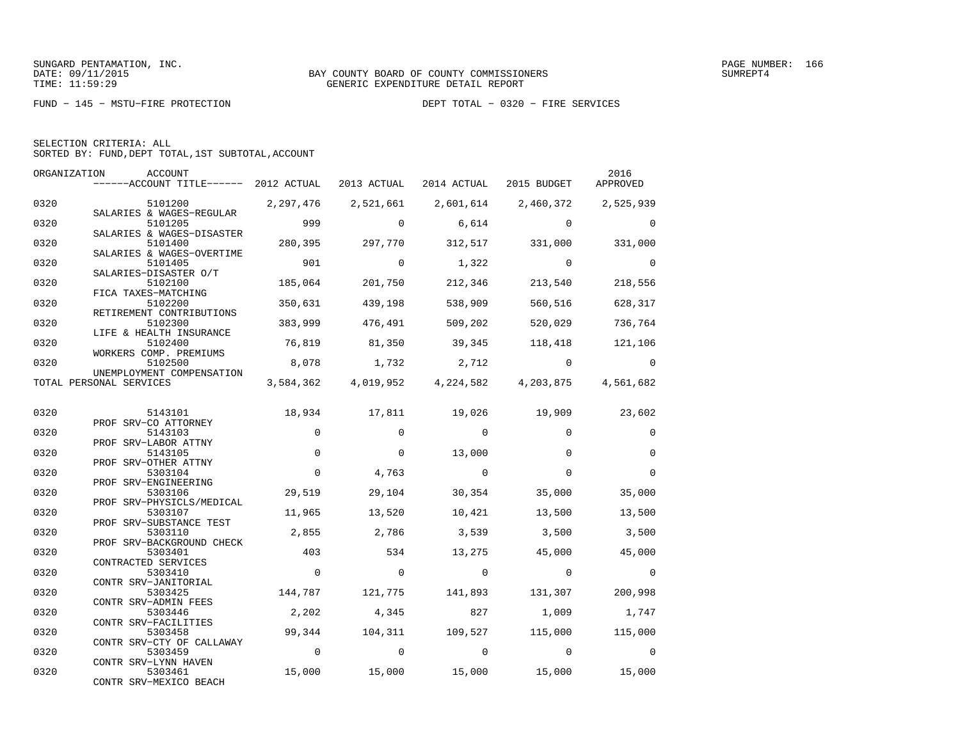|  | SELECTION CRITERIA: ALL                            |  |  |
|--|----------------------------------------------------|--|--|
|  | SORTED BY: FUND, DEPT TOTAL, 1ST SUBTOTAL, ACCOUNT |  |  |

| ORGANIZATION | ACCOUNT<br>------ACCOUNT TITLE------ 2012 ACTUAL 2013 ACTUAL 2014 ACTUAL |                |                |                                                   | 2015 BUDGET    | 2016<br>APPROVED |
|--------------|--------------------------------------------------------------------------|----------------|----------------|---------------------------------------------------|----------------|------------------|
| 0320         | 5101200                                                                  | 2, 297, 476    | 2,521,661      | 2,601,614 2,460,372 2,525,939                     |                |                  |
| 0320         | SALARIES & WAGES-REGULAR<br>5101205                                      | 999            | $\mathbf 0$    | 6,614                                             | $\overline{0}$ | $\mathbf 0$      |
| 0320         | SALARIES & WAGES-DISASTER<br>5101400<br>SALARIES & WAGES-OVERTIME        | 280,395        | 297,770        | 312,517                                           | 331,000        | 331,000          |
| 0320         | 5101405<br>SALARIES-DISASTER O/T                                         | 901            | $\overline{0}$ | 1,322                                             | $\sim$ 0       | $\overline{0}$   |
| 0320         | 5102100<br>FICA TAXES-MATCHING                                           | 185,064        | 201,750        | 212,346                                           | 213,540        | 218,556          |
| 0320         | 5102200<br>RETIREMENT CONTRIBUTIONS                                      | 350,631        | 439,198        | 538,909                                           | 560,516        | 628,317          |
| 0320         | 5102300<br>LIFE & HEALTH INSURANCE                                       | 383,999        | 476,491        | 509,202                                           | 520,029        | 736,764          |
| 0320         | 5102400<br>WORKERS COMP. PREMIUMS                                        | 76,819         | 81,350         | 39,345                                            | 118,418        | 121,106          |
| 0320         | 5102500<br>UNEMPLOYMENT COMPENSATION                                     | 8,078          | 1,732          | 2,712                                             | $\overline{0}$ | $\Omega$         |
|              | TOTAL PERSONAL SERVICES                                                  |                |                | 3,584,362 4,019,952 4,224,582 4,203,875 4,561,682 |                |                  |
| 0320         | 5143101                                                                  | 18,934         | 17,811         | 19,026                                            | 19,909         | 23,602           |
| 0320         | PROF SRV-CO ATTORNEY<br>5143103                                          | $\mathbf 0$    | $\Omega$       | $\overline{0}$                                    | $\Omega$       | $\mathbf 0$      |
| 0320         | PROF SRV-LABOR ATTNY<br>5143105<br>PROF SRV-OTHER ATTNY                  | $\mathbf 0$    | $\Omega$       | 13,000                                            | $\Omega$       | $\mathbf 0$      |
| 0320         | 5303104<br>PROF SRV-ENGINEERING                                          | $\mathbf 0$    | 4,763          | $\overline{0}$                                    | $\Omega$       | $\mathbf 0$      |
| 0320         | 5303106<br>PROF SRV-PHYSICLS/MEDICAL                                     | 29,519         | 29,104         | 30,354                                            | 35,000         | 35,000           |
| 0320         | 5303107<br>PROF SRV-SUBSTANCE TEST                                       | 11,965         | 13,520         | 10,421                                            | 13,500         | 13,500           |
| 0320         | 5303110<br>PROF SRV-BACKGROUND CHECK                                     | 2,855          | 2,786          | 3,539                                             | 3,500          | 3,500            |
| 0320         | 5303401<br>CONTRACTED SERVICES                                           | 403            | 534            | 13,275                                            | 45,000         | 45,000           |
| 0320         | 5303410<br>CONTR SRV-JANITORIAL                                          | $\overline{0}$ | $\overline{0}$ | $\overline{0}$                                    | $\overline{0}$ | $\mathbf 0$      |
| 0320         | 5303425<br>CONTR SRV-ADMIN FEES                                          | 144,787        | 121,775        | 141,893                                           | 131,307        | 200,998          |
| 0320         | 5303446<br>CONTR SRV-FACILITIES                                          | 2,202          | 4,345          | 827                                               | 1,009          | 1,747            |
| 0320         | 5303458<br>CONTR SRV-CTY OF CALLAWAY                                     | 99,344         | 104,311        | 109,527                                           | 115,000        | 115,000          |
| 0320         | 5303459<br>CONTR SRV-LYNN HAVEN                                          | $\overline{0}$ | $\circ$        | $\overline{0}$                                    | $\overline{0}$ | $\overline{0}$   |
| 0320         | 5303461<br>CONTR SRV-MEXICO BEACH                                        | 15,000         | 15,000         | 15,000                                            | 15,000         | 15,000           |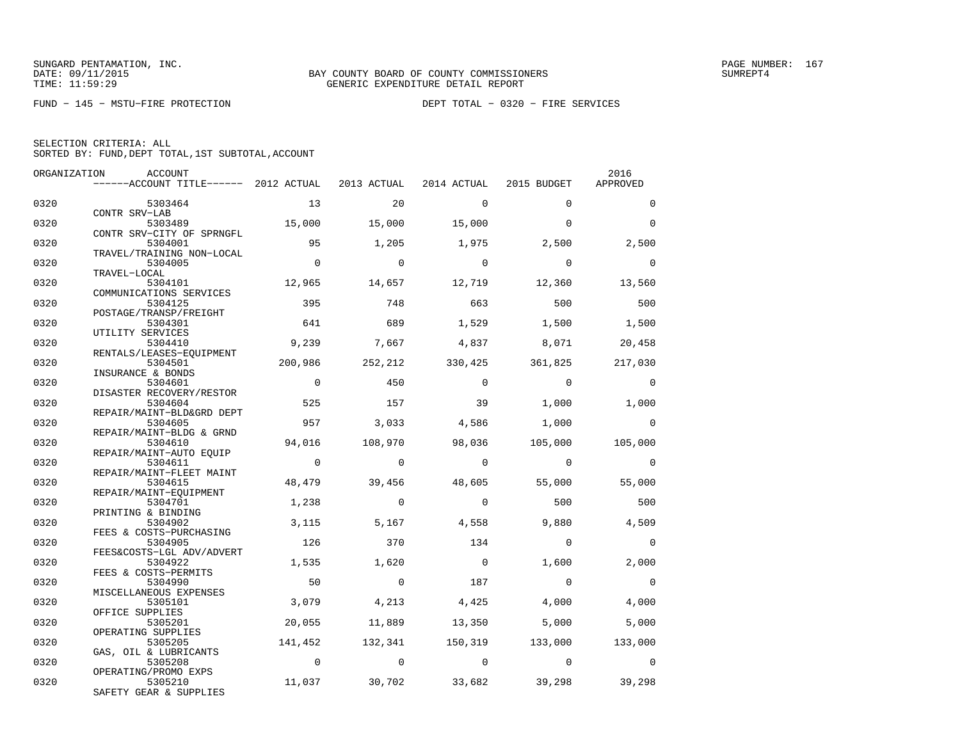FUND − 145 − MSTU−FIRE PROTECTION DEPT TOTAL − 0320 − FIRE SERVICES

SELECTION CRITERIA: ALLSORTED BY: FUND,DEPT TOTAL,1ST SUBTOTAL,ACCOUNT

| ORGANIZATION | ACCOUNT                               |                |                |                |                | 2016     |
|--------------|---------------------------------------|----------------|----------------|----------------|----------------|----------|
|              | ------ACCOUNT TITLE------ 2012 ACTUAL |                | 2013 ACTUAL    | 2014 ACTUAL    | 2015 BUDGET    | APPROVED |
| 0320         | 5303464                               | 13             | 20             | $\mathbf{0}$   | $\Omega$       | $\Omega$ |
|              | CONTR SRV-LAB                         |                |                |                |                |          |
| 0320         | 5303489                               | 15,000         | 15,000         | 15,000         | $\Omega$       | $\Omega$ |
|              | CONTR SRV-CITY OF SPRNGFL             |                |                |                |                |          |
| 0320         | 5304001                               | 95             | 1,205          | 1,975          | 2,500          | 2,500    |
| 0320         | TRAVEL/TRAINING NON-LOCAL<br>5304005  | $\Omega$       | $\Omega$       | $\Omega$       | $\Omega$       | $\Omega$ |
|              | TRAVEL-LOCAL                          |                |                |                |                |          |
| 0320         | 5304101                               | 12,965         | 14,657         | 12,719         | 12,360         | 13,560   |
|              | COMMUNICATIONS SERVICES               |                |                |                |                |          |
| 0320         | 5304125                               | 395            | 748            | 663            | 500            | 500      |
|              | POSTAGE/TRANSP/FREIGHT                |                |                |                |                |          |
| 0320         | 5304301                               | 641            | 689            | 1,529          | 1,500          | 1,500    |
|              | UTILITY SERVICES                      |                |                |                |                |          |
| 0320         | 5304410                               | 9,239          | 7,667          | 4,837          | 8,071          | 20,458   |
| 0320         | RENTALS/LEASES-EQUIPMENT<br>5304501   | 200,986        | 252,212        | 330,425        | 361,825        | 217,030  |
|              | INSURANCE & BONDS                     |                |                |                |                |          |
| 0320         | 5304601                               | $\Omega$       | 450            | $\Omega$       | $\Omega$       | $\Omega$ |
|              | DISASTER RECOVERY/RESTOR              |                |                |                |                |          |
| 0320         | 5304604                               | 525            | 157            | 39             | 1,000          | 1,000    |
|              | REPAIR/MAINT-BLD&GRD DEPT             |                |                |                |                |          |
| 0320         | 5304605                               | 957            | 3,033          | 4,586          | 1,000          | $\Omega$ |
|              | REPAIR/MAINT-BLDG & GRND              |                |                |                |                |          |
| 0320         | 5304610                               | 94,016         | 108,970        | 98,036         | 105,000        | 105,000  |
| 0320         | REPAIR/MAINT-AUTO EQUIP<br>5304611    | $\overline{0}$ | $\Omega$       | $\Omega$       | $\overline{0}$ | $\Omega$ |
|              | REPAIR/MAINT-FLEET MAINT              |                |                |                |                |          |
| 0320         | 5304615                               | 48,479         | 39,456         | 48,605         | 55,000         | 55,000   |
|              | REPAIR/MAINT-EQUIPMENT                |                |                |                |                |          |
| 0320         | 5304701                               | 1,238          | $\Omega$       | $\Omega$       | 500            | 500      |
|              | PRINTING & BINDING                    |                |                |                |                |          |
| 0320         | 5304902                               | 3,115          | 5,167          | 4,558          | 9,880          | 4,509    |
|              | FEES & COSTS-PURCHASING               |                |                |                |                |          |
| 0320         | 5304905<br>FEES&COSTS-LGL ADV/ADVERT  | 126            | 370            | 134            | $\Omega$       | $\Omega$ |
| 0320         | 5304922                               | 1,535          | 1,620          | $\overline{0}$ | 1,600          | 2,000    |
|              | FEES & COSTS-PERMITS                  |                |                |                |                |          |
| 0320         | 5304990                               | 50             | $\mathbf 0$    | 187            | $\mathbf 0$    | $\Omega$ |
|              | MISCELLANEOUS EXPENSES                |                |                |                |                |          |
| 0320         | 5305101                               | 3,079          | 4,213          | 4,425          | 4,000          | 4,000    |
|              | OFFICE SUPPLIES                       |                |                |                |                |          |
| 0320         | 5305201                               | 20,055         | 11,889         | 13,350         | 5,000          | 5,000    |
|              | OPERATING SUPPLIES                    |                |                |                |                |          |
| 0320         | 5305205                               | 141,452        | 132,341        | 150,319        | 133,000        | 133,000  |
| 0320         | GAS, OIL & LUBRICANTS<br>5305208      | $\overline{0}$ | $\overline{0}$ | $\overline{0}$ | $\overline{0}$ | $\Omega$ |
|              | OPERATING/PROMO EXPS                  |                |                |                |                |          |
| 0320         | 5305210                               | 11,037         | 30,702         | 33,682         | 39,298         | 39,298   |
|              | SAFETY GEAR & SUPPLIES                |                |                |                |                |          |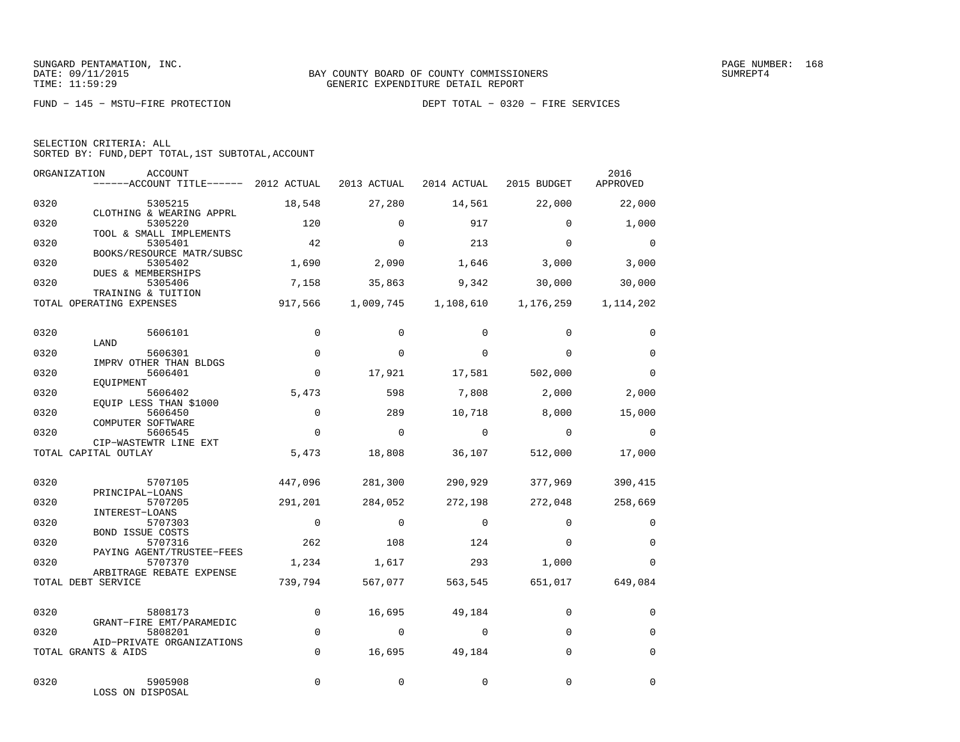FUND − 145 − MSTU−FIRE PROTECTION DEPT TOTAL − 0320 − FIRE SERVICES

|  | SELECTION CRITERIA: ALL |                                                    |
|--|-------------------------|----------------------------------------------------|
|  |                         | SORTED BY: FUND, DEPT TOTAL, 1ST SUBTOTAL, ACCOUNT |

| ORGANIZATION | ACCOUNT<br>------ACCOUNT TITLE------ 2012 ACTUAL           |                | 2013 ACTUAL | 2014 ACTUAL | 2015 BUDGET                                     | 2016<br>APPROVED |
|--------------|------------------------------------------------------------|----------------|-------------|-------------|-------------------------------------------------|------------------|
| 0320         | 5305215                                                    | 18,548         | 27,280      | 14,561      | 22,000                                          | 22,000           |
| 0320         | CLOTHING & WEARING APPRL<br>5305220                        | 120            | $\Omega$    | 917         | $\Omega$                                        | 1,000            |
| 0320         | TOOL & SMALL IMPLEMENTS<br>5305401                         | 42             | $\Omega$    | 213         | $\Omega$                                        | $\overline{0}$   |
| 0320         | BOOKS/RESOURCE MATR/SUBSC<br>5305402<br>DUES & MEMBERSHIPS | 1,690          | 2,090       | 1,646       | 3,000                                           | 3,000            |
| 0320         | 5305406<br>TRAINING & TUITION                              | 7,158          | 35,863      | 9,342       | 30,000                                          | 30,000           |
|              | TOTAL OPERATING EXPENSES                                   |                |             |             | 917,566 1,009,745 1,108,610 1,176,259 1,114,202 |                  |
| 0320         | 5606101                                                    | $\mathbf 0$    | $\Omega$    | $\Omega$    | $\Omega$                                        | $\mathbf 0$      |
| 0320         | LAND<br>5606301                                            | $\Omega$       | $\Omega$    | $\Omega$    | $\Omega$                                        | $\Omega$         |
| 0320         | IMPRV OTHER THAN BLDGS<br>5606401                          | $\mathbf 0$    | 17,921      | 17,581      | 502,000                                         | $\Omega$         |
| 0320         | EOUIPMENT<br>5606402<br>EQUIP LESS THAN \$1000             | 5,473          | 598         | 7,808       | 2,000                                           | 2,000            |
| 0320         | 5606450<br>COMPUTER SOFTWARE                               | $\mathbf 0$    | 289         | 10,718      | 8,000                                           | 15,000           |
| 0320         | 5606545<br>CIP-WASTEWTR LINE EXT                           | $\Omega$       | $\Omega$    | $\Omega$    | $\Omega$                                        | $\Omega$         |
|              | TOTAL CAPITAL OUTLAY                                       | 5,473          | 18,808      | 36,107      | 512,000                                         | 17,000           |
| 0320         | 5707105                                                    | 447,096        | 281,300     | 290,929     | 377,969                                         | 390,415          |
| 0320         | PRINCIPAL-LOANS<br>5707205                                 | 291,201        | 284,052     | 272,198     | 272,048                                         | 258,669          |
| 0320         | INTEREST-LOANS<br>5707303<br><b>BOND ISSUE COSTS</b>       | $\overline{0}$ | $\Omega$    | $\Omega$    | $\Omega$                                        | $\Omega$         |
| 0320         | 5707316<br>PAYING AGENT/TRUSTEE-FEES                       | 262            | 108         | 124         | $\Omega$                                        | $\mathbf 0$      |
| 0320         | 5707370<br>ARBITRAGE REBATE EXPENSE                        | 1,234          | 1,617       | 293         | 1,000                                           | $\Omega$         |
|              | TOTAL DEBT SERVICE                                         | 739,794        | 567,077     | 563,545     | 651,017                                         | 649,084          |
| 0320         | 5808173                                                    | 0              | 16,695      | 49,184      | $\mathbf 0$                                     | $\mathbf 0$      |
| 0320         | GRANT-FIRE EMT/PARAMEDIC<br>5808201                        | $\mathbf 0$    | $\Omega$    | $\Omega$    | $\Omega$                                        | $\Omega$         |
|              | AID-PRIVATE ORGANIZATIONS<br>TOTAL GRANTS & AIDS           | $\mathbf 0$    | 16,695      | 49,184      | $\Omega$                                        | $\mathbf 0$      |
| 0320         | 5905908<br>LOSS ON DISPOSAL                                | $\Omega$       | $\Omega$    | $\Omega$    | $\Omega$                                        | $\Omega$         |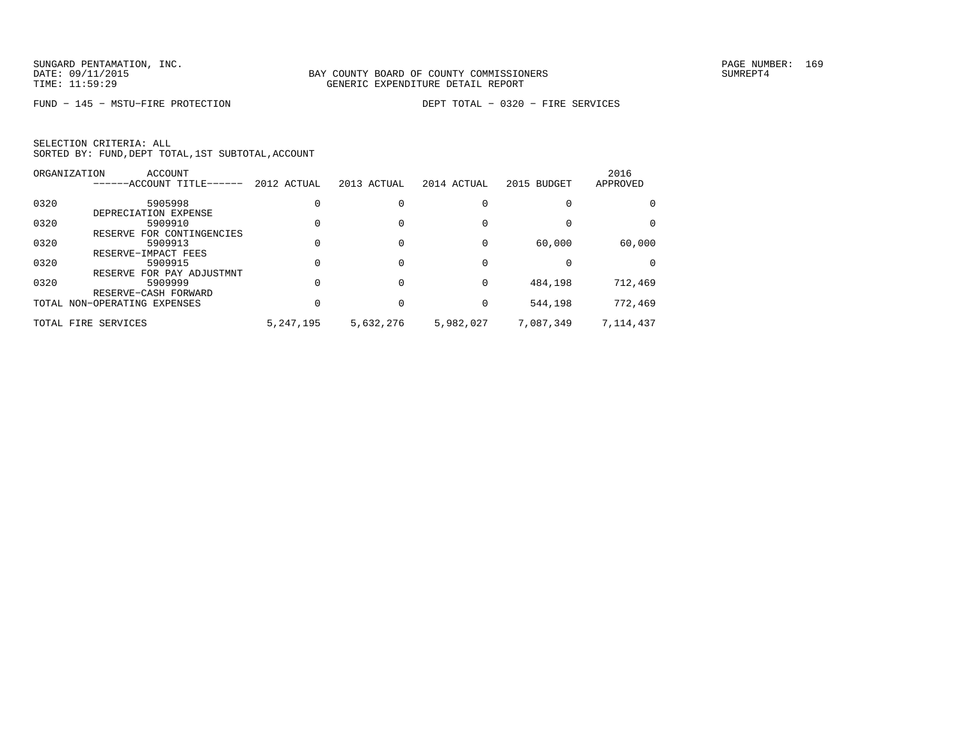FUND − 145 − MSTU−FIRE PROTECTION DEPT TOTAL − 0320 − FIRE SERVICES

SELECTION CRITERIA: ALLSORTED BY: FUND,DEPT TOTAL,1ST SUBTOTAL,ACCOUNT

|      | ORGANIZATION<br>ACCOUNT<br>------ACCOUNT TITLE------ | 2012 ACTUAL | 2013 ACTUAL | 2014 ACTUAL | 2015 BUDGET | 2016<br>APPROVED |
|------|------------------------------------------------------|-------------|-------------|-------------|-------------|------------------|
|      |                                                      |             |             |             |             |                  |
| 0320 | 5905998                                              |             |             |             |             |                  |
|      | DEPRECIATION EXPENSE                                 |             |             |             |             |                  |
| 0320 | 5909910                                              |             |             |             |             | 0                |
|      | RESERVE FOR CONTINGENCIES                            |             |             |             |             |                  |
| 0320 | 5909913                                              |             |             |             | 60,000      | 60,000           |
|      | RESERVE-IMPACT FEES                                  |             |             |             |             |                  |
| 0320 | 5909915                                              |             |             |             |             | <sup>o</sup>     |
|      | RESERVE FOR PAY ADJUSTMNT                            |             |             |             |             |                  |
| 0320 | 5909999                                              |             |             | $\Omega$    | 484,198     | 712,469          |
|      | RESERVE-CASH FORWARD                                 |             |             |             |             |                  |
|      | TOTAL NON-OPERATING EXPENSES                         |             |             | $\Omega$    | 544,198     | 772,469          |
|      | TOTAL FIRE SERVICES                                  | 5, 247, 195 | 5,632,276   | 5,982,027   | 7,087,349   | 7,114,437        |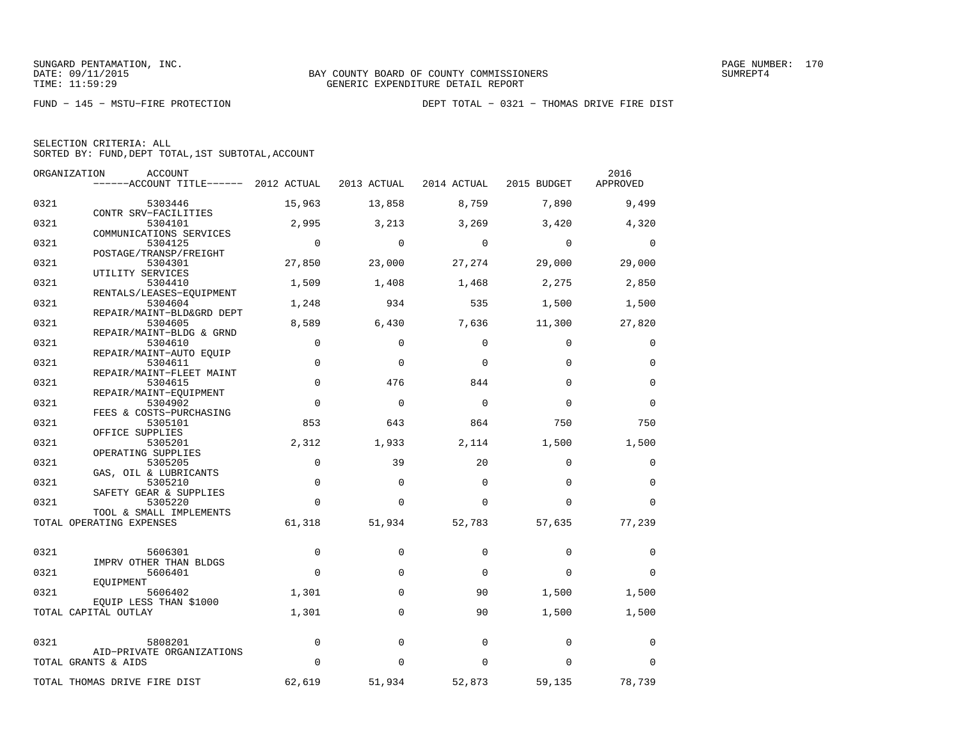|  | SELECTION CRITERIA: ALL |                                                    |  |
|--|-------------------------|----------------------------------------------------|--|
|  |                         | SORTED BY: FUND, DEPT TOTAL, 1ST SUBTOTAL, ACCOUNT |  |

|      | ORGANIZATION<br>ACCOUNT               |             |             |             |             | 2016        |
|------|---------------------------------------|-------------|-------------|-------------|-------------|-------------|
|      | ------ACCOUNT TITLE------ 2012 ACTUAL |             | 2013 ACTUAL | 2014 ACTUAL | 2015 BUDGET | APPROVED    |
| 0321 | 5303446                               | 15,963      | 13,858      | 8,759       | 7,890       | 9,499       |
|      | CONTR SRV-FACILITIES                  |             |             |             |             |             |
| 0321 | 5304101                               | 2,995       | 3,213       | 3,269       | 3,420       | 4,320       |
| 0321 | COMMUNICATIONS SERVICES<br>5304125    | $\mathbf 0$ | $\mathbf 0$ | $\mathbf 0$ | $\mathbf 0$ | 0           |
|      | POSTAGE/TRANSP/FREIGHT                |             |             |             |             |             |
| 0321 | 5304301                               | 27,850      | 23,000      | 27,274      | 29,000      | 29,000      |
|      | UTILITY SERVICES                      |             |             |             |             |             |
| 0321 | 5304410                               | 1,509       | 1,408       | 1,468       | 2,275       | 2,850       |
| 0321 | RENTALS/LEASES-EOUIPMENT<br>5304604   | 1,248       | 934         | 535         | 1,500       | 1,500       |
|      | REPAIR/MAINT-BLD&GRD DEPT             |             |             |             |             |             |
| 0321 | 5304605                               | 8,589       | 6,430       | 7,636       | 11,300      | 27,820      |
|      | REPAIR/MAINT-BLDG & GRND              |             |             |             |             |             |
| 0321 | 5304610                               | $\mathbf 0$ | $\Omega$    | $\Omega$    | $\Omega$    | 0           |
|      | REPAIR/MAINT-AUTO EQUIP               |             |             |             |             |             |
| 0321 | 5304611                               | $\mathbf 0$ | $\mathbf 0$ | $\Omega$    | $\Omega$    | 0           |
| 0321 | REPAIR/MAINT-FLEET MAINT<br>5304615   | $\mathbf 0$ | 476         | 844         | $\Omega$    | $\mathbf 0$ |
|      | REPAIR/MAINT-EOUIPMENT                |             |             |             |             |             |
| 0321 | 5304902                               | $\Omega$    | $\Omega$    | $\Omega$    | $\Omega$    | $\Omega$    |
|      | FEES & COSTS-PURCHASING               |             |             |             |             |             |
| 0321 | 5305101                               | 853         | 643         | 864         | 750         | 750         |
|      | OFFICE SUPPLIES                       |             |             |             |             |             |
| 0321 | 5305201                               | 2,312       | 1,933       | 2,114       | 1,500       | 1,500       |
|      | OPERATING SUPPLIES                    |             |             |             |             |             |
| 0321 | 5305205                               | $\mathbf 0$ | 39          | 20          | $\Omega$    | 0           |
|      | GAS, OIL & LUBRICANTS                 | $\mathbf 0$ | $\mathbf 0$ | $\mathbf 0$ | $\Omega$    | $\mathbf 0$ |
| 0321 | 5305210<br>SAFETY GEAR & SUPPLIES     |             |             |             |             |             |
| 0321 | 5305220                               | $\Omega$    | $\Omega$    | $\Omega$    | $\Omega$    | $\Omega$    |
|      | TOOL & SMALL IMPLEMENTS               |             |             |             |             |             |
|      | TOTAL OPERATING EXPENSES              | 61,318      | 51,934      | 52,783      | 57,635      | 77,239      |
|      |                                       |             |             |             |             |             |
| 0321 | 5606301                               | $\mathbf 0$ | $\Omega$    | $\Omega$    | $\Omega$    | 0           |
|      | IMPRV OTHER THAN BLDGS                |             |             |             |             |             |
| 0321 | 5606401                               | $\Omega$    | $\mathbf 0$ | $\Omega$    | $\Omega$    | 0           |
|      | EQUIPMENT                             |             |             |             |             |             |
| 0321 | 5606402<br>EOUIP LESS THAN \$1000     | 1,301       | 0           | 90          | 1,500       | 1,500       |
|      | TOTAL CAPITAL OUTLAY                  | 1,301       | $\Omega$    | 90          | 1,500       | 1,500       |
|      |                                       |             |             |             |             |             |
| 0321 | 5808201                               | $\mathbf 0$ | $\Omega$    | $\Omega$    | 0           | 0           |
|      | AID-PRIVATE ORGANIZATIONS             |             |             |             |             |             |
|      | TOTAL GRANTS & AIDS                   | $\Omega$    | $\Omega$    | $\Omega$    | $\Omega$    | 0           |
|      | TOTAL THOMAS DRIVE FIRE DIST          | 62,619      | 51,934      | 52,873      | 59,135      | 78,739      |
|      |                                       |             |             |             |             |             |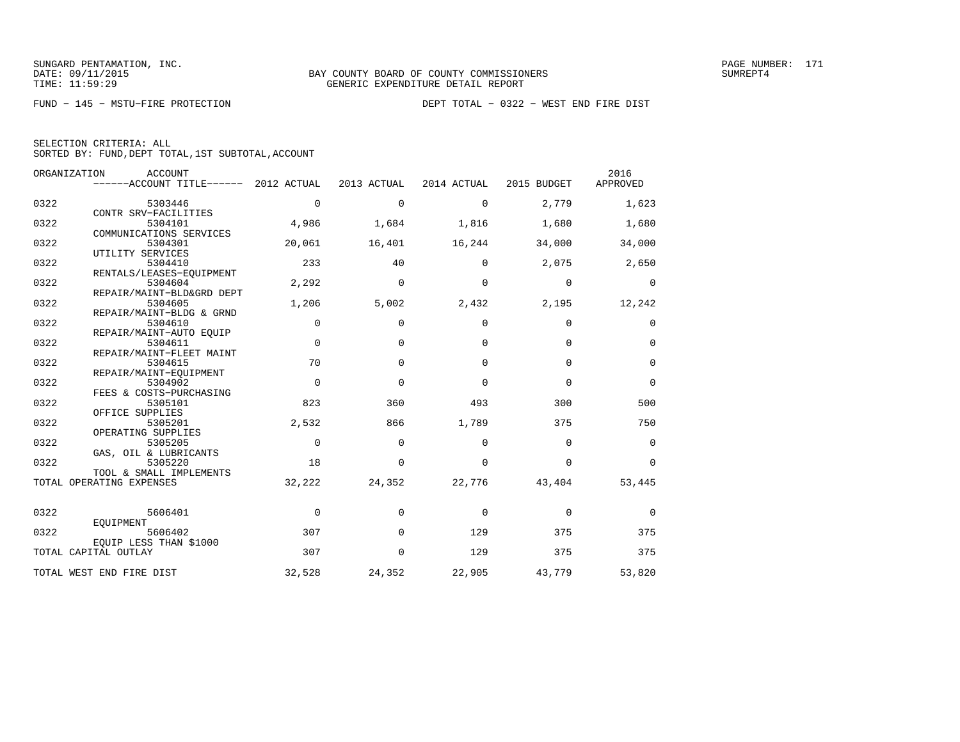| SELECTION CRITERIA: ALL |  |  |                                                    |  |
|-------------------------|--|--|----------------------------------------------------|--|
|                         |  |  | SORTED BY: FUND, DEPT TOTAL, 1ST SUBTOTAL, ACCOUNT |  |

|      | ORGANIZATION<br><b>ACCOUNT</b><br>------ACCOUNT TITLE------ 2012 ACTUAL |             | 2013 ACTUAL | 2014 ACTUAL | 2015 BUDGET | 2016<br>APPROVED |
|------|-------------------------------------------------------------------------|-------------|-------------|-------------|-------------|------------------|
| 0322 | 5303446                                                                 | $\Omega$    | $\Omega$    | $\Omega$    | 2,779       | 1,623            |
| 0322 | CONTR SRV-FACILITIES<br>5304101                                         | 4,986       | 1,684       | 1,816       | 1,680       | 1,680            |
| 0322 | COMMUNICATIONS SERVICES<br>5304301                                      | 20,061      | 16,401      | 16,244      | 34,000      | 34,000           |
|      | UTILITY SERVICES                                                        | 233         | 40          | $\Omega$    | 2,075       | 2,650            |
| 0322 | 5304410<br>RENTALS/LEASES-EQUIPMENT                                     |             |             |             |             |                  |
| 0322 | 5304604<br>REPAIR/MAINT-BLD&GRD DEPT                                    | 2,292       | $\mathbf 0$ | $\Omega$    | $\mathbf 0$ | $\mathbf 0$      |
| 0322 | 5304605                                                                 | 1,206       | 5,002       | 2,432       | 2,195       | 12,242           |
| 0322 | REPAIR/MAINT-BLDG & GRND<br>5304610                                     | $\mathbf 0$ | $\mathbf 0$ | $\mathbf 0$ | $\mathbf 0$ | 0                |
|      | REPAIR/MAINT-AUTO EOUIP                                                 |             |             |             |             |                  |
| 0322 | 5304611<br>REPAIR/MAINT-FLEET MAINT                                     | $\mathbf 0$ | $\mathbf 0$ | $\Omega$    | $\Omega$    | $\mathbf 0$      |
| 0322 | 5304615                                                                 | 70          | $\Omega$    | $\Omega$    | $\Omega$    | $\Omega$         |
| 0322 | REPAIR/MAINT-EQUIPMENT<br>5304902                                       | $\mathbf 0$ | $\Omega$    | $\Omega$    | $\Omega$    | $\Omega$         |
| 0322 | FEES & COSTS-PURCHASING<br>5305101                                      | 823         | 360         | 493         | 300         | 500              |
|      | OFFICE SUPPLIES                                                         |             |             |             |             |                  |
| 0322 | 5305201<br>OPERATING SUPPLIES                                           | 2,532       | 866         | 1,789       | 375         | 750              |
| 0322 | 5305205                                                                 | $\mathbf 0$ | $\mathbf 0$ | $\mathbf 0$ | $\mathbf 0$ | $\mathbf 0$      |
| 0322 | GAS, OIL & LUBRICANTS<br>5305220                                        | 18          | $\Omega$    | $\Omega$    | $\Omega$    | $\Omega$         |
|      | TOOL & SMALL IMPLEMENTS<br>TOTAL OPERATING EXPENSES                     | 32,222      | 24,352      | 22,776      | 43,404      | 53,445           |
|      |                                                                         |             |             |             |             |                  |
| 0322 | 5606401                                                                 | $\Omega$    | $\Omega$    | $\Omega$    | $\Omega$    | $\Omega$         |
| 0322 | EOUIPMENT<br>5606402<br>EOUIP LESS THAN \$1000                          | 307         | $\Omega$    | 129         | 375         | 375              |
|      | TOTAL CAPITAL OUTLAY                                                    | 307         | $\mathbf 0$ | 129         | 375         | 375              |
|      | TOTAL WEST END FIRE DIST                                                | 32,528      | 24,352      | 22,905      | 43,779      | 53,820           |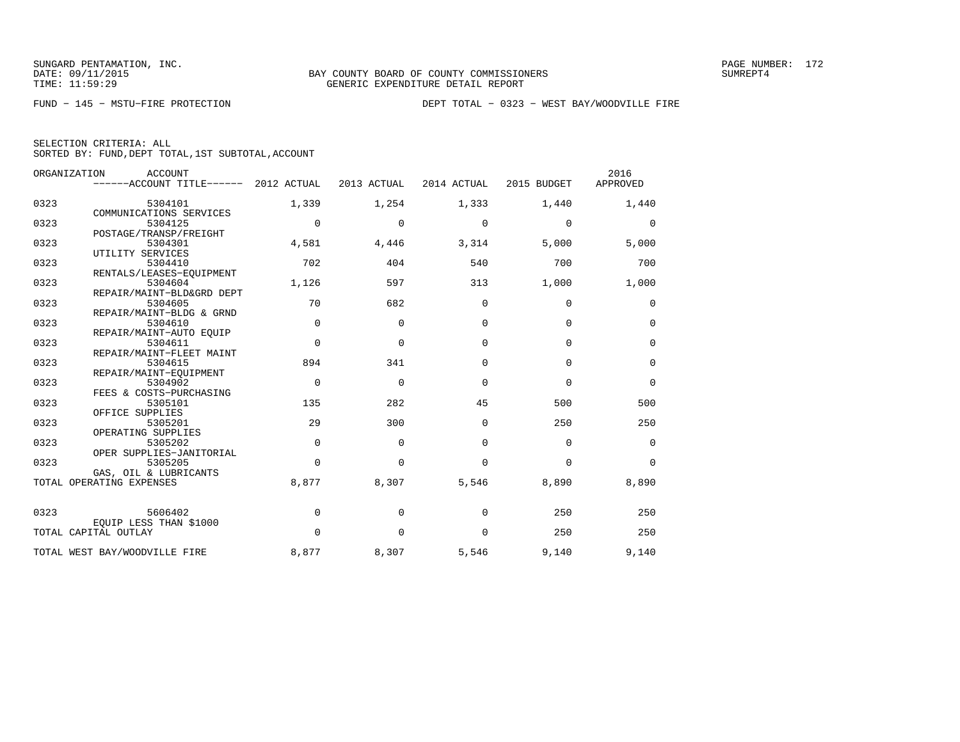|  | SELECTION CRITERIA: ALL                            |  |  |
|--|----------------------------------------------------|--|--|
|  | SORTED BY: FUND, DEPT TOTAL, 1ST SUBTOTAL, ACCOUNT |  |  |

|      | ORGANIZATION<br><b>ACCOUNT</b>        |             |             |             |             | 2016        |
|------|---------------------------------------|-------------|-------------|-------------|-------------|-------------|
|      | ------ACCOUNT TITLE------ 2012 ACTUAL |             | 2013 ACTUAL | 2014 ACTUAL | 2015 BUDGET | APPROVED    |
| 0323 | 5304101                               | 1,339       | 1,254       | 1,333       | 1,440       | 1,440       |
|      | COMMUNICATIONS SERVICES               |             |             |             |             |             |
| 0323 | 5304125                               | $\mathbf 0$ | $\mathbf 0$ | $\mathbf 0$ | $\mathbf 0$ | 0           |
|      | POSTAGE/TRANSP/FREIGHT                |             |             |             |             |             |
| 0323 | 5304301                               | 4,581       | 4,446       | 3,314       | 5,000       | 5,000       |
| 0323 | UTILITY SERVICES<br>5304410           | 702         | 404         | 540         | 700         | 700         |
|      | RENTALS/LEASES-EQUIPMENT              |             |             |             |             |             |
| 0323 | 5304604                               | 1,126       | 597         | 313         | 1,000       | 1,000       |
|      | REPAIR/MAINT-BLD&GRD DEPT             |             |             |             |             |             |
| 0323 | 5304605                               | 70          | 682         | 0           | $\mathbf 0$ | 0           |
|      | REPAIR/MAINT-BLDG & GRND              |             |             |             |             |             |
| 0323 | 5304610                               | $\mathbf 0$ | $\Omega$    | $\Omega$    | $\mathbf 0$ | $\mathbf 0$ |
|      | REPAIR/MAINT-AUTO EQUIP               | $\Omega$    | $\Omega$    | $\Omega$    | $\Omega$    |             |
| 0323 | 5304611<br>REPAIR/MAINT-FLEET MAINT   |             |             |             |             | $\mathbf 0$ |
| 0323 | 5304615                               | 894         | 341         | $\Omega$    | $\Omega$    | $\mathbf 0$ |
|      | REPAIR/MAINT-EOUIPMENT                |             |             |             |             |             |
| 0323 | 5304902                               | $\Omega$    | $\Omega$    | $\Omega$    | $\Omega$    | $\Omega$    |
|      | FEES & COSTS-PURCHASING               |             |             |             |             |             |
| 0323 | 5305101                               | 135         | 282         | 45          | 500         | 500         |
|      | OFFICE SUPPLIES                       |             |             |             |             |             |
| 0323 | 5305201                               | 29          | 300         | $\Omega$    | 250         | 250         |
| 0323 | OPERATING SUPPLIES<br>5305202         | $\Omega$    | $\Omega$    | $\Omega$    | $\Omega$    | 0           |
|      | OPER SUPPLIES-JANITORIAL              |             |             |             |             |             |
| 0323 | 5305205                               | $\Omega$    | $\Omega$    | $\Omega$    | $\mathbf 0$ | $\Omega$    |
|      | GAS, OIL & LUBRICANTS                 |             |             |             |             |             |
|      | TOTAL OPERATING EXPENSES              | 8,877       | 8,307       | 5,546       | 8,890       | 8,890       |
|      |                                       |             |             |             |             |             |
| 0323 | 5606402                               | $\mathbf 0$ | 0           | 0           | 250         | 250         |
|      | EOUIP LESS THAN \$1000                |             |             |             |             |             |
|      | TOTAL CAPITAL OUTLAY                  | $\Omega$    | $\mathbf 0$ | $\mathbf 0$ | 250         | 250         |
|      | TOTAL WEST BAY/WOODVILLE FIRE         | 8,877       | 8,307       | 5,546       | 9,140       | 9,140       |
|      |                                       |             |             |             |             |             |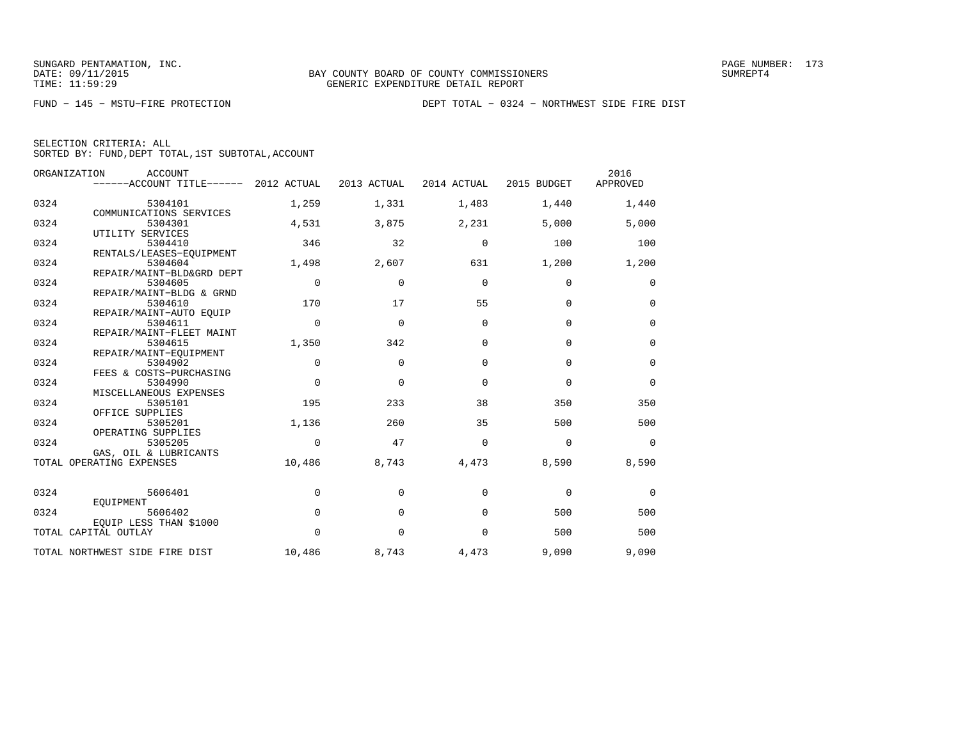FUND − 145 − MSTU−FIRE PROTECTION DEPT TOTAL − 0324 − NORTHWEST SIDE FIRE DIST

|  | SELECTION CRITERIA: ALL                            |  |  |
|--|----------------------------------------------------|--|--|
|  | SORTED BY: FUND, DEPT TOTAL, 1ST SUBTOTAL, ACCOUNT |  |  |

|      | ORGANIZATION<br><b>ACCOUNT</b><br>------ACCOUNT TITLE------ | 2012 ACTUAL | 2013 ACTUAL  | 2014 ACTUAL | 2015 BUDGET | 2016<br>APPROVED |
|------|-------------------------------------------------------------|-------------|--------------|-------------|-------------|------------------|
| 0324 | 5304101                                                     | 1,259       | 1,331        | 1,483       | 1,440       | 1,440            |
| 0324 | COMMUNICATIONS SERVICES<br>5304301                          | 4,531       | 3,875        | 2,231       | 5,000       | 5,000            |
|      | UTILITY SERVICES                                            |             |              |             |             |                  |
| 0324 | 5304410                                                     | 346         | 32           | $\Omega$    | 100         | 100              |
| 0324 | RENTALS/LEASES-EQUIPMENT<br>5304604                         | 1,498       | 2,607        | 631         | 1,200       | 1,200            |
|      | REPAIR/MAINT-BLD&GRD DEPT                                   |             |              |             |             |                  |
| 0324 | 5304605                                                     | $\mathbf 0$ | $\mathbf{0}$ | $\mathbf 0$ | $\mathbf 0$ | 0                |
|      | REPAIR/MAINT-BLDG & GRND                                    |             |              |             |             |                  |
| 0324 | 5304610<br>REPAIR/MAINT-AUTO EOUIP                          | 170         | 17           | 55          | $\mathbf 0$ | 0                |
| 0324 | 5304611                                                     | $\mathbf 0$ | 0            | $\Omega$    | $\mathbf 0$ | 0                |
|      | REPAIR/MAINT-FLEET MAINT                                    |             |              |             |             |                  |
| 0324 | 5304615                                                     | 1,350       | 342          | $\Omega$    | $\Omega$    | $\mathbf 0$      |
|      | REPAIR/MAINT-EOUIPMENT                                      |             |              |             |             |                  |
| 0324 | 5304902<br>FEES & COSTS-PURCHASING                          | $\Omega$    | $\Omega$     | $\Omega$    | $\Omega$    | $\mathbf 0$      |
| 0324 | 5304990                                                     | $\mathbf 0$ | $\Omega$     | $\Omega$    | $\mathbf 0$ | $\mathbf 0$      |
|      | MISCELLANEOUS EXPENSES                                      |             |              |             |             |                  |
| 0324 | 5305101                                                     | 195         | 233          | 38          | 350         | 350              |
|      | OFFICE SUPPLIES                                             |             |              |             |             |                  |
| 0324 | 5305201<br>OPERATING SUPPLIES                               | 1,136       | 260          | 35          | 500         | 500              |
| 0324 | 5305205                                                     | 0           | 47           | $\Omega$    | 0           | 0                |
|      | GAS, OIL & LUBRICANTS                                       |             |              |             |             |                  |
|      | TOTAL OPERATING EXPENSES                                    | 10,486      | 8,743        | 4,473       | 8,590       | 8,590            |
| 0324 | 5606401                                                     | $\mathbf 0$ | 0            | 0           | $\mathbf 0$ | 0                |
|      | EOUIPMENT                                                   |             |              |             |             |                  |
| 0324 | 5606402                                                     | $\mathbf 0$ | $\mathbf{0}$ | 0           | 500         | 500              |
|      | EQUIP LESS THAN \$1000                                      |             |              |             |             |                  |
|      | TOTAL CAPITAL OUTLAY                                        | $\mathbf 0$ | $\mathbf{0}$ | $\mathbf 0$ | 500         | 500              |
|      | TOTAL NORTHWEST SIDE FIRE DIST                              | 10,486      | 8,743        | 4,473       | 9,090       | 9,090            |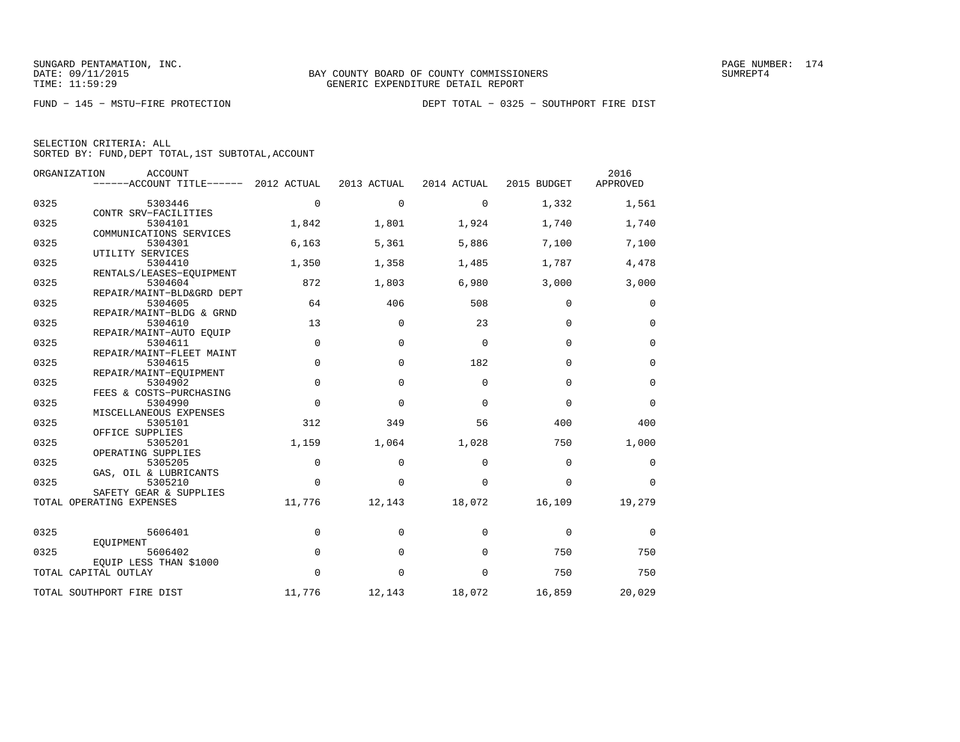| SELECTION CRITERIA: ALL |  |  |                                                    |  |
|-------------------------|--|--|----------------------------------------------------|--|
|                         |  |  | SORTED BY: FUND, DEPT TOTAL, 1ST SUBTOTAL, ACCOUNT |  |

|      | ORGANIZATION<br><b>ACCOUNT</b><br>------ACCOUNT TITLE------ 2012 ACTUAL |             | 2013 ACTUAL | 2014 ACTUAL | 2015 BUDGET | 2016<br>APPROVED |
|------|-------------------------------------------------------------------------|-------------|-------------|-------------|-------------|------------------|
|      |                                                                         |             |             |             |             |                  |
| 0325 | 5303446<br>CONTR SRV-FACILITIES                                         | $\mathbf 0$ | $\mathbf 0$ | $\Omega$    | 1,332       | 1,561            |
| 0325 | 5304101                                                                 | 1,842       | 1,801       | 1,924       | 1,740       | 1,740            |
|      | COMMUNICATIONS SERVICES                                                 |             |             |             |             |                  |
| 0325 | 5304301                                                                 | 6,163       | 5,361       | 5,886       | 7,100       | 7,100            |
|      | UTILITY SERVICES                                                        |             |             |             |             |                  |
| 0325 | 5304410                                                                 | 1,350       | 1,358       | 1,485       | 1,787       | 4,478            |
|      | RENTALS/LEASES-EOUIPMENT                                                |             |             |             |             |                  |
| 0325 | 5304604                                                                 | 872         | 1,803       | 6,980       | 3,000       | 3,000            |
|      | REPAIR/MAINT-BLD&GRD DEPT                                               |             |             |             |             |                  |
| 0325 | 5304605                                                                 | 64          | 406         | 508         | $\Omega$    | 0                |
|      | REPAIR/MAINT-BLDG & GRND                                                | 13          |             | 23          | $\Omega$    | $\mathbf 0$      |
| 0325 | 5304610<br>REPAIR/MAINT-AUTO EOUIP                                      |             | 0           |             |             |                  |
| 0325 | 5304611                                                                 | $\mathbf 0$ | $\mathbf 0$ | $\mathbf 0$ | $\mathbf 0$ | $\mathbf 0$      |
|      | REPAIR/MAINT-FLEET MAINT                                                |             |             |             |             |                  |
| 0325 | 5304615                                                                 | $\mathbf 0$ | $\mathbf 0$ | 182         | $\mathbf 0$ | $\mathbf 0$      |
|      | REPAIR/MAINT-EOUIPMENT                                                  |             |             |             |             |                  |
| 0325 | 5304902                                                                 | $\Omega$    | $\Omega$    | $\Omega$    | $\Omega$    | 0                |
|      | FEES & COSTS-PURCHASING                                                 |             |             |             |             |                  |
| 0325 | 5304990                                                                 | $\Omega$    | $\Omega$    | $\Omega$    | $\Omega$    | $\Omega$         |
|      | MISCELLANEOUS EXPENSES                                                  |             |             |             |             |                  |
| 0325 | 5305101                                                                 | 312         | 349         | 56          | 400         | 400              |
|      | OFFICE SUPPLIES                                                         |             |             |             |             |                  |
| 0325 | 5305201                                                                 | 1,159       | 1,064       | 1,028       | 750         | 1,000            |
| 0325 | OPERATING SUPPLIES<br>5305205                                           | $\Omega$    | $\Omega$    | $\Omega$    | $\Omega$    |                  |
|      | GAS, OIL & LUBRICANTS                                                   |             |             |             |             | 0                |
| 0325 | 5305210                                                                 | $\Omega$    | $\Omega$    | $\Omega$    | $\Omega$    | $\Omega$         |
|      | SAFETY GEAR & SUPPLIES                                                  |             |             |             |             |                  |
|      | TOTAL OPERATING EXPENSES                                                | 11,776      | 12,143      | 18,072      | 16,109      | 19,279           |
|      |                                                                         |             |             |             |             |                  |
| 0325 | 5606401                                                                 | $\mathbf 0$ | $\Omega$    | $\Omega$    | $\mathbf 0$ | 0                |
|      | EQUIPMENT                                                               |             |             |             |             |                  |
| 0325 | 5606402                                                                 | $\mathbf 0$ | $\Omega$    | $\Omega$    | 750         | 750              |
|      | EQUIP LESS THAN \$1000                                                  |             |             |             |             |                  |
|      | TOTAL CAPITAL OUTLAY                                                    | $\Omega$    | $\Omega$    | $\Omega$    | 750         | 750              |
|      | TOTAL SOUTHPORT FIRE DIST                                               | 11,776      | 12,143      | 18,072      | 16,859      | 20,029           |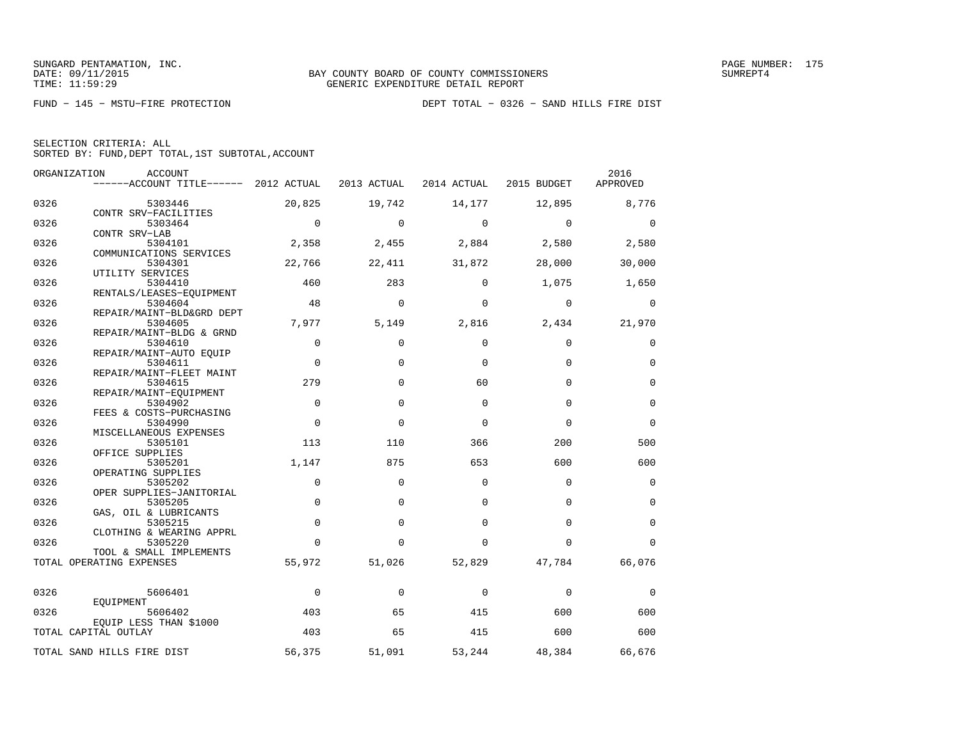|  | SELECTION CRITERIA: ALL |                                                    |  |
|--|-------------------------|----------------------------------------------------|--|
|  |                         | SORTED BY: FUND, DEPT TOTAL, 1ST SUBTOTAL, ACCOUNT |  |

|      | ORGANIZATION<br>ACCOUNT                             |             |             |             |             | 2016        |
|------|-----------------------------------------------------|-------------|-------------|-------------|-------------|-------------|
|      | ------ACCOUNT TITLE------ 2012 ACTUAL               |             | 2013 ACTUAL | 2014 ACTUAL | 2015 BUDGET | APPROVED    |
| 0326 | 5303446                                             | 20,825      | 19,742      | 14,177      | 12,895      | 8,776       |
| 0326 | CONTR SRV-FACILITIES<br>5303464                     | $\mathbf 0$ | $\mathbf 0$ | $\mathbf 0$ | $\mathbf 0$ | $\mathbf 0$ |
| 0326 | CONTR SRV-LAB<br>5304101                            | 2,358       | 2,455       | 2,884       | 2,580       | 2,580       |
|      | COMMUNICATIONS SERVICES                             |             |             |             |             |             |
| 0326 | 5304301<br>UTILITY SERVICES                         | 22,766      | 22,411      | 31,872      | 28,000      | 30,000      |
| 0326 | 5304410<br>RENTALS/LEASES-EQUIPMENT                 | 460         | 283         | $\Omega$    | 1,075       | 1,650       |
| 0326 | 5304604                                             | 48          | $\Omega$    | $\Omega$    | $\Omega$    | $\mathbf 0$ |
| 0326 | REPAIR/MAINT-BLD&GRD DEPT<br>5304605                | 7,977       | 5,149       | 2,816       | 2,434       | 21,970      |
| 0326 | REPAIR/MAINT-BLDG & GRND<br>5304610                 | $\mathbf 0$ | $\Omega$    | $\Omega$    | 0           | 0           |
| 0326 | REPAIR/MAINT-AUTO EQUIP<br>5304611                  | $\mathbf 0$ | $\Omega$    | $\Omega$    | $\Omega$    | $\mathbf 0$ |
| 0326 | REPAIR/MAINT-FLEET MAINT<br>5304615                 | 279         | $\Omega$    | 60          | $\Omega$    | $\mathbf 0$ |
|      | REPAIR/MAINT-EQUIPMENT                              |             |             |             |             |             |
| 0326 | 5304902<br>FEES & COSTS-PURCHASING                  | $\Omega$    | $\Omega$    | $\Omega$    | $\Omega$    | $\mathbf 0$ |
| 0326 | 5304990<br>MISCELLANEOUS EXPENSES                   | $\mathbf 0$ | $\Omega$    | $\Omega$    | $\Omega$    | $\mathbf 0$ |
| 0326 | 5305101<br>OFFICE SUPPLIES                          | 113         | 110         | 366         | 200         | 500         |
| 0326 | 5305201                                             | 1,147       | 875         | 653         | 600         | 600         |
| 0326 | OPERATING SUPPLIES<br>5305202                       | $\mathbf 0$ | $\Omega$    | 0           | $\mathbf 0$ | $\mathbf 0$ |
| 0326 | OPER SUPPLIES-JANITORIAL<br>5305205                 | $\Omega$    | $\Omega$    | $\Omega$    | $\Omega$    | $\Omega$    |
| 0326 | GAS, OIL & LUBRICANTS<br>5305215                    | $\Omega$    | $\Omega$    | $\Omega$    | $\Omega$    | $\Omega$    |
| 0326 | CLOTHING & WEARING APPRL<br>5305220                 | $\Omega$    | $\Omega$    | $\Omega$    | $\Omega$    | $\Omega$    |
|      | TOOL & SMALL IMPLEMENTS<br>TOTAL OPERATING EXPENSES | 55,972      | 51,026      | 52,829      | 47,784      | 66,076      |
|      |                                                     |             |             |             |             |             |
| 0326 | 5606401                                             | $\mathbf 0$ | $\mathbf 0$ | $\mathbf 0$ | $\mathbf 0$ | $\mathbf 0$ |
| 0326 | EOUIPMENT<br>5606402                                | 403         | 65          | 415         | 600         | 600         |
|      | EQUIP LESS THAN \$1000<br>TOTAL CAPITAL OUTLAY      | 403         | 65          | 415         | 600         | 600         |
|      |                                                     |             |             |             |             | 66,676      |
|      | TOTAL SAND HILLS FIRE DIST                          | 56,375      | 51,091      | 53,244      | 48,384      |             |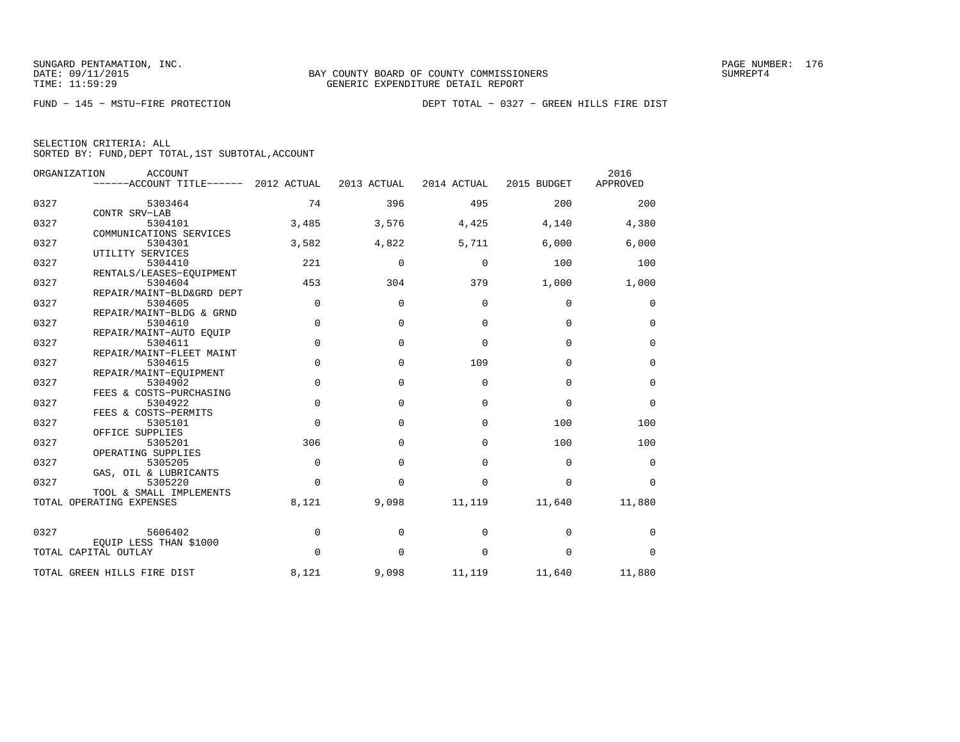|  | SELECTION CRITERIA: ALL |                                                    |  |
|--|-------------------------|----------------------------------------------------|--|
|  |                         | SORTED BY: FUND, DEPT TOTAL, 1ST SUBTOTAL, ACCOUNT |  |

|      | ORGANIZATION<br><b>ACCOUNT</b><br>------ACCOUNT TITLE------ | 2012 ACTUAL | 2013 ACTUAL  | 2014 ACTUAL | 2015 BUDGET | 2016<br>APPROVED |
|------|-------------------------------------------------------------|-------------|--------------|-------------|-------------|------------------|
|      |                                                             |             |              |             |             |                  |
| 0327 | 5303464                                                     | 74          | 396          | 495         | 200         | 200              |
|      | CONTR SRV-LAB                                               |             |              |             |             |                  |
| 0327 | 5304101                                                     | 3,485       | 3,576        | 4,425       | 4,140       | 4,380            |
|      | COMMUNICATIONS SERVICES                                     |             |              |             |             |                  |
| 0327 | 5304301                                                     | 3,582       | 4,822        | 5,711       | 6,000       | 6,000            |
|      | UTILITY SERVICES                                            |             |              |             |             |                  |
| 0327 | 5304410                                                     | 221         | 0            | 0           | 100         | 100              |
|      | RENTALS/LEASES-EQUIPMENT                                    |             |              |             |             |                  |
| 0327 | 5304604                                                     | 453         | 304          | 379         | 1,000       | 1,000            |
|      | REPAIR/MAINT-BLD&GRD DEPT                                   |             |              |             |             |                  |
| 0327 | 5304605                                                     | $\mathbf 0$ | $\Omega$     | $\Omega$    | 0           | 0                |
|      | REPAIR/MAINT-BLDG & GRND                                    |             |              |             |             |                  |
| 0327 | 5304610                                                     | $\mathbf 0$ | $\Omega$     | $\mathbf 0$ | $\mathbf 0$ | 0                |
|      | REPAIR/MAINT-AUTO EQUIP                                     |             |              |             |             |                  |
| 0327 | 5304611                                                     | $\mathbf 0$ | 0            | $\mathbf 0$ | $\mathbf 0$ | $\mathbf 0$      |
|      | REPAIR/MAINT-FLEET MAINT                                    |             |              |             |             |                  |
| 0327 | 5304615                                                     | $\mathbf 0$ | $\Omega$     | 109         | $\mathbf 0$ | $\mathbf 0$      |
|      | REPAIR/MAINT-EOUIPMENT                                      |             |              |             |             |                  |
| 0327 | 5304902                                                     | $\mathbf 0$ | $\Omega$     | 0           | $\mathbf 0$ | $\mathbf 0$      |
|      | FEES & COSTS-PURCHASING                                     |             |              |             |             |                  |
| 0327 | 5304922                                                     | $\mathbf 0$ | $\Omega$     | $\Omega$    | $\Omega$    | $\mathbf 0$      |
| 0327 | FEES & COSTS-PERMITS                                        | $\Omega$    |              | $\Omega$    | 100         |                  |
|      | 5305101                                                     |             | $\Omega$     |             |             | 100              |
| 0327 | OFFICE SUPPLIES<br>5305201                                  | 306         | 0            | 0           | 100         | 100              |
|      | OPERATING SUPPLIES                                          |             |              |             |             |                  |
| 0327 | 5305205                                                     | $\mathbf 0$ | $\mathbf{0}$ | 0           | $\mathbf 0$ |                  |
|      |                                                             |             |              |             |             | 0                |
| 0327 | GAS, OIL & LUBRICANTS<br>5305220                            | $\Omega$    | $\Omega$     | $\Omega$    | $\Omega$    | $\Omega$         |
|      | TOOL & SMALL IMPLEMENTS                                     |             |              |             |             |                  |
|      | TOTAL OPERATING EXPENSES                                    | 8,121       | 9,098        | 11,119      | 11,640      | 11,880           |
|      |                                                             |             |              |             |             |                  |
| 0327 | 5606402                                                     | 0           | $\Omega$     | 0           | 0           | 0                |
|      | EQUIP LESS THAN \$1000                                      |             |              |             |             |                  |
|      | TOTAL CAPITAL OUTLAY                                        | $\Omega$    | $\Omega$     | 0           | 0           | $\Omega$         |
|      | TOTAL GREEN HILLS FIRE DIST                                 | 8,121       | 9,098        | 11,119      | 11,640      | 11,880           |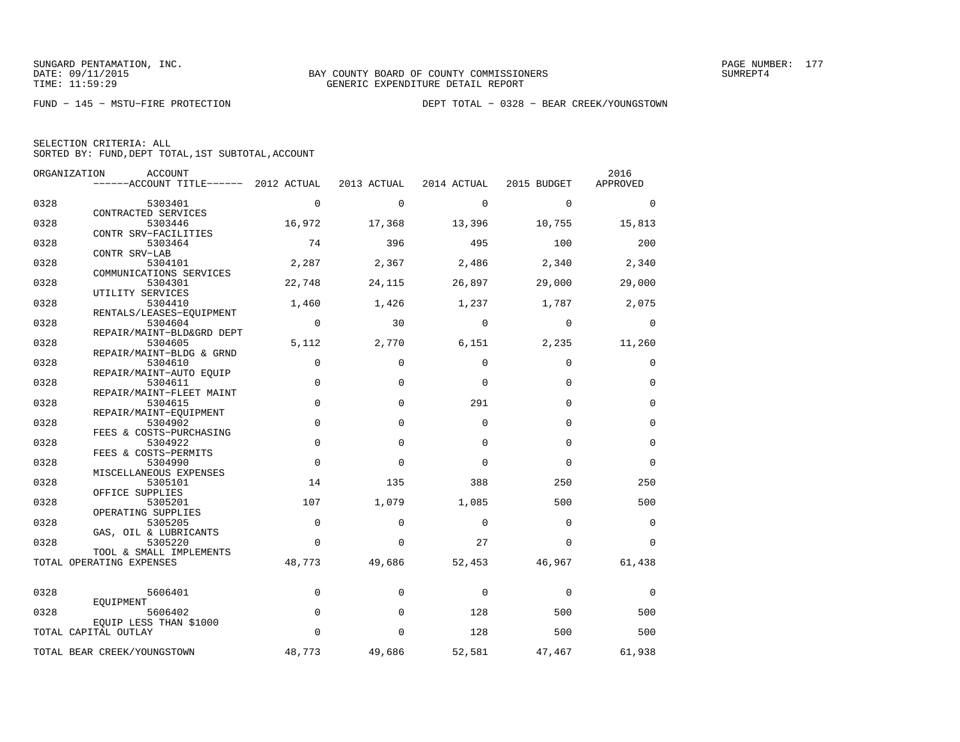|  | SELECTION CRITERIA: ALL |                                                    |  |
|--|-------------------------|----------------------------------------------------|--|
|  |                         | SORTED BY: FUND, DEPT TOTAL, 1ST SUBTOTAL, ACCOUNT |  |

|      | ORGANIZATION<br><b>ACCOUNT</b><br>------ACCOUNT TITLE------ 2012 ACTUAL |             | 2013 ACTUAL | 2014 ACTUAL | 2015 BUDGET | 2016<br>APPROVED |
|------|-------------------------------------------------------------------------|-------------|-------------|-------------|-------------|------------------|
|      |                                                                         |             |             |             |             |                  |
| 0328 | 5303401<br>CONTRACTED SERVICES                                          | $\mathbf 0$ | $\Omega$    | $\mathbf 0$ | $\Omega$    | 0                |
| 0328 | 5303446                                                                 | 16,972      | 17,368      | 13,396      | 10,755      | 15,813           |
|      | CONTR SRV-FACILITIES                                                    |             |             |             |             |                  |
| 0328 | 5303464                                                                 | 74          | 396         | 495         | 100         | 200              |
| 0328 | CONTR SRV-LAB<br>5304101                                                | 2,287       | 2,367       | 2,486       | 2,340       | 2,340            |
|      | COMMUNICATIONS SERVICES                                                 |             |             |             |             |                  |
| 0328 | 5304301                                                                 | 22,748      | 24,115      | 26,897      | 29,000      | 29,000           |
| 0328 | UTILITY SERVICES<br>5304410                                             | 1,460       | 1,426       | 1,237       | 1,787       | 2,075            |
|      | RENTALS/LEASES-EQUIPMENT                                                |             |             |             |             |                  |
| 0328 | 5304604                                                                 | $\mathbf 0$ | 30          | $\Omega$    | $\Omega$    | 0                |
|      | REPAIR/MAINT-BLD&GRD DEPT                                               |             |             |             |             |                  |
| 0328 | 5304605<br>REPAIR/MAINT-BLDG & GRND                                     | 5,112       | 2,770       | 6,151       | 2,235       | 11,260           |
| 0328 | 5304610                                                                 | $\mathbf 0$ | $\mathbf 0$ | $\Omega$    | $\Omega$    | 0                |
|      | REPAIR/MAINT-AUTO EQUIP                                                 |             |             |             |             |                  |
| 0328 | 5304611<br>REPAIR/MAINT-FLEET MAINT                                     | $\mathbf 0$ | $\mathbf 0$ | $\Omega$    | $\Omega$    | $\mathbf 0$      |
| 0328 | 5304615                                                                 | $\Omega$    | $\Omega$    | 291         | $\Omega$    | $\Omega$         |
|      | REPAIR/MAINT-EQUIPMENT                                                  |             |             |             |             |                  |
| 0328 | 5304902<br>FEES & COSTS-PURCHASING                                      | $\mathbf 0$ | $\Omega$    | $\Omega$    | $\Omega$    | $\mathbf 0$      |
| 0328 | 5304922                                                                 | $\mathbf 0$ | $\Omega$    | $\Omega$    | $\Omega$    | $\mathbf 0$      |
|      | FEES & COSTS-PERMITS                                                    |             |             |             |             |                  |
| 0328 | 5304990<br>MISCELLANEOUS EXPENSES                                       | $\mathbf 0$ | $\Omega$    | $\Omega$    | $\Omega$    | $\Omega$         |
| 0328 | 5305101                                                                 | 14          | 135         | 388         | 250         | 250              |
|      | OFFICE SUPPLIES                                                         |             |             |             |             |                  |
| 0328 | 5305201                                                                 | 107         | 1,079       | 1,085       | 500         | 500              |
| 0328 | OPERATING SUPPLIES<br>5305205                                           | $\Omega$    | $\Omega$    | $\Omega$    | $\Omega$    | $\Omega$         |
|      | GAS, OIL & LUBRICANTS                                                   |             |             |             |             |                  |
| 0328 | 5305220                                                                 | $\Omega$    | $\Omega$    | 27          | $\Omega$    | $\Omega$         |
|      | TOOL & SMALL IMPLEMENTS<br>TOTAL OPERATING EXPENSES                     | 48,773      | 49,686      | 52,453      | 46,967      | 61,438           |
|      |                                                                         |             |             |             |             |                  |
| 0328 | 5606401                                                                 | $\mathbf 0$ | $\Omega$    | $\Omega$    | $\mathbf 0$ | $\mathbf 0$      |
|      | EOUIPMENT                                                               |             |             |             |             |                  |
| 0328 | 5606402                                                                 | $\mathbf 0$ | $\Omega$    | 128         | 500         | 500              |
|      | EOUIP LESS THAN \$1000<br>TOTAL CAPITAL OUTLAY                          | $\Omega$    | $\Omega$    | 128         | 500         | 500              |
|      |                                                                         |             |             |             |             |                  |
|      | TOTAL BEAR CREEK/YOUNGSTOWN                                             | 48,773      | 49,686      | 52,581      | 47,467      | 61,938           |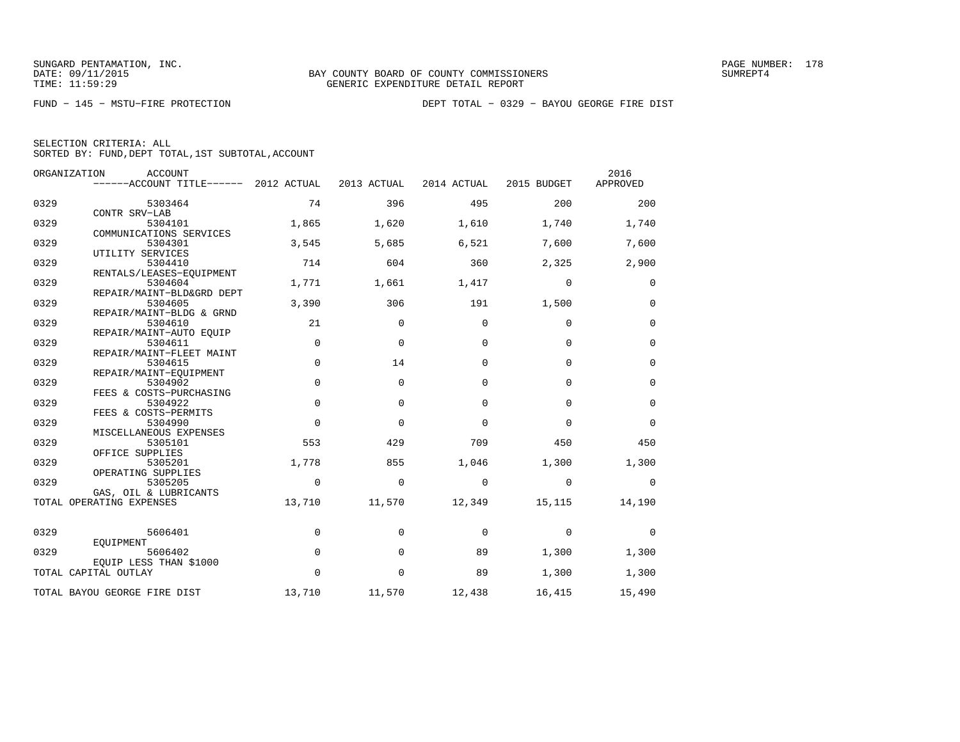| SELECTION CRITERIA: ALL |  |                                                    |  |
|-------------------------|--|----------------------------------------------------|--|
|                         |  | SORTED BY: FUND. DEPT TOTAL. 1ST SUBTOTAL. ACCOUNT |  |

|      | ORGANIZATION<br><b>ACCOUNT</b><br>$----ACCOUNT$ TITLE $--- 2012$ ACTUAL |             | 2013 ACTUAL  | 2014 ACTUAL | 2015 BUDGET | 2016<br>APPROVED |
|------|-------------------------------------------------------------------------|-------------|--------------|-------------|-------------|------------------|
| 0329 | 5303464                                                                 | 74          | 396          | 495         | 200         | 200              |
| 0329 | CONTR SRV-LAB<br>5304101                                                | 1,865       | 1,620        | 1,610       | 1,740       | 1,740            |
| 0329 | COMMUNICATIONS SERVICES<br>5304301                                      | 3,545       | 5,685        | 6,521       | 7,600       | 7,600            |
| 0329 | UTILITY SERVICES<br>5304410                                             | 714         | 604          | 360         | 2,325       | 2,900            |
| 0329 | RENTALS/LEASES-EQUIPMENT<br>5304604                                     | 1,771       | 1,661        | 1,417       | $\mathbf 0$ | 0                |
| 0329 | REPAIR/MAINT-BLD&GRD DEPT<br>5304605                                    | 3,390       | 306          | 191         | 1,500       | $\mathbf 0$      |
| 0329 | REPAIR/MAINT-BLDG & GRND<br>5304610                                     | 21          | $\mathbf 0$  | $\mathbf 0$ | $\mathbf 0$ | $\mathbf 0$      |
|      | REPAIR/MAINT-AUTO EQUIP                                                 |             |              |             |             |                  |
| 0329 | 5304611<br>REPAIR/MAINT-FLEET MAINT                                     | $\mathbf 0$ | $\mathbf{0}$ | $\mathbf 0$ | $\mathbf 0$ | $\mathbf 0$      |
| 0329 | 5304615<br>REPAIR/MAINT-EOUIPMENT                                       | $\mathbf 0$ | 14           | $\mathbf 0$ | $\mathbf 0$ | $\mathbf 0$      |
| 0329 | 5304902<br>FEES & COSTS-PURCHASING                                      | $\mathbf 0$ | $\mathbf 0$  | $\Omega$    | $\Omega$    | $\mathbf 0$      |
| 0329 | 5304922<br>FEES & COSTS-PERMITS                                         | $\mathbf 0$ | $\mathbf 0$  | $\mathbf 0$ | $\Omega$    | $\mathbf 0$      |
| 0329 | 5304990<br>MISCELLANEOUS EXPENSES                                       | $\Omega$    | $\Omega$     | $\Omega$    | $\Omega$    | $\Omega$         |
| 0329 | 5305101<br>OFFICE SUPPLIES                                              | 553         | 429          | 709         | 450         | 450              |
| 0329 | 5305201<br>OPERATING SUPPLIES                                           | 1,778       | 855          | 1,046       | 1,300       | 1,300            |
| 0329 | 5305205<br>GAS, OIL & LUBRICANTS                                        | 0           | 0            | $\Omega$    | 0           | $\mathbf 0$      |
|      | TOTAL OPERATING EXPENSES                                                | 13,710      | 11,570       | 12,349      | 15,115      | 14,190           |
| 0329 | 5606401                                                                 | 0           | $\Omega$     | $\Omega$    | $\Omega$    | $\Omega$         |
| 0329 | EOUIPMENT<br>5606402                                                    | $\mathbf 0$ | $\mathbf 0$  | 89          | 1,300       | 1,300            |
|      | EOUIP LESS THAN \$1000<br>TOTAL CAPITAL OUTLAY                          | $\Omega$    | $\Omega$     | 89          | 1,300       | 1,300            |
|      | TOTAL BAYOU GEORGE FIRE DIST                                            | 13,710      | 11,570       | 12,438      | 16,415      | 15,490           |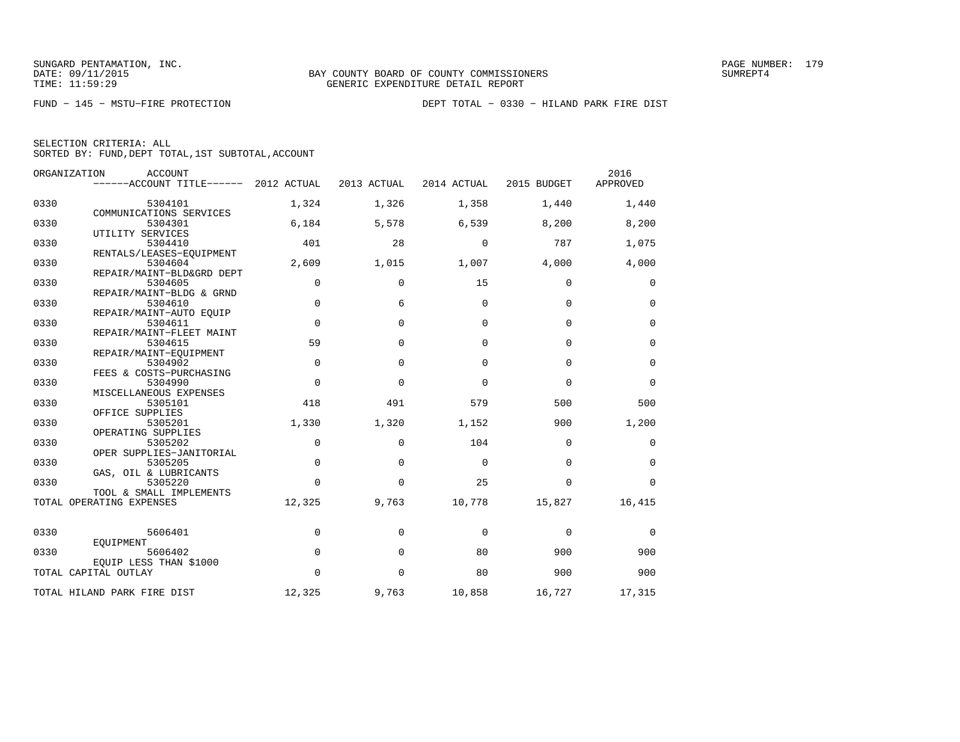|  | SELECTION CRITERIA: ALL |  |                                                    |  |
|--|-------------------------|--|----------------------------------------------------|--|
|  |                         |  | SORTED BY: FUND, DEPT TOTAL, 1ST SUBTOTAL, ACCOUNT |  |

|      | ORGANIZATION<br><b>ACCOUNT</b><br>------ACCOUNT TITLE------ 2012 ACTUAL |             | 2013 ACTUAL | 2014 ACTUAL | 2015 BUDGET | 2016<br>APPROVED |
|------|-------------------------------------------------------------------------|-------------|-------------|-------------|-------------|------------------|
|      |                                                                         |             |             |             |             |                  |
| 0330 | 5304101                                                                 | 1,324       | 1,326       | 1,358       | 1,440       | 1,440            |
|      | COMMUNICATIONS SERVICES                                                 |             |             |             |             |                  |
| 0330 | 5304301                                                                 | 6,184       | 5,578       | 6,539       | 8,200       | 8,200            |
|      | UTILITY SERVICES                                                        |             |             |             |             |                  |
| 0330 | 5304410                                                                 | 401         | 28          | 0           | 787         | 1,075            |
|      | RENTALS/LEASES-EOUIPMENT                                                |             |             |             |             |                  |
| 0330 | 5304604                                                                 | 2,609       | 1,015       | 1,007       | 4,000       | 4,000            |
|      | REPAIR/MAINT-BLD&GRD DEPT                                               |             |             |             |             |                  |
| 0330 | 5304605                                                                 | $\mathbf 0$ | 0           | 15          | 0           | 0                |
|      | REPAIR/MAINT-BLDG & GRND                                                |             |             |             |             |                  |
| 0330 | 5304610                                                                 | $\Omega$    | 6           | $\Omega$    | $\Omega$    | 0                |
|      | REPAIR/MAINT-AUTO EOUIP                                                 |             |             |             |             |                  |
| 0330 | 5304611                                                                 | $\mathbf 0$ | $\Omega$    | $\Omega$    | $\mathbf 0$ | $\mathbf 0$      |
| 0330 | REPAIR/MAINT-FLEET MAINT<br>5304615                                     | 59          | $\Omega$    | $\Omega$    | $\Omega$    | $\mathbf 0$      |
|      | REPAIR/MAINT-EOUIPMENT                                                  |             |             |             |             |                  |
| 0330 | 5304902                                                                 | $\mathbf 0$ | $\Omega$    | $\Omega$    | $\Omega$    | $\mathbf 0$      |
|      | FEES & COSTS-PURCHASING                                                 |             |             |             |             |                  |
| 0330 | 5304990                                                                 | $\Omega$    | $\Omega$    | $\Omega$    | $\Omega$    | $\mathbf 0$      |
|      | MISCELLANEOUS EXPENSES                                                  |             |             |             |             |                  |
| 0330 | 5305101                                                                 | 418         | 491         | 579         | 500         | 500              |
|      | OFFICE SUPPLIES                                                         |             |             |             |             |                  |
| 0330 | 5305201                                                                 | 1,330       | 1,320       | 1,152       | 900         | 1,200            |
|      | OPERATING SUPPLIES                                                      |             |             |             |             |                  |
| 0330 | 5305202                                                                 | $\mathbf 0$ | $\mathbf 0$ | 104         | $\Omega$    | 0                |
|      | OPER SUPPLIES-JANITORIAL                                                |             |             |             |             |                  |
| 0330 | 5305205                                                                 | $\Omega$    | $\Omega$    | $\Omega$    | $\Omega$    | $\mathbf 0$      |
|      | GAS, OIL & LUBRICANTS                                                   |             |             |             |             |                  |
| 0330 | 5305220                                                                 | $\Omega$    | $\Omega$    | 25          | $\Omega$    | $\Omega$         |
|      | TOOL & SMALL IMPLEMENTS                                                 |             |             |             |             |                  |
|      | TOTAL OPERATING EXPENSES                                                | 12,325      | 9,763       | 10,778      | 15,827      | 16,415           |
|      |                                                                         |             |             |             |             |                  |
| 0330 | 5606401                                                                 | $\mathbf 0$ | $\Omega$    | $\Omega$    | $\Omega$    | $\mathbf 0$      |
|      | EOUIPMENT                                                               |             |             |             |             |                  |
| 0330 | 5606402                                                                 | $\mathbf 0$ | $\Omega$    | 80          | 900         | 900              |
|      | EQUIP LESS THAN \$1000                                                  |             |             |             |             |                  |
|      | TOTAL CAPITAL OUTLAY                                                    | $\Omega$    | $\Omega$    | 80          | 900         | 900              |
|      |                                                                         |             |             |             |             |                  |
|      | TOTAL HILAND PARK FIRE DIST                                             | 12,325      | 9,763       | 10,858      | 16,727      | 17,315           |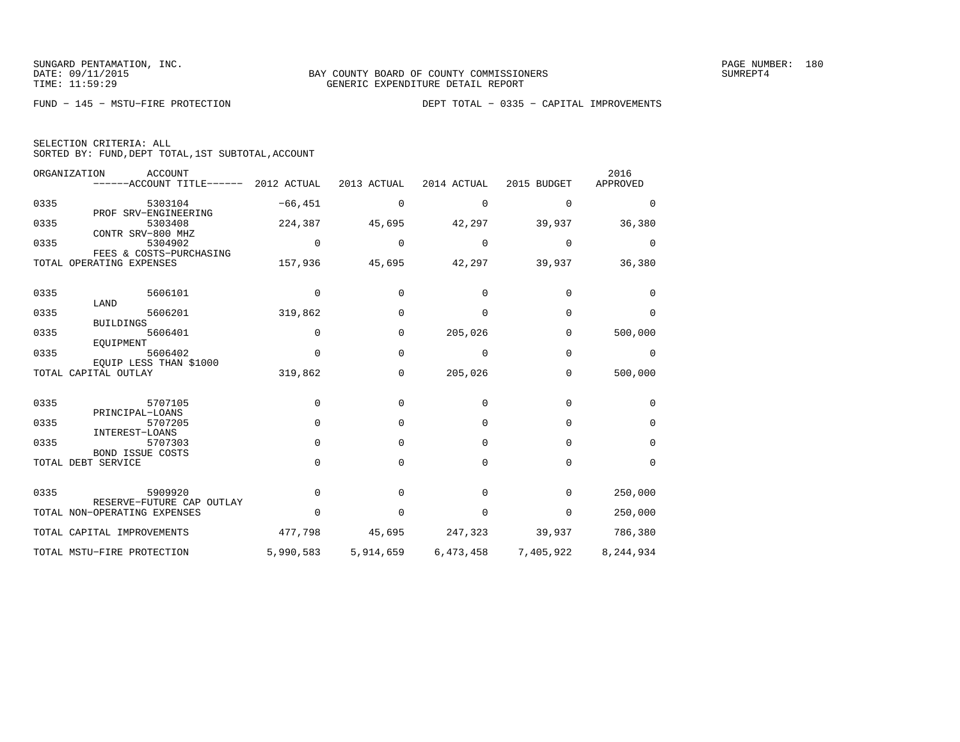| SELECTION CRITERIA: ALL |  |  |                                                    |  |
|-------------------------|--|--|----------------------------------------------------|--|
|                         |  |  | SORTED BY: FUND, DEPT TOTAL, 1ST SUBTOTAL, ACCOUNT |  |

|      | ORGANIZATION<br>ACCOUNT<br>------ACCOUNT TITLE------ | 2012 ACTUAL | 2013 ACTUAL | 2014 ACTUAL | 2015 BUDGET | 2016<br>APPROVED |
|------|------------------------------------------------------|-------------|-------------|-------------|-------------|------------------|
| 0335 | 5303104                                              | $-66, 451$  | 0           | 0           | 0           | $\Omega$         |
| 0335 | PROF SRV-ENGINEERING<br>5303408<br>CONTR SRV-800 MHZ | 224,387     | 45,695      | 42,297      | 39,937      | 36,380           |
| 0335 | 5304902<br>FEES & COSTS-PURCHASING                   | $\mathbf 0$ | 0           | 0           | 0           | 0                |
|      | TOTAL OPERATING EXPENSES                             | 157,936     | 45,695      | 42,297      | 39,937      | 36,380           |
| 0335 | 5606101                                              | 0           | $\Omega$    | 0           | $\Omega$    | 0                |
| 0335 | LAND<br>5606201<br><b>BUILDINGS</b>                  | 319,862     | 0           | $\Omega$    | $\Omega$    | $\Omega$         |
| 0335 | 5606401<br>EOUIPMENT                                 | $\mathbf 0$ | 0           | 205,026     | $\Omega$    | 500,000          |
| 0335 | 5606402<br>EOUIP LESS THAN \$1000                    | $\Omega$    | $\mathbf 0$ | $\Omega$    | $\Omega$    | $\Omega$         |
|      | TOTAL CAPITAL OUTLAY                                 | 319,862     | 0           | 205,026     | 0           | 500,000          |
| 0335 | 5707105                                              | $\mathbf 0$ | 0           | $\Omega$    | $\Omega$    | 0                |
| 0335 | PRINCIPAL-LOANS<br>5707205<br>INTEREST-LOANS         | $\Omega$    | 0           | $\Omega$    | $\Omega$    | $\mathbf 0$      |
| 0335 | 5707303<br><b>BOND ISSUE COSTS</b>                   | $\Omega$    | 0           | $\Omega$    | $\Omega$    | $\mathbf 0$      |
|      | TOTAL DEBT SERVICE                                   | $\Omega$    | $\Omega$    | $\Omega$    | 0           | 0                |
| 0335 | 5909920<br>RESERVE-FUTURE CAP<br>OUTLAY              | $\Omega$    | $\Omega$    | $\Omega$    | 0           | 250,000          |
|      | TOTAL NON-OPERATING EXPENSES                         | $\Omega$    | $\Omega$    | $\Omega$    | $\Omega$    | 250,000          |
|      | TOTAL CAPITAL IMPROVEMENTS                           | 477,798     | 45,695      | 247,323     | 39,937      | 786,380          |
|      | TOTAL MSTU-FIRE PROTECTION                           | 5,990,583   | 5,914,659   | 6,473,458   | 7,405,922   | 8,244,934        |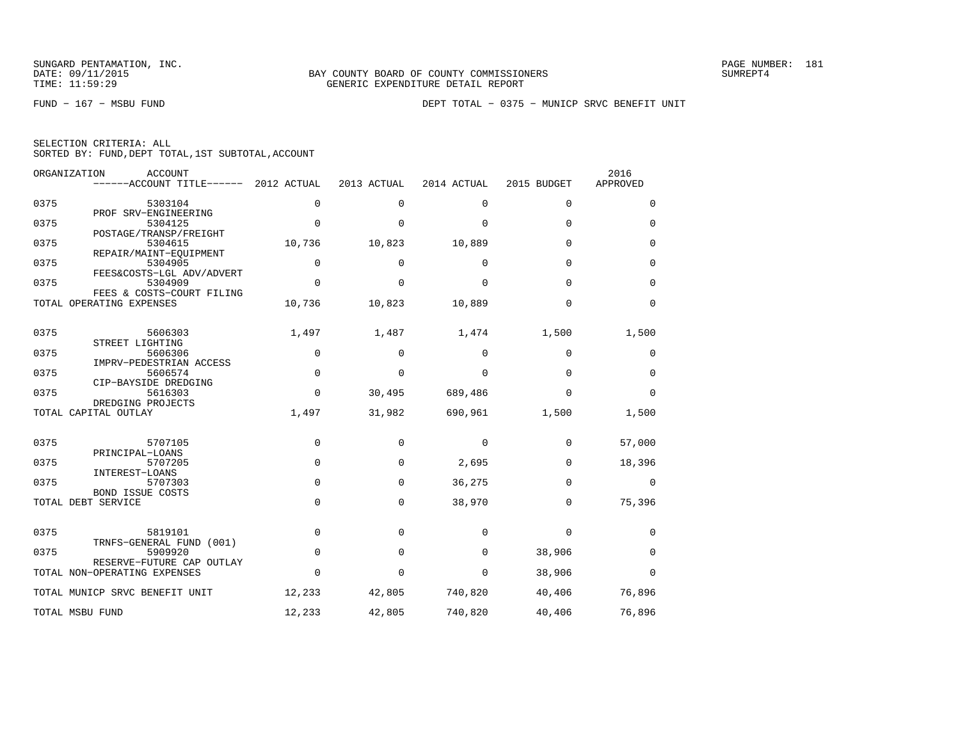|  | SELECTION CRITERIA: ALL |                                                    |  |  |
|--|-------------------------|----------------------------------------------------|--|--|
|  |                         | SORTED BY: FUND, DEPT TOTAL, 1ST SUBTOTAL, ACCOUNT |  |  |

|      | ORGANIZATION<br><b>ACCOUNT</b><br>------ACCOUNT TITLE------ 2012 ACTUAL |             | 2013 ACTUAL  | 2014 ACTUAL | 2015 BUDGET | 2016<br>APPROVED |
|------|-------------------------------------------------------------------------|-------------|--------------|-------------|-------------|------------------|
| 0375 | 5303104                                                                 | $\Omega$    | $\Omega$     | $\Omega$    | $\Omega$    | 0                |
| 0375 | PROF SRV-ENGINEERING<br>5304125                                         | 0           | $\mathbf{0}$ | $\mathbf 0$ | 0           | 0                |
| 0375 | POSTAGE/TRANSP/FREIGHT<br>5304615                                       | 10,736      | 10,823       | 10,889      | $\Omega$    | $\Omega$         |
| 0375 | REPAIR/MAINT-EOUIPMENT                                                  | $\Omega$    | $\Omega$     |             | $\Omega$    |                  |
|      | 5304905<br>FEES&COSTS-LGL ADV/ADVERT                                    |             |              | 0           |             | 0                |
| 0375 | 5304909<br>FEES & COSTS-COURT FILING                                    | $\mathbf 0$ | 0            | $\mathbf 0$ | 0           | 0                |
|      | TOTAL OPERATING EXPENSES                                                | 10,736      | 10,823       | 10,889      | $\mathbf 0$ | 0                |
| 0375 | 5606303                                                                 | 1,497       | 1,487        | 1,474       | 1,500       | 1,500            |
| 0375 | STREET LIGHTING<br>5606306                                              | 0           | 0            | 0           | 0           | 0                |
| 0375 | IMPRV-PEDESTRIAN ACCESS<br>5606574                                      | $\mathbf 0$ | 0            | $\mathbf 0$ | $\mathbf 0$ | 0                |
| 0375 | CIP-BAYSIDE DREDGING<br>5616303                                         | $\Omega$    | 30,495       | 689,486     | $\mathbf 0$ | $\Omega$         |
|      | DREDGING PROJECTS<br>TOTAL CAPITAL OUTLAY                               | 1,497       | 31,982       | 690,961     | 1,500       | 1,500            |
| 0375 | 5707105                                                                 | 0           | 0            | 0           | 0           | 57,000           |
| 0375 | PRINCIPAL-LOANS<br>5707205                                              | $\Omega$    | $\mathbf 0$  | 2,695       | $\mathbf 0$ | 18,396           |
| 0375 | INTEREST-LOANS<br>5707303                                               | $\Omega$    | $\Omega$     | 36,275      | 0           | 0                |
|      | <b>BOND ISSUE COSTS</b><br>TOTAL DEBT SERVICE                           | $\mathbf 0$ | $\mathbf 0$  | 38,970      | 0           | 75,396           |
| 0375 | 5819101                                                                 | $\mathbf 0$ | 0            | 0           | $\mathbf 0$ | 0                |
| 0375 | TRNFS-GENERAL FUND (001)<br>5909920                                     | $\Omega$    | $\Omega$     | $\mathbf 0$ | 38,906      | $\mathbf 0$      |
|      | RESERVE-FUTURE CAP OUTLAY<br>TOTAL NON-OPERATING EXPENSES               | $\Omega$    | 0            | 0           | 38,906      | $\Omega$         |
|      | TOTAL MUNICP SRVC BENEFIT UNIT                                          | 12,233      | 42,805       | 740,820     | 40,406      | 76,896           |
|      | TOTAL MSBU FUND                                                         | 12,233      | 42,805       | 740,820     | 40,406      | 76,896           |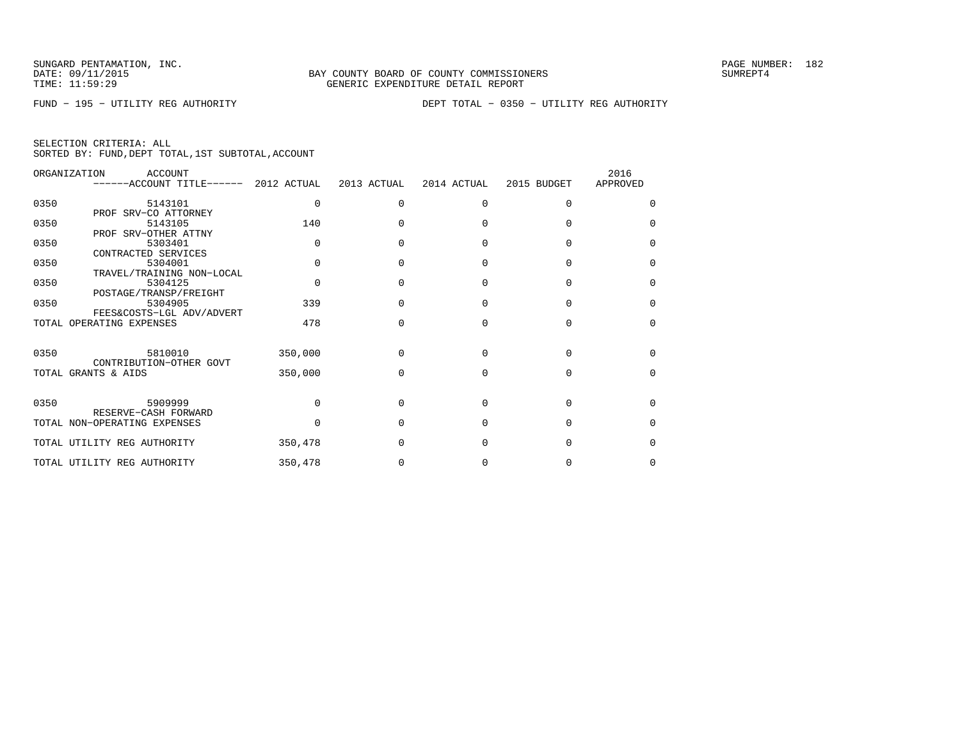FUND − 195 − UTILITY REG AUTHORITY DEPT TOTAL − 0350 − UTILITY REG AUTHORITY

| SELECTION CRITERIA: ALL |  |  |                                                    |  |
|-------------------------|--|--|----------------------------------------------------|--|
|                         |  |  | SORTED BY: FUND, DEPT TOTAL, 1ST SUBTOTAL, ACCOUNT |  |

|      | ORGANIZATION<br>ACCOUNT<br>------ACCOUNT TITLE------ 2012 ACTUAL |          | 2013 ACTUAL  | 2014 ACTUAL  | 2015 BUDGET | 2016<br>APPROVED |
|------|------------------------------------------------------------------|----------|--------------|--------------|-------------|------------------|
| 0350 | 5143101                                                          | $\Omega$ | <sup>n</sup> | $\Omega$     | $\cap$      | $\Omega$         |
| 0350 | PROF SRV-CO ATTORNEY<br>5143105                                  | 140      |              |              |             | $\Omega$         |
| 0350 | PROF SRV-OTHER ATTNY<br>5303401                                  |          |              | n            |             | $\Omega$         |
| 0350 | CONTRACTED SERVICES<br>5304001                                   |          |              |              |             | $\Omega$         |
| 0350 | TRAVEL/TRAINING NON-LOCAL<br>5304125                             |          |              | $\cap$       |             | $\Omega$         |
| 0350 | POSTAGE/TRANSP/FREIGHT<br>5304905                                | 339      |              | <sup>n</sup> |             | $\Omega$         |
|      | FEES&COSTS-LGL ADV/ADVERT<br>TOTAL OPERATING EXPENSES            | 478      |              | $\cap$       | $\cap$      | $\Omega$         |
| 0350 | 5810010                                                          | 350,000  | O            | $\Omega$     | $\cap$      | $\cap$           |
|      | CONTRIBUTION-OTHER GOVT<br>TOTAL GRANTS & AIDS                   | 350,000  |              | U            | U           | $\Omega$         |
|      |                                                                  |          |              |              |             |                  |
| 0350 | 5909999<br>RESERVE-CASH FORWARD                                  |          |              | n            |             | $\Omega$         |
|      | TOTAL NON-OPERATING EXPENSES                                     |          |              | n            |             | $\Omega$         |
|      | TOTAL UTILITY REG AUTHORITY                                      | 350,478  |              |              |             | $\Omega$         |
|      | TOTAL UTILITY REG AUTHORITY                                      | 350,478  |              |              |             | <sup>0</sup>     |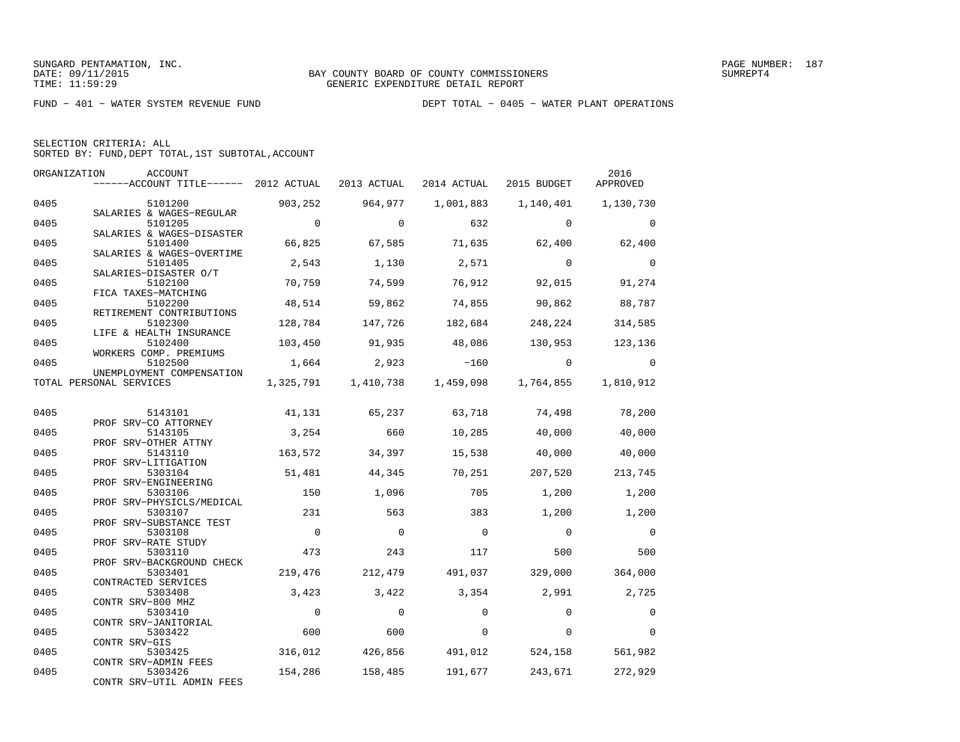|  | SELECTION CRITERIA: ALL                            |  |  |
|--|----------------------------------------------------|--|--|
|  | SORTED BY: FUND, DEPT TOTAL, 1ST SUBTOTAL, ACCOUNT |  |  |

|      | ORGANIZATION<br>ACCOUNT                                        |                |                     |             |             | 2016      |
|------|----------------------------------------------------------------|----------------|---------------------|-------------|-------------|-----------|
|      | ------ACCOUNT TITLE------ 2012 ACTUAL                          |                | 2013 ACTUAL         | 2014 ACTUAL | 2015 BUDGET | APPROVED  |
| 0405 | 5101200                                                        | 903,252        | 964,977             | 1,001,883   | 1,140,401   | 1,130,730 |
| 0405 | SALARIES & WAGES-REGULAR<br>5101205                            | $\overline{0}$ | $\Omega$            | 632         | $\Omega$    | $\Omega$  |
| 0405 | SALARIES & WAGES-DISASTER<br>5101400                           | 66,825         | 67,585              | 71,635      | 62,400      | 62,400    |
| 0405 | SALARIES & WAGES-OVERTIME<br>5101405                           | 2,543          | 1,130               | 2,571       | $\Omega$    | $\Omega$  |
| 0405 | SALARIES-DISASTER O/T<br>5102100                               | 70,759         | 74,599              | 76,912      | 92,015      | 91,274    |
| 0405 | FICA TAXES-MATCHING<br>5102200                                 | 48,514         | 59,862              | 74,855      | 90,862      | 88,787    |
| 0405 | RETIREMENT CONTRIBUTIONS<br>5102300<br>LIFE & HEALTH INSURANCE | 128,784        | 147,726             | 182,684     | 248,224     | 314,585   |
| 0405 | 5102400<br>WORKERS COMP. PREMIUMS                              | 103,450        | 91,935              | 48,086      | 130,953     | 123,136   |
| 0405 | 5102500<br>UNEMPLOYMENT COMPENSATION                           | 1,664          | 2,923               | $-160$      | $\Omega$    | $\Omega$  |
|      | TOTAL PERSONAL SERVICES                                        |                | 1,325,791 1,410,738 | 1,459,098   | 1,764,855   | 1,810,912 |
| 0405 | 5143101                                                        | 41,131         | 65,237              | 63,718      | 74,498      | 78,200    |
| 0405 | PROF SRV-CO ATTORNEY<br>5143105                                | 3,254          | 660                 | 10,285      | 40,000      | 40,000    |
| 0405 | PROF SRV-OTHER ATTNY<br>5143110                                | 163,572        | 34,397              | 15,538      | 40,000      | 40,000    |
| 0405 | PROF SRV-LITIGATION<br>5303104                                 | 51,481         | 44,345              | 70,251      | 207,520     | 213,745   |
| 0405 | PROF SRV-ENGINEERING<br>5303106                                | 150            | 1,096               | 705         | 1,200       | 1,200     |
| 0405 | PROF SRV-PHYSICLS/MEDICAL<br>5303107                           | 231            | 563                 | 383         | 1,200       | 1,200     |
| 0405 | PROF SRV-SUBSTANCE TEST<br>5303108                             | $\overline{0}$ | $\Omega$            | $\Omega$    | $\Omega$    | $\Omega$  |
| 0405 | PROF SRV-RATE STUDY<br>5303110                                 | 473            | 243                 | 117         | 500         | 500       |
| 0405 | PROF SRV-BACKGROUND CHECK<br>5303401                           | 219,476        | 212,479             | 491,037     | 329,000     | 364,000   |
| 0405 | CONTRACTED SERVICES<br>5303408                                 | 3,423          | 3,422               | 3,354       | 2,991       | 2,725     |
| 0405 | CONTR SRV-800 MHZ<br>5303410                                   | $\Omega$       | $\Omega$            | $\Omega$    | $\Omega$    | $\Omega$  |
| 0405 | CONTR SRV-JANITORIAL<br>5303422                                | 600            | 600                 | $\Omega$    | $\Omega$    | $\Omega$  |
| 0405 | CONTR SRV-GIS<br>5303425                                       | 316,012        | 426,856             | 491,012     | 524,158     | 561,982   |
| 0405 | CONTR SRV-ADMIN FEES<br>5303426                                | 154,286        | 158,485             | 191,677     | 243,671     | 272,929   |
|      | CONTR SRV-UTIL ADMIN FEES                                      |                |                     |             |             |           |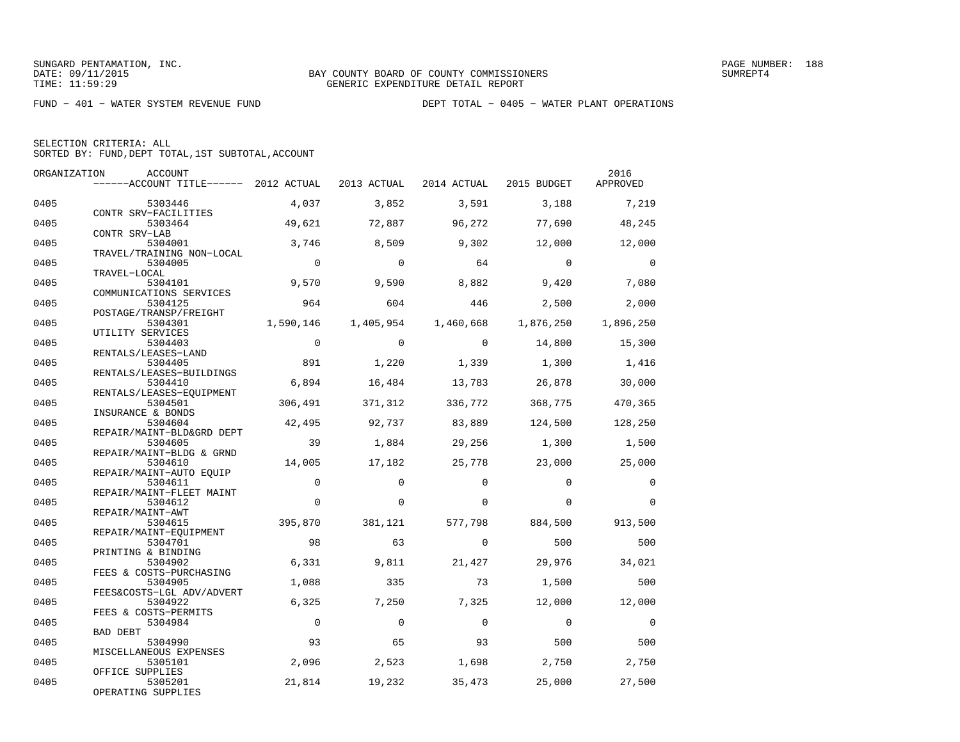SELECTION CRITERIA: ALLSORTED BY: FUND,DEPT TOTAL,1ST SUBTOTAL,ACCOUNT

| ORGANIZATION | <b>ACCOUNT</b><br>------ACCOUNT TITLE------ 2012 ACTUAL |                | 2013 ACTUAL   | 2014 ACTUAL         | 2015 BUDGET    | 2016<br>APPROVED |
|--------------|---------------------------------------------------------|----------------|---------------|---------------------|----------------|------------------|
| 0405         | 5303446                                                 | 4,037          | 3,852         | 3,591               | 3,188          | 7,219            |
| 0405         | CONTR SRV-FACILITIES<br>5303464<br>CONTR SRV-LAB        | 49,621         | 72,887        | 96,272              | 77,690         | 48,245           |
| 0405         | 5304001<br>TRAVEL/TRAINING NON-LOCAL                    | 3,746          | 8,509         | 9,302               | 12,000         | 12,000           |
| 0405         | 5304005<br>TRAVEL-LOCAL                                 | $\Omega$       | $\Omega$      | 64                  | $\Omega$       | $\Omega$         |
| 0405         | 5304101<br>COMMUNICATIONS SERVICES                      | 9,570          | 9,590         | 8,882               | 9,420          | 7,080            |
| 0405         | 5304125<br>POSTAGE/TRANSP/FREIGHT                       | 964            | 604           | 446                 | 2,500          | 2,000            |
| 0405         | 5304301<br>UTILITY SERVICES                             | 1,590,146      | 1,405,954     | 1,460,668           | 1,876,250      | 1,896,250        |
| 0405         | 5304403<br>RENTALS/LEASES-LAND                          | $\Omega$       | $\Omega$      | $\Omega$            | 14,800         | 15,300           |
| 0405         | 5304405<br>RENTALS/LEASES-BUILDINGS                     | 891            | 1,220         | 1,339               | 1,300          | 1,416            |
| 0405         | 5304410<br>RENTALS/LEASES-EQUIPMENT                     | 6,894          | 16,484        | 13,783              | 26,878         | 30,000           |
| 0405         | 5304501<br>INSURANCE & BONDS                            | 306,491        | 371,312       | 336,772             | 368,775        | 470,365          |
| 0405         | 5304604<br>REPAIR/MAINT-BLD&GRD DEPT                    | 42,495         | 92,737        | 83,889              | 124,500        | 128,250          |
| 0405         | 5304605<br>REPAIR/MAINT-BLDG & GRND                     | 39             | 1,884         | 29,256              | 1,300          | 1,500            |
| 0405         | 5304610<br>REPAIR/MAINT-AUTO EQUIP                      | 14,005         | 17,182        | 25,778              | 23,000         | 25,000           |
| 0405         | 5304611<br>REPAIR/MAINT-FLEET MAINT                     | $\mathbf 0$    | $\Omega$      | $\Omega$            | $\Omega$       | $\Omega$         |
| 0405         | 5304612<br>REPAIR/MAINT-AWT                             | $\Omega$       | $\Omega$      | $\Omega$            | $\Omega$       | $\Omega$         |
| 0405<br>0405 | 5304615<br>REPAIR/MAINT-EOUIPMENT<br>5304701            | 395,870<br>98  | 381,121<br>63 | 577,798<br>$\Omega$ | 884,500<br>500 | 913,500<br>500   |
| 0405         | PRINTING & BINDING<br>5304902                           | 6,331          | 9,811         | 21,427              | 29,976         | 34,021           |
| 0405         | FEES & COSTS-PURCHASING<br>5304905                      | 1,088          | 335           | 73                  | 1,500          | 500              |
| 0405         | FEES&COSTS-LGL ADV/ADVERT<br>5304922                    | 6,325          | 7,250         | 7,325               | 12,000         | 12,000           |
| 0405         | FEES & COSTS-PERMITS<br>5304984                         | $\overline{0}$ | $\Omega$      | $\mathbf 0$         | $\mathbf 0$    | $\mathbf 0$      |
| 0405         | <b>BAD DEBT</b><br>5304990                              | 93             | 65            | 93                  | 500            | 500              |
| 0405         | MISCELLANEOUS EXPENSES<br>5305101                       | 2,096          | 2,523         | 1,698               | 2,750          | 2,750            |
| 0405         | OFFICE SUPPLIES<br>5305201<br>OPERATING SUPPLIES        | 21,814         | 19,232        | 35,473              | 25,000         | 27,500           |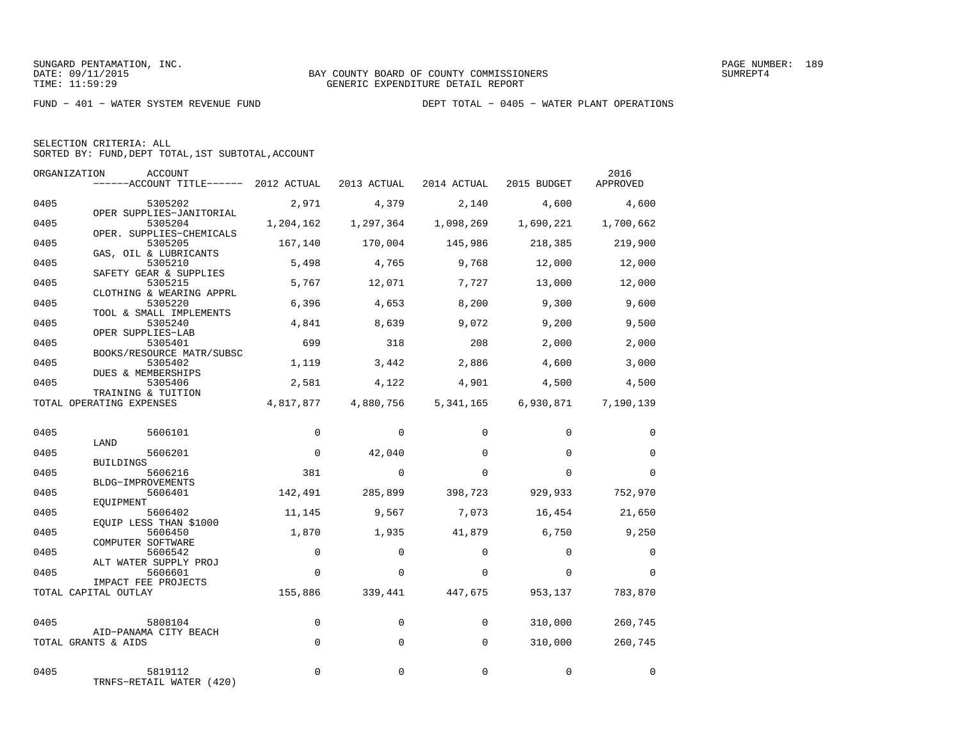FUND − 401 − WATER SYSTEM REVENUE FUND DEPT TOTAL − 0405 − WATER PLANT OPERATIONS

| SELECTION CRITERIA: ALL |  |                                                    |  |
|-------------------------|--|----------------------------------------------------|--|
|                         |  | SORTED BY: FUND. DEPT TOTAL. 1ST SUBTOTAL. ACCOUNT |  |

|      | ORGANIZATION<br>ACCOUNT<br>------ACCOUNT TITLE------ 2012 ACTUAL |              | 2013 ACTUAL | 2014 ACTUAL | 2015 BUDGET | 2016<br>APPROVED |
|------|------------------------------------------------------------------|--------------|-------------|-------------|-------------|------------------|
| 0405 | 5305202                                                          | 2,971        | 4,379       | 2,140       | 4,600       | 4,600            |
| 0405 | OPER SUPPLIES-JANITORIAL<br>5305204                              | 1,204,162    | 1,297,364   | 1,098,269   | 1,690,221   | 1,700,662        |
| 0405 | OPER. SUPPLIES-CHEMICALS<br>5305205<br>GAS, OIL & LUBRICANTS     | 167,140      | 170,004     | 145,986     | 218,385     | 219,900          |
| 0405 | 5305210<br>SAFETY GEAR & SUPPLIES                                | 5,498        | 4,765       | 9,768       | 12,000      | 12,000           |
| 0405 | 5305215<br>CLOTHING & WEARING APPRL                              | 5,767        | 12,071      | 7,727       | 13,000      | 12,000           |
| 0405 | 5305220<br>TOOL & SMALL IMPLEMENTS                               | 6,396        | 4,653       | 8,200       | 9,300       | 9,600            |
| 0405 | 5305240<br>OPER SUPPLIES-LAB                                     | 4,841        | 8,639       | 9,072       | 9,200       | 9,500            |
| 0405 | 5305401<br>BOOKS/RESOURCE MATR/SUBSC                             | 699          | 318         | 208         | 2,000       | 2,000            |
| 0405 | 5305402<br><b>DUES &amp; MEMBERSHIPS</b>                         | 1,119        | 3,442       | 2,886       | 4,600       | 3,000            |
| 0405 | 5305406<br>TRAINING & TUITION                                    | 2,581        | 4,122       | 4,901       | 4,500       | 4,500            |
|      | TOTAL OPERATING EXPENSES                                         | 4,817,877    | 4,880,756   | 5, 341, 165 | 6,930,871   | 7,190,139        |
| 0405 | 5606101                                                          | $\mathbf{0}$ | $\mathbf 0$ | 0           | $\mathbf 0$ | 0                |
| 0405 | LAND<br>5606201                                                  | $\mathbf 0$  | 42,040      | $\Omega$    | $\Omega$    | $\Omega$         |
| 0405 | <b>BUILDINGS</b><br>5606216                                      | 381          | $\Omega$    | $\Omega$    | $\Omega$    | $\Omega$         |
| 0405 | BLDG-IMPROVEMENTS<br>5606401                                     | 142,491      | 285,899     | 398,723     | 929,933     | 752,970          |
| 0405 | EOUIPMENT<br>5606402<br>EQUIP LESS THAN \$1000                   | 11,145       | 9,567       | 7,073       | 16,454      | 21,650           |
| 0405 | 5606450<br>COMPUTER SOFTWARE                                     | 1,870        | 1,935       | 41,879      | 6,750       | 9,250            |
| 0405 | 5606542<br>ALT WATER SUPPLY PROJ                                 | $\mathbf 0$  | 0           | $\Omega$    | $\Omega$    | 0                |
| 0405 | 5606601<br>IMPACT FEE PROJECTS                                   | $\Omega$     | $\Omega$    | $\Omega$    | $\Omega$    | $\Omega$         |
|      | TOTAL CAPITAL OUTLAY                                             | 155,886      | 339,441     | 447,675     | 953,137     | 783,870          |
| 0405 | 5808104                                                          | $\Omega$     | $\Omega$    | $\Omega$    | 310,000     | 260,745          |
|      | AID-PANAMA CITY BEACH<br>TOTAL GRANTS & AIDS                     | $\Omega$     | $\Omega$    | $\Omega$    | 310,000     | 260,745          |
| 0405 | 5819112<br>TRNFS-RETAIL WATER (420)                              | $\Omega$     | $\Omega$    | $\Omega$    | $\Omega$    | $\Omega$         |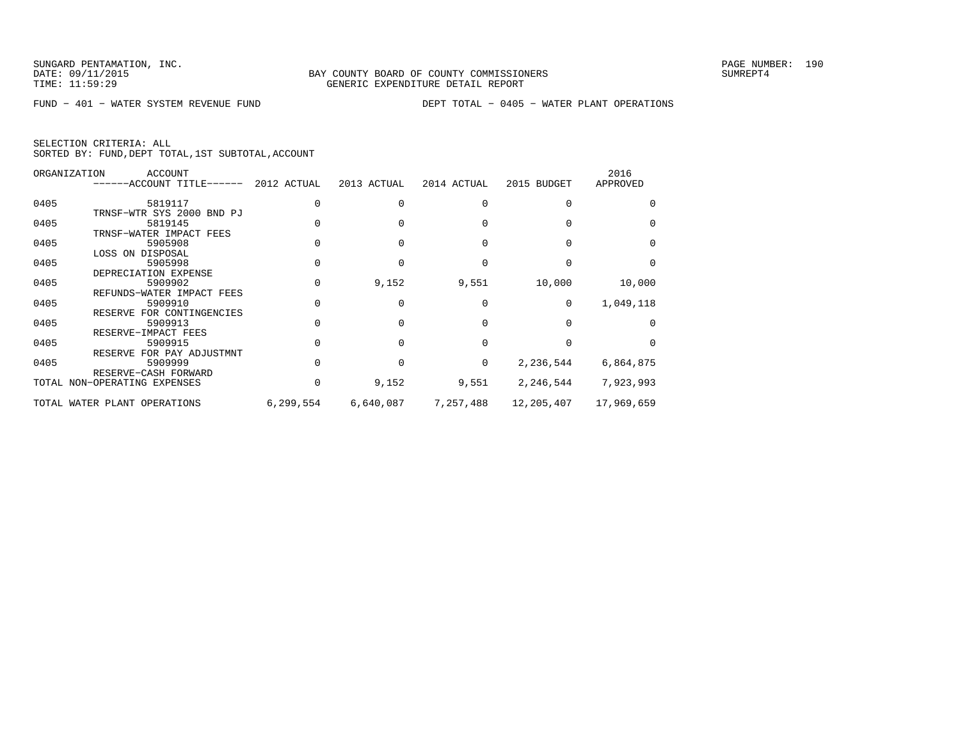FUND − 401 − WATER SYSTEM REVENUE FUND DEPT TOTAL − 0405 − WATER PLANT OPERATIONS

| SELECTION CRITERIA: ALL |  |  |                                                    |  |
|-------------------------|--|--|----------------------------------------------------|--|
|                         |  |  | SORTED BY: FUND, DEPT TOTAL, 1ST SUBTOTAL, ACCOUNT |  |

|      | ORGANIZATION<br>ACCOUNT<br>------ACCOUNT TITLE------ 2012 ACTUAL |           | 2013 ACTUAL | 2014 ACTUAL | 2015 BUDGET | 2016<br>APPROVED |
|------|------------------------------------------------------------------|-----------|-------------|-------------|-------------|------------------|
| 0405 | 5819117                                                          |           |             |             |             |                  |
|      | TRNSF-WTR SYS 2000 BND PJ                                        |           |             |             |             |                  |
| 0405 | 5819145                                                          |           |             |             |             |                  |
|      | TRNSF-WATER IMPACT FEES                                          |           |             |             |             |                  |
| 0405 | 5905908                                                          |           |             |             |             |                  |
|      | LOSS ON DISPOSAL                                                 |           |             |             |             |                  |
| 0405 | 5905998                                                          |           |             |             |             |                  |
|      | DEPRECIATION EXPENSE                                             |           |             |             |             |                  |
| 0405 | 5909902                                                          |           | 9,152       | 9,551       | 10,000      | 10,000           |
|      | REFUNDS-WATER IMPACT FEES                                        |           |             |             |             |                  |
| 0405 | 5909910                                                          |           |             |             | $\Omega$    | 1,049,118        |
|      | RESERVE FOR CONTINGENCIES                                        |           |             |             |             |                  |
| 0405 | 5909913                                                          |           |             |             |             |                  |
|      | RESERVE-IMPACT FEES                                              |           |             |             |             |                  |
| 0405 | 5909915                                                          |           |             |             |             |                  |
|      | RESERVE FOR PAY ADJUSTMNT                                        |           |             |             |             |                  |
| 0405 | 5909999                                                          |           |             | $\Omega$    | 2,236,544   | 6,864,875        |
|      | RESERVE-CASH FORWARD                                             |           |             |             |             |                  |
|      | TOTAL NON-OPERATING EXPENSES                                     |           | 9,152       | 9,551       | 2,246,544   | 7,923,993        |
|      | TOTAL WATER PLANT OPERATIONS                                     | 6,299,554 | 6,640,087   | 7,257,488   | 12,205,407  | 17,969,659       |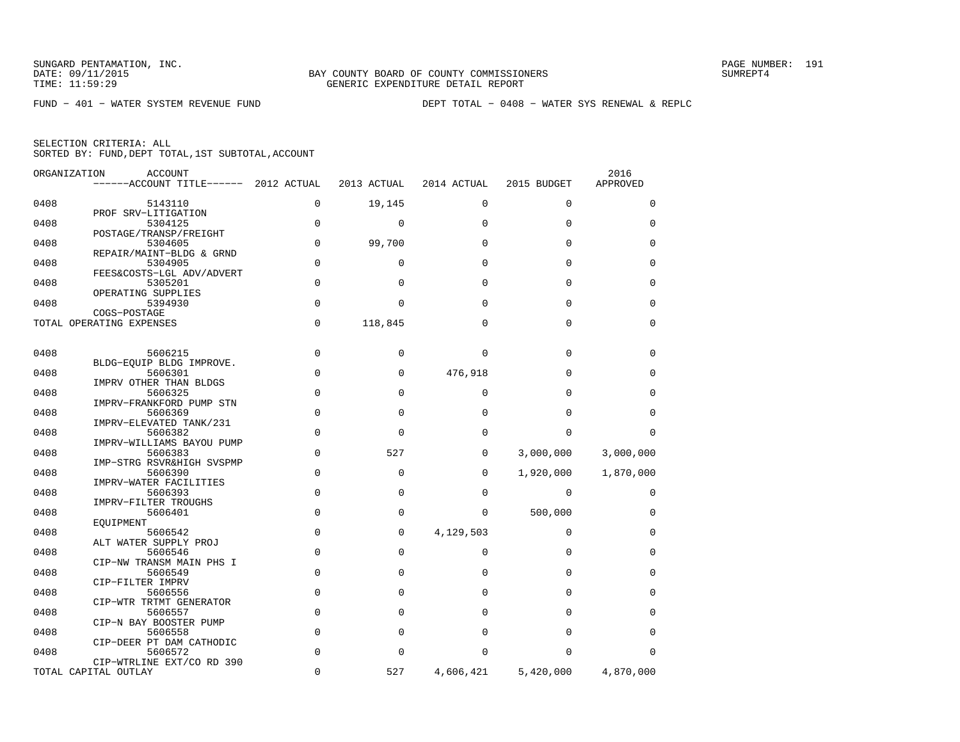|  | SELECTION CRITERIA: ALL |                                                    |  |
|--|-------------------------|----------------------------------------------------|--|
|  |                         | SORTED BY: FUND, DEPT TOTAL, 1ST SUBTOTAL, ACCOUNT |  |

| ORGANIZATION | <b>ACCOUNT</b><br>------ACCOUNT TITLE------ 2012 ACTUAL       |               | 2013 ACTUAL          | 2014 ACTUAL          | 2015 BUDGET          | 2016<br>APPROVED |
|--------------|---------------------------------------------------------------|---------------|----------------------|----------------------|----------------------|------------------|
| 0408         | 5143110                                                       | 0             | 19,145               | $\mathbf 0$          | $\mathbf 0$          | 0                |
| 0408         | PROF SRV-LITIGATION<br>5304125                                | 0             | $\mathbf 0$          | $\mathbf 0$          | $\mathbf 0$          | 0                |
| 0408         | POSTAGE/TRANSP/FREIGHT<br>5304605                             | $\mathbf 0$   | 99,700               | $\Omega$             | $\Omega$             | 0                |
| 0408         | REPAIR/MAINT-BLDG & GRND<br>5304905                           | 0             | $\mathbf 0$          | $\Omega$             | $\Omega$             | 0                |
| 0408         | FEES&COSTS-LGL ADV/ADVERT<br>5305201<br>OPERATING SUPPLIES    | $\mathbf 0$   | $\Omega$             | $\Omega$             | $\mathbf 0$          | 0                |
| 0408         | 5394930<br>COGS-POSTAGE                                       | $\mathbf 0$   | $\Omega$             | $\Omega$             | $\Omega$             | 0                |
|              | TOTAL OPERATING EXPENSES                                      | $\mathbf 0$   | 118,845              | $\Omega$             | $\Omega$             | $\mathbf 0$      |
| 0408         | 5606215                                                       | $\mathbf 0$   | 0                    | $\Omega$             | $\mathbf 0$          | 0                |
| 0408         | BLDG-EOUIP BLDG IMPROVE.<br>5606301                           | 0             | $\mathbf 0$          | 476,918              | $\Omega$             | 0                |
| 0408         | IMPRV OTHER THAN BLDGS<br>5606325<br>IMPRV-FRANKFORD PUMP STN | 0             | $\Omega$             | $\Omega$             | $\Omega$             | 0                |
| 0408         | 5606369<br>IMPRV-ELEVATED TANK/231                            | $\mathbf 0$   | $\Omega$             | $\Omega$             | $\Omega$             | $\Omega$         |
| 0408         | 5606382<br>IMPRV-WILLIAMS BAYOU PUMP                          | $\Omega$      | $\Omega$             | $\Omega$             | $\Omega$             | $\Omega$         |
| 0408         | 5606383<br>IMP-STRG RSVR&HIGH SVSPMP                          | $\Omega$      | 527                  | $\Omega$             | 3,000,000            | 3,000,000        |
| 0408         | 5606390<br>IMPRV-WATER FACILITIES                             | 0             | 0                    | 0                    | 1,920,000            | 1,870,000        |
| 0408         | 5606393<br>IMPRV-FILTER TROUGHS                               | 0             | $\Omega$             | $\Omega$             | $\mathbf 0$          | 0                |
| 0408         | 5606401<br>EOUIPMENT                                          | $\Omega$      | $\Omega$             | 0                    | 500,000              | 0                |
| 0408         | 5606542<br>ALT WATER SUPPLY PROJ                              | 0             | 0                    | 4,129,503            | 0                    | 0                |
| 0408         | 5606546<br>CIP-NW TRANSM MAIN PHS I                           | $\Omega$      | $\Omega$             | $\Omega$             | $\Omega$             | 0                |
| 0408         | 5606549<br>CIP-FILTER IMPRV                                   | $\Omega$      | $\Omega$             | $\Omega$             | $\Omega$             | $\Omega$         |
| 0408         | 5606556<br>CIP-WTR TRTMT GENERATOR                            | 0             | 0                    | $\Omega$             | $\mathbf 0$          | 0                |
| 0408         | 5606557<br>CIP-N BAY BOOSTER PUMP                             | 0             | $\Omega$             | $\Omega$             | $\Omega$             | 0                |
| 0408<br>0408 | 5606558<br>CIP-DEER PT DAM CATHODIC                           | 0<br>$\Omega$ | $\Omega$<br>$\Omega$ | $\Omega$<br>$\Omega$ | $\Omega$<br>$\Omega$ | 0<br>$\Omega$    |
|              | 5606572<br>CIP-WTRLINE EXT/CO RD 390<br>TOTAL CAPITAL OUTLAY  | 0             | 527                  | 4,606,421            | 5,420,000            | 4,870,000        |
|              |                                                               |               |                      |                      |                      |                  |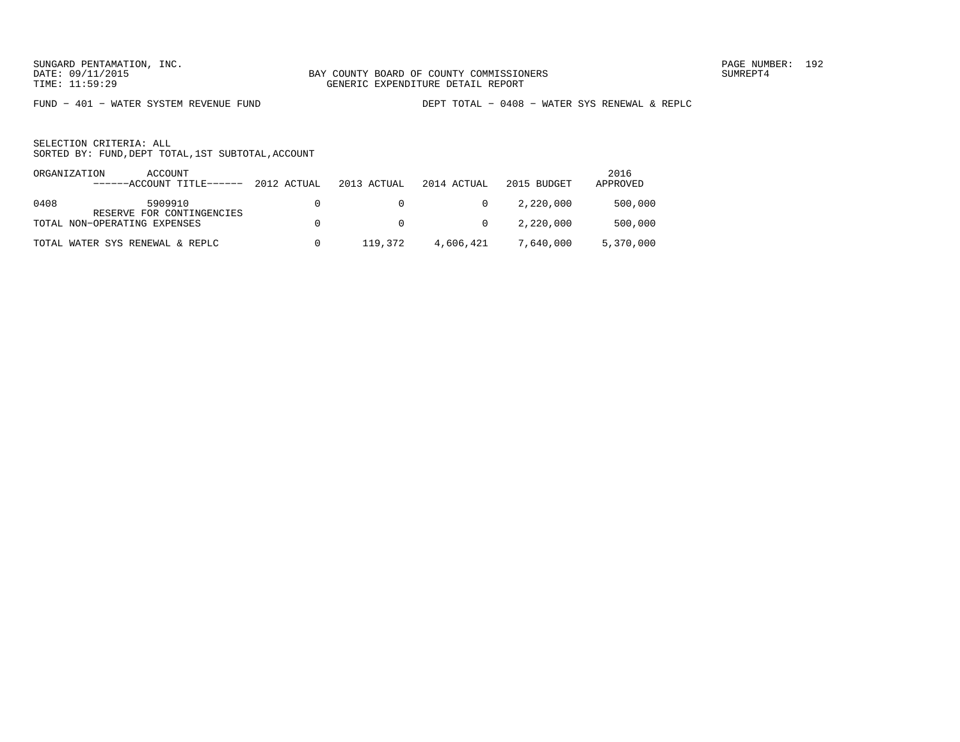FUND − 401 − WATER SYSTEM REVENUE FUND DEPT TOTAL − 0408 − WATER SYS RENEWAL & REPLC

SELECTION CRITERIA: ALLSORTED BY: FUND,DEPT TOTAL,1ST SUBTOTAL,ACCOUNT

| ORGANIZATION | ACCOUNT<br>------ACCOUNT TITLE------ | 2012 ACTUAL | 2013 ACTUAL | 2014 ACTUAL    | 2015 BUDGET | 2016<br>APPROVED |
|--------------|--------------------------------------|-------------|-------------|----------------|-------------|------------------|
| 0408         | 5909910<br>RESERVE FOR CONTINGENCIES |             | $\Omega$    | $\overline{0}$ | 2,220,000   | 500,000          |
|              | TOTAL NON-OPERATING EXPENSES         |             | $\cap$      | $\overline{0}$ | 2,220,000   | 500,000          |
|              | TOTAL WATER SYS RENEWAL & REPLC      |             | 119,372     | 4,606,421      | 7,640,000   | 5,370,000        |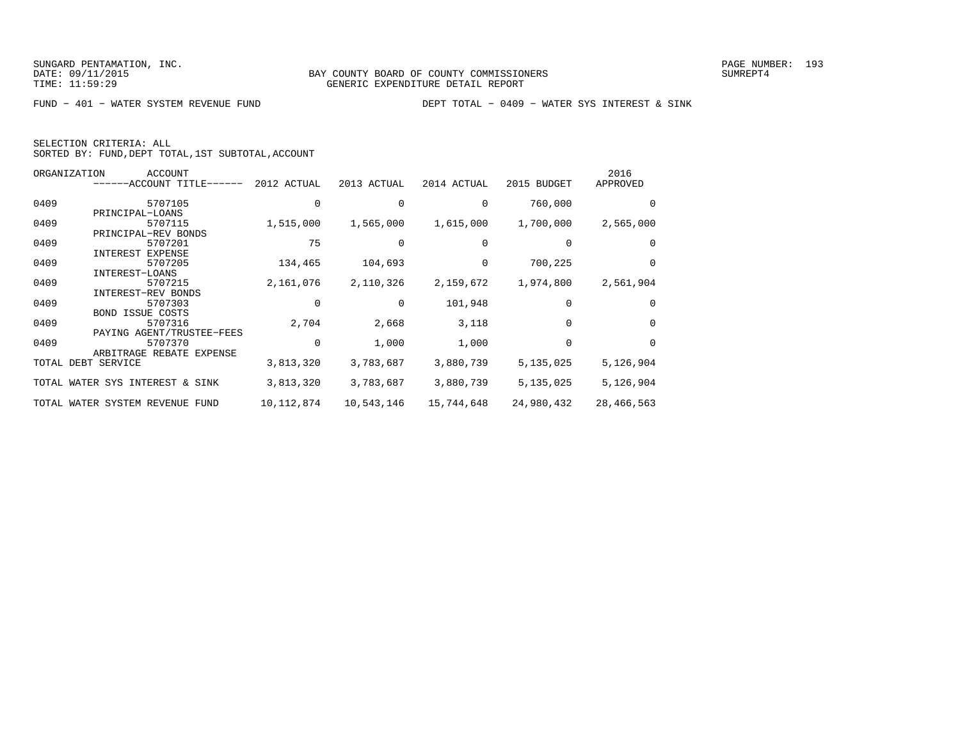| SELECTION CRITERIA: ALL |  |                                                    |  |
|-------------------------|--|----------------------------------------------------|--|
|                         |  | SORTED BY: FUND, DEPT TOTAL, 1ST SUBTOTAL, ACCOUNT |  |

|       | ORGANIZATION<br>ACCOUNT         |             |             |             |             | 2016       |
|-------|---------------------------------|-------------|-------------|-------------|-------------|------------|
|       | -ACCOUNT TITLE------            | 2012 ACTUAL | 2013 ACTUAL | 2014 ACTUAL | 2015 BUDGET | APPROVED   |
| 0409  | 5707105                         |             |             |             | 760,000     |            |
|       | PRINCIPAL-LOANS                 |             |             |             |             |            |
| 0409  | 5707115                         | 1,515,000   | 1,565,000   | 1,615,000   | 1,700,000   | 2,565,000  |
|       | PRINCIPAL-REV BONDS             |             |             |             |             |            |
| 0409  | 5707201                         | 75          |             |             |             | $\Omega$   |
|       | INTEREST<br>EXPENSE             |             |             |             |             |            |
| 0409  | 5707205                         | 134,465     | 104,693     |             | 700,225     | 0          |
|       | INTEREST-LOANS                  |             |             |             |             |            |
| 0409  | 5707215                         | 2,161,076   | 2,110,326   | 2,159,672   | 1,974,800   | 2,561,904  |
|       | INTEREST-REV BONDS              |             |             |             |             |            |
| 0409  | 5707303                         |             |             | 101,948     | $\Omega$    | $\Omega$   |
|       | <b>BOND ISSUE COSTS</b>         |             |             |             |             |            |
| 0409  | 5707316                         | 2,704       | 2,668       | 3,118       | $\Omega$    | 0          |
|       | PAYING AGENT/TRUSTEE-FEES       |             |             |             |             |            |
| 0409  | 5707370                         | $\Omega$    | 1,000       | 1,000       | $\Omega$    | $\Omega$   |
|       | ARBITRAGE REBATE EXPENSE        |             |             |             |             |            |
| TOTAL | DEBT SERVICE                    | 3,813,320   | 3,783,687   | 3,880,739   | 5,135,025   | 5,126,904  |
|       | TOTAL WATER SYS INTEREST & SINK | 3,813,320   | 3,783,687   | 3,880,739   | 5,135,025   | 5,126,904  |
|       | TOTAL WATER SYSTEM REVENUE FUND | 10,112,874  | 10,543,146  | 15,744,648  | 24,980,432  | 28,466,563 |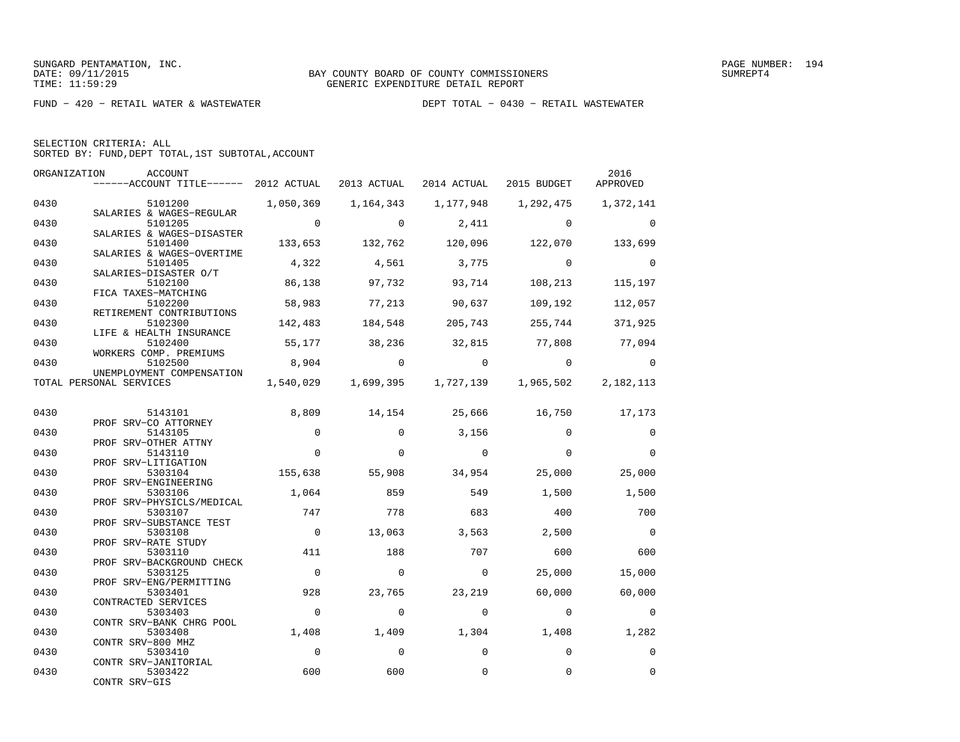FUND − 420 − RETAIL WATER & WASTEWATER DEPT TOTAL − 0430 − RETAIL WASTEWATER

|  | SELECTION CRITERIA: ALL                            |  |  |
|--|----------------------------------------------------|--|--|
|  | SORTED BY: FUND, DEPT TOTAL, 1ST SUBTOTAL, ACCOUNT |  |  |

| ORGANIZATION | ACCOUNT<br>------ACCOUNT TITLE------ 2012 ACTUAL 2013 ACTUAL |                |          | 2014 ACTUAL   | 2015 BUDGET                                       | 2016<br>APPROVED |
|--------------|--------------------------------------------------------------|----------------|----------|---------------|---------------------------------------------------|------------------|
| 0430         | 5101200 1,050,369 1,164,343                                  |                |          | 1,177,948     | 1,292,475                                         | 1,372,141        |
| 0430         | SALARIES & WAGES-REGULAR<br>5101205                          | $\overline{0}$ | $\Omega$ | 2,411         | $\Omega$                                          | $\Omega$         |
| 0430         | SALARIES & WAGES-DISASTER<br>5101400                         | 133,653        | 132,762  | 120,096       | 122,070                                           | 133,699          |
| 0430         | SALARIES & WAGES-OVERTIME<br>5101405                         | 4,322          | 4,561    | 3,775         | $\overline{0}$                                    | $\mathbf 0$      |
| 0430         | SALARIES-DISASTER O/T<br>5102100                             | 86,138         | 97,732   | 93,714        | 108,213                                           | 115,197          |
| 0430         | FICA TAXES-MATCHING<br>5102200<br>RETIREMENT CONTRIBUTIONS   | 58,983         | 77,213   | 90,637        | 109,192                                           | 112,057          |
| 0430         | 5102300<br>LIFE & HEALTH INSURANCE                           | 142,483        | 184,548  | 205,743       | 255,744                                           | 371,925          |
| 0430         | 5102400<br>WORKERS COMP. PREMIUMS                            | 55,177         | 38,236   | 32,815        | 77,808                                            | 77,094           |
| 0430         | 5102500<br>UNEMPLOYMENT COMPENSATION                         | 8,904          | $\Omega$ | $\Omega$      | $\Omega$                                          | $\overline{0}$   |
|              | TOTAL PERSONAL SERVICES                                      |                |          |               | 1,540,029 1,699,395 1,727,139 1,965,502 2,182,113 |                  |
| 0430         | 5143101                                                      | 8,809          | 14,154   | 25,666 16,750 |                                                   | 17,173           |
| 0430         | PROF SRV-CO ATTORNEY<br>5143105                              | $\mathbf 0$    | $\Omega$ | 3,156         | $\Omega$                                          | $\mathbf 0$      |
| 0430         | PROF SRV-OTHER ATTNY<br>5143110                              | $\Omega$       | $\Omega$ | $\Omega$      | $\Omega$                                          | $\Omega$         |
| 0430         | PROF SRV-LITIGATION<br>5303104<br>PROF SRV-ENGINEERING       | 155,638        | 55,908   | 34,954        | 25,000                                            | 25,000           |
| 0430         | 5303106<br>PROF SRV-PHYSICLS/MEDICAL                         | 1,064          | 859      | 549           | 1,500                                             | 1,500            |
| 0430         | 5303107<br>PROF SRV-SUBSTANCE TEST                           | 747            | 778      | 683           | 400                                               | 700              |
| 0430         | 5303108<br>PROF SRV-RATE STUDY                               | $\overline{0}$ | 13,063   | 3,563         | 2,500                                             | $\bigcirc$       |
| 0430         | 5303110<br>PROF SRV-BACKGROUND CHECK                         | 411            | 188      | 707           | 600                                               | 600              |
| 0430         | 5303125<br>PROF SRV-ENG/PERMITTING                           | $\overline{0}$ | $\Omega$ | $\Omega$      | 25,000                                            | 15,000           |
| 0430         | 5303401<br>CONTRACTED SERVICES                               | 928            | 23,765   | 23,219        | 60,000                                            | 60,000           |
| 0430         | 5303403<br>CONTR SRV-BANK CHRG POOL                          | $\overline{0}$ | $\Omega$ | $\mathbf 0$   | $\mathbf 0$                                       | $\mathbf 0$      |
| 0430         | 5303408<br>CONTR SRV-800 MHZ                                 | 1,408          | 1,409    | 1,304         | 1,408                                             | 1,282            |
| 0430         | 5303410<br>CONTR SRV-JANITORIAL                              | $\overline{0}$ | $\Omega$ | $\Omega$      | $\Omega$                                          | $\mathbf 0$      |
| 0430         | 5303422<br>CONTR SRV-GIS                                     | 600            | 600      | 0             | $\Omega$                                          | $\mathbf 0$      |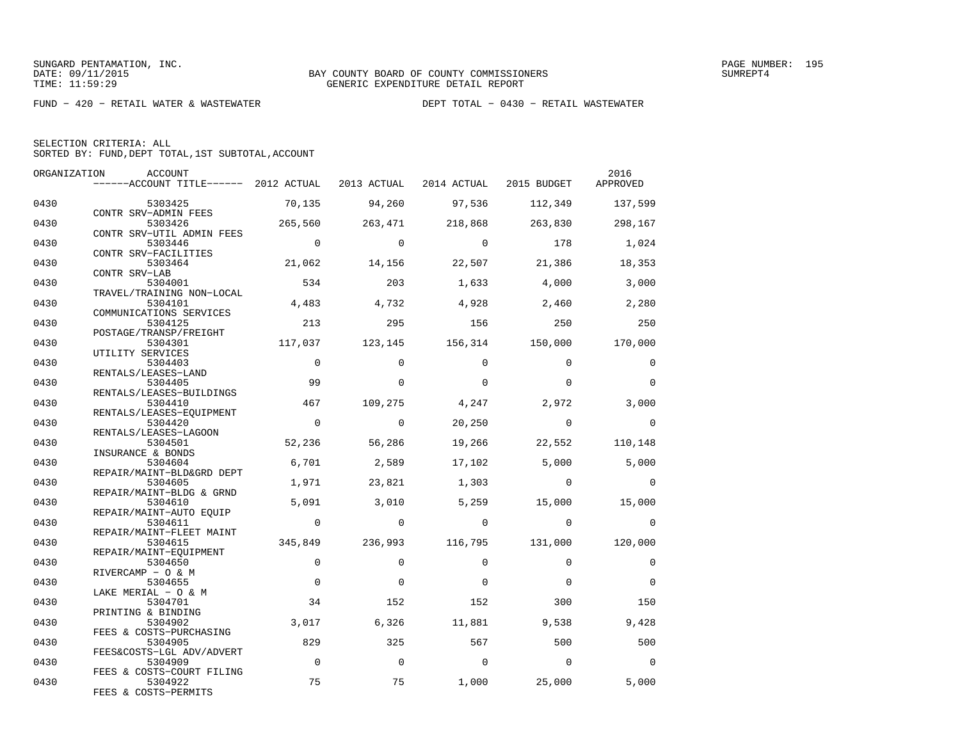FUND − 420 − RETAIL WATER & WASTEWATER DEPT TOTAL − 0430 − RETAIL WASTEWATER

| SELECTION CRITERIA: ALL |  |                                                    |  |
|-------------------------|--|----------------------------------------------------|--|
|                         |  | SORTED BY: FUND, DEPT TOTAL, 1ST SUBTOTAL, ACCOUNT |  |

| ORGANIZATION | ACCOUNT                                                                            |                |                |                 |                 | 2016        |
|--------------|------------------------------------------------------------------------------------|----------------|----------------|-----------------|-----------------|-------------|
|              | ------ACCOUNT TITLE------ 2012 ACTUAL 2013 ACTUAL 2014 ACTUAL 2015 BUDGET APPROVED |                |                |                 |                 |             |
| 0430         | 5303425                                                                            | 70,135         | 94,260         | 97,536          | 112,349         | 137,599     |
| 0430         | CONTR SRV-ADMIN FEES<br>5303426                                                    | 265,560        | 263,471        | 218,868         | 263,830         | 298,167     |
| 0430         | CONTR SRV-UTIL ADMIN FEES<br>5303446                                               | $\overline{0}$ | $\Omega$       | $\Omega$        | 178             | 1,024       |
| 0430         | CONTR SRV-FACILITIES<br>5303464                                                    | 21,062         | 14,156         | 22,507          | 21,386          | 18,353      |
| 0430         | CONTR SRV-LAB<br>5304001                                                           | 534            | 203            | 1,633           | 4,000           | 3,000       |
| 0430         | TRAVEL/TRAINING NON-LOCAL<br>5304101                                               | 4,483          | 4,732          | 4,928           | 2,460           | 2,280       |
| 0430         | COMMUNICATIONS SERVICES<br>5304125                                                 | 213            | 295            | 156             | 250             | 250         |
| 0430         | POSTAGE/TRANSP/FREIGHT<br>5304301                                                  | 117,037        | 123,145        |                 | 156,314 150,000 | 170,000     |
| 0430         | UTILITY SERVICES<br>5304403                                                        | $\overline{0}$ | $\Omega$       | $\Omega$        | $\Omega$        | $\Omega$    |
| 0430         | RENTALS/LEASES-LAND<br>5304405                                                     | 99             | $\Omega$       | $\Omega$        | $\Omega$        | $\Omega$    |
| 0430         | RENTALS/LEASES-BUILDINGS<br>5304410                                                | 467            | 109,275        |                 | 4,247 2,972     | 3,000       |
| 0430         | RENTALS/LEASES-EQUIPMENT<br>5304420                                                | $\overline{0}$ | $\Omega$       | 20,250          | $\overline{0}$  | $\Omega$    |
| 0430         | RENTALS/LEASES-LAGOON<br>5304501                                                   | 52,236         | 56,286         | 19,266          | 22,552          | 110,148     |
| 0430         | INSURANCE & BONDS<br>5304604                                                       | 6,701          | 2,589          | 17,102          | 5,000           | 5,000       |
| 0430         | REPAIR/MAINT-BLD&GRD DEPT<br>5304605                                               | 1,971          | 23,821         | 1,303           | $\Omega$        | $\Omega$    |
| 0430         | REPAIR/MAINT-BLDG & GRND<br>5304610                                                | 5,091          | 3,010          | 5,259           | 15,000          | 15,000      |
| 0430         | REPAIR/MAINT-AUTO EQUIP<br>5304611                                                 | $\overline{0}$ | $\circ$        | $\overline{0}$  | $\overline{0}$  | $\Omega$    |
| 0430         | REPAIR/MAINT-FLEET MAINT<br>5304615                                                | 345,849        | 236,993        | 116,795 131,000 |                 | 120,000     |
|              | REPAIR/MAINT-EQUIPMENT                                                             |                |                |                 |                 |             |
| 0430         | 5304650<br>RIVERCAMP - O & M                                                       | $\mathbf 0$    | $\Omega$       | $\Omega$        | $\Omega$        | $\Omega$    |
| 0430         | 5304655<br>LAKE MERIAL - O & M                                                     | $\mathbf 0$    | $\mathbf 0$    | $\Omega$        | $\mathbf 0$     | $\mathbf 0$ |
| 0430         | 5304701<br>PRINTING & BINDING                                                      | 34             | 152            | 152             | 300             | 150         |
| 0430         | 5304902<br>FEES & COSTS-PURCHASING                                                 | 3,017          | 6,326          | 11,881          | 9,538           | 9,428       |
| 0430         | 5304905<br>FEES&COSTS-LGL ADV/ADVERT                                               | 829            | 325            | 567             | 500             | 500         |
| 0430         | 5304909<br>FEES & COSTS-COURT FILING                                               | $\overline{0}$ | $\overline{0}$ | $\overline{0}$  | $\overline{0}$  | $\Omega$    |
| 0430         | 5304922<br>FEES & COSTS-PERMITS                                                    | 75             | 75             | 1,000           | 25,000          | 5,000       |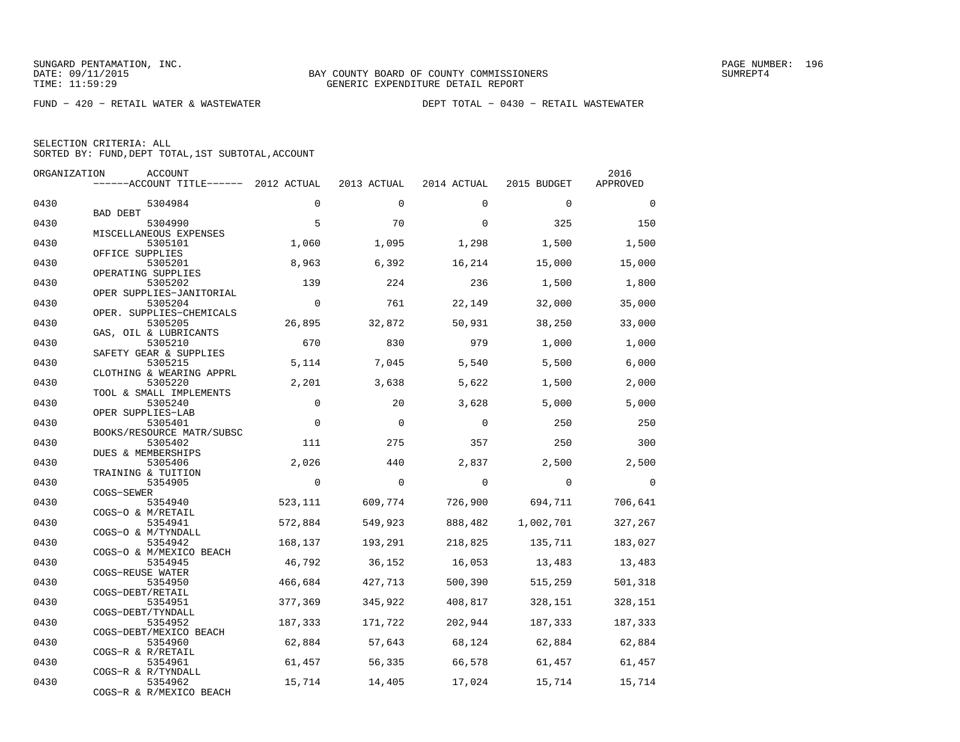FUND − 420 − RETAIL WATER & WASTEWATER DEPT TOTAL − 0430 − RETAIL WASTEWATER

|  | SELECTION CRITERIA: ALL                            |  |  |
|--|----------------------------------------------------|--|--|
|  | SORTED BY: FUND, DEPT TOTAL, 1ST SUBTOTAL, ACCOUNT |  |  |

| ORGANIZATION | <b>ACCOUNT</b>                        |             |             |             |             | 2016        |
|--------------|---------------------------------------|-------------|-------------|-------------|-------------|-------------|
|              | $----ACCOUNT$ TITLE $--- 2012$ ACTUAL |             | 2013 ACTUAL | 2014 ACTUAL | 2015 BUDGET | APPROVED    |
| 0430         | 5304984                               | $\mathbf 0$ | $\Omega$    | $\Omega$    | $\mathbf 0$ | $\mathbf 0$ |
|              | BAD DEBT                              |             |             |             |             |             |
| 0430         | 5304990                               | 5           | 70          | $\Omega$    | 325         | 150         |
|              | MISCELLANEOUS EXPENSES                |             |             |             |             |             |
| 0430         | 5305101<br>OFFICE SUPPLIES            | 1,060       | 1,095       | 1,298       | 1,500       | 1,500       |
| 0430         | 5305201                               | 8,963       | 6,392       | 16,214      | 15,000      | 15,000      |
|              | OPERATING SUPPLIES                    |             |             |             |             |             |
| 0430         | 5305202                               | 139         | 224         | 236         | 1,500       | 1,800       |
|              | OPER SUPPLIES-JANITORIAL              |             |             |             |             |             |
| 0430         | 5305204                               | $\Omega$    | 761         | 22,149      | 32,000      | 35,000      |
|              | OPER. SUPPLIES-CHEMICALS              |             |             |             |             |             |
| 0430         | 5305205                               | 26,895      | 32,872      | 50,931      | 38,250      | 33,000      |
|              | GAS, OIL & LUBRICANTS                 |             |             |             |             |             |
| 0430         | 5305210<br>SAFETY GEAR & SUPPLIES     | 670         | 830         | 979         | 1,000       | 1,000       |
| 0430         | 5305215                               | 5,114       | 7,045       | 5,540       | 5,500       | 6,000       |
|              | CLOTHING & WEARING APPRL              |             |             |             |             |             |
| 0430         | 5305220                               | 2,201       | 3,638       | 5,622       | 1,500       | 2,000       |
|              | TOOL & SMALL IMPLEMENTS               |             |             |             |             |             |
| 0430         | 5305240                               | $\mathbf 0$ | 20          | 3,628       | 5,000       | 5,000       |
|              | OPER SUPPLIES-LAB                     |             |             |             |             |             |
| 0430         | 5305401                               | $\mathbf 0$ | $\mathbf 0$ | $\mathbf 0$ | 250         | 250         |
|              | BOOKS/RESOURCE MATR/SUBSC             |             |             |             |             |             |
| 0430         | 5305402                               | 111         | 275         | 357         | 250         | 300         |
| 0430         | DUES & MEMBERSHIPS<br>5305406         | 2,026       | 440         | 2,837       | 2,500       | 2,500       |
|              | TRAINING & TUITION                    |             |             |             |             |             |
| 0430         | 5354905                               | $\mathbf 0$ | $\mathbf 0$ | $\mathbf 0$ | $\mathbf 0$ | $\Omega$    |
|              | COGS-SEWER                            |             |             |             |             |             |
| 0430         | 5354940                               | 523,111     | 609,774     | 726,900     | 694,711     | 706,641     |
|              | COGS-O & M/RETAIL                     |             |             |             |             |             |
| 0430         | 5354941                               | 572,884     | 549,923     | 888,482     | 1,002,701   | 327,267     |
|              | COGS-O & M/TYNDALL                    |             |             |             |             |             |
| 0430         | 5354942<br>COGS-O & M/MEXICO BEACH    | 168,137     | 193,291     | 218,825     | 135,711     | 183,027     |
| 0430         | 5354945                               | 46,792      | 36,152      | 16,053      | 13,483      | 13,483      |
|              | COGS-REUSE WATER                      |             |             |             |             |             |
| 0430         | 5354950                               | 466,684     | 427,713     | 500,390     | 515,259     | 501,318     |
|              | COGS-DEBT/RETAIL                      |             |             |             |             |             |
| 0430         | 5354951                               | 377,369     | 345,922     | 408,817     | 328,151     | 328,151     |
|              | COGS-DEBT/TYNDALL                     |             |             |             |             |             |
| 0430         | 5354952                               | 187,333     | 171,722     | 202,944     | 187,333     | 187,333     |
|              | COGS-DEBT/MEXICO BEACH                |             |             |             |             |             |
| 0430         | 5354960<br>COGS-R & R/RETAIL          | 62,884      | 57,643      | 68,124      | 62,884      | 62,884      |
| 0430         | 5354961                               | 61,457      | 56,335      | 66,578      | 61,457      | 61,457      |
|              | COGS-R & R/TYNDALL                    |             |             |             |             |             |
| 0430         | 5354962                               | 15,714      | 14,405      | 17,024      | 15,714      | 15,714      |
|              | COGS-R & R/MEXICO BEACH               |             |             |             |             |             |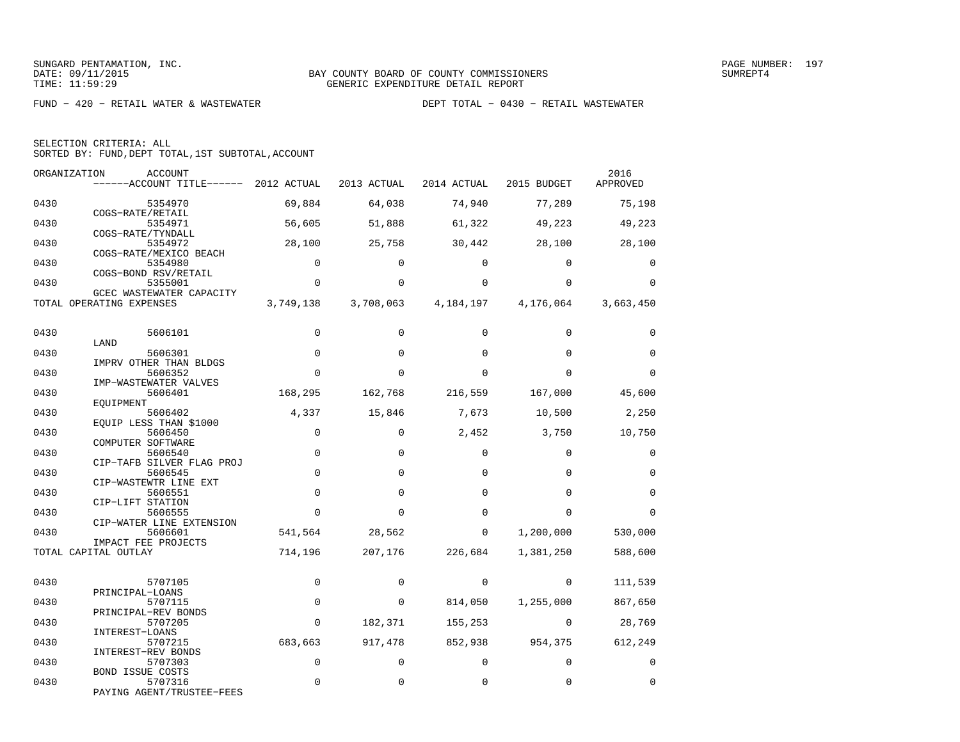| SELECTION CRITERIA: ALL |  |  |                                                    |  |
|-------------------------|--|--|----------------------------------------------------|--|
|                         |  |  | SORTED BY: FUND, DEPT TOTAL, 1ST SUBTOTAL, ACCOUNT |  |

| ORGANIZATION | <b>ACCOUNT</b><br>------ACCOUNT TITLE------ 2012 ACTUAL |             | 2013 ACTUAL | 2014 ACTUAL | 2015 BUDGET             | 2016<br>APPROVED |
|--------------|---------------------------------------------------------|-------------|-------------|-------------|-------------------------|------------------|
| 0430         | 5354970                                                 | 69,884      | 64,038      | 74,940      | 77,289                  | 75,198           |
| 0430         | COGS-RATE/RETAIL<br>5354971                             | 56,605      | 51,888      | 61,322      | 49,223                  | 49,223           |
| 0430         | COGS-RATE/TYNDALL<br>5354972<br>COGS-RATE/MEXICO BEACH  | 28,100      | 25,758      | 30,442      | 28,100                  | 28,100           |
| 0430         | 5354980<br>COGS-BOND RSV/RETAIL                         | $\mathbf 0$ | $\Omega$    | $\Omega$    | $\Omega$                | 0                |
| 0430         | 5355001<br>GCEC WASTEWATER CAPACITY                     | $\mathbf 0$ | $\Omega$    | $\Omega$    | $\Omega$                | $\mathbf 0$      |
|              | TOTAL OPERATING EXPENSES                                | 3,749,138   | 3,708,063   |             | 4, 184, 197 4, 176, 064 | 3,663,450        |
| 0430         | 5606101                                                 | $\Omega$    | $\Omega$    | $\Omega$    | $\Omega$                | $\Omega$         |
| 0430         | LAND<br>5606301<br>IMPRV OTHER THAN BLDGS               | $\mathbf 0$ | $\mathbf 0$ | $\Omega$    | $\Omega$                | $\mathbf 0$      |
| 0430         | 5606352<br>IMP-WASTEWATER VALVES                        | $\Omega$    | $\Omega$    | $\Omega$    | $\Omega$                | $\Omega$         |
| 0430         | 5606401<br>EOUIPMENT                                    | 168,295     | 162,768     | 216,559     | 167,000                 | 45,600           |
| 0430         | 5606402<br>EQUIP LESS THAN \$1000                       | 4,337       | 15,846      | 7,673       | 10,500                  | 2,250            |
| 0430         | 5606450<br>COMPUTER SOFTWARE                            | $\mathbf 0$ | $\Omega$    | 2,452       | 3,750                   | 10,750           |
| 0430         | 5606540<br>CIP-TAFB SILVER FLAG PROJ                    | $\mathbf 0$ | $\Omega$    | $\mathbf 0$ | $\mathbf 0$             | $\mathbf 0$      |
| 0430         | 5606545<br>CIP-WASTEWTR LINE EXT                        | $\mathbf 0$ | $\Omega$    | $\Omega$    | $\Omega$                | $\mathbf 0$      |
| 0430         | 5606551<br>CIP-LIFT STATION                             | $\mathbf 0$ | $\Omega$    | $\Omega$    | $\Omega$                | $\mathbf 0$      |
| 0430         | 5606555<br>CIP-WATER LINE EXTENSION                     | $\Omega$    | $\Omega$    | $\Omega$    | $\Omega$                | $\Omega$         |
| 0430         | 5606601<br>IMPACT FEE PROJECTS                          | 541,564     | 28,562      | $\mathbf 0$ | 1,200,000               | 530,000          |
|              | TOTAL CAPITAL OUTLAY                                    | 714,196     | 207,176     | 226,684     | 1,381,250               | 588,600          |
| 0430         | 5707105<br>PRINCIPAL-LOANS                              | $\Omega$    | $\Omega$    | 0           | $\Omega$                | 111,539          |
| 0430         | 5707115<br>PRINCIPAL-REV BONDS                          | $\mathbf 0$ | $\mathbf 0$ | 814,050     | 1,255,000               | 867,650          |
| 0430         | 5707205<br>INTEREST-LOANS                               | $\Omega$    | 182,371     | 155,253     | $\Omega$                | 28,769           |
| 0430         | 5707215<br>INTEREST-REV BONDS                           | 683,663     | 917,478     | 852,938     | 954,375                 | 612,249          |
| 0430         | 5707303<br>BOND ISSUE COSTS                             | $\mathbf 0$ | $\Omega$    | $\Omega$    | $\mathbf 0$             | $\mathbf 0$      |
| 0430         | 5707316<br>PAYING AGENT/TRUSTEE-FEES                    | $\Omega$    | $\Omega$    | $\Omega$    | $\Omega$                | $\Omega$         |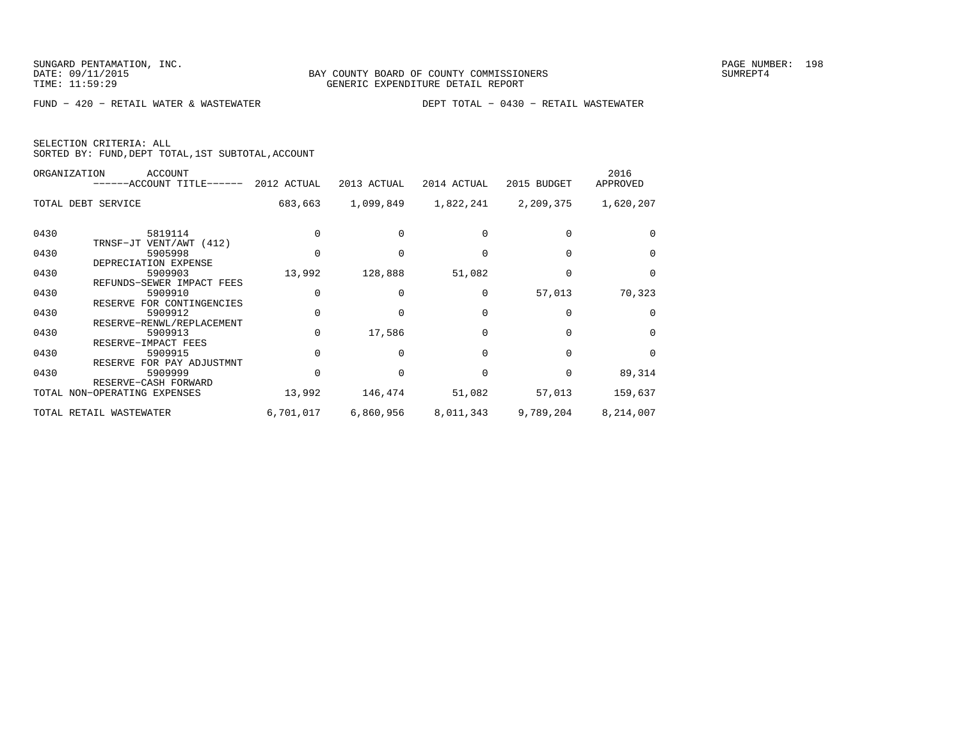|  | SELECTION CRITERIA: ALL                            |  |  |
|--|----------------------------------------------------|--|--|
|  | SORTED BY: FUND, DEPT TOTAL, 1ST SUBTOTAL, ACCOUNT |  |  |

|      | ORGANIZATION<br>ACCOUNT<br>------ACCOUNT TITLE------ 2012 ACTUAL |              | 2013 ACTUAL | 2014 ACTUAL | 2015 BUDGET | 2016<br>APPROVED |
|------|------------------------------------------------------------------|--------------|-------------|-------------|-------------|------------------|
|      | TOTAL DEBT SERVICE                                               | 683,663      |             |             | 2,209,375   | 1,620,207        |
| 0430 | 5819114<br>TRNSF-JT VENT/AWT (412)                               |              |             |             |             | $\Omega$         |
| 0430 | 5905998<br>DEPRECIATION EXPENSE                                  |              |             |             |             | $\Omega$         |
| 0430 | 5909903<br>REFUNDS-SEWER IMPACT FEES                             | 13,992       | 128,888     | 51,082      |             | $\mathbf 0$      |
| 0430 | 5909910<br>RESERVE FOR CONTINGENCIES                             | $\Omega$     |             | 0           | 57,013      | 70,323           |
| 0430 | 5909912<br>RESERVE-RENWL/REPLACEMENT                             | O            |             |             |             | $\Omega$         |
| 0430 | 5909913<br>RESERVE-IMPACT FEES                                   | $\Omega$     | 17,586      |             |             | $\Omega$         |
| 0430 | 5909915<br>RESERVE FOR PAY ADJUSTMNT                             | $\Omega$     |             |             |             | $\Omega$         |
| 0430 | 5909999<br>RESERVE-CASH FORWARD                                  | <sup>0</sup> |             |             | 0           | 89,314           |
|      | TOTAL NON-OPERATING EXPENSES                                     | 13,992       | 146,474     | 51,082      | 57,013      | 159,637          |
|      | TOTAL RETAIL WASTEWATER                                          | 6,701,017    | 6,860,956   | 8,011,343   | 9,789,204   | 8,214,007        |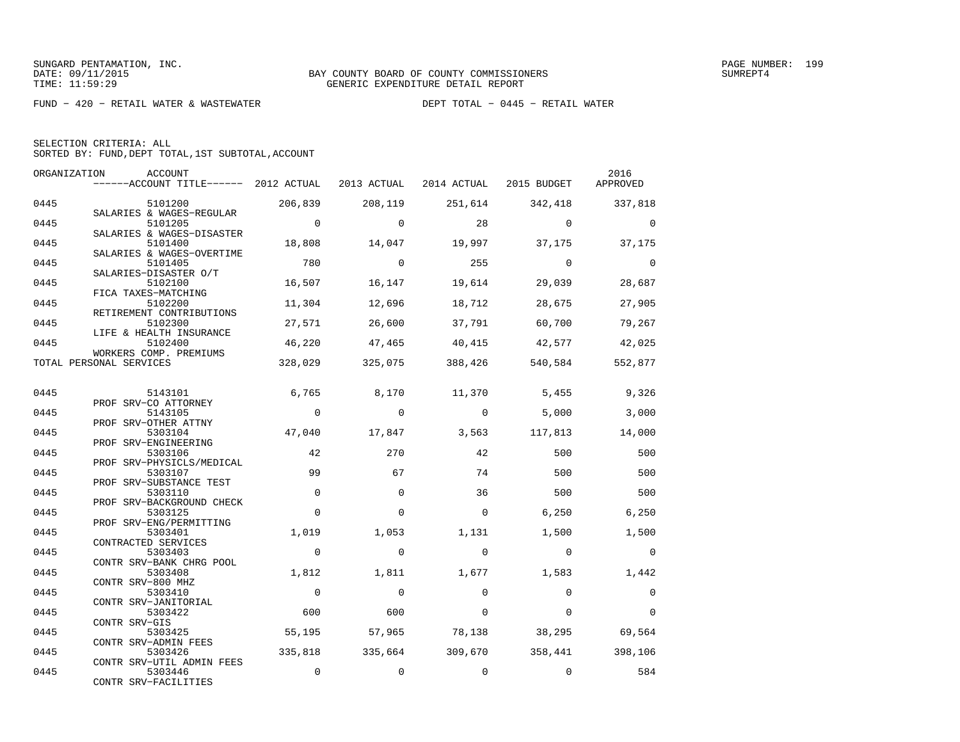| SELECTION CRITERIA: ALL |  |  |                                                    |  |
|-------------------------|--|--|----------------------------------------------------|--|
|                         |  |  | SORTED BY: FUND, DEPT TOTAL, 1ST SUBTOTAL, ACCOUNT |  |

|      | ORGANIZATION<br><b>ACCOUNT</b><br>------ACCOUNT TITLE------ 2012 ACTUAL |                | 2013 ACTUAL | 2014 ACTUAL | 2015 BUDGET | 2016<br>APPROVED |
|------|-------------------------------------------------------------------------|----------------|-------------|-------------|-------------|------------------|
| 0445 | 5101200                                                                 | 206,839        | 208,119     | 251,614     | 342,418     | 337,818          |
| 0445 | SALARIES & WAGES-REGULAR<br>5101205                                     | $\overline{0}$ | $\Omega$    | 28          | $\Omega$    | $\Omega$         |
| 0445 | SALARIES & WAGES-DISASTER<br>5101400                                    | 18,808         | 14,047      | 19,997      | 37,175      | 37,175           |
| 0445 | SALARIES & WAGES-OVERTIME<br>5101405                                    | 780            | $\Omega$    | 255         | $\Omega$    | $\Omega$         |
| 0445 | SALARIES-DISASTER O/T<br>5102100<br>FICA TAXES-MATCHING                 | 16,507         | 16,147      | 19,614      | 29,039      | 28,687           |
| 0445 | 5102200<br>RETIREMENT CONTRIBUTIONS                                     | 11,304         | 12,696      | 18,712      | 28,675      | 27,905           |
| 0445 | 5102300<br>LIFE & HEALTH INSURANCE                                      | 27,571         | 26,600      | 37,791      | 60,700      | 79,267           |
| 0445 | 5102400<br>WORKERS COMP. PREMIUMS                                       | 46,220         | 47,465      | 40,415      | 42,577      | 42,025           |
|      | TOTAL PERSONAL SERVICES                                                 | 328,029        | 325,075     | 388,426     | 540,584     | 552,877          |
| 0445 | 5143101                                                                 | 6,765          | 8,170       | 11,370      | 5,455       | 9,326            |
| 0445 | PROF SRV-CO ATTORNEY<br>5143105                                         | $\overline{0}$ | $\Omega$    | $\Omega$    | 5,000       | 3,000            |
|      | PROF SRV-OTHER ATTNY                                                    |                |             |             |             |                  |
| 0445 | 5303104<br>PROF SRV-ENGINEERING                                         | 47,040         | 17,847      | 3,563       | 117,813     | 14,000           |
| 0445 | 5303106<br>PROF SRV-PHYSICLS/MEDICAL                                    | 42             | 270         | 42          | 500         | 500              |
| 0445 | 5303107<br>PROF SRV-SUBSTANCE TEST                                      | 99             | 67          | 74          | 500         | 500              |
| 0445 | 5303110<br>PROF SRV-BACKGROUND CHECK                                    | $\mathbf 0$    | $\Omega$    | 36          | 500         | 500              |
| 0445 | 5303125<br>PROF SRV-ENG/PERMITTING                                      | $\Omega$       | $\Omega$    | $\Omega$    | 6,250       | 6,250            |
| 0445 | 5303401<br>CONTRACTED SERVICES                                          | 1,019          | 1,053       | 1,131       | 1,500       | 1,500            |
| 0445 | 5303403<br>CONTR SRV-BANK CHRG POOL                                     | $\mathbf 0$    | $\Omega$    | $\Omega$    | $\Omega$    | $\Omega$         |
| 0445 | 5303408<br>CONTR SRV-800 MHZ                                            | 1,812          | 1,811       | 1,677       | 1,583       | 1,442            |
| 0445 | 5303410                                                                 | $\Omega$       | $\Omega$    | $\Omega$    | $\Omega$    | $\mathbf 0$      |
| 0445 | CONTR SRV-JANITORIAL<br>5303422                                         | 600            | 600         | $\Omega$    | $\Omega$    | $\Omega$         |
| 0445 | CONTR SRV-GIS<br>5303425                                                | 55,195         | 57,965      | 78,138      | 38,295      | 69,564           |
| 0445 | CONTR SRV-ADMIN FEES<br>5303426                                         | 335,818        | 335,664     | 309,670     |             | 358,441 398,106  |
| 0445 | CONTR SRV-UTIL ADMIN FEES<br>5303446<br>CONTR SRV-FACILITIES            | $\mathbf 0$    | $\mathbf 0$ | $\mathbf 0$ | $\mathbf 0$ | 584              |
|      |                                                                         |                |             |             |             |                  |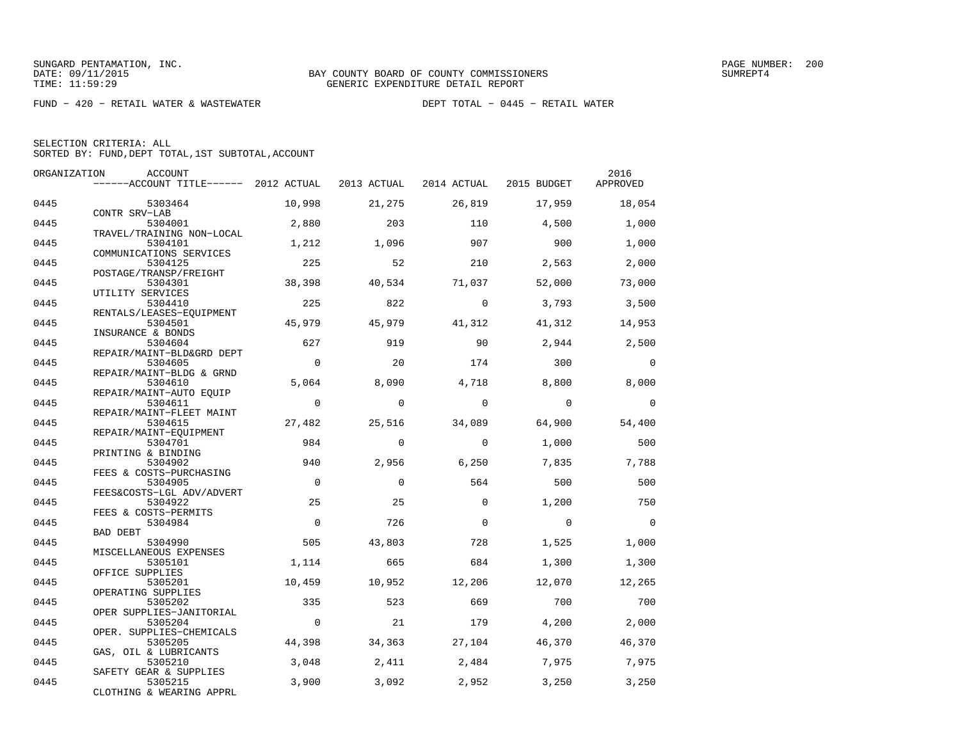| SELECTION CRITERIA: ALL |                                                    |
|-------------------------|----------------------------------------------------|
|                         | SORTED BY: FUND, DEPT TOTAL, 1ST SUBTOTAL, ACCOUNT |

| ORGANIZATION | ACCOUNT                               |             |             |             |             | 2016           |
|--------------|---------------------------------------|-------------|-------------|-------------|-------------|----------------|
|              | ------ACCOUNT TITLE------ 2012 ACTUAL |             | 2013 ACTUAL | 2014 ACTUAL | 2015 BUDGET | APPROVED       |
| 0445         | 5303464                               | 10,998      | 21,275      | 26,819      | 17,959      | 18,054         |
|              | CONTR SRV-LAB                         |             |             |             |             |                |
| 0445         | 5304001                               | 2,880       | 203         | 110         | 4,500       | 1,000          |
|              | TRAVEL/TRAINING NON-LOCAL             |             |             |             |             |                |
| 0445         | 5304101                               | 1,212       | 1,096       | 907         | 900         | 1,000          |
| 0445         | COMMUNICATIONS SERVICES<br>5304125    | 225         | 52          | 210         | 2,563       |                |
|              | POSTAGE/TRANSP/FREIGHT                |             |             |             |             | 2,000          |
| 0445         | 5304301                               | 38,398      | 40,534      | 71,037      | 52,000      | 73,000         |
|              | UTILITY SERVICES                      |             |             |             |             |                |
| 0445         | 5304410                               | 225         | 822         | $\Omega$    | 3,793       | 3,500          |
|              | RENTALS/LEASES-EQUIPMENT              |             |             |             |             |                |
| 0445         | 5304501                               | 45,979      | 45,979      | 41,312      | 41,312      | 14,953         |
|              | INSURANCE & BONDS                     |             |             |             |             |                |
| 0445         | 5304604                               | 627         | 919         | 90          | 2,944       | 2,500          |
| 0445         | REPAIR/MAINT-BLD&GRD DEPT<br>5304605  | $\mathbf 0$ | 20          | 174         | 300         | $\overline{0}$ |
|              | REPAIR/MAINT-BLDG & GRND              |             |             |             |             |                |
| 0445         | 5304610                               | 5,064       | 8,090       | 4,718       | 8,800       | 8,000          |
|              | REPAIR/MAINT-AUTO EQUIP               |             |             |             |             |                |
| 0445         | 5304611                               | $\mathbf 0$ | $\mathbf 0$ | $\Omega$    | $\Omega$    | $\mathbf 0$    |
|              | REPAIR/MAINT-FLEET MAINT              |             |             |             |             |                |
| 0445         | 5304615                               | 27,482      | 25,516      | 34,089      | 64,900      | 54,400         |
|              | REPAIR/MAINT-EOUIPMENT                |             |             |             |             |                |
| 0445         | 5304701                               | 984         | $\Omega$    | $\Omega$    | 1,000       | 500            |
| 0445         | PRINTING & BINDING<br>5304902         | 940         | 2,956       | 6,250       | 7,835       | 7,788          |
|              | FEES & COSTS-PURCHASING               |             |             |             |             |                |
| 0445         | 5304905                               | $\Omega$    | $\Omega$    | 564         | 500         | 500            |
|              | FEES&COSTS-LGL ADV/ADVERT             |             |             |             |             |                |
| 0445         | 5304922                               | 25          | 25          | $\Omega$    | 1,200       | 750            |
|              | FEES & COSTS-PERMITS                  |             |             |             |             |                |
| 0445         | 5304984                               | $\Omega$    | 726         | $\Omega$    | $\Omega$    | $\overline{0}$ |
|              | <b>BAD DEBT</b>                       |             |             |             |             |                |
| 0445         | 5304990<br>MISCELLANEOUS EXPENSES     | 505         | 43,803      | 728         | 1,525       | 1,000          |
| 0445         | 5305101                               | 1,114       | 665         | 684         | 1,300       | 1,300          |
|              | OFFICE SUPPLIES                       |             |             |             |             |                |
| 0445         | 5305201                               | 10,459      | 10,952      | 12,206      | 12,070      | 12,265         |
|              | OPERATING SUPPLIES                    |             |             |             |             |                |
| 0445         | 5305202                               | 335         | 523         | 669         | 700         | 700            |
|              | OPER SUPPLIES-JANITORIAL              |             |             |             |             |                |
| 0445         | 5305204                               | $\mathbf 0$ | 21          | 179         | 4,200       | 2,000          |
| 0445         | OPER. SUPPLIES-CHEMICALS<br>5305205   |             |             |             |             |                |
|              | GAS, OIL & LUBRICANTS                 | 44,398      | 34,363      | 27,104      | 46,370      | 46,370         |
| 0445         | 5305210                               | 3,048       | 2,411       | 2,484       | 7,975       | 7,975          |
|              | SAFETY GEAR & SUPPLIES                |             |             |             |             |                |
| 0445         | 5305215                               | 3,900       | 3,092       | 2,952       | 3,250       | 3,250          |
|              | CLOTHING & WEARING APPRL              |             |             |             |             |                |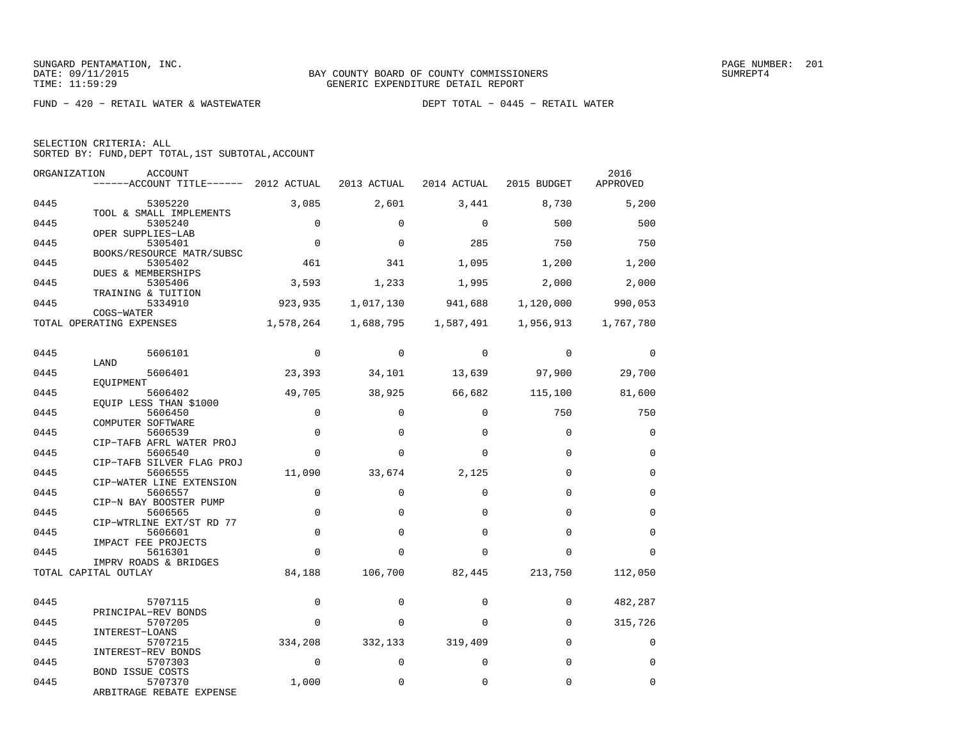| SELECTION CRITERIA: ALL |                                                    |
|-------------------------|----------------------------------------------------|
|                         | SORTED BY: FUND, DEPT TOTAL, 1ST SUBTOTAL, ACCOUNT |

| ORGANIZATION | ACCOUNT<br>------ACCOUNT TITLE------ 2012 ACTUAL                      |                         | 2013 ACTUAL             | 2014 ACTUAL          | 2015 BUDGET          | 2016<br>APPROVED        |
|--------------|-----------------------------------------------------------------------|-------------------------|-------------------------|----------------------|----------------------|-------------------------|
| 0445         | 5305220                                                               | 3,085                   | 2,601                   | 3,441                | 8,730                | 5,200                   |
| 0445         | TOOL & SMALL IMPLEMENTS<br>5305240                                    | $\Omega$                | $\Omega$                | $\Omega$             | 500                  | 500                     |
| 0445         | OPER SUPPLIES-LAB<br>5305401                                          | $\mathbf 0$             | $\mathbf 0$             | 285                  | 750                  | 750                     |
| 0445         | BOOKS/RESOURCE MATR/SUBSC<br>5305402<br><b>DUES &amp; MEMBERSHIPS</b> | 461                     | 341                     | 1,095                | 1,200                | 1,200                   |
| 0445         | 5305406<br>TRAINING & TUITION                                         | 3,593                   | 1,233                   | 1,995                | 2,000                | 2,000                   |
| 0445         | 5334910<br>COGS-WATER                                                 | 923,935                 | 1,017,130               | 941,688              |                      | 1,120,000 990,053       |
|              | TOTAL OPERATING EXPENSES                                              | 1,578,264               | 1,688,795               | 1,587,491            | 1,956,913            | 1,767,780               |
| 0445         | 5606101                                                               | $\Omega$                | $\Omega$                | $\Omega$             | $\Omega$             | $\Omega$                |
| 0445         | LAND<br>5606401                                                       | 23,393                  | 34,101                  | 13,639               | 97,900               | 29,700                  |
| 0445         | EOUIPMENT<br>5606402<br>EQUIP LESS THAN \$1000                        | 49,705                  | 38,925                  | 66,682               | 115,100              | 81,600                  |
| 0445         | 5606450<br>COMPUTER SOFTWARE                                          | $\mathbf 0$             | $\Omega$                | $\Omega$             | 750                  | 750                     |
| 0445         | 5606539<br>CIP-TAFB AFRL WATER PROJ                                   | $\mathbf 0$             | $\Omega$                | $\Omega$             | $\Omega$             | $\mathbf 0$             |
| 0445         | 5606540<br>CIP-TAFB SILVER FLAG PROJ                                  | $\Omega$                | $\mathbf 0$             | $\Omega$             | $\mathbf 0$          | $\mathbf 0$             |
| 0445         | 5606555<br>CIP-WATER LINE EXTENSION                                   | 11,090                  | 33,674                  | 2,125                | $\Omega$             | $\Omega$                |
| 0445         | 5606557<br>CIP-N BAY BOOSTER PUMP                                     | $\mathbf 0$             | $\mathbf 0$             | $\mathbf 0$          | $\Omega$             | $\mathbf 0$             |
| 0445         | 5606565<br>CIP-WTRLINE EXT/ST RD 77                                   | $\Omega$<br>$\mathbf 0$ | $\Omega$<br>$\mathbf 0$ | $\Omega$<br>$\Omega$ | $\Omega$<br>$\Omega$ | $\Omega$<br>$\mathbf 0$ |
| 0445<br>0445 | 5606601<br>IMPACT FEE PROJECTS<br>5616301                             | $\Omega$                | $\Omega$                | $\Omega$             | $\Omega$             | $\Omega$                |
|              | IMPRV ROADS & BRIDGES<br>TOTAL CAPITAL OUTLAY                         | 84,188                  | 106,700                 | 82,445               | 213,750              | 112,050                 |
|              |                                                                       |                         |                         |                      |                      |                         |
| 0445         | 5707115<br>PRINCIPAL-REV BONDS                                        | $\mathbf 0$             | $\mathbf 0$             | $\mathbf 0$          | $\mathbf 0$          | 482,287                 |
| 0445         | 5707205<br>INTEREST-LOANS                                             | $\Omega$                | $\Omega$                | $\Omega$             | $\Omega$             | 315,726                 |
| 0445         | 5707215<br>INTEREST-REV BONDS                                         | 334,208                 | 332,133                 | 319,409              | $\Omega$             | $\Omega$                |
| 0445         | 5707303<br><b>BOND ISSUE COSTS</b>                                    | $\Omega$                | $\mathbf 0$             | $\Omega$             | $\Omega$             | $\Omega$                |
| 0445         | 5707370<br>ARBITRAGE REBATE EXPENSE                                   | 1,000                   | $\mathbf 0$             | $\Omega$             | $\Omega$             | $\Omega$                |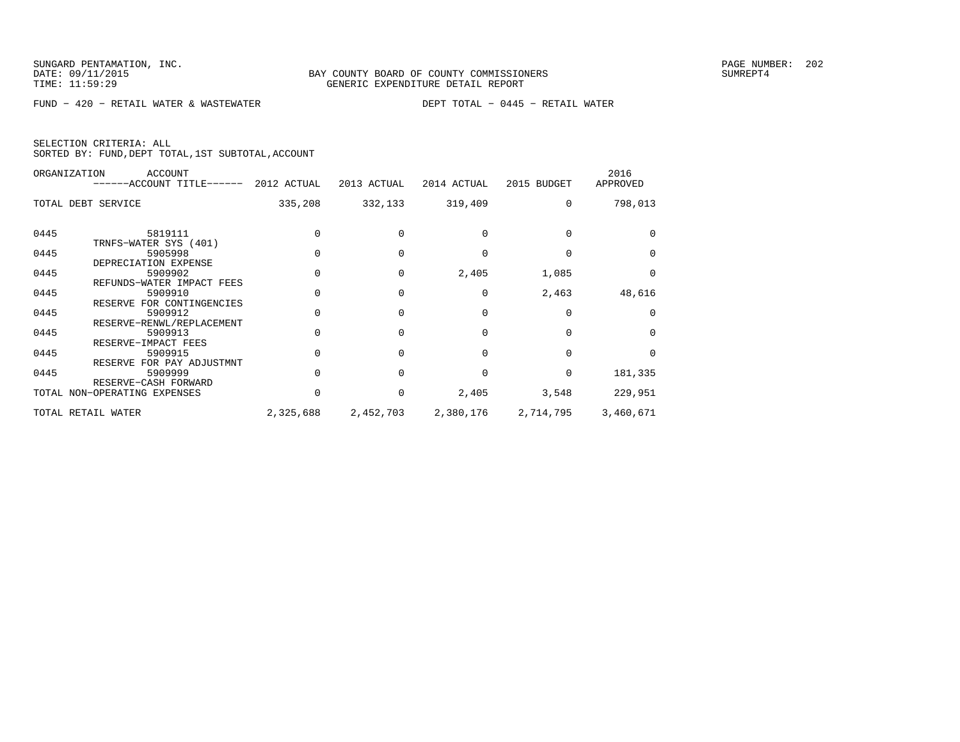|  | SELECTION CRITERIA: ALL |                                                    |  |
|--|-------------------------|----------------------------------------------------|--|
|  |                         | SORTED BY: FUND, DEPT TOTAL, 1ST SUBTOTAL, ACCOUNT |  |

|      | ORGANIZATION<br>ACCOUNT<br>------ACCOUNT TITLE------ 2012 ACTUAL |           | 2013 ACTUAL | 2014 ACTUAL | 2015 BUDGET | 2016<br>APPROVED |
|------|------------------------------------------------------------------|-----------|-------------|-------------|-------------|------------------|
|      | TOTAL DEBT SERVICE                                               | 335,208   | 332,133     | 319,409     | $\Omega$    | 798,013          |
| 0445 | 5819111<br>TRNFS-WATER SYS (401)                                 |           |             |             |             |                  |
| 0445 | 5905998<br>DEPRECIATION EXPENSE                                  |           |             |             |             | $\Omega$         |
| 0445 | 5909902<br>REFUNDS-WATER IMPACT FEES                             |           |             | 2,405       | 1,085       | $\Omega$         |
| 0445 | 5909910<br>RESERVE FOR CONTINGENCIES                             |           |             |             | 2,463       | 48,616           |
| 0445 | 5909912<br>RESERVE-RENWL/REPLACEMENT                             |           |             |             |             | $\Omega$         |
| 0445 | 5909913<br>RESERVE-IMPACT FEES                                   |           |             |             |             | $\Omega$         |
| 0445 | 5909915<br>RESERVE FOR PAY ADJUSTMNT                             |           |             |             | $\Omega$    | $\Omega$         |
| 0445 | 5909999<br>RESERVE-CASH FORWARD                                  |           |             |             | $\Omega$    | 181,335          |
|      | TOTAL NON-OPERATING EXPENSES                                     | 0         | 0           | 2,405       | 3,548       | 229,951          |
|      | TOTAL RETAIL WATER                                               | 2,325,688 | 2,452,703   | 2,380,176   | 2,714,795   | 3,460,671        |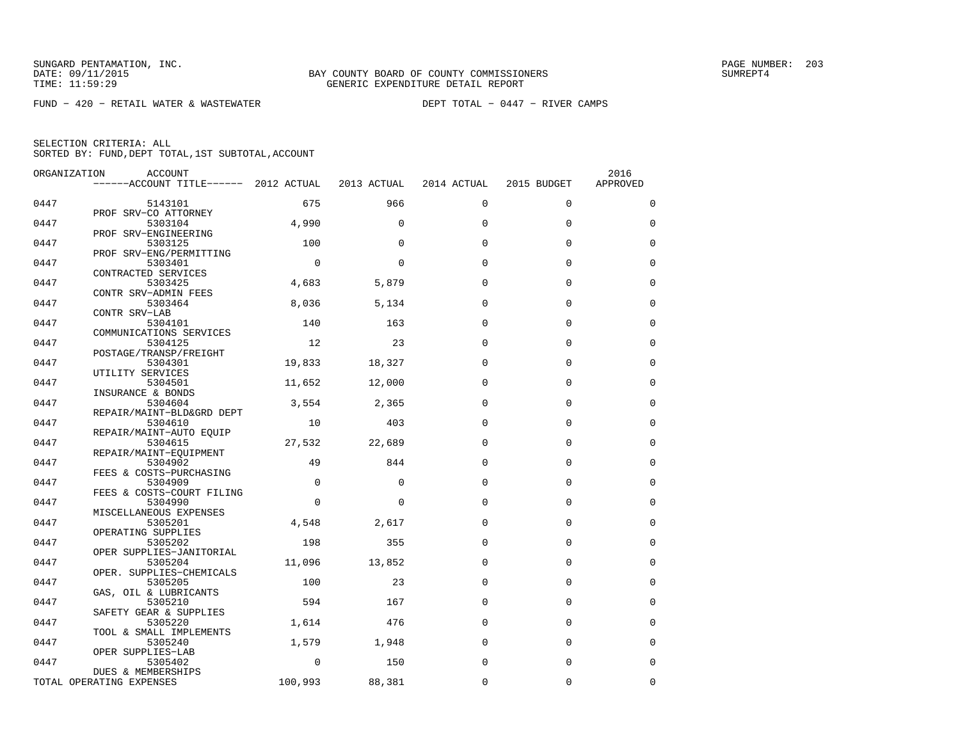FUND − 420 − RETAIL WATER & WASTEWATER DEPT TOTAL − 0447 − RIVER CAMPS

| ORGANIZATION | ACCOUNT                               |             |             |             |             | 2016        |
|--------------|---------------------------------------|-------------|-------------|-------------|-------------|-------------|
|              | ------ACCOUNT TITLE------ 2012 ACTUAL |             | 2013 ACTUAL | 2014 ACTUAL | 2015 BUDGET | APPROVED    |
| 0447         | 5143101                               | 675         | 966         | $\Omega$    | $\Omega$    | $\mathbf 0$ |
| 0447         | PROF SRV-CO ATTORNEY<br>5303104       | 4,990       | $\Omega$    | $\Omega$    | $\Omega$    | $\Omega$    |
| 0447         | PROF SRV-ENGINEERING<br>5303125       | 100         | $\Omega$    | $\Omega$    | $\Omega$    | 0           |
| 0447         | PROF SRV-ENG/PERMITTING<br>5303401    | $\mathbf 0$ | $\Omega$    | $\Omega$    | $\Omega$    | $\mathbf 0$ |
|              | CONTRACTED SERVICES                   |             |             |             |             |             |
| 0447         | 5303425<br>CONTR SRV-ADMIN FEES       | 4,683       | 5,879       | $\Omega$    | $\Omega$    | $\Omega$    |
| 0447         | 5303464<br>CONTR SRV-LAB              | 8,036       | 5,134       | $\Omega$    | $\Omega$    | $\mathbf 0$ |
| 0447         | 5304101                               | 140         | 163         | $\Omega$    | $\Omega$    | $\mathbf 0$ |
| 0447         | COMMUNICATIONS SERVICES<br>5304125    | 12          | 23          | $\Omega$    | $\Omega$    | $\mathbf 0$ |
| 0447         | POSTAGE/TRANSP/FREIGHT<br>5304301     | 19,833      | 18,327      | $\Omega$    | $\Omega$    | $\mathbf 0$ |
|              | UTILITY SERVICES                      |             |             | $\Omega$    | $\Omega$    | $\mathbf 0$ |
| 0447         | 5304501<br>INSURANCE & BONDS          | 11,652      | 12,000      |             |             |             |
| 0447         | 5304604<br>REPAIR/MAINT-BLD&GRD DEPT  | 3,554       | 2,365       | $\Omega$    | $\Omega$    | $\Omega$    |
| 0447         | 5304610<br>REPAIR/MAINT-AUTO EQUIP    | 10          | 403         | $\Omega$    | $\mathbf 0$ | 0           |
| 0447         | 5304615                               | 27,532      | 22,689      | $\Omega$    | $\Omega$    | $\mathbf 0$ |
| 0447         | REPAIR/MAINT-EOUIPMENT<br>5304902     | 49          | 844         | $\Omega$    | $\Omega$    | $\Omega$    |
| 0447         | FEES & COSTS-PURCHASING<br>5304909    | $\mathbf 0$ | $\Omega$    | $\Omega$    | $\Omega$    | $\mathbf 0$ |
| 0447         | FEES & COSTS-COURT FILING<br>5304990  | $\Omega$    | $\Omega$    | $\Omega$    | $\Omega$    | $\mathbf 0$ |
|              | MISCELLANEOUS EXPENSES                |             |             |             |             |             |
| 0447         | 5305201<br>OPERATING SUPPLIES         | 4,548       | 2,617       | $\Omega$    | $\Omega$    | $\mathbf 0$ |
| 0447         | 5305202<br>OPER SUPPLIES-JANITORIAL   | 198         | 355         | $\Omega$    | $\Omega$    | $\Omega$    |
| 0447         | 5305204<br>OPER. SUPPLIES-CHEMICALS   | 11,096      | 13,852      | $\Omega$    | $\Omega$    | $\mathbf 0$ |
| 0447         | 5305205                               | 100         | 23          | $\Omega$    | $\Omega$    | $\mathbf 0$ |
| 0447         | GAS, OIL & LUBRICANTS<br>5305210      | 594         | 167         | $\Omega$    | $\Omega$    | $\mathbf 0$ |
| 0447         | SAFETY GEAR & SUPPLIES<br>5305220     | 1,614       | 476         | $\Omega$    | $\Omega$    | $\mathbf 0$ |
| 0447         | TOOL & SMALL IMPLEMENTS<br>5305240    | 1,579       | 1,948       | $\Omega$    | $\Omega$    | $\mathbf 0$ |
|              | OPER SUPPLIES-LAB                     |             |             |             |             |             |
| 0447         | 5305402<br>DUES & MEMBERSHIPS         | $\Omega$    | 150         | $\Omega$    | $\Omega$    | $\mathbf 0$ |
|              | TOTAL OPERATING EXPENSES              | 100,993     | 88,381      | $\Omega$    | $\Omega$    | $\mathbf 0$ |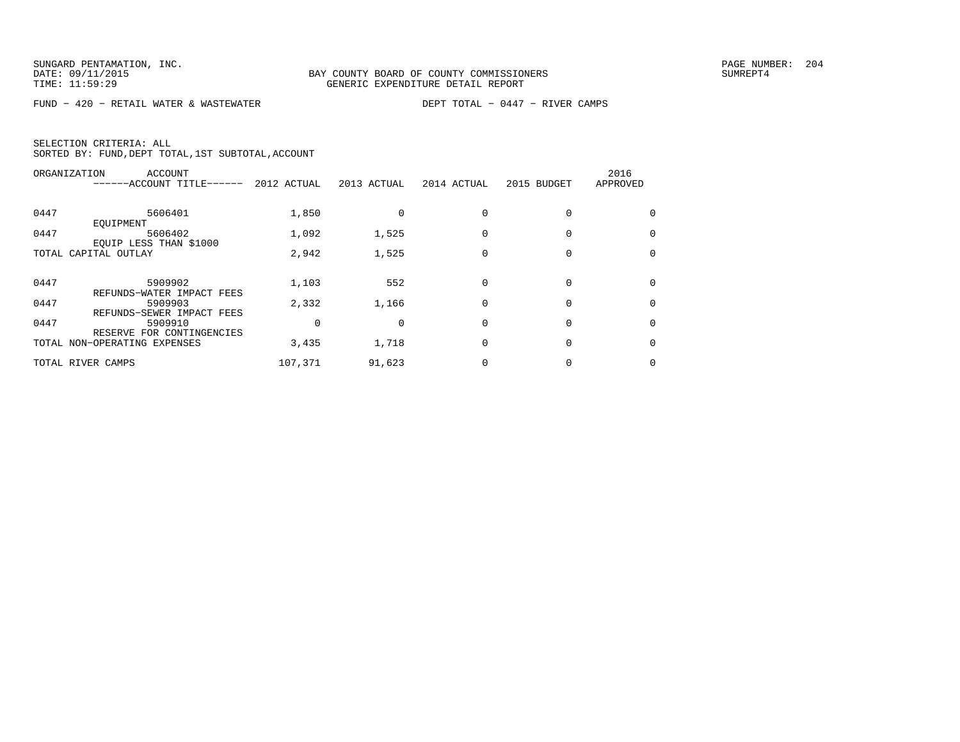FUND − 420 − RETAIL WATER & WASTEWATER DEPT TOTAL − 0447 − RIVER CAMPS

| ORGANIZATION | ACCOUNT<br>------ACCOUNT TITLE------                      | 2012 ACTUAL | 2013 ACTUAL | 2014 ACTUAL | 2015 BUDGET | 2016<br>APPROVED |
|--------------|-----------------------------------------------------------|-------------|-------------|-------------|-------------|------------------|
| 0447         | 5606401<br>EOUIPMENT                                      | 1,850       |             |             |             | $\Omega$         |
| 0447         | 5606402<br>EQUIP LESS THAN \$1000                         | 1,092       | 1,525       |             |             | 0                |
|              | TOTAL CAPITAL OUTLAY                                      | 2,942       | 1,525       |             |             | 0                |
| 0447         | 5909902<br>REFUNDS-WATER IMPACT FEES                      | 1,103       | 552         |             |             | $\Omega$         |
| 0447         | 5909903<br>REFUNDS-SEWER IMPACT FEES                      | 2,332       | 1,166       |             |             | $\Omega$         |
| 0447         | 5909910                                                   |             |             |             |             | $\Omega$         |
|              | RESERVE FOR CONTINGENCIES<br>TOTAL NON-OPERATING EXPENSES | 3,435       | 1,718       |             |             | 0                |
|              | TOTAL RIVER CAMPS                                         | 107,371     | 91,623      |             |             | 0                |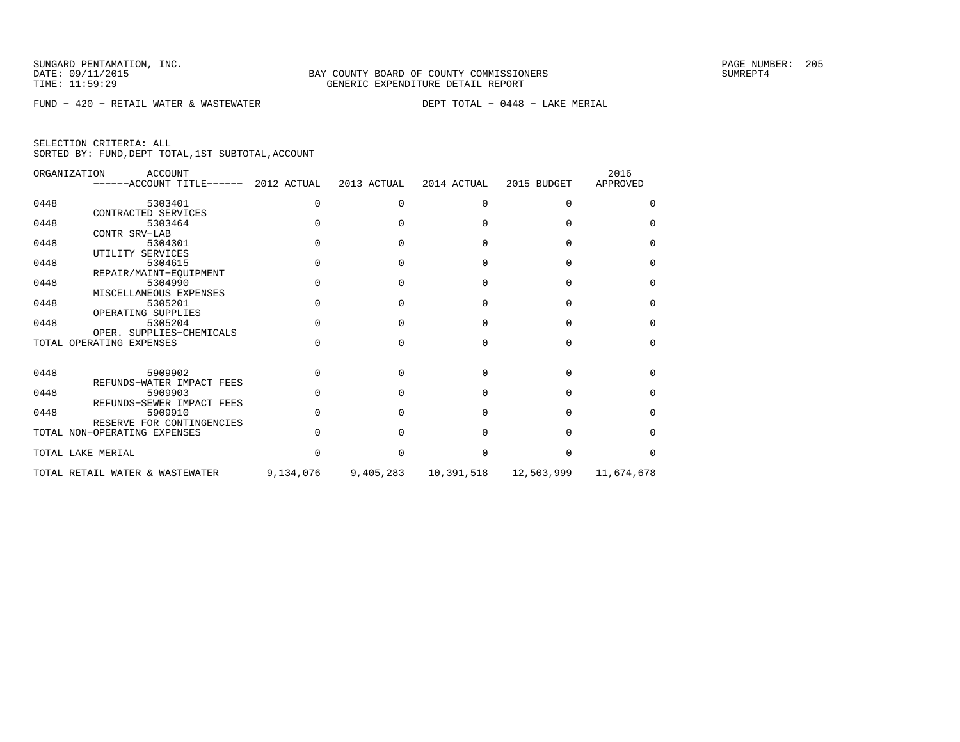FUND − 420 − RETAIL WATER & WASTEWATER DEPT TOTAL − 0448 − LAKE MERIAL

| SELECTION CRITERIA: ALL |  |  |                                                    |  |
|-------------------------|--|--|----------------------------------------------------|--|
|                         |  |  | SORTED BY: FUND, DEPT TOTAL, 1ST SUBTOTAL, ACCOUNT |  |

|      | ORGANIZATION<br><b>ACCOUNT</b><br>------ACCOUNT TITLE------ 2012 ACTUAL |           | 2013 ACTUAL | 2014 ACTUAL  | 2015 BUDGET | 2016<br>APPROVED |
|------|-------------------------------------------------------------------------|-----------|-------------|--------------|-------------|------------------|
| 0448 | 5303401                                                                 | O.        |             | <sup>n</sup> |             |                  |
|      | CONTRACTED SERVICES                                                     |           |             |              |             |                  |
| 0448 | 5303464                                                                 |           |             |              |             | U                |
|      | CONTR SRV-LAB                                                           |           |             |              |             |                  |
| 0448 | 5304301                                                                 |           |             |              |             | $\cap$           |
|      | UTILITY SERVICES                                                        |           |             |              |             |                  |
| 0448 | 5304615                                                                 |           |             | n            |             | U                |
|      | REPAIR/MAINT-EQUIPMENT                                                  |           |             |              |             |                  |
| 0448 | 5304990                                                                 |           |             |              |             | U                |
|      | MISCELLANEOUS EXPENSES                                                  |           |             |              |             |                  |
| 0448 | 5305201                                                                 |           |             |              |             |                  |
|      | OPERATING SUPPLIES                                                      |           |             |              |             |                  |
| 0448 | 5305204                                                                 |           |             |              |             | U                |
|      | OPER. SUPPLIES-CHEMICALS                                                |           |             |              |             |                  |
|      | TOTAL OPERATING EXPENSES                                                |           |             |              |             | $\cap$           |
|      |                                                                         |           |             |              |             |                  |
| 0448 | 5909902                                                                 | U         |             | <sup>n</sup> | U           | <sup>n</sup>     |
|      | REFUNDS-WATER IMPACT FEES                                               |           |             |              |             |                  |
| 0448 | 5909903                                                                 |           |             | ∩            |             | ∩                |
|      | REFUNDS-SEWER IMPACT FEES                                               |           |             |              |             |                  |
| 0448 | 5909910                                                                 |           |             |              |             | $\cap$           |
|      | RESERVE FOR CONTINGENCIES                                               |           |             |              |             |                  |
|      | TOTAL NON-OPERATING EXPENSES                                            |           |             |              |             | U                |
|      | TOTAL LAKE MERIAL                                                       |           |             |              |             | ∩                |
|      |                                                                         |           |             |              |             |                  |
|      | TOTAL RETAIL WATER & WASTEWATER                                         | 9,134,076 | 9,405,283   | 10,391,518   | 12,503,999  | 11,674,678       |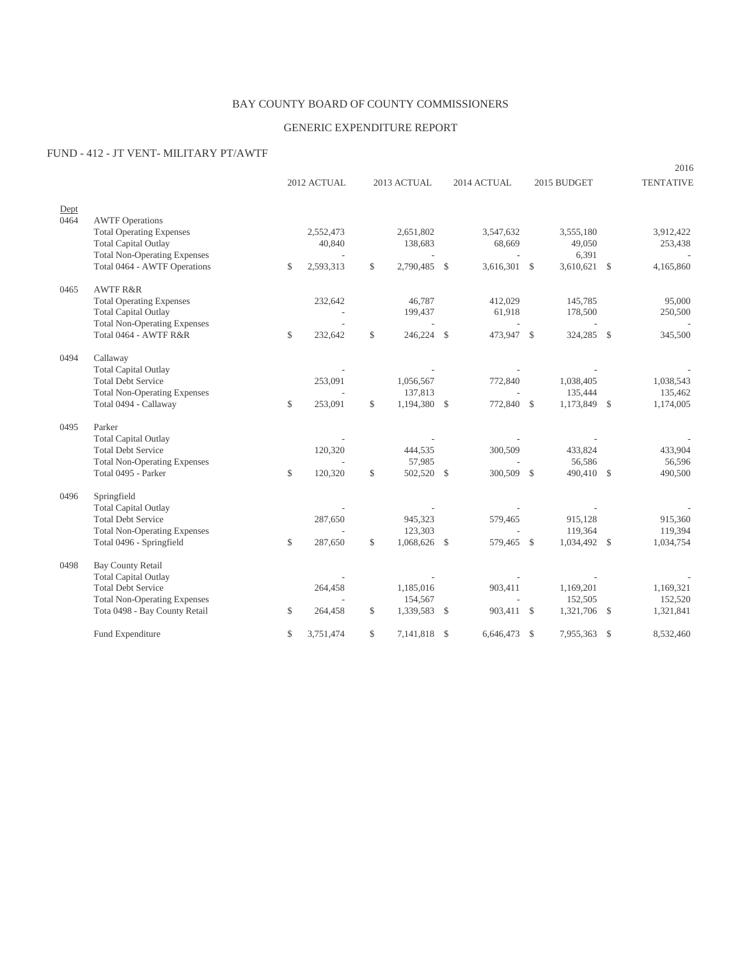## BAY COUNTY BOARD OF COUNTY COMMISSIONERS

## GENERIC EXPENDITURE REPORT

## FUND - 412 - JT VENT- MILITARY PT/AWTF

|      |                                                                     |              |             |              |                                |      |                                |               |                       |               | 2016             |
|------|---------------------------------------------------------------------|--------------|-------------|--------------|--------------------------------|------|--------------------------------|---------------|-----------------------|---------------|------------------|
|      |                                                                     |              | 2012 ACTUAL |              | 2013 ACTUAL                    |      | 2014 ACTUAL                    |               | 2015 BUDGET           |               | <b>TENTATIVE</b> |
| Dept |                                                                     |              |             |              |                                |      |                                |               |                       |               |                  |
| 0464 | <b>AWTF</b> Operations                                              |              |             |              |                                |      |                                |               |                       |               |                  |
|      | <b>Total Operating Expenses</b>                                     |              | 2,552,473   |              | 2,651,802                      |      | 3,547,632                      |               | 3,555,180             |               | 3,912,422        |
|      | <b>Total Capital Outlay</b>                                         |              | 40,840      |              | 138,683                        |      | 68,669                         |               | 49,050                |               | 253,438          |
|      | <b>Total Non-Operating Expenses</b><br>Total 0464 - AWTF Operations | $\mathbb{S}$ | 2,593,313   | $\mathbb{S}$ | $\overline{a}$<br>2,790,485 \$ |      | $\overline{a}$<br>3,616,301 \$ |               | 6,391<br>3,610,621 \$ |               | 4,165,860        |
|      |                                                                     |              |             |              |                                |      |                                |               |                       |               |                  |
| 0465 | <b>AWTFR&amp;R</b>                                                  |              |             |              |                                |      |                                |               |                       |               |                  |
|      | <b>Total Operating Expenses</b>                                     |              | 232,642     |              | 46,787                         |      | 412,029                        |               | 145,785               |               | 95,000           |
|      | <b>Total Capital Outlay</b>                                         |              |             |              | 199,437                        |      | 61,918                         |               | 178,500               |               | 250,500          |
|      | <b>Total Non-Operating Expenses</b>                                 |              |             |              |                                |      |                                |               |                       |               |                  |
|      | Total 0464 - AWTF R&R                                               | $\mathbb{S}$ | 232,642     | $\mathbb{S}$ | 246,224 \$                     |      | 473,947 \$                     |               | 324,285 \$            |               | 345,500          |
| 0494 | Callaway                                                            |              |             |              |                                |      |                                |               |                       |               |                  |
|      | <b>Total Capital Outlay</b>                                         |              |             |              |                                |      |                                |               |                       |               |                  |
|      | <b>Total Debt Service</b>                                           |              | 253,091     |              | 1,056,567                      |      | 772,840                        |               | 1,038,405             |               | 1,038,543        |
|      | <b>Total Non-Operating Expenses</b>                                 |              |             |              | 137,813                        |      |                                |               | 135,444               |               | 135,462          |
|      | Total 0494 - Callaway                                               | $\mathbb{S}$ | 253,091     | \$           | 1,194,380 \$                   |      | 772,840 \$                     |               | 1,173,849 \$          |               | 1,174,005        |
| 0495 | Parker                                                              |              |             |              |                                |      |                                |               |                       |               |                  |
|      | <b>Total Capital Outlay</b>                                         |              |             |              |                                |      |                                |               |                       |               |                  |
|      | <b>Total Debt Service</b>                                           |              | 120,320     |              | 444,535                        |      | 300,509                        |               | 433,824               |               | 433,904          |
|      | <b>Total Non-Operating Expenses</b>                                 |              |             |              | 57,985                         |      |                                |               | 56,586                |               | 56,596           |
|      | Total 0495 - Parker                                                 | $\mathbb{S}$ | 120,320     | $\mathbb{S}$ | 502,520                        | - \$ | 300,509                        | - \$          | 490,410 \$            |               | 490,500          |
| 0496 | Springfield                                                         |              |             |              |                                |      |                                |               |                       |               |                  |
|      | <b>Total Capital Outlay</b>                                         |              |             |              |                                |      |                                |               |                       |               |                  |
|      | <b>Total Debt Service</b>                                           |              | 287,650     |              | 945,323                        |      | 579,465                        |               | 915,128               |               | 915,360          |
|      | <b>Total Non-Operating Expenses</b>                                 |              |             |              | 123,303                        |      |                                |               | 119,364               |               | 119,394          |
|      | Total 0496 - Springfield                                            | $\mathbb{S}$ | 287,650     | \$           | 1,068,626 \$                   |      | 579,465 \$                     |               | 1,034,492 \$          |               | 1,034,754        |
| 0498 | <b>Bay County Retail</b>                                            |              |             |              |                                |      |                                |               |                       |               |                  |
|      | <b>Total Capital Outlay</b>                                         |              |             |              |                                |      |                                |               |                       |               |                  |
|      | <b>Total Debt Service</b>                                           |              | 264,458     |              | 1,185,016                      |      | 903,411                        |               | 1,169,201             |               | 1,169,321        |
|      | <b>Total Non-Operating Expenses</b>                                 |              |             |              | 154,567                        |      |                                |               | 152,505               |               | 152,520          |
|      | Tota 0498 - Bay County Retail                                       | \$           | 264,458     | \$           | 1,339,583                      | - \$ | 903,411 \$                     |               | 1,321,706 \$          |               | 1,321,841        |
|      | Fund Expenditure                                                    | $\mathbb{S}$ | 3,751,474   | \$           | 7,141,818                      | - \$ | 6,646,473                      | <sup>\$</sup> | 7,955,363             | <sup>\$</sup> | 8,532,460        |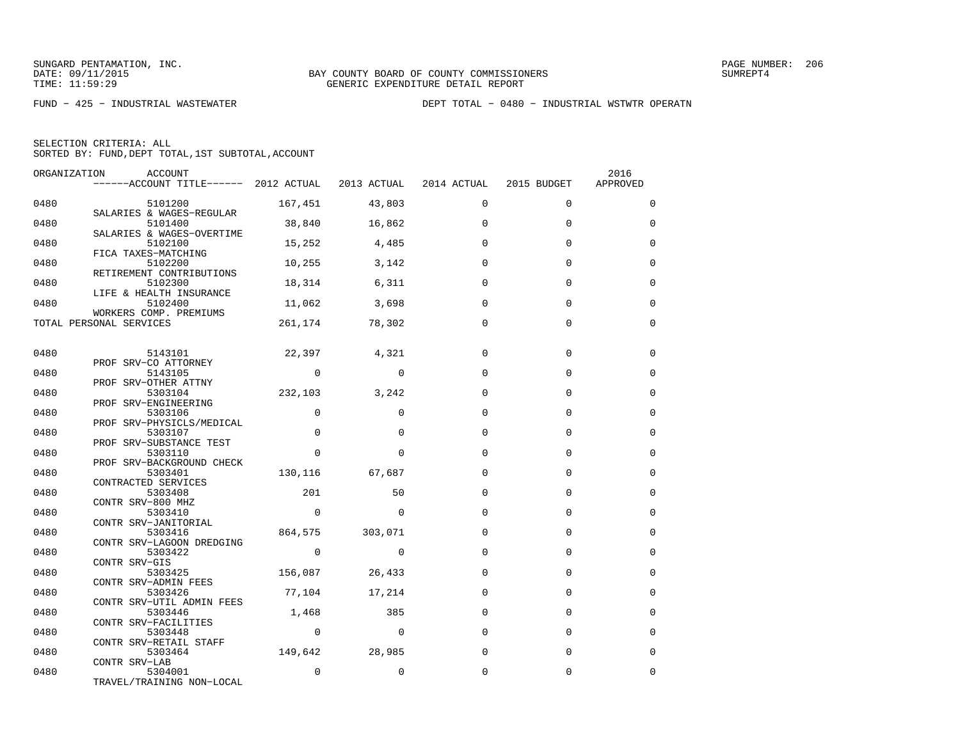| ORGANIZATION | ACCOUNT<br>------ACCOUNT TITLE------ 2012 ACTUAL 2013 ACTUAL 2014 ACTUAL |                |                  |          | 2015 BUDGET | 2016<br>APPROVED |
|--------------|--------------------------------------------------------------------------|----------------|------------------|----------|-------------|------------------|
| 0480         | 5101200                                                                  |                | 167,451 43,803   | $\Omega$ | $\Omega$    | $\Omega$         |
| 0480         | SALARIES & WAGES-REGULAR<br>5101400<br>SALARIES & WAGES-OVERTIME         |                | 38,840 16,862    | $\Omega$ | $\mathbf 0$ | $\Omega$         |
| 0480         | 5102100                                                                  |                | 15,252 4,485     | $\Omega$ | $\Omega$    | $\Omega$         |
| 0480         | FICA TAXES-MATCHING<br>5102200<br>RETIREMENT CONTRIBUTIONS               |                | 10,255 3,142     | $\Omega$ | $\mathbf 0$ | 0                |
| 0480         | 5102300<br>LIFE & HEALTH INSURANCE                                       |                | 18,314 6,311     | $\Omega$ | $\Omega$    | 0                |
| 0480         | 5102400<br>WORKERS COMP. PREMIUMS                                        |                | 11,062 3,698     | $\Omega$ | $\Omega$    | $\Omega$         |
|              | TOTAL PERSONAL SERVICES                                                  |                | 261, 174 78, 302 | $\Omega$ | $\Omega$    | $\Omega$         |
| 0480         | 5143101                                                                  |                | 22,397 4,321     | $\Omega$ | $\mathbf 0$ | 0                |
| 0480         | PROF SRV-CO ATTORNEY<br>5143105                                          | $\overline{0}$ | $\Omega$         | $\Omega$ | $\Omega$    | $\Omega$         |
| 0480         | PROF SRV-OTHER ATTNY<br>5303104                                          | 232,103        | 3,242            | $\Omega$ | $\mathbf 0$ | $\Omega$         |
| 0480         | PROF SRV-ENGINEERING<br>5303106                                          | $\Omega$       | $\Omega$         | $\Omega$ | $\Omega$    | $\Omega$         |
| 0480         | PROF SRV-PHYSICLS/MEDICAL<br>5303107                                     | $\Omega$       | $\Omega$         | $\Omega$ | $\Omega$    | $\Omega$         |
| 0480         | PROF SRV-SUBSTANCE TEST<br>5303110                                       | $\mathbf{0}$   | $\Omega$         | $\Omega$ | $\Omega$    | 0                |
| 0480         | PROF SRV-BACKGROUND CHECK<br>5303401<br>CONTRACTED SERVICES              |                | 130,116 67,687   | $\Omega$ | $\Omega$    | 0                |
| 0480         | 5303408<br>CONTR SRV-800 MHZ                                             | 201            | 50               | $\Omega$ | $\mathbf 0$ | $\Omega$         |
| 0480         | 5303410<br>CONTR SRV-JANITORIAL                                          | $\overline{0}$ | $\Omega$         | $\Omega$ | $\Omega$    | $\Omega$         |
| 0480         | 5303416<br>CONTR SRV-LAGOON DREDGING                                     |                | 864,575 303,071  | $\Omega$ | $\Omega$    | 0                |
| 0480         | 5303422<br>CONTR SRV-GIS                                                 | $\overline{0}$ | $\Omega$         | $\Omega$ | $\Omega$    | $\Omega$         |
| 0480         | 5303425 156,087 26,433<br>CONTR SRV-ADMIN FEES                           |                |                  | $\Omega$ | $\Omega$    | $\Omega$         |
| 0480         | 5303426<br>CONTR SRV-UTIL ADMIN FEES                                     |                | 77,104 17,214    | $\Omega$ | $\mathbf 0$ | $\mathbf 0$      |
| 0480         | 5303446<br>CONTR SRV-FACILITIES                                          |                | 1,468 385        | $\Omega$ | $\mathbf 0$ | $\Omega$         |
| 0480         | 5303448<br>CONTR SRV-RETAIL STAFF                                        | $\overline{0}$ | $\sim$ 0         | $\Omega$ | $\mathbf 0$ | 0                |
| 0480         | 5303464<br>CONTR SRV-LAB                                                 | 149,642 28,985 |                  | $\Omega$ | $\Omega$    | $\Omega$         |
| 0480         | 5304001<br>TRAVEL/TRAINING NON-LOCAL                                     | $\Omega$       | $\mathbf 0$      | 0        | $\mathbf 0$ | 0                |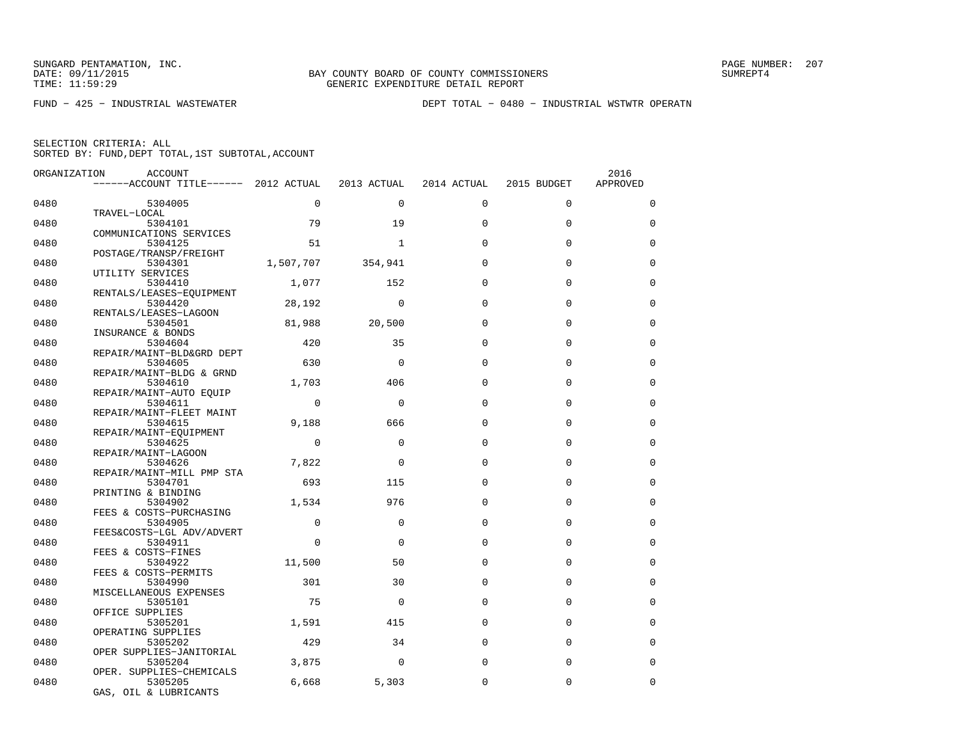FUND − 425 − INDUSTRIAL WASTEWATER DEPT TOTAL − 0480 − INDUSTRIAL WSTWTR OPERATN

| ORGANIZATION | <b>ACCOUNT</b>                        |             |              |             |             | 2016        |
|--------------|---------------------------------------|-------------|--------------|-------------|-------------|-------------|
|              | ------ACCOUNT TITLE------ 2012 ACTUAL |             | 2013 ACTUAL  | 2014 ACTUAL | 2015 BUDGET | APPROVED    |
| 0480         | 5304005                               | $\Omega$    | $\Omega$     | $\Omega$    | $\Omega$    | $\mathbf 0$ |
|              | TRAVEL-LOCAL                          |             |              |             |             |             |
| 0480         | 5304101                               | 79          | 19           | $\Omega$    | $\Omega$    | $\Omega$    |
|              | COMMUNICATIONS SERVICES               |             |              |             |             |             |
| 0480         | 5304125                               | 51          | $\mathbf{1}$ | $\Omega$    | $\Omega$    | $\Omega$    |
|              | POSTAGE/TRANSP/FREIGHT                |             |              |             |             |             |
| 0480         | 5304301                               | 1,507,707   | 354,941      | $\Omega$    | $\Omega$    | $\mathbf 0$ |
|              | UTILITY SERVICES                      |             |              | $\Omega$    | $\Omega$    |             |
| 0480         | 5304410                               | 1,077       | 152          |             |             | $\Omega$    |
| 0480         | RENTALS/LEASES-EOUIPMENT<br>5304420   | 28,192      | $\Omega$     | $\Omega$    | $\Omega$    | $\mathbf 0$ |
|              | RENTALS/LEASES-LAGOON                 |             |              |             |             |             |
| 0480         | 5304501                               | 81,988      | 20,500       | $\Omega$    | $\Omega$    | $\Omega$    |
|              | INSURANCE & BONDS                     |             |              |             |             |             |
| 0480         | 5304604                               | 420         | 35           | $\Omega$    | $\Omega$    | $\mathbf 0$ |
|              | REPAIR/MAINT-BLD&GRD DEPT             |             |              |             |             |             |
| 0480         | 5304605                               | 630         | $\Omega$     | $\Omega$    | $\mathbf 0$ | $\mathbf 0$ |
|              | REPAIR/MAINT-BLDG & GRND              |             |              |             |             |             |
| 0480         | 5304610                               | 1,703       | 406          | $\Omega$    | $\Omega$    | $\Omega$    |
|              | REPAIR/MAINT-AUTO EOUIP               |             |              |             |             |             |
| 0480         | 5304611                               | $\mathbf 0$ | $\Omega$     | $\Omega$    | 0           | $\mathbf 0$ |
|              | REPAIR/MAINT-FLEET MAINT              |             |              |             |             |             |
| 0480         | 5304615                               | 9,188       | 666          | $\Omega$    | $\Omega$    | $\Omega$    |
|              | REPAIR/MAINT-EOUIPMENT                |             |              |             |             |             |
| 0480         | 5304625                               | $\Omega$    | $\Omega$     | $\Omega$    | $\Omega$    | $\Omega$    |
|              | REPAIR/MAINT-LAGOON                   |             |              |             |             |             |
| 0480         | 5304626                               | 7,822       | $\Omega$     | $\Omega$    | $\Omega$    | $\mathbf 0$ |
| 0480         | REPAIR/MAINT-MILL PMP STA<br>5304701  | 693         | 115          | $\Omega$    | $\Omega$    | $\Omega$    |
|              | PRINTING & BINDING                    |             |              |             |             |             |
| 0480         | 5304902                               | 1,534       | 976          | $\Omega$    | $\Omega$    | $\Omega$    |
|              | FEES & COSTS-PURCHASING               |             |              |             |             |             |
| 0480         | 5304905                               | $\Omega$    | $\Omega$     | $\Omega$    | $\Omega$    | $\Omega$    |
|              | FEES&COSTS-LGL ADV/ADVERT             |             |              |             |             |             |
| 0480         | 5304911                               | $\Omega$    | $\Omega$     | $\Omega$    | $\Omega$    | $\Omega$    |
|              | FEES & COSTS-FINES                    |             |              |             |             |             |
| 0480         | 5304922                               | 11,500      | 50           | $\Omega$    | $\Omega$    | $\Omega$    |
|              | FEES & COSTS-PERMITS                  |             |              |             |             |             |
| 0480         | 5304990                               | 301         | 30           | $\Omega$    | $\Omega$    | $\Omega$    |
|              | MISCELLANEOUS EXPENSES                |             |              |             |             |             |
| 0480         | 5305101                               | 75          | $\Omega$     | $\Omega$    | $\Omega$    | $\mathbf 0$ |
|              | OFFICE SUPPLIES                       |             |              |             |             |             |
| 0480         | 5305201                               | 1,591       | 415          | $\Omega$    | $\Omega$    | $\Omega$    |
|              | OPERATING SUPPLIES                    |             |              |             |             |             |
| 0480         | 5305202<br>OPER SUPPLIES-JANITORIAL   | 429         | 34           | 0           | $\mathbf 0$ | 0           |
| 0480         | 5305204                               | 3,875       | $\Omega$     | $\mathbf 0$ | $\mathbf 0$ | $\mathbf 0$ |
|              | OPER. SUPPLIES-CHEMICALS              |             |              |             |             |             |
| 0480         | 5305205                               | 6,668       | 5,303        | $\Omega$    | $\Omega$    | $\Omega$    |
|              | GAS, OIL & LUBRICANTS                 |             |              |             |             |             |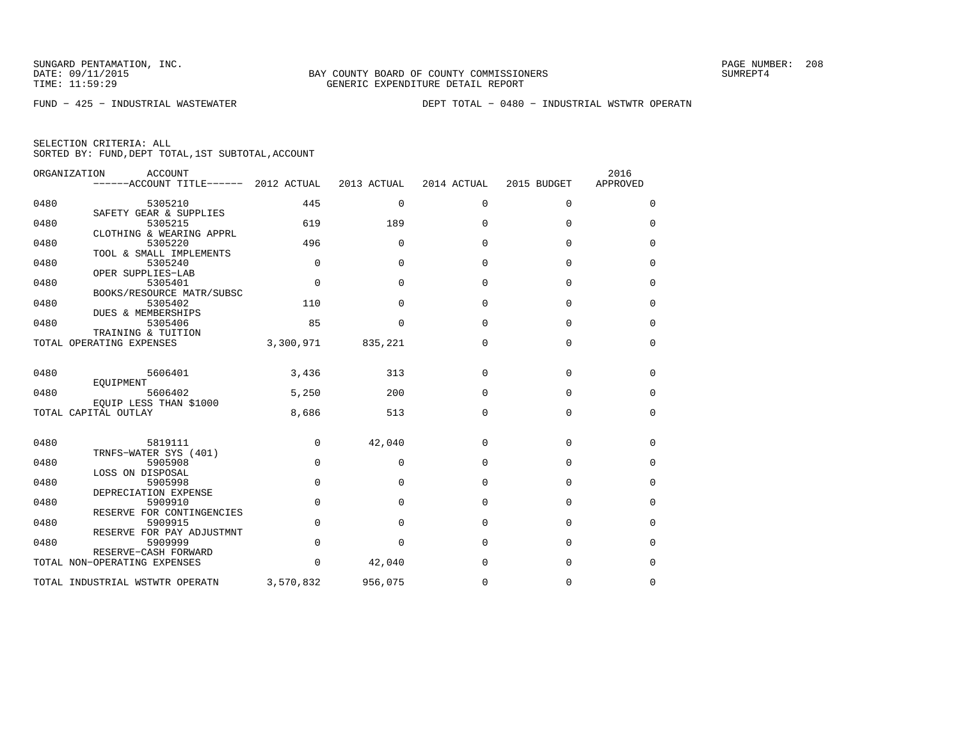FUND − 425 − INDUSTRIAL WASTEWATER DEPT TOTAL − 0480 − INDUSTRIAL WSTWTR OPERATN

|      | ORGANIZATION<br>ACCOUNT<br>------ACCOUNT TITLE------ | 2012 ACTUAL | 2013 ACTUAL  | 2014 ACTUAL | 2015 BUDGET | 2016<br>APPROVED |
|------|------------------------------------------------------|-------------|--------------|-------------|-------------|------------------|
| 0480 | 5305210                                              | 445         | $\mathbf{0}$ | $\mathbf 0$ | 0           | 0                |
| 0480 | SAFETY GEAR & SUPPLIES<br>5305215                    | 619         | 189          | $\Omega$    | $\Omega$    | $\Omega$         |
| 0480 | CLOTHING & WEARING APPRL<br>5305220                  | 496         | $\mathbf{0}$ | $\mathbf 0$ | $\mathbf 0$ | 0                |
| 0480 | TOOL & SMALL IMPLEMENTS<br>5305240                   | $\mathbf 0$ | $\Omega$     | $\Omega$    | $\Omega$    | $\Omega$         |
| 0480 | OPER SUPPLIES-LAB<br>5305401                         | $\Omega$    | $\Omega$     | $\Omega$    | $\Omega$    | 0                |
|      | BOOKS/RESOURCE MATR/SUBSC                            | 110         |              | $\Omega$    |             |                  |
| 0480 | 5305402<br>DUES & MEMBERSHIPS                        |             | $\Omega$     |             | 0           | 0                |
| 0480 | 5305406<br>TRAINING & TUITION                        | 85          | $\Omega$     | $\Omega$    | $\Omega$    | $\Omega$         |
|      | TOTAL OPERATING EXPENSES                             | 3,300,971   | 835,221      | $\mathbf 0$ | $\mathbf 0$ | 0                |
| 0480 | 5606401<br>EOUIPMENT                                 | 3,436       | 313          | $\Omega$    | $\Omega$    | $\Omega$         |
| 0480 | 5606402<br>EOUIP LESS THAN \$1000                    | 5,250       | 200          | $\mathbf 0$ | 0           | 0                |
|      | TOTAL CAPITAL OUTLAY                                 | 8,686       | 513          | $\Omega$    | $\Omega$    | 0                |
| 0480 | 5819111<br>TRNFS-WATER SYS (401)                     | $\mathbf 0$ | 42,040       | $\Omega$    | $\mathbf 0$ | $\Omega$         |
| 0480 | 5905908<br>LOSS ON DISPOSAL                          | $\mathbf 0$ | 0            | 0           | 0           | 0                |
| 0480 | 5905998<br>DEPRECIATION EXPENSE                      | $\mathbf 0$ | $\Omega$     | $\mathbf 0$ | $\mathbf 0$ | 0                |
| 0480 | 5909910<br>RESERVE FOR CONTINGENCIES                 | $\Omega$    | $\Omega$     | $\Omega$    | $\Omega$    | 0                |
| 0480 | 5909915                                              | $\Omega$    | $\Omega$     | $\Omega$    | $\Omega$    | 0                |
| 0480 | RESERVE FOR PAY ADJUSTMNT<br>5909999                 | $\mathbf 0$ | $\Omega$     | $\mathbf 0$ | $\mathbf 0$ | 0                |
|      | RESERVE-CASH FORWARD<br>TOTAL NON-OPERATING EXPENSES | $\Omega$    | 42,040       | $\Omega$    | $\Omega$    | $\Omega$         |
|      | TOTAL INDUSTRIAL WSTWTR OPERATN                      | 3,570,832   | 956,075      | 0           | $\mathbf 0$ | 0                |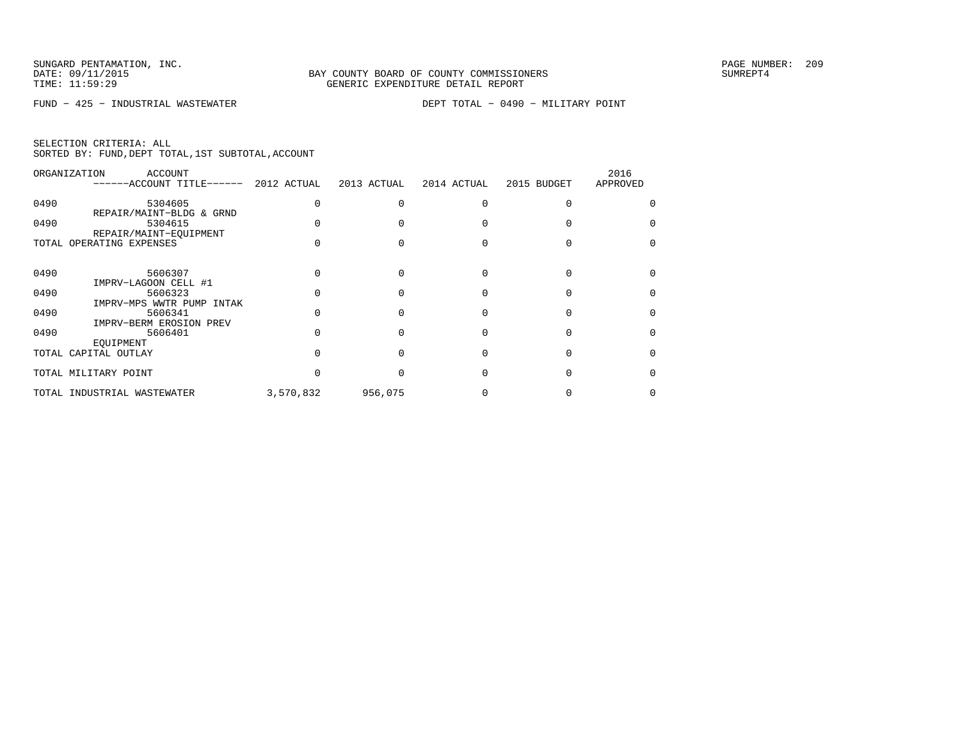FUND − 425 − INDUSTRIAL WASTEWATER DEPT TOTAL − 0490 − MILITARY POINT

|  | SELECTION CRITERIA: ALL |                                                    |
|--|-------------------------|----------------------------------------------------|
|  |                         | SORTED BY: FUND, DEPT TOTAL, 1ST SUBTOTAL, ACCOUNT |

|      | ORGANIZATION<br>ACCOUNT<br>------ACCOUNT TITLE-<br>$------$ | 2012 ACTUAL | 2013 ACTUAL | 2014 ACTUAL | 2015 BUDGET | 2016<br>APPROVED |
|------|-------------------------------------------------------------|-------------|-------------|-------------|-------------|------------------|
| 0490 | 5304605                                                     |             |             |             |             |                  |
| 0490 | REPAIR/MAINT-BLDG & GRND<br>5304615                         |             |             |             |             |                  |
|      | REPAIR/MAINT-EOUIPMENT<br>TOTAL OPERATING EXPENSES          |             |             |             |             |                  |
| 0490 | 5606307                                                     |             |             |             |             |                  |
| 0490 | IMPRV-LAGOON CELL #1<br>5606323                             |             |             |             |             |                  |
| 0490 | IMPRV-MPS WWTR PUMP<br>INTAK<br>5606341                     |             |             |             |             |                  |
| 0490 | IMPRV-BERM EROSION PREV<br>5606401<br>EOUIPMENT             |             |             |             |             |                  |
|      | TOTAL CAPITAL OUTLAY                                        |             |             |             |             |                  |
|      | TOTAL MILITARY POINT                                        |             |             |             |             |                  |
|      | TOTAL INDUSTRIAL WASTEWATER                                 | 3,570,832   | 956,075     |             |             |                  |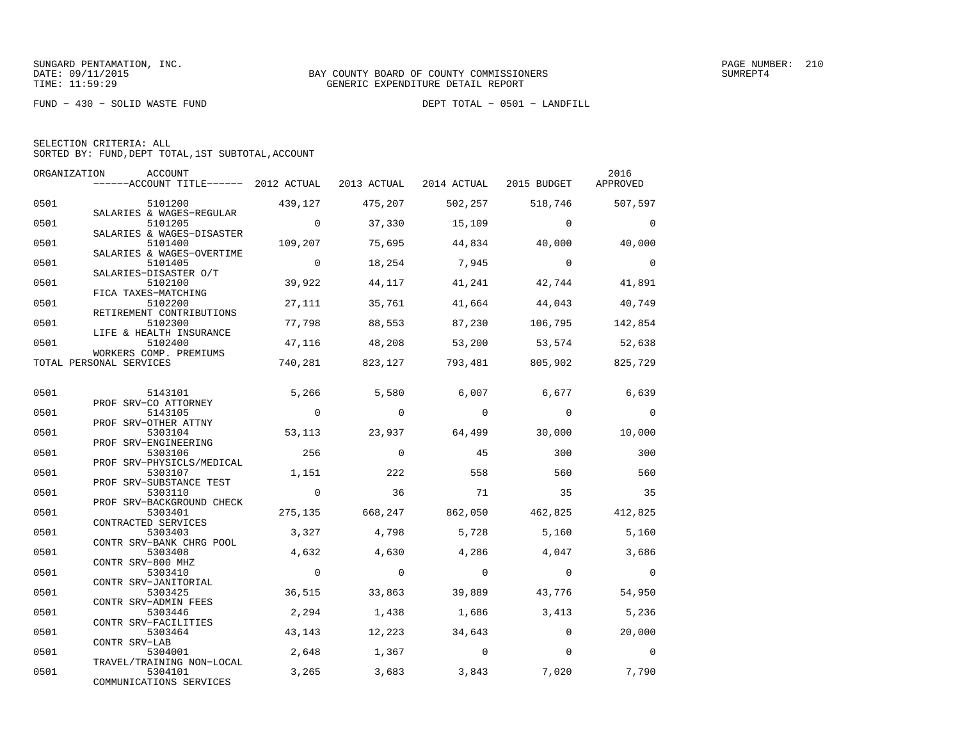FUND − 430 − SOLID WASTE FUND DEPT TOTAL − 0501 − LANDFILL

|  | SELECTION CRITERIA: ALL |  |                                                    |  |
|--|-------------------------|--|----------------------------------------------------|--|
|  |                         |  | SORTED BY: FUND, DEPT TOTAL, 1ST SUBTOTAL, ACCOUNT |  |

|      | ORGANIZATION<br>ACCOUNT<br>------ACCOUNT TITLE------ 2012 ACTUAL 2013 ACTUAL 2014 ACTUAL 2015 BUDGET |                |                |                |                                 | 2016<br>APPROVED |
|------|------------------------------------------------------------------------------------------------------|----------------|----------------|----------------|---------------------------------|------------------|
| 0501 | 5101200                                                                                              | 439,127        | 475,207        | 502,257        | 518,746                         | 507,597          |
| 0501 | SALARIES & WAGES-REGULAR<br>5101205                                                                  | $\overline{0}$ | 37,330         | 15,109         | $\Omega$                        | $\Omega$         |
| 0501 | SALARIES & WAGES-DISASTER<br>5101400                                                                 | 109,207        | 75,695         | 44,834         | 40,000                          | 40,000           |
| 0501 | SALARIES & WAGES-OVERTIME<br>5101405<br>SALARIES-DISASTER O/T                                        | $\overline{0}$ | 18,254         | 7,945          | $\overline{0}$                  | $\bigcirc$       |
| 0501 | 5102100<br>FICA TAXES-MATCHING                                                                       | 39,922         | 44,117         | 41,241         | 42,744                          | 41,891           |
| 0501 | 5102200<br>RETIREMENT CONTRIBUTIONS                                                                  | 27,111         | 35,761         | 41,664         | 44,043                          | 40,749           |
| 0501 | 5102300<br>LIFE & HEALTH INSURANCE                                                                   | 77,798         | 88,553         | 87,230         | 106,795                         | 142,854          |
| 0501 | 5102400<br>WORKERS COMP. PREMIUMS                                                                    | 47,116         | 48,208         |                | 53,200 53,574 52,638            |                  |
|      | TOTAL PERSONAL SERVICES                                                                              | 740,281        |                |                | 823,127 793,481 805,902 825,729 |                  |
| 0501 | 5143101                                                                                              | 5,266          | 5,580          | 6,007          | 6,677                           | 6,639            |
| 0501 | PROF SRV-CO ATTORNEY<br>5143105                                                                      | $\overline{0}$ | $\overline{0}$ | $\mathbf 0$    | $\mathbf 0$                     | $\mathbf 0$      |
| 0501 | PROF SRV-OTHER ATTNY<br>5303104<br>PROF SRV-ENGINEERING                                              | 53,113         | 23,937         | 64,499         | 30,000                          | 10,000           |
| 0501 | 5303106<br>PROF SRV-PHYSICLS/MEDICAL                                                                 | 256            | $\Omega$       | 45             | 300                             | 300              |
| 0501 | 5303107<br>PROF SRV-SUBSTANCE TEST                                                                   | 1,151          | 222            | 558            | 560                             | 560              |
| 0501 | 5303110<br>PROF SRV-BACKGROUND CHECK                                                                 | $\overline{0}$ | 36             | 71             | 35                              | 35               |
| 0501 | 5303401<br>CONTRACTED SERVICES                                                                       | 275,135        | 668,247        | 862,050        | 462,825 412,825                 |                  |
| 0501 | 5303403<br>CONTR SRV-BANK CHRG POOL                                                                  | 3,327          | 4,798          | 5,728          | 5,160                           | 5,160            |
| 0501 | 5303408<br>CONTR SRV-800 MHZ                                                                         | 4,632          | 4,630          | 4,286          | 4,047                           | 3,686            |
| 0501 | 5303410<br>CONTR SRV-JANITORIAL                                                                      | $\Omega$       | $\Omega$       | $\Omega$       | $\Omega$                        | $\Omega$         |
| 0501 | 5303425<br>CONTR SRV-ADMIN FEES                                                                      | 36,515         | 33,863         | 39,889         | 43,776                          | 54,950           |
| 0501 | 5303446<br>CONTR SRV-FACILITIES                                                                      | 2,294          | 1,438          | 1,686          | 3,413                           | 5,236            |
| 0501 | 5303464<br>CONTR SRV-LAB                                                                             | 43,143         | 12,223         | 34,643         | $\overline{0}$                  | 20,000           |
| 0501 | 5304001<br>TRAVEL/TRAINING NON-LOCAL                                                                 | 2,648          | 1,367          | $\overline{0}$ | $\mathbf{0}$                    | $\Omega$         |
| 0501 | 5304101<br>COMMUNICATIONS SERVICES                                                                   | 3,265          | 3,683          | 3,843          | 7,020                           | 7,790            |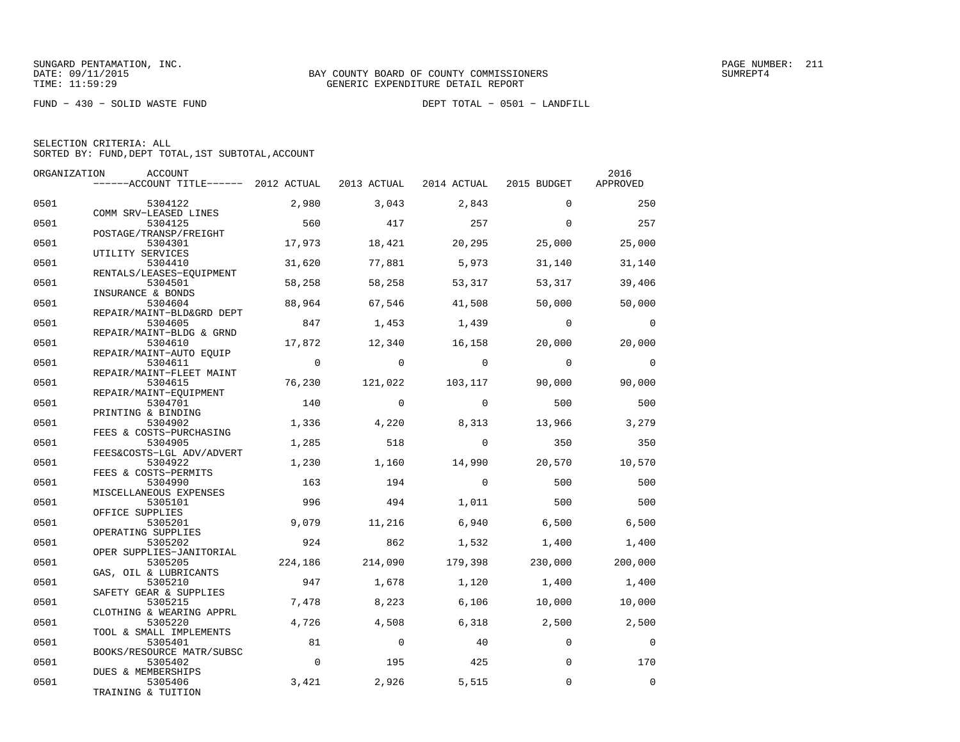FUND − 430 − SOLID WASTE FUND DEPT TOTAL − 0501 − LANDFILL

|  | SELECTION CRITERIA: ALL |                                                    |  |
|--|-------------------------|----------------------------------------------------|--|
|  |                         | SORTED BY: FUND, DEPT TOTAL, 1ST SUBTOTAL, ACCOUNT |  |

| ORGANIZATION | ACCOUNT                               |             |                |                         |                | 2016           |
|--------------|---------------------------------------|-------------|----------------|-------------------------|----------------|----------------|
|              | ------ACCOUNT TITLE------ 2012 ACTUAL |             | 2013 ACTUAL    | 2014 ACTUAL 2015 BUDGET |                | APPROVED       |
| 0501         | 5304122                               | 2,980       | 3,043          | 2,843                   | $\Omega$       | 250            |
| 0501         | COMM SRV-LEASED LINES<br>5304125      | 560         | 417            | 257                     | $\Omega$       | 257            |
|              | POSTAGE/TRANSP/FREIGHT                |             |                |                         |                |                |
| 0501         | 5304301                               | 17,973      | 18,421         | 20,295                  | 25,000         | 25,000         |
| 0501         | UTILITY SERVICES<br>5304410           | 31,620      | 77,881         | 5,973                   | 31,140         | 31,140         |
|              | RENTALS/LEASES-EQUIPMENT              |             |                |                         |                |                |
| 0501         | 5304501<br>INSURANCE & BONDS          | 58,258      | 58,258         | 53,317                  | 53,317         | 39,406         |
| 0501         | 5304604                               | 88,964      | 67,546         | 41,508                  | 50,000         | 50,000         |
| 0501         | REPAIR/MAINT-BLD&GRD DEPT<br>5304605  | 847         | 1,453          | 1,439                   | $\overline{0}$ | $\overline{0}$ |
|              | REPAIR/MAINT-BLDG & GRND              |             |                |                         |                |                |
| 0501         | 5304610<br>REPAIR/MAINT-AUTO EOUIP    | 17,872      | 12,340         | 16,158                  | 20,000         | 20,000         |
| 0501         | 5304611                               | $\Omega$    | $\Omega$       | $\Omega$                | $\Omega$       | $\mathbf 0$    |
|              | REPAIR/MAINT-FLEET MAINT              |             |                |                         |                |                |
| 0501         | 5304615<br>REPAIR/MAINT-EQUIPMENT     | 76,230      | 121,022        | 103,117                 | 90,000         | 90,000         |
| 0501         | 5304701                               | 140         | $\Omega$       | $\Omega$                | 500            | 500            |
| 0501         | PRINTING & BINDING<br>5304902         | 1,336       | 4,220          | 8,313                   | 13,966         | 3,279          |
|              | FEES & COSTS-PURCHASING               |             |                |                         |                |                |
| 0501         | 5304905<br>FEES&COSTS-LGL ADV/ADVERT  | 1,285       | 518            | $\Omega$                | 350            | 350            |
| 0501         | 5304922                               | 1,230       | 1,160          | 14,990                  | 20,570         | 10,570         |
|              | FEES & COSTS-PERMITS                  | 163         |                | $\Omega$                |                |                |
| 0501         | 5304990<br>MISCELLANEOUS EXPENSES     |             | 194            |                         | 500            | 500            |
| 0501         | 5305101                               | 996         | 494            | 1,011                   | 500            | 500            |
| 0501         | OFFICE SUPPLIES<br>5305201            | 9,079       | 11,216         | 6,940                   | 6,500          | 6,500          |
|              | OPERATING SUPPLIES                    |             |                |                         |                |                |
| 0501         | 5305202<br>OPER SUPPLIES-JANITORIAL   | 924         | 862            | 1,532                   | 1,400          | 1,400          |
| 0501         | 5305205                               | 224,186     | 214,090        | 179,398                 | 230,000        | 200,000        |
| 0501         | GAS, OIL & LUBRICANTS<br>5305210      | 947         | 1,678          | 1,120                   | 1,400          | 1,400          |
|              | SAFETY GEAR & SUPPLIES                |             |                |                         |                |                |
| 0501         | 5305215                               | 7,478       | 8,223          | 6,106                   | 10,000         | 10,000         |
| 0501         | CLOTHING & WEARING APPRL<br>5305220   | 4,726       | 4,508          | 6,318                   | 2,500          | 2,500          |
|              | TOOL & SMALL IMPLEMENTS               |             |                |                         |                |                |
| 0501         | 5305401<br>BOOKS/RESOURCE MATR/SUBSC  | 81          | $\overline{0}$ | 40                      | $\Omega$       | $\mathbf 0$    |
| 0501         | 5305402                               | $\mathbf 0$ | 195            | 425                     | $\Omega$       | 170            |
| 0501         | DUES & MEMBERSHIPS<br>5305406         | 3,421       | 2,926          | 5,515                   | $\Omega$       | $\Omega$       |
|              | TRAINING & TUITION                    |             |                |                         |                |                |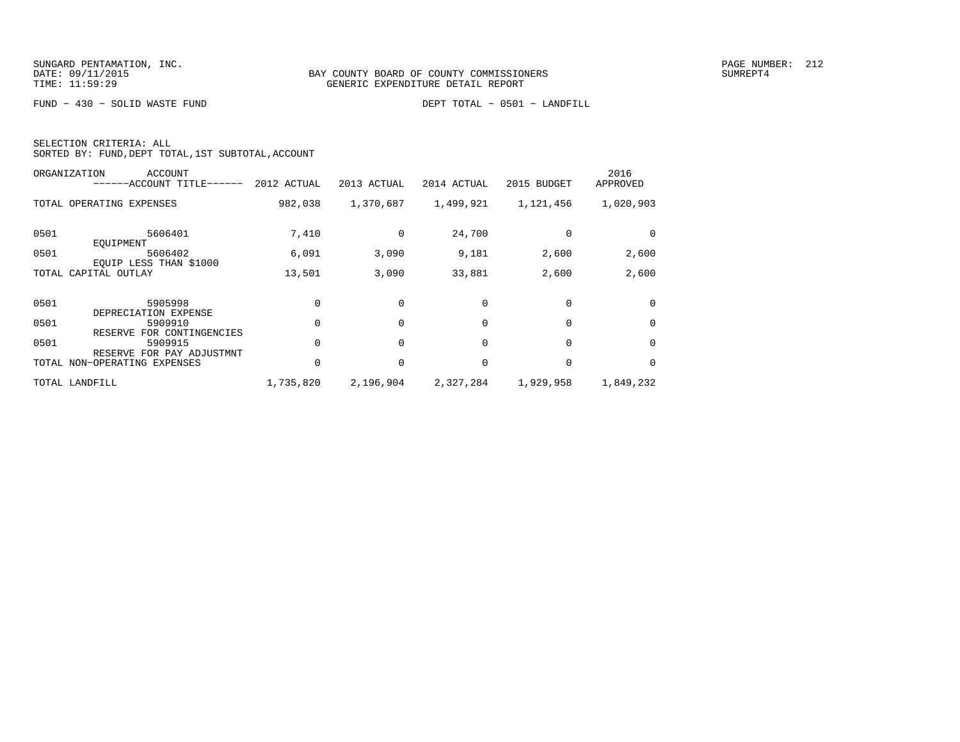FUND − 430 − SOLID WASTE FUND DEPT TOTAL − 0501 − LANDFILL

| SELECTION CRITERIA: ALL |  |  |                                                    |  |
|-------------------------|--|--|----------------------------------------------------|--|
|                         |  |  | SORTED BY: FUND, DEPT TOTAL, 1ST SUBTOTAL, ACCOUNT |  |

| ORGANIZATION<br>ACCOUNT<br>------ACCOUNT TITLE------ | 2012 ACTUAL | 2013 ACTUAL | 2014 ACTUAL | 2015 BUDGET | 2016<br>APPROVED |
|------------------------------------------------------|-------------|-------------|-------------|-------------|------------------|
| TOTAL OPERATING EXPENSES                             | 982,038     | 1,370,687   | 1,499,921   | 1,121,456   | 1,020,903        |
| 0501<br>5606401<br>EOUIPMENT                         | 7,410       | $\Omega$    | 24,700      |             |                  |
| 0501<br>5606402<br>EOUIP LESS THAN \$1000            | 6,091       | 3,090       | 9,181       | 2,600       | 2,600            |
| TOTAL CAPITAL OUTLAY                                 | 13,501      | 3,090       | 33,881      | 2,600       | 2,600            |
| 0501<br>5905998<br>DEPRECIATION EXPENSE              |             |             | $\Omega$    |             | $\Omega$         |
| 0501<br>5909910<br>FOR CONTINGENCIES<br>RESERVE      |             | $\Omega$    | $\Omega$    | $\Omega$    | $\Omega$         |
| 0501<br>5909915<br>RESERVE FOR PAY ADJUSTMNT         |             |             | $\Omega$    | $\Omega$    | $\Omega$         |
| TOTAL NON-OPERATING EXPENSES                         |             | $\Omega$    | $\Omega$    | $\Omega$    | $\Omega$         |
| TOTAL LANDFILL                                       | 1,735,820   | 2,196,904   | 2,327,284   | 1,929,958   | 1,849,232        |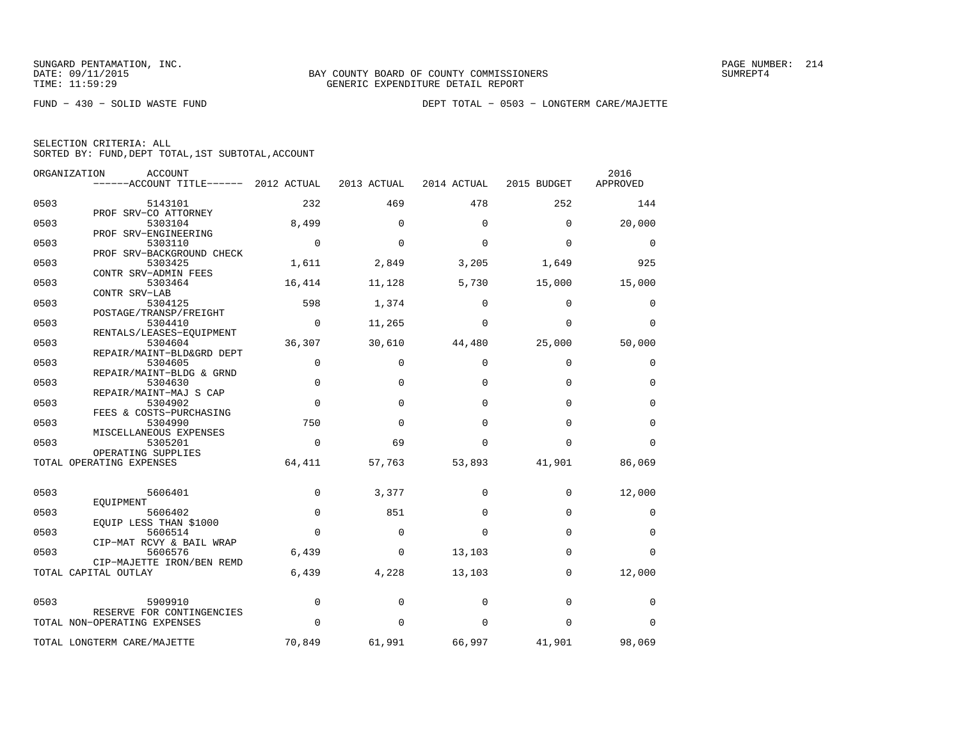|  | SELECTION CRITERIA: ALL |                                                    |
|--|-------------------------|----------------------------------------------------|
|  |                         | SORTED BY: FUND, DEPT TOTAL, 1ST SUBTOTAL, ACCOUNT |

|      | ORGANIZATION<br>ACCOUNT               |             |              |             |             | 2016        |
|------|---------------------------------------|-------------|--------------|-------------|-------------|-------------|
|      | ------ACCOUNT TITLE------ 2012 ACTUAL |             | 2013 ACTUAL  | 2014 ACTUAL | 2015 BUDGET | APPROVED    |
| 0503 | 5143101                               | 232         | 469          | 478         | 252         | 144         |
|      | PROF SRV-CO ATTORNEY                  |             |              |             |             |             |
| 0503 | 5303104                               | 8,499       | $\Omega$     | $\mathbf 0$ | 0           | 20,000      |
|      | PROF SRV-ENGINEERING                  |             |              |             |             |             |
| 0503 | 5303110                               | $\mathbf 0$ | $\Omega$     | $\Omega$    | $\mathbf 0$ | 0           |
|      | PROF SRV-BACKGROUND CHECK             |             |              |             |             |             |
| 0503 | 5303425                               | 1,611       | 2,849        | 3,205       | 1,649       | 925         |
|      | CONTR SRV-ADMIN FEES                  |             |              |             |             |             |
| 0503 | 5303464                               | 16,414      | 11,128       | 5,730       | 15,000      | 15,000      |
|      | CONTR SRV-LAB                         |             |              |             |             |             |
| 0503 | 5304125                               | 598         | 1,374        | $\Omega$    | $\mathbf 0$ | $\mathbf 0$ |
|      | POSTAGE/TRANSP/FREIGHT                |             |              |             |             |             |
| 0503 | 5304410                               | $\Omega$    | 11,265       | $\Omega$    | $\Omega$    | $\Omega$    |
|      | RENTALS/LEASES-EOUIPMENT              |             |              |             |             |             |
| 0503 | 5304604                               | 36,307      | 30,610       | 44,480      | 25,000      | 50,000      |
|      | REPAIR/MAINT-BLD&GRD DEPT             |             |              |             |             |             |
| 0503 | 5304605                               | $\mathbf 0$ | $\mathbf{0}$ | $\mathbf 0$ | $\mathbf 0$ | 0           |
|      | REPAIR/MAINT-BLDG & GRND              |             |              |             |             |             |
| 0503 | 5304630                               | $\mathbf 0$ | $\Omega$     | $\Omega$    | $\Omega$    | 0           |
|      | REPAIR/MAINT-MAJ S CAP                |             |              |             |             |             |
| 0503 | 5304902                               | $\mathbf 0$ | $\Omega$     | $\Omega$    | $\mathbf 0$ | $\mathbf 0$ |
| 0503 | FEES & COSTS-PURCHASING               | 750         | $\Omega$     | $\Omega$    | $\Omega$    | $\mathbf 0$ |
|      | 5304990                               |             |              |             |             |             |
| 0503 | MISCELLANEOUS EXPENSES<br>5305201     | 0           | 69           | 0           | 0           | 0           |
|      | OPERATING SUPPLIES                    |             |              |             |             |             |
|      | TOTAL OPERATING EXPENSES              | 64,411      | 57,763       | 53,893      | 41,901      | 86,069      |
|      |                                       |             |              |             |             |             |
|      |                                       |             |              |             |             |             |
| 0503 | 5606401                               | $\Omega$    | 3,377        | $\Omega$    | 0           | 12,000      |
| 0503 | EQUIPMENT                             | $\mathbf 0$ | 851          | $\Omega$    | $\mathbf 0$ |             |
|      | 5606402                               |             |              |             |             | 0           |
| 0503 | EQUIP LESS THAN \$1000<br>5606514     | $\Omega$    | $\Omega$     | $\Omega$    | $\Omega$    | $\mathbf 0$ |
|      | CIP-MAT RCVY & BAIL WRAP              |             |              |             |             |             |
| 0503 | 5606576                               | 6,439       | $\mathbf{0}$ | 13,103      | $\mathbf 0$ | $\Omega$    |
|      | CIP-MAJETTE IRON/BEN REMD             |             |              |             |             |             |
|      | TOTAL CAPITAL OUTLAY                  | 6,439       | 4,228        | 13,103      | $\mathbf 0$ | 12,000      |
|      |                                       |             |              |             |             |             |
| 0503 | 5909910                               | 0           | 0            | 0           | $\mathbf 0$ | 0           |
|      | RESERVE FOR CONTINGENCIES             |             |              |             |             |             |
|      | TOTAL NON-OPERATING EXPENSES          | $\Omega$    | $\Omega$     | $\Omega$    | $\Omega$    | $\Omega$    |
|      |                                       |             |              |             |             |             |
|      | TOTAL LONGTERM CARE/MAJETTE           | 70,849      | 61,991       | 66,997      | 41,901      | 98,069      |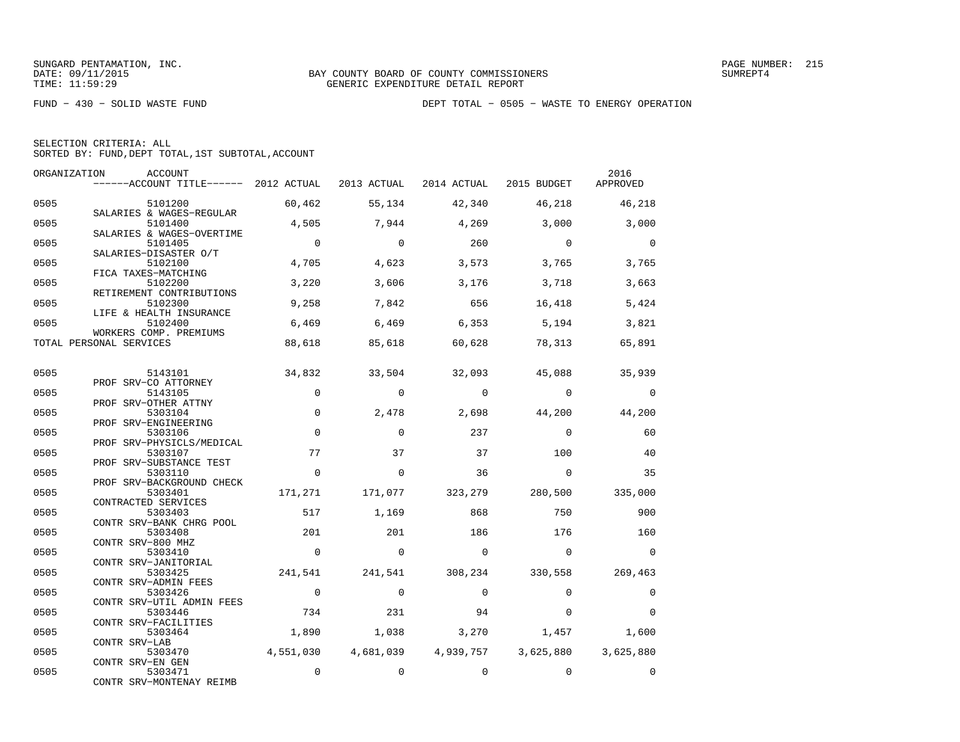| SELECTION CRITERIA: ALL |  |                                                    |  |  |
|-------------------------|--|----------------------------------------------------|--|--|
|                         |  | SORTED BY: FUND, DEPT TOTAL, 1ST SUBTOTAL, ACCOUNT |  |  |

| ORGANIZATION | <b>ACCOUNT</b><br>------ACCOUNT TITLE------ 2012 ACTUAL          |                 |                 | 2013 ACTUAL 2014 ACTUAL 2015 BUDGET |                 | 2016<br>APPROVED |
|--------------|------------------------------------------------------------------|-----------------|-----------------|-------------------------------------|-----------------|------------------|
| 0505         | 5101200                                                          | 60,462          | 55,134          | 42,340                              | 46,218          | 46,218           |
| 0505         | SALARIES & WAGES-REGULAR<br>5101400<br>SALARIES & WAGES-OVERTIME | 4,505           | 7,944           | 4,269                               | 3,000           | 3,000            |
| 0505         | 5101405<br>SALARIES-DISASTER O/T                                 | $\overline{0}$  | $\Omega$        | 260                                 | $\Omega$        | $\Omega$         |
| 0505         | 5102100<br>FICA TAXES-MATCHING                                   | 4,705           | 4,623           | 3,573                               | 3,765           | 3,765            |
| 0505         | 5102200<br>RETIREMENT CONTRIBUTIONS                              | 3,220           | 3,606           | 3,176                               | 3,718           | 3,663            |
| 0505         | 5102300<br>LIFE & HEALTH INSURANCE                               | 9,258           | 7,842           | 656                                 | 16,418          | 5,424            |
| 0505         | 5102400<br>WORKERS COMP. PREMIUMS                                | 6,469           | 6,469           | 6,353                               | 5,194           | 3,821            |
|              | TOTAL PERSONAL SERVICES                                          | 88,618          | 85,618          | 60,628                              | 78,313          | 65,891           |
| 0505         | 5143101<br>PROF SRV-CO ATTORNEY                                  | 34,832          | 33,504          | 32,093                              | 45,088          | 35,939           |
| 0505         | 5143105<br>PROF SRV-OTHER ATTNY                                  | $\Omega$        | $\Omega$        | $\Omega$                            | $\Omega$        | $\Omega$         |
| 0505         | 5303104<br>PROF SRV-ENGINEERING                                  | 0               | 2,478           | 2,698                               | 44,200          | 44,200           |
| 0505         | 5303106<br>PROF SRV-PHYSICLS/MEDICAL                             | $\mathbf 0$     | $\Omega$        | 237                                 | $\Omega$        | 60               |
| 0505         | 5303107<br>PROF SRV-SUBSTANCE TEST                               | 77              | 37              | 37                                  | 100             | 40               |
| 0505         | 5303110<br>PROF SRV-BACKGROUND CHECK                             | $\Omega$        | $\Omega$        | 36                                  | $\mathbf 0$     | 35               |
| 0505         | 5303401<br>CONTRACTED SERVICES                                   | 171,271         | 171,077         | 323,279                             | 280,500         | 335,000          |
| 0505         | 5303403<br>CONTR SRV-BANK CHRG POOL                              | 517             | 1,169           | 868                                 | 750             | 900              |
| 0505         | 5303408<br>CONTR SRV-800 MHZ                                     | 201<br>$\Omega$ | 201<br>$\Omega$ | 186<br>$\Omega$                     | 176<br>$\Omega$ | 160<br>$\Omega$  |
| 0505<br>0505 | 5303410<br>CONTR SRV-JANITORIAL<br>5303425                       | 241,541         |                 | 241,541 308,234                     | 330,558         | 269,463          |
| 0505         | CONTR SRV-ADMIN FEES<br>5303426                                  | $\overline{0}$  | $\Omega$        | $\Omega$                            | $\Omega$        | $\Omega$         |
| 0505         | CONTR SRV-UTIL ADMIN FEES<br>5303446                             | 734             | 231             | 94                                  | $\Omega$        | $\Omega$         |
| 0505         | CONTR SRV-FACILITIES<br>5303464                                  | 1,890           | 1,038           | 3,270                               | 1,457           | 1,600            |
| 0505         | CONTR SRV-LAB<br>5303470                                         | 4,551,030       |                 | 4,681,039 4,939,757                 | 3,625,880       | 3,625,880        |
| 0505         | CONTR SRV-EN GEN<br>5303471<br>CONTR SRV-MONTENAY REIMB          | 0               | $\mathbf 0$     | $\mathbf 0$                         | $\mathbf 0$     | $\Omega$         |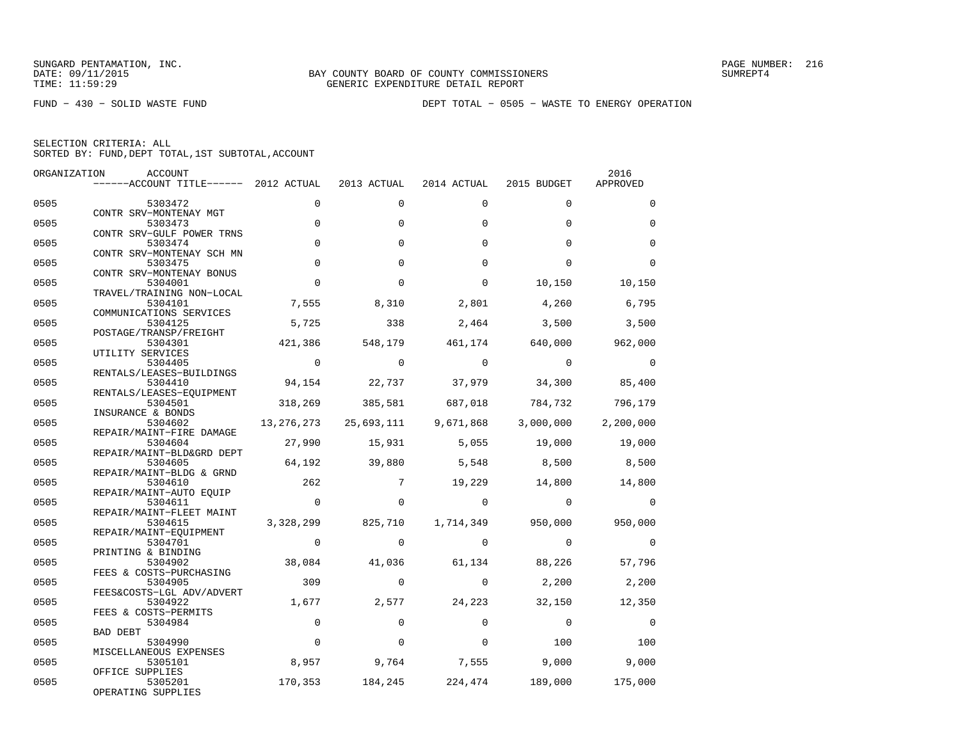FUND − 430 − SOLID WASTE FUND DEPT TOTAL − 0505 − WASTE TO ENERGY OPERATION

| SELECTION CRITERIA: ALL |  |  |                                                    |  |
|-------------------------|--|--|----------------------------------------------------|--|
|                         |  |  | SORTED BY: FUND, DEPT TOTAL, 1ST SUBTOTAL, ACCOUNT |  |

| ORGANIZATION | ACCOUNT                               |                |             |             |             | 2016        |
|--------------|---------------------------------------|----------------|-------------|-------------|-------------|-------------|
|              | ------ACCOUNT TITLE------ 2012 ACTUAL |                | 2013 ACTUAL | 2014 ACTUAL | 2015 BUDGET | APPROVED    |
| 0505         | 5303472                               | $\Omega$       | $\Omega$    | $\Omega$    | $\Omega$    | $\Omega$    |
| 0505         | CONTR SRV-MONTENAY MGT<br>5303473     | $\Omega$       | $\Omega$    | $\Omega$    | $\Omega$    | $\Omega$    |
| 0505         | CONTR SRV-GULF POWER TRNS<br>5303474  | $\mathbf 0$    | $\Omega$    | $\Omega$    | $\Omega$    | $\mathbf 0$ |
| 0505         | CONTR SRV-MONTENAY SCH MN<br>5303475  | $\Omega$       | $\Omega$    | $\Omega$    | $\Omega$    | $\Omega$    |
| 0505         | CONTR SRV-MONTENAY BONUS<br>5304001   | $\Omega$       | $\Omega$    | $\Omega$    | 10,150      | 10,150      |
| 0505         | TRAVEL/TRAINING NON-LOCAL<br>5304101  | 7,555          | 8,310       | 2,801       | 4,260       | 6,795       |
|              | COMMUNICATIONS SERVICES               |                |             |             |             |             |
| 0505         | 5304125<br>POSTAGE/TRANSP/FREIGHT     | 5,725          | 338         | 2,464       | 3,500       | 3,500       |
| 0505         | 5304301<br>UTILITY SERVICES           | 421,386        | 548,179     | 461,174     | 640,000     | 962,000     |
| 0505         | 5304405<br>RENTALS/LEASES-BUILDINGS   | $\overline{0}$ | $\Omega$    | $\Omega$    | $\Omega$    | $\Omega$    |
| 0505         | 5304410<br>RENTALS/LEASES-EQUIPMENT   | 94,154         | 22,737      | 37,979      | 34,300      | 85,400      |
| 0505         | 5304501<br>INSURANCE & BONDS          | 318,269        | 385,581     | 687,018     | 784,732     | 796,179     |
| 0505         | 5304602                               | 13, 276, 273   | 25,693,111  | 9,671,868   | 3,000,000   | 2,200,000   |
| 0505         | REPAIR/MAINT-FIRE DAMAGE<br>5304604   | 27,990         | 15,931      | 5,055       | 19,000      | 19,000      |
| 0505         | REPAIR/MAINT-BLD&GRD DEPT<br>5304605  | 64,192         | 39,880      | 5,548       | 8,500       | 8,500       |
| 0505         | REPAIR/MAINT-BLDG & GRND<br>5304610   | 262            | 7           | 19,229      | 14,800      | 14,800      |
| 0505         | REPAIR/MAINT-AUTO EOUIP<br>5304611    | $\overline{0}$ | $\Omega$    | $\Omega$    | $\Omega$    | $\Omega$    |
| 0505         | REPAIR/MAINT-FLEET MAINT<br>5304615   | 3,328,299      | 825,710     | 1,714,349   | 950,000     | 950,000     |
| 0505         | REPAIR/MAINT-EOUIPMENT<br>5304701     | $\Omega$       | $\Omega$    | $\Omega$    | $\Omega$    | $\Omega$    |
| 0505         | PRINTING & BINDING<br>5304902         | 38,084         | 41,036      | 61,134      | 88,226      | 57,796      |
|              | FEES & COSTS-PURCHASING               | 309            |             |             |             |             |
| 0505         | 5304905<br>FEES&COSTS-LGL ADV/ADVERT  |                | $\Omega$    | $\Omega$    | 2,200       | 2,200       |
| 0505         | 5304922<br>FEES & COSTS-PERMITS       | 1,677          | 2,577       | 24,223      | 32,150      | 12,350      |
| 0505         | 5304984<br><b>BAD DEBT</b>            | $\Omega$       | $\Omega$    | $\Omega$    | $\Omega$    | $\Omega$    |
| 0505         | 5304990<br>MISCELLANEOUS EXPENSES     | $\Omega$       | $\Omega$    | $\Omega$    | 100         | 100         |
| 0505         | 5305101<br>OFFICE SUPPLIES            | 8,957          | 9,764       | 7,555       | 9,000       | 9,000       |
| 0505         | 5305201<br>OPERATING SUPPLIES         | 170,353        | 184,245     | 224,474     | 189,000     | 175,000     |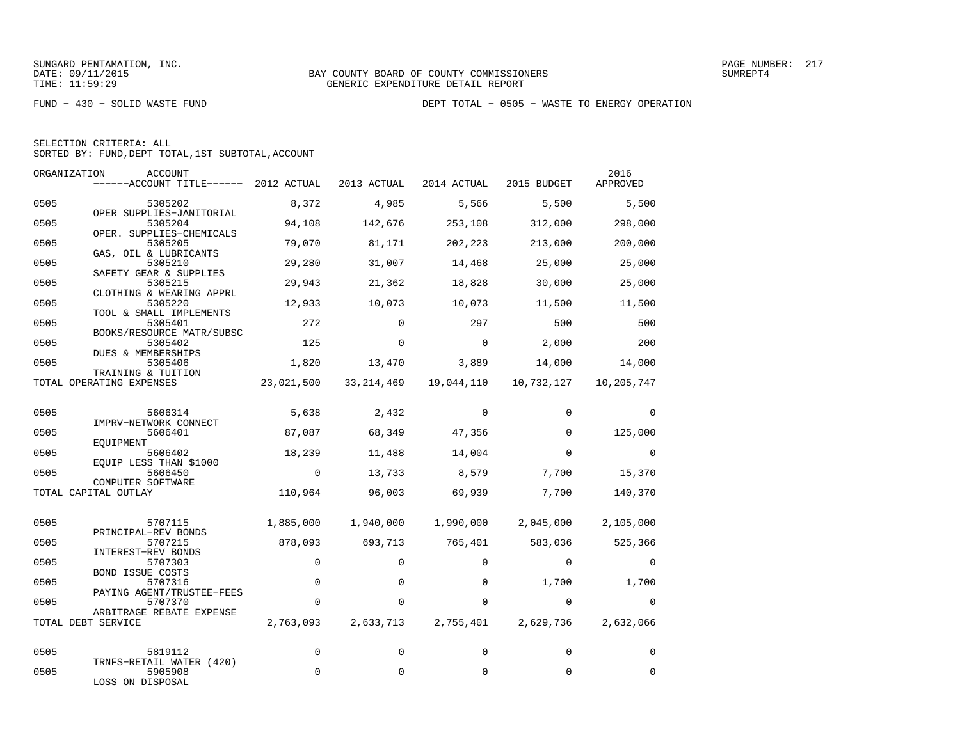FUND − 430 − SOLID WASTE FUND DEPT TOTAL − 0505 − WASTE TO ENERGY OPERATION

| SELECTION CRITERIA: ALL |  |                                                    |  |
|-------------------------|--|----------------------------------------------------|--|
|                         |  | SORTED BY: FUND, DEPT TOTAL, 1ST SUBTOTAL, ACCOUNT |  |

|      | ORGANIZATION<br>ACCOUNT<br>------ACCOUNT TITLE------ 2012 ACTUAL |             | 2013 ACTUAL | 2014 ACTUAL    | 2015 BUDGET | 2016<br>APPROVED |
|------|------------------------------------------------------------------|-------------|-------------|----------------|-------------|------------------|
| 0505 | 5305202                                                          | 8,372       | 4,985       | 5,566          | 5,500       | 5,500            |
| 0505 | OPER SUPPLIES-JANITORIAL<br>5305204                              | 94,108      | 142,676     | 253,108        | 312,000     | 298,000          |
| 0505 | OPER. SUPPLIES-CHEMICALS<br>5305205<br>GAS, OIL & LUBRICANTS     | 79,070      | 81,171      | 202,223        | 213,000     | 200,000          |
| 0505 | 5305210<br>SAFETY GEAR & SUPPLIES                                | 29,280      | 31,007      | 14,468         | 25,000      | 25,000           |
| 0505 | 5305215<br>CLOTHING & WEARING APPRL                              | 29,943      | 21,362      | 18,828         | 30,000      | 25,000           |
| 0505 | 5305220<br>TOOL & SMALL IMPLEMENTS                               | 12,933      | 10,073      | 10,073         | 11,500      | 11,500           |
| 0505 | 5305401<br>BOOKS/RESOURCE MATR/SUBSC                             | 272         | $\Omega$    | 297            | 500         | 500              |
| 0505 | 5305402<br>DUES & MEMBERSHIPS                                    | 125         | $\Omega$    | $\overline{0}$ | 2,000       | 200              |
| 0505 | 5305406<br>TRAINING & TUITION                                    | 1,820       | 13,470      | 3,889          | 14,000      | 14,000           |
|      | TOTAL OPERATING EXPENSES                                         | 23,021,500  | 33,214,469  | 19,044,110     | 10,732,127  | 10,205,747       |
| 0505 | 5606314                                                          | 5,638       | 2,432       | $\Omega$       | $\Omega$    | $\Omega$         |
| 0505 | IMPRV-NETWORK CONNECT<br>5606401                                 | 87,087      | 68,349      | 47,356         | $\Omega$    | 125,000          |
| 0505 | EOUIPMENT<br>5606402                                             | 18,239      | 11,488      | 14,004         | $\Omega$    | $\Omega$         |
| 0505 | EQUIP LESS THAN \$1000<br>5606450                                | $\Omega$    | 13,733      | 8,579          | 7,700       | 15,370           |
|      | COMPUTER SOFTWARE<br>TOTAL CAPITAL OUTLAY                        | 110,964     | 96,003      | 69,939         | 7,700       | 140,370          |
|      |                                                                  |             |             |                |             |                  |
| 0505 | 5707115<br>PRINCIPAL-REV BONDS                                   | 1,885,000   | 1,940,000   | 1,990,000      | 2,045,000   | 2,105,000        |
| 0505 | 5707215<br>INTEREST-REV BONDS                                    | 878,093     | 693,713     | 765,401        | 583,036     | 525,366          |
| 0505 | 5707303<br><b>BOND ISSUE COSTS</b>                               | $\mathbf 0$ | $\Omega$    | $\Omega$       | $\Omega$    | $\Omega$         |
| 0505 | 5707316<br>PAYING AGENT/TRUSTEE-FEES                             | $\mathbf 0$ | $\Omega$    | $\Omega$       | 1,700       | 1,700            |
| 0505 | 5707370<br>ARBITRAGE REBATE EXPENSE                              | $\mathbf 0$ | 0           | 0              | $\Omega$    | $\Omega$         |
|      | TOTAL DEBT SERVICE                                               | 2,763,093   | 2,633,713   | 2,755,401      | 2,629,736   | 2,632,066        |
| 0505 | 5819112                                                          | $\mathbf 0$ | $\Omega$    | $\Omega$       | $\Omega$    | $\Omega$         |
| 0505 | TRNFS-RETAIL WATER (420)<br>5905908<br>LOSS ON DISPOSAL          | 0           | $\mathbf 0$ | $\mathbf 0$    | $\mathbf 0$ | $\mathbf 0$      |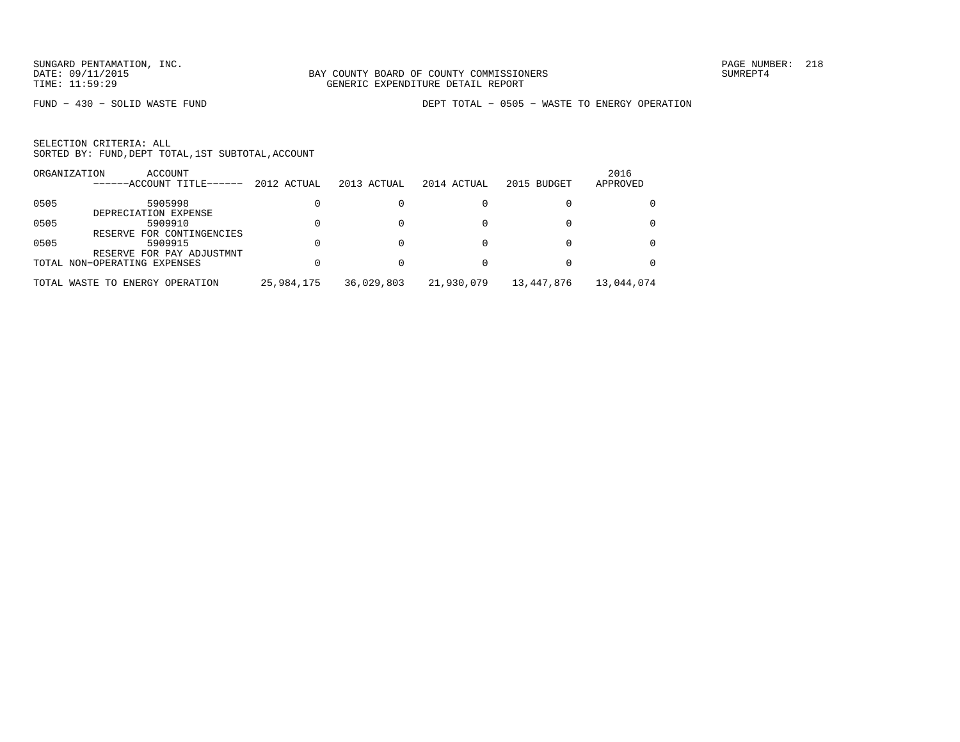FUND − 430 − SOLID WASTE FUND DEPT TOTAL − 0505 − WASTE TO ENERGY OPERATION

|      | ORGANIZATION<br>ACCOUNT<br>------ACCOUNT TITLE------ | 2012 ACTUAL | 2013 ACTUAL | 2014 ACTUAL | 2015 BUDGET | 2016<br>APPROVED |
|------|------------------------------------------------------|-------------|-------------|-------------|-------------|------------------|
| 0505 | 5905998                                              |             |             |             |             |                  |
|      | DEPRECIATION EXPENSE                                 |             |             |             |             |                  |
| 0505 | 5909910                                              |             |             |             |             |                  |
|      | RESERVE FOR CONTINGENCIES                            |             |             |             |             |                  |
| 0505 | 5909915                                              |             |             |             |             |                  |
|      | RESERVE FOR PAY ADJUSTMNT                            |             |             |             |             |                  |
|      | TOTAL NON-OPERATING EXPENSES                         |             |             |             |             |                  |
|      | TOTAL WASTE TO ENERGY OPERATION                      | 25,984,175  | 36,029,803  | 21,930,079  | 13,447,876  | 13,044,074       |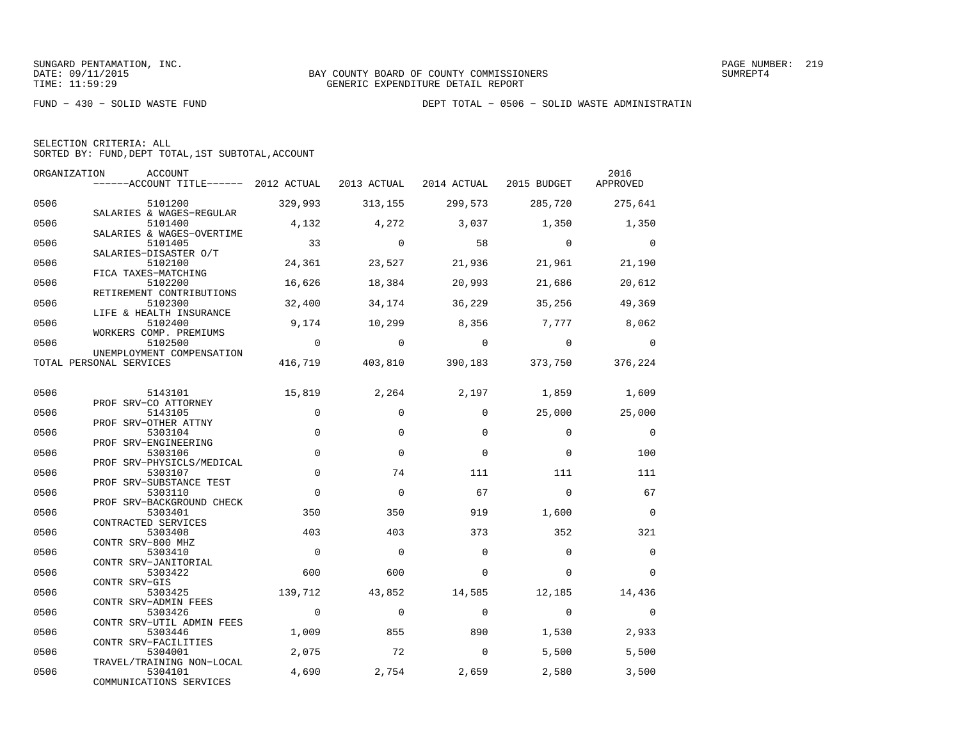FUND − 430 − SOLID WASTE FUND DEPT TOTAL − 0506 − SOLID WASTE ADMINISTRATIN

| SELECTION CRITERIA: ALL                            |  |
|----------------------------------------------------|--|
| SORTED BY: FUND, DEPT TOTAL, 1ST SUBTOTAL, ACCOUNT |  |

| ORGANIZATION | ACCOUNT<br>$---ACCOUNT$ TITLE $---2012$ ACTUAL 2013 ACTUAL 2014 ACTUAL 2015 BUDGET |                |                |                |                                         | 2016<br>APPROVED |
|--------------|------------------------------------------------------------------------------------|----------------|----------------|----------------|-----------------------------------------|------------------|
| 0506         | 5101200                                                                            | 329,993        | 313,155        | 299,573        | 285,720                                 | 275,641          |
| 0506         | SALARIES & WAGES-REGULAR<br>5101400                                                | 4,132          | 4,272          | 3,037          | 1,350                                   | 1,350            |
| 0506         | SALARIES & WAGES-OVERTIME<br>5101405                                               | 33             | $\overline{0}$ | 58             | $\overline{0}$                          | $\overline{0}$   |
| 0506         | SALARIES-DISASTER O/T<br>5102100                                                   | 24,361         | 23,527         | 21,936         | 21,961                                  | 21,190           |
| 0506         | FICA TAXES-MATCHING<br>5102200                                                     | 16,626         | 18,384         | 20,993         | 21,686                                  | 20,612           |
| 0506         | RETIREMENT CONTRIBUTIONS<br>5102300<br>LIFE & HEALTH INSURANCE                     | 32,400         | 34,174         | 36,229         | 35,256                                  | 49,369           |
| 0506         | 5102400<br>WORKERS COMP. PREMIUMS                                                  | 9,174          | 10,299         | 8,356          | 7,777                                   | 8,062            |
| 0506         | 5102500<br>UNEMPLOYMENT COMPENSATION                                               | $\overline{0}$ | $\overline{0}$ | $\overline{0}$ | $\overline{0}$                          | $\overline{0}$   |
|              | TOTAL PERSONAL SERVICES                                                            |                |                |                | 416,719 403,810 390,183 373,750 376,224 |                  |
| 0506         | 5143101                                                                            | 15,819         | 2,264          | 2,197          | 1,859                                   | 1,609            |
| 0506         | PROF SRV-CO ATTORNEY<br>5143105                                                    | $\mathbf 0$    | $\mathbf 0$    | $\Omega$       |                                         | 25,000 25,000    |
| 0506         | PROF SRV-OTHER ATTNY<br>5303104                                                    | $\Omega$       | $\Omega$       | $\Omega$       | $\Omega$                                | $\overline{0}$   |
| 0506         | PROF SRV-ENGINEERING<br>5303106                                                    | $\mathbf 0$    | $\Omega$       | $\Omega$       | $\Omega$                                | 100              |
| 0506         | PROF SRV-PHYSICLS/MEDICAL<br>5303107                                               | $\mathsf 0$    | 74             | 111            | 111                                     | 111              |
|              | PROF SRV-SUBSTANCE TEST                                                            | $\Omega$       |                |                |                                         |                  |
| 0506         | 5303110<br>PROF SRV-BACKGROUND CHECK                                               |                | $\Omega$       | 67             | $\Omega$                                | 67               |
| 0506         | 5303401<br>CONTRACTED SERVICES                                                     | 350            | 350            | 919            | 1,600                                   | $\overline{0}$   |
| 0506         | 5303408<br>CONTR SRV-800 MHZ                                                       | 403            | 403            | 373            | 352                                     | 321              |
| 0506         | 5303410<br>CONTR SRV-JANITORIAL                                                    | $\overline{0}$ | $\overline{0}$ | $\Omega$       | $\Omega$                                | $\mathbf 0$      |
| 0506         | 5303422<br>CONTR SRV-GIS                                                           | 600            | 600            | $\Omega$       | $\Omega$                                | $\Omega$         |
| 0506         | 5303425<br>CONTR SRV-ADMIN FEES                                                    | 139,712        | 43,852         | 14,585         | 12,185                                  | 14,436           |
| 0506         | 5303426<br>CONTR SRV-UTIL ADMIN FEES                                               | $\overline{0}$ | $\mathbf 0$    | $\mathbf 0$    | $\overline{0}$                          | $\overline{0}$   |
| 0506         | 5303446<br>CONTR SRV-FACILITIES                                                    | 1,009          | 855            | 890            | 1,530                                   | 2,933            |
| 0506         | 5304001                                                                            | 2,075          | 72             | $\overline{0}$ | 5,500                                   | 5,500            |
| 0506         | TRAVEL/TRAINING NON-LOCAL<br>5304101<br>COMMUNICATIONS SERVICES                    | 4,690          | 2,754          | 2,659          | 2,580                                   | 3,500            |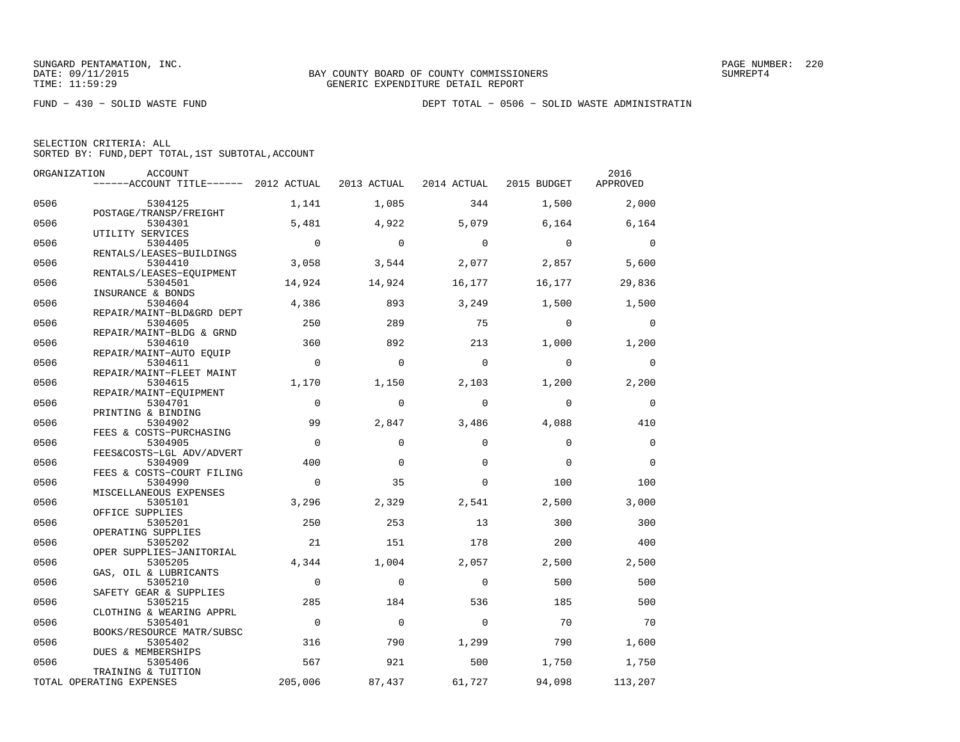FUND − 430 − SOLID WASTE FUND DEPT TOTAL − 0506 − SOLID WASTE ADMINISTRATIN

| SELECTION CRITERIA: ALL |  |                                                    |  |  |
|-------------------------|--|----------------------------------------------------|--|--|
|                         |  | SORTED BY: FUND, DEPT TOTAL, 1ST SUBTOTAL, ACCOUNT |  |  |

|      | ORGANIZATION<br>ACCOUNT               |                |             |             |             | 2016        |
|------|---------------------------------------|----------------|-------------|-------------|-------------|-------------|
|      | ------ACCOUNT TITLE------ 2012 ACTUAL |                | 2013 ACTUAL | 2014 ACTUAL | 2015 BUDGET | APPROVED    |
| 0506 | 5304125                               | 1,141          | 1,085       | 344         | 1,500       | 2,000       |
| 0506 | POSTAGE/TRANSP/FREIGHT<br>5304301     | 5,481          | 4,922       | 5,079       | 6,164       | 6,164       |
| 0506 | UTILITY SERVICES<br>5304405           | $\Omega$       | $\mathbf 0$ | $\Omega$    | $\mathbf 0$ | $\Omega$    |
|      | RENTALS/LEASES-BUILDINGS              |                |             |             |             |             |
| 0506 | 5304410<br>RENTALS/LEASES-EQUIPMENT   | 3,058          | 3,544       | 2,077       | 2,857       | 5,600       |
| 0506 | 5304501                               | 14,924         | 14,924      | 16,177      | 16,177      | 29,836      |
|      | INSURANCE & BONDS                     |                |             |             |             |             |
| 0506 | 5304604<br>REPAIR/MAINT-BLD&GRD DEPT  | 4,386          | 893         | 3,249       | 1,500       | 1,500       |
| 0506 | 5304605                               | 250            | 289         | 75          | $\Omega$    | $\Omega$    |
| 0506 | REPAIR/MAINT-BLDG & GRND<br>5304610   | 360            | 892         | 213         | 1,000       | 1,200       |
|      | REPAIR/MAINT-AUTO EOUIP               |                |             |             |             |             |
| 0506 | 5304611<br>REPAIR/MAINT-FLEET MAINT   | $\Omega$       | $\Omega$    | $\Omega$    | $\Omega$    | $\Omega$    |
| 0506 | 5304615                               | 1,170          | 1,150       | 2,103       | 1,200       | 2,200       |
| 0506 | REPAIR/MAINT-EOUIPMENT<br>5304701     | $\Omega$       | $\Omega$    | $\Omega$    | $\Omega$    | $\mathbf 0$ |
| 0506 | PRINTING & BINDING                    | 99             |             |             |             |             |
|      | 5304902<br>FEES & COSTS-PURCHASING    |                | 2,847       | 3,486       | 4,088       | 410         |
| 0506 | 5304905                               | $\Omega$       | $\Omega$    | $\Omega$    | $\Omega$    | $\Omega$    |
| 0506 | FEES&COSTS-LGL ADV/ADVERT<br>5304909  | 400            | $\Omega$    | $\Omega$    | $\Omega$    | $\Omega$    |
| 0506 | FEES & COSTS-COURT FILING<br>5304990  | $\Omega$       | 35          | $\Omega$    | 100         | 100         |
|      | MISCELLANEOUS EXPENSES                |                |             |             |             |             |
| 0506 | 5305101                               | 3,296          | 2,329       | 2,541       | 2,500       | 3,000       |
| 0506 | OFFICE SUPPLIES<br>5305201            | 250            | 253         | 13          | 300         | 300         |
|      | OPERATING SUPPLIES                    |                |             |             |             |             |
| 0506 | 5305202<br>OPER SUPPLIES-JANITORIAL   | 21             | 151         | 178         | 200         | 400         |
| 0506 | 5305205                               | 4,344          | 1,004       | 2,057       | 2,500       | 2,500       |
|      | GAS, OIL & LUBRICANTS                 |                |             |             |             |             |
| 0506 | 5305210                               | $\mathbf 0$    | $\mathbf 0$ | $\mathbf 0$ | 500         | 500         |
| 0506 | SAFETY GEAR & SUPPLIES<br>5305215     | 285            | 184         | 536         | 185         | 500         |
|      | CLOTHING & WEARING APPRL              |                |             |             |             |             |
| 0506 | 5305401                               | $\overline{0}$ | $\Omega$    | $\Omega$    | 70          | 70          |
| 0506 | BOOKS/RESOURCE MATR/SUBSC<br>5305402  | 316            | 790         | 1,299       | 790         | 1,600       |
|      | DUES & MEMBERSHIPS                    |                |             |             |             |             |
| 0506 | 5305406                               | 567            | 921         | 500         | 1,750       | 1,750       |
|      | TRAINING & TUITION                    |                |             |             |             |             |
|      | TOTAL OPERATING EXPENSES              | 205,006        | 87,437      | 61,727      | 94,098      | 113,207     |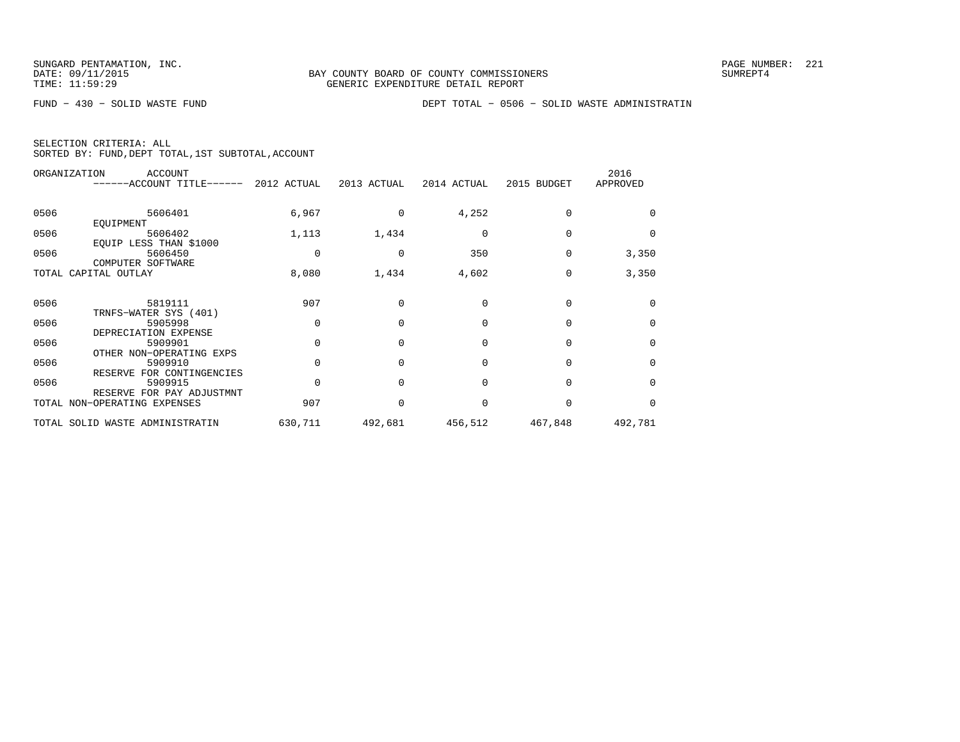FUND − 430 − SOLID WASTE FUND DEPT TOTAL − 0506 − SOLID WASTE ADMINISTRATIN

|  | SELECTION CRITERIA: ALL |                                                    |  |
|--|-------------------------|----------------------------------------------------|--|
|  |                         | SORTED BY: FUND, DEPT TOTAL, 1ST SUBTOTAL, ACCOUNT |  |

|      | ORGANIZATION<br><b>ACCOUNT</b><br>------ACCOUNT TITLE------ 2012 ACTUAL |          | 2013 ACTUAL  | 2014 ACTUAL | 2015 BUDGET | 2016<br>APPROVED |
|------|-------------------------------------------------------------------------|----------|--------------|-------------|-------------|------------------|
| 0506 | 5606401                                                                 | 6,967    | 0            | 4,252       | 0           | $\Omega$         |
|      | EOUIPMENT                                                               |          |              |             |             |                  |
| 0506 | 5606402                                                                 | 1,113    | 1,434        | $\Omega$    | $\Omega$    | $\Omega$         |
|      | EQUIP LESS THAN \$1000                                                  |          |              |             |             |                  |
| 0506 | 5606450                                                                 | $\Omega$ | $\Omega$     | 350         | $\Omega$    | 3,350            |
|      | COMPUTER SOFTWARE                                                       |          |              |             |             |                  |
|      | TOTAL CAPITAL OUTLAY                                                    | 8,080    | 1,434        | 4,602       | $\Omega$    | 3,350            |
|      |                                                                         |          |              |             |             |                  |
| 0506 | 5819111                                                                 | 907      | $\Omega$     | $\Omega$    | $\Omega$    | $\Omega$         |
|      | TRNFS-WATER SYS (401)                                                   |          |              |             |             |                  |
| 0506 | 5905998                                                                 | $\Omega$ | $\Omega$     | $\Omega$    | $\Omega$    | $\Omega$         |
|      | DEPRECIATION EXPENSE                                                    |          |              |             |             |                  |
| 0506 | 5909901                                                                 | $\Omega$ | $\Omega$     | $\Omega$    | $\Omega$    | $\Omega$         |
|      | OTHER NON-OPERATING EXPS                                                |          |              |             |             |                  |
| 0506 | 5909910                                                                 | $\Omega$ | $\Omega$     | 0           | $\Omega$    | $\Omega$         |
|      | RESERVE FOR CONTINGENCIES                                               |          |              |             |             |                  |
| 0506 | 5909915                                                                 | $\Omega$ | <sup>0</sup> | $\Omega$    | $\Omega$    | $\Omega$         |
|      | RESERVE FOR PAY ADJUSTMNT                                               |          |              |             |             |                  |
|      | TOTAL NON-OPERATING EXPENSES                                            | 907      | $\Omega$     | $\Omega$    | $\Omega$    | $\Omega$         |
|      | TOTAL SOLID WASTE ADMINISTRATIN                                         | 630,711  | 492,681      | 456,512     | 467,848     | 492,781          |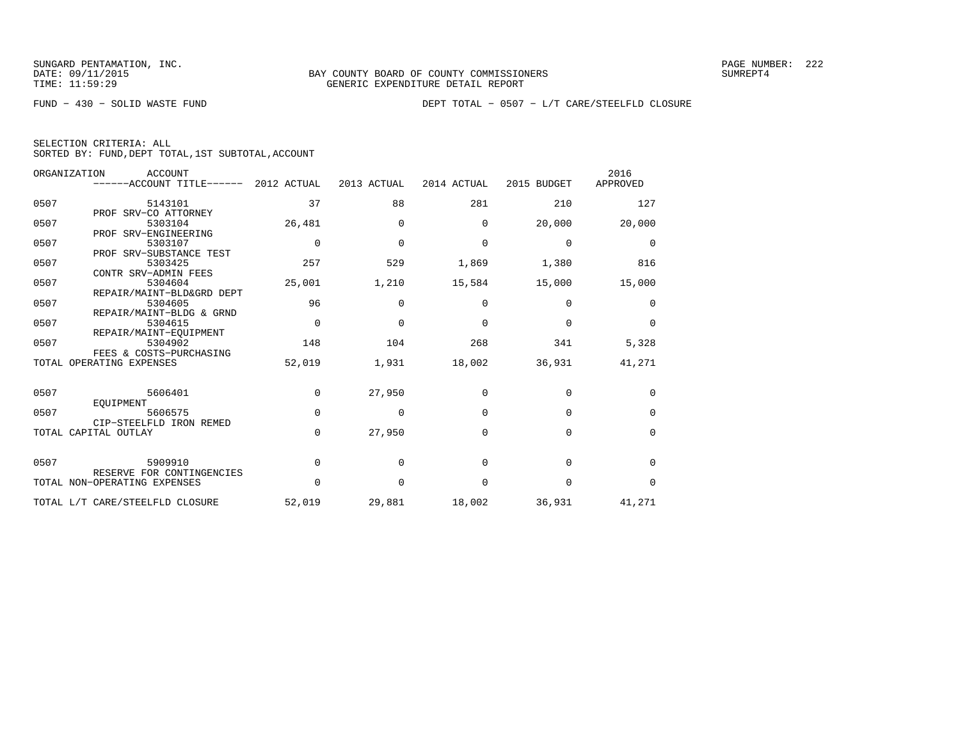|  | SELECTION CRITERIA: ALL |  |                                                    |  |
|--|-------------------------|--|----------------------------------------------------|--|
|  |                         |  | SORTED BY: FUND, DEPT TOTAL, 1ST SUBTOTAL, ACCOUNT |  |

|      | ORGANIZATION<br><b>ACCOUNT</b>  |             |              |             |             | 2016        |
|------|---------------------------------|-------------|--------------|-------------|-------------|-------------|
|      | ------ACCOUNT TITLE------       | 2012 ACTUAL | 2013 ACTUAL  | 2014 ACTUAL | 2015 BUDGET | APPROVED    |
| 0507 | 5143101                         | 37          | 88           | 281         | 210         | 127         |
|      | PROF SRV-CO ATTORNEY            |             |              |             |             |             |
| 0507 | 5303104                         | 26,481      | 0            | $\Omega$    | 20,000      | 20,000      |
|      | PROF SRV-ENGINEERING            |             |              |             |             |             |
| 0507 | 5303107                         | $\mathbf 0$ | $\mathbf{0}$ | 0           | $\mathbf 0$ | 0           |
|      | PROF SRV-SUBSTANCE TEST         |             |              |             |             |             |
| 0507 | 5303425                         | 257         | 529          | 1,869       | 1,380       | 816         |
|      | CONTR SRV-ADMIN FEES            |             |              |             |             |             |
| 0507 | 5304604                         | 25,001      | 1,210        | 15,584      | 15,000      | 15,000      |
|      | REPAIR/MAINT-BLD&GRD DEPT       |             |              |             |             |             |
| 0507 | 5304605                         | 96          | $\Omega$     | $\Omega$    | $\Omega$    | $\Omega$    |
|      | REPAIR/MAINT-BLDG & GRND        |             |              |             |             |             |
| 0507 | 5304615                         | $\mathbf 0$ | $\mathbf{0}$ | 0           | $\mathbf 0$ | $\mathbf 0$ |
|      | REPAIR/MAINT-EOUIPMENT          |             |              |             |             |             |
| 0507 | 5304902                         | 148         | 104          | 268         | 341         | 5,328       |
|      | FEES & COSTS-PURCHASING         |             |              |             |             |             |
|      | TOTAL OPERATING EXPENSES        | 52,019      | 1,931        | 18,002      | 36,931      | 41,271      |
|      |                                 |             |              |             |             |             |
| 0507 | 5606401                         | $\mathbf 0$ | 27,950       | $\Omega$    | $\mathbf 0$ | 0           |
|      | EOUIPMENT                       |             |              |             |             |             |
| 0507 | 5606575                         | $\Omega$    | 0            | $\Omega$    | $\Omega$    | $\Omega$    |
|      | CIP-STEELFLD IRON REMED         |             |              |             |             |             |
|      | TOTAL CAPITAL OUTLAY            | $\Omega$    | 27,950       | 0           | $\mathbf 0$ | $\mathbf 0$ |
|      |                                 |             |              |             |             |             |
| 0507 | 5909910                         | $\Omega$    | $\Omega$     | $\Omega$    | $\Omega$    | $\Omega$    |
|      | RESERVE FOR CONTINGENCIES       |             |              |             |             |             |
|      | TOTAL NON-OPERATING EXPENSES    | $\Omega$    | $\Omega$     | $\Omega$    | $\Omega$    | $\Omega$    |
|      |                                 |             |              |             |             |             |
|      | TOTAL L/T CARE/STEELFLD CLOSURE | 52,019      | 29,881       | 18,002      | 36,931      | 41,271      |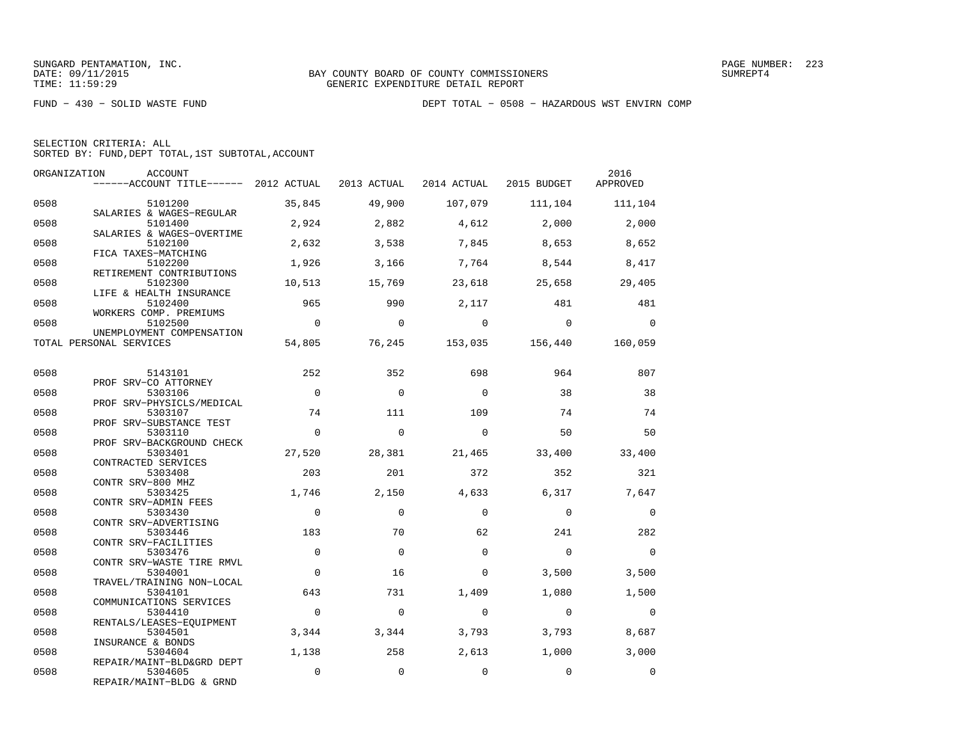|  | SELECTION CRITERIA: ALL |                                                    |  |
|--|-------------------------|----------------------------------------------------|--|
|  |                         | SORTED BY: FUND, DEPT TOTAL, 1ST SUBTOTAL, ACCOUNT |  |

|      | ORGANIZATION<br>ACCOUNT<br>------ACCOUNT TITLE------ 2012 ACTUAL 2013 ACTUAL 2014 ACTUAL 2015 BUDGET |                |                |             |                        | 2016<br>APPROVED |
|------|------------------------------------------------------------------------------------------------------|----------------|----------------|-------------|------------------------|------------------|
| 0508 | 5101200                                                                                              | 35,845         | 49,900         | 107,079     | 111,104                | 111,104          |
| 0508 | SALARIES & WAGES-REGULAR<br>5101400                                                                  | 2,924          | 2,882          | 4,612       | 2,000                  | 2,000            |
| 0508 | SALARIES & WAGES-OVERTIME<br>5102100                                                                 | 2,632          | 3,538          | 7,845       | 8,653                  | 8,652            |
| 0508 | FICA TAXES-MATCHING<br>5102200<br>RETIREMENT CONTRIBUTIONS                                           | 1,926          | 3,166          | 7,764       | 8,544                  | 8,417            |
| 0508 | 5102300<br>LIFE & HEALTH INSURANCE                                                                   | 10,513         | 15,769         | 23,618      | 25,658                 | 29,405           |
| 0508 | 5102400<br>WORKERS COMP. PREMIUMS                                                                    | 965            | 990            | 2,117       | 481                    | 481              |
| 0508 | 5102500<br>UNEMPLOYMENT COMPENSATION                                                                 | $\overline{0}$ | $\Omega$       | $\Omega$    | $\Omega$               | $\Omega$         |
|      | TOTAL PERSONAL SERVICES                                                                              | 54,805         |                |             | 76,245 153,035 156,440 | 160,059          |
| 0508 | 5143101                                                                                              | 252            | 352            | 698         | 964                    | 807              |
| 0508 | PROF SRV-CO ATTORNEY<br>5303106                                                                      | $\Omega$       | $\Omega$       | $\Omega$    | 38                     | 38               |
| 0508 | PROF SRV-PHYSICLS/MEDICAL<br>5303107                                                                 | 74             | 111            | 109         | 74                     | 74               |
| 0508 | PROF SRV-SUBSTANCE TEST<br>5303110<br>PROF SRV-BACKGROUND CHECK                                      | $\Omega$       | $\Omega$       | $\Omega$    | 50                     | 50               |
| 0508 | 5303401<br>CONTRACTED SERVICES                                                                       | 27,520         | 28,381         | 21,465      | 33,400                 | 33,400           |
| 0508 | 5303408<br>CONTR SRV-800 MHZ                                                                         | 203            | 201            | 372         | 352                    | 321              |
| 0508 | 5303425<br>CONTR SRV-ADMIN FEES                                                                      | 1,746          | 2,150          | 4,633       | 6,317                  | 7,647            |
| 0508 | 5303430<br>CONTR SRV-ADVERTISING                                                                     | $\mathbf 0$    | $\Omega$       | $\Omega$    | $\mathbf 0$            | $\mathbf 0$      |
| 0508 | 5303446<br>CONTR SRV-FACILITIES                                                                      | 183            | 70             | 62          | 241                    | 282              |
| 0508 | 5303476<br>CONTR SRV-WASTE TIRE RMVL                                                                 | $\mathbf 0$    | $\overline{0}$ | $\Omega$    | $\overline{0}$         | $\mathbf 0$      |
| 0508 | 5304001<br>TRAVEL/TRAINING NON-LOCAL                                                                 | $\Omega$       | 16             | $\Omega$    | 3,500                  | 3,500            |
| 0508 | 5304101<br>COMMUNICATIONS SERVICES                                                                   | 643            | 731            | 1,409       | 1,080                  | 1,500            |
| 0508 | 5304410<br>RENTALS/LEASES-EQUIPMENT                                                                  | $\Omega$       | $\Omega$       | $\Omega$    | $\Omega$               | $\mathbf 0$      |
| 0508 | 5304501<br>INSURANCE & BONDS                                                                         | 3,344          | 3,344          | 3,793       | 3,793                  | 8,687            |
| 0508 | 5304604<br>REPAIR/MAINT-BLD&GRD DEPT                                                                 | 1,138          | 258            | 2,613       | 1,000                  | 3,000            |
| 0508 | 5304605<br>REPAIR/MAINT-BLDG & GRND                                                                  | $\mathbf{0}$   | $\mathbf 0$    | $\mathbf 0$ | $\mathbf 0$            | $\mathbf{0}$     |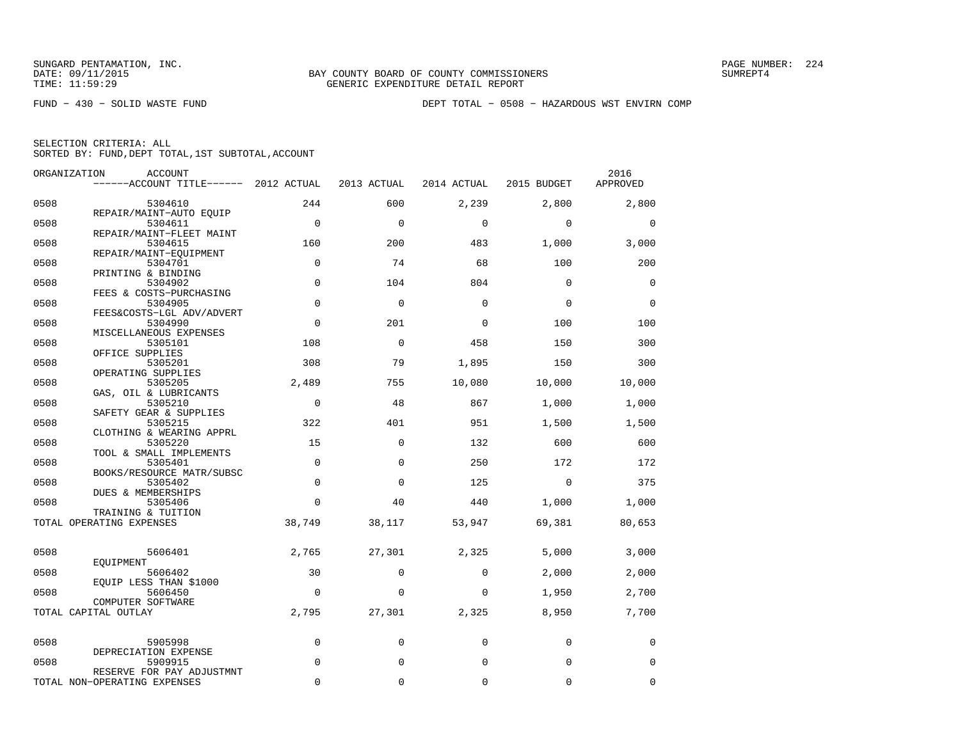|      | ORGANIZATION<br>ACCOUNT                                   |             |             |             |             | 2016     |
|------|-----------------------------------------------------------|-------------|-------------|-------------|-------------|----------|
|      | ------ACCOUNT TITLE------ 2012 ACTUAL                     |             | 2013 ACTUAL | 2014 ACTUAL | 2015 BUDGET | APPROVED |
| 0508 | 5304610                                                   | 244         | 600         | 2,239       | 2,800       | 2,800    |
| 0508 | REPAIR/MAINT-AUTO EOUIP<br>5304611                        | $\mathbf 0$ | $\Omega$    | $\mathbf 0$ | $\mathbf 0$ | 0        |
| 0508 | REPAIR/MAINT-FLEET MAINT<br>5304615                       | 160         | 200         | 483         | 1,000       | 3,000    |
| 0508 | REPAIR/MAINT-EQUIPMENT<br>5304701                         | $\mathbf 0$ | 74          | 68          | 100         | 200      |
| 0508 | PRINTING & BINDING<br>5304902                             | $\Omega$    | 104         | 804         | $\Omega$    | $\Omega$ |
| 0508 | FEES & COSTS-PURCHASING<br>5304905                        | $\Omega$    | $\Omega$    | 0           | $\Omega$    | $\Omega$ |
| 0508 | FEES&COSTS-LGL ADV/ADVERT<br>5304990                      | $\Omega$    | 201         | 0           | 100         | 100      |
| 0508 | MISCELLANEOUS EXPENSES<br>5305101                         | 108         | 0           | 458         | 150         | 300      |
| 0508 | OFFICE SUPPLIES<br>5305201                                | 308         | 79          | 1,895       | 150         | 300      |
| 0508 | OPERATING SUPPLIES<br>5305205                             | 2,489       | 755         | 10,080      | 10,000      | 10,000   |
| 0508 | GAS, OIL & LUBRICANTS<br>5305210                          | $\mathbf 0$ | 48          | 867         | 1,000       | 1,000    |
| 0508 | SAFETY GEAR & SUPPLIES<br>5305215                         | 322         | 401         | 951         | 1,500       | 1,500    |
| 0508 | CLOTHING & WEARING APPRL<br>5305220                       | 15          | $\mathbf 0$ | 132         | 600         | 600      |
| 0508 | TOOL & SMALL IMPLEMENTS<br>5305401                        | $\Omega$    | $\Omega$    | 250         | 172         | 172      |
| 0508 | BOOKS/RESOURCE MATR/SUBSC<br>5305402                      | $\Omega$    | $\Omega$    | 125         | $\mathbf 0$ | 375      |
| 0508 | DUES & MEMBERSHIPS<br>5305406                             | 0           | 40          | 440         | 1,000       | 1,000    |
|      | TRAINING & TUITION<br>TOTAL OPERATING EXPENSES            | 38,749      | 38,117      | 53,947      | 69,381      | 80,653   |
|      |                                                           |             |             |             |             |          |
| 0508 | 5606401<br>EOUIPMENT                                      | 2,765       | 27,301      | 2,325       | 5,000       | 3,000    |
| 0508 | 5606402<br>EQUIP LESS THAN \$1000                         | 30          | 0           | 0           | 2,000       | 2,000    |
| 0508 | 5606450<br>COMPUTER SOFTWARE                              | $\mathbf 0$ | 0           | 0           | 1,950       | 2,700    |
|      | TOTAL CAPITAL OUTLAY                                      | 2,795       | 27,301      | 2,325       | 8,950       | 7,700    |
| 0508 | 5905998                                                   | $\mathbf 0$ | 0           | 0           | $\mathbf 0$ | 0        |
| 0508 | DEPRECIATION EXPENSE<br>5909915                           | $\Omega$    | $\mathbf 0$ | $\mathbf 0$ | $\mathbf 0$ | 0        |
|      | RESERVE FOR PAY ADJUSTMNT<br>TOTAL NON-OPERATING EXPENSES | $\Omega$    | 0           | $\mathbf 0$ | 0           | 0        |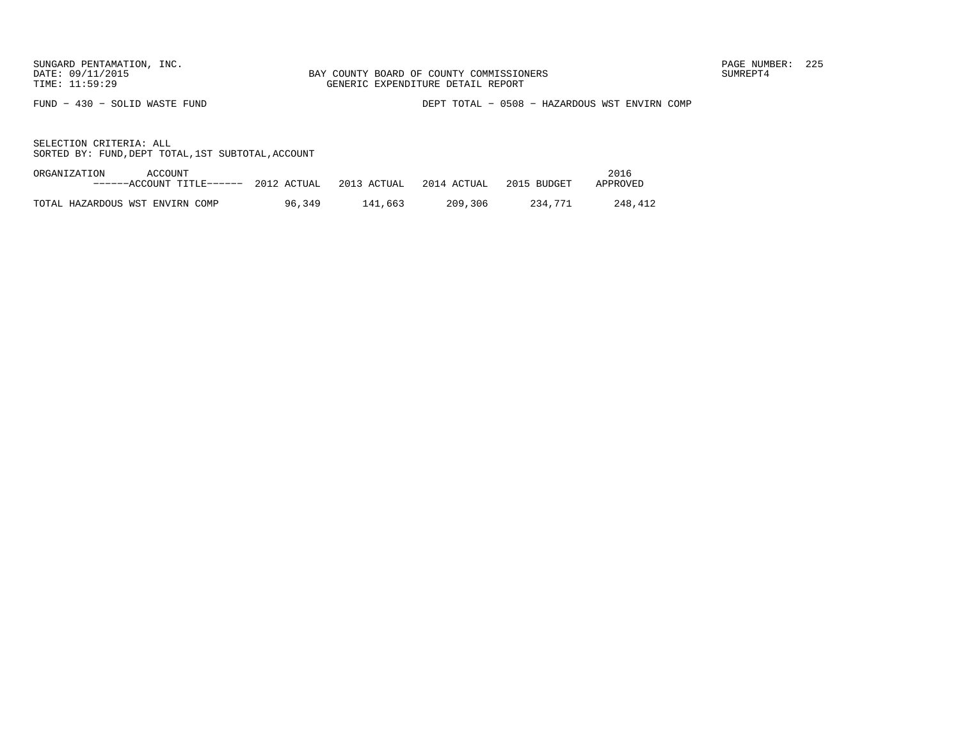FUND − 430 − SOLID WASTE FUND DEPT TOTAL − 0508 − HAZARDOUS WST ENVIRN COMP

| ORGANIZATION | ACCOUNT                         |             |             |             |             | 2016     |
|--------------|---------------------------------|-------------|-------------|-------------|-------------|----------|
|              | ------ACCOUNT TITLE------       | 2012 ACTUAL | 2013 ACTUAL | 2014 ACTUAL | 2015 BUDGET | APPROVED |
|              |                                 |             |             |             |             |          |
|              | TOTAL HAZARDOUS WST ENVIRN COMP | 96,349      | 141,663     | 209,306     | 234.771     | 248.412  |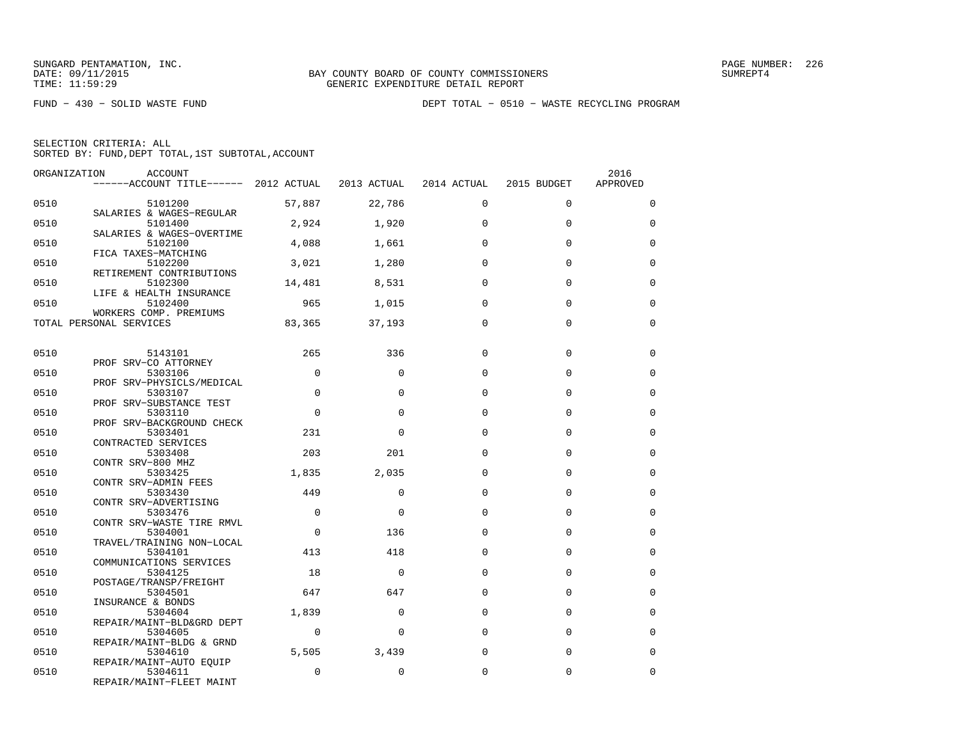FUND − 430 − SOLID WASTE FUND DEPT TOTAL − 0510 − WASTE RECYCLING PROGRAM

| SELECTION CRITERIA: ALL |  |  |                                                    |
|-------------------------|--|--|----------------------------------------------------|
|                         |  |  | SORTED BY: FUND, DEPT TOTAL, 1ST SUBTOTAL, ACCOUNT |

| ORGANIZATION | ACCOUNT<br>------ACCOUNT TITLE------ 2012 ACTUAL 2013 ACTUAL 2014 ACTUAL |             |             |             | 2015 BUDGET | 2016<br>APPROVED |
|--------------|--------------------------------------------------------------------------|-------------|-------------|-------------|-------------|------------------|
|              |                                                                          |             |             |             |             |                  |
| 0510         | 5101200<br>SALARIES & WAGES-REGULAR                                      | 57,887      | 22,786      | $\Omega$    | $\Omega$    | $\Omega$         |
| 0510         | 5101400                                                                  | 2,924       | 1,920       | $\Omega$    | $\Omega$    | $\Omega$         |
| 0510         | SALARIES & WAGES-OVERTIME<br>5102100                                     | 4,088       | 1,661       | $\Omega$    | 0           | $\mathbf 0$      |
| 0510         | FICA TAXES-MATCHING<br>5102200                                           | 3,021       | 1,280       | $\Omega$    | $\Omega$    | $\Omega$         |
| 0510         | RETIREMENT CONTRIBUTIONS<br>5102300                                      | 14,481      | 8,531       | $\Omega$    | $\Omega$    | $\Omega$         |
| 0510         | LIFE & HEALTH INSURANCE<br>5102400                                       | 965         | 1,015       | $\Omega$    | $\Omega$    | $\Omega$         |
|              | WORKERS COMP. PREMIUMS<br>TOTAL PERSONAL SERVICES                        | 83,365      | 37,193      | $\Omega$    | $\Omega$    | $\Omega$         |
|              |                                                                          |             |             |             |             |                  |
| 0510         | 5143101                                                                  | 265         | 336         | $\Omega$    | $\Omega$    | 0                |
| 0510         | PROF SRV-CO ATTORNEY<br>5303106                                          | $\Omega$    | $\Omega$    | $\Omega$    | $\Omega$    | $\mathbf 0$      |
| 0510         | PROF SRV-PHYSICLS/MEDICAL<br>5303107                                     | $\Omega$    | $\Omega$    | $\Omega$    | $\Omega$    | $\Omega$         |
| 0510         | PROF SRV-SUBSTANCE TEST<br>5303110                                       | $\Omega$    | $\Omega$    | $\Omega$    | $\Omega$    | $\Omega$         |
| 0510         | PROF SRV-BACKGROUND CHECK<br>5303401                                     | 231         | $\Omega$    | $\Omega$    | $\Omega$    | $\Omega$         |
| 0510         | CONTRACTED SERVICES<br>5303408                                           | 203         | 201         | $\Omega$    | $\Omega$    | $\Omega$         |
| 0510         | CONTR SRV-800 MHZ<br>5303425                                             | 1,835       | 2,035       | $\Omega$    | $\Omega$    | $\Omega$         |
| 0510         | CONTR SRV-ADMIN FEES<br>5303430                                          | 449         | $\Omega$    | $\Omega$    | $\Omega$    | 0                |
|              | CONTR SRV-ADVERTISING                                                    |             |             |             |             |                  |
| 0510         | 5303476<br>CONTR SRV-WASTE TIRE RMVL                                     | $\mathbf 0$ | $\Omega$    | $\Omega$    | 0           | $\mathbf 0$      |
| 0510         | 5304001<br>TRAVEL/TRAINING NON-LOCAL                                     | $\Omega$    | 136         | $\Omega$    | $\Omega$    | $\Omega$         |
| 0510         | 5304101                                                                  | 413         | 418         | $\Omega$    | $\Omega$    | 0                |
| 0510         | COMMUNICATIONS SERVICES<br>5304125                                       | 18          | $\mathbf 0$ | $\Omega$    | $\Omega$    | $\mathbf 0$      |
| 0510         | POSTAGE/TRANSP/FREIGHT<br>5304501                                        | 647         | 647         | $\Omega$    | $\Omega$    | $\Omega$         |
| 0510         | INSURANCE & BONDS<br>5304604                                             | 1,839       | $\Omega$    | $\Omega$    | $\Omega$    | $\Omega$         |
| 0510         | REPAIR/MAINT-BLD&GRD DEPT<br>5304605                                     | $\mathbf 0$ | $\mathbf 0$ | $\mathbf 0$ | 0           | $\mathbf 0$      |
|              | REPAIR/MAINT-BLDG & GRND                                                 |             |             |             |             |                  |
| 0510         | 5304610<br>REPAIR/MAINT-AUTO EQUIP                                       | 5,505       | 3,439       | $\Omega$    | $\Omega$    | $\Omega$         |
| 0510         | 5304611<br>REPAIR/MAINT-FLEET MAINT                                      | $\Omega$    | $\Omega$    | 0           | 0           | $\mathbf 0$      |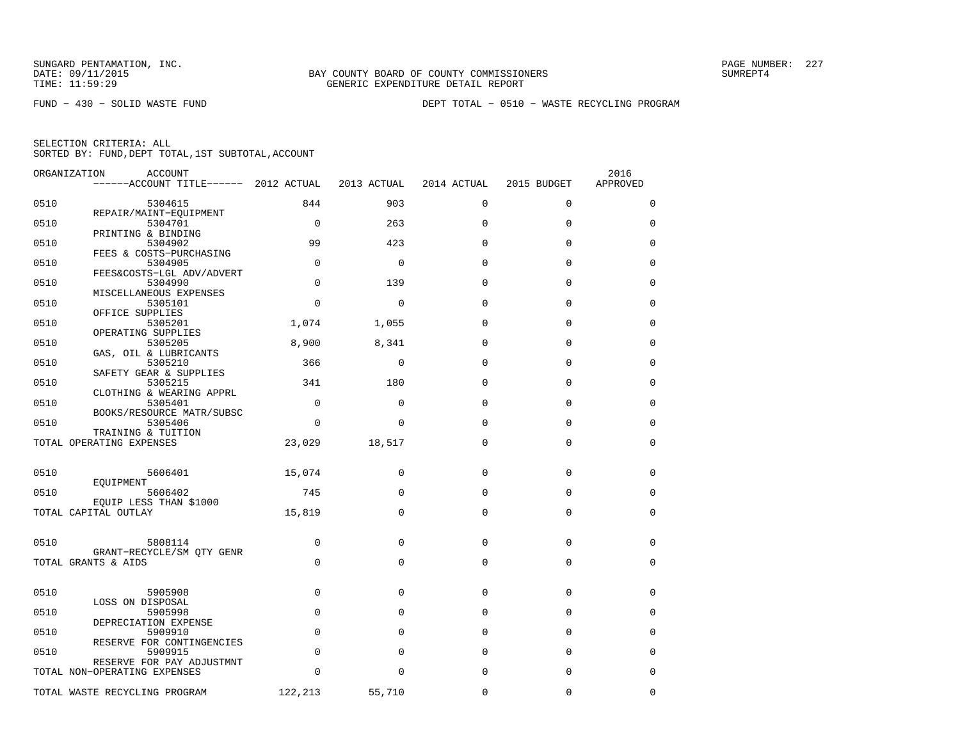FUND − 430 − SOLID WASTE FUND DEPT TOTAL − 0510 − WASTE RECYCLING PROGRAM

| SELECTION CRITERIA: ALL |  |  |                                                    |  |
|-------------------------|--|--|----------------------------------------------------|--|
|                         |  |  | SORTED BY: FUND, DEPT TOTAL, 1ST SUBTOTAL, ACCOUNT |  |

| ORGANIZATION | ACCOUNT                                                        |             |             |             |             | 2016        |
|--------------|----------------------------------------------------------------|-------------|-------------|-------------|-------------|-------------|
|              | ------ACCOUNT TITLE------ 2012 ACTUAL                          |             | 2013 ACTUAL | 2014 ACTUAL | 2015 BUDGET | APPROVED    |
| 0510         | 5304615<br>REPAIR/MAINT-EQUIPMENT                              | 844         | 903         | $\mathbf 0$ | $\mathbf 0$ | 0           |
| 0510         | 5304701                                                        | $\mathbf 0$ | 263         | 0           | 0           | $\Omega$    |
| 0510         | PRINTING & BINDING<br>5304902                                  | 99          | 423         | $\Omega$    | $\Omega$    | $\Omega$    |
| 0510         | FEES & COSTS-PURCHASING<br>5304905                             | $\mathbf 0$ | $\mathbf 0$ | $\Omega$    | $\Omega$    | 0           |
| 0510         | FEES&COSTS-LGL ADV/ADVERT<br>5304990<br>MISCELLANEOUS EXPENSES | $\Omega$    | 139         | $\Omega$    | $\Omega$    | $\Omega$    |
| 0510         | 5305101<br>OFFICE SUPPLIES                                     | $\mathbf 0$ | $\mathbf 0$ | $\mathbf 0$ | 0           | 0           |
| 0510         | 5305201<br>OPERATING SUPPLIES                                  | 1,074       | 1,055       | $\Omega$    | $\Omega$    | 0           |
| 0510         | 5305205<br>GAS, OIL & LUBRICANTS                               | 8,900       | 8,341       | $\Omega$    | $\Omega$    | $\Omega$    |
| 0510         | 5305210<br>SAFETY GEAR & SUPPLIES                              | 366         | $\mathbf 0$ | $\Omega$    | $\Omega$    | $\Omega$    |
| 0510         | 5305215<br>CLOTHING & WEARING APPRL                            | 341         | 180         | 0           | $\Omega$    | $\Omega$    |
| 0510         | 5305401<br>BOOKS/RESOURCE MATR/SUBSC                           | $\mathbf 0$ | $\mathbf 0$ | $\mathbf 0$ | $\mathbf 0$ | 0           |
| 0510         | 5305406<br>TRAINING & TUITION                                  | $\Omega$    | $\Omega$    | $\Omega$    | $\Omega$    | $\Omega$    |
|              | TOTAL OPERATING EXPENSES                                       | 23,029      | 18,517      | $\Omega$    | $\Omega$    | $\Omega$    |
| 0510         | 5606401                                                        | 15,074      | $\mathbf 0$ | $\Omega$    | 0           | 0           |
| 0510         | EOUIPMENT<br>5606402<br>EQUIP LESS THAN \$1000                 | 745         | $\Omega$    | $\Omega$    | $\Omega$    | $\Omega$    |
|              | TOTAL CAPITAL OUTLAY                                           | 15,819      | $\Omega$    | $\mathbf 0$ | $\mathbf 0$ | 0           |
| 0510         | 5808114                                                        | $\mathbf 0$ | $\mathbf 0$ | $\mathbf 0$ | 0           | 0           |
|              | GRANT-RECYCLE/SM QTY GENR<br>TOTAL GRANTS & AIDS               | $\Omega$    | $\Omega$    | $\mathbf 0$ | $\mathbf 0$ | $\mathbf 0$ |
|              |                                                                |             |             |             |             |             |
| 0510         | 5905908<br>LOSS ON DISPOSAL                                    | $\mathbf 0$ | $\mathbf 0$ | $\mathbf 0$ | $\mathbf 0$ | 0           |
| 0510         | 5905998<br>DEPRECIATION EXPENSE                                | $\mathbf 0$ | $\Omega$    | $\Omega$    | $\Omega$    | 0           |
| 0510         | 5909910<br>RESERVE FOR CONTINGENCIES                           | $\Omega$    | $\Omega$    | $\Omega$    | $\Omega$    | $\Omega$    |
| 0510         | 5909915<br>RESERVE FOR PAY ADJUSTMNT                           | $\mathbf 0$ | $\mathbf 0$ | $\mathbf 0$ | $\mathbf 0$ | 0           |
|              | TOTAL NON-OPERATING EXPENSES                                   | $\Omega$    | $\Omega$    | 0           | 0           | $\Omega$    |
|              | TOTAL WASTE RECYCLING PROGRAM                                  | 122,213     | 55,710      | 0           | $\mathbf 0$ | $\Omega$    |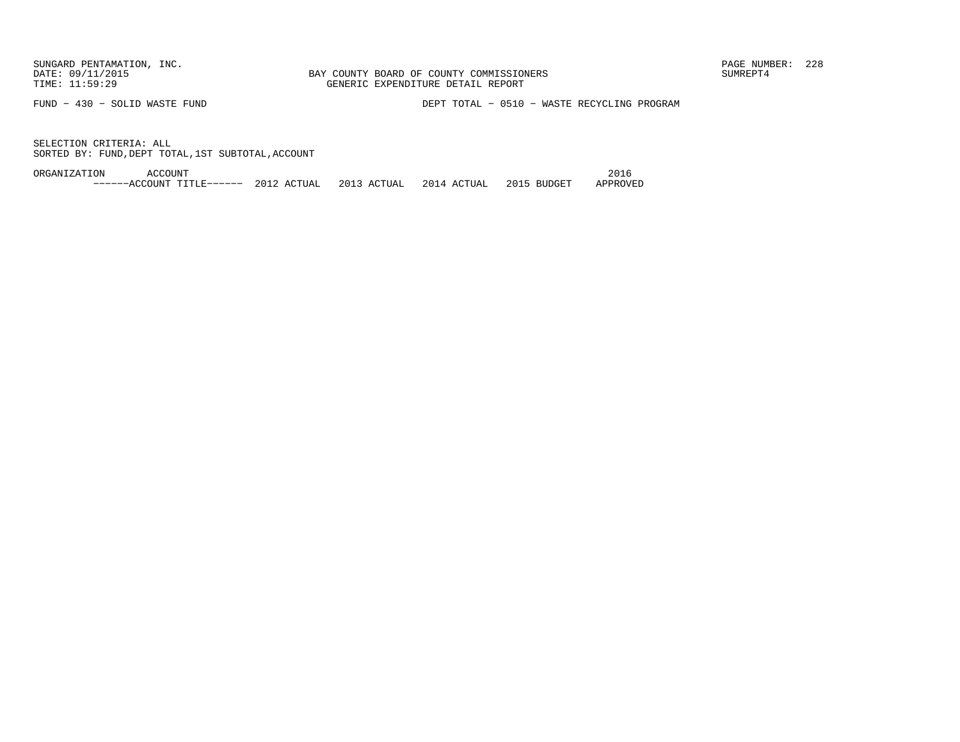FUND − 430 − SOLID WASTE FUND DEPT TOTAL − 0510 − WASTE RECYCLING PROGRAM

SELECTION CRITERIA: ALLSORTED BY: FUND,DEPT TOTAL,1ST SUBTOTAL,ACCOUNT

ORGANIZATION ACCOUNT 2016−−−−−−ACCOUNT TITLE−−−−−− 2012 ACTUAL 2013 ACTUAL 2014 ACTUAL 2015 BUDGET APPROVED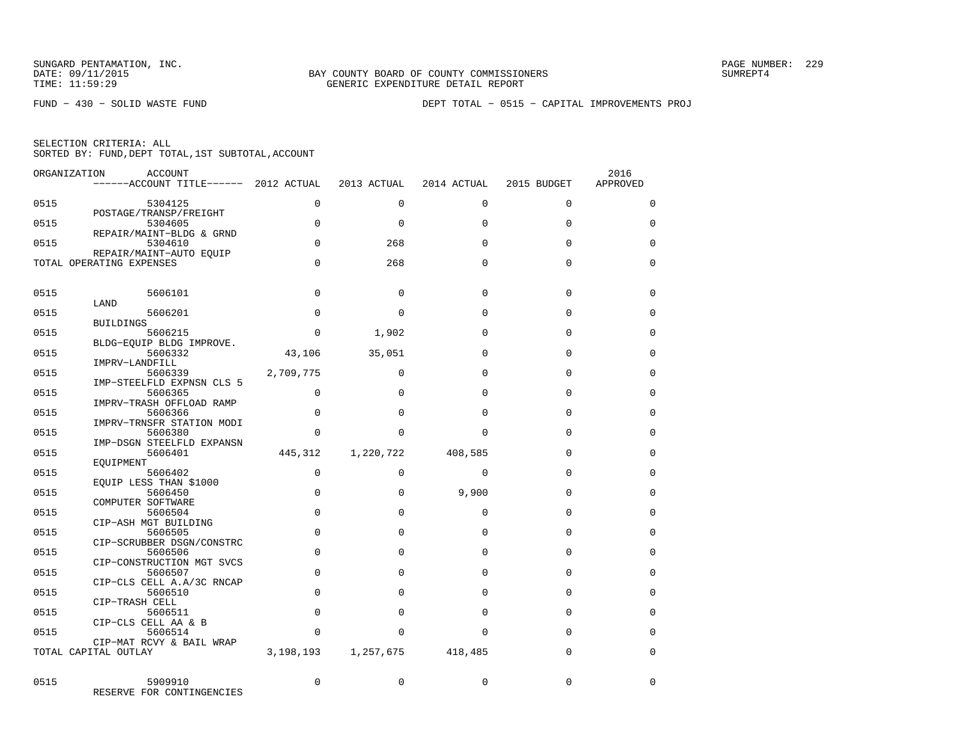FUND − 430 − SOLID WASTE FUND DEPT TOTAL − 0515 − CAPITAL IMPROVEMENTS PROJ

| ORGANIZATION | ACCOUNT<br>------ACCOUNT TITLE------ 2012 ACTUAL    |             | 2013 ACTUAL | 2014 ACTUAL | 2015 BUDGET | 2016<br>APPROVED |
|--------------|-----------------------------------------------------|-------------|-------------|-------------|-------------|------------------|
| 0515         | 5304125                                             | $\Omega$    | $\Omega$    | $\Omega$    | $\Omega$    | $\Omega$         |
| 0515         | POSTAGE/TRANSP/FREIGHT<br>5304605                   | $\Omega$    | $\Omega$    | $\Omega$    | $\Omega$    | $\Omega$         |
| 0515         | REPAIR/MAINT-BLDG & GRND<br>5304610                 | $\Omega$    | 268         | $\Omega$    | $\Omega$    | $\Omega$         |
|              | REPAIR/MAINT-AUTO EQUIP<br>TOTAL OPERATING EXPENSES | $\Omega$    | 268         | $\Omega$    | $\Omega$    | $\Omega$         |
| 0515         | 5606101                                             | $\Omega$    | $\Omega$    | $\Omega$    | $\Omega$    | $\Omega$         |
| 0515         | LAND<br>5606201                                     | $\Omega$    | $\Omega$    | $\Omega$    | $\mathbf 0$ | 0                |
|              | <b>BUILDINGS</b>                                    |             |             |             |             |                  |
| 0515         | 5606215<br>BLDG-EOUIP BLDG IMPROVE.                 | $\Omega$    | 1,902       | $\Omega$    | $\Omega$    | $\Omega$         |
| 0515         | 5606332<br>IMPRV-LANDFILL                           | 43,106      | 35,051      | $\Omega$    | $\Omega$    | $\Omega$         |
| 0515         | 5606339                                             | 2,709,775   | $\Omega$    | $\Omega$    | $\Omega$    | $\Omega$         |
| 0515         | IMP-STEELFLD EXPNSN CLS 5<br>5606365                | $\Omega$    | $\Omega$    | $\Omega$    | $\Omega$    | $\mathbf 0$      |
| 0515         | IMPRV-TRASH OFFLOAD RAMP<br>5606366                 | $\Omega$    | $\Omega$    | $\Omega$    | $\Omega$    | $\Omega$         |
| 0515         | IMPRV-TRNSFR STATION MODI<br>5606380                | $\Omega$    | $\Omega$    | $\Omega$    | $\Omega$    | $\mathbf 0$      |
| 0515         | IMP-DSGN STEELFLD EXPANSN<br>5606401                | 445,312     | 1,220,722   | 408,585     | $\Omega$    | $\Omega$         |
| 0515         | EOUIPMENT<br>5606402                                | $\Omega$    | $\Omega$    | $\Omega$    | $\Omega$    | $\Omega$         |
| 0515         | EQUIP LESS THAN \$1000<br>5606450                   | $\Omega$    | $\Omega$    | 9,900       | $\Omega$    | $\Omega$         |
|              | COMPUTER SOFTWARE                                   |             |             |             |             |                  |
| 0515         | 5606504<br>CIP-ASH MGT BUILDING                     | $\Omega$    | $\Omega$    | $\Omega$    | $\Omega$    | $\Omega$         |
| 0515         | 5606505<br>CIP-SCRUBBER DSGN/CONSTRC                | $\Omega$    | $\Omega$    | $\Omega$    | $\Omega$    | $\Omega$         |
| 0515         | 5606506                                             | $\mathbf 0$ | $\Omega$    | $\Omega$    | $\Omega$    | $\Omega$         |
| 0515         | CIP-CONSTRUCTION MGT SVCS<br>5606507                | $\mathbf 0$ | $\Omega$    | $\Omega$    | $\Omega$    | 0                |
| 0515         | CIP-CLS CELL A.A/3C RNCAP<br>5606510                | $\Omega$    | $\Omega$    | $\Omega$    | $\Omega$    | $\Omega$         |
| 0515         | CIP-TRASH CELL<br>5606511                           | $\Omega$    | $\Omega$    | $\Omega$    | 0           | 0                |
|              | CIP-CLS CELL AA & B                                 |             |             |             |             |                  |
| 0515         | 5606514<br>CIP-MAT RCVY & BAIL WRAP                 | $\Omega$    | $\Omega$    | $\Omega$    | $\Omega$    | $\Omega$         |
|              | TOTAL CAPITAL OUTLAY                                | 3,198,193   | 1,257,675   | 418,485     | $\mathbf 0$ | $\mathbf 0$      |
| 0515         | 5909910<br>RESERVE FOR CONTINGENCIES                | $\Omega$    | $\Omega$    | $\Omega$    | $\Omega$    | $\Omega$         |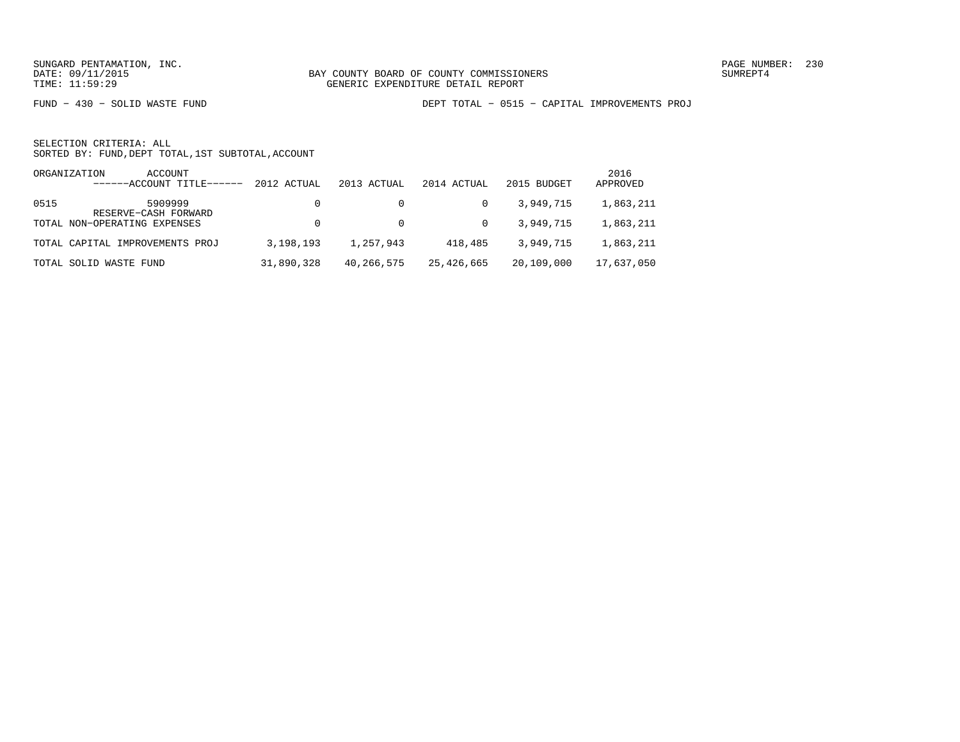FUND − 430 − SOLID WASTE FUND DEPT TOTAL − 0515 − CAPITAL IMPROVEMENTS PROJ

|      | ACCOUNT<br>ORGANIZATION<br>$---ACCOINT TITLE---$ | 2012 ACTUAL | 2013 ACTUAL | 2014 ACTUAL | 2015 BUDGET | 2016<br>APPROVED |
|------|--------------------------------------------------|-------------|-------------|-------------|-------------|------------------|
| 0515 | 5909999<br>RESERVE-CASH FORWARD                  |             |             |             | 3,949,715   | 1,863,211        |
|      | TOTAL NON-OPERATING EXPENSES                     |             |             | $\Omega$    | 3,949,715   | 1,863,211        |
|      | TOTAL CAPITAL IMPROVEMENTS PROJ                  | 3,198,193   | 1,257,943   | 418,485     | 3,949,715   | 1,863,211        |
|      | TOTAL SOLID WASTE FUND                           | 31,890,328  | 40,266,575  | 25,426,665  | 20,109,000  | 17,637,050       |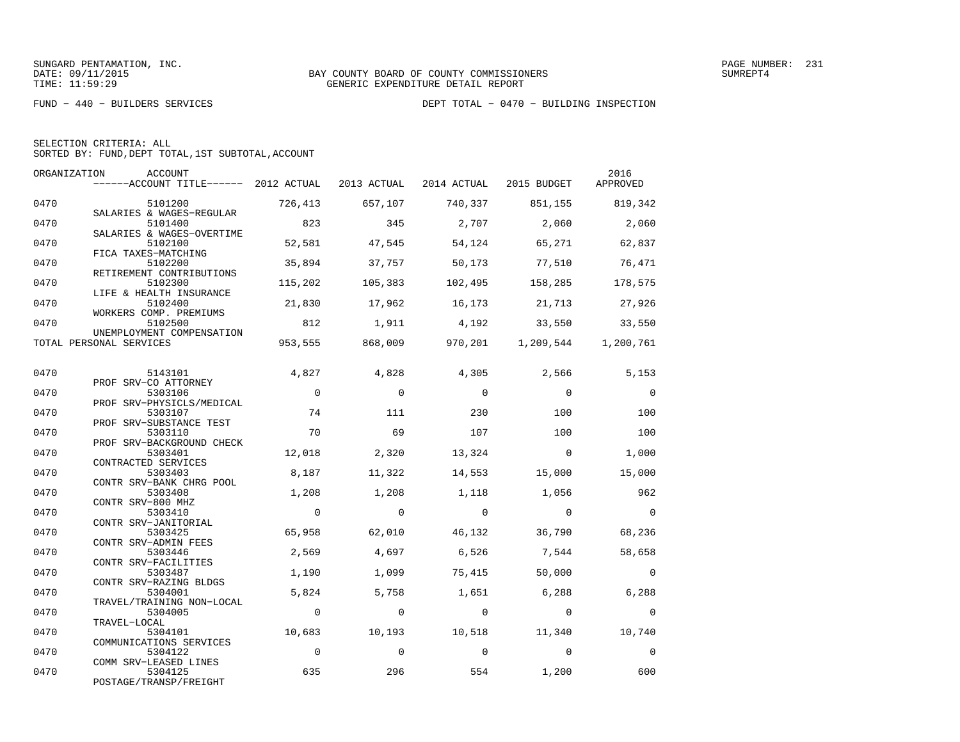|  | SELECTION CRITERIA: ALL                            |  |  |
|--|----------------------------------------------------|--|--|
|  | SORTED BY: FUND, DEPT TOTAL, 1ST SUBTOTAL, ACCOUNT |  |  |

| ORGANIZATION | ACCOUNT<br>------ACCOUNT TITLE------ 2012 ACTUAL 2013 ACTUAL 2014 ACTUAL 2015 BUDGET |                |                |                         |                         | 2016<br>APPROVED |
|--------------|--------------------------------------------------------------------------------------|----------------|----------------|-------------------------|-------------------------|------------------|
| 0470         | 5101200                                                                              | 726,413        | 657,107        |                         | 740,337 851,155 819,342 |                  |
| 0470         | SALARIES & WAGES-REGULAR<br>5101400<br>SALARIES & WAGES-OVERTIME                     | 823            | 345            | 2,707                   | 2,060                   | 2,060            |
| 0470         | 5102100<br>FICA TAXES-MATCHING                                                       | 52,581         | 47,545         | 54,124                  | 65,271                  | 62,837           |
| 0470         | 5102200<br>RETIREMENT CONTRIBUTIONS                                                  | 35,894         | 37,757         | 50,173                  | 77,510                  | 76,471           |
| 0470         | 5102300<br>LIFE & HEALTH INSURANCE                                                   | 115,202        | 105,383        | 102,495                 | 158,285                 | 178,575          |
| 0470         | 5102400<br>WORKERS COMP. PREMIUMS                                                    | 21,830         | 17,962         | 16,173                  | 21,713                  | 27,926           |
| 0470         | 5102500<br>UNEMPLOYMENT COMPENSATION                                                 | 812            | 1,911          | 4,192                   | 33,550                  | 33,550           |
|              | TOTAL PERSONAL SERVICES                                                              |                |                | 953,555 868,009 970,201 | 1,209,544               | 1,200,761        |
| 0470         | 5143101<br>PROF SRV-CO ATTORNEY                                                      | 4,827          | 4,828          | 4,305                   | 2,566                   | 5,153            |
| 0470         | 5303106<br>PROF SRV-PHYSICLS/MEDICAL                                                 | $\mathbf{0}$   | $\Omega$       | $\Omega$                | $\Omega$                | $\overline{0}$   |
| 0470         | 5303107<br>PROF SRV-SUBSTANCE TEST                                                   | 74             | 111            | 230                     | 100                     | 100              |
| 0470         | 5303110<br>PROF SRV-BACKGROUND CHECK                                                 | 70             | 69             | 107                     | 100                     | 100              |
| 0470         | 5303401<br>CONTRACTED SERVICES                                                       | 12,018         | 2,320          | 13,324                  | $\overline{0}$          | 1,000            |
| 0470         | 5303403<br>CONTR SRV-BANK CHRG POOL                                                  | 8,187          | 11,322         | 14,553                  | 15,000                  | 15,000           |
| 0470         | 5303408<br>CONTR SRV-800 MHZ                                                         | 1,208          | 1,208          | 1,118                   | 1,056                   | 962              |
| 0470         | 5303410<br>CONTR SRV-JANITORIAL                                                      | $\overline{0}$ | $\overline{0}$ | $\overline{0}$          | $\overline{0}$          | $\overline{0}$   |
| 0470         | 5303425<br>CONTR SRV-ADMIN FEES                                                      | 65,958         | 62,010         | 46,132                  | 36,790                  | 68,236           |
| 0470         | 5303446<br>CONTR SRV-FACILITIES                                                      | 2,569          | 4,697          | 6,526                   | 7,544                   | 58,658           |
| 0470         | 5303487<br>CONTR SRV-RAZING BLDGS                                                    | 1,190          | 1,099          | 75,415                  | 50,000                  | $\overline{0}$   |
| 0470         | 5304001<br>TRAVEL/TRAINING NON-LOCAL                                                 | 5,824          | 5,758          | 1,651                   | 6,288                   | 6,288            |
| 0470         | 5304005<br>TRAVEL-LOCAL                                                              | $\overline{0}$ | $\mathbf 0$    | $\overline{0}$          | $\overline{0}$          | $\overline{0}$   |
| 0470         | 5304101<br>COMMUNICATIONS SERVICES                                                   | 10,683         | 10,193         | 10,518                  | 11,340                  | 10,740           |
| 0470         | 5304122<br>COMM SRV-LEASED LINES                                                     | $\overline{0}$ | $\Omega$       | $\Omega$                | $\Omega$                | $\overline{0}$   |
| 0470         | 5304125<br>POSTAGE/TRANSP/FREIGHT                                                    | 635            | 296            | 554                     | 1,200                   | 600              |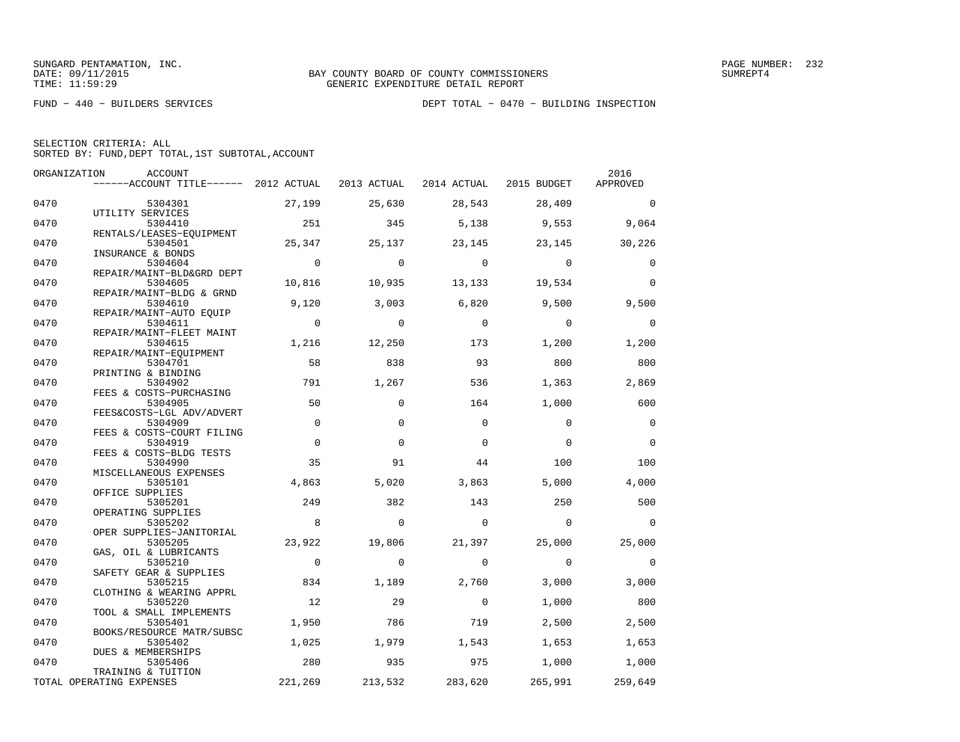| ORGANIZATION | ACCOUNT                                        |              |             |              |                | 2016        |
|--------------|------------------------------------------------|--------------|-------------|--------------|----------------|-------------|
|              | ------ACCOUNT TITLE------ 2012 ACTUAL          |              | 2013 ACTUAL | 2014 ACTUAL  | 2015 BUDGET    | APPROVED    |
| 0470         | 5304301                                        | 27,199       | 25,630      | 28,543       | 28,409         | $\Omega$    |
| 0470         | UTILITY SERVICES<br>5304410                    | 251          | 345         | 5,138        | 9,553          | 9,064       |
|              | RENTALS/LEASES-EOUIPMENT                       |              |             |              |                |             |
| 0470         | 5304501<br>INSURANCE & BONDS                   | 25,347       | 25,137      | 23,145       | 23,145         | 30,226      |
| 0470         | 5304604                                        | $\mathbf{0}$ | $\Omega$    | $\bigcirc$   | $\overline{0}$ | $\Omega$    |
| 0470         | REPAIR/MAINT-BLD&GRD DEPT<br>5304605           | 10,816       | 10,935      | 13,133       | 19,534         | $\Omega$    |
|              | REPAIR/MAINT-BLDG & GRND                       |              |             |              |                |             |
| 0470         | 5304610                                        | 9,120        | 3,003       | 6,820        | 9,500          | 9,500       |
|              | REPAIR/MAINT-AUTO EQUIP                        |              |             |              |                |             |
| 0470         | 5304611                                        | $\mathbf 0$  | $\mathbf 0$ | $\mathbf{0}$ | $\mathbf 0$    | $\mathbf 0$ |
|              | REPAIR/MAINT-FLEET MAINT                       |              |             |              |                |             |
| 0470         | 5304615                                        | 1,216        | 12,250      | 173          | 1,200          | 1,200       |
| 0470         | REPAIR/MAINT-EQUIPMENT<br>5304701              | 58           | 838         | 93           | 800            | 800         |
|              | PRINTING & BINDING                             |              |             |              |                |             |
| 0470         | 5304902                                        | 791          | 1,267       | 536          | 1,363          | 2,869       |
|              | FEES & COSTS-PURCHASING                        |              |             |              |                |             |
| 0470         | 5304905                                        | 50           | $\Omega$    | 164          | 1,000          | 600         |
|              | FEES&COSTS-LGL ADV/ADVERT                      |              |             |              |                |             |
| 0470         | 5304909                                        | $\Omega$     | $\Omega$    | $\Omega$     | $\Omega$       | $\Omega$    |
| 0470         | FEES & COSTS-COURT FILING<br>5304919           | $\mathbf 0$  | $\Omega$    | $\Omega$     | $\Omega$       | $\Omega$    |
|              | FEES & COSTS-BLDG TESTS                        |              |             |              |                |             |
| 0470         | 5304990                                        | 35           | 91          | 44           | 100            | 100         |
|              | MISCELLANEOUS EXPENSES                         |              |             |              |                |             |
| 0470         | 5305101                                        | 4,863        | 5,020       | 3,863        | 5,000          | 4,000       |
|              | OFFICE SUPPLIES                                |              |             |              |                |             |
| 0470         | 5305201                                        | 249          | 382         | 143          | 250            | 500         |
|              | OPERATING SUPPLIES                             |              |             |              |                |             |
| 0470         | 5305202                                        | 8            | $\mathbf 0$ | $\mathbf 0$  | $\overline{0}$ | $\Omega$    |
|              | OPER SUPPLIES-JANITORIAL                       |              |             |              |                |             |
| 0470         | 5305205                                        | 23,922       | 19,806      | 21,397       | 25,000         | 25,000      |
|              | GAS, OIL & LUBRICANTS                          |              |             |              |                |             |
| 0470         | 5305210                                        | $\mathbf 0$  | $\mathbf 0$ | $\mathbf 0$  | $\mathbf 0$    | $\mathbf 0$ |
|              | SAFETY GEAR & SUPPLIES                         |              |             |              |                |             |
| 0470         | 5305215                                        | 834          | 1,189       | 2,760        | 3,000          | 3,000       |
|              | CLOTHING & WEARING APPRL                       |              |             |              |                |             |
| 0470         | 5305220                                        | 12           | 29          | $\Omega$     | 1,000          | 800         |
|              | TOOL & SMALL IMPLEMENTS                        |              |             |              |                |             |
| 0470         | 5305401                                        | 1,950        | 786         | 719          | 2,500          | 2,500       |
|              | BOOKS/RESOURCE MATR/SUBSC                      |              |             |              |                |             |
| 0470         | 5305402                                        | 1,025        | 1,979       | 1,543        | 1,653          | 1,653       |
|              | DUES & MEMBERSHIPS                             |              |             |              |                |             |
| 0470         | 5305406                                        | 280          | 935         | 975          | 1,000          | 1,000       |
|              | TRAINING & TUITION<br>TOTAL OPERATING EXPENSES | 221,269      |             | 283,620      |                | 259,649     |
|              |                                                |              | 213,532     |              | 265,991        |             |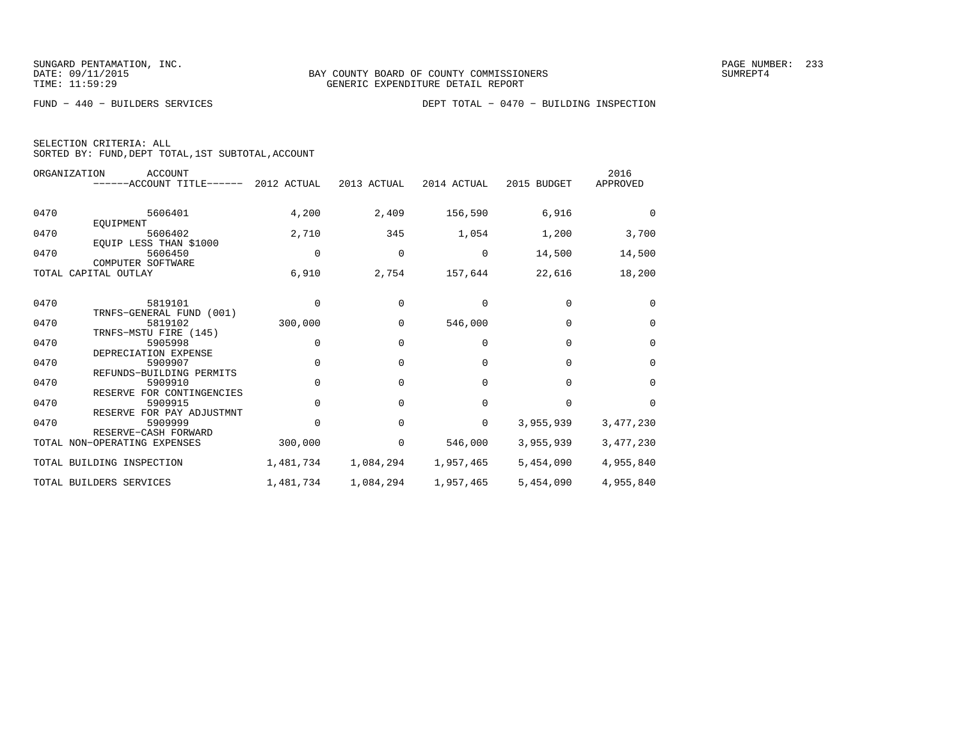|  | SELECTION CRITERIA: ALL |  |                                                    |  |
|--|-------------------------|--|----------------------------------------------------|--|
|  |                         |  | SORTED BY: FUND, DEPT TOTAL, 1ST SUBTOTAL, ACCOUNT |  |

|      | ORGANIZATION<br><b>ACCOUNT</b><br>$----ACCOUNT$ TITLE $----$ 2012 ACTUAL |             | 2013 ACTUAL | 2014 ACTUAL | 2015 BUDGET | 2016<br>APPROVED |
|------|--------------------------------------------------------------------------|-------------|-------------|-------------|-------------|------------------|
| 0470 | 5606401<br>EQUIPMENT                                                     | 4,200       | 2,409       | 156,590     | 6,916       | $\Omega$         |
| 0470 | 5606402<br>EQUIP LESS THAN \$1000                                        | 2,710       | 345         | 1,054       | 1,200       | 3,700            |
| 0470 | 5606450<br>COMPUTER SOFTWARE                                             | $\mathbf 0$ | 0           | 0           | 14,500      | 14,500           |
|      | TOTAL CAPITAL OUTLAY                                                     | 6,910       | 2,754       | 157,644     | 22,616      | 18,200           |
| 0470 | 5819101<br>TRNFS-GENERAL FUND (001)                                      | $\Omega$    | $\Omega$    | $\Omega$    | $\Omega$    | $\Omega$         |
| 0470 | 5819102                                                                  | 300,000     | 0           | 546,000     | $\mathbf 0$ | $\mathbf 0$      |
| 0470 | TRNFS-MSTU FIRE (145)<br>5905998<br>DEPRECIATION EXPENSE                 | 0           | 0           | $\Omega$    | $\Omega$    | 0                |
| 0470 | 5909907<br>REFUNDS-BUILDING PERMITS                                      | $\Omega$    | $\Omega$    | $\Omega$    | $\Omega$    | $\Omega$         |
| 0470 | 5909910<br>RESERVE FOR CONTINGENCIES                                     | $\mathbf 0$ | 0           | $\mathbf 0$ | $\Omega$    | $\mathbf 0$      |
| 0470 | 5909915<br>RESERVE FOR PAY ADJUSTMNT                                     | $\Omega$    | $\Omega$    | $\Omega$    | $\Omega$    | $\Omega$         |
| 0470 | 5909999<br>RESERVE-CASH FORWARD                                          | $\Omega$    | $\Omega$    | 0           | 3,955,939   | 3,477,230        |
|      | TOTAL NON-OPERATING EXPENSES                                             | 300,000     | 0           | 546,000     | 3,955,939   | 3,477,230        |
|      | TOTAL BUILDING INSPECTION                                                | 1,481,734   | 1,084,294   | 1,957,465   | 5,454,090   | 4,955,840        |
|      | TOTAL BUILDERS SERVICES                                                  | 1,481,734   | 1,084,294   | 1,957,465   | 5,454,090   | 4,955,840        |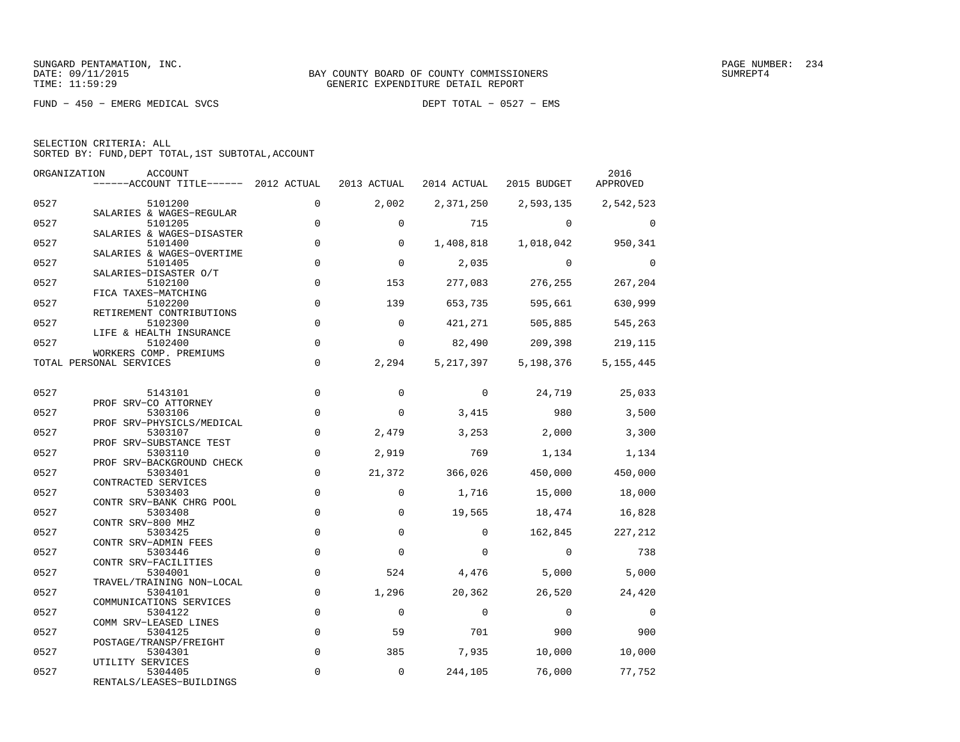FUND − 450 − EMERG MEDICAL SVCS DEPT TOTAL − 0527 − EMS

| SELECTION CRITERIA: ALL                            |  |
|----------------------------------------------------|--|
| SORTED BY: FUND, DEPT TOTAL, 1ST SUBTOTAL, ACCOUNT |  |

| ORGANIZATION | ACCOUNT<br>------ACCOUNT TITLE------ 2012 ACTUAL                  |                            | 2013 ACTUAL  | 2014 ACTUAL     | 2015 BUDGET     | 2016<br>APPROVED |
|--------------|-------------------------------------------------------------------|----------------------------|--------------|-----------------|-----------------|------------------|
| 0527         | 5101200                                                           | $\Omega$                   | 2,002        | 2,371,250       | 2,593,135       | 2,542,523        |
| 0527         | SALARIES & WAGES-REGULAR<br>5101205                               | $\mathbf 0$                | $\Omega$     | 715             | $\Omega$        | $\Omega$         |
| 0527         | SALARIES & WAGES-DISASTER<br>5101400<br>SALARIES & WAGES-OVERTIME | $\mathbf 0$                | $\Omega$     | 1,408,818       | 1,018,042       | 950,341          |
| 0527         | 5101405<br>SALARIES-DISASTER O/T                                  | $\mathbf 0$                | $\mathbf 0$  | 2,035           | $\Omega$        | $\Omega$         |
| 0527         | 5102100<br>FICA TAXES-MATCHING                                    | $\mathbf 0$                | 153          | 277,083         | 276,255         | 267,204          |
| 0527         | 5102200<br>RETIREMENT CONTRIBUTIONS                               | $\mathbf 0$                | 139          | 653,735         | 595,661         | 630,999          |
| 0527         | 5102300<br>LIFE & HEALTH INSURANCE                                | $\mathbf 0$                | $\Omega$     | 421,271         | 505,885         | 545,263          |
| 0527         | 5102400<br>WORKERS COMP. PREMIUMS                                 | $\mathbf 0$                | $\mathbf 0$  | 82,490          | 209,398         | 219,115          |
|              | TOTAL PERSONAL SERVICES                                           | $\mathbf 0$                | 2,294        | 5, 217, 397     | 5,198,376       | 5, 155, 445      |
| 0527         | 5143101                                                           | $\mathbf 0$                | $\mathbf 0$  | $\Omega$        | 24,719          | 25,033           |
| 0527         | PROF SRV-CO ATTORNEY<br>5303106<br>PROF SRV-PHYSICLS/MEDICAL      | $\mathbf 0$                | $\Omega$     | 3,415           | 980             | 3,500            |
| 0527         | 5303107<br>PROF SRV-SUBSTANCE TEST                                | $\mathbf 0$                | 2,479        | 3,253           | 2,000           | 3,300            |
| 0527         | 5303110<br>PROF SRV-BACKGROUND CHECK                              | $\mathbf 0$                | 2,919        | 769             | 1,134           | 1,134            |
| 0527         | 5303401<br>CONTRACTED SERVICES                                    | $\mathbf 0$                | 21,372       | 366,026         | 450,000         | 450,000          |
| 0527         | 5303403<br>CONTR SRV-BANK CHRG POOL                               | $\mathbf 0$                | $\Omega$     | 1,716           | 15,000          | 18,000           |
| 0527         | 5303408<br>CONTR SRV-800 MHZ                                      | $\mathbf 0$                | $\mathbf 0$  | 19,565          | 18,474          | 16,828           |
| 0527         | 5303425<br>CONTR SRV-ADMIN FEES                                   | $\mathbf 0$                | $\mathbf 0$  | $\mathbf 0$     | 162,845         | 227,212          |
| 0527         | 5303446<br>CONTR SRV-FACILITIES                                   | $\mathbf 0$<br>$\mathbf 0$ | $\Omega$     | $\Omega$        | $\Omega$        | 738              |
| 0527<br>0527 | 5304001<br>TRAVEL/TRAINING NON-LOCAL<br>5304101                   | $\mathbf 0$                | 524<br>1,296 | 4,476<br>20,362 | 5,000<br>26,520 | 5,000<br>24,420  |
| 0527         | COMMUNICATIONS SERVICES<br>5304122                                | $\mathbf 0$                | $\mathbf 0$  | $\mathbf 0$     | $\mathbf 0$     | $\mathbf 0$      |
| 0527         | COMM SRV-LEASED LINES<br>5304125                                  | $\mathbf 0$                | 59           | 701             | 900             | 900              |
| 0527         | POSTAGE/TRANSP/FREIGHT<br>5304301                                 | $\mathbf 0$                | 385          | 7,935           | 10,000          | 10,000           |
| 0527         | UTILITY SERVICES<br>5304405<br>RENTALS/LEASES-BUILDINGS           | 0                          | $\mathbf 0$  | 244,105         | 76,000          | 77,752           |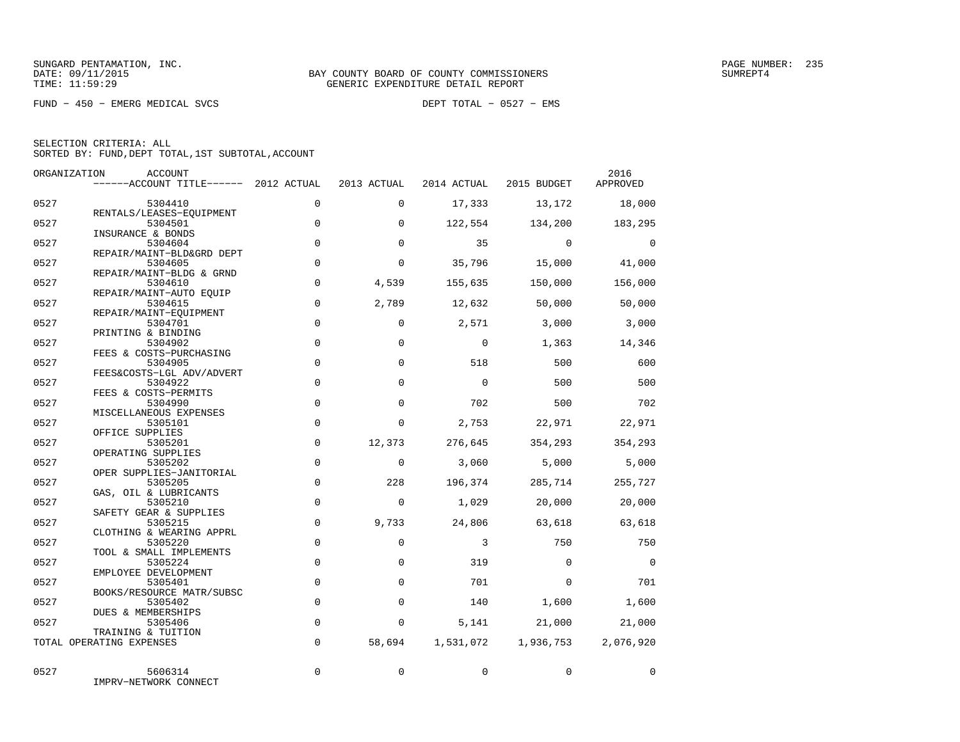FUND − 450 − EMERG MEDICAL SVCS DEPT TOTAL − 0527 − EMS

|      | ORGANIZATION<br>ACCOUNT               |             |             |                |                         | 2016           |
|------|---------------------------------------|-------------|-------------|----------------|-------------------------|----------------|
|      | $----ACCOUNT$ TITLE $--- 2012$ ACTUAL |             | 2013 ACTUAL |                | 2014 ACTUAL 2015 BUDGET | APPROVED       |
| 0527 | 5304410                               | $\Omega$    | $\Omega$    | 17,333         | 13,172                  | 18,000         |
| 0527 | RENTALS/LEASES-EQUIPMENT<br>5304501   | $\mathbf 0$ | $\Omega$    | 122,554        | 134,200                 | 183,295        |
| 0527 | INSURANCE & BONDS<br>5304604          | $\Omega$    | $\Omega$    | 35             | $\Omega$                | $\Omega$       |
| 0527 | REPAIR/MAINT-BLD&GRD DEPT<br>5304605  | $\mathbf 0$ | $\Omega$    | 35,796         | 15,000                  | 41,000         |
| 0527 | REPAIR/MAINT-BLDG & GRND<br>5304610   | $\Omega$    | 4,539       | 155,635        | 150,000                 | 156,000        |
| 0527 | REPAIR/MAINT-AUTO EQUIP<br>5304615    | $\Omega$    | 2,789       | 12,632         | 50,000                  | 50,000         |
| 0527 | REPAIR/MAINT-EQUIPMENT<br>5304701     | $\mathbf 0$ | $\Omega$    | 2,571          | 3,000                   | 3,000          |
| 0527 | PRINTING & BINDING<br>5304902         | $\mathbf 0$ | $\mathbf 0$ | $\mathbf 0$    | 1,363                   | 14,346         |
| 0527 | FEES & COSTS-PURCHASING<br>5304905    | $\Omega$    | $\Omega$    | 518            | 500                     | 600            |
| 0527 | FEES&COSTS-LGL ADV/ADVERT<br>5304922  | $\mathbf 0$ | $\Omega$    | $\mathbf 0$    | 500                     | 500            |
| 0527 | FEES & COSTS-PERMITS<br>5304990       | $\mathsf 0$ | $\mathbf 0$ | 702            | 500                     | 702            |
| 0527 | MISCELLANEOUS EXPENSES<br>5305101     | $\Omega$    | $\Omega$    | 2,753          | 22,971                  | 22,971         |
| 0527 | OFFICE SUPPLIES<br>5305201            | $\mathbf 0$ | 12,373      | 276,645        | 354,293                 | 354,293        |
| 0527 | OPERATING SUPPLIES<br>5305202         | $\Omega$    | $\Omega$    | 3,060          | 5,000                   | 5,000          |
| 0527 | OPER SUPPLIES-JANITORIAL<br>5305205   | $\mathbf 0$ | 228         | 196,374        | 285,714                 | 255,727        |
| 0527 | GAS, OIL & LUBRICANTS<br>5305210      | $\mathbf 0$ | $\Omega$    | 1,029          | 20,000                  | 20,000         |
| 0527 | SAFETY GEAR & SUPPLIES<br>5305215     | $\mathbf 0$ | 9,733       | 24,806         | 63,618                  | 63,618         |
| 0527 | CLOTHING & WEARING APPRL<br>5305220   | $\Omega$    | $\Omega$    | $\overline{3}$ | 750                     | 750            |
|      | TOOL & SMALL IMPLEMENTS               | $\mathbf 0$ | $\mathbf 0$ |                | $\Omega$                | $\overline{0}$ |
| 0527 | 5305224<br>EMPLOYEE DEVELOPMENT       |             |             | 319            |                         |                |
| 0527 | 5305401<br>BOOKS/RESOURCE MATR/SUBSC  | $\mathbf 0$ | $\Omega$    | 701            | $\Omega$                | 701            |
| 0527 | 5305402<br>DUES & MEMBERSHIPS         | $\Omega$    | $\Omega$    | 140            | 1,600                   | 1,600          |
| 0527 | 5305406<br>TRAINING & TUITION         | $\mathbf 0$ | 0           | 5,141          | 21,000                  | 21,000         |
|      | TOTAL OPERATING EXPENSES              | $\Omega$    | 58,694      | 1,531,072      | 1,936,753               | 2,076,920      |
| 0527 | 5606314<br>IMPRV-NETWORK CONNECT      | $\mathbf 0$ | 0           | 0              | $\mathbf 0$             | $\mathbf 0$    |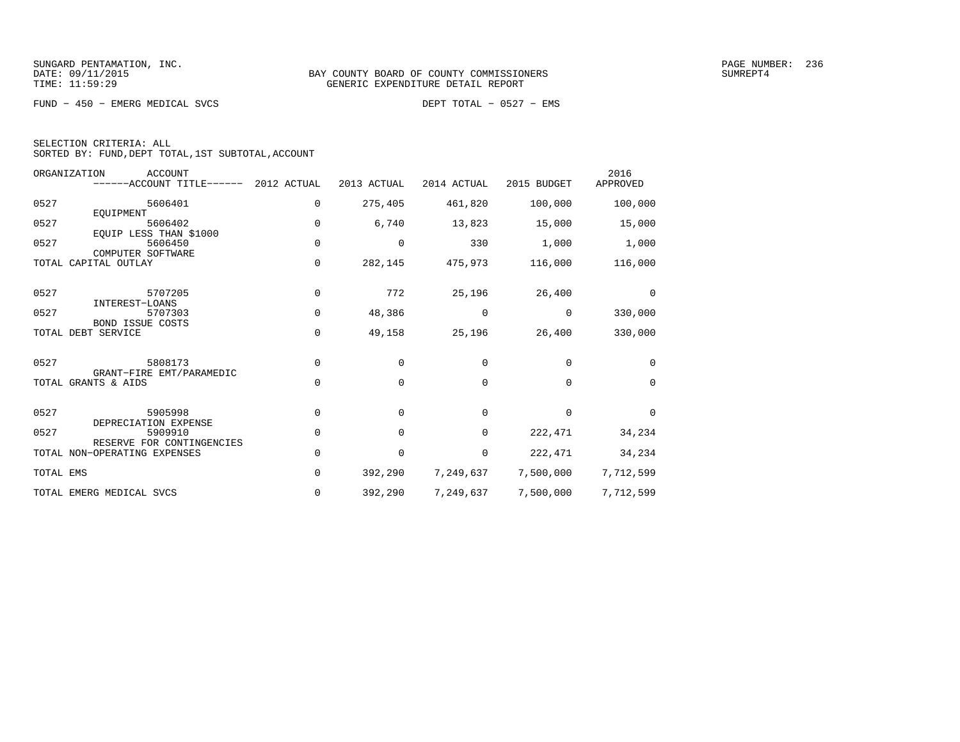FUND − 450 − EMERG MEDICAL SVCS DEPT TOTAL − 0527 − EMS

|  | SELECTION CRITERIA: ALL |                                                    |  |
|--|-------------------------|----------------------------------------------------|--|
|  |                         | SORTED BY: FUND, DEPT TOTAL, 1ST SUBTOTAL, ACCOUNT |  |

| ORGANIZATION | <b>ACCOUNT</b><br>------ACCOUNT TITLE------               | 2012 ACTUAL | 2013 ACTUAL | 2014 ACTUAL | 2015 BUDGET | 2016<br>APPROVED |
|--------------|-----------------------------------------------------------|-------------|-------------|-------------|-------------|------------------|
| 0527         | 5606401                                                   | 0           | 275,405     | 461,820     | 100,000     | 100,000          |
| 0527         | EOUIPMENT<br>5606402                                      | $\Omega$    | 6,740       | 13,823      | 15,000      | 15,000           |
| 0527         | EQUIP LESS THAN \$1000<br>5606450<br>COMPUTER SOFTWARE    | $\mathbf 0$ | $\mathbf 0$ | 330         | 1,000       | 1,000            |
|              | TOTAL CAPITAL OUTLAY                                      | 0           | 282,145     | 475,973     | 116,000     | 116,000          |
| 0527         | 5707205                                                   | $\mathbf 0$ | 772         | 25,196      | 26,400      | $\Omega$         |
| 0527         | INTEREST-LOANS<br>5707303<br><b>BOND ISSUE COSTS</b>      | $\Omega$    | 48,386      | 0           | 0           | 330,000          |
|              | TOTAL DEBT SERVICE                                        | 0           | 49,158      | 25,196      | 26,400      | 330,000          |
| 0527         | 5808173                                                   | $\mathbf 0$ | 0           | 0           | 0           | 0                |
|              | GRANT-FIRE EMT/PARAMEDIC<br>TOTAL GRANTS & AIDS           | $\Omega$    | $\Omega$    | $\Omega$    | $\Omega$    | $\Omega$         |
| 0527         | 5905998                                                   | $\mathbf 0$ | $\Omega$    | $\mathbf 0$ | $\Omega$    | $\Omega$         |
| 0527         | DEPRECIATION EXPENSE<br>5909910                           | 0           | 0           | 0           | 222,471     | 34,234           |
|              | RESERVE FOR CONTINGENCIES<br>TOTAL NON-OPERATING EXPENSES | $\Omega$    | $\mathbf 0$ | 0           | 222,471     | 34,234           |
| TOTAL EMS    |                                                           | $\Omega$    | 392,290     | 7,249,637   | 7,500,000   | 7,712,599        |
|              | TOTAL EMERG MEDICAL SVCS                                  | 0           | 392,290     | 7,249,637   | 7,500,000   | 7,712,599        |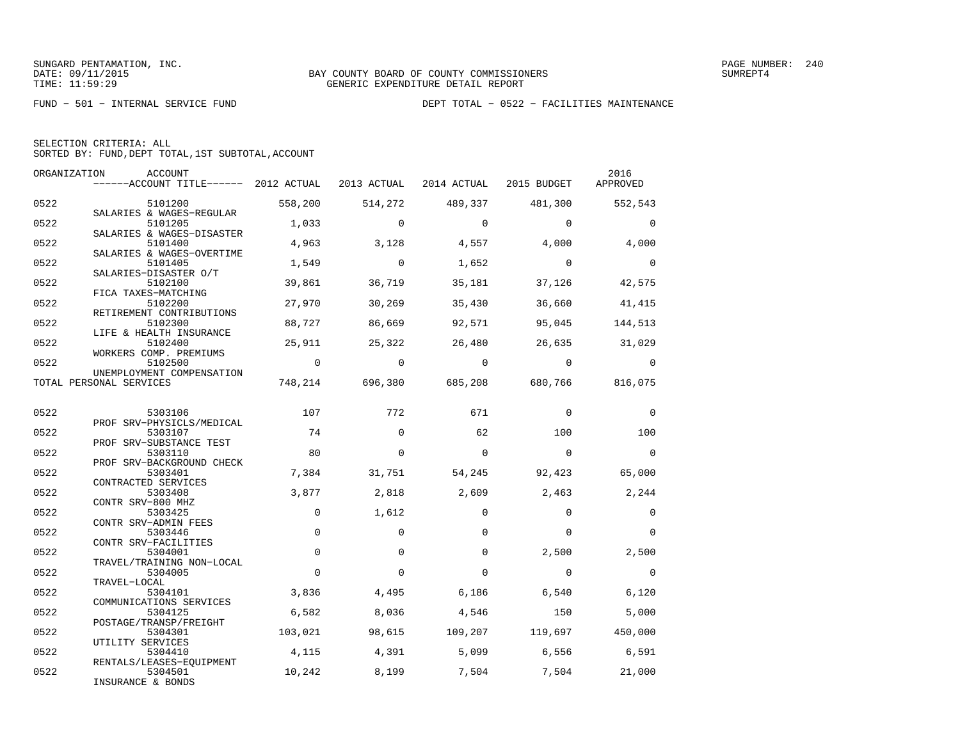FUND − 501 − INTERNAL SERVICE FUND DEPT TOTAL − 0522 − FACILITIES MAINTENANCE

| SELECTION CRITERIA: ALL                            |  |
|----------------------------------------------------|--|
| SORTED BY: FUND, DEPT TOTAL, 1ST SUBTOTAL, ACCOUNT |  |

|      | ORGANIZATION<br>ACCOUNT<br>------ACCOUNT TITLE------ 2012 ACTUAL 2013 ACTUAL 2014 ACTUAL 2015 BUDGET |             |                |                         |                                         | 2016<br>APPROVED |
|------|------------------------------------------------------------------------------------------------------|-------------|----------------|-------------------------|-----------------------------------------|------------------|
| 0522 | 5101200                                                                                              | 558,200     |                | 514,272 489,337 481,300 |                                         | 552,543          |
| 0522 | SALARIES & WAGES-REGULAR<br>5101205                                                                  | 1,033       | $\mathbf 0$    | $\overline{0}$          | $\Omega$                                | $\mathbf 0$      |
| 0522 | SALARIES & WAGES-DISASTER<br>5101400<br>SALARIES & WAGES-OVERTIME                                    | 4,963       | 3,128          | $4,557$ $4,000$         |                                         | 4,000            |
| 0522 | 5101405<br>SALARIES-DISASTER O/T                                                                     | 1,549       | $\overline{0}$ | 1,652                   | $\overline{0}$                          | $\overline{0}$   |
| 0522 | 5102100<br>FICA TAXES-MATCHING                                                                       | 39,861      | 36,719         | 35,181                  | 37,126                                  | 42,575           |
| 0522 | 5102200<br>RETIREMENT CONTRIBUTIONS                                                                  | 27,970      | 30,269         | 35,430                  | 36,660                                  | 41,415           |
| 0522 | 5102300<br>LIFE & HEALTH INSURANCE                                                                   | 88,727      | 86,669         | 92,571                  | 95,045                                  | 144,513          |
| 0522 | 5102400<br>WORKERS COMP. PREMIUMS                                                                    | 25,911      | 25,322         | 26,480                  |                                         | 26,635 31,029    |
| 0522 | 5102500<br>UNEMPLOYMENT COMPENSATION                                                                 | $\sim$ 0    | $\overline{0}$ | $\overline{0}$          | $\overline{0}$                          | $\overline{0}$   |
|      | TOTAL PERSONAL SERVICES                                                                              |             |                |                         | 748,214 696,380 685,208 680,766 816,075 |                  |
| 0522 | 5303106                                                                                              | 107         | 772            | 671                     | $\mathbf 0$                             | $\mathbf 0$      |
| 0522 | PROF SRV-PHYSICLS/MEDICAL<br>5303107                                                                 | 74          | $\Omega$       | 62                      | 100                                     | 100              |
| 0522 | PROF SRV-SUBSTANCE TEST<br>5303110                                                                   | 80          | $\mathbf 0$    | $\mathbf 0$             | $\overline{0}$                          | $\overline{0}$   |
| 0522 | PROF SRV-BACKGROUND CHECK<br>5303401<br>CONTRACTED SERVICES                                          | 7,384       | 31,751         | 54,245                  | 92,423                                  | 65,000           |
| 0522 | 5303408<br>CONTR SRV-800 MHZ                                                                         | 3,877       | 2,818          | 2,609                   | 2,463                                   | 2,244            |
| 0522 | 5303425<br>CONTR SRV-ADMIN FEES                                                                      | $\Omega$    | 1,612          | $\Omega$                | $\Omega$                                | $\mathbf 0$      |
| 0522 | 5303446<br>CONTR SRV-FACILITIES                                                                      | $\Omega$    | $\Omega$       | $\Omega$                | $\Omega$                                | $\Omega$         |
| 0522 | 5304001<br>TRAVEL/TRAINING NON-LOCAL                                                                 | $\mathbf 0$ | $\Omega$       | $\Omega$                | 2,500                                   | 2,500            |
| 0522 | 5304005<br>TRAVEL-LOCAL                                                                              | $\Omega$    | $\Omega$       | $\Omega$                | $\Omega$                                | $\overline{0}$   |
| 0522 | 5304101<br>COMMUNICATIONS SERVICES                                                                   | 3,836       | 4,495          | 6,186                   | 6,540                                   | 6,120            |
| 0522 | 5304125<br>POSTAGE/TRANSP/FREIGHT                                                                    | 6,582       | 8,036          | 4,546                   | 150                                     | 5,000            |
| 0522 | 5304301<br>UTILITY SERVICES                                                                          | 103,021     |                |                         | 98,615 109,207 119,697 450,000          |                  |
| 0522 | 5304410<br>RENTALS/LEASES-EQUIPMENT                                                                  | 4,115       | 4,391          | 5,099                   | 6,556                                   | 6,591            |
| 0522 | 5304501<br>INSURANCE & BONDS                                                                         | 10,242      | 8,199          | 7,504                   | 7,504                                   | 21,000           |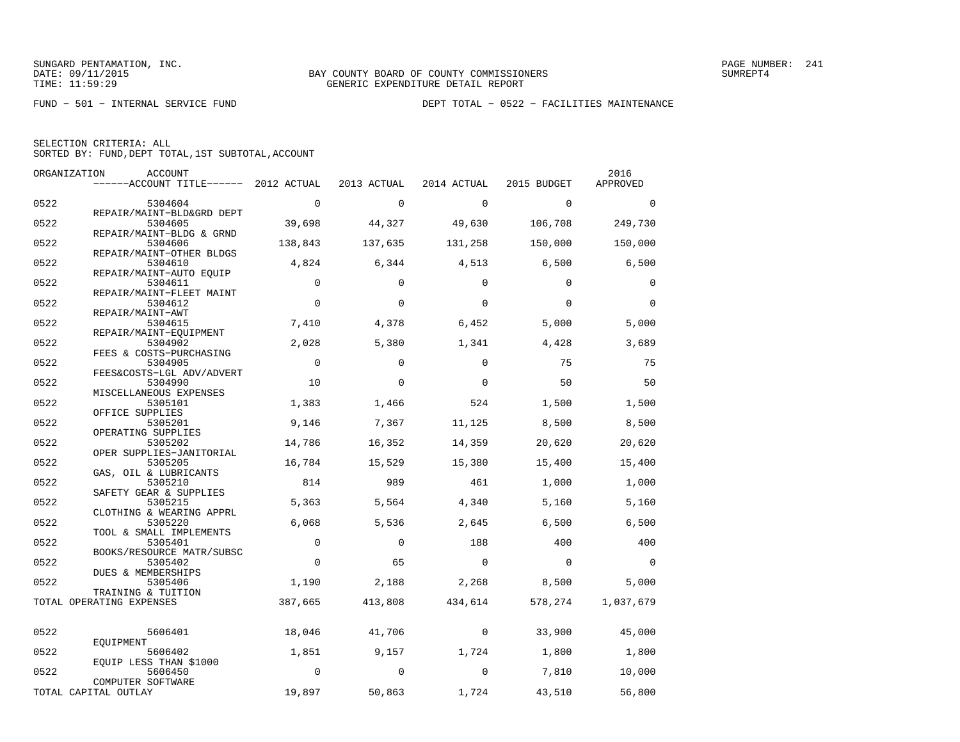| SELECTION CRITERIA: ALL |  |                                                    |  |
|-------------------------|--|----------------------------------------------------|--|
|                         |  | SORTED BY: FUND, DEPT TOTAL, 1ST SUBTOTAL, ACCOUNT |  |

|      | ORGANIZATION<br>ACCOUNT               |                |             |                          |              | 2016        |
|------|---------------------------------------|----------------|-------------|--------------------------|--------------|-------------|
|      | ------ACCOUNT TITLE------ 2012 ACTUAL |                | 2013 ACTUAL | 2014 ACTUAL              | 2015 BUDGET  | APPROVED    |
| 0522 | 5304604                               | $\overline{0}$ | $\mathbf 0$ | $\overline{0}$           | $\mathbf{0}$ | $\mathbf 0$ |
|      | REPAIR/MAINT-BLD&GRD DEPT             |                |             |                          |              |             |
| 0522 | 5304605                               | 39,698         | 44,327      | 49,630                   | 106,708      | 249,730     |
|      | REPAIR/MAINT-BLDG & GRND              |                |             |                          |              |             |
| 0522 | 5304606                               | 138,843        | 137,635     | 131,258                  | 150,000      | 150,000     |
| 0522 | REPAIR/MAINT-OTHER BLDGS<br>5304610   | 4,824          | 6,344       | 4,513                    | 6,500        | 6,500       |
|      | REPAIR/MAINT-AUTO EQUIP               |                |             |                          |              |             |
| 0522 | 5304611                               | $\Omega$       | $\Omega$    | $\Omega$                 | $\Omega$     | 0           |
|      | REPAIR/MAINT-FLEET MAINT              |                |             |                          |              |             |
| 0522 | 5304612                               | $\mathbf 0$    | $\mathbf 0$ | $\mathbf 0$              | $\Omega$     | $\Omega$    |
|      | REPAIR/MAINT-AWT                      |                |             |                          |              |             |
| 0522 | 5304615                               | 7,410          | 4,378       | 6,452                    | 5,000        | 5,000       |
| 0522 | REPAIR/MAINT-EOUIPMENT<br>5304902     | 2,028          | 5,380       | 1,341                    | 4,428        |             |
|      | FEES & COSTS-PURCHASING               |                |             |                          |              | 3,689       |
| 0522 | 5304905                               | $\overline{0}$ | $\Omega$    | $\Omega$                 | 75           | 75          |
|      | FEES&COSTS-LGL ADV/ADVERT             |                |             |                          |              |             |
| 0522 | 5304990                               | 10             | $\mathbf 0$ | $\Omega$                 | 50           | 50          |
|      | MISCELLANEOUS EXPENSES                |                |             |                          |              |             |
| 0522 | 5305101                               | 1,383          | 1,466       | 524                      | 1,500        | 1,500       |
|      | OFFICE SUPPLIES                       |                |             |                          |              |             |
| 0522 | 5305201                               | 9,146          | 7,367       | 11,125                   | 8,500        | 8,500       |
| 0522 | OPERATING SUPPLIES<br>5305202         | 14,786         | 16,352      | 14,359                   | 20,620       | 20,620      |
|      | OPER SUPPLIES-JANITORIAL              |                |             |                          |              |             |
| 0522 | 5305205                               | 16,784         | 15,529      | 15,380                   | 15,400       | 15,400      |
|      | GAS, OIL & LUBRICANTS                 |                |             |                          |              |             |
| 0522 | 5305210                               | 814            | 989         | 461                      | 1,000        | 1,000       |
|      | SAFETY GEAR & SUPPLIES                |                |             |                          |              |             |
| 0522 | 5305215                               | 5,363          | 5,564       | 4,340                    | 5,160        | 5,160       |
| 0522 | CLOTHING & WEARING APPRL<br>5305220   | 6,068          | 5,536       | 2,645                    | 6,500        | 6,500       |
|      | TOOL & SMALL IMPLEMENTS               |                |             |                          |              |             |
| 0522 | 5305401                               | $\mathbf{0}$   | $\Omega$    | 188                      | 400          | 400         |
|      | BOOKS/RESOURCE MATR/SUBSC             |                |             |                          |              |             |
| 0522 | 5305402                               | $\mathbf 0$    | 65          | $\overline{0}$           | $\mathbf 0$  | $\mathbf 0$ |
|      | DUES & MEMBERSHIPS                    |                |             |                          |              |             |
| 0522 | 5305406                               | 1,190          | 2,188       | 2,268                    | 8,500        | 5,000       |
|      | TRAINING & TUITION                    |                |             |                          |              |             |
|      | TOTAL OPERATING EXPENSES              | 387,665        | 413,808     | 434,614                  | 578,274      | 1,037,679   |
|      |                                       |                |             |                          |              |             |
| 0522 | 5606401                               | 18,046         | 41,706      | $\overline{\phantom{0}}$ | 33,900       | 45,000      |
|      | EOUIPMENT                             |                |             |                          |              |             |
| 0522 | 5606402<br>EQUIP LESS THAN \$1000     | 1,851          | 9,157       | 1,724                    | 1,800        | 1,800       |
| 0522 | 5606450                               | $\Omega$       | $\Omega$    | $\Omega$                 | 7,810        | 10,000      |
|      | COMPUTER SOFTWARE                     |                |             |                          |              |             |
|      | TOTAL CAPITAL OUTLAY                  | 19,897         | 50,863      | 1,724                    | 43,510       | 56,800      |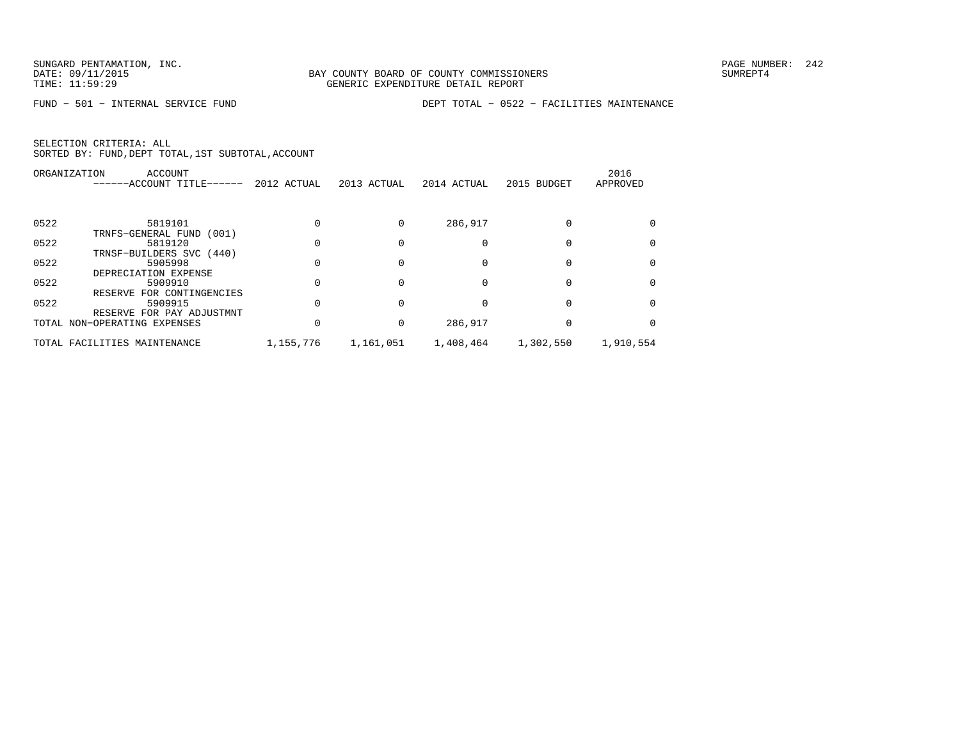FUND − 501 − INTERNAL SERVICE FUND DEPT TOTAL − 0522 − FACILITIES MAINTENANCE

|      | ORGANIZATION<br>ACCOUNT      |             |             |             |             | 2016      |
|------|------------------------------|-------------|-------------|-------------|-------------|-----------|
|      | ------ACCOUNT TITLE------    | 2012 ACTUAL | 2013 ACTUAL | 2014 ACTUAL | 2015 BUDGET | APPROVED  |
|      |                              |             |             |             |             |           |
| 0522 | 5819101                      |             |             | 286,917     |             |           |
|      | TRNFS-GENERAL FUND<br>(001)  |             |             |             |             |           |
| 0522 | 5819120                      |             |             |             |             |           |
|      | TRNSF-BUILDERS SVC (440)     |             |             |             |             |           |
| 0522 | 5905998                      |             |             | 0           |             |           |
|      | DEPRECIATION EXPENSE         |             |             |             |             |           |
| 0522 | 5909910                      | $\Omega$    | $\Omega$    | U           |             |           |
|      | FOR CONTINGENCIES<br>RESERVE |             |             |             |             |           |
| 0522 | 5909915                      |             |             | Ω           |             |           |
|      | RESERVE FOR PAY ADJUSTMNT    |             |             |             |             |           |
|      | TOTAL NON-OPERATING EXPENSES |             | 0           | 286,917     |             |           |
|      | TOTAL FACILITIES MAINTENANCE | 1,155,776   | 1,161,051   | 1,408,464   | 1,302,550   | 1,910,554 |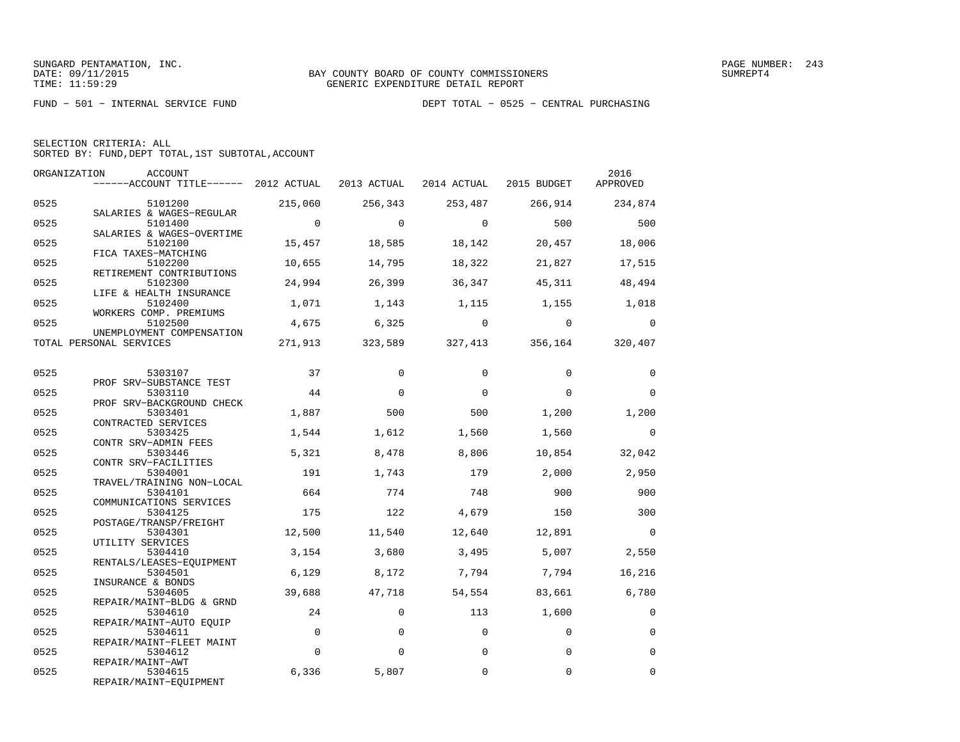| SELECTION CRITERIA: ALL |  |  |                                                    |  |
|-------------------------|--|--|----------------------------------------------------|--|
|                         |  |  | SORTED BY: FUND, DEPT TOTAL, 1ST SUBTOTAL, ACCOUNT |  |

| ORGANIZATION | ACCOUNT<br>$----ACCOUNT$ TITLE $---2012$ ACTUAL 2013 ACTUAL 2014 ACTUAL 2015 BUDGET |                |                |                |                                         | 2016<br>APPROVED |
|--------------|-------------------------------------------------------------------------------------|----------------|----------------|----------------|-----------------------------------------|------------------|
| 0525         | 5101200                                                                             | 215,060        | 256,343        |                | 253,487 266,914                         | 234,874          |
| 0525         | SALARIES & WAGES-REGULAR<br>5101400<br>SALARIES & WAGES-OVERTIME                    | $\overline{0}$ | $\overline{a}$ | $\sim$ 0       | 500                                     | 500              |
| 0525         | 5102100<br>FICA TAXES-MATCHING                                                      | 15,457         | 18,585         | 18,142         | 20,457                                  | 18,006           |
| 0525         | 5102200<br>RETIREMENT CONTRIBUTIONS                                                 | 10,655         | 14,795         | 18,322         | 21,827                                  | 17,515           |
| 0525         | 5102300<br>LIFE & HEALTH INSURANCE                                                  | 24,994         | 26,399         | 36,347         | 45,311                                  | 48,494           |
| 0525         | 5102400<br>WORKERS COMP. PREMIUMS                                                   | 1,071          | 1,143          |                | 1, 115 1, 155 1, 018                    |                  |
| 0525         | 5102500<br>UNEMPLOYMENT COMPENSATION                                                | 4,675          | 6,325          | $\overline{0}$ | $\sim$ 0                                | $\Omega$         |
|              | TOTAL PERSONAL SERVICES                                                             |                |                |                | 271,913 323,589 327,413 356,164 320,407 |                  |
| 0525         | 5303107                                                                             | 37             | $\Omega$       | $\Omega$       | $\Omega$                                | $\mathbf 0$      |
| 0525         | PROF SRV-SUBSTANCE TEST<br>5303110<br>PROF SRV-BACKGROUND CHECK                     | 44             | $\Omega$       | $\Omega$       | $\Omega$                                | $\Omega$         |
| 0525         | 5303401<br>CONTRACTED SERVICES                                                      | 1,887          | 500            | 500            | 1,200                                   | 1,200            |
| 0525         | 5303425<br>CONTR SRV-ADMIN FEES                                                     | 1,544          | 1,612          | 1,560          | 1,560                                   | $\Omega$         |
| 0525         | 5303446<br>CONTR SRV-FACILITIES                                                     | 5,321          | 8,478          | 8,806          | 10,854                                  | 32,042           |
| 0525         | 5304001<br>TRAVEL/TRAINING NON-LOCAL                                                | 191            | 1,743          | 179            | 2,000                                   | 2,950            |
| 0525         | 5304101<br>COMMUNICATIONS SERVICES                                                  | 664            | 774            | 748            | 900                                     | 900              |
| 0525         | 5304125<br>POSTAGE/TRANSP/FREIGHT                                                   | 175            | 122            | 4,679          | 150                                     | 300              |
| 0525         | 5304301<br>UTILITY SERVICES                                                         | 12,500         | 11,540         | 12,640         | 12,891                                  | $\bigcirc$       |
| 0525         | 5304410<br>RENTALS/LEASES-EOUIPMENT                                                 | 3,154          | 3,680          | 3,495          | 5,007                                   | 2,550            |
| 0525         | 5304501<br>INSURANCE & BONDS                                                        | 6,129          | 8,172          | 7,794          | 7,794                                   | 16,216           |
| 0525         | 5304605<br>REPAIR/MAINT-BLDG & GRND                                                 | 39,688         | 47,718         |                | 54,554 83,661                           | 6,780            |
| 0525         | 5304610<br>REPAIR/MAINT-AUTO EOUIP                                                  | 24             | $\mathbf 0$    | 113            | 1,600                                   | $\mathbf 0$      |
| 0525         | 5304611<br>REPAIR/MAINT-FLEET MAINT                                                 | $\Omega$       | $\Omega$       | $\Omega$       | $\Omega$                                | $\Omega$         |
| 0525         | 5304612<br>REPAIR/MAINT-AWT                                                         | $\Omega$       | $\Omega$       | $\Omega$       | $\Omega$                                | $\Omega$         |
| 0525         | 5304615<br>REPAIR/MAINT-EQUIPMENT                                                   | 6,336          | 5,807          | $\Omega$       | $\Omega$                                | $\Omega$         |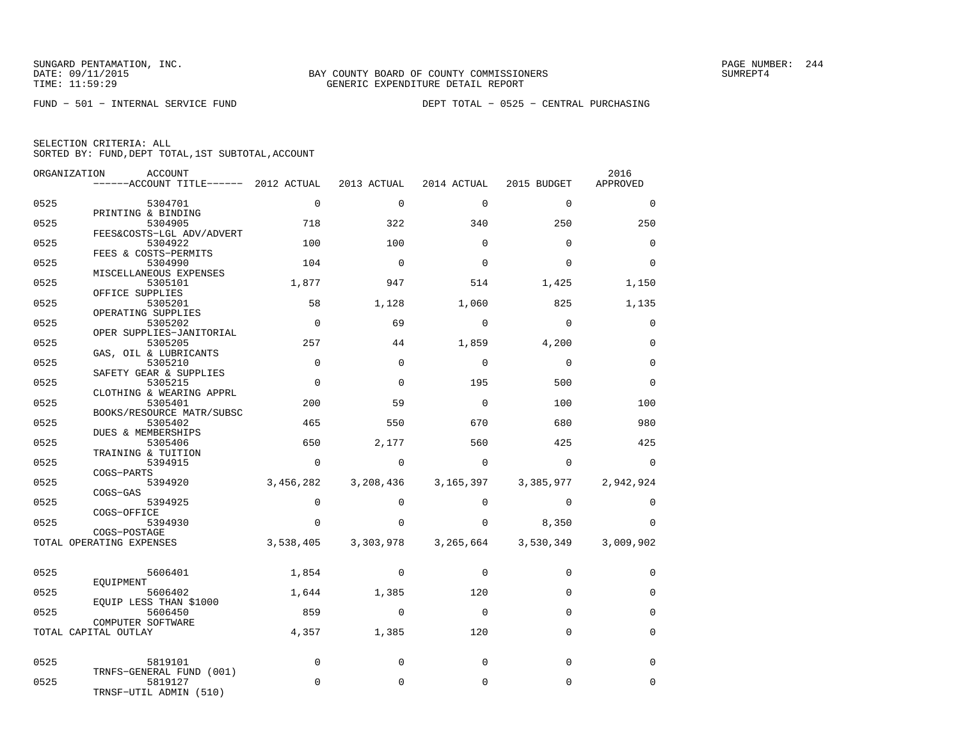| ORGANIZATION | <b>ACCOUNT</b>                            |             |             |             |             | 2016        |
|--------------|-------------------------------------------|-------------|-------------|-------------|-------------|-------------|
|              | ------ACCOUNT TITLE------ 2012 ACTUAL     |             | 2013 ACTUAL | 2014 ACTUAL | 2015 BUDGET | APPROVED    |
| 0525         | 5304701                                   | $\mathbf 0$ | $\mathbf 0$ | $\mathbf 0$ | $\mathbf 0$ | $\mathbf 0$ |
|              | PRINTING & BINDING                        |             |             |             |             |             |
| 0525         | 5304905                                   | 718         | 322         | 340         | 250         | 250         |
| 0525         | FEES&COSTS-LGL ADV/ADVERT<br>5304922      | 100         | 100         | $\Omega$    | $\Omega$    | $\mathbf 0$ |
|              | FEES & COSTS-PERMITS                      |             |             |             |             |             |
| 0525         | 5304990                                   | 104         | $\Omega$    | $\Omega$    | $\Omega$    | $\Omega$    |
| 0525         | MISCELLANEOUS EXPENSES<br>5305101         | 1,877       | 947         | 514         | 1,425       | 1,150       |
|              | OFFICE SUPPLIES                           |             |             |             |             |             |
| 0525         | 5305201                                   | 58          | 1,128       | 1,060       | 825         | 1,135       |
|              | OPERATING SUPPLIES                        |             |             |             |             |             |
| 0525         | 5305202<br>OPER SUPPLIES-JANITORIAL       | $\Omega$    | 69          | $\mathbf 0$ | $\Omega$    | $\mathbf 0$ |
| 0525         | 5305205                                   | 257         | 44          | 1,859       | 4,200       | $\mathbf 0$ |
|              | GAS, OIL & LUBRICANTS                     |             |             |             |             |             |
| 0525         | 5305210                                   | $\mathbf 0$ | $\Omega$    | $\Omega$    | $\Omega$    | $\mathbf 0$ |
|              | SAFETY GEAR & SUPPLIES                    |             |             |             |             |             |
| 0525         | 5305215<br>CLOTHING & WEARING APPRL       | $\Omega$    | $\Omega$    | 195         | 500         | $\Omega$    |
| 0525         | 5305401                                   | 200         | 59          | $\mathbf 0$ | 100         | 100         |
|              | BOOKS/RESOURCE MATR/SUBSC                 |             |             |             |             |             |
| 0525         | 5305402                                   | 465         | 550         | 670         | 680         | 980         |
| 0525         | DUES & MEMBERSHIPS<br>5305406             | 650         | 2,177       | 560         | 425         | 425         |
|              | TRAINING & TUITION                        |             |             |             |             |             |
| 0525         | 5394915                                   | $\Omega$    | $\Omega$    | $\Omega$    | $\Omega$    | $\Omega$    |
|              | COGS-PARTS                                |             |             |             |             |             |
| 0525         | 5394920                                   | 3,456,282   | 3,208,436   | 3,165,397   | 3,385,977   | 2,942,924   |
| 0525         | COGS-GAS<br>5394925                       | $\Omega$    | $\Omega$    | $\Omega$    | $\Omega$    | $\Omega$    |
|              | COGS-OFFICE                               |             |             |             |             |             |
| 0525         | 5394930                                   | $\Omega$    | $\Omega$    | $\Omega$    | 8,350       | $\Omega$    |
|              | COGS-POSTAGE                              |             |             |             |             |             |
|              | TOTAL OPERATING EXPENSES                  | 3,538,405   | 3,303,978   | 3,265,664   | 3,530,349   | 3,009,902   |
|              |                                           |             |             |             |             |             |
| 0525         | 5606401                                   | 1,854       | $\Omega$    | $\Omega$    | $\mathbf 0$ | 0           |
|              | EOUIPMENT                                 |             |             |             |             |             |
| 0525         | 5606402                                   | 1,644       | 1,385       | 120         | $\Omega$    | $\mathbf 0$ |
|              | EQUIP LESS THAN \$1000                    |             |             |             |             |             |
| 0525         | 5606450                                   | 859         | $\Omega$    | $\mathbf 0$ | $\Omega$    | $\mathbf 0$ |
|              | COMPUTER SOFTWARE<br>TOTAL CAPITAL OUTLAY | 4,357       | 1,385       | 120         | $\Omega$    | $\mathbf 0$ |
|              |                                           |             |             |             |             |             |
| 0525         | 5819101                                   | $\mathbf 0$ | $\mathbf 0$ | $\mathbf 0$ | $\Omega$    | $\mathbf 0$ |
|              | TRNFS-GENERAL FUND (001)                  |             |             |             |             |             |
| 0525         | 5819127                                   | $\Omega$    | $\Omega$    | $\Omega$    | $\Omega$    | $\mathbf 0$ |
|              | TRNSF-UTIL ADMIN (510)                    |             |             |             |             |             |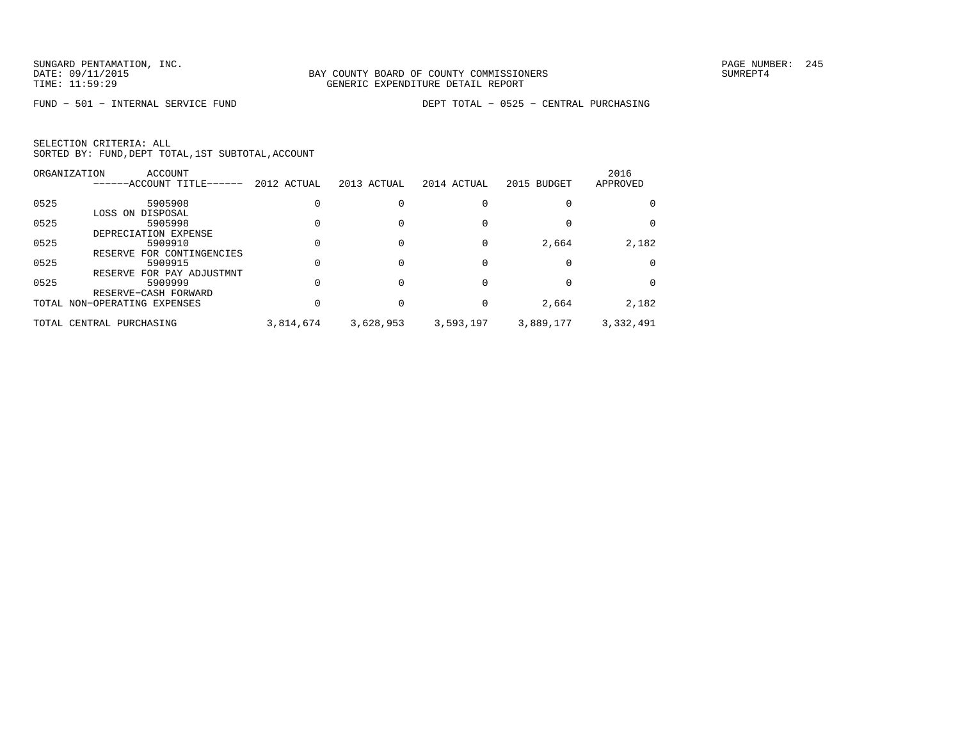|  | SELECTION CRITERIA: ALL                            |  |  |
|--|----------------------------------------------------|--|--|
|  | SORTED BY: FUND, DEPT TOTAL, 1ST SUBTOTAL, ACCOUNT |  |  |

|      | ORGANIZATION<br>ACCOUNT       |             |             |             |             | 2016      |
|------|-------------------------------|-------------|-------------|-------------|-------------|-----------|
|      | ------ACCOUNT TITLE-<br>----- | 2012 ACTUAL | 2013 ACTUAL | 2014 ACTUAL | 2015 BUDGET | APPROVED  |
| 0525 | 5905908                       |             |             |             |             |           |
|      | LOSS ON DISPOSAL              |             |             |             |             |           |
| 0525 | 5905998                       |             |             |             |             |           |
|      | DEPRECIATION EXPENSE          |             |             |             |             |           |
| 0525 | 5909910                       |             |             |             | 2,664       | 2,182     |
|      | FOR CONTINGENCIES<br>RESERVE  |             |             |             |             |           |
| 0525 | 5909915                       |             |             |             |             |           |
|      | FOR PAY ADJUSTMNT<br>RESERVE  |             |             |             |             |           |
| 0525 | 5909999                       |             |             |             |             |           |
|      | RESERVE-CASH FORWARD          |             |             |             |             |           |
|      | TOTAL NON-OPERATING EXPENSES  |             | 0           | 0           | 2,664       | 2,182     |
|      | TOTAL CENTRAL PURCHASING      | 3,814,674   | 3,628,953   | 3,593,197   | 3,889,177   | 3,332,491 |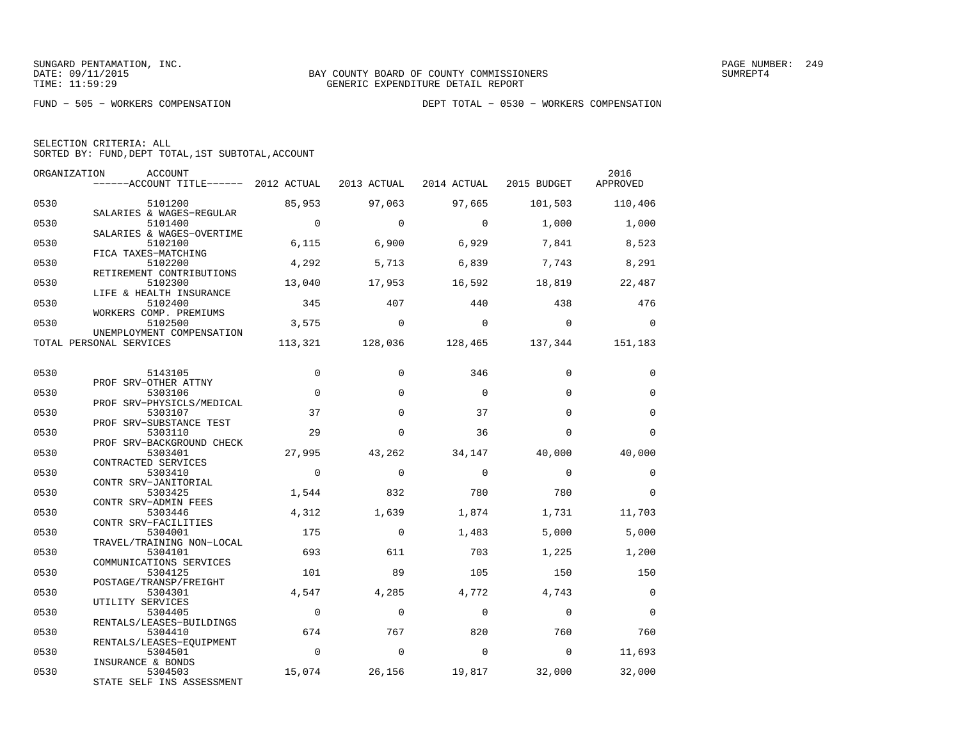| SELECTION CRITERIA: ALL |  |  |                                                    |  |
|-------------------------|--|--|----------------------------------------------------|--|
|                         |  |  | SORTED BY: FUND, DEPT TOTAL, 1ST SUBTOTAL, ACCOUNT |  |

| ORGANIZATION | ACCOUNT<br>------ACCOUNT TITLE------ 2012 ACTUAL            |                | 2013 ACTUAL | 2014 ACTUAL | 2015 BUDGET | 2016<br>APPROVED |
|--------------|-------------------------------------------------------------|----------------|-------------|-------------|-------------|------------------|
| 0530         | 5101200<br>SALARIES & WAGES-REGULAR                         | 85,953         | 97,063      | 97,665      | 101,503     | 110,406          |
| 0530         | 5101400                                                     | $\overline{0}$ | $\Omega$    | $\Omega$    | 1,000       | 1,000            |
| 0530         | SALARIES & WAGES-OVERTIME<br>5102100<br>FICA TAXES-MATCHING | 6,115          | 6,900       | 6,929       | 7,841       | 8,523            |
| 0530         | 5102200<br>RETIREMENT CONTRIBUTIONS                         | 4,292          | 5,713       | 6,839       | 7,743       | 8,291            |
| 0530         | 5102300<br>LIFE & HEALTH INSURANCE                          | 13,040         | 17,953      | 16,592      | 18,819      | 22,487           |
| 0530         | 5102400<br>WORKERS COMP. PREMIUMS                           | 345            | 407         | 440         | 438         | 476              |
| 0530         | 5102500<br>UNEMPLOYMENT COMPENSATION                        | 3,575          | $\mathbf 0$ | $\Omega$    | $\Omega$    | $\Omega$         |
|              | TOTAL PERSONAL SERVICES                                     | 113,321        | 128,036     | 128,465     | 137,344     | 151,183          |
| 0530         | 5143105                                                     | $\mathbf 0$    | $\Omega$    | 346         | $\Omega$    | 0                |
| 0530         | PROF SRV-OTHER ATTNY<br>5303106                             | $\Omega$       | $\Omega$    | $\Omega$    | $\Omega$    | $\mathbf 0$      |
| 0530         | PROF SRV-PHYSICLS/MEDICAL<br>5303107                        | 37             | $\Omega$    | 37          | $\Omega$    | $\mathbf 0$      |
| 0530         | PROF SRV-SUBSTANCE TEST<br>5303110                          | 29             | $\Omega$    | 36          | $\Omega$    | $\Omega$         |
| 0530         | PROF SRV-BACKGROUND CHECK<br>5303401                        | 27,995         | 43,262      | 34,147      | 40,000      | 40,000           |
| 0530         | CONTRACTED SERVICES<br>5303410                              | $\overline{0}$ | $\Omega$    | $\Omega$    | $\Omega$    | $\mathbf 0$      |
| 0530         | CONTR SRV-JANITORIAL<br>5303425                             | 1,544          | 832         | 780         | 780         | $\Omega$         |
| 0530         | CONTR SRV-ADMIN FEES<br>5303446<br>CONTR SRV-FACILITIES     | 4,312          | 1,639       | 1,874       | 1,731       | 11,703           |
| 0530         | 5304001<br>TRAVEL/TRAINING NON-LOCAL                        | 175            | $\Omega$    | 1,483       | 5,000       | 5,000            |
| 0530         | 5304101<br>COMMUNICATIONS SERVICES                          | 693            | 611         | 703         | 1,225       | 1,200            |
| 0530         | 5304125<br>POSTAGE/TRANSP/FREIGHT                           | 101            | 89          | 105         | 150         | 150              |
| 0530         | 5304301<br>UTILITY SERVICES                                 | 4,547          | 4,285       | 4,772       | 4,743       | $\mathbf 0$      |
| 0530         | 5304405<br>RENTALS/LEASES-BUILDINGS                         | $\Omega$       | $\Omega$    | $\Omega$    | $\Omega$    | $\Omega$         |
| 0530         | 5304410<br>RENTALS/LEASES-EQUIPMENT                         | 674            | 767         | 820         | 760         | 760              |
| 0530         | 5304501<br>INSURANCE & BONDS                                | $\overline{0}$ | $\Omega$    | $\Omega$    | $\Omega$    | 11,693           |
| 0530         | 5304503<br>STATE SELF INS ASSESSMENT                        | 15,074         | 26,156      | 19,817      | 32,000      | 32,000           |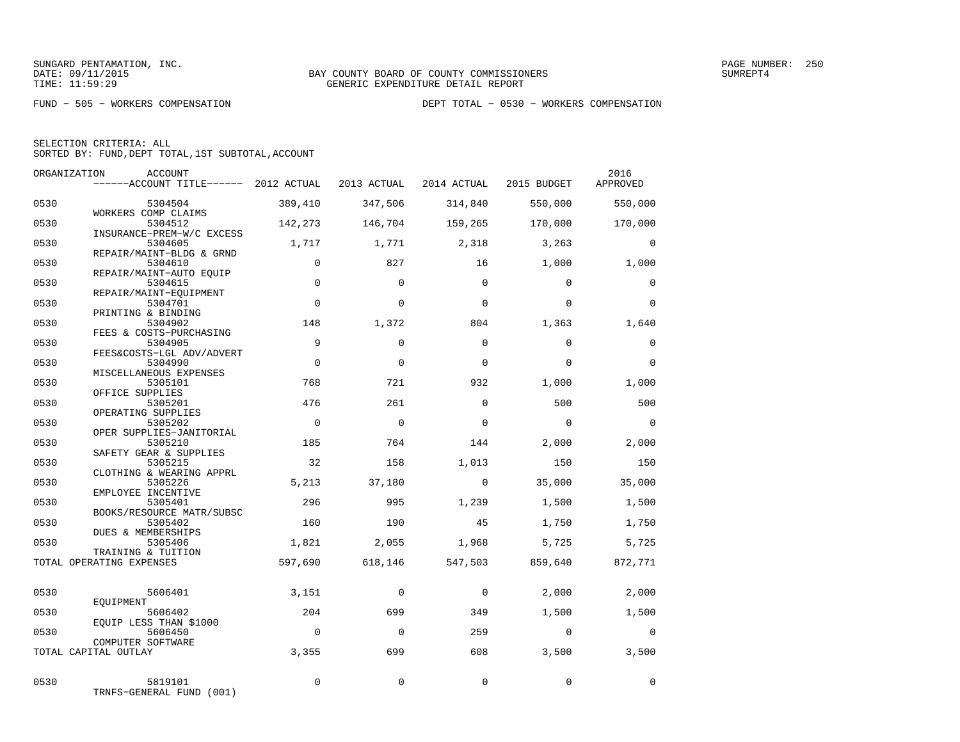| SELECTION CRITERIA: ALL                            |  |
|----------------------------------------------------|--|
| SORTED BY: FUND, DEPT TOTAL, 1ST SUBTOTAL, ACCOUNT |  |

|              | ORGANIZATION<br><b>ACCOUNT</b><br>------ACCOUNT TITLE------ 2012 ACTUAL |                | 2013 ACTUAL | 2014 ACTUAL  | 2015 BUDGET  | 2016<br>APPROVED |
|--------------|-------------------------------------------------------------------------|----------------|-------------|--------------|--------------|------------------|
| 0530         | 5304504                                                                 | 389,410        | 347,506     | 314,840      | 550,000      | 550,000          |
| 0530         | WORKERS COMP CLAIMS<br>5304512                                          | 142,273        | 146,704     | 159,265      | 170,000      | 170,000          |
| 0530         | INSURANCE-PREM-W/C EXCESS<br>5304605<br>REPAIR/MAINT-BLDG & GRND        | 1,717          | 1,771       | 2,318        | 3,263        | $\Omega$         |
| 0530         | 5304610<br>REPAIR/MAINT-AUTO EQUIP                                      | $\mathbf 0$    | 827         | 16           | 1,000        | 1,000            |
| 0530         | 5304615<br>REPAIR/MAINT-EQUIPMENT                                       | $\Omega$       | $\Omega$    | $\Omega$     | $\Omega$     | $\Omega$         |
| 0530         | 5304701<br>PRINTING & BINDING                                           | $\Omega$       | $\Omega$    | $\Omega$     | $\Omega$     | $\Omega$         |
| 0530         | 5304902<br>FEES & COSTS-PURCHASING                                      | 148            | 1,372       | 804          | 1,363        | 1,640            |
| 0530         | 5304905<br>FEES&COSTS-LGL ADV/ADVERT                                    | 9              | $\Omega$    | $\Omega$     | $\Omega$     | $\mathbf 0$      |
| 0530         | 5304990<br>MISCELLANEOUS EXPENSES                                       | $\Omega$       | $\Omega$    | $\Omega$     | $\Omega$     | $\Omega$         |
| 0530         | 5305101<br>OFFICE SUPPLIES                                              | 768            | 721         | 932          | 1,000        | 1,000            |
| 0530         | 5305201<br>OPERATING SUPPLIES                                           | 476            | 261         | $\Omega$     | 500          | 500              |
| 0530         | 5305202<br>OPER SUPPLIES-JANITORIAL                                     | $\Omega$       | $\mathbf 0$ | $\Omega$     | $\Omega$     | $\Omega$         |
| 0530<br>0530 | 5305210<br>SAFETY GEAR & SUPPLIES<br>5305215                            | 185<br>32      | 764<br>158  | 144<br>1,013 | 2,000<br>150 | 2,000<br>150     |
| 0530         | CLOTHING & WEARING APPRL<br>5305226                                     | 5,213          | 37,180      | $\Omega$     | 35,000       | 35,000           |
| 0530         | EMPLOYEE INCENTIVE<br>5305401                                           | 296            | 995         | 1,239        | 1,500        | 1,500            |
| 0530         | BOOKS/RESOURCE MATR/SUBSC<br>5305402                                    | 160            | 190         | 45           | 1,750        | 1,750            |
| 0530         | DUES & MEMBERSHIPS<br>5305406                                           | 1,821          | 2,055       | 1,968        | 5,725        | 5,725            |
|              | TRAINING & TUITION<br>TOTAL OPERATING EXPENSES                          | 597,690        | 618,146     | 547,503      | 859,640      | 872,771          |
|              |                                                                         |                |             |              |              |                  |
| 0530         | 5606401<br>EOUIPMENT                                                    | 3,151          | $\mathbf 0$ | $\mathbf 0$  | 2,000        | 2,000            |
| 0530         | 5606402<br>EQUIP LESS THAN \$1000                                       | 204            | 699         | 349          | 1,500        | 1,500            |
| 0530         | 5606450<br>COMPUTER SOFTWARE                                            | $\overline{0}$ | $\Omega$    | 259          | $\Omega$     | $\mathbf{0}$     |
|              | TOTAL CAPITAL OUTLAY                                                    | 3,355          | 699         | 608          | 3,500        | 3,500            |
| 0530         | 5819101<br>TRNFS-GENERAL FUND (001)                                     | $\Omega$       | $\mathbf 0$ | $\mathbf 0$  | $\Omega$     | $\mathbf 0$      |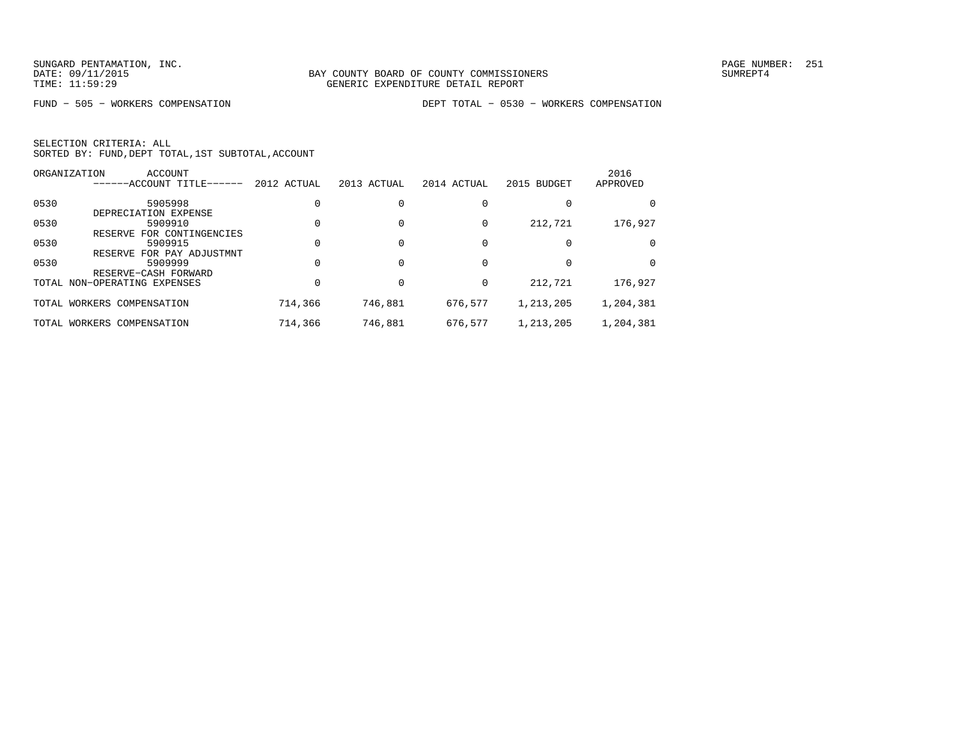FUND − 505 − WORKERS COMPENSATION DEPT TOTAL − 0530 − WORKERS COMPENSATION

|      | ORGANIZATION<br>ACCOUNT<br>------ACCOUNT TITLE-<br>$- - - - -$          | 2012 ACTUAL | 2013 ACTUAL | 2014 ACTUAL | 2015 BUDGET | 2016<br>APPROVED |
|------|-------------------------------------------------------------------------|-------------|-------------|-------------|-------------|------------------|
| 0530 | 5905998                                                                 |             |             |             |             | 0                |
| 0530 | DEPRECIATION EXPENSE<br>5909910                                         |             |             | $\Omega$    | 212,721     | 176,927          |
| 0530 | FOR CONTINGENCIES<br>RESERVE<br>5909915<br>FOR PAY ADJUSTMNT<br>RESERVE |             |             |             |             | $\Omega$         |
| 0530 | 5909999<br>RESERVE-CASH FORWARD                                         |             |             |             |             | $\Omega$         |
|      | TOTAL NON-OPERATING EXPENSES                                            |             |             | 0           | 212,721     | 176,927          |
|      | TOTAL WORKERS COMPENSATION                                              | 714,366     | 746,881     | 676,577     | 1,213,205   | 1,204,381        |
|      | TOTAL WORKERS COMPENSATION                                              | 714,366     | 746,881     | 676,577     | 1,213,205   | 1,204,381        |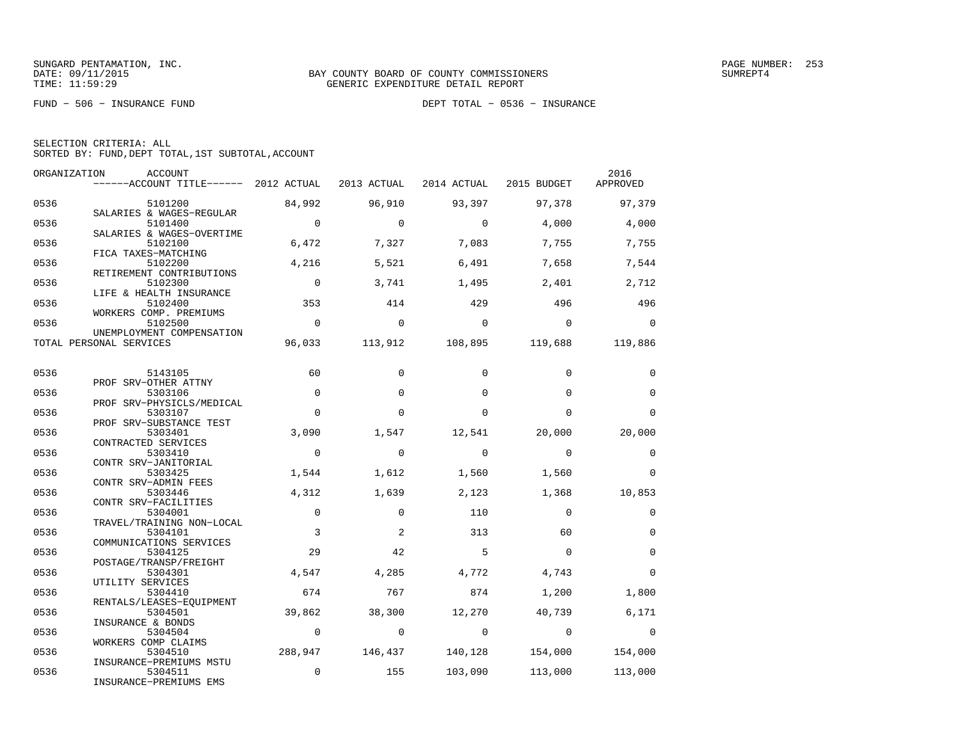FUND − 506 − INSURANCE FUND DEPT TOTAL − 0536 − INSURANCE

| SELECTION CRITERIA: ALL |  |  |                                                    |  |
|-------------------------|--|--|----------------------------------------------------|--|
|                         |  |  | SORTED BY: FUND, DEPT TOTAL, 1ST SUBTOTAL, ACCOUNT |  |

| ORGANIZATION | ACCOUNT<br>------ACCOUNT TITLE------ 2012 ACTUAL                |                | 2013 ACTUAL | 2014 ACTUAL             | 2015 BUDGET    | 2016<br>APPROVED |
|--------------|-----------------------------------------------------------------|----------------|-------------|-------------------------|----------------|------------------|
| 0536         | 5101200                                                         | 84,992         | 96,910      | 93,397                  | 97,378         | 97,379           |
| 0536         | SALARIES & WAGES-REGULAR<br>5101400                             | $\overline{0}$ | $\Omega$    | $\Omega$                | 4,000          | 4,000            |
| 0536         | SALARIES & WAGES-OVERTIME<br>5102100<br>FICA TAXES-MATCHING     | 6,472          | 7,327       | 7,083                   | 7,755          | 7,755            |
| 0536         | 5102200<br>RETIREMENT CONTRIBUTIONS                             | 4,216          | 5,521       | 6,491                   | 7,658          | 7,544            |
| 0536         | 5102300<br>LIFE & HEALTH INSURANCE                              | $\mathbf 0$    | 3,741       | 1,495                   | 2,401          | 2,712            |
| 0536         | 5102400<br>WORKERS COMP. PREMIUMS                               | 353            | 414         | 429                     | 496            | 496              |
| 0536         | 5102500<br>UNEMPLOYMENT COMPENSATION                            | $\Omega$       | $\Omega$    | $\Omega$                | $\Omega$       | $\Omega$         |
|              | TOTAL PERSONAL SERVICES                                         | 96,033         |             | 113,912 108,895 119,688 |                | 119,886          |
| 0536         | 5143105                                                         | 60             | $\Omega$    | $\Omega$                | $\Omega$       | $\Omega$         |
| 0536         | PROF SRV-OTHER ATTNY<br>5303106                                 | $\mathbf 0$    | $\mathbf 0$ | $\Omega$                | $\Omega$       | $\mathbf 0$      |
| 0536         | PROF SRV-PHYSICLS/MEDICAL<br>5303107<br>PROF SRV-SUBSTANCE TEST | $\Omega$       | $\Omega$    | $\Omega$                | $\Omega$       | $\Omega$         |
| 0536         | 5303401<br>CONTRACTED SERVICES                                  | 3,090          | 1,547       | 12,541                  | 20,000         | 20,000           |
| 0536         | 5303410<br>CONTR SRV-JANITORIAL                                 | $\mathbf 0$    | $\mathbf 0$ | $\Omega$                | $\Omega$       | 0                |
| 0536         | 5303425<br>CONTR SRV-ADMIN FEES                                 | 1,544          | 1,612       | 1,560                   | 1,560          | $\Omega$         |
| 0536         | 5303446<br>CONTR SRV-FACILITIES                                 | 4,312          | 1,639       | 2,123                   | 1,368          | 10,853           |
| 0536         | 5304001<br>TRAVEL/TRAINING NON-LOCAL                            | $\mathbf 0$    | $\mathbf 0$ | 110                     | $\Omega$       | $\mathbf 0$      |
| 0536         | 5304101<br>COMMUNICATIONS SERVICES                              | 3              | 2           | 313                     | 60             | $\mathbf 0$      |
| 0536         | 5304125<br>POSTAGE/TRANSP/FREIGHT                               | 29             | 42          | 5                       | $\Omega$       | $\mathbf 0$      |
| 0536         | 5304301<br>UTILITY SERVICES                                     | 4,547          | 4,285       | 4,772                   | 4,743          | 0                |
| 0536         | 5304410<br>RENTALS/LEASES-EQUIPMENT                             | 674            | 767         | 874                     | 1,200          | 1,800            |
| 0536         | 5304501<br>INSURANCE & BONDS                                    | 39,862         | 38,300      | 12,270                  | 40,739         | 6,171            |
| 0536         | 5304504<br>WORKERS COMP CLAIMS                                  | $\mathbf 0$    | $\mathbf 0$ | $\overline{0}$          | $\overline{0}$ | 0                |
| 0536         | 5304510<br>INSURANCE-PREMIUMS MSTU                              | 288,947        | 146,437     | 140,128                 | 154,000        | 154,000          |
| 0536         | 5304511<br>INSURANCE-PREMIUMS EMS                               | $\mathbf 0$    | 155         | 103,090                 | 113,000        | 113,000          |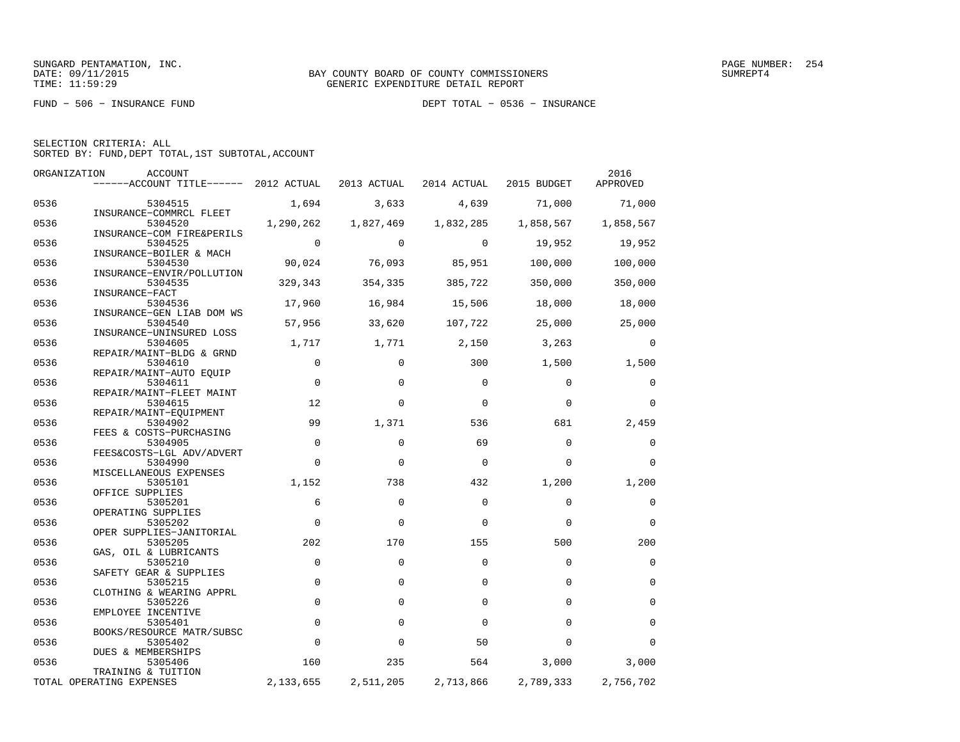FUND − 506 − INSURANCE FUND DEPT TOTAL − 0536 − INSURANCE

| ORGANIZATION | ACCOUNT                                           |             |             |                         |           | 2016        |
|--------------|---------------------------------------------------|-------------|-------------|-------------------------|-----------|-------------|
|              | ------ACCOUNT TITLE------ 2012 ACTUAL 2013 ACTUAL |             |             | 2014 ACTUAL 2015 BUDGET |           | APPROVED    |
| 0536         | 5304515                                           | 1,694       | 3,633       | 4,639                   | 71,000    | 71,000      |
|              | INSURANCE-COMMRCL FLEET                           |             |             |                         |           |             |
| 0536         | 5304520                                           | 1,290,262   | 1,827,469   | 1,832,285               | 1,858,567 | 1,858,567   |
| 0536         | INSURANCE-COM FIRE&PERILS<br>5304525              | $\Omega$    | $\Omega$    | $\Omega$                | 19,952    | 19,952      |
|              | INSURANCE-BOILER & MACH                           |             |             |                         |           |             |
| 0536         | 5304530                                           | 90,024      | 76,093      | 85,951                  | 100,000   | 100,000     |
|              | INSURANCE-ENVIR/POLLUTION                         |             |             |                         |           |             |
| 0536         | 5304535<br>INSURANCE-FACT                         | 329,343     | 354,335     | 385,722                 | 350,000   | 350,000     |
| 0536         | 5304536                                           | 17,960      | 16,984      | 15,506                  | 18,000    | 18,000      |
|              | INSURANCE-GEN LIAB DOM WS                         |             |             |                         |           |             |
| 0536         | 5304540                                           | 57,956      | 33,620      | 107,722                 | 25,000    | 25,000      |
|              | INSURANCE-UNINSURED LOSS                          |             |             |                         |           |             |
| 0536         | 5304605                                           | 1,717       | 1,771       | 2,150                   | 3,263     | $\Omega$    |
|              | REPAIR/MAINT-BLDG & GRND                          |             |             |                         |           |             |
| 0536         | 5304610                                           | $\mathbf 0$ | $\Omega$    | 300                     | 1,500     | 1,500       |
|              | REPAIR/MAINT-AUTO EOUIP                           |             |             |                         |           |             |
| 0536         | 5304611                                           | $\mathbf 0$ | $\Omega$    | $\mathbf 0$             | $\Omega$  | $\mathbf 0$ |
|              | REPAIR/MAINT-FLEET MAINT                          |             |             |                         |           |             |
| 0536         | 5304615                                           | 12          | $\Omega$    | $\mathbf{0}$            | $\Omega$  | $\Omega$    |
|              | REPAIR/MAINT-EQUIPMENT                            |             |             |                         |           |             |
| 0536         | 5304902                                           | - 99        | 1,371       | 536                     | 681       | 2,459       |
|              | FEES & COSTS-PURCHASING                           |             |             |                         |           |             |
| 0536         | 5304905                                           | $\mathbf 0$ | $\mathbf 0$ | 69                      | $\Omega$  | $\mathbf 0$ |
|              | FEES&COSTS-LGL ADV/ADVERT                         | $\mathbf 0$ |             |                         | $\Omega$  | $\Omega$    |
| 0536         | 5304990                                           |             | $\mathbf 0$ | $\mathbf 0$             |           |             |
| 0536         | MISCELLANEOUS EXPENSES                            |             | 738         | 432                     |           |             |
|              | 5305101                                           | 1,152       |             |                         | 1,200     | 1,200       |
| 0536         | OFFICE SUPPLIES<br>5305201                        | 6           | $\Omega$    | $\Omega$                | $\Omega$  | 0           |
|              | OPERATING SUPPLIES                                |             |             |                         |           |             |
| 0536         | 5305202                                           | $\Omega$    | $\Omega$    | $\Omega$                | $\Omega$  | $\Omega$    |
|              | OPER SUPPLIES-JANITORIAL                          |             |             |                         |           |             |
| 0536         | 5305205                                           | 202         | 170         | 155                     | 500       | 200         |
|              | GAS, OIL & LUBRICANTS                             |             |             |                         |           |             |
| 0536         | 5305210                                           | $\mathbf 0$ | $\Omega$    | $\Omega$                | $\Omega$  | 0           |
|              | SAFETY GEAR & SUPPLIES                            |             |             |                         |           |             |
| 0536         | 5305215                                           | $\mathsf 0$ | $\mathbf 0$ | $\mathbf 0$             | $\Omega$  | $\mathbf 0$ |
|              | CLOTHING & WEARING APPRL                          |             |             |                         |           |             |
| 0536         | 5305226                                           | $\mathbf 0$ | $\Omega$    | $\Omega$                | $\Omega$  | $\mathbf 0$ |
|              | EMPLOYEE INCENTIVE                                |             |             |                         |           |             |
| 0536         | 5305401                                           | $\mathbf 0$ | $\Omega$    | $\Omega$                | $\Omega$  | $\Omega$    |
|              | BOOKS/RESOURCE MATR/SUBSC                         |             |             |                         |           |             |
| 0536         | 5305402                                           | $\Omega$    | $\Omega$    | 50                      | $\Omega$  | $\Omega$    |
|              | DUES & MEMBERSHIPS                                |             |             |                         |           |             |
| 0536         | 5305406                                           | 160         | 235         | 564                     | 3,000     | 3,000       |
|              | TRAINING & TUITION                                |             |             |                         |           |             |
|              | TOTAL OPERATING EXPENSES                          | 2,133,655   | 2,511,205   | 2,713,866               | 2,789,333 | 2,756,702   |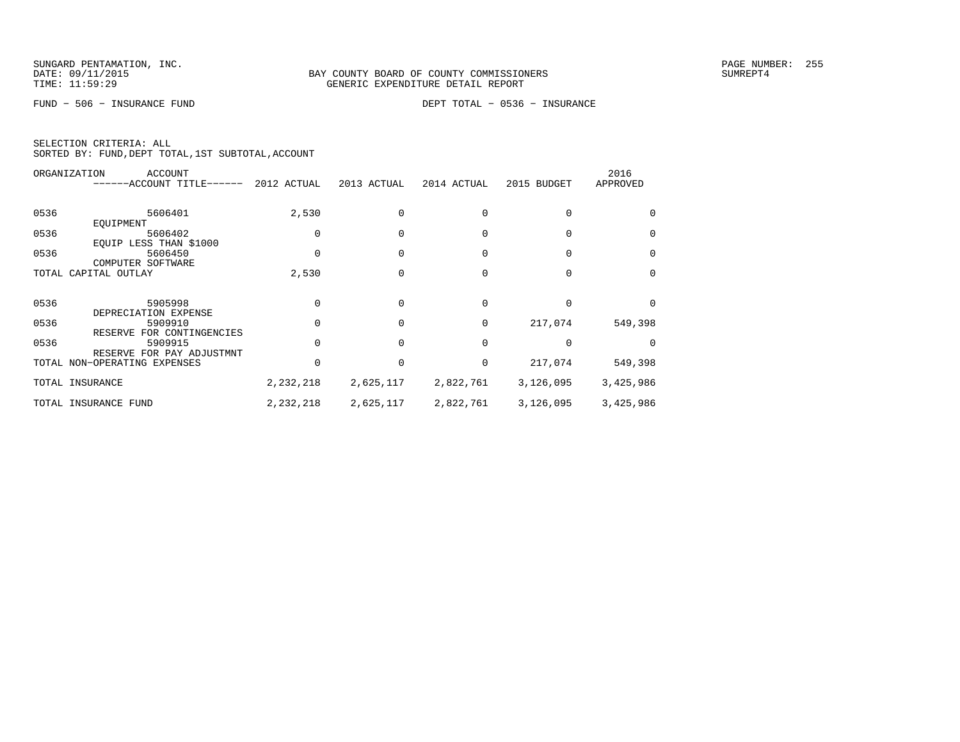FUND − 506 − INSURANCE FUND DEPT TOTAL − 0536 − INSURANCE

|      | ORGANIZATION<br>ACCOUNT<br>------ACCOUNT TITLE------              | 2012 ACTUAL | 2013 ACTUAL | 2014 ACTUAL | 2015 BUDGET | 2016<br>APPROVED |
|------|-------------------------------------------------------------------|-------------|-------------|-------------|-------------|------------------|
| 0536 | 5606401                                                           | 2,530       |             |             |             |                  |
| 0536 | EQUIPMENT<br>5606402<br>EQUIP LESS THAN \$1000                    |             |             |             |             | $\Omega$         |
| 0536 | 5606450<br>COMPUTER SOFTWARE                                      |             |             |             |             | $\Omega$         |
|      | TOTAL CAPITAL OUTLAY                                              | 2,530       |             |             |             | $\Omega$         |
| 0536 | 5905998<br>DEPRECIATION EXPENSE                                   |             |             | 0           |             | $\Omega$         |
| 0536 | 5909910                                                           |             |             | 0           | 217,074     | 549,398          |
| 0536 | RESERVE FOR CONTINGENCIES<br>5909915<br>RESERVE FOR PAY ADJUSTMNT |             |             | $\Omega$    |             |                  |
|      | TOTAL NON-OPERATING EXPENSES                                      |             |             | 0           | 217,074     | 549,398          |
|      | TOTAL INSURANCE                                                   | 2,232,218   | 2,625,117   | 2,822,761   | 3,126,095   | 3,425,986        |
|      | TOTAL INSURANCE FUND                                              | 2,232,218   | 2,625,117   | 2,822,761   | 3,126,095   | 3,425,986        |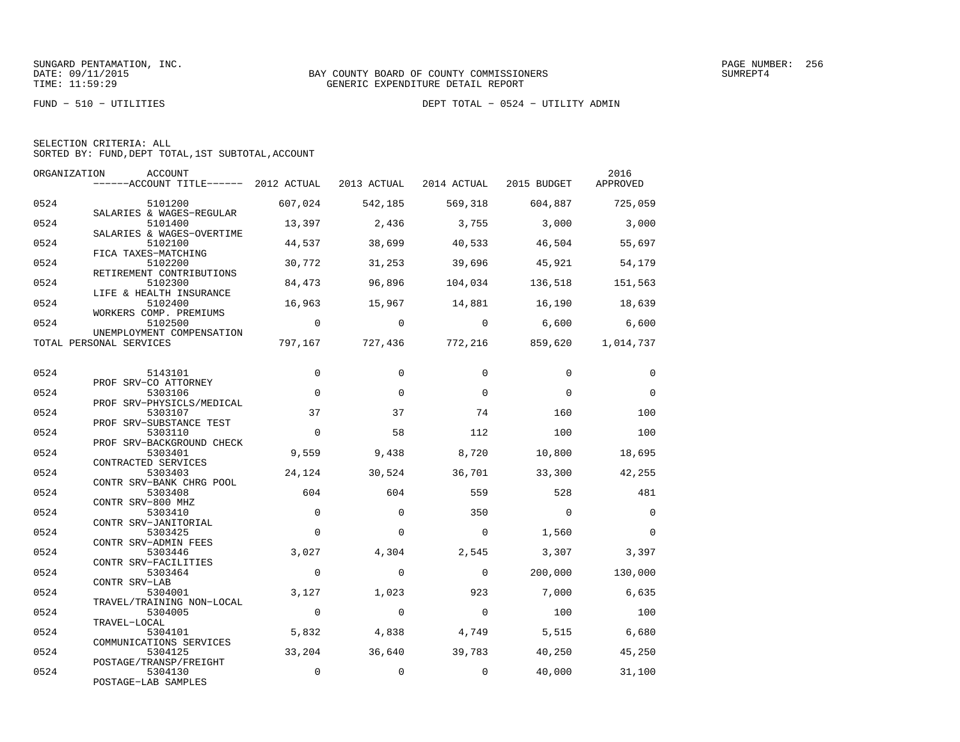|  | SELECTION CRITERIA: ALL |  |                                                    |  |
|--|-------------------------|--|----------------------------------------------------|--|
|  |                         |  | SORTED BY: FUND, DEPT TOTAL, 1ST SUBTOTAL, ACCOUNT |  |

| ORGANIZATION | ACCOUNT                                                                   |                |                |                |                                 | 2016            |
|--------------|---------------------------------------------------------------------------|----------------|----------------|----------------|---------------------------------|-----------------|
|              | $----ACCOUNT$ TITLE $---$ 2012 ACTUAL 2013 ACTUAL 2014 ACTUAL 2015 BUDGET |                |                |                |                                 | APPROVED        |
| 0524         | 5101200                                                                   | 607,024        | 542,185        |                | 569,318 604,887                 | 725,059         |
| 0524         | SALARIES & WAGES-REGULAR<br>5101400<br>SALARIES & WAGES-OVERTIME          | 13,397         | 2,436          | 3,755          | 3,000                           | 3,000           |
| 0524         | 5102100<br>FICA TAXES-MATCHING                                            | 44,537         | 38,699         | 40,533         | 46,504                          | 55,697          |
| 0524         | 5102200<br>RETIREMENT CONTRIBUTIONS                                       | 30,772         | 31,253         | 39,696         | 45,921                          | 54,179          |
| 0524         | 5102300<br>LIFE & HEALTH INSURANCE                                        | 84,473         | 96,896         | 104,034        | 136,518                         | 151,563         |
| 0524         | 5102400<br>WORKERS COMP. PREMIUMS                                         | 16,963         | 15,967         |                | 14,881 16,190                   | 18,639          |
| 0524         | 5102500<br>UNEMPLOYMENT COMPENSATION                                      | $\overline{0}$ | $\overline{0}$ | $\overline{0}$ |                                 | $6,600$ $6,600$ |
|              | TOTAL PERSONAL SERVICES                                                   |                |                |                | 797,167 727,436 772,216 859,620 | 1,014,737       |
| 0524         | 5143101                                                                   | $\mathbf 0$    | $\Omega$       | $\Omega$       | $\Omega$                        | $\mathbf 0$     |
| 0524         | PROF SRV-CO ATTORNEY<br>5303106<br>PROF SRV-PHYSICLS/MEDICAL              | $\Omega$       | $\Omega$       | $\Omega$       | $\Omega$                        | $\Omega$        |
| 0524         | 5303107<br>PROF SRV-SUBSTANCE TEST                                        | 37             | 37             | 74             | 160                             | 100             |
| 0524         | 5303110<br>PROF SRV-BACKGROUND CHECK                                      | $\Omega$       | 58             | 112            | 100                             | 100             |
| 0524         | 5303401<br>CONTRACTED SERVICES                                            | 9,559          | 9,438          | 8,720          | 10,800                          | 18,695          |
| 0524         | 5303403<br>CONTR SRV-BANK CHRG POOL                                       | 24,124         | 30,524         | 36,701         | 33,300                          | 42,255          |
| 0524         | 5303408<br>CONTR SRV-800 MHZ                                              | 604            | 604            | 559            | 528                             | 481             |
| 0524         | 5303410<br>CONTR SRV-JANITORIAL                                           | $\overline{0}$ | $\mathbf 0$    | 350            | $\overline{0}$                  | $\overline{0}$  |
| 0524         | 5303425<br>CONTR SRV-ADMIN FEES                                           | $\Omega$       | $\Omega$       | $\mathbf 0$    | 1,560                           | $\Omega$        |
| 0524         | 5303446<br>CONTR SRV-FACILITIES                                           | 3,027          | 4,304          | 2,545          | 3,307                           | 3,397           |
| 0524         | 5303464<br>CONTR SRV-LAB                                                  | $\Omega$       | $\Omega$       | $\Omega$       | 200,000                         | 130,000         |
| 0524         | 5304001<br>TRAVEL/TRAINING NON-LOCAL                                      | 3,127          | 1,023          | 923            | 7,000                           | 6,635           |
| 0524         | 5304005<br>TRAVEL-LOCAL                                                   | $\overline{0}$ | $\Omega$       | $\Omega$       | 100                             | 100             |
| 0524         | 5304101<br>COMMUNICATIONS SERVICES                                        | 5,832          | 4,838          | 4,749          | 5,515                           | 6,680           |
| 0524         | 5304125<br>POSTAGE/TRANSP/FREIGHT                                         | 33,204         | 36,640         | 39,783         | 40,250                          | 45,250          |
| 0524         | 5304130<br>POSTAGE-LAB SAMPLES                                            | $\mathsf 0$    | $\mathbf 0$    | $\mathbf 0$    | 40,000                          | 31,100          |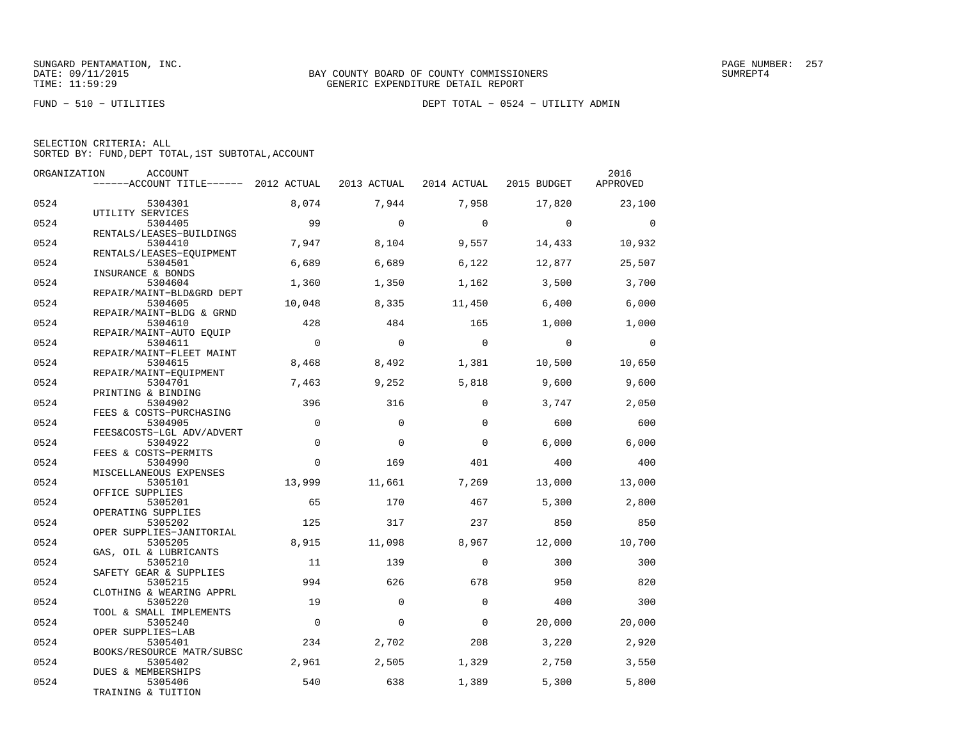FUND − 510 − UTILITIES DEPT TOTAL − 0524 − UTILITY ADMIN

| ORGANIZATION | ACCOUNT                                             |                |             |                                     |                | 2016           |
|--------------|-----------------------------------------------------|----------------|-------------|-------------------------------------|----------------|----------------|
|              | ------ACCOUNT TITLE------ 2012 ACTUAL               |                |             | 2013 ACTUAL 2014 ACTUAL 2015 BUDGET |                | APPROVED       |
| 0524         | 5304301                                             | 8,074          | 7,944       | 7,958                               | 17,820         | 23,100         |
| 0524         | UTILITY SERVICES<br>5304405                         | 99             | $\Omega$    | $\overline{0}$                      | $\overline{0}$ | $\bigcirc$     |
| 0524         | RENTALS/LEASES-BUILDINGS<br>5304410                 | 7,947          | 8,104       | 9,557                               | 14,433         | 10,932         |
|              | RENTALS/LEASES-EQUIPMENT                            |                |             |                                     |                |                |
| 0524         | 5304501<br>INSURANCE & BONDS                        | 6,689          | 6,689       | 6,122                               | 12,877         | 25,507         |
| 0524         | 5304604<br>REPAIR/MAINT-BLD&GRD DEPT                | 1,360          | 1,350       | 1,162                               | 3,500          | 3,700          |
| 0524         | 5304605                                             | 10,048         | 8,335       | 11,450                              | 6,400          | 6,000          |
| 0524         | REPAIR/MAINT-BLDG & GRND<br>5304610                 | 428            | 484         | 165                                 | 1,000          | 1,000          |
| 0524         | REPAIR/MAINT-AUTO EQUIP<br>5304611                  | $\mathbf 0$    | $\mathbf 0$ | $\overline{0}$                      | $\overline{0}$ | $\overline{0}$ |
|              | REPAIR/MAINT-FLEET MAINT                            |                |             |                                     |                |                |
| 0524         | 5304615<br>REPAIR/MAINT-EQUIPMENT                   | 8,468          | 8,492       | 1,381                               | 10,500         | 10,650         |
| 0524         | 5304701                                             | 7,463          | 9,252       | 5,818                               | 9,600          | 9,600          |
| 0524         | PRINTING & BINDING<br>5304902                       | 396            | 316         | $\Omega$                            | 3,747          | 2,050          |
| 0524         | FEES & COSTS-PURCHASING<br>5304905                  | $\mathbf 0$    | $\mathbf 0$ | $\mathbf 0$                         | 600            | 600            |
| 0524         | FEES&COSTS-LGL ADV/ADVERT<br>5304922                | $\mathbf 0$    | $\Omega$    | $\Omega$                            | 6,000          | 6,000          |
|              | FEES & COSTS-PERMITS                                |                |             |                                     |                |                |
| 0524         | 5304990<br>MISCELLANEOUS EXPENSES                   | $\Omega$       | 169         | 401                                 | 400            | 400            |
| 0524         | 5305101<br>OFFICE SUPPLIES                          | 13,999         | 11,661      | 7,269                               | 13,000         | 13,000         |
| 0524         | 5305201                                             | 65             | 170         | 467                                 | 5,300          | 2,800          |
| 0524         | OPERATING SUPPLIES<br>5305202                       | 125            | 317         | 237                                 | 850            | 850            |
| 0524         | OPER SUPPLIES-JANITORIAL<br>5305205                 | 8,915          | 11,098      | 8,967                               | 12,000         | 10,700         |
| 0524         | GAS, OIL & LUBRICANTS<br>5305210                    | 11             | 139         | $\mathbf 0$                         | 300            | 300            |
| 0524         | SAFETY GEAR & SUPPLIES<br>5305215                   | 994            | 626         | 678                                 | 950            | 820            |
| 0524         | CLOTHING & WEARING APPRL<br>5305220                 | 19             | $\mathbf 0$ | $\mathbf 0$                         | 400            | 300            |
|              | TOOL & SMALL IMPLEMENTS                             |                |             |                                     |                |                |
| 0524         | 5305240<br>OPER SUPPLIES-LAB                        | $\overline{0}$ | $\Omega$    | $\Omega$                            | 20,000         | 20,000         |
| 0524         | 5305401                                             | 234            | 2,702       | 208                                 | 3,220          | 2,920          |
| 0524         | BOOKS/RESOURCE MATR/SUBSC<br>5305402                | 2,961          | 2,505       | 1,329                               | 2,750          | 3,550          |
| 0524         | DUES & MEMBERSHIPS<br>5305406<br>TRAINING & TUITION | 540            | 638         | 1,389                               | 5,300          | 5,800          |
|              |                                                     |                |             |                                     |                |                |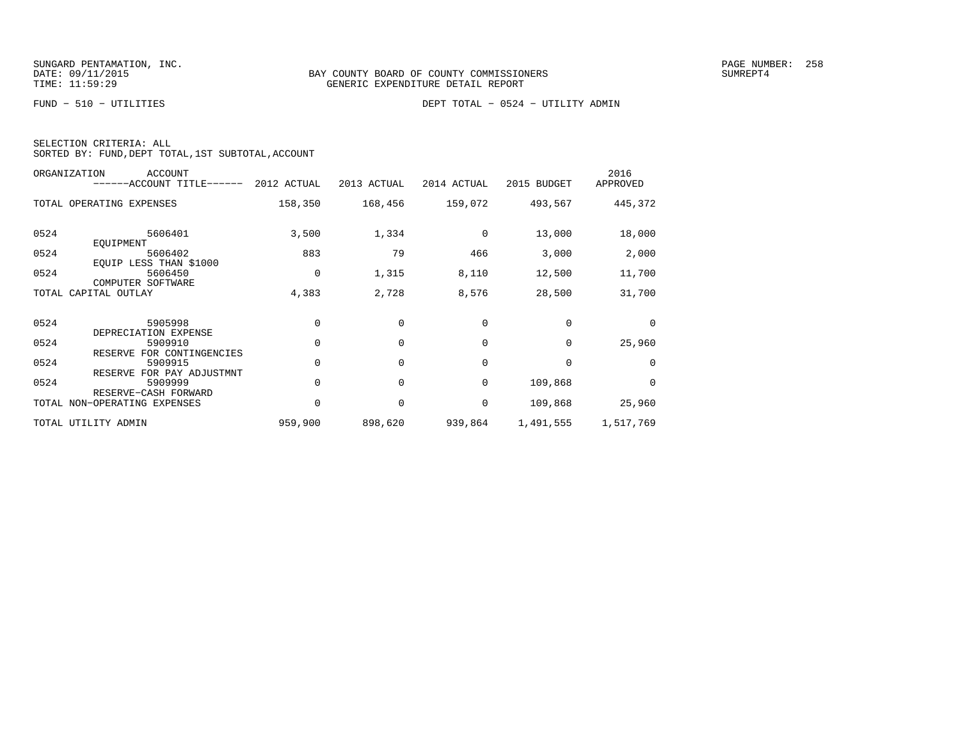FUND − 510 − UTILITIES DEPT TOTAL − 0524 − UTILITY ADMIN

| SELECTION CRITERIA: ALL |  |                                                    |  |
|-------------------------|--|----------------------------------------------------|--|
|                         |  | SORTED BY: FUND, DEPT TOTAL, 1ST SUBTOTAL, ACCOUNT |  |

| ORGANIZATION<br>ACCOUNT<br>------ACCOUNT TITLE------ 2012 ACTUAL          |             | 2013 ACTUAL | 2014 ACTUAL | 2015 BUDGET     | 2016<br>APPROVED |
|---------------------------------------------------------------------------|-------------|-------------|-------------|-----------------|------------------|
| TOTAL OPERATING EXPENSES                                                  | 158,350     | 168,456     |             | 159,072 493,567 | 445,372          |
| 0524<br>5606401<br>EOUIPMENT                                              | 3,500       | 1,334       | $\Omega$    | 13,000          | 18,000           |
| 0524<br>5606402                                                           | 883         | 79          | 466         | 3,000           | 2,000            |
| EQUIP LESS THAN \$1000<br>0524<br>5606450<br>COMPUTER SOFTWARE            | $\mathbf 0$ | 1,315       | 8,110       | 12,500          | 11,700           |
| CAPITAL OUTLAY<br>TOTAL                                                   | 4,383       | 2,728       | 8,576       | 28,500          | 31,700           |
| 0524<br>5905998<br>DEPRECIATION EXPENSE                                   | $\Omega$    | $\Omega$    | $\Omega$    | $\Omega$        | $\Omega$         |
| 0524<br>5909910                                                           | $\Omega$    | $\Omega$    | $\Omega$    | $\Omega$        | 25,960           |
| RESERVE FOR CONTINGENCIES<br>0524<br>5909915<br>RESERVE FOR PAY ADJUSTMNT | $\Omega$    | $\Omega$    | $\Omega$    | $\Omega$        | $\Omega$         |
| 0524<br>5909999                                                           | $\Omega$    | $\Omega$    | 0           | 109,868         | $\Omega$         |
| RESERVE-CASH FORWARD<br>TOTAL NON-OPERATING EXPENSES                      | $\Omega$    | 0           | 0           | 109,868         | 25,960           |
| TOTAL UTILITY ADMIN                                                       | 959,900     | 898,620     | 939,864     | 1,491,555       | 1,517,769        |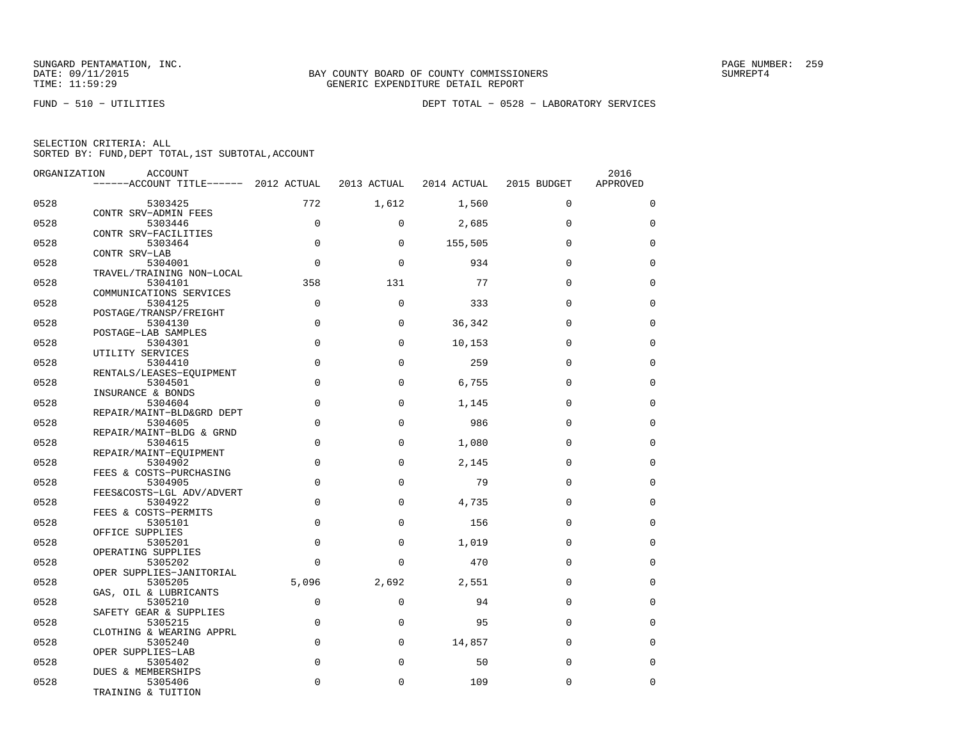| SELECTION CRITERIA: ALL |  |  |                                                    |  |
|-------------------------|--|--|----------------------------------------------------|--|
|                         |  |  | SORTED BY: FUND, DEPT TOTAL, 1ST SUBTOTAL, ACCOUNT |  |

| ORGANIZATION | ACCOUNT                               |             |             |             |             | 2016        |
|--------------|---------------------------------------|-------------|-------------|-------------|-------------|-------------|
|              | ------ACCOUNT TITLE------ 2012 ACTUAL |             | 2013 ACTUAL | 2014 ACTUAL | 2015 BUDGET | APPROVED    |
| 0528         | 5303425                               | 772         | 1,612       | 1,560       | $\mathbf 0$ | $\mathbf 0$ |
| 0528         | CONTR SRV-ADMIN FEES<br>5303446       | $\mathbf 0$ | $\Omega$    | 2,685       | $\Omega$    | 0           |
| 0528         | CONTR SRV-FACILITIES<br>5303464       | $\Omega$    | $\Omega$    | 155,505     | $\Omega$    | $\Omega$    |
| 0528         | CONTR SRV-LAB<br>5304001              | $\mathbf 0$ | $\mathbf 0$ | 934         | $\mathbf 0$ | $\mathbf 0$ |
| 0528         | TRAVEL/TRAINING NON-LOCAL<br>5304101  | 358         | 131         | 77          | $\Omega$    | $\mathbf 0$ |
| 0528         | COMMUNICATIONS SERVICES<br>5304125    | $\mathbf 0$ | $\mathbf 0$ | 333         | $\Omega$    | $\mathbf 0$ |
|              | POSTAGE/TRANSP/FREIGHT                |             |             |             |             |             |
| 0528         | 5304130<br>POSTAGE-LAB SAMPLES        | $\mathbf 0$ | 0           | 36,342      | $\Omega$    | $\mathbf 0$ |
| 0528         | 5304301<br>UTILITY SERVICES           | $\Omega$    | $\Omega$    | 10,153      | $\Omega$    | $\Omega$    |
| 0528         | 5304410<br>RENTALS/LEASES-EQUIPMENT   | $\mathbf 0$ | $\Omega$    | 259         | $\Omega$    | $\mathbf 0$ |
| 0528         | 5304501<br>INSURANCE & BONDS          | $\mathbf 0$ | $\Omega$    | 6,755       | $\Omega$    | $\mathbf 0$ |
| 0528         | 5304604<br>REPAIR/MAINT-BLD&GRD DEPT  | $\mathbf 0$ | $\mathbf 0$ | 1,145       | $\Omega$    | $\mathbf 0$ |
| 0528         | 5304605<br>REPAIR/MAINT-BLDG & GRND   | $\mathbf 0$ | $\Omega$    | 986         | $\Omega$    | $\mathbf 0$ |
| 0528         | 5304615                               | $\Omega$    | $\Omega$    | 1,080       | $\Omega$    | $\Omega$    |
| 0528         | REPAIR/MAINT-EQUIPMENT<br>5304902     | $\mathbf 0$ | 0           | 2,145       | $\Omega$    | $\mathbf 0$ |
| 0528         | FEES & COSTS-PURCHASING<br>5304905    | $\Omega$    | $\Omega$    | 79          | $\Omega$    | $\mathbf 0$ |
| 0528         | FEES&COSTS-LGL ADV/ADVERT<br>5304922  | $\mathbf 0$ | $\mathbf 0$ | 4,735       | $\Omega$    | $\mathbf 0$ |
| 0528         | FEES & COSTS-PERMITS<br>5305101       | $\mathbf 0$ | 0           | 156         | $\Omega$    | $\mathbf 0$ |
| 0528         | OFFICE SUPPLIES<br>5305201            | $\mathbf 0$ | $\mathbf 0$ | 1,019       | $\mathbf 0$ | $\mathbf 0$ |
| 0528         | OPERATING SUPPLIES<br>5305202         | $\Omega$    | $\Omega$    | 470         | $\Omega$    | $\Omega$    |
| 0528         | OPER SUPPLIES-JANITORIAL<br>5305205   | 5,096       | 2,692       | 2,551       | $\Omega$    | $\mathbf 0$ |
| 0528         | GAS, OIL & LUBRICANTS<br>5305210      | $\mathbf 0$ | 0           | 94          | $\Omega$    | $\mathbf 0$ |
|              | SAFETY GEAR & SUPPLIES                |             |             |             |             |             |
| 0528         | 5305215<br>CLOTHING & WEARING APPRL   | $\Omega$    | $\Omega$    | 95          | $\Omega$    | $\mathbf 0$ |
| 0528         | 5305240<br>OPER SUPPLIES-LAB          | $\mathbf 0$ | $\mathbf 0$ | 14,857      | $\mathbf 0$ | $\mathbf 0$ |
| 0528         | 5305402<br>DUES & MEMBERSHIPS         | $\mathbf 0$ | 0           | 50          | $\Omega$    | $\mathbf 0$ |
| 0528         | 5305406<br>TRAINING & TUITION         | $\Omega$    | $\mathbf 0$ | 109         | $\mathbf 0$ | $\mathbf 0$ |